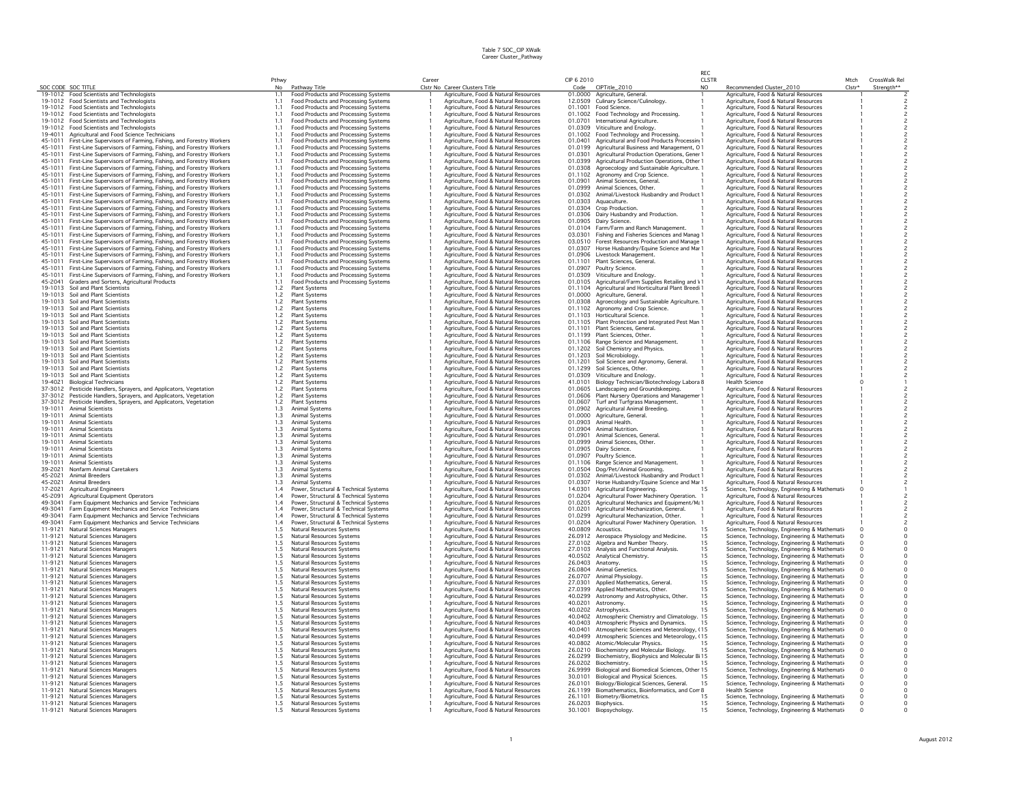|                    |                                                                                        |            |                                                                              |        |                                                                                |                    |                                                                       | RFC            |                                                                                        |                    |               |
|--------------------|----------------------------------------------------------------------------------------|------------|------------------------------------------------------------------------------|--------|--------------------------------------------------------------------------------|--------------------|-----------------------------------------------------------------------|----------------|----------------------------------------------------------------------------------------|--------------------|---------------|
|                    |                                                                                        | Pthwy      |                                                                              | Career |                                                                                | CIP 6 2010         |                                                                       | <b>CLSTR</b>   |                                                                                        | Mtch               | CrossWalk Rel |
|                    | SOC CODE SOC TITLE                                                                     | No         | Pathway Title                                                                |        | Clstr No Career Clusters Title                                                 |                    | Code CIPTitle_2010                                                    | N <sub>O</sub> | Recommended Cluster_2010                                                               | Clstr <sup>+</sup> | Strength**    |
|                    | 19-1012 Food Scientists and Technologists                                              | 1.1        | <b>Food Products and Processing Systems</b>                                  |        | Agriculture, Food & Natural Resources                                          |                    | 01.0000 Agriculture, General,                                         |                | Agriculture, Food & Natural Resources                                                  |                    |               |
|                    | 19-1012 Food Scientists and Technologists<br>19-1012 Food Scientists and Technologists | 1.1<br>1.1 | Food Products and Processing Systems<br>Food Products and Processing Systems |        | Agriculture, Food & Natural Resources<br>Agriculture, Eood & Natural Resources | 12.0509<br>01.1001 | Culinary Science/Culinology.<br>Food Science.                         |                | Agriculture, Food & Natural Resources<br>Agriculture, Food & Natural Resources         |                    |               |
|                    | 19-1012 Food Scientists and Technologists                                              | 11         | Food Products and Processing Systems                                         |        | Agriculture, Food & Natural Resources                                          | 01.1002            | Food Technology and Processing.                                       |                | Agriculture, Food & Natural Resources                                                  |                    |               |
|                    | 19-1012 Food Scientists and Technologists                                              | 1.1        | Food Products and Processing Systems                                         |        | Agriculture, Food & Natural Resources                                          | 01.0701            | International Agriculture.                                            |                | Agriculture, Food & Natural Resources                                                  |                    |               |
|                    | 19-1012 Food Scientists and Technologists                                              | 1.1        | Food Products and Processing Systems                                         |        | Agriculture, Food & Natural Resources                                          | 01.0309            | Viticulture and Enology.                                              |                | Agriculture, Food & Natural Resources                                                  |                    |               |
| 19-4011            | Agricultural and Food Science Technicians                                              | 1.1        | Food Products and Processing Systems                                         |        | Agriculture, Food & Natural Resources                                          | 01.1002            | Food Technology and Processing.                                       |                | Agriculture, Food & Natural Resources                                                  |                    |               |
| 45-1011            | First-Line Supervisors of Farming, Fishing, and Forestry Workers                       | 1.1        | Food Products and Processing Systems                                         |        | Agriculture, Food & Natural Resources                                          | 01.0401            | Agricultural and Food Products Processin 1                            |                | Agriculture, Food & Natural Resources                                                  |                    |               |
| 45-1011            | First-Line Supervisors of Farming, Fishing, and Forestry Workers                       | 1.1        | Food Products and Processing Systems                                         |        | Agriculture, Food & Natural Resources                                          | 01.0199            | Agricultural Business and Management, O 1                             |                | Agriculture, Food & Natural Resources                                                  |                    |               |
|                    | 45-1011 First-Line Supervisors of Farming, Fishing, and Forestry Workers               | 1.1        | Food Products and Processing Systems                                         |        | Agriculture, Food & Natural Resources                                          | 01.0301            | Agricultural Production Operations, Gener                             |                | Agriculture, Food & Natural Resources                                                  |                    |               |
|                    | 45-1011 First-Line Supervisors of Farming, Fishing, and Forestry Workers               | 1.1        | Food Products and Processing Systems                                         |        | Agriculture, Food & Natural Resources                                          | 01.0399            | Agricultural Production Operations, Other                             |                | Agriculture, Food & Natural Resources                                                  |                    |               |
| 45-1011            | First-Line Supervisors of Farming, Fishing, and Forestry Workers                       | 1.1        | Food Products and Processing Systems                                         |        | Agriculture, Food & Natural Resources                                          | 01.0308            | Agroecology and Sustainable Agriculture. 1                            |                | Agriculture, Food & Natural Resources                                                  |                    |               |
| 45-1011            | First-Line Supervisors of Farming, Fishing, and Forestry Workers                       | 1.1        | Food Products and Processing Systems                                         |        | Agriculture, Food & Natural Resources                                          | 01.1102            | Agronomy and Crop Science.                                            |                | Agriculture, Food & Natural Resources                                                  |                    |               |
|                    | 45-1011 First-Line Supervisors of Farming, Fishing, and Forestry Workers               | 1.1        | Food Products and Processing Systems                                         |        | Agriculture, Food & Natural Resources                                          | 01.0901            | Animal Sciences, General,                                             |                | Agriculture, Food & Natural Resources                                                  |                    |               |
| 45-1011            | First-Line Supervisors of Farming, Fishing, and Forestry Workers                       | 1.1        | Food Products and Processing Systems                                         |        | Agriculture, Food & Natural Resources                                          | 01.0999            | Animal Sciences, Other.                                               |                | Agriculture, Food & Natural Resources                                                  |                    |               |
|                    | 45-1011 First-Line Supervisors of Farming, Fishing, and Forestry Workers               | 1.1        | Food Products and Processing Systems                                         |        | Agriculture, Food & Natural Resources                                          | 01.0302            | Animal/Livestock Husbandry and Product 1                              |                | Agriculture, Food & Natural Resources                                                  |                    |               |
|                    | 45-1011 First-Line Supervisors of Farming, Fishing, and Forestry Workers               | 1.1        | Food Products and Processing Systems                                         |        | Agriculture, Food & Natural Resources                                          | 01.0303            | Aquaculture.                                                          |                | Agriculture, Food & Natural Resources                                                  |                    |               |
|                    | 45-1011 First-Line Supervisors of Farming, Fishing, and Forestry Workers               | 1.1        | Food Products and Processing Systems                                         |        | Agriculture, Food & Natural Resources                                          | 01.0304            | Crop Production.                                                      |                | Agriculture, Food & Natural Resources                                                  |                    |               |
| 45-1011            | First-Line Supervisors of Farming, Fishing, and Forestry Workers                       | 1.1        | Food Products and Processing Systems                                         |        | Agriculture, Food & Natural Resources                                          |                    | 01.0306 Dairy Husbandry and Production.                               |                | Agriculture, Food & Natural Resources                                                  |                    |               |
| 45-1011            | First-Line Supervisors of Farming, Fishing, and Forestry Workers                       | 1.1        | Food Products and Processing Systems                                         |        | Agriculture, Food & Natural Resources                                          | 01.0905            | Dairy Science.                                                        |                | Agriculture, Food & Natural Resources                                                  |                    |               |
| 45-1011            | First-Line Supervisors of Farming, Fishing, and Forestry Workers                       | 1.1        | Food Products and Processing Systems                                         |        | Agriculture, Food & Natural Resources                                          | 01.0104            | Farm/Farm and Ranch Management.                                       |                | Agriculture, Food & Natural Resources                                                  |                    |               |
| 45-1011            | First-Line Supervisors of Farming, Fishing, and Forestry Workers                       | 11         | Food Products and Processing Systems                                         |        | Agriculture, Food & Natural Resources                                          | 03.0301            | Fishing and Fisheries Sciences and Manag                              |                | Agriculture, Food & Natural Resources                                                  |                    |               |
|                    | 45-1011 First-Line Supervisors of Farming, Fishing, and Forestry Workers               | 1.1        | Food Products and Processing Systems                                         |        | Agriculture, Food & Natural Resources                                          | 03.0510            | Forest Resources Production and Manage                                |                | Agriculture, Food & Natural Resources                                                  |                    |               |
| 45-1011            | First-Line Supervisors of Farming, Fishing, and Forestry Workers                       | 1.1        | Food Products and Processing Systems                                         |        | Agriculture, Food & Natural Resources                                          | 01.0307            | Horse Husbandry/Equine Science and Mar 1                              |                | Agriculture, Food & Natural Resources                                                  |                    |               |
| 45-1011            | First-Line Supervisors of Farming, Fishing, and Forestry Workers                       | 1.1        | Food Products and Processing Systems                                         |        | Agriculture, Food & Natural Resources                                          | 01.0906            | Livestock Management.                                                 |                | Agriculture, Food & Natural Resources                                                  |                    |               |
| 45-1011            | First-Line Supervisors of Farming, Fishing, and Forestry Workers                       |            | Food Products and Processing Systems                                         |        | Agriculture, Food & Natural Resources                                          | 01.1101            | Plant Sciences, General.                                              |                | Agriculture, Food & Natural Resources                                                  |                    |               |
|                    | 45-1011 First-Line Supervisors of Farming, Fishing, and Forestry Workers               | 1.1        | Food Products and Processing Systems                                         |        | Agriculture, Food & Natural Resources                                          | 01.0907            | Poultry Science.                                                      |                | Agriculture, Food & Natural Resources                                                  |                    |               |
| 45-1011            | First-Line Supervisors of Farming, Fishing, and Forestry Workers                       | 1.1        | Food Products and Processing Systems                                         |        | Agriculture, Food & Natural Resources                                          | 01.0309            | Viticulture and Enology.                                              |                | Agriculture, Food & Natural Resources                                                  |                    |               |
| 45-2041            | Graders and Sorters, Agricultural Products                                             | 1.1        | Food Products and Processing Systems                                         |        | Agriculture, Eood & Natural Resources                                          | 01.0105            | Agricultural/Farm Supplies Retailing and \1                           |                | Agriculture, Food & Natural Resources                                                  |                    |               |
|                    | 19-1013 Soil and Plant Scientists                                                      | 1.2        | Plant Systems                                                                |        | Agriculture, Food & Natural Resources                                          | 01.1104            | Agricultural and Horticultural Plant Breedi 1                         |                | Agriculture, Food & Natural Resources                                                  |                    |               |
|                    | 19-1013 Soil and Plant Scientists                                                      | 1.2        | Plant Systems                                                                |        | Agriculture, Food & Natural Resources                                          | 01.0000            | Agriculture, General.                                                 |                | Agriculture, Food & Natural Resources                                                  |                    |               |
|                    | 19-1013 Soil and Plant Scientists                                                      | 1.2        | Plant Systems                                                                |        | Agriculture, Food & Natural Resources                                          | 01.0308            | Agroecology and Sustainable Agriculture. 1                            |                | Agriculture, Food & Natural Resources                                                  |                    |               |
|                    | 19-1013 Soil and Plant Scientists                                                      | 1.2        | <b>Plant Systems</b>                                                         |        | Agriculture, Food & Natural Resources                                          | 01.1102            | Agronomy and Crop Science.                                            |                | Agriculture, Food & Natural Resources                                                  |                    |               |
|                    | 19-1013 Soil and Plant Scientists                                                      | 1.2        | Plant Systems                                                                |        | Agriculture, Food & Natural Resources                                          | 01.1103            | Horticultural Science.                                                |                | Agriculture, Food & Natural Resources                                                  |                    |               |
|                    | 19-1013 Soil and Plant Scientists                                                      | 1.2        | Plant Systems                                                                |        | Agriculture, Food & Natural Resources                                          | 01.1105            | Plant Protection and Integrated Pest Man 1                            |                | Agriculture, Food & Natural Resources                                                  |                    |               |
|                    | 19-1013 Soil and Plant Scientists                                                      | 1.2        | <b>Plant Systems</b>                                                         |        | Agriculture, Food & Natural Resources                                          | 01.1101            | Plant Sciences, General,                                              |                | Agriculture, Food & Natural Resources                                                  |                    |               |
|                    | 19-1013 Soil and Plant Scientists                                                      | 1.2        | <b>Plant Systems</b>                                                         |        | Agriculture, Food & Natural Resources                                          | 01.1199            | Plant Sciences, Other,                                                |                | Agriculture, Food & Natural Resources                                                  |                    |               |
|                    | 19-1013 Soil and Plant Scientists                                                      | 1.2        | <b>Plant Systems</b>                                                         |        | Agriculture, Food & Natural Resources                                          |                    | 01.1106 Range Science and Management.                                 |                | Agriculture, Food & Natural Resources                                                  |                    |               |
|                    | 19-1013 Soil and Plant Scientists                                                      | 1.2        | Plant Systems                                                                |        | Agriculture, Food & Natural Resources                                          |                    | 01.1202 Soil Chemistry and Physics.                                   |                | Agriculture, Food & Natural Resources                                                  |                    |               |
|                    | 19-1013 Soil and Plant Scientists                                                      | 1.2        | Plant Systems                                                                |        | Agriculture, Food & Natural Resources                                          | 01.1203            | Soil Microbiology.                                                    |                | Agriculture, Food & Natural Resources                                                  |                    |               |
|                    | 19-1013 Soil and Plant Scientists                                                      | 1.2        | <b>Plant Systems</b>                                                         |        | Agriculture, Food & Natural Resources                                          | 01.1201            | Soil Science and Agronomy, General.                                   |                | Agriculture, Food & Natural Resources                                                  |                    |               |
|                    | 19-1013 Soil and Plant Scientists                                                      | 1.2        | Plant Systems                                                                |        | Agriculture, Food & Natural Resources                                          | 01.1299            | Soil Sciences, Other.                                                 |                | Agriculture, Food & Natural Resources                                                  |                    |               |
|                    | 19-1013 Soil and Plant Scientists                                                      | 1.2        | Plant Systems                                                                |        | Agriculture, Food & Natural Resources                                          | 01.0309            | Viticulture and Enology.                                              |                | Agriculture, Food & Natural Resources                                                  |                    |               |
| 19-4021            | <b>Biological Technicians</b>                                                          | 1.2        | Plant Systems                                                                |        | Agriculture, Food & Natural Resources                                          | 41.0101            | Biology Technician/Biotechnology Labora 8                             |                | <b>Health Science</b>                                                                  |                    |               |
|                    | 37-3012 Pesticide Handlers, Sprayers, and Applicators, Vegetation                      | 1.2        | <b>Plant Systems</b>                                                         |        | Agriculture, Food & Natural Resources                                          | 01.0605            | Landscaping and Groundskeeping.                                       |                | Agriculture, Food & Natural Resources                                                  |                    |               |
|                    | 37-3012 Pesticide Handlers, Sprayers, and Applicators, Vegetation                      | 1.2        | Plant Systems                                                                |        | Agriculture, Food & Natural Resources                                          | 01.0606            | Plant Nursery Operations and Managemer                                |                | Agriculture, Food & Natural Resources                                                  |                    |               |
|                    | 37-3012 Pesticide Handlers, Sprayers, and Applicators, Vegetation                      | 1.2        | <b>Plant Systems</b>                                                         |        | Agriculture, Food & Natural Resources                                          | 01.0607            | Turf and Turforass Management.                                        |                | Agriculture, Food & Natural Resources                                                  |                    |               |
| 19-1011            | <b>Animal Scientists</b>                                                               | 1.3        | Animal Systems                                                               |        | Agriculture, Food & Natural Resources                                          | 01.0902            | Agricultural Animal Breeding                                          |                | Agriculture, Food & Natural Resources                                                  |                    |               |
| 19-1011            | <b>Animal Scientists</b>                                                               | 13         | Animal Systems                                                               |        | Agriculture, Food & Natural Resources                                          | 01,0000            | Agriculture, General                                                  |                | Agriculture, Food & Natural Resources                                                  |                    |               |
|                    | 19-1011 Animal Scientists                                                              | 1.3        | Animal Systems                                                               |        | Agriculture, Food & Natural Resources                                          |                    | 01.0903 Animal Health.                                                |                | Agriculture, Food & Natural Resources                                                  |                    |               |
| 19-1011            | Animal Scientists                                                                      | 1.3        | Animal Systems                                                               |        | Agriculture, Food & Natural Resources                                          | 01.0904            | Animal Nutrition.                                                     |                | Agriculture, Food & Natural Resources                                                  |                    |               |
| 19-1011            | <b>Animal Scientists</b>                                                               | 1.3        | Animal Systems                                                               |        | Agriculture, Food & Natural Resources                                          | 01.0901            | Animal Sciences, General.                                             |                | Agriculture, Food & Natural Resources                                                  |                    |               |
| 19-1011<br>19-1011 | Animal Scientists                                                                      | 1.3        | Animal Systems                                                               |        | Agriculture, Food & Natural Resources                                          | 01.0999            | Animal Sciences, Other.                                               |                | Agriculture, Food & Natural Resources                                                  |                    |               |
|                    | Animal Scientists                                                                      | 1.3        | Animal Systems                                                               |        | Agriculture, Food & Natural Resources                                          | 01.0905            | Dairy Science.                                                        |                | Agriculture, Food & Natural Resources                                                  |                    |               |
|                    | 19-1011 Animal Scientists<br>19-1011 Animal Scientists                                 | 1.3        | Animal Systems                                                               |        | Agriculture, Food & Natural Resources                                          | 01.0907<br>01.1106 | Poultry Science.                                                      |                | Agriculture, Food & Natural Resources                                                  |                    |               |
|                    |                                                                                        | 1.3        | Animal Systems                                                               |        | Agriculture, Food & Natural Resources                                          |                    | Range Science and Management.                                         |                | Agriculture, Food & Natural Resources                                                  |                    |               |
| 39-2021<br>45-2021 | Nonfarm Animal Caretakers<br>Animal Breeders                                           | 1.3<br>1.3 | Animal Systems                                                               |        | Agriculture, Food & Natural Resources<br>Agriculture, Food & Natural Resources | 01.0504<br>01.0302 | Dog/Pet/Animal Grooming.                                              |                | Agriculture, Food & Natural Resources                                                  |                    |               |
|                    |                                                                                        |            | Animal Systems                                                               |        |                                                                                |                    | Animal/Livestock Husbandry and Product 1                              |                | Agriculture, Food & Natural Resources                                                  |                    |               |
| 45-2021<br>17-2021 | Animal Breeders<br><b>Agricultural Engineers</b>                                       | 1.3<br>1.4 | Animal Systems<br>Power, Structural & Technical Systems                      |        | Agriculture, Food & Natural Resources<br>Agriculture, Food & Natural Resources | 01.0307<br>14.0301 | Horse Husbandry/Equine Science and Mar 1<br>Agricultural Engineering. |                | Agriculture, Food & Natural Resources<br>Science, Technology, Engineering & Mathemati- |                    |               |
| 45-2091            | Agricultural Equipment Operators                                                       | 1.4        | Power, Structural & Technical Systems                                        |        | Agriculture, Food & Natural Resources                                          | 01.0204            | Agricultural Power Machinery Operation. 1                             |                | Agriculture, Food & Natural Resources                                                  |                    |               |
| 49-3041            | Farm Equipment Mechanics and Service Technicians                                       | 1.4        | Power, Structural & Technical Systems                                        |        | Agriculture, Food & Natural Resources                                          | 01.0205            | Agricultural Mechanics and Equipment/Ma 1                             |                | Agriculture, Food & Natural Resources                                                  |                    |               |
|                    | 49-3041 Farm Equipment Mechanics and Service Technicians                               | 1.4        | Power, Structural & Technical Systems                                        |        | Agriculture, Food & Natural Resources                                          | 01.0201            | Agricultural Mechanization, General.                                  |                | Agriculture, Food & Natural Resources                                                  |                    |               |
| 49-3041            | Farm Equipment Mechanics and Service Technicians                                       | 1.4        | Power, Structural & Technical Systems                                        |        | Agriculture, Food & Natural Resources                                          | 01.0299            | Agricultural Mechanization, Other                                     |                | Agriculture, Food & Natural Resources                                                  |                    |               |
| 49-3041            | Farm Equipment Mechanics and Service Technicians                                       | 1.4        | Power, Structural & Technical Systems                                        |        | Agriculture, Food & Natural Resources                                          | 01.0204            | Agricultural Power Machinery Operation.                               |                | Agriculture, Food & Natural Resources                                                  |                    |               |
| 11-9121            | <b>Natural Sciences Managers</b>                                                       | 1.5        | Natural Resources Systems                                                    |        | Agriculture, Food & Natural Resources                                          | 40.0809            | Acoustics.                                                            |                | Science, Technology, Engineering & Mathemati-                                          |                    |               |
| 11-9121            | Natural Sciences Managers                                                              | 1.5        | Natural Resources Systems                                                    |        | Agriculture, Food & Natural Resources                                          | 26.0912            | Aerospace Physiology and Medicine.                                    | 15             | Science, Technology, Engineering & Mathemati-                                          |                    |               |
|                    | 11-9121 Natural Sciences Managers                                                      | 1.5        | Natural Resources Systems                                                    |        | Agriculture, Food & Natural Resources                                          | 27,0102            | Algebra and Number Theory.                                            | 15             | Science, Technology, Engineering & Mathemati-                                          |                    |               |
| 11-9121            | Natural Sciences Managers                                                              | 1.5        | Natural Resources Systems                                                    |        | Agriculture, Food & Natural Resources                                          | 27,0103            | Analysis and Functional Analysis.                                     | 15             | Science, Technology, Engineering & Mathemati-                                          |                    |               |
| 11-9121            | <b>Natural Sciences Managers</b>                                                       | 1.5        | Natural Resources Systems                                                    |        | Agriculture, Food & Natural Resources                                          | 40.0502            | Analytical Chemistry.                                                 | 15             | Science, Technology, Engineering & Mathemati-                                          |                    |               |
| 11-9121            | <b>Natural Sciences Managers</b>                                                       |            | Natural Resources Systems                                                    |        | Agriculture, Food & Natural Resources                                          |                    | 26.0403 Anatomy.                                                      | 15             | Science, Technology, Engineering & Mathemati-                                          |                    |               |
| 11-9121            | Natural Sciences Managers                                                              | 1.5        | Natural Resources Systems                                                    |        | Agriculture, Food & Natural Resources                                          |                    | 26.0804 Animal Genetics.                                              | 15             | Science, Technology, Engineering & Mathemati                                           |                    |               |
| 11-9121            | <b>Natural Sciences Managers</b>                                                       | 1.5        | Natural Resources Systems                                                    |        | Agriculture, Food & Natural Resources                                          | 26,0707            | Animal Physiology.                                                    | 15             | Science, Technology, Engineering & Mathemati                                           |                    |               |
| 11-9121            | <b>Natural Sciences Managers</b>                                                       | 1.5        | Natural Resources Systems                                                    |        | Agriculture, Food & Natural Resources                                          | 27.0301            | Applied Mathematics, General.                                         | 15             | Science, Technology, Engineering & Mathemati-                                          |                    |               |
| 11-9121            | <b>Natural Sciences Managers</b>                                                       | 1.5        | Natural Resources Systems                                                    |        | Agriculture, Food & Natural Resources                                          | 27.0399            | Applied Mathematics, Other.                                           | 15             | Science, Technology, Engineering & Mathemati                                           |                    |               |
| 11-9121            | <b>Natural Sciences Managers</b>                                                       | 1.5        | Natural Resources Systems                                                    |        | Agriculture, Food & Natural Resources                                          | 40.0299            | Astronomy and Astrophysics, Other.                                    | 15             | Science, Technology, Engineering & Mathemati-                                          |                    |               |
| 11-9121            | Natural Sciences Managers                                                              | 1.5        | Natural Resources Systems                                                    |        | Agriculture, Food & Natural Resources                                          | 40.0201            | Astronomy.                                                            | 15             | Science, Technology, Engineering & Mathemati                                           |                    |               |
| 11-9121            | <b>Natural Sciences Managers</b>                                                       | 1.5        | Natural Resources Systems                                                    |        | Agriculture, Food & Natural Resources                                          | 40.0202            | Astrophysics.                                                         | 15             | Science, Technology, Engineering & Mathemati-                                          |                    |               |
| 11-9121            | <b>Natural Sciences Managers</b>                                                       | 1.5        | Natural Resources Systems                                                    |        | Agriculture, Food & Natural Resources                                          | 40.0402            | Atmospheric Chemistry and Climatology. 15                             |                | Science, Technology, Engineering & Mathemati-                                          |                    |               |
| 11-9121            | Natural Sciences Managers                                                              | 1.5        | Natural Resources Systems                                                    |        | Agriculture, Food & Natural Resources                                          | 40.0403            | Atmospheric Physics and Dynamics.                                     | 15             | Science, Technology, Engineering & Mathemati-                                          |                    |               |
| 11-9121            | Natural Sciences Managers                                                              | 1.5        | Natural Resources Systems                                                    |        | Agriculture, Food & Natural Resources                                          | 40.0401            | Atmospheric Sciences and Meteorology, (15                             |                | Science, Technology, Engineering & Mathemati-                                          |                    |               |
| 11-9121            | Natural Sciences Managers                                                              | 1.5        | Natural Resources Systems                                                    |        | Agriculture, Food & Natural Resources                                          | 40.0499            | Atmospheric Sciences and Meteorology, (15                             |                | Science, Technology, Engineering & Mathemati-                                          |                    |               |
| 11-9121            | Natural Sciences Managers                                                              | 1.5        | <b>Natural Resources Systems</b>                                             |        | Agriculture, Food & Natural Resources                                          | 40.0802            | Atomic/Molecular Physics.                                             | 15             | Science, Technology, Engineering & Mathemati                                           |                    |               |
| 11-9121            | <b>Natural Sciences Managers</b>                                                       | 1.5        | Natural Resources Systems                                                    |        | Agriculture, Food & Natural Resources                                          |                    | 26.0210 Biochemistry and Molecular Biology.                           | 15             | Science, Technology, Engineering & Mathemati                                           |                    |               |
| 11-9121            | Natural Sciences Managers                                                              | 1.5        | Natural Resources Systems                                                    |        | Agriculture, Food & Natural Resources                                          | 26.0299            | Biochemistry, Biophysics and Molecular Bi 15                          |                | Science, Technology, Engineering & Mathemati                                           |                    |               |
|                    | 11-9121 Natural Sciences Managers                                                      | 1.5        | Natural Resources Systems                                                    |        | Agriculture, Food & Natural Resources                                          | 26.0202            | Biochemistry.                                                         |                | Science, Technology, Engineering & Mathemati-                                          |                    |               |
| 11-9121            | Natural Sciences Managers                                                              | 1.5        | Natural Resources Systems                                                    |        | Agriculture, Food & Natural Resources                                          | 26.9999            | Biological and Biomedical Sciences, Other 15                          |                | Science, Technology, Engineering & Mathemati-                                          |                    |               |
| 11-9121            | Natural Sciences Managers                                                              | 1.5        | Natural Resources Systems                                                    |        | Agriculture, Food & Natural Resources                                          | 30.0101            | Biological and Physical Sciences.                                     |                | Science, Technology, Engineering & Mathemati-                                          |                    |               |
| 11-9121            | <b>Natural Sciences Managers</b>                                                       | 1.5        | Natural Resources Systems                                                    |        | Agriculture, Food & Natural Resources                                          | 26,0101            | Biology/Biological Sciences, General.                                 | 15             | Science, Technology, Engineering & Mathemati-                                          |                    |               |
|                    | 11-9121 Natural Sciences Managers                                                      | 1.5        | Natural Resources Systems                                                    |        | Agriculture, Food & Natural Resources                                          | 26.1199            | Biomathematics, Bioinformatics, and Con 8                             |                | <b>Health Science</b>                                                                  |                    |               |
|                    | 11-9121 Natural Sciences Managers                                                      | 1.5        | Natural Resources Systems                                                    |        | Agriculture, Food & Natural Resources                                          | 26,1101            | Biometry/Biometrics.                                                  | 15             | Science, Technology, Engineering & Mathemati-                                          |                    |               |
|                    | 11-9121 Natural Sciences Managers                                                      | 1.5        | Natural Resources Systems                                                    |        | Agriculture, Food & Natural Resources                                          |                    | 26.0203 Biophysics.                                                   | 15             | Science, Technology, Engineering & Mathemati-                                          |                    |               |
|                    | 11-9121 Natural Sciences Managers                                                      | 1.5        | Natural Resources Systems                                                    |        | Agriculture, Food & Natural Resources                                          | 30,1001            | Biopsychology                                                         | 15             | Science, Technology, Engineering & Mathemati-                                          |                    |               |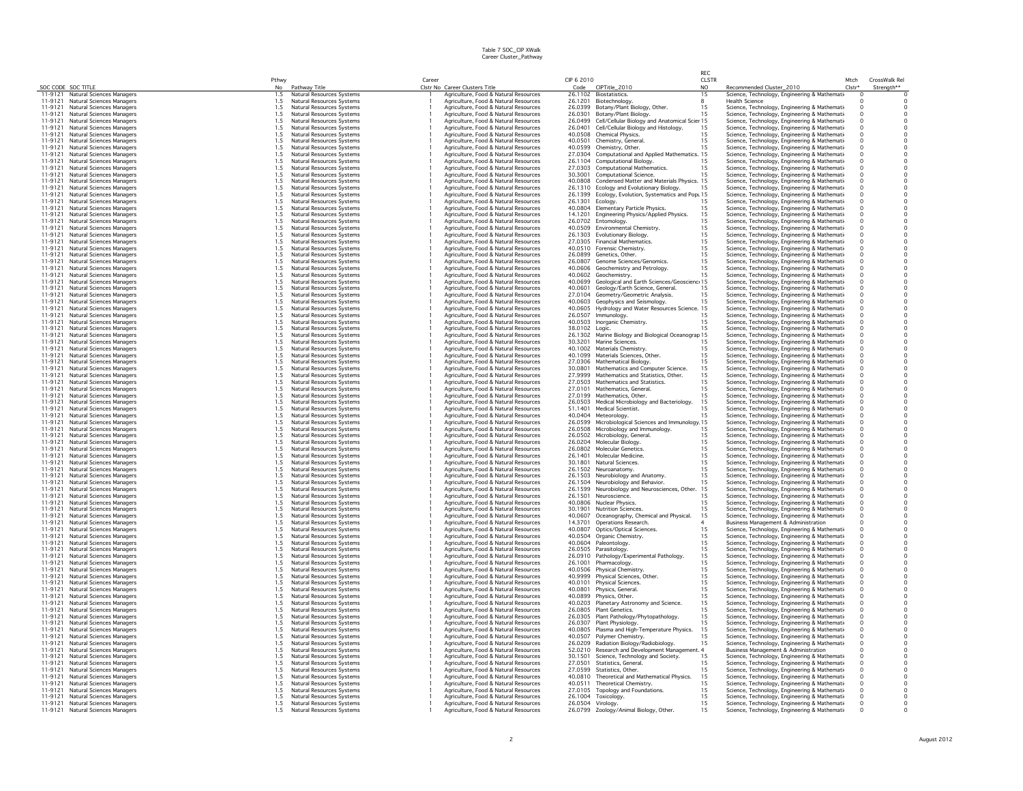|                    |                                                                        |             |                                                        |        |                                                                                |                              |                                                                                       | RFC                            |                                                                                                |                      |                                            |
|--------------------|------------------------------------------------------------------------|-------------|--------------------------------------------------------|--------|--------------------------------------------------------------------------------|------------------------------|---------------------------------------------------------------------------------------|--------------------------------|------------------------------------------------------------------------------------------------|----------------------|--------------------------------------------|
|                    | SOC CODE SOC TITLE                                                     | Pthwy<br>No | Pathway Title                                          | Career | Clstr No Career Clusters Title                                                 | CIP 6 2010<br>Code           | CIPTitle_2010                                                                         | <b>CLSTR</b><br>N <sub>O</sub> | Recommended Cluster_2010                                                                       | Mtch<br>Clstr*       | CrossWalk Rel<br>Strength**                |
|                    | 11-9121 Natural Sciences Managers                                      | 1.5         | Natural Resources Systems                              |        | Agriculture, Food & Natural Resources                                          |                              | 26.1102 Biostatistics.                                                                | 15                             | Science, Technology, Engineering & Mathemati                                                   | $\Omega$             | $\overline{0}$                             |
| 11-9121            | <b>Natural Sciences Managers</b>                                       | 1.5         | Natural Resources Systems                              |        | Agriculture, Food & Natural Resources                                          | 26.1201                      | Biotechnology.                                                                        | 8                              | Health Science                                                                                 | $\Omega$             | $\Omega$                                   |
| 11-9121            | Natural Sciences Managers                                              | 1.5         | Natural Resources Systems                              |        | Agriculture, Eood & Natural Resources                                          | 26.0399                      | Botany/Plant Biology, Other.                                                          | 15                             | Science, Technology, Engineering & Mathemati                                                   | $\Omega$             | $\Omega$                                   |
| 11-9121            | Natural Sciences Managers                                              | 1.5         | Natural Resources Systems                              |        | Agriculture, Food & Natural Resources                                          | 26.0301                      | Botany/Plant Biology.                                                                 | 15                             | Science, Technology, Engineering & Mathemati                                                   | $\Omega$             | $\circ$                                    |
| 11-9121            | 11-9121 Natural Sciences Managers<br><b>Natural Sciences Managers</b>  | 1.5<br>1.5  | Natural Resources Systems<br>Natural Resources Systems |        | Agriculture, Food & Natural Resources<br>Agriculture, Food & Natural Resources | 26.0499<br>26.0401           | Cell/Cellular Biology and Anatomical Scier 15<br>Cell/Cellular Biology and Histology. | 15                             | Science, Technology, Engineering & Mathemati<br>Science, Technology, Engineering & Mathemati   | $\Omega$             | $\circ$<br>$\mathsf{O}\xspace$             |
| 11-9121            | <b>Natural Sciences Managers</b>                                       | 1.5         | Natural Resources Systems                              |        | Agriculture, Food & Natural Resources                                          | 40.0508                      | Chemical Physics.                                                                     | 15                             | Science, Technology, Engineering & Mathemati                                                   |                      | $\circ$                                    |
| 11-9121            | <b>Natural Sciences Managers</b>                                       | 1.5         | Natural Resources Systems                              |        | Agriculture, Food & Natural Resources                                          | 40.0501                      | Chemistry, General.                                                                   | 15                             | Science, Technology, Engineering & Mathemati                                                   | $\circ$              | $\mathsf{O}\xspace$                        |
| 11-9121            | <b>Natural Sciences Managers</b>                                       | 1.5         | Natural Resources Systems                              |        | Agriculture, Food & Natural Resources                                          | 40.0599                      | Chemistry, Other.                                                                     | 15                             | Science, Technology, Engineering & Mathemati-                                                  |                      | $\circ$                                    |
| 11-9121            | Natural Sciences Managers                                              | 1.5         | Natural Resources Systems                              |        | Agriculture, Food & Natural Resources                                          | 27.0304                      | Computational and Applied Mathematics. 15                                             |                                | Science, Technology, Engineering & Mathemati                                                   | $\Omega$             | $\mathsf{O}\xspace$                        |
| 11-9121            | Natural Sciences Managers                                              | 1.5         | Natural Resources Systems                              |        | Agriculture, Food & Natural Resources                                          | 26.1104                      | Computational Biology.                                                                | 15                             | Science, Technology, Engineering & Mathemati                                                   |                      | $\circ$                                    |
| 11-9121            | Natural Sciences Managers                                              | 1.5         | Natural Resources Systems                              |        | Agriculture, Eood & Natural Resources                                          | 27.0303                      | Computational Mathematics.                                                            | 15                             | Science, Technology, Engineering & Mathemati                                                   |                      | $\circ$                                    |
| 11-9121<br>11-9121 | <b>Natural Sciences Managers</b><br>Natural Sciences Managers          | 1.5<br>1.5  | Natural Resources Systems<br>Natural Resources Systems |        | Agriculture, Food & Natural Resources<br>Agriculture, Food & Natural Resources | 30.3001<br>40.0808           | <b>Computational Science.</b><br>Condensed Matter and Materials Physics. 15           | 15                             | Science, Technology, Engineering & Mathemati                                                   | $\Omega$             | $\circ$<br>$\circ$                         |
| 11-9121            | <b>Natural Sciences Managers</b>                                       | 1.5         | Natural Resources Systems                              |        | Agriculture, Food & Natural Resources                                          | 26.1310                      | Ecology and Evolutionary Biology.                                                     | 15                             | Science, Technology, Engineering & Mathemati<br>Science, Technology, Engineering & Mathemati   |                      | $\circ$                                    |
| 11-9121            | Natural Sciences Managers                                              | 1.5         | Natural Resources Systems                              |        | Agriculture, Food & Natural Resources                                          | 26.1399                      | Ecology, Evolution, Systematics and Popt 15                                           |                                | Science, Technology, Engineering & Mathemati                                                   |                      | $\mathsf{O}\xspace$                        |
| 11-9121            | Natural Sciences Managers                                              | 1.5         | Natural Resources Systems                              |        | Agriculture, Food & Natural Resources                                          | 26.1301                      | Ecology.                                                                              |                                | Science, Technology, Engineering & Mathemati                                                   |                      | $\mathsf{O}\xspace$                        |
| 11-9121            | <b>Natural Sciences Managers</b>                                       | 1.5         | Natural Resources Systems                              |        | Agriculture, Food & Natural Resources                                          | 40.0804                      | Elementary Particle Physics.                                                          | 15                             | Science, Technology, Engineering & Mathemati-                                                  |                      | $\mathsf{O}$                               |
| 11-9121            | Natural Sciences Managers                                              | 1.5         | Natural Resources Systems                              |        | Agriculture, Food & Natural Resources                                          | 14.1201                      | Engineering Physics/Applied Physics.                                                  | 15                             | Science, Technology, Engineering & Mathemati-                                                  |                      | $\mathsf{O}\xspace$                        |
| 11-9121            | Natural Sciences Managers                                              | 1.5         | Natural Resources Systems                              |        | Agriculture, Food & Natural Resources                                          | 26.0702                      | Entomology.                                                                           | 15                             | Science, Technology, Engineering & Mathemati-                                                  |                      | $\ddot{\mathbf{0}}$                        |
| 11-9121<br>11-9121 | Natural Sciences Managers                                              | 1.5         | Natural Resources Systems                              |        | Agriculture, Food & Natural Resources                                          | 40.0509                      | Environmental Chemistry.                                                              | 15                             | Science, Technology, Engineering & Mathemati                                                   |                      | $\mathsf{O}\xspace$<br>$\Omega$            |
| 11-9121            | Natural Sciences Managers<br><b>Natural Sciences Managers</b>          | 1.5<br>1.5  | Natural Resources Systems<br>Natural Resources Systems |        | Agriculture, Food & Natural Resources<br>Agriculture, Food & Natural Resources | 26.1303<br>27.0305           | Evolutionary Biology.<br>Financial Mathematics.                                       | 15<br>15                       | Science, Technology, Engineering & Mathemati                                                   | $\Omega$             | $\circ$                                    |
| 11-9121            | <b>Natural Sciences Managers</b>                                       | 1.5         | Natural Resources Systems                              |        | Agriculture, Food & Natural Resources                                          | 40.0510                      | Forensic Chemistry                                                                    | 15                             | Science, Technology, Engineering & Mathemati<br>Science, Technology, Engineering & Mathemati-  |                      | $\mathsf{o}\,$                             |
| 11-9121            | <b>Natural Sciences Managers</b>                                       | 1.5         | Natural Resources Systems                              |        | Agriculture, Food & Natural Resources                                          | 26,0899                      | Genetics, Other                                                                       | 15                             | Science, Technology, Engineering & Mathemati-                                                  |                      | $\mathsf{O}\xspace$                        |
| 11-9121            | Natural Sciences Managers                                              | 1.5         | Natural Resources Systems                              |        | Agriculture, Food & Natural Resources                                          | 26,0807                      | Genome Sciences/Genomics.                                                             | 15                             | Science, Technology, Engineering & Mathemati                                                   |                      | $\mathsf{O}\xspace$                        |
| 11-9121            | <b>Natural Sciences Managers</b>                                       | 1.5         | Natural Resources Systems                              |        | Agriculture, Food & Natural Resources                                          | 40.0606                      | Geochemistry and Petrology.                                                           | 15                             | Science, Technology, Engineering & Mathemati                                                   | $\circ$              | $\mathsf{O}$                               |
| 11-9121            | <b>Natural Sciences Managers</b>                                       | 1.5         | Natural Resources Systems                              |        | Agriculture, Food & Natural Resources                                          | 40.0602                      | Geochemistry                                                                          | 15                             | Science, Technology, Engineering & Mathemati                                                   |                      | $\mathsf{O}\xspace$                        |
| 11-9121            | Natural Sciences Managers                                              | 1.5         | Natural Resources Systems                              |        | Agriculture, Food & Natural Resources                                          | 40.0699                      | Geological and Earth Sciences/Geoscienc: 15                                           |                                | Science, Technology, Engineering & Mathemati                                                   |                      | $\mathsf{o}$                               |
| 11-9121            | Natural Sciences Managers                                              | 1.5         | Natural Resources Systems                              |        | Agriculture, Food & Natural Resources                                          | 40.0601                      | Geology/Earth Science, General,                                                       | 15                             | Science, Technology, Engineering & Mathemati                                                   |                      | $\mathsf{O}\xspace$                        |
| 11-9121<br>11-9121 | Natural Sciences Managers<br><b>Natural Sciences Managers</b>          | 1.5<br>1.5  | Natural Resources Systems<br>Natural Resources Systems |        | Agriculture, Eood & Natural Resources<br>Agriculture, Food & Natural Resources | 27.0104<br>40.0603           | Geometry/Geometric Analysis.<br>Geophysics and Seismology.                            | 1.5<br>15                      | Science, Technology, Engineering & Mathemati                                                   |                      | $\Omega$<br>$\mathsf{O}\xspace$            |
| 11-9121            | <b>Natural Sciences Managers</b>                                       | 1.5         | Natural Resources Systems                              |        | Agriculture, Food & Natural Resources                                          | 40.0605                      | Hydrology and Water Resources Science. 15                                             |                                | Science, Technology, Engineering & Mathemati<br>Science, Technology, Engineering & Mathemati   |                      | $\mathsf{O}\xspace$                        |
| 11-9121            | <b>Natural Sciences Managers</b>                                       | 1.5         | Natural Resources Systems                              |        | Agriculture, Food & Natural Resources                                          | 26.0507                      | Immunology.                                                                           | 15                             | Science, Technology, Engineering & Mathemati                                                   |                      | $\mathsf{O}\xspace$                        |
| 11-9121            | <b>Natural Sciences Managers</b>                                       | 1.5         | Natural Resources Systems                              |        | Agriculture, Food & Natural Resources                                          | 40.0503                      | Inorganic Chemistry.                                                                  | 15                             | Science, Technology, Engineering & Mathemati                                                   |                      | $\mathsf{O}\xspace$                        |
| 11-9121            | <b>Natural Sciences Managers</b>                                       | 1.5         | Natural Resources Systems                              |        | Agriculture, Food & Natural Resources                                          | 38.0102                      | Logic.                                                                                |                                | Science, Technology, Engineering & Mathemati                                                   |                      | $\mathsf{O}\xspace$                        |
| 11-9121            | <b>Natural Sciences Managers</b>                                       | 1.5         | Natural Resources Systems                              |        | Agriculture, Food & Natural Resources                                          | 26.1302                      | Marine Biology and Biological Oceanograp 15                                           |                                | Science, Technology, Engineering & Mathemati                                                   |                      | $\mathsf{O}\xspace$                        |
| 11-9121            | <b>Natural Sciences Managers</b>                                       | 1.5         | Natural Resources Systems                              |        | Agriculture, Food & Natural Resources                                          | 30.3201                      | Marine Sciences.                                                                      | 15                             | Science, Technology, Engineering & Mathemati                                                   |                      | $\circ$                                    |
| 11-9121            | <b>Natural Sciences Managers</b>                                       | 1.5         | Natural Resources Systems                              |        | Agriculture, Food & Natural Resources                                          | 40.1002                      | Materials Chemistry                                                                   | 15                             | Science, Technology, Engineering & Mathemati-                                                  |                      | $\mathsf{O}\xspace$                        |
| 11-9121            | <b>Natural Sciences Managers</b>                                       | 1.5         | Natural Resources Systems                              |        | Agriculture, Food & Natural Resources                                          | 40.1099                      | Materials Sciences, Other.                                                            | 15                             | Science, Technology, Engineering & Mathemati                                                   |                      | $\circ$<br>$\mathsf{o}\,$                  |
| 11-9121<br>11-9121 | <b>Natural Sciences Managers</b><br>Natural Sciences Managers          | 1.5<br>1.5  | Natural Resources Systems<br>Natural Resources Systems |        | Agriculture, Food & Natural Resources<br>Agriculture, Food & Natural Resources | 27.0306<br>30.0801           | Mathematical Biology.<br>Mathematics and Computer Science.                            | 15<br>15                       | Science, Technology, Engineering & Mathemati                                                   | $\Omega$             | $\circ$                                    |
| 11-9121            | Natural Sciences Managers                                              | 1.5         | Natural Resources Systems                              |        | Agriculture, Food & Natural Resources                                          | 27.9999                      | Mathematics and Statistics, Other.                                                    | 15                             | Science, Technology, Engineering & Mathemati-<br>Science, Technology, Engineering & Mathemati  |                      | $\overline{0}$                             |
| 11-9121            | <b>Natural Sciences Managers</b>                                       | 1.5         | Natural Resources Systems                              |        | Agriculture, Food & Natural Resources                                          | 27,0503                      | <b>Mathematics and Statistics.</b>                                                    | 15                             | Science, Technology, Engineering & Mathemati                                                   |                      | $\mathsf{O}\xspace$                        |
| 11-9121            | <b>Natural Sciences Managers</b>                                       | 1.5         | Natural Resources Systems                              |        | Agriculture, Food & Natural Resources                                          | 27.0101                      | Mathematics, General                                                                  | 15                             | Science, Technology, Engineering & Mathemati                                                   |                      | $\mathsf{o}\,$                             |
| 11-9121            | <b>Natural Sciences Managers</b>                                       | 1.5         | Natural Resources Systems                              |        | Agriculture, Food & Natural Resources                                          | 27.0199                      | Mathematics, Other.                                                                   | 15                             | Science, Technology, Engineering & Mathemati-                                                  |                      | $\mathsf{O}\xspace$                        |
| 11-9121            | Natural Sciences Managers                                              | 1.5         | Natural Resources Systems                              |        | Agriculture, Food & Natural Resources                                          | 26.0503                      | Medical Microbiology and Bacteriology.                                                | 15                             | Science, Technology, Engineering & Mathemati                                                   |                      | $\circ$                                    |
| 11-9121            | Natural Sciences Managers                                              | 1.5         | Natural Resources Systems                              |        | Agriculture, Food & Natural Resources                                          | 51.1401                      | Medical Scientist.                                                                    | 15                             | Science, Technology, Engineering & Mathemati-                                                  |                      | $\mathsf{O}\xspace$                        |
| 11-9121            | <b>Natural Sciences Managers</b>                                       | 1.5<br>1.5  | Natural Resources Systems                              |        | Agriculture, Food & Natural Resources                                          | 40.0404                      | Meteorology.                                                                          | 15                             | Science, Technology, Engineering & Mathemati-                                                  |                      | 0                                          |
| 11-9121<br>11-9121 | Natural Sciences Managers<br><b>Natural Sciences Managers</b>          | 1.5         | Natural Resources Systems<br>Natural Resources Systems |        | Agriculture, Food & Natural Resources<br>Agriculture, Food & Natural Resources | 26.0599<br>26.0508           | Microbiological Sciences and Immunology 15<br>Microbiology and Immunology.            | 15                             | Science, Technology, Engineering & Mathemati<br>Science, Technology, Engineering & Mathemati-  |                      | $\mathsf{O}\xspace$<br>$\mathsf{O}\xspace$ |
| 11-9121            | Natural Sciences Managers                                              | 1.5         | Natural Resources Systems                              |        | Agriculture, Eood & Natural Resources                                          | 26.0502                      | Microbiology, General.                                                                | 15                             | Science, Technology, Engineering & Mathemati                                                   | $^{\circ}$           | $\circ$                                    |
| 11-9121            | <b>Natural Sciences Managers</b>                                       | 1.5         | Natural Resources Systems                              |        | Agriculture, Food & Natural Resources                                          | 26.0204                      | Molecular Biology                                                                     | 15                             | Science, Technology, Engineering & Mathemati                                                   |                      |                                            |
| 11-9121            | Natural Sciences Managers                                              | 1.5         | Natural Resources Systems                              |        | Agriculture, Food & Natural Resources                                          | 26.0802                      | Molecular Genetics.                                                                   | 15                             | Science, Technology, Engineering & Mathemati                                                   | $\Omega$             | $_{\rm 0}^{\rm 0}$                         |
| 11-9121            | <b>Natural Sciences Managers</b>                                       | 1.5         | Natural Resources Systems                              |        | Agriculture, Food & Natural Resources                                          | 26.1401                      | Molecular Medicine.                                                                   | 15                             | Science, Technology, Engineering & Mathemati                                                   |                      | $\mathsf{o}\,$                             |
| 11-9121            | Natural Sciences Managers                                              | 1.5         | Natural Resources Systems                              |        | Agriculture, Food & Natural Resources                                          | 30.1801                      | Natural Sciences.                                                                     | 15                             | Science, Technology, Engineering & Mathemati-                                                  |                      | $\mathsf{O}\xspace$                        |
| 11-9121            | Natural Sciences Managers                                              | 1.5         | Natural Resources Systems                              |        | Agriculture, Food & Natural Resources                                          | 26.1502                      | Neuroanatomy                                                                          | 15                             | Science, Technology, Engineering & Mathemati                                                   |                      | $\mathsf{O}\xspace$                        |
| 11-9121<br>11-9121 | Natural Sciences Managers<br>Natural Sciences Managers                 | 1.5<br>1.5  | Natural Resources Systems<br>Natural Resources Systems |        | Agriculture, Food & Natural Resources<br>Agriculture, Food & Natural Resources | 26.1503<br>26.1504           | Neurobiology and Anatomy.<br>Neurobiology and Behavior.                               | 15<br>15                       | Science, Technology, Engineering & Mathemati-<br>Science, Technology, Engineering & Mathemati  |                      | $\mathsf{O}$<br>$\mathsf{O}\xspace$        |
| 11-9121            | <b>Natural Sciences Managers</b>                                       | 1.5         | Natural Resources Systems                              |        | Agriculture, Food & Natural Resources                                          | 26.1599                      | Neurobiology and Neurosciences, Other.                                                | 15                             | Science, Technology, Engineering & Mathemati-                                                  |                      | $\mathsf{o}$                               |
| 11-9121            | Natural Sciences Managers                                              | 1.5         | Natural Resources Systems                              |        | Agriculture, Food & Natural Resources                                          | 26.1501                      | Neuroscience.                                                                         | 15                             | Science, Technology, Engineering & Mathemati                                                   |                      | $\mathsf{O}\xspace$                        |
| 11-9121            | <b>Natural Sciences Managers</b>                                       | 1.5         | Natural Resources Systems                              |        | Agriculture, Food & Natural Resources                                          | 40.0806                      | Nuclear Physics.                                                                      | 15                             | Science, Technology, Engineering & Mathemati                                                   | $^{\circ}$           | $\circ$                                    |
| 11-9121            | <b>Natural Sciences Managers</b>                                       | 1.5         | Natural Resources Systems                              |        | Agriculture, Food & Natural Resources                                          | 30,1901                      | <b>Nutrition Sciences.</b>                                                            | 15                             | Science, Technology, Engineering & Mathemati                                                   | $\Omega$             | $\mathsf{O}\xspace$                        |
| 11-9121            | <b>Natural Sciences Managers</b>                                       | 1.5         | Natural Resources Systems                              |        | Agriculture, Food & Natural Resources                                          | 40.0607                      | Oceanography, Chemical and Physical.                                                  | 15                             | Science, Technology, Engineering & Mathemati-                                                  | $\Omega$             | $\mathsf{o}\,$                             |
| 11-9121            | Natural Sciences Managers                                              | 1.5         | Natural Resources Systems                              |        | Agriculture, Food & Natural Resources                                          | 14.3701                      | Operations Research.                                                                  |                                | Business Management & Administration                                                           |                      | $\mathsf{O}\xspace$                        |
| 11-9121            | Natural Sciences Managers                                              | 1.5         | Natural Resources Systems                              |        | Agriculture, Food & Natural Resources                                          | 40.0807                      | Optics/Optical Sciences                                                               | 15                             | Science, Technology, Engineering & Mathemati-                                                  |                      | $\mathsf{o}\,$<br>$\mathsf{O}$             |
| 11-9121<br>11-9121 | <b>Natural Sciences Managers</b><br>Natural Sciences Managers          | 1.5<br>1.5  | Natural Resources Systems<br>Natural Resources Systems |        | Agriculture, Food & Natural Resources<br>Agriculture, Food & Natural Resources | 40.0504<br>40.0604           | Organic Chemistry.<br>Paleontology                                                    | 15<br>15                       | Science, Technology, Engineering & Mathemati-<br>Science, Technology, Engineering & Mathemati  |                      | $\mathsf{O}\xspace$                        |
| 11-9121            | <b>Natural Sciences Managers</b>                                       | 1.5         | Natural Resources Systems                              |        | Agriculture, Food & Natural Resources                                          | 26.0505                      | Parasitology.                                                                         | 15                             | Science, Technology, Engineering & Mathemati-                                                  |                      | $\mathsf{O}\xspace$                        |
| 11-9121            | Natural Sciences Managers                                              | 1.5         | Natural Resources Systems                              |        | Agriculture, Food & Natural Resources                                          | 26.0910                      | Pathology/Experimental Pathology.                                                     | 15                             | Science, Technology, Engineering & Mathemati-                                                  |                      | $\mathsf{O}\xspace$                        |
| 11-9121            | Natural Sciences Managers                                              | 1.5         | Natural Resources Systems                              |        | Agriculture, Food & Natural Resources                                          | 26,1001                      | Pharmacology.                                                                         | 15                             | Science, Technology, Engineering & Mathemati                                                   |                      | $\circ$                                    |
| 11-9121            | <b>Natural Sciences Managers</b>                                       | 1.5         | Natural Resources Systems                              |        | Agriculture, Food & Natural Resources                                          | 40.0506                      | Physical Chemistry.                                                                   | 15                             | Science, Technology, Engineering & Mathemati                                                   | $\Omega$             | $\mathsf{O}\xspace$                        |
| 11-9121            | <b>Natural Sciences Managers</b>                                       | 1.5         | Natural Resources Systems                              |        | Agriculture, Food & Natural Resources                                          | 40.9999                      | Physical Sciences, Other.                                                             | 15                             | Science, Technology, Engineering & Mathemati                                                   | $\Omega$             | $\mathsf{O}\xspace$                        |
| 11-9121            | Natural Sciences Managers                                              | 1.5         | Natural Resources Systems                              |        | Agriculture, Food & Natural Resources                                          | 40,0101                      | Physical Sciences.                                                                    | 15                             | Science, Technology, Engineering & Mathemati                                                   |                      | $\mathsf{O}\xspace$                        |
| 11-9121            | Natural Sciences Managers                                              | 1.5         | Natural Resources Systems                              |        | Agriculture, Food & Natural Resources                                          | 40.0801                      | Physics, General.                                                                     | 15                             | Science, Technology, Engineering & Mathemati-                                                  |                      | $\mathsf{O}\xspace$                        |
| 11-9121<br>11-9121 | <b>Natural Sciences Managers</b><br><b>Natural Sciences Managers</b>   | 1.5<br>1.5  | Natural Resources Systems<br>Natural Resources Systems |        | Agriculture, Food & Natural Resources<br>Agriculture, Food & Natural Resources | 40.0899<br>40.0203           | Physics, Other.<br>Planetary Astronomy and Science.                                   | 15<br>15                       | Science, Technology, Engineering & Mathemati-<br>Science, Technology, Engineering & Mathemati- |                      | $\mathsf{o}$<br>$\mathsf{O}\xspace$        |
| 11-9121            | Natural Sciences Managers                                              | 1.5         | Natural Resources Systems                              |        | Agriculture, Food & Natural Resources                                          | 26,0805                      | Plant Genetics.                                                                       | 15                             | Science, Technology, Engineering & Mathemati                                                   |                      | $\circ$                                    |
| 11-9121            | Natural Sciences Managers                                              | 1.5         | Natural Resources Systems                              |        | Agriculture, Food & Natural Resources                                          | 26.0305                      | Plant Pathology/Phytopathology.                                                       | 15                             | Science, Technology, Engineering & Mathemati-                                                  |                      | $\mathsf{O}\xspace$                        |
| 11-9121            | Natural Sciences Managers                                              | 1.5         | Natural Resources Systems                              |        | Agriculture, Food & Natural Resources                                          | 26.0307                      | Plant Physiology                                                                      | 15                             | Science, Technology, Engineering & Mathemati                                                   |                      | $\circ$                                    |
| 11-9121            | <b>Natural Sciences Managers</b>                                       | 1.5         | Natural Resources Systems                              |        | Agriculture, Food & Natural Resources                                          | 40.0805                      | Plasma and High-Temperature Physics.                                                  | 15                             | Science, Technology, Engineering & Mathemati                                                   | $\Omega$             | $\mathsf{O}\xspace$                        |
| 11-9121            | Natural Sciences Managers                                              | 1.5         | Natural Resources Systems                              |        | Agriculture, Food & Natural Resources                                          | 40.0507                      | Polymer Chemistry.<br>Radiation Biology/Radiobiology.                                 | 15                             | Science, Technology, Engineering & Mathemati                                                   | $\Omega$             | $\circ$                                    |
| 11-9121<br>11-9121 | Natural Sciences Managers                                              | 1.5<br>1.5  | Natural Resources Systems                              |        | Agriculture, Food & Natural Resources                                          | 26.0209<br>52.0210           |                                                                                       | 15                             | Science, Technology, Engineering & Mathemati                                                   | $\Omega$             | $\ddot{\mathbf{0}}$<br>$\circ$             |
| 11-9121            | <b>Natural Sciences Managers</b><br><b>Natural Sciences Managers</b>   | 1.5         | Natural Resources Systems<br>Natural Resources Systems |        | Agriculture, Food & Natural Resources<br>Agriculture, Food & Natural Resources | 30.1501                      | Research and Development Manageme<br>Science, Technology and Society.                 | 4<br>1.5                       | Business Management & Administration<br>Science, Technology, Engineering & Mathemati-          |                      | $\mathsf{o}\,$                             |
| 11-9121            | <b>Natural Sciences Managers</b>                                       | 1.5         | Natural Resources Systems                              |        | Agriculture, Food & Natural Resources                                          | 27.0501                      | Statistics, General.                                                                  | 15                             | Science, Technology, Engineering & Mathemati-                                                  |                      | $\mathsf{O}\xspace$                        |
| 11-9121            | Natural Sciences Managers                                              | 1.5         | Natural Resources Systems                              |        | Agriculture, Food & Natural Resources                                          | 27.0599                      | Statistics, Other                                                                     | 15                             | Science, Technology, Engineering & Mathemati                                                   |                      | $\circ$                                    |
| 11-9121            | <b>Natural Sciences Managers</b>                                       | 1.5         | Natural Resources Systems                              |        | Agriculture, Food & Natural Resources                                          | 40.0810                      | Theoretical and Mathematical Physics.                                                 | 15                             | Science, Technology, Engineering & Mathemati-                                                  |                      | $\mathsf{O}\xspace$                        |
| 11-9121            | Natural Sciences Managers                                              | 1.5         | Natural Resources Systems                              |        | Agriculture, Food & Natural Resources                                          | 40.0511                      | Theoretical Chemistry.                                                                | 15                             | Science, Technology, Engineering & Mathemati                                                   |                      | $\mathsf{O}$                               |
| 11-9121            | Natural Sciences Managers                                              | 1.5         | Natural Resources Systems                              |        | Agriculture, Food & Natural Resources                                          | 27.0105                      | <b>Topology and Foundations</b>                                                       | 15                             | Science, Technology, Engineering & Mathemati                                                   |                      | $\mathsf{O}\xspace$                        |
|                    | 11-9121 Natural Sciences Managers<br>11-9121 Natural Sciences Managers | 1.5         | Natural Resources Systems<br>Natural Resources Systems |        | Agriculture, Food & Natural Resources<br>Agriculture, Food & Natural Resources | 26,1004                      | Toxicology.                                                                           | 15                             | Science, Technology, Engineering & Mathemati-                                                  | $\Omega$             | $\circ$                                    |
| 11-9121            | Natural Sciences Managers                                              | 1.5<br>1.5  | Natural Resources Systems                              |        | Agriculture, Food & Natural Resources                                          | 26.0504 Virology.<br>26.0799 |                                                                                       | 15<br>15                       | Science, Technology, Engineering & Mathemati-                                                  | $\Omega$<br>$\Omega$ | $\Omega$<br>$\Omega$                       |
|                    |                                                                        |             |                                                        |        |                                                                                |                              | Zoology/Animal Biology, Other.                                                        |                                | Science, Technology, Engineering & Mathemati-                                                  |                      |                                            |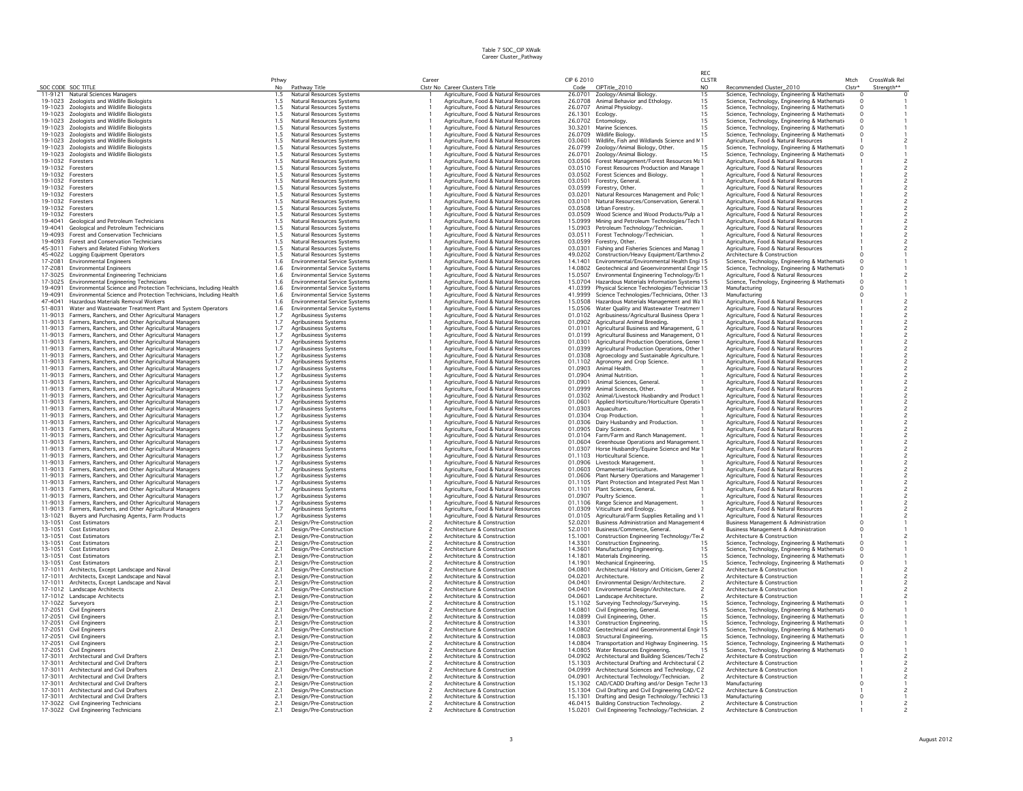|                    |                                                                                                                          |             |                                                        |       |                                                                                |                    |                                                                                               | RFC                 |                                                                                                |                  |                             |
|--------------------|--------------------------------------------------------------------------------------------------------------------------|-------------|--------------------------------------------------------|-------|--------------------------------------------------------------------------------|--------------------|-----------------------------------------------------------------------------------------------|---------------------|------------------------------------------------------------------------------------------------|------------------|-----------------------------|
|                    | SOC CODE SOC TITLE                                                                                                       | Pthwy<br>No | Pathway Title                                          | Caree | Clstr No Career Clusters Title                                                 | CIP 6 2010<br>Code | CIPTitle_2010                                                                                 | <b>CLSTR</b><br>NO. | Recommended Cluster_2010                                                                       | Mtch<br>$Clstr*$ | CrossWalk Rel<br>Strength** |
|                    | 11-9121 Natural Sciences Managers                                                                                        | 1.5         | Natural Resources Systems                              |       | Agriculture, Food & Natural Resources                                          |                    | 26.0701 Zoology/Animal Biology.                                                               | 15                  | Science, Technology, Engineering & Mathemati                                                   | $\circ$          |                             |
|                    | 19-1023 Zoologists and Wildlife Biologists                                                                               | 1.5         | Natural Resources Systems                              |       | Agriculture, Food & Natural Resources                                          |                    | 26.0708 Animal Behavior and Ethology                                                          | 15                  | Science, Technology, Engineering & Mathemati                                                   | $\Omega$         |                             |
|                    | 19-1023 Zoologists and Wildlife Biologists                                                                               | 1.5         | Natural Resources Systems                              |       | Agriculture, Food & Natural Resources                                          | 26.0707            | Animal Physiology.                                                                            | iš                  | Science, Technology, Engineering & Mathemati                                                   | $\Omega$         |                             |
|                    | 19-1023 Zoologists and Wildlife Biologists                                                                               | 1.5         | Natural Resources Systems                              |       | Agriculture, Food & Natural Resources                                          | 26.1301 Ecology.   |                                                                                               | 15                  | Science, Technology, Engineering & Mathemati-                                                  | $\Omega$         |                             |
|                    | 19-1023 Zoologists and Wildlife Biologists                                                                               | $1.5$       | Natural Resources Systems                              |       | Agriculture, Food & Natural Resources                                          |                    | 26.0702 Entomology.                                                                           | 15                  | Science, Technology, Engineering & Mathemati                                                   | $\Omega$         |                             |
|                    | 19-1023 Zoologists and Wildlife Biologists                                                                               | 1.5         | Natural Resources Systems                              |       | Agriculture, Food & Natural Resources                                          |                    | 30.3201 Marine Sciences.                                                                      | 15                  | Science, Technology, Engineering & Mathemati                                                   | $\circ$          |                             |
|                    | 19-1023 Zoologists and Wildlife Biologists                                                                               | 1.5         | Natural Resources Systems                              |       | Agriculture, Food & Natural Resources                                          |                    | 26.0709 Wildlife Biology.                                                                     | 15                  | Science, Technology, Engineering & Mathemati                                                   | $\Omega$         |                             |
| 19-1023            | Zoologists and Wildlife Biologists                                                                                       | 1.5         | Natural Resources Systems                              |       | Agriculture, Food & Natural Resources                                          | 03.0601            | Wildlife, Fish and Wildlands Science and N 1                                                  |                     | Agriculture, Food & Natural Resources                                                          |                  |                             |
|                    | 19-1023 Zoologists and Wildlife Biologists                                                                               | 1.5         | Natural Resources Systems                              |       | Agriculture, Food & Natural Resources                                          | 26,0799            | Zoology/Animal Biology, Other.                                                                | 15                  | Science, Technology, Engineering & Mathemati-                                                  | $\Omega$         |                             |
|                    | 19-1023 Zoologists and Wildlife Biologists<br>19-1032 Foresters                                                          | 1.5<br>1.5  | Natural Resources Systems<br>Natural Resources Systems |       | Agriculture, Food & Natural Resources<br>Agriculture, Food & Natural Resources |                    | 26.0701 Zoology/Animal Biology.<br>03.0506 Forest Management/Forest Resources Ma 1            |                     | Science, Technology, Engineering & Mathemati<br>Agriculture, Food & Natural Resources          |                  |                             |
|                    | 19-1032 Foresters                                                                                                        | 1.5         | Natural Resources Systems                              |       | Agriculture, Food & Natural Resources                                          |                    | 03.0510 Forest Resources Production and Manage                                                |                     | Agriculture, Food & Natural Resources                                                          |                  |                             |
|                    | 19-1032 Foresters                                                                                                        | 1.5         | Natural Resources Systems                              |       | Agriculture, Food & Natural Resources                                          |                    | 03.0502 Forest Sciences and Biology                                                           |                     | Agriculture, Food & Natural Resources                                                          |                  |                             |
|                    | 19-1032 Foresters                                                                                                        | 1.5         | Natural Resources Systems                              |       | Agriculture, Food & Natural Resources                                          |                    | 03.0501 Forestry, General.                                                                    |                     | Agriculture, Food & Natural Resources                                                          |                  |                             |
|                    | 19-1032 Foresters                                                                                                        | 1.5         | Natural Resources Systems                              |       | Agriculture, Food & Natural Resources                                          |                    | 03.0599 Forestry, Other.                                                                      |                     | Agriculture, Food & Natural Resources                                                          |                  |                             |
|                    | 19-1032 Foresters                                                                                                        | 1.5         | Natural Resources Systems                              |       | Agriculture, Food & Natural Resources                                          |                    | 03.0201 Natural Resources Management and Polic                                                |                     | Agriculture, Food & Natural Resources                                                          |                  |                             |
| 19-1032            | Foresters                                                                                                                | 1.5         | Natural Resources Systems                              |       | Agriculture, Food & Natural Resources                                          | 03.0101            | Natural Resources/Conservation, General.                                                      |                     | Agriculture, Food & Natural Resources                                                          |                  |                             |
|                    | 19-1032 Foresters                                                                                                        | 1.5         | Natural Resources Systems                              |       | Agriculture, Food & Natural Resources                                          |                    | 03.0508 Urban Forestry.                                                                       |                     | Agriculture, Food & Natural Resources                                                          |                  |                             |
| 19-1032            | Foresters                                                                                                                | 1.5         | Natural Resources Systems                              |       | Agriculture, Food & Natural Resources                                          | 03.0509            | Wood Science and Wood Products/Pulp a 1                                                       |                     | Agriculture, Food & Natural Resources                                                          |                  |                             |
| 19-4041            | Geological and Petroleum Technicians                                                                                     | 1.5         | Natural Resources Systems                              |       | Agriculture, Food & Natural Resources                                          | 15.0999            | Mining and Petroleum Technologies/Tech 1                                                      |                     | Agriculture, Food & Natural Resources                                                          |                  |                             |
| 19-4041            | Geological and Petroleum Technicians<br>19-4093 Forest and Conservation Technicians                                      | 1.5         | Natural Resources Systems<br>Natural Resources Systems |       | Agriculture, Food & Natural Resources                                          |                    | 15.0903 Petroleum Technology/Technician.                                                      |                     | Agriculture, Food & Natural Resources                                                          |                  |                             |
|                    |                                                                                                                          | 1.5         | Natural Resources Systems                              |       | Agriculture, Food & Natural Resources                                          |                    | 03.0511 Forest Technology/Technician.                                                         |                     | Agriculture, Food & Natural Resources                                                          |                  |                             |
| 45-3011            | 19-4093 Forest and Conservation Technicians<br>Fishers and Related Fishing Workers                                       | 1.5<br>1.5  | Natural Resources Systems                              |       | Agriculture, Food & Natural Resources<br>Agriculture, Food & Natural Resources | 03.0301            | 03.0599 Forestry, Other.<br>Fishing and Fisheries Sciences and Manag                          |                     | Agriculture, Food & Natural Resources<br>Agriculture, Food & Natural Resources                 |                  |                             |
|                    | 45-4022 Logging Equipment Operators                                                                                      | 1.5         | Natural Resources Systems                              |       | Agriculture, Food & Natural Resources                                          | 49.0202            | Construction/Heavy Equipment/Earthmov 2                                                       |                     | Architecture & Construction                                                                    |                  |                             |
| 17-2081            | <b>Environmental Engineers</b>                                                                                           | 1.6         | <b>Environmental Service Systems</b>                   |       | Agriculture, Food & Natural Resources                                          | 14.1401            | Environmental/Environmental Health Engi 15                                                    |                     | Science, Technology, Engineering & Mathemati-                                                  | $\Omega$         |                             |
| 17-2081            | <b>Environmental Engineers</b>                                                                                           | 1.6         | <b>Environmental Service Systems</b>                   |       | Agriculture, Food & Natural Resources                                          |                    | 14.0802 Geotechnical and Geoenvironmental Engir 15                                            |                     | Science, Technology, Engineering & Mathemati                                                   | $\circ$          |                             |
|                    | 17-3025 Environmental Engineering Technicians                                                                            | 1.6         | <b>Environmental Service Systems</b>                   |       | Agriculture, Food & Natural Resources                                          | 15.0507            | Environmental Engineering Technology/EI1                                                      |                     | Agriculture, Food & Natural Resources                                                          |                  |                             |
|                    | 17-3025 Environmental Engineering Technicians                                                                            | 1.6         | <b>Environmental Service Systems</b>                   |       | Agriculture, Food & Natural Resources                                          |                    | 15.0704 Hazardous Materials Information Systems 15                                            |                     | Science, Technology, Engineering & Mathematio                                                  |                  |                             |
| 19-4091            | Environmental Science and Protection Technicians, Including Health                                                       | 1.6         | <b>Environmental Service Systems</b>                   |       | Agriculture, Food & Natural Resources                                          | 41.0399            | Physical Science Technologies/Techniciar 13                                                   |                     | Manufacturing                                                                                  |                  |                             |
| 19-4091            | Environmental Science and Protection Technicians, Including Health                                                       | 1.6         | <b>Fnvironmental Service Systems</b>                   |       | Agriculture, Food & Natural Resources                                          |                    | 41.9999 Science Technologies/Technicians, Other 13                                            |                     | Manufacturing                                                                                  |                  |                             |
| 47-4041            | Hazardous Materials Removal Workers                                                                                      | 1.6         | <b>Environmental Service Systems</b>                   |       | Agriculture, Food & Natural Resources                                          |                    | 15.0508 Hazardous Materials Management and Wa1                                                |                     | Agriculture, Food & Natural Resources                                                          |                  |                             |
| 51-8031            | Water and Wastewater Treatment Plant and System Operators                                                                | 1.6         | <b>Environmental Service Systems</b>                   |       | Agriculture, Food & Natural Resources                                          |                    | 15.0506 Water Quality and Wastewater Treatmen                                                 |                     | Agriculture, Food & Natural Resources                                                          |                  |                             |
|                    | 11-9013 Farmers, Ranchers, and Other Agricultural Managers                                                               | 1.7         | Agribusiness Systems                                   |       | Agriculture, Food & Natural Resources                                          | 01.0102            | Agribusiness/Agricultural Business Opera                                                      |                     | Agriculture, Food & Natural Resources                                                          |                  |                             |
| 11-9013            | Farmers, Ranchers, and Other Agricultural Managers                                                                       | 1.7         | Agribusiness Systems                                   |       | Agriculture, Food & Natural Resources                                          | 01.0902            | Agricultural Animal Breeding,                                                                 |                     | Agriculture, Food & Natural Resources                                                          |                  |                             |
|                    | 11-9013 Farmers, Ranchers, and Other Agricultural Managers<br>11-9013 Farmers, Ranchers, and Other Agricultural Managers | 1.7<br>1.7  | Agribusiness Systems<br>Agribusiness Systems           |       | Agriculture, Food & Natural Resources<br>Agriculture, Food & Natural Resources | 01.0199            | 01.0101 Agricultural Business and Management, G1<br>Agricultural Business and Management, O 1 |                     | Agriculture, Food & Natural Resources<br>Agriculture, Food & Natural Resources                 |                  |                             |
|                    | 11-9013 Farmers, Ranchers, and Other Agricultural Managers                                                               | 1.7         | Agribusiness Systems                                   |       | Agriculture, Food & Natural Resources                                          |                    | 01.0301 Agricultural Production Operations, Gener 1                                           |                     | Agriculture, Food & Natural Resources                                                          |                  |                             |
|                    | 11-9013 Farmers, Ranchers, and Other Agricultural Managers                                                               | 1.7         | Agribusiness Systems                                   |       | Agriculture, Food & Natural Resources                                          | 01.0399            | Agricultural Production Operations, Other                                                     |                     | Agriculture, Food & Natural Resources                                                          |                  |                             |
|                    | 11-9013 Farmers, Ranchers, and Other Agricultural Managers                                                               | 1.7         | Agribusiness Systems                                   |       | Agriculture, Food & Natural Resources                                          | 01.0308            | Agroecology and Sustainable Agriculture. 1                                                    |                     | Agriculture, Food & Natural Resources                                                          |                  |                             |
|                    | 11-9013 Farmers, Ranchers, and Other Agricultural Managers                                                               | 1.7         | Agribusiness Systems                                   |       | Agriculture, Food & Natural Resources                                          |                    | 01.1102 Agronomy and Crop Science.                                                            |                     | Agriculture, Food & Natural Resources                                                          |                  |                             |
|                    | 11-9013 Farmers, Ranchers, and Other Agricultural Managers                                                               | 1.7         | Agribusiness Systems                                   |       | Agriculture, Food & Natural Resources                                          |                    | 01.0903 Animal Health.                                                                        |                     | Agriculture, Food & Natural Resources                                                          |                  |                             |
|                    | 11-9013 Farmers, Ranchers, and Other Agricultural Managers                                                               | 1.7         | <b>Agribusiness Systems</b>                            |       | Agriculture, Food & Natural Resources                                          |                    | 01.0904 Animal Nutrition                                                                      |                     | Agriculture, Food & Natural Resources                                                          |                  |                             |
|                    | 11-9013 Farmers, Ranchers, and Other Agricultural Managers                                                               | 1.7         | <b>Agribusiness Systems</b>                            |       | Agriculture, Food & Natural Resources                                          | 01.0901            | Animal Sciences, General.                                                                     |                     | Agriculture, Food & Natural Resources                                                          |                  |                             |
|                    | 11-9013 Farmers, Ranchers, and Other Agricultural Managers                                                               | 1.7         | Agribusiness Systems                                   |       | Agriculture, Food & Natural Resources                                          |                    | 01.0999 Animal Sciences, Other,                                                               |                     | Agriculture, Food & Natural Resources                                                          |                  |                             |
|                    | 11-9013 Farmers, Ranchers, and Other Agricultural Managers                                                               | 1.7         | Agribusiness Systems                                   |       | Agriculture, Food & Natural Resources                                          |                    | 01.0302 Animal/Livestock Husbandry and Product 1                                              |                     | Agriculture, Food & Natural Resources                                                          |                  |                             |
|                    | 11-9013 Farmers, Ranchers, and Other Agricultural Managers                                                               | 1.7         | Agribusiness Systems                                   |       | Agriculture, Food & Natural Resources                                          | 01.0601            | Applied Horticulture/Horticulture Operatid                                                    |                     | Agriculture, Food & Natural Resources                                                          |                  |                             |
| 11-9013            | Farmers, Ranchers, and Other Agricultural Managers<br>11-9013 Farmers, Ranchers, and Other Agricultural Managers         | 1.7<br>1.7  | Agribusiness Systems<br>Agribusiness Systems           |       | Agriculture, Food & Natural Resources<br>Agriculture, Food & Natural Resources | 01.0303            | Aquaculture.<br>01.0304 Crop Production.                                                      |                     | Agriculture, Food & Natural Resources<br>Agriculture, Food & Natural Resources                 |                  |                             |
|                    | 11-9013 Farmers, Ranchers, and Other Agricultural Managers                                                               | 1.7         | Agribusiness Systems                                   |       | Agriculture, Food & Natural Resources                                          |                    | 01.0306 Dairy Husbandry and Production.                                                       |                     | Agriculture, Food & Natural Resources                                                          |                  |                             |
|                    | 11-9013 Farmers, Ranchers, and Other Agricultural Managers                                                               | 1.7         | Agribusiness Systems                                   |       | Agriculture, Food & Natural Resources                                          |                    | 01.0905 Dairy Science.                                                                        |                     | Agriculture, Food & Natural Resources                                                          |                  |                             |
|                    | 11-9013 Farmers, Ranchers, and Other Agricultural Managers                                                               | 1.7         | <b>Agribusiness Systems</b>                            |       | Agriculture, Food & Natural Resources                                          |                    | 01.0104 Farm/Farm and Ranch Management.                                                       |                     | Agriculture, Food & Natural Resources                                                          |                  |                             |
|                    | 11-9013 Farmers, Ranchers, and Other Agricultural Managers                                                               | 1.7         | <b>Agribusiness Systems</b>                            |       | Agriculture, Food & Natural Resources                                          | 01.0604            | Greenhouse Operations and Management                                                          |                     | Agriculture, Food & Natural Resources                                                          |                  |                             |
|                    | 11-9013 Farmers, Ranchers, and Other Agricultural Managers                                                               | 1.7         | <b>Agribusiness Systems</b>                            |       | Agriculture, Food & Natural Resources                                          |                    | 01.0307 Horse Husbandry/Equine Science and Mar                                                |                     | Agriculture, Food & Natural Resources                                                          |                  |                             |
|                    | 11-9013 Farmers, Ranchers, and Other Agricultural Managers                                                               | 1.7         | <b>Agribusiness Systems</b>                            |       | Agriculture, Food & Natural Resources                                          |                    | 01.1103 Horticultural Science.                                                                |                     | Agriculture, Food & Natural Resources                                                          |                  |                             |
|                    | 11-9013 Farmers, Ranchers, and Other Agricultural Managers                                                               | 1.7         | Agribusiness Systems                                   |       | Agriculture, Food & Natural Resources                                          |                    | 01.0906 Livestock Management.                                                                 |                     | Agriculture, Food & Natural Resources                                                          |                  |                             |
|                    | 11-9013 Farmers, Ranchers, and Other Agricultural Managers                                                               | 1.7         | Agribusiness Systems                                   |       | Agriculture, Food & Natural Resources                                          |                    | 01.0603 Ornamental Horticulture.                                                              |                     | Agriculture, Food & Natural Resources                                                          |                  |                             |
|                    | 11-9013 Farmers, Ranchers, and Other Agricultural Managers                                                               | 1.7         | Agribusiness Systems                                   |       | Agriculture, Food & Natural Resources                                          |                    | 01.0606 Plant Nursery Operations and Managemer                                                |                     | Agriculture, Food & Natural Resources                                                          |                  |                             |
| 11-9013            | 11-9013 Farmers, Ranchers, and Other Agricultural Managers<br>Farmers, Ranchers, and Other Agricultural Managers         | 1.7<br>1.7  | Agribusiness Systems<br>Agribusiness Systems           |       | Agriculture, Food & Natural Resources<br>Agriculture, Food & Natural Resources |                    | 01.1105 Plant Protection and Integrated Pest Man<br>01.1101 Plant Sciences, General.          |                     | Agriculture, Food & Natural Resources<br>Agriculture, Food & Natural Resources                 |                  |                             |
|                    | 11-9013 Farmers, Ranchers, and Other Agricultural Managers                                                               | 1.7         | Agribusiness Systems                                   |       | Agriculture, Food & Natural Resources                                          |                    | 01.0907 Poultry Science.                                                                      |                     | Agriculture, Food & Natural Resources                                                          |                  |                             |
|                    | 11-9013 Farmers, Ranchers, and Other Agricultural Managers                                                               | 1.7         | Agribusiness Systems                                   |       | Agriculture, Food & Natural Resources                                          |                    | 01.1106 Range Science and Management.                                                         |                     | Agriculture, Food & Natural Resources                                                          |                  |                             |
|                    | 11-9013 Farmers, Ranchers, and Other Agricultural Managers                                                               | 1.7         | <b>Agribusiness Systems</b>                            |       | Agriculture, Food & Natural Resources                                          |                    | 01.0309 Viticulture and Enology.                                                              |                     | Agriculture, Food & Natural Resources                                                          |                  |                             |
| 13-1021            | Buyers and Purchasing Agents, Farm Products                                                                              | 1.7         | Agribusiness Systems                                   |       | Agriculture, Food & Natural Resources                                          | 01.0105            | Agricultural/Farm Supplies Retailing and \1                                                   |                     | Agriculture, Food & Natural Resources                                                          |                  |                             |
| 13-1051            | Cost Estimators                                                                                                          | 2.1         | Design/Pre-Construction                                |       | Architecture & Construction                                                    | 52.0201            | <b>Business Administration and Management 4</b>                                               |                     | Business Management & Administration                                                           | $\Omega$         |                             |
| 13-1051            | Cost Estimators                                                                                                          | 2.1         | Design/Pre-Construction                                |       | Architecture & Construction                                                    | 52,0101            | Business/Commerce, General.                                                                   |                     | Business Management & Administration                                                           | $\Omega$         |                             |
| 13-1051            | Cost Estimators                                                                                                          | 2.1         | Design/Pre-Construction                                |       | Architecture & Construction                                                    |                    | 15.1001 Construction Engineering Technology/Tei 2                                             |                     | Architecture & Construction                                                                    |                  |                             |
| 13-1051            | Cost Estimators                                                                                                          | 2.1         | Design/Pre-Construction                                |       | Architecture & Construction                                                    | 14.3301            | Construction Engineering.                                                                     | 15                  | Science, Technology, Engineering & Mathemati                                                   |                  |                             |
| 13-1051<br>13-1051 | Cost Estimators<br>Cost Estimators                                                                                       | 2.1         | Design/Pre-Construction<br>Design/Pre-Construction     |       | Architecture & Construction<br>Architecture & Construction                     | 14,3601<br>14.1801 | Manufacturing Engineering.<br>Materials Engineering.                                          | 15<br>15            | Science, Technology, Engineering & Mathemati-<br>Science, Technology, Engineering & Mathemati- |                  |                             |
| 13-1051            | Cost Estimators                                                                                                          | 2.1<br>2.1  | Design/Pre-Construction                                |       | Architecture & Construction                                                    | 14.1901            | Mechanical Engineering.                                                                       | 15                  | Science, Technology, Engineering & Mathemati                                                   |                  |                             |
| 17-1011            | Architects, Except Landscape and Naval                                                                                   | 2.1         | Design/Pre-Construction                                |       | Architecture & Construction                                                    |                    | 04.0801 Architectural History and Criticism, Gener 2                                          |                     | Architecture & Construction                                                                    |                  |                             |
| 17-1011            | Architects, Except Landscape and Naval                                                                                   | 2.1         | Design/Pre-Construction                                |       | Architecture & Construction                                                    | 04.0201            | Architecture.                                                                                 |                     | Architecture & Construction                                                                    |                  |                             |
| 17-1011            | Architects, Except Landscape and Naval                                                                                   | 2.1         | Design/Pre-Construction                                |       | Architecture & Construction                                                    |                    | 04.0401 Environmental Design/Architecture.                                                    |                     | Architecture & Construction                                                                    |                  |                             |
|                    | 17-1012 Landscape Architects                                                                                             | 2.1         | Design/Pre-Construction                                |       | Architecture & Construction                                                    | 04.0401            | Environmental Design/Architecture.                                                            |                     | Architecture & Construction                                                                    |                  |                             |
|                    | 17-1012 Landscape Architects                                                                                             | 2.1         | Design/Pre-Construction                                |       | Architecture & Construction                                                    |                    | 04.0601 Landscape Architecture.                                                               |                     | Architecture & Construction                                                                    |                  |                             |
|                    | 17-1022 Surveyors                                                                                                        | 2.1         | Design/Pre-Construction                                |       | Architecture & Construction                                                    |                    | 15.1102 Surveying Technology/Surveying.                                                       | 15                  | Science, Technology, Engineering & Mathemati                                                   |                  |                             |
| 17-2051            | Civil Engineers                                                                                                          | 2.1         | Design/Pre-Construction                                |       | Architecture & Construction                                                    |                    | 14.0801 Civil Engineering, General.                                                           | 15                  | Science, Technology, Engineering & Mathemati                                                   |                  |                             |
| 17-2051            | Civil Engineers                                                                                                          | 2.1         | Design/Pre-Construction                                |       | Architecture & Construction                                                    | 14.0899            | Civil Engineering, Other.                                                                     | 15                  | Science, Technology, Engineering & Mathemati-                                                  |                  |                             |
| 17-2051            | Civil Engineers                                                                                                          | 2.1         | Design/Pre-Construction                                |       | Architecture & Construction                                                    |                    | 14.3301 Construction Engineering.                                                             | 15                  | Science, Technology, Engineering & Mathemati                                                   |                  |                             |
| 17-2051<br>17-2051 | <b>Civil Engineers</b>                                                                                                   | 2.1<br>2.1  | Design/Pre-Construction<br>Design/Pre-Construction     |       | Architecture & Construction<br>Architecture & Construction                     |                    | 14.0802 Geotechnical and Geoenvironmental Engir 15                                            |                     | Science, Technology, Engineering & Mathemati                                                   |                  |                             |
| 17-2051            | <b>Civil Engineers</b><br>Civil Engineers                                                                                | 2.1         | Design/Pre-Construction                                |       | Architecture & Construction                                                    |                    | 15 14.0803 Structural Engineering. 15<br>14.0804 Transportation and Highway Engineering. 15   |                     | Science, Technology, Engineering & Mathemati<br>Science, Technology, Engineering & Mathemati   |                  |                             |
| 17-2051            | <b>Civil Engineers</b>                                                                                                   | 2.1         | Design/Pre-Construction                                |       | Architecture & Construction                                                    |                    | 14.0805 Water Resources Engineering.                                                          |                     | Science, Technology, Engineering & Mathemati-                                                  |                  |                             |
| 17-3011            | Architectural and Civil Drafters                                                                                         | 2.1         | Design/Pre-Construction                                |       | Architecture & Construction                                                    |                    | 04.0902 Architectural and Building Sciences/Tech 2                                            |                     | Architecture & Construction                                                                    |                  |                             |
| 17-3011            | Architectural and Civil Drafters                                                                                         | 2.1         | Design/Pre-Construction                                |       | Architecture & Construction                                                    |                    | 15.1303 Architectural Drafting and Architectural C2                                           |                     | Architecture & Construction                                                                    |                  |                             |
| 17-3011            | Architectural and Civil Drafters                                                                                         | 2.1         | Design/Pre-Construction                                |       | Architecture & Construction                                                    |                    | 04.0999 Architectural Sciences and Technology, C2                                             |                     | Architecture & Construction                                                                    |                  |                             |
| 17-3011            | Architectural and Civil Drafters                                                                                         | 2.1         | Design/Pre-Construction                                |       | Architecture & Construction                                                    | 04.0901            | Architectural Technology/Technician.                                                          |                     | Architecture & Construction                                                                    |                  |                             |
| 17-3011            | Architectural and Civil Drafters                                                                                         | 2.1         | Design/Pre-Construction                                |       | Architecture & Construction                                                    |                    | 15.1302 CAD/CADD Drafting and/or Design Techr 13                                              |                     | Manufacturing                                                                                  |                  |                             |
| 17-3011            | Architectural and Civil Drafters                                                                                         | 2.1         | Design/Pre-Construction                                |       | Architecture & Construction                                                    |                    | 15.1304 Civil Drafting and Civil Engineering CAD/C 2                                          |                     | Architecture & Construction                                                                    |                  |                             |
|                    | 17-3011 Architectural and Civil Drafters                                                                                 | 2.1         | Design/Pre-Construction                                |       | Architecture & Construction                                                    |                    | 15.1301 Drafting and Design Technology/Technici 13                                            |                     | Manufacturing                                                                                  |                  |                             |
|                    | 17-3022 Civil Engineering Technicians                                                                                    | 2.1<br>2.1  | Design/Pre-Construction                                |       | Architecture & Construction                                                    |                    | 46.0415 Building Construction Technology.                                                     |                     | Architecture & Construction                                                                    |                  |                             |
|                    | 17-3022 Civil Engineering Technicians                                                                                    |             | Design/Pre-Construction                                |       | Architecture & Construction                                                    |                    | 15.0201 Civil Engineering Technology/Technician. 2                                            |                     | Architecture & Construction                                                                    |                  |                             |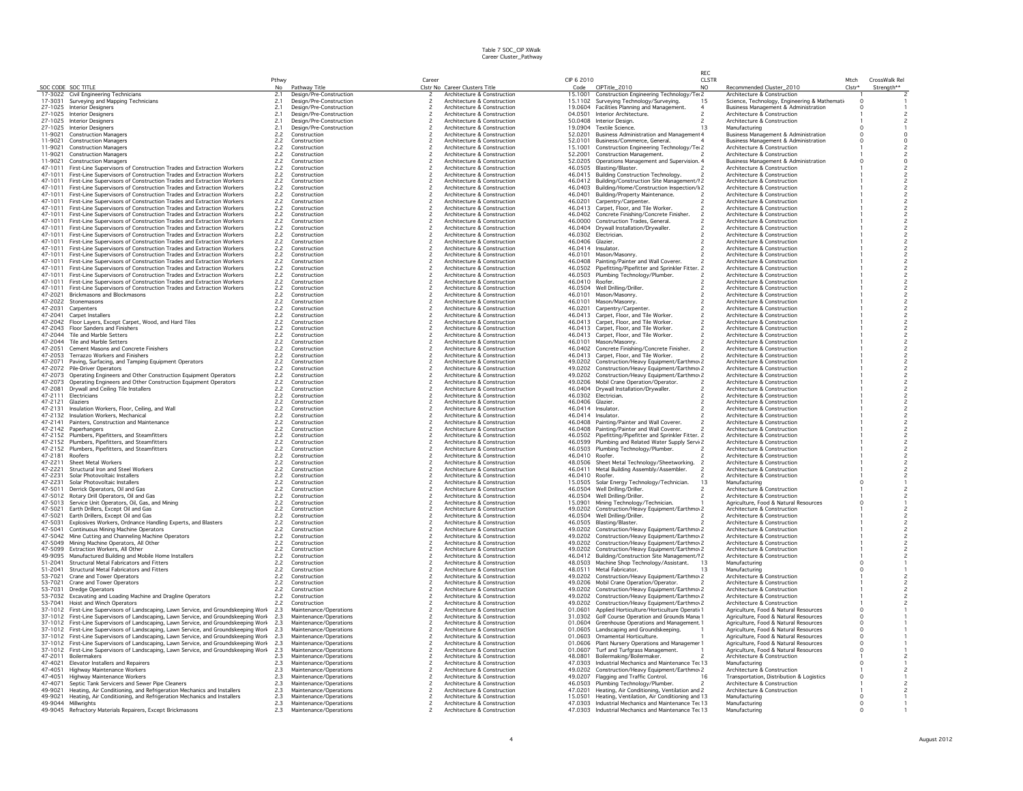|                    |                                                                                                                                                                      |              |                                                  |                          |                                                            |                    |                                                                                                               | RFC                 |                                                                                                    |                      |                                           |
|--------------------|----------------------------------------------------------------------------------------------------------------------------------------------------------------------|--------------|--------------------------------------------------|--------------------------|------------------------------------------------------------|--------------------|---------------------------------------------------------------------------------------------------------------|---------------------|----------------------------------------------------------------------------------------------------|----------------------|-------------------------------------------|
|                    | SOC CODE SOC TITLE                                                                                                                                                   | Pthwy<br>No  |                                                  | Career                   | Clstr No Career Clusters Title                             | CIP 6 2010<br>Code | CIPTitle_2010                                                                                                 | <b>CLSTR</b><br>NO. | Recommended Cluster_2010                                                                           | Mtch<br>$Clstr*$     | CrossWalk Rel                             |
|                    | 17-3022 Civil Engineering Technicians                                                                                                                                | 2.1          | Pathway Title<br>Design/Pre-Construction         | 2                        | Architecture & Construction                                |                    | 15.1001 Construction Engineering Technology/Ter2                                                              |                     | Architecture & Construction                                                                        |                      | Strength**                                |
|                    | 17-3031 Surveying and Mapping Technicians                                                                                                                            | 2.1          | Design/Pre-Construction                          |                          | Architecture & Construction                                |                    | 15.1102 Surveying Technology/Surveying.                                                                       | 15                  | Science, Technology, Engineering & Mathemati                                                       | $\Omega$             |                                           |
|                    | 27-1025 Interior Designers                                                                                                                                           | 2.1          | Design/Pre-Construction                          | $\overline{\phantom{a}}$ | Architecture & Construction                                |                    | 19,0604 Facilities Planning and Management.                                                                   | $\overline{4}$      | <b>Business Management &amp; Administration</b>                                                    | $\Omega$             |                                           |
|                    | 27-1025 Interior Designers                                                                                                                                           | 2.1          | Design/Pre-Construction                          | $\overline{\phantom{a}}$ | Architecture & Construction                                |                    | 04.0501 Interior Architecture.                                                                                |                     | Architecture & Construction                                                                        |                      |                                           |
|                    | 27-1025 Interior Designers                                                                                                                                           | 2.1          | Design/Pre-Construction                          |                          | Architecture & Construction                                |                    | 50.0408 Interior Design.                                                                                      |                     | Architecture & Construction                                                                        |                      |                                           |
|                    | 27-1025 Interior Designers                                                                                                                                           | 2.1          | Design/Pre-Construction                          |                          | Architecture & Construction<br>Architecture & Construction |                    | 19.0904 Textile Science.                                                                                      | 13                  | Manufacturing                                                                                      |                      |                                           |
| 11-9021            | 11-9021 Construction Managers<br><b>Construction Managers</b>                                                                                                        | 2.2<br>2.2   | Construction<br>Construction                     |                          | Architecture & Construction                                | 52.0101            | 52.0201 Business Administration and Management 4<br>Business/Commerce, General.                               |                     | <b>Business Management &amp; Administration</b><br><b>Business Management &amp; Administration</b> | $\Omega$             | $\circ$                                   |
| 11-9021            | <b>Construction Managers</b>                                                                                                                                         | 2.2          | Construction                                     |                          | Architecture & Construction                                | 15,1001            | Construction Engineering Technology/Tei 2                                                                     |                     | Architecture & Construction                                                                        |                      |                                           |
| 11-9021            | <b>Construction Managers</b>                                                                                                                                         | 2.2          | Construction                                     |                          | Architecture & Construction                                | 52.2001            | <b>Construction Management.</b>                                                                               |                     | Architecture & Construction                                                                        |                      |                                           |
| 11-9021            | <b>Construction Managers</b>                                                                                                                                         | 2.2          | Construction                                     |                          | Architecture & Construction                                |                    | 52,0205 Operations Management and Supervision, 4                                                              |                     | <b>Business Management &amp; Administration</b>                                                    |                      | $\circ$                                   |
| 47-1011            | First-Line Supervisors of Construction Trades and Extraction Workers                                                                                                 | 2.2          | Construction                                     |                          | Architecture & Construction                                |                    | 46.0505 Blasting/Blaster.                                                                                     |                     | Architecture & Construction                                                                        |                      |                                           |
| 47-1011            | First-Line Supervisors of Construction Trades and Extraction Workers                                                                                                 | $2.2$<br>2.2 | Construction                                     |                          | Architecture & Construction                                |                    | 46.0415 Building Construction Technology.                                                                     |                     | Architecture & Construction                                                                        |                      |                                           |
| 47-1011            | 47-1011 First-Line Supervisors of Construction Trades and Extraction Workers                                                                                         |              | Construction                                     |                          | Architecture & Construction                                |                    | 46.0412 Building/Construction Site Management/I2                                                              |                     | Architecture & Construction                                                                        |                      |                                           |
| 47-1011            | First-Line Supervisors of Construction Trades and Extraction Workers<br>First-Line Supervisors of Construction Trades and Extraction Workers                         | 2.2<br>2.2   | Construction<br>Construction                     |                          | Architecture & Construction<br>Architecture & Construction |                    | 46.0403 Building/Home/Construction Inspection/I 2<br>46.0401 Building/Property Maintenance.                   |                     | Architecture & Construction<br>Architecture & Construction                                         |                      | $\overline{c}$                            |
| 47-1011            | First-Line Supervisors of Construction Trades and Extraction Workers                                                                                                 | 2.2          | Construction                                     |                          | Architecture & Construction                                | 46.0201            | Carpentry/Carpenter.                                                                                          |                     | Architecture & Construction                                                                        |                      |                                           |
| 47-1011            | First-Line Supervisors of Construction Trades and Extraction Workers                                                                                                 | 2.2          | Construction                                     |                          | Architecture & Construction                                |                    | 46.0413 Carpet, Floor, and Tile Worker.                                                                       |                     | Architecture & Construction                                                                        |                      |                                           |
| 47-1011            | First-Line Supervisors of Construction Trades and Extraction Workers                                                                                                 | 2.2          | Construction                                     |                          | Architecture & Construction                                |                    | 46.0402 Concrete Finishing/Concrete Finisher.                                                                 |                     | Architecture & Construction                                                                        |                      |                                           |
| 47-1011            | First-Line Supervisors of Construction Trades and Extraction Workers                                                                                                 | 2.2          | Construction                                     |                          | Architecture & Construction                                |                    | 46,0000 Construction Trades, General,                                                                         |                     | Architecture & Construction                                                                        |                      | $\overline{c}$                            |
| 47-1011            | First-Line Supervisors of Construction Trades and Extraction Workers                                                                                                 | 2.2          | Construction                                     | 2                        | Architecture & Construction                                |                    | 46.0404 Drywall Installation/Drywaller.                                                                       |                     | Architecture & Construction                                                                        |                      | $\overline{c}$                            |
| 47-1011            | First-Line Supervisors of Construction Trades and Extraction Workers                                                                                                 | 2.2          | Construction                                     |                          | Architecture & Construction                                |                    | 46.0302 Electrician.                                                                                          |                     | Architecture & Construction                                                                        |                      |                                           |
| 47-1011            | 47-1011 First-Line Supervisors of Construction Trades and Extraction Workers                                                                                         | 2.2          | Construction                                     |                          | Architecture & Construction                                | 46.0406 Glazier.   |                                                                                                               |                     | Architecture & Construction                                                                        |                      | $\overline{c}$                            |
| 47-1011            | First-Line Supervisors of Construction Trades and Extraction Workers<br>First-Line Supervisors of Construction Trades and Extraction Workers                         | 2.2<br>2.2   | Construction<br>Construction                     |                          | Architecture & Construction<br>Architecture & Construction |                    | 46.0414 Insulator.<br>46.0101 Mason/Masonry.                                                                  |                     | Architecture & Construction<br>Architecture & Construction                                         |                      |                                           |
| 47-1011            | First-Line Supervisors of Construction Trades and Extraction Workers                                                                                                 | 2.2          | Construction                                     |                          | Architecture & Construction                                |                    | 46.0408 Painting/Painter and Wall Coverer.                                                                    |                     | Architecture & Construction                                                                        |                      |                                           |
| 47-1011            | First-Line Supervisors of Construction Trades and Extraction Workers                                                                                                 | 2.2          | Construction                                     |                          | Architecture & Construction                                |                    | 46.0502 Pipefitting/Pipefitter and Sprinkler Fitter. 2                                                        |                     | Architecture & Construction                                                                        |                      |                                           |
| 47-1011            | First-Line Supervisors of Construction Trades and Extraction Workers                                                                                                 | 2.2          | Construction                                     |                          | Architecture & Construction                                |                    | 46.0503 Plumbing Technology/Plumber.                                                                          |                     | Architecture & Construction                                                                        |                      | $\overline{c}$                            |
| 47-1011            | First-Line Supervisors of Construction Trades and Extraction Workers                                                                                                 | 2.2          | Construction                                     |                          | Architecture & Construction                                | 46.0410 Roofer.    |                                                                                                               |                     | Architecture & Construction                                                                        |                      | $\overline{c}$                            |
| 47-1011            | First-Line Supervisors of Construction Trades and Extraction Workers                                                                                                 | 2.2          | Construction                                     | $\overline{\phantom{a}}$ | Architecture & Construction                                |                    | 46.0504 Well Drilling/Driller.                                                                                |                     | Architecture & Construction                                                                        |                      | $\overline{\phantom{a}}$                  |
| 47-2021            | <b>Brickmasons and Blockmasons</b>                                                                                                                                   | $2.2$<br>2.2 | Construction                                     |                          | Architecture & Construction                                | 46.0101            | Mason/Masonry                                                                                                 |                     | Architecture & Construction                                                                        |                      | $\frac{2}{2}$                             |
|                    | 47-2022 Stonemasons                                                                                                                                                  |              | Construction                                     |                          | Architecture & Construction                                |                    | 46.0101 Mason/Masonry                                                                                         |                     | Architecture & Construction                                                                        |                      |                                           |
| 47-2031            | Carpenters                                                                                                                                                           | 2.2          | Construction                                     |                          | Architecture & Construction<br>Architecture & Construction |                    | 46.0201 Carpentry/Carpenter.                                                                                  |                     | Architecture & Construction<br>Architecture & Construction                                         |                      | $\overline{\mathbf{c}}$<br>$\overline{c}$ |
| 47-2041<br>47-2042 | Carpet Installers<br>Floor Layers, Except Carpet, Wood, and Hard Tiles                                                                                               | 2.2<br>2.2   | Construction<br>Construction                     |                          | Architecture & Construction                                |                    | 46.0413 Carpet, Floor, and Tile Worker.<br>46.0413 Carpet, Floor, and Tile Worker.                            |                     | Architecture & Construction                                                                        |                      |                                           |
|                    | 47-2043 Floor Sanders and Finishers                                                                                                                                  | 2.2          | Construction                                     |                          | Architecture & Construction                                |                    | 46.0413 Carpet, Floor, and Tile Worker.                                                                       |                     | Architecture & Construction                                                                        |                      |                                           |
| 47-2044            | Tile and Marble Setters                                                                                                                                              | 2.2          | Construction                                     |                          | Architecture & Construction                                |                    | 46.0413 Carpet, Floor, and Tile Worker.                                                                       |                     | Architecture & Construction                                                                        |                      |                                           |
|                    | 47-2044 Tile and Marble Setters                                                                                                                                      | 2.2          | Construction                                     |                          | Architecture & Construction                                |                    | 46.0101 Mason/Masonry.                                                                                        |                     | Architecture & Construction                                                                        |                      | $\overline{c}$                            |
| 47-2051            | Cement Masons and Concrete Finishers                                                                                                                                 | 2.2          | Construction                                     | $\overline{\phantom{a}}$ | Architecture & Construction                                |                    | 46.0402 Concrete Finishing/Concrete Finisher.                                                                 |                     | Architecture & Construction                                                                        |                      | $\overline{c}$                            |
| 47-2053            | Terrazzo Workers and Finishers                                                                                                                                       | 2.2          | Construction                                     | $\overline{\phantom{a}}$ | Architecture & Construction                                |                    | 46.0413 Carpet, Floor, and Tile Worker.                                                                       |                     | Architecture & Construction                                                                        |                      | $\overline{\phantom{a}}$                  |
|                    | 47-2071 Paving, Surfacing, and Tamping Equipment Operators                                                                                                           | 2.2          | Construction                                     |                          | Architecture & Construction                                |                    | 49.0202 Construction/Heavy Equipment/Earthmov 2                                                               |                     | Architecture & Construction                                                                        |                      | $\overline{c}$                            |
| 47-2072            | Pile-Driver Operators                                                                                                                                                | 2.2          | Construction                                     |                          | Architecture & Construction                                | 49.0202            | Construction/Heavy Equipment/Earthmov 2                                                                       |                     | Architecture & Construction                                                                        |                      |                                           |
| 47-2073<br>47-2073 | Operating Engineers and Other Construction Equipment Operators                                                                                                       | 2.2          | Construction                                     |                          | Architecture & Construction                                | 49.0206            | 49.0202 Construction/Heavy Equipment/Earthmov 2                                                               |                     | Architecture & Construction                                                                        |                      | $\overline{\mathbf{c}}$<br>$\overline{c}$ |
| 47-2081            | Operating Engineers and Other Construction Equipment Operators<br>Drywall and Ceiling Tile Installers                                                                | 2.2<br>2.2   | Construction<br>Construction                     |                          | Architecture & Construction<br>Architecture & Construction |                    | Mobil Crane Operation/Operator.<br>46.0404 Drywall Installation/Drywaller.                                    |                     | Architecture & Construction<br>Architecture & Construction                                         |                      |                                           |
| 47-2111            | Electricians                                                                                                                                                         | 2.2          | Construction                                     |                          | Architecture & Construction                                |                    | 46.0302 Electrician.                                                                                          |                     | Architecture & Construction                                                                        |                      |                                           |
| 47-2121 Glaziers   |                                                                                                                                                                      | 2.2          | Construction                                     |                          | Architecture & Construction                                | 46.0406 Glazier.   |                                                                                                               |                     | Architecture & Construction                                                                        |                      | $\overline{c}$                            |
| 47-2131            | Insulation Workers, Floor, Ceiling, and Wall                                                                                                                         | 2.2          | Construction                                     |                          | Architecture & Construction                                |                    | 46.0414 Insulator.                                                                                            |                     | Architecture & Construction                                                                        |                      | $\overline{c}$                            |
| 47-2132            | Insulation Workers, Mechanical                                                                                                                                       | 2.2          | Construction                                     |                          | Architecture & Construction                                |                    | 46.0414 Insulator.                                                                                            |                     | Architecture & Construction                                                                        |                      | $\overline{c}$                            |
|                    | 47-2141 Painters, Construction and Maintenance                                                                                                                       | 2.2          | Construction                                     |                          | Architecture & Construction                                |                    | 46.0408 Painting/Painter and Wall Coverer.                                                                    |                     | Architecture & Construction                                                                        |                      | $\overline{\phantom{a}}$                  |
|                    | 47-2142 Paperhangers                                                                                                                                                 | 2.2          | Construction                                     |                          | Architecture & Construction                                |                    | 46.0408 Painting/Painter and Wall Coverer.                                                                    |                     | Architecture & Construction                                                                        |                      | $\overline{c}$                            |
|                    | 47-2152 Plumbers, Pipefitters, and Steamfitters                                                                                                                      | 2.2          | Construction                                     |                          | Architecture & Construction                                |                    | 46.0502 Pipefitting/Pipefitter and Sprinkler Fitter. 2                                                        |                     | Architecture & Construction                                                                        |                      | $\overline{c}$                            |
| 47-2152            | Plumbers, Pipefitters, and Steamfitters<br>47-2152 Plumbers, Pipefitters, and Steamfitters                                                                           | 2.2<br>2.2   | Construction<br>Construction                     | $\overline{\phantom{a}}$ | Architecture & Construction<br>Architecture & Construction | 46.0599            | Plumbing and Related Water Supply Servi 2<br>46.0503 Plumbing Technology/Plumber.                             |                     | Architecture & Construction<br>Architecture & Construction                                         |                      | $\overline{c}$                            |
| 47-2181            | Roofers                                                                                                                                                              | 2.2          | Construction                                     |                          | Architecture & Construction                                | 46.0410 Roofer.    |                                                                                                               |                     | Architecture & Construction                                                                        |                      |                                           |
| 47-2211            | Sheet Metal Workers                                                                                                                                                  | 2.2          | Construction                                     |                          | Architecture & Construction                                |                    | 48.0506 Sheet Metal Technology/Sheetworking.                                                                  |                     | Architecture & Construction                                                                        |                      |                                           |
| 47-2221            | Structural Iron and Steel Workers                                                                                                                                    | 2.2          | Construction                                     |                          | Architecture & Construction                                |                    | 46.0411 Metal Building Assembly/Assembler.                                                                    |                     | Architecture & Construction                                                                        |                      | $\overline{c}$                            |
| 47-2231            | Solar Photovoltaic Installers                                                                                                                                        | 2.2          | Construction                                     |                          | Architecture & Construction                                | 46.0410 Roofer.    |                                                                                                               |                     | Architecture & Construction                                                                        |                      | $\overline{c}$                            |
| 47-2231            | Solar Photovoltaic Installers                                                                                                                                        | 2.2          | Construction                                     |                          | Architecture & Construction                                |                    | 15.0505 Solar Energy Technology/Technician.                                                                   | 13                  | Manufacturing                                                                                      |                      |                                           |
| 47-5011            | Derrick Operators, Oil and Gas                                                                                                                                       | 2.2          | Construction                                     |                          | Architecture & Construction                                |                    | 46.0504 Well Drilling/Driller.                                                                                |                     | Architecture & Construction                                                                        |                      |                                           |
|                    | 47-5012 Rotary Drill Operators, Oil and Gas                                                                                                                          | 2.2          | Construction                                     |                          | Architecture & Construction                                |                    | 46.0504 Well Drilling/Driller.                                                                                |                     | Architecture & Construction                                                                        |                      | $\overline{c}$                            |
| 47-5013            | Service Unit Operators, Oil, Gas, and Mining                                                                                                                         | 2.2          | Construction                                     |                          | Architecture & Construction                                | 15.0901            | Mining Technology/Technician.                                                                                 |                     | Agriculture, Food & Natural Resources                                                              |                      |                                           |
| 47-5021            | 47-5021 Earth Drillers, Except Oil and Gas<br>Earth Drillers, Except Oil and Gas                                                                                     | 2.2<br>2.2   | Construction<br>Construction                     |                          | Architecture & Construction<br>Architecture & Construction | 46.0504            | 49.0202 Construction/Heavy Equipment/Earthmov 2<br>Well Drilling/Driller.                                     |                     | Architecture & Construction<br>Architecture & Construction                                         |                      |                                           |
| 47-5031            | Explosives Workers, Ordnance Handling Experts, and Blasters                                                                                                          | 2.2          | Construction                                     |                          | Architecture & Construction                                |                    | 46.0505 Blasting/Blaster.                                                                                     |                     | Architecture & Construction                                                                        |                      |                                           |
| 47-5041            | Continuous Mining Machine Operators                                                                                                                                  | 2.2          | Construction                                     |                          | Architecture & Construction                                |                    | 49.0202 Construction/Heavy Equipment/Earthmov 2                                                               |                     | Architecture & Construction                                                                        |                      |                                           |
| 47-5042            | Mine Cutting and Channeling Machine Operators                                                                                                                        | 2.2          | Construction                                     |                          | Architecture & Construction                                |                    | 49.0202 Construction/Heavy Equipment/Earthmov 2                                                               |                     | Architecture & Construction                                                                        |                      |                                           |
|                    | 47-5049 Mining Machine Operators, All Other                                                                                                                          | 2.2          | Construction                                     | $\overline{\phantom{a}}$ | Architecture & Construction                                |                    | 49.0202 Construction/Heavy Equipment/Earthmov 2                                                               |                     | Architecture & Construction                                                                        |                      | $\overline{c}$                            |
|                    | 47-5099 Extraction Workers, All Other                                                                                                                                | 2.2          | Construction                                     |                          | Architecture & Construction                                |                    | 49.0202 Construction/Heavy Equipment/Earthmov 2                                                               |                     | Architecture & Construction                                                                        |                      | $\overline{\phantom{a}}$                  |
| 49-9095<br>51-2041 | Manufactured Building and Mobile Home Installers                                                                                                                     | $2.2$<br>2.2 | Construction                                     |                          | Architecture & Construction                                | 48.0503            | 46.0412 Building/Construction Site Management/I2                                                              | -13                 | Architecture & Construction                                                                        |                      |                                           |
| 51-2041            | Structural Metal Fabricators and Fitters<br>Structural Metal Fabricators and Fitters                                                                                 | 2.2          | Construction<br>Construction                     |                          | Architecture & Construction<br>Architecture & Construction |                    | Machine Shop Technology/Assistant.<br>48.0511 Metal Fabricator.                                               | 13                  | Manufacturing<br>Manufacturino                                                                     |                      |                                           |
| 53-7021            | Crane and Tower Operators                                                                                                                                            | 2.2          | Construction                                     |                          | Architecture & Construction                                |                    | 49.0202 Construction/Heavy Equipment/Earthmov 2                                                               |                     | Architecture & Construction                                                                        |                      |                                           |
| 53-7021            | Crane and Tower Operators                                                                                                                                            | 2.2          | Construction                                     |                          | Architecture & Construction                                |                    | 49.0206 Mobil Crane Operation/Operator.                                                                       |                     | Architecture & Construction                                                                        |                      |                                           |
| 53-7031            | Dredge Operators                                                                                                                                                     | 2.2          | Construction                                     |                          | Architecture & Construction                                | 49.0202            | Construction/Heavy Equipment/Earthmov 2                                                                       |                     | Architecture & Construction                                                                        |                      |                                           |
| 53-7032            | Excavating and Loading Machine and Dragline Operators                                                                                                                | 2.2          | Construction                                     |                          | Architecture & Construction                                | 49.0202            | Construction/Heavy Equipment/Earthmov 2                                                                       |                     | Architecture & Construction                                                                        |                      |                                           |
| 53-7041            | Hoist and Winch Operators                                                                                                                                            | 2.2          | Construction                                     |                          | Architecture & Construction                                |                    | 49.0202 Construction/Heavy Equipment/Earthmov 2                                                               |                     | Architecture & Construction                                                                        |                      |                                           |
|                    | 37-1012 First-Line Supervisors of Landscaping, Lawn Service, and Groundskeeping Work 2.3                                                                             |              | Maintenance/Operations                           |                          | Architecture & Construction                                |                    | 01.0601 Applied Horticulture/Horticulture Operatio1                                                           |                     | Agriculture, Food & Natural Resources                                                              |                      |                                           |
|                    | 37-1012 First-Line Supervisors of Landscaping, Lawn Service, and Groundskeeping Work                                                                                 | 2.3          | Maintenance/Operations                           |                          | Architecture & Construction                                |                    | 31,0302 Golf Course Operation and Grounds Mana 1                                                              |                     | Agriculture, Food & Natural Resources                                                              | $\Omega$             |                                           |
| 37-1012            | First-Line Supervisors of Landscaping, Lawn Service, and Groundskeeping Work                                                                                         | 2.3          | Maintenance/Operations                           |                          | Architecture & Construction<br>Architecture & Construction |                    | 01.0604 Greenhouse Operations and Management 1                                                                |                     | Agriculture, Food & Natural Resources                                                              | $\Omega$<br>$\Omega$ |                                           |
| 37-1012            | 37-1012 First-Line Supervisors of Landscaping, Lawn Service, and Groundskeeping Work<br>First-Line Supervisors of Landscaping, Lawn Service, and Groundskeeping Work | 2.3<br>2.3   | Maintenance/Operations<br>Maintenance/Operations |                          | Architecture & Construction                                |                    | 01.0605 Landscaping and Groundskeeping.<br>01.0603 Ornamental Horticulture.                                   |                     | Agriculture, Food & Natural Resources<br>Agriculture, Food & Natural Resources                     | $^{\circ}$           |                                           |
| 37-1012            | First-Line Supervisors of Landscaping, Lawn Service, and Groundskeeping Work                                                                                         | 2.3          | Maintenance/Operations                           |                          | Architecture & Construction                                |                    | 01.0606 Plant Nursery Operations and Managemer 1                                                              |                     | Agriculture, Food & Natural Resources                                                              | $\Omega$             |                                           |
| 37-1012            | First-Line Supervisors of Landscaping, Lawn Service, and Groundskeeping Work                                                                                         | 2.3          | Maintenance/Operations                           |                          | Architecture & Construction                                | 01.0607            | Turf and Turfgrass Management.                                                                                |                     | Agriculture, Food & Natural Resources                                                              |                      |                                           |
| 47-2011            | Boilermakers                                                                                                                                                         | 2.3          | Maintenance/Operations                           |                          | Architecture & Construction                                |                    | 48.0801 Boilermaking/Boilermaker.                                                                             |                     | Architecture & Construction                                                                        |                      |                                           |
|                    | 47-4021 Elevator Installers and Repairers                                                                                                                            | 2.3          | Maintenance/Operations                           |                          | Architecture & Construction                                |                    | 47.0303 Industrial Mechanics and Maintenance Ter 13                                                           |                     | Manufacturing                                                                                      |                      |                                           |
| 47-4051            | Highway Maintenance Workers                                                                                                                                          | 2.3          | Maintenance/Operations                           |                          | Architecture & Construction                                |                    | 49.0202 Construction/Heavy Equipment/Earthmov 2                                                               |                     | Architecture & Construction                                                                        |                      |                                           |
| 47-4051            | Highway Maintenance Workers                                                                                                                                          | 2.3          | Maintenance/Operations                           |                          | Architecture & Construction                                | 49.0207            | Flagging and Traffic Control.                                                                                 | 16                  | Transportation, Distribution & Logistics                                                           |                      |                                           |
| 47-4071<br>49-9021 | Septic Tank Servicers and Sewer Pipe Cleaners                                                                                                                        | 2.3          | Maintenance/Operations                           |                          | Architecture & Construction                                | 46.0503            | Plumbing Technology/Plumber.                                                                                  |                     | Architecture & Construction                                                                        |                      |                                           |
|                    | Heating, Air Conditioning, and Refrigeration Mechanics and Installers<br>49-9021 Heating, Air Conditioning, and Refrigeration Mechanics and Installers               | 2.3<br>2.3   | Maintenance/Operations<br>Maintenance/Operations |                          | Architecture & Construction<br>Architecture & Construction |                    | 47.0201 Heating, Air Conditioning, Ventilation and 2<br>15.0501 Heating, Ventilation, Air Conditioning and 13 |                     | Architecture & Construction<br>Manufacturing                                                       |                      |                                           |
|                    | 49-9044 Millwrights                                                                                                                                                  | 2.3          | Maintenance/Operations                           |                          | Architecture & Construction                                |                    | 47.0303 Industrial Mechanics and Maintenance Ter 13                                                           |                     | Manufacturing                                                                                      |                      |                                           |
|                    | 49-9045 Refractory Materials Repairers, Except Brickmasons                                                                                                           | 2.3          | Maintenance/Operations                           |                          | Architecture & Construction                                |                    | 47.0303 Industrial Mechanics and Maintenance Ter 13                                                           |                     | Manufacturing                                                                                      |                      |                                           |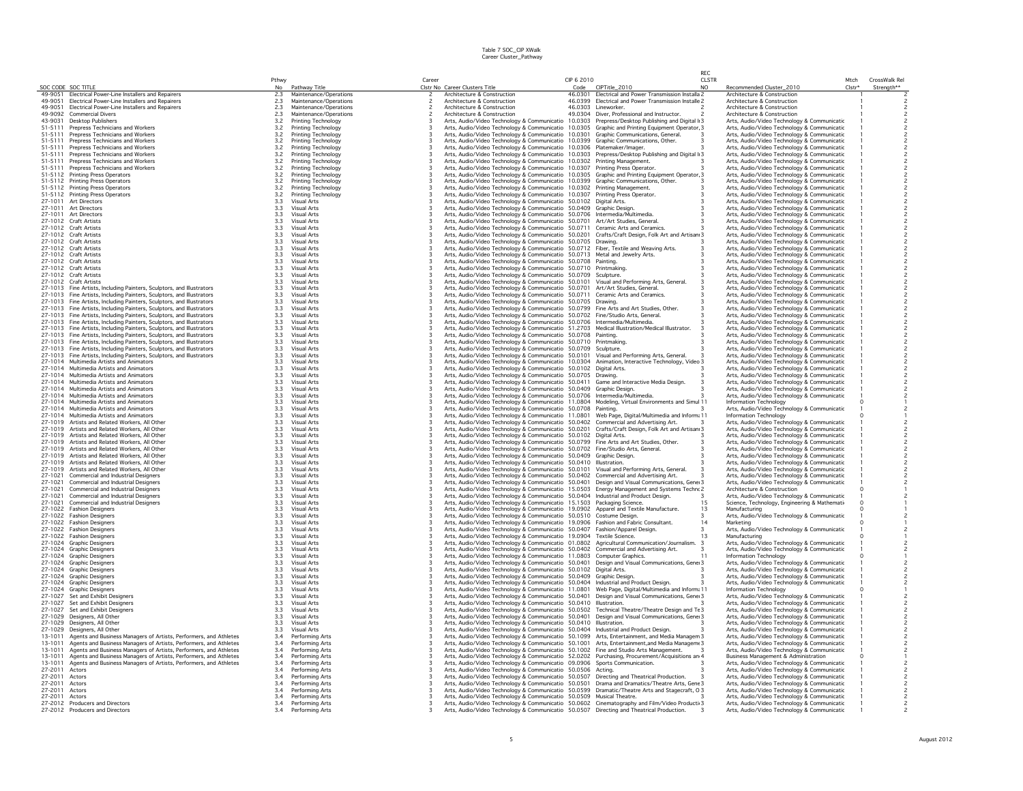|                    |                                                                                                                                        |                |                                                  |        |                                                                                                                                                                                        |                    |                                                                                    | RFC                 |                                                                                            |                |                             |
|--------------------|----------------------------------------------------------------------------------------------------------------------------------------|----------------|--------------------------------------------------|--------|----------------------------------------------------------------------------------------------------------------------------------------------------------------------------------------|--------------------|------------------------------------------------------------------------------------|---------------------|--------------------------------------------------------------------------------------------|----------------|-----------------------------|
| SOC CODE SOC TITLE |                                                                                                                                        | Pthwy<br>No    | Pathway Title                                    | Career | Clstr No Career Clusters Title                                                                                                                                                         | CIP 6 2010<br>Code | CIPTitle_2010                                                                      | <b>CLSTR</b><br>NO. | Recommended Cluster_2010                                                                   | Mtch<br>Clstr* | CrossWalk Rel<br>Strenath** |
| 49-9051            | Electrical Power-Line Installers and Repairers                                                                                         | 2.3            | Maintenance/Operations                           |        | Architecture & Construction                                                                                                                                                            |                    | 46.0301 Electrical and Power Transmission Installa 2                               |                     | Architecture & Construction                                                                |                |                             |
| 49-9051            | Electrical Power-Line Installers and Repairers<br><b>Flectrical Power-Line Installers and Repairers</b>                                | $2.3$<br>$2.3$ | Maintenance/Operations                           |        | Architecture & Construction                                                                                                                                                            |                    | 46.0399 Electrical and Power Transmission Installe 2                               |                     | Architecture & Construction                                                                |                |                             |
| 49-9051<br>49-9092 | <b>Commercial Divers</b>                                                                                                               | 2.3            | Maintenance/Operations<br>Maintenance/Operations |        | Architecture & Construction<br>Architecture & Construction                                                                                                                             |                    | 46.0303 Lineworker.<br>49.0304 Diver, Professional and Instructor.                 |                     | Architecture & Construction<br>Architecture & Construction                                 |                |                             |
| 43-9031            | Desktop Publishers                                                                                                                     | 3.2            | Printing Technology                              |        | Arts, Audio/Video Technology & Communicatio 10.0303 Prepress/Desktop Publishing and Digital II 3                                                                                       |                    |                                                                                    |                     | Arts, Audio/Video Technology & Communicatic                                                |                |                             |
| 51-5111            | Prepress Technicians and Workers                                                                                                       | 3.2            | Printing Technology                              |        | Arts, Audio/Video Technology & Communicatio 10.0305 Graphic and Printing Equipment Operator, 3                                                                                         |                    |                                                                                    |                     | Arts, Audio/Video Technology & Communicatic                                                |                |                             |
| 51-5111<br>51-5111 | Prepress Technicians and Workers<br>Prepress Technicians and Workers                                                                   | 3.2            | Printing Technology<br>Printing Technology       |        | Arts, Audio/Video Technology & Communicatio 10.0301 Graphic Communications, General.<br>Arts, Audio/Video Technology & Communicatio                                                    | 10.0399            | Graphic Communications, Other.                                                     |                     | Arts, Audio/Video Technology & Communicatic<br>Arts, Audio/Video Technology & Communicatic |                |                             |
| 51-5111            | Prepress Technicians and Workers                                                                                                       | $3.2$<br>$3.2$ | Printing Technology                              |        | Arts, Audio/Video Technology & Communicatio 10.0306                                                                                                                                    |                    | Platemaker/Imager.                                                                 |                     | Arts, Audio/Video Technology & Communicatic                                                |                |                             |
| 51-5111            | Prepress Technicians and Workers                                                                                                       | 3.2            | Printing Technology                              |        | Arts, Audio/Video Technology & Communicatio 10.0303 Prepress/Desktop Publishing and Digital I 3                                                                                        |                    |                                                                                    |                     | Arts, Audio/Video Technology & Communicatic                                                |                |                             |
| 51-5111            | Prepress Technicians and Workers<br>Prepress Technicians and Workers                                                                   | 3.2            | Printing Technology                              |        | Arts, Audio/Video Technology & Communicatio 10.0302 Printing Management.                                                                                                               |                    |                                                                                    |                     | Arts, Audio/Video Technology & Communicatic                                                |                |                             |
| 51-5111<br>51-5112 | Printing Press Operators                                                                                                               | $3.2$<br>$3.2$ | Printing Technology<br>Printing Technology       |        | Arts, Audio/Video Technology & Communicatio 10.0307 Printing Press Operator.<br>Arts, Audio/Video Technology & Communicatio 10.0305 Graphic and Printing Equipment Operator, 3         |                    |                                                                                    |                     | Arts, Audio/Video Technology & Communicatic<br>Arts, Audio/Video Technology & Communicatic |                |                             |
|                    | 51-5112 Printing Press Operators                                                                                                       |                | Printing Technology                              |        | Arts, Audio/Video Technology & Communicatio 10.0399 Graphic Communications, Other.                                                                                                     |                    |                                                                                    |                     | Arts, Audio/Video Technology & Communicatic                                                |                |                             |
|                    | 51-5112 Printing Press Operators                                                                                                       | $3.2$<br>$3.2$ | Printing Technology                              |        | Arts, Audio/Video Technology & Communicatio 10.0302 Printing Management.                                                                                                               |                    |                                                                                    |                     | Arts, Audio/Video Technology & Communicatic                                                |                |                             |
| 51-5112            | <b>Printing Press Operators</b><br>Art Directors                                                                                       | 3.2            | Printing Technology<br><b>Visual Arts</b>        |        | Arts, Audio/Video Technology & Communicatio 10.0307 Printing Press Operator.                                                                                                           |                    | Digital Arts                                                                       |                     | Arts, Audio/Video Technology & Communicatic                                                |                |                             |
| 27-1011<br>27-1011 | Art Directors                                                                                                                          | 3.3<br>3.3     | Visual Arts                                      |        | Arts, Audio/Video Technology & Communicatio 50.0102<br>Arts, Audio/Video Technology & Communicatio 50.0409 Graphic Design                                                              |                    |                                                                                    |                     | Arts, Audio/Video Technology & Communicatic<br>Arts, Audio/Video Technology & Communicatic |                |                             |
| 27-1011            | Art Directors                                                                                                                          | 3.3            | <b>Visual Arts</b>                               |        | Arts, Audio/Video Technology & Communicatio 50.0706 Intermedia/Multimedia.                                                                                                             |                    |                                                                                    |                     | Arts, Audio/Video Technology & Communicatic                                                |                |                             |
|                    | 27-1012 Craft Artists                                                                                                                  | 3.3            | Visual Arts                                      |        | Arts, Audio/Video Technology & Communicatio 50.0701                                                                                                                                    |                    | Art/Art Studies, General.                                                          |                     | Arts, Audio/Video Technology & Communicatic                                                |                |                             |
|                    | 27-1012 Craft Artists<br>27-1012 Craft Artists                                                                                         | 3.3<br>3.3     | <b>Visual Arts</b><br><b>Visual Arts</b>         |        | Arts, Audio/Video Technology & Communicatio 50.0711<br>Arts, Audio/Video Technology & Communicatio 50.0201                                                                             |                    | Ceramic Arts and Ceramics.<br>Crafts/Craft Design, Folk Art and Artisan 3          |                     | Arts, Audio/Video Technology & Communicatic<br>Arts, Audio/Video Technology & Communicatic |                |                             |
|                    | 27-1012 Craft Artists                                                                                                                  | 3.3            | <b>Visual Arts</b>                               |        | Arts, Audio/Video Technology & Communicatio 50.0705 Drawing.                                                                                                                           |                    |                                                                                    |                     | Arts, Audio/Video Technology & Communicatic                                                |                |                             |
|                    | 27-1012 Craft Artists                                                                                                                  | 3.3            | <b>Visual Arts</b>                               |        | Arts, Audio/Video Technology & Communicatio 50.0712 Fiber, Textile and Weaving Arts.                                                                                                   |                    |                                                                                    |                     | Arts, Audio/Video Technology & Communicatic                                                |                |                             |
|                    | 27-1012 Craft Artists                                                                                                                  | 3.3            | Visual Arts                                      |        | Arts, Audio/Video Technology & Communicatio 50.0713 Metal and Jewelry Arts.                                                                                                            |                    |                                                                                    |                     | Arts, Audio/Video Technology & Communicatic                                                |                |                             |
| 27-1012            | <b>Craft Artists</b><br>27-1012 Craft Artists                                                                                          | 3.3<br>3.3     | <b>Visual Arts</b><br>Visual Arts                |        | Arts, Audio/Video Technology & Communicatio 50.0708<br>Arts, Audio/Video Technology & Communicatio 50.0710 Printmaking.                                                                |                    | Painting                                                                           |                     | Arts, Audio/Video Technology & Communicatic<br>Arts, Audio/Video Technology & Communicatic |                |                             |
|                    | 27-1012 Craft Artists                                                                                                                  | 3.3            | <b>Visual Arts</b>                               |        | Arts, Audio/Video Technology & Communicatio 50.0709                                                                                                                                    |                    | Sculpture.                                                                         |                     | Arts, Audio/Video Technology & Communicatic                                                |                |                             |
|                    | 27-1012 Craft Artists                                                                                                                  | 3.3            | Visual Arts                                      |        | Arts, Audio/Video Technology & Communicatio 50.0101                                                                                                                                    |                    | Visual and Performing Arts, General.                                               |                     | Arts, Audio/Video Technology & Communicatic                                                |                |                             |
| 27-1013<br>27-1013 | Fine Artists, Including Painters, Sculptors, and Illustrators                                                                          | 3.3            | <b>Visual Arts</b><br><b>Visual Arts</b>         |        | Arts, Audio/Video Technology & Communicatio 50.0701                                                                                                                                    |                    | Art/Art Studies, General,<br>Ceramic Arts and Ceramics                             |                     | Arts, Audio/Video Technology & Communicatic                                                |                |                             |
| 27-1013            | Fine Artists, Including Painters, Sculptors, and Illustrators<br>Fine Artists, Including Painters, Sculptors, and Illustrators         | 3.3<br>3.3     | <b>Visual Arts</b>                               |        | Arts, Audio/Video Technology & Communicatio 50.0711<br>Arts, Audio/Video Technology & Communicatio 50.0705 Drawing.                                                                    |                    |                                                                                    |                     | Arts, Audio/Video Technology & Communicatic<br>Arts, Audio/Video Technology & Communicatic |                |                             |
|                    | 27-1013 Fine Artists, Including Painters, Sculptors, and Illustrators                                                                  | 3.3            | Visual Arts                                      |        | Arts, Audio/Video Technology & Communicatio 50.0799 Fine Arts and Art Studies, Other.                                                                                                  |                    |                                                                                    |                     | Arts, Audio/Video Technology & Communicatic                                                |                |                             |
| 27-1013            | Fine Artists, Including Painters, Sculptors, and Illustrators                                                                          | 3.3            | <b>Visual Arts</b>                               |        | Arts, Audio/Video Technology & Communicatio 50.0702 Fine/Studio Arts, General.                                                                                                         |                    |                                                                                    |                     | Arts, Audio/Video Technology & Communicatic                                                |                |                             |
| 27-1013            | Fine Artists, Including Painters, Sculptors, and Illustrators                                                                          | 3.3            | <b>Visual Arts</b><br><b>Visual Arts</b>         |        | Arts, Audio/Video Technology & Communicatio 50.0706 Intermedia/Multimedia.                                                                                                             |                    |                                                                                    |                     | Arts, Audio/Video Technology & Communicatic                                                |                |                             |
| 27-1013<br>27-1013 | Fine Artists, Including Painters, Sculptors, and Illustrators<br>Fine Artists, Including Painters, Sculptors, and Illustrators         | 3.3<br>3.3     | Visual Arts                                      |        | Arts, Audio/Video Technology & Communicatio 51.2703 Medical Illustration/Medical Illustrator.<br>Arts, Audio/Video Technology & Communicatio 50.0708                                   |                    | Painting                                                                           |                     | Arts, Audio/Video Technology & Communicatic<br>Arts, Audio/Video Technology & Communicatic |                |                             |
|                    | 27-1013 Fine Artists, Including Painters, Sculptors, and Illustrators                                                                  | 3.3            | <b>Visual Arts</b>                               |        | Arts, Audio/Video Technology & Communicatio 50.0710 Printmaking                                                                                                                        |                    |                                                                                    |                     | Arts, Audio/Video Technology & Communicatic                                                |                |                             |
| 27-1013            | Fine Artists, Including Painters, Sculptors, and Illustrators                                                                          | 3.3            | <b>Visual Arts</b>                               |        | Arts, Audio/Video Technology & Communicatio 50.0709 Sculpture.                                                                                                                         |                    |                                                                                    |                     | Arts, Audio/Video Technology & Communicatic                                                |                |                             |
|                    | 27-1013 Fine Artists, Including Painters, Sculptors, and Illustrators<br>27-1014 Multimedia Artists and Animators                      | 3.3<br>3.3     | <b>Visual Arts</b><br><b>Visual Arts</b>         |        | Arts, Audio/Video Technology & Communicatio 50.0101<br>Arts, Audio/Video Technology & Communicatio 10.0304                                                                             |                    | Visual and Performing Arts, General,<br>Animation, Interactive Technology, Video 3 |                     | Arts, Audio/Video Technology & Communicatic<br>Arts, Audio/Video Technology & Communicatic |                |                             |
|                    | 27-1014 Multimedia Artists and Animators                                                                                               |                | <b>Visual Arts</b>                               |        |                                                                                                                                                                                        |                    |                                                                                    |                     | Arts, Audio/Video Technology & Communicatic                                                |                |                             |
|                    | 27-1014 Multimedia Artists and Animators                                                                                               | $3.3$<br>$3.3$ | <b>Visual Arts</b>                               |        | Arts, Audio/Video Technology & Communicatio 50.0102 Digital Arts.<br>Arts, Audio/Video Technology & Communicatio 50.0705 Drawing.                                                      |                    |                                                                                    |                     | Arts, Audio/Video Technology & Communicatio                                                |                |                             |
|                    | 27-1014 Multimedia Artists and Animators                                                                                               | 3.3            | <b>Visual Arts</b>                               |        | Arts, Audio/Video Technology & Communicatio 50.0411                                                                                                                                    |                    | Game and Interactive Media Design                                                  |                     | Arts, Audio/Video Technology & Communicatic                                                |                |                             |
|                    | 27-1014 Multimedia Artists and Animators<br>27-1014 Multimedia Artists and Animators                                                   | 3.3<br>3.3     | <b>Visual Arts</b><br>Visual Arts                |        | Arts, Audio/Video Technology & Communicatio 50.0409 Graphic Design.<br>Arts, Audio/Video Technology & Communicatio 50.0706 Intermedia/Multimedia.                                      |                    |                                                                                    |                     | Arts, Audio/Video Technology & Communicatic<br>Arts, Audio/Video Technology & Communicatic |                |                             |
|                    | 27-1014 Multimedia Artists and Animators                                                                                               | 3.3            | <b>Visual Arts</b>                               |        | Arts, Audio/Video Technology & Communicatio 11.0804 Modeling, Virtual Environments and Simul 11                                                                                        |                    |                                                                                    |                     | Information Technology                                                                     |                |                             |
| 27-1014            | Multimedia Artists and Animators                                                                                                       | 3.3            | <b>Visual Arts</b>                               |        | Arts, Audio/Video Technology & Communicatio 50.0708                                                                                                                                    |                    | Painting.                                                                          |                     | Arts, Audio/Video Technology & Communicatic                                                |                |                             |
| 27-1014            | Multimedia Artists and Animators                                                                                                       | 3.3            | <b>Visual Arts</b>                               |        | Arts, Audio/Video Technology & Communicatio 11.0801                                                                                                                                    |                    | Web Page, Digital/Multimedia and Inform: 11                                        |                     | Information Technology                                                                     |                |                             |
|                    | 27-1019 Artists and Related Workers, All Other<br>27-1019 Artists and Related Workers, All Other                                       | 3.3<br>3.3     | Visual Arts<br><b>Visual Arts</b>                |        | Arts, Audio/Video Technology & Communicatio 50.0402 Commercial and Advertising Art.<br>Arts, Audio/Video Technology & Communicatio 50.0201 Crafts/Craft Design, Folk Art and Artisan 3 |                    |                                                                                    |                     | Arts, Audio/Video Technology & Communicatic<br>Arts, Audio/Video Technology & Communicatic |                |                             |
| 27-1019            | Artists and Related Workers. All Other                                                                                                 | 3.3            | <b>Visual Arts</b>                               |        | Arts, Audio/Video Technology & Communicatio 50.0102 Digital Arts.                                                                                                                      |                    |                                                                                    |                     | Arts, Audio/Video Technology & Communicatic                                                |                |                             |
| 27-1019            | Artists and Related Workers, All Other                                                                                                 | 3.3            | <b>Visual Arts</b>                               |        | Arts, Audio/Video Technology & Communicatio 50.0799                                                                                                                                    |                    | Fine Arts and Art Studies, Other.                                                  |                     | Arts, Audio/Video Technology & Communicatic                                                |                |                             |
| 27-1019<br>27-1019 | Artists and Related Workers, All Other<br>Artists and Related Workers, All Other                                                       | 3.3<br>3.3     | <b>Visual Arts</b><br><b>Visual Arts</b>         |        | Arts, Audio/Video Technology & Communicatio 50.0702 Fine/Studio Arts, General.                                                                                                         |                    |                                                                                    |                     | Arts, Audio/Video Technology & Communicatic                                                |                |                             |
| 27-1019            | Artists and Related Workers, All Other                                                                                                 | 3.3            | Visual Arts                                      |        | Arts, Audio/Video Technology & Communicatio 50.0409 Graphic Design<br>Arts, Audio/Video Technology & Communicatio 50.0410 Illustration.                                                |                    |                                                                                    |                     | Arts, Audio/Video Technology & Communicatic<br>Arts, Audio/Video Technology & Communicatic |                |                             |
| 27-1019            | Artists and Related Workers, All Other                                                                                                 | 3.3            | Visual Arts                                      |        | Arts, Audio/Video Technology & Communicatio 50.0101                                                                                                                                    |                    | Visual and Performing Arts, General.                                               |                     | Arts, Audio/Video Technology & Communicatic                                                |                |                             |
| 27-1021            | Commercial and Industrial Designers                                                                                                    | 3.3            | <b>Visual Arts</b>                               |        | Arts, Audio/Video Technology & Communicatio 50.0402 Commercial and Advertising Art.                                                                                                    |                    |                                                                                    |                     | Arts, Audio/Video Technology & Communicatic                                                |                |                             |
| 27-1021<br>27-1021 | Commercial and Industrial Designers<br>Commercial and Industrial Designers                                                             | 3.3<br>3.3     | Visual Arts<br>Visual Arts                       |        | Arts, Audio/Video Technology & Communicatio 50.0401<br>Arts, Audio/Video Technology & Communicatio 15.0503 Energy Management and Systems Techno 2                                      |                    | Design and Visual Communications, Gener 3                                          |                     | Arts, Audio/Video Technology & Communicatic<br>Architecture & Construction                 |                |                             |
| 27-1021            | Commercial and Industrial Designers                                                                                                    | 3.3            | <b>Visual Arts</b>                               |        | Arts, Audio/Video Technology & Communicatio 50.0404 Industrial and Product Design.                                                                                                     |                    |                                                                                    |                     | Arts, Audio/Video Technology & Communicatic                                                |                |                             |
| 27-1021            | <b>Commercial and Industrial Designers</b>                                                                                             | 3.3            | <b>Visual Arts</b>                               |        | Arts, Audio/Video Technology & Communicatio 15.1503 Packaging Science.                                                                                                                 |                    |                                                                                    | 15                  | Science, Technology, Engineering & Mathemati                                               |                |                             |
|                    | 27-1022 Fashion Designers                                                                                                              | 3.3            | <b>Visual Arts</b>                               |        | Arts, Audio/Video Technology & Communicatio 19.0902 Apparel and Textile Manufacture.                                                                                                   |                    |                                                                                    | 13                  | Manufacturing                                                                              |                |                             |
|                    | 27-1022 Fashion Designers<br>27-1022 Fashion Designers                                                                                 | 3.3<br>3.3     | Visual Arts<br>Visual Arts                       |        | Arts, Audio/Video Technology & Communicatio 50.0510 Costume Design.<br>Arts, Audio/Video Technology & Communicatio 19.0906 Fashion and Fabric Consultant.                              |                    |                                                                                    | 3<br>14             | Arts, Audio/Video Technology & Communicatic<br>Marketing                                   |                |                             |
| 27-1022            | <b>Fashion Designers</b>                                                                                                               | 3.3            | <b>Visual Arts</b>                               |        | Arts, Audio/Video Technology & Communicatio 50.0407 Fashion/Apparel Design.                                                                                                            |                    |                                                                                    |                     | Arts, Audio/Video Technology & Communicatic                                                |                |                             |
|                    | 27-1022 Fashion Designers                                                                                                              | 3.3            | Visual Arts                                      |        | Arts, Audio/Video Technology & Communicatio 19.0904 Textile Science.                                                                                                                   |                    |                                                                                    | 13                  | Manufacturing                                                                              |                |                             |
| 27-1024<br>27-1024 | <b>Graphic Designers</b><br><b>Graphic Designers</b>                                                                                   | 3.3<br>3.3     | <b>Visual Arts</b><br>Visual Arts                |        | Arts, Audio/Video Technology & Communicatio 01.0802<br>Arts, Audio/Video Technology & Communicatio 50.0402 Commercial and Advertising Art.                                             |                    | Agricultural Communication/Journalism.                                             |                     | Arts, Audio/Video Technology & Communicatic<br>Arts, Audio/Video Technology & Communicatic |                |                             |
| 27-1024            | <b>Graphic Designers</b>                                                                                                               | 3.3            | <b>Visual Arts</b>                               |        | Arts, Audio/Video Technology & Communicatio 11.0803 Computer Graphics.                                                                                                                 |                    |                                                                                    |                     | Information Technology                                                                     |                |                             |
| 27-1024            | <b>Graphic Designers</b>                                                                                                               | 3.3            | Visual Arts                                      |        | Arts, Audio/Video Technology & Communicatio 50.0401                                                                                                                                    |                    | Design and Visual Communications, Gene 3                                           |                     | Arts, Audio/Video Technology & Communicatic                                                |                |                             |
|                    | 27-1024 Graphic Designers                                                                                                              | 3.3            | <b>Visual Arts</b>                               |        | Arts, Audio/Video Technology & Communicatio 50.0102 Digital Arts.                                                                                                                      |                    |                                                                                    |                     | Arts, Audio/Video Technology & Communicatic                                                |                |                             |
|                    | 27-1024 Graphic Designers<br>27-1024 Graphic Designers                                                                                 | 3.3            | Visual Arts<br><b>Visual Arts</b>                |        | Arts, Audio/Video Technology & Communicatio 50.0409 Graphic Design<br>Arts, Audio/Video Technology & Communicatio 50.0404 Industrial and Product Design.                               |                    |                                                                                    |                     | Arts, Audio/Video Technology & Communicatic<br>Arts, Audio/Video Technology & Communicatic |                |                             |
| 27-1024            | <b>Graphic Designers</b>                                                                                                               | 3.3<br>3.3     | <b>Visual Arts</b>                               |        | Arts, Audio/Video Technology & Communicatio 11.0801                                                                                                                                    |                    | Web Page, Digital/Multimedia and Inform: 11                                        |                     | <b>Information Technology</b>                                                              |                |                             |
| 27-1027            | Set and Exhibit Designers                                                                                                              | 3.3            | Visual Arts                                      |        | Arts, Audio/Video Technology & Communicatio 50.0401                                                                                                                                    |                    | Design and Visual Communications, Gene 3                                           |                     | Arts, Audio/Video Technology & Communicatic                                                |                |                             |
| 27-1027            | Set and Exhibit Designers<br>27-1027 Set and Exhibit Designers                                                                         | 3.3            | Visual Arts<br>Visual Arts                       |        | Arts, Audio/Video Technology & Communicatio 50.0410 Illustration.                                                                                                                      |                    |                                                                                    |                     | Arts, Audio/Video Technology & Communicatic                                                |                |                             |
| 27-1029            | Designers, All Other                                                                                                                   | 3.3<br>3.3     | <b>Visual Arts</b>                               |        | Arts, Audio/Video Technology & Communicatio 50.0502 Technical Theatre/Theatre Design and Te 3<br>Arts, Audio/Video Technology & Communicatio 50.0401                                   |                    | Design and Visual Communications, Gener 3                                          |                     | Arts, Audio/Video Technology & Communicatic<br>Arts, Audio/Video Technology & Communicatic |                |                             |
| 27-1029            | Designers, All Other                                                                                                                   | 3.3            | Visual Arts                                      |        | Arts, Audio/Video Technology & Communicatio 50.0410 Illustration.                                                                                                                      |                    |                                                                                    |                     | Arts, Audio/Video Technology & Communicatic                                                |                |                             |
| 27-1029            | Designers, All Other                                                                                                                   | 3.3            | <b>Visual Arts</b>                               |        | Arts, Audio/Video Technology & Communicatio 50.0404 Industrial and Product Design.                                                                                                     |                    |                                                                                    |                     | Arts, Audio/Video Technology & Communicatic                                                |                |                             |
| 13-1011<br>13-1011 | Agents and Business Managers of Artists, Performers, and Athletes<br>Agents and Business Managers of Artists, Performers, and Athletes | $3.4$<br>$3.4$ | Performing Arts<br>Performing Arts               |        | Arts, Audio/Video Technology & Communicatio 50.1099 Arts, Entertainment, and Media Managem 3                                                                                           |                    | Arts, Entertainment, and Media Managem 3                                           |                     | Arts, Audio/Video Technology & Communicatic<br>Arts, Audio/Video Technology & Communicatio |                |                             |
| 13-1011            | Agents and Business Managers of Artists, Performers, and Athletes                                                                      | 3.4            | Performing Arts                                  |        | Arts, Audio/Video Technology & Communicatio 50.1001<br>Arts, Audio/Video Technology & Communicatio 50.1002 Fine and Studio Arts Management.                                            |                    |                                                                                    |                     | Arts, Audio/Video Technology & Communicatic                                                |                |                             |
| 13-1011            | Agents and Business Managers of Artists, Performers, and Athletes                                                                      | 3.4            | Performing Arts                                  |        | Arts, Audio/Video Technology & Communicatio 52.0202 Purchasing, Procurement/Acquisitions an 4                                                                                          |                    |                                                                                    |                     | Business Management & Administration                                                       |                |                             |
| 13-1011            | Agents and Business Managers of Artists, Performers, and Athletes                                                                      | 3.4            | Performing Arts                                  |        | Arts, Audio/Video Technology & Communicatio 09.0906 Sports Communication.                                                                                                              |                    |                                                                                    |                     | Arts, Audio/Video Technology & Communicatic                                                |                |                             |
| 27-2011<br>27-2011 | Actors<br>Actors                                                                                                                       | $3.4$<br>$3.4$ | Performing Arts<br>Performing Arts               |        | Arts, Audio/Video Technology & Communicatio 50.0506 Acting.<br>Arts, Audio/Video Technology & Communicatio 50.0507 Directing and Theatrical Production.                                |                    |                                                                                    |                     | Arts, Audio/Video Technology & Communicatic<br>Arts, Audio/Video Technology & Communicatic |                |                             |
| 27-2011            | Actors                                                                                                                                 | 3.4            | Performing Arts                                  |        | Arts, Audio/Video Technology & Communicatio 50.0501 Drama and Dramatics/Theatre Arts, Gene 3                                                                                           |                    |                                                                                    |                     | Arts, Audio/Video Technology & Communicatic                                                |                |                             |
| 27-2011            | Actors                                                                                                                                 | 3.4            | Performing Arts                                  |        | Arts, Audio/Video Technology & Communicatio 50.0599 Dramatic/Theatre Arts and Stagecraft, O 3                                                                                          |                    |                                                                                    |                     | Arts, Audio/Video Technology & Communicatic                                                |                |                             |
| 27-2011 Actors     | 27-2012 Producers and Directors                                                                                                        | 3.4<br>3.4     | Performing Arts<br>Performing Arts               |        | Arts, Audio/Video Technology & Communicatio 50.0509 Musical Theatre.<br>Arts, Audio/Video Technology & Communicatio 50.0602 Cinematography and Film/Video Producti 3                   |                    |                                                                                    |                     | Arts, Audio/Video Technology & Communicatic                                                |                |                             |
|                    | 27-2012 Producers and Directors                                                                                                        | 3.4            | Performing Arts                                  |        | Arts, Audio/Video Technology & Communicatio 50.0507 Directing and Theatrical Production.                                                                                               |                    |                                                                                    |                     | Arts, Audio/Video Technology & Communicatic<br>Arts, Audio/Video Technology & Communicatic |                |                             |
|                    |                                                                                                                                        |                |                                                  |        |                                                                                                                                                                                        |                    |                                                                                    |                     |                                                                                            |                |                             |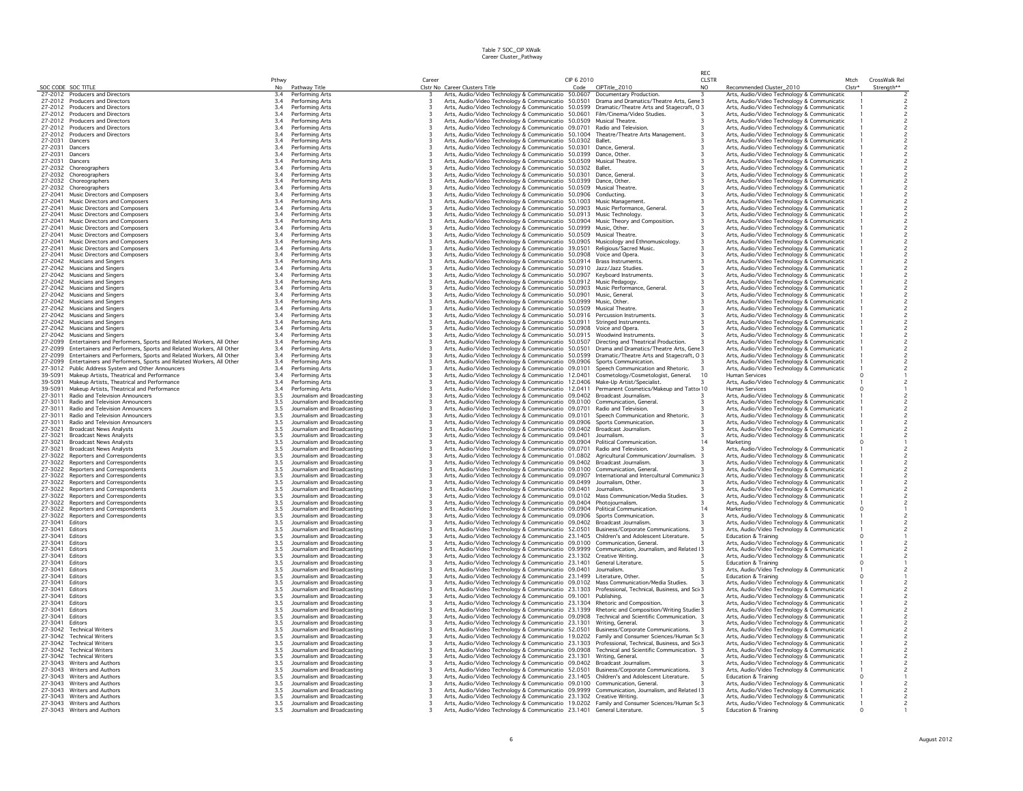|                    |                                                                                                    |             |                                                            |        |                                                                                                                                                                                     |                    |                                    | RFC                            |                                                                                            |                  |                             |
|--------------------|----------------------------------------------------------------------------------------------------|-------------|------------------------------------------------------------|--------|-------------------------------------------------------------------------------------------------------------------------------------------------------------------------------------|--------------------|------------------------------------|--------------------------------|--------------------------------------------------------------------------------------------|------------------|-----------------------------|
|                    | SOC CODE SOC TITLE                                                                                 | Pthwy<br>No | Pathway Title                                              | Career | Clstr No Career Clusters Title                                                                                                                                                      | CIP 6 2010<br>Code | CIPTitle_2010                      | <b>CLSTR</b><br>N <sub>O</sub> | Recommended Cluster_2010                                                                   | Mtch<br>$Clstr*$ | CrossWalk Rel<br>Strength** |
|                    | 27-2012 Producers and Directors                                                                    | 3.4         | Performing Arts                                            |        | Arts, Audio/Video Technology & Communicatio 50.0607 Documentary Production.                                                                                                         |                    |                                    |                                | Arts, Audio/Video Technology & Communicatic                                                |                  |                             |
|                    | 27-2012 Producers and Directors                                                                    | 3.4         | Performing Arts                                            |        | Arts, Audio/Video Technology & Communicatio 50.0501 Drama and Dramatics/Theatre Arts, Gene 3                                                                                        |                    |                                    |                                | Arts, Audio/Video Technology & Communicatic                                                |                  |                             |
|                    | 27-2012 Producers and Directors                                                                    | 3.4         | Performing Arts                                            |        | Arts, Audio/Video Technology & Communicatio 50.0599 Dramatic/Theatre Arts and Stagecraft, 0 3                                                                                       |                    |                                    |                                | Arts, Audio/Video Technology & Communicatic                                                |                  |                             |
|                    | 27-2012 Producers and Directors                                                                    | 3.4         | Performing Arts                                            |        | Arts, Audio/Video Technology & Communicatio 50.0601 Film/Cinema/Video Studies.                                                                                                      |                    |                                    |                                | Arts, Audio/Video Technology & Communicatic                                                |                  |                             |
|                    | 27-2012 Producers and Directors                                                                    | 3.4         | Performing Arts                                            |        | Arts, Audio/Video Technology & Communicatio 50.0509 Musical Theatre.                                                                                                                |                    |                                    |                                | Arts, Audio/Video Technology & Communicatic                                                |                  |                             |
|                    | 27-2012 Producers and Directors                                                                    | 3.4         | Performing Arts                                            |        | Arts, Audio/Video Technology & Communicatio 09.0701 Radio and Television                                                                                                            |                    |                                    |                                | Arts, Audio/Video Technology & Communicatic                                                |                  |                             |
| 27-2012            | Producers and Directors                                                                            | 3.4         | Performing Arts                                            |        | Arts, Audio/Video Technology & Communicatio 50.1004 Theatre/Theatre Arts Management.                                                                                                |                    |                                    |                                | Arts, Audio/Video Technology & Communicatic                                                |                  |                             |
| 27-2031            | Dancers                                                                                            | 3.4         | Performing Arts                                            |        | Arts, Audio/Video Technology & Communicatio 50.0302 Ballet.                                                                                                                         |                    |                                    |                                | Arts, Audio/Video Technology & Communicatic                                                |                  |                             |
| 27-2031            | Dancers                                                                                            | 3.4         | Performing Arts                                            |        | Arts, Audio/Video Technology & Communicatio 50.0301 Dance, General                                                                                                                  |                    |                                    |                                | Arts, Audio/Video Technology & Communicatic                                                |                  |                             |
| 27-2031<br>27-2031 | Dancers<br>Dancers                                                                                 | 3.4<br>3.4  | Performing Arts                                            |        | Arts, Audio/Video Technology & Communicatio 50.0399 Dance, Other.<br>Arts, Audio/Video Technology & Communicatio 50.0509 Musical Theatre.                                           |                    |                                    |                                | Arts, Audio/Video Technology & Communicatic                                                |                  |                             |
| 27-2032            | Choreographers                                                                                     | 3.4         | Performing Arts<br>Performing Arts                         |        | Arts, Audio/Video Technology & Communicatio 50.0302 Ballet.                                                                                                                         |                    |                                    |                                | Arts, Audio/Video Technology & Communicatic<br>Arts, Audio/Video Technology & Communicatic |                  |                             |
| 27-2032            | Choreographers                                                                                     | 3.4         | Performing Arts                                            |        | Arts, Audio/Video Technology & Communicatio 50.0301                                                                                                                                 |                    | Dance, General                     |                                | Arts, Audio/Video Technology & Communicatic                                                |                  |                             |
| 27-2032            | Choreographers                                                                                     | 3.4         | Performing Arts                                            |        | Arts, Audio/Video Technology & Communicatio 50.0399 Dance, Other.                                                                                                                   |                    |                                    |                                | Arts, Audio/Video Technology & Communicatic                                                |                  |                             |
| 27-2032            | Choreographers                                                                                     | 3.4         | Performing Arts                                            |        | Arts, Audio/Video Technology & Communicatio 50.0509 Musical Theatre                                                                                                                 |                    |                                    |                                | Arts, Audio/Video Technology & Communicatic                                                |                  |                             |
| 27-2041            | Music Directors and Composers                                                                      | 3.4         | Performing Arts                                            |        | Arts, Audio/Video Technology & Communicatio 50.0906 Conducting.                                                                                                                     |                    |                                    |                                | Arts, Audio/Video Technology & Communicatic                                                |                  |                             |
| 27-2041            | Music Directors and Composers                                                                      | 3.4         | Performing Arts                                            |        | Arts, Audio/Video Technology & Communicatio 50.1003 Music Management                                                                                                                |                    |                                    |                                | Arts, Audio/Video Technology & Communicatic                                                |                  |                             |
| 27-2041            | Music Directors and Composers                                                                      | 3.4         | Performing Arts                                            |        | Arts, Audio/Video Technology & Communicatio 50.0903 Music Performance, General.                                                                                                     |                    |                                    |                                | Arts, Audio/Video Technology & Communicatic                                                |                  |                             |
| 27-2041            | Music Directors and Composers                                                                      | 3.4         | Performing Arts                                            |        | Arts, Audio/Video Technology & Communicatio 50.0913 Music Technology.                                                                                                               |                    |                                    |                                | Arts, Audio/Video Technology & Communicatic                                                |                  |                             |
| 27-2041            | Music Directors and Composers                                                                      | 3.4         | Performing Arts                                            |        | Arts, Audio/Video Technology & Communicatio 50.0904 Music Theory and Composition.                                                                                                   |                    |                                    |                                | Arts, Audio/Video Technology & Communicatic                                                |                  |                             |
| 27-2041            | Music Directors and Composers                                                                      | 3.4         | Performing Arts                                            |        | Arts, Audio/Video Technology & Communicatio 50.0999 Music, Other.                                                                                                                   |                    |                                    |                                | Arts, Audio/Video Technology & Communicatic                                                |                  |                             |
| 27-2041            | Music Directors and Composers                                                                      | 3.4         | Performing Arts                                            |        | Arts, Audio/Video Technology & Communicatio 50.0509 Musical Theatre                                                                                                                 |                    |                                    |                                | Arts, Audio/Video Technology & Communicatic                                                |                  |                             |
| 27-2041<br>27-2041 | Music Directors and Composers                                                                      | 3.4<br>3.4  | Performing Arts                                            |        | Arts, Audio/Video Technology & Communicatio 50.0905 Musicology and Ethnomusicology.                                                                                                 |                    |                                    |                                | Arts, Audio/Video Technology & Communicatic                                                |                  |                             |
|                    | Music Directors and Composers                                                                      |             | Performing Arts                                            |        | Arts, Audio/Video Technology & Communicatio 39.0501 Religious/Sacred Music.                                                                                                         |                    |                                    |                                | Arts, Audio/Video Technology & Communicatic                                                |                  |                             |
| 27-2041<br>27-2042 | Music Directors and Composers<br><b>Musicians and Singers</b>                                      | 3.4<br>3.4  | Performing Arts<br>Performing Arts                         |        | Arts, Audio/Video Technology & Communicatio 50.0908 Voice and Opera.<br>Arts, Audio/Video Technology & Communicatio 50.0914 Brass Instruments.                                      |                    |                                    |                                | Arts, Audio/Video Technology & Communicatic<br>Arts, Audio/Video Technology & Communicatic |                  |                             |
|                    | 27-2042 Musicians and Singers                                                                      | 3.4         | Performing Arts                                            |        | Arts, Audio/Video Technology & Communicatio 50.0910 Jazz/Jazz Studies.                                                                                                              |                    |                                    |                                | Arts, Audio/Video Technology & Communicatic                                                |                  |                             |
| 27-2042            | <b>Musicians and Singers</b>                                                                       | 3.4         | Performing Arts                                            |        | Arts, Audio/Video Technology & Communicatio 50.0907 Keyboard Instruments.                                                                                                           |                    |                                    |                                | Arts, Audio/Video Technology & Communicatic                                                |                  |                             |
| 27-2042            | Musicians and Singers                                                                              | 3.4         | Performing Arts                                            |        | Arts, Audio/Video Technology & Communicatio 50.0912 Music Pedagogy.                                                                                                                 |                    |                                    |                                | Arts, Audio/Video Technology & Communicatic                                                |                  |                             |
|                    | 27-2042 Musicians and Singers                                                                      | 3.4         | Performing Arts                                            |        | Arts, Audio/Video Technology & Communicatio 50.0903 Music Performance, General.                                                                                                     |                    |                                    |                                | Arts, Audio/Video Technology & Communicatic                                                |                  |                             |
| 27-2042            | Musicians and Singers                                                                              | 3.4         | Performing Arts                                            |        | Arts, Audio/Video Technology & Communicatio 50.0901 Music, General.                                                                                                                 |                    |                                    |                                | Arts, Audio/Video Technology & Communicatic                                                |                  |                             |
| 27-2042            | Musicians and Singers                                                                              | 3.4         | Performing Arts                                            |        | Arts, Audio/Video Technology & Communicatio 50.0999 Music, Other.                                                                                                                   |                    |                                    |                                | Arts, Audio/Video Technology & Communicatic                                                |                  |                             |
|                    | 27-2042 Musicians and Singers                                                                      | 3.4         | Performing Arts                                            |        | Arts, Audio/Video Technology & Communicatio 50.0509 Musical Theatre.                                                                                                                |                    |                                    |                                | Arts, Audio/Video Technology & Communicatic                                                |                  |                             |
|                    | 27-2042 Musicians and Singers                                                                      | 3.4         | Performing Arts                                            |        | Arts, Audio/Video Technology & Communicatio 50.0916 Percussion Instruments.                                                                                                         |                    |                                    |                                | Arts, Audio/Video Technology & Communicatic                                                |                  |                             |
| 27-2042            | <b>Musicians and Singers</b>                                                                       | 3.4         | Performing Arts                                            |        | Arts, Audio/Video Technology & Communicatio 50.0911 Stringed Instruments.                                                                                                           |                    |                                    |                                | Arts, Audio/Video Technology & Communicatic                                                |                  |                             |
| 27-2042            | Musicians and Singers                                                                              | 3.4         | Performing Arts                                            |        | Arts, Audio/Video Technology & Communicatio 50.0908 Voice and Opera.                                                                                                                |                    |                                    |                                | Arts, Audio/Video Technology & Communicatic                                                |                  |                             |
| 27-2042<br>27-2099 | <b>Musicians and Singers</b><br>Entertainers and Performers, Sports and Related Workers, All Other | 3.4<br>3.4  | Performing Arts<br>Performing Arts                         |        | Arts, Audio/Video Technology & Communicatio 50.0915 Woodwind Instruments<br>Arts, Audio/Video Technology & Communicatio 50.0507 Directing and Theatrical Production.                |                    |                                    |                                | Arts, Audio/Video Technology & Communicatic<br>Arts, Audio/Video Technology & Communicatic |                  |                             |
| 27-2099            | Entertainers and Performers, Sports and Related Workers, All Other                                 | 3.4         | Performing Arts                                            |        | Arts, Audio/Video Technology & Communicatio 50.0501 Drama and Dramatics/Theatre Arts, Gene 3                                                                                        |                    |                                    |                                | Arts, Audio/Video Technology & Communicatic                                                |                  |                             |
| 27-2099            | Entertainers and Performers, Sports and Related Workers, All Other                                 | 3.4         | Performing Arts                                            |        | Arts, Audio/Video Technology & Communicatio 50.0599 Dramatic/Theatre Arts and Stagecraft, 03                                                                                        |                    |                                    |                                | Arts, Audio/Video Technology & Communicatic                                                |                  |                             |
| 27-2099            | Entertainers and Performers, Sports and Related Workers, All Other                                 | 3.4         | Performing Arts                                            |        | Arts, Audio/Video Technology & Communicatio 09.0906 Sports Communication.                                                                                                           |                    |                                    |                                | Arts, Audio/Video Technology & Communicatic                                                |                  |                             |
| 27-3012            | Public Address System and Other Announcers                                                         | 3.4         | Performing Arts                                            |        | Arts, Audio/Video Technology & Communicatio 09.0101                                                                                                                                 |                    | Speech Communication and Rhetoric. |                                | Arts, Audio/Video Technology & Communicatic                                                |                  |                             |
| 39-5091            | Makeup Artists, Theatrical and Performance                                                         | 3.4         | Performing Arts                                            |        | Arts, Audio/Video Technology & Communicatio 12.0401 Cosmetology/Cosmetologist, General.                                                                                             |                    |                                    | 10                             | <b>Human Services</b>                                                                      |                  |                             |
| 39-5091            | Makeup Artists, Theatrical and Performance                                                         | 3.4         | Performing Arts                                            |        | Arts, Audio/Video Technology & Communicatio 12.0406 Make-Up Artist/Specialist.                                                                                                      |                    |                                    |                                | Arts, Audio/Video Technology & Communicatic                                                |                  |                             |
| 39-5091            | Makeup Artists, Theatrical and Performance                                                         | 3.4         | Performing Arts                                            |        | Arts, Audio/Video Technology & Communicatio 12.0411 Permanent Cosmetics/Makeup and Tatto 10                                                                                         |                    |                                    |                                | Human Services                                                                             |                  |                             |
| 27-3011            | Radio and Television Announcers                                                                    | 3.5         | Journalism and Broadcasting                                |        | Arts, Audio/Video Technology & Communicatio 09.0402 Broadcast Journalism.                                                                                                           |                    |                                    |                                | Arts, Audio/Video Technology & Communicatic                                                |                  |                             |
| 27-3011            | Radio and Television Announcers                                                                    | 3.5         | Journalism and Broadcasting                                |        | Arts, Audio/Video Technology & Communicatio 09.0100 Communication, General                                                                                                          |                    |                                    |                                | Arts, Audio/Video Technology & Communicatic                                                |                  |                             |
| 27-3011            | Radio and Television Announcers                                                                    | 3.5         | Journalism and Broadcasting                                |        | Arts, Audio/Video Technology & Communicatio 09.0701 Radio and Television.                                                                                                           |                    |                                    |                                | Arts, Audio/Video Technology & Communicatic                                                |                  |                             |
| 27-3011            | Radio and Television Announcers                                                                    | 3.5         | Journalism and Broadcasting                                |        | Arts, Audio/Video Technology & Communicatio 09.0101 Speech Communication and Rhetoric.                                                                                              |                    |                                    |                                | Arts, Audio/Video Technology & Communicatic                                                |                  |                             |
| 27-3011            | Radio and Television Announcers                                                                    | 3.5         | Journalism and Broadcasting                                |        | Arts, Audio/Video Technology & Communicatio 09.0906 Sports Communication.                                                                                                           |                    |                                    |                                | Arts, Audio/Video Technology & Communicatic                                                |                  |                             |
| 27-3021            | <b>Broadcast News Analysts</b>                                                                     | 3.5         | Journalism and Broadcasting                                |        | Arts, Audio/Video Technology & Communicatio 09.0402 Broadcast Journalism.                                                                                                           |                    |                                    |                                | Arts, Audio/Video Technology & Communicatic                                                |                  |                             |
| 27-3021<br>27-3021 | <b>Broadcast News Analysts</b>                                                                     | 3.5<br>3.5  | Journalism and Broadcasting<br>Journalism and Broadcasting |        | Arts, Audio/Video Technology & Communicatio 09.0401 Journalism.                                                                                                                     |                    |                                    |                                | Arts, Audio/Video Technology & Communicatic                                                |                  |                             |
| 27-3021            | <b>Broadcast News Analysts</b><br><b>Broadcast News Analysts</b>                                   | 3.5         | Journalism and Broadcasting                                |        | Arts, Audio/Video Technology & Communicatio 09.0904 Political Communication.<br>Arts, Audio/Video Technology & Communicatio 09.0701 Radio and Television.                           |                    |                                    |                                | Marketing<br>Arts, Audio/Video Technology & Communicatic                                   |                  |                             |
| 27-3022            | Reporters and Correspondents                                                                       | 3.5         | Journalism and Broadcasting                                |        | Arts, Audio/Video Technology & Communicatio 01.0802 Agricultural Communication/Journalism.                                                                                          |                    |                                    |                                | Arts, Audio/Video Technology & Communicatic                                                |                  |                             |
| 27-3022            | Reporters and Correspondents                                                                       | 3.5         | Journalism and Broadcasting                                |        | Arts, Audio/Video Technology & Communicatio 09.0402 Broadcast Journalism.                                                                                                           |                    |                                    |                                | Arts, Audio/Video Technology & Communicatic                                                |                  |                             |
| 27-3022            | Reporters and Correspondents                                                                       | 3.5         | Journalism and Broadcasting                                |        | Arts, Audio/Video Technology & Communicatio 09.0100 Communication, General                                                                                                          |                    |                                    |                                | Arts, Audio/Video Technology & Communicatic                                                |                  |                             |
| 27-3022            | Reporters and Correspondents                                                                       | 3.5         | Journalism and Broadcasting                                |        | Arts, Audio/Video Technology & Communicatio 09.0907 International and Intercultural Communic: 3                                                                                     |                    |                                    |                                | Arts, Audio/Video Technology & Communicatic                                                |                  |                             |
| 27-3022            | Reporters and Correspondents                                                                       | 3.5         | Journalism and Broadcasting                                |        | Arts, Audio/Video Technology & Communicatio 09.0499 Journalism, Other.                                                                                                              |                    |                                    |                                | Arts, Audio/Video Technology & Communicatic                                                |                  |                             |
| 27-3022            | Reporters and Correspondents                                                                       | 3.5         | Journalism and Broadcasting                                |        | Arts, Audio/Video Technology & Communicatio 09.0401 Journalism.                                                                                                                     |                    |                                    |                                | Arts, Audio/Video Technology & Communicatic                                                |                  |                             |
| 27-3022            | Reporters and Correspondents                                                                       | 3.5         | Journalism and Broadcasting                                |        | Arts, Audio/Video Technology & Communicatio 09.0102 Mass Communication/Media Studies.                                                                                               |                    |                                    |                                | Arts, Audio/Video Technology & Communicatic                                                |                  |                             |
| 27-3022            | Reporters and Correspondents                                                                       | 3.5         | Journalism and Broadcasting                                |        | Arts, Audio/Video Technology & Communicatio 09.0404 Photojournalism.                                                                                                                |                    |                                    |                                | Arts, Audio/Video Technology & Communicatic                                                |                  |                             |
| 27-3022            | Reporters and Correspondents                                                                       | 3.5         | Journalism and Broadcasting                                |        | Arts, Audio/Video Technology & Communicatio 09.0904 Political Communication.                                                                                                        |                    |                                    | 14                             | Marketing                                                                                  |                  |                             |
| 27-3022<br>27-3041 | Reporters and Correspondents<br>Editors                                                            | 3.5<br>3.5  | Journalism and Broadcasting<br>Journalism and Broadcasting |        | Arts, Audio/Video Technology & Communicatio 09.0906 Sports Communication.<br>Arts, Audio/Video Technology & Communicatio 09.0402 Broadcast Journalism.                              |                    |                                    |                                | Arts, Audio/Video Technology & Communicatic<br>Arts, Audio/Video Technology & Communicatic |                  |                             |
| 27-3041            | Editors                                                                                            | 3.5         | Journalism and Broadcasting                                |        | Arts, Audio/Video Technology & Communicatio 52.0501 Business/Corporate Communications.                                                                                              |                    |                                    |                                | Arts, Audio/Video Technology & Communicatic                                                |                  |                             |
| 27-3041            | Editors                                                                                            | 3.5         | Journalism and Broadcasting                                |        | Arts, Audio/Video Technology & Communicatio 23.1405 Children's and Adolescent Literature.                                                                                           |                    |                                    |                                | <b>Education &amp; Training</b>                                                            |                  |                             |
| 27-3041            | Editors                                                                                            | 3.5         | Journalism and Broadcasting                                |        | Arts, Audio/Video Technology & Communicatio 09.0100 Communication, General.                                                                                                         |                    |                                    |                                | Arts, Audio/Video Technology & Communicatic                                                |                  |                             |
| 27-3041            | Editors                                                                                            | 3.5         | Journalism and Broadcasting                                |        | Arts, Audio/Video Technology & Communicatio 09.9999 Communication, Journalism, and Related   3                                                                                      |                    |                                    |                                | Arts, Audio/Video Technology & Communicatic                                                |                  |                             |
| 27-3041            | <b>Fditors</b>                                                                                     | 3.5         | Journalism and Broadcasting                                |        | Arts, Audio/Video Technology & Communicatio 23.1302 Creative Writing.<br>Arts, Audio/Video Technology & Communicatio 23.1302 Creative Writing.                                      |                    |                                    |                                | Arts, Audio/Video Technology & Communicatic                                                |                  |                             |
| 27-3041            | Editors                                                                                            | 3.5         | Journalism and Broadcasting                                |        |                                                                                                                                                                                     |                    | General Literature.                |                                | Education & Training                                                                       |                  |                             |
| 27-3041            | <b>Fditors</b>                                                                                     | 3.5         | Journalism and Broadcasting                                |        | Arts, Audio/Video Technology & Communicatio 09.0401 Journalism.                                                                                                                     |                    |                                    |                                | Arts, Audio/Video Technology & Communicatic                                                |                  |                             |
| 27-3041            | Editors                                                                                            | 3.5         | Journalism and Broadcasting                                |        | Arts, Audio/Video Technology & Communicatio 23.1499 Literature, Other.                                                                                                              |                    |                                    |                                | <b>Education &amp; Training</b>                                                            |                  |                             |
| 27-3041            | Editors                                                                                            | 3.5         | Journalism and Broadcasting                                |        | Arts, Audio/Video Technology & Communicatio 09.0102 Mass Communication/Media Studies.                                                                                               |                    |                                    |                                | Arts, Audio/Video Technology & Communicatic                                                |                  |                             |
| 27-3041<br>27-3041 | Editors<br>Editors                                                                                 | 3.5         | Journalism and Broadcasting<br>Journalism and Broadcasting |        | Arts, Audio/Video Technology & Communicatio 23.1303 Professional, Technical, Business, and Sci 3<br>Arts, Audio/Video Technology & Communicatio 09.1001 Publishing.                 |                    |                                    |                                | Arts, Audio/Video Technology & Communicatic                                                |                  |                             |
| 27-3041            | Editors                                                                                            | 3.5<br>3.5  | Journalism and Broadcasting                                |        | Arts, Audio/Video Technology & Communicatio 23.1304 Rhetoric and Composition.                                                                                                       |                    |                                    |                                | Arts, Audio/Video Technology & Communicatic<br>Arts, Audio/Video Technology & Communicatic |                  |                             |
| 27-3041            | Editors                                                                                            | 3.5         | Journalism and Broadcasting                                |        | Arts, Audio/Video Technology & Communicatio 23.1399 Rhetoric and Composition/Writing Studie: 3                                                                                      |                    |                                    |                                | Arts, Audio/Video Technology & Communicatic                                                |                  |                             |
| 27-3041            | Editors                                                                                            | 3.5         | Journalism and Broadcasting                                |        | Arts, Audio/Video Technology & Communicatio 09.0908 Technical and Scientific Communication. 3                                                                                       |                    |                                    |                                | Arts, Audio/Video Technology & Communicatic                                                |                  |                             |
| 27-3041            | <b>Editors</b>                                                                                     | 3.5         | Journalism and Broadcasting                                |        | Arts, Audio/Video Technology & Communicatio 23.1301 Writing, General.                                                                                                               |                    |                                    |                                | Arts, Audio/Video Technology & Communicatic                                                |                  |                             |
| 27-3042            | <b>Technical Writers</b>                                                                           | 3.5         | Journalism and Broadcasting                                |        | Arts, Audio/Video Technology & Communicatio 52.0501 Business/Corporate Communications.                                                                                              |                    |                                    |                                | Arts, Audio/Video Technology & Communicatic                                                |                  |                             |
| 27-3042            | <b>Technical Writers</b>                                                                           | 3.5         | Journalism and Broadcasting                                |        | Arts, Audio/Video Technology & Communicatio 19.0202 Family and Consumer Sciences/Human St 3                                                                                         |                    |                                    |                                | Arts, Audio/Video Technology & Communicatic                                                |                  |                             |
| 27-3042            | <b>Technical Writers</b>                                                                           | 3.5         | Journalism and Broadcasting                                |        | Arts, Audio/Video Technology & Communicatio 23.1303 Professional, Technical, Business, and Sci 3                                                                                    |                    |                                    |                                | Arts, Audio/Video Technology & Communicatic                                                |                  |                             |
| 27-3042            | <b>Technical Writers</b>                                                                           | 3.5         | Journalism and Broadcasting                                |        | Arts, Audio/Video Technology & Communicatio 09.0908 Technical and Scientific Communication. 3                                                                                       |                    |                                    |                                | Arts, Audio/Video Technology & Communicatic                                                |                  |                             |
| 27-3042            | <b>Technical Writers</b>                                                                           | 3.5         | Journalism and Broadcasting                                |        | Arts, Audio/Video Technology & Communicatio 23.1301 Writing, General.                                                                                                               |                    |                                    |                                | Arts, Audio/Video Technology & Communicatic                                                |                  |                             |
| 27-3043            | Writers and Authors                                                                                | 3.5         | Journalism and Broadcasting                                |        | Arts, Audio/Video Technology & Communicatio 09.0402 Broadcast Journalism                                                                                                            |                    |                                    |                                | Arts, Audio/Video Technology & Communicatic                                                |                  |                             |
|                    | 27-3043 Writers and Authors                                                                        | 3.5<br>3.5  | Journalism and Broadcasting                                |        | Arts, Audio/Video Technology & Communicatio 52.0501 Business/Corporate Communications.<br>Arts, Audio/Video Technology & Communicatio 23.1405 Children's and Adolescent Literature. |                    |                                    |                                | Arts, Audio/Video Technology & Communicatic                                                |                  |                             |
| 27-3043            | Writers and Authors<br>27-3043 Writers and Authors                                                 | 3.5         | Journalism and Broadcasting<br>Journalism and Broadcasting |        | Arts, Audio/Video Technology & Communicatio 09.0100 Communication, General.                                                                                                         |                    |                                    |                                | <b>Education &amp; Training</b><br>Arts, Audio/Video Technology & Communicatic             |                  |                             |
|                    | 27-3043 Writers and Authors                                                                        | 3.5         | Journalism and Broadcasting                                |        | Arts, Audio/Video Technology & Communicatio 09.9999 Communication, Journalism, and Related   3                                                                                      |                    |                                    |                                | Arts, Audio/Video Technology & Communicatic                                                |                  |                             |
|                    | 27-3043 Writers and Authors                                                                        | 3.5         | Journalism and Broadcasting                                |        | Arts, Audio/Video Technology & Communicatio 23.1302 Creative Writing.                                                                                                               |                    |                                    |                                | Arts, Audio/Video Technology & Communicatic                                                |                  |                             |
|                    | 27-3043 Writers and Authors                                                                        | 3.5         | Journalism and Broadcasting                                |        | Arts, Audio/Video Technology & Communicatio 19.0202 Family and Consumer Sciences/Human St 3                                                                                         |                    |                                    |                                | Arts, Audio/Video Technology & Communicatic                                                |                  |                             |
|                    | 27-3043 Writers and Authors                                                                        | 3.5         | Journalism and Broadcasting                                |        | Arts, Audio/Video Technology & Communicatio 23.1401 General Literature.                                                                                                             |                    |                                    |                                | <b>Education &amp; Training</b>                                                            |                  |                             |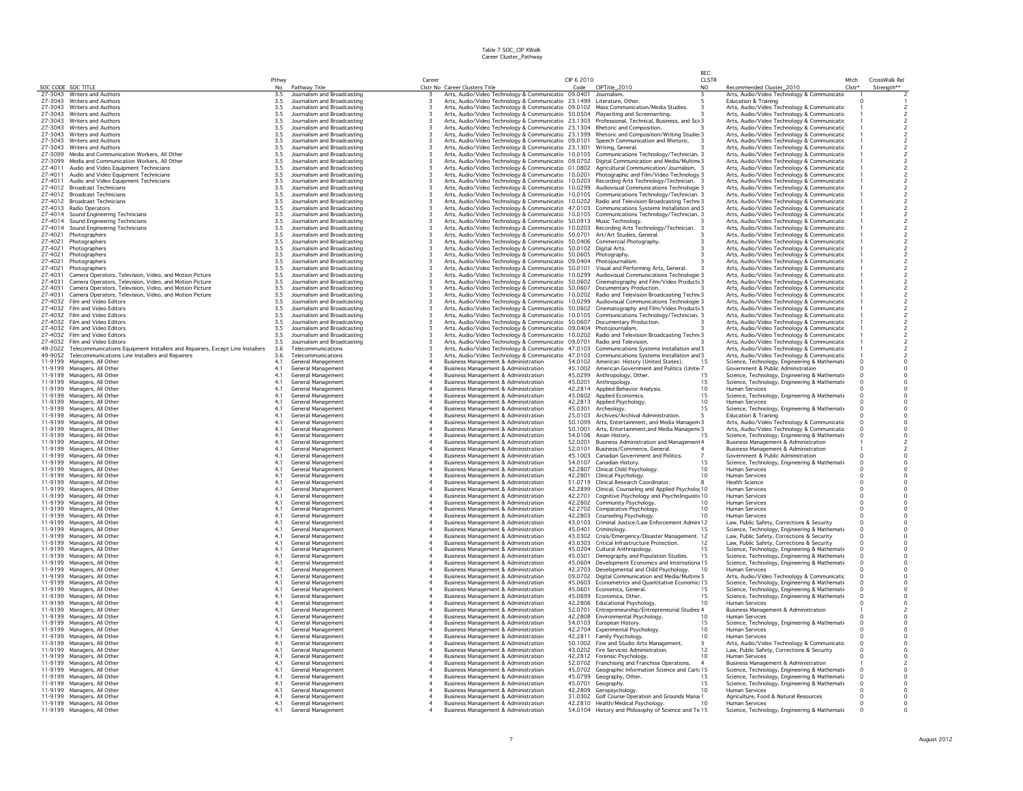|                    |                                                                                |                |                                                            |        |                                |                                                                                                            |                    |                                                                                                                                                                                 | RFC.                   |                                                                                              |                |                                     |
|--------------------|--------------------------------------------------------------------------------|----------------|------------------------------------------------------------|--------|--------------------------------|------------------------------------------------------------------------------------------------------------|--------------------|---------------------------------------------------------------------------------------------------------------------------------------------------------------------------------|------------------------|----------------------------------------------------------------------------------------------|----------------|-------------------------------------|
|                    | SOC CODE SOC TITLE                                                             | Pthwy<br>No    |                                                            | Career | Clstr No Career Clusters Title |                                                                                                            | CIP 6 2010         | CIPTitle_2010                                                                                                                                                                   | <b>CLSTR</b><br>NO.    |                                                                                              | Mtch<br>Clstr* | CrossWalk Rel                       |
|                    | 27-3043 Writers and Authors                                                    | 3.5            | Pathway Title<br>Journalism and Broadcasting               |        |                                | Arts, Audio/Video Technology & Communicatio 09.0401 Journalism.                                            | Code               |                                                                                                                                                                                 |                        | Recommended Cluster_2010<br>Arts, Audio/Video Technology & Communicatic                      |                | Strength**                          |
|                    | 27-3043 Writers and Authors                                                    | 3.5            | Journalism and Broadcasting                                |        |                                | Arts, Audio/Video Technology & Communicatio 23.1499 Literature, Other.                                     |                    |                                                                                                                                                                                 |                        | Education & Training                                                                         |                |                                     |
|                    | 27-3043 Writers and Authors                                                    | 3.5            | Journalism and Broadcasting                                |        |                                |                                                                                                            |                    | Arts, Audio/Video Technology & Communicatio 09.0102 Mass Communication/Media Studies.                                                                                           |                        | Arts, Audio/Video Technology & Communicatic                                                  |                |                                     |
| 27-3043            | <b>Writers and Authors</b>                                                     | 3.5            | Journalism and Broadcasting                                |        |                                |                                                                                                            |                    | Arts, Audio/Video Technology & Communicatio 50.0504 Playwriting and Screenwriting.                                                                                              |                        | Arts, Audio/Video Technology & Communicatic                                                  |                |                                     |
|                    | 27-3043 Writers and Authors                                                    | 3.5            | Journalism and Broadcasting                                |        |                                |                                                                                                            |                    | Arts, Audio/Video Technology & Communicatio 23.1303 Professional, Technical, Business, and Sci 3                                                                                |                        | Arts, Audio/Video Technology & Communicatic                                                  |                |                                     |
| 27-3043<br>27-3043 | Writers and Authors<br>Writers and Authors                                     | 3.5<br>3.5     | Journalism and Broadcasting<br>Journalism and Broadcasting |        |                                |                                                                                                            |                    | Arts, Audio/Video Technology & Communicatio 23.1304 Rhetoric and Composition.<br>Arts, Audio/Video Technology & Communicatio 23.1399 Rhetoric and Composition/Writing Studie: 3 |                        | Arts, Audio/Video Technology & Communicatic<br>Arts, Audio/Video Technology & Communicatic   |                |                                     |
| 27-3043            | Writers and Authors                                                            | 3.5            | Journalism and Broadcasting                                |        |                                | Arts, Audio/Video Technology & Communicatio 09.0101                                                        |                    | Speech Communication and Rhetoric.                                                                                                                                              |                        | Arts, Audio/Video Technology & Communicatic                                                  |                |                                     |
| 27-3043            | Writers and Authors                                                            | 3.5            | Journalism and Broadcasting                                |        |                                | Arts, Audio/Video Technology & Communicatio 23.1301                                                        |                    | Writing, General.                                                                                                                                                               |                        | Arts, Audio/Video Technology & Communicatic                                                  |                |                                     |
| 27-3099            | Media and Communication Workers, All Other                                     | 3.5            | Journalism and Broadcasting                                |        |                                |                                                                                                            |                    | Arts, Audio/Video Technology & Communicatio 10.0105 Communications Technology/Technician. 3                                                                                     |                        | Arts, Audio/Video Technology & Communicatic                                                  |                | $\overline{c}$                      |
| 27-3099            | Media and Communication Workers, All Other                                     | 3.5            | Journalism and Broadcasting                                |        |                                |                                                                                                            |                    | Arts, Audio/Video Technology & Communicatio 09.0702 Digital Communication and Media/Multim 3                                                                                    |                        | Arts, Audio/Video Technology & Communicatic                                                  |                | $\overline{c}$                      |
| 27-4011            | Audio and Video Equipment Technicians                                          | 3.5            | Journalism and Broadcasting                                |        |                                | Arts, Audio/Video Technology & Communicatio 01.0802                                                        |                    | Agricultural Communication/Journalism. 3                                                                                                                                        |                        | Arts, Audio/Video Technology & Communicatic                                                  |                | $\overline{c}$                      |
| 27-4011<br>27-4011 | Audio and Video Equipment Technicians<br>Audio and Video Equipment Technicians | $3.5\,$<br>3.5 | Journalism and Broadcasting<br>Journalism and Broadcasting |        |                                | Arts, Audio/Video Technology & Communicatio 10.0201                                                        |                    | Photographic and Film/Video Technology 3                                                                                                                                        |                        | Arts, Audio/Video Technology & Communicatic                                                  |                | 2                                   |
| 27-4012            | <b>Broadcast Technicians</b>                                                   | 3.5            | Journalism and Broadcasting                                |        |                                | Arts, Audio/Video Technology & Communicatio 10.0299                                                        |                    | Arts, Audio/Video Technology & Communicatio 10.0203 Recording Arts Technology/Technician. 3<br>Audiovisual Communications Technologie 3                                         |                        | Arts, Audio/Video Technology & Communicatic<br>Arts, Audio/Video Technology & Communicatic   |                | $\overline{c}$                      |
| 27-4012            | <b>Broadcast Technicians</b>                                                   | 3.5            | Journalism and Broadcasting                                |        |                                |                                                                                                            |                    | Arts, Audio/Video Technology & Communicatio 10.0105 Communications Technology/Technician. 3                                                                                     |                        | Arts, Audio/Video Technology & Communicatic                                                  |                | $\overline{c}$                      |
| 27-4012            | <b>Broadcast Technicians</b>                                                   | 3.5            | Journalism and Broadcasting                                |        |                                | Arts, Audio/Video Technology & Communicatio 10.0202                                                        |                    | Radio and Television Broadcasting Techno3                                                                                                                                       |                        | Arts, Audio/Video Technology & Communicatic                                                  |                |                                     |
| 27-4013            | Radio Operators                                                                | $3.5\,$        | Journalism and Broadcasting                                |        |                                |                                                                                                            |                    | Arts, Audio/Video Technology & Communicatio 47.0103 Communications Systems Installation and 3                                                                                   |                        | Arts, Audio/Video Technology & Communicatic                                                  |                | $\overline{c}$                      |
| 27-4014            | Sound Engineering Technicians                                                  | 3.5            | Journalism and Broadcasting                                |        |                                |                                                                                                            |                    | Arts, Audio/Video Technology & Communicatio 10.0105 Communications Technology/Technician. 3                                                                                     |                        | Arts, Audio/Video Technology & Communicatic                                                  |                | $\overline{c}$<br>$\overline{c}$    |
| 27-4014<br>27-4014 | Sound Engineering Technicians<br>Sound Engineering Technicians                 | 3.5<br>3.5     | Journalism and Broadcasting<br>Journalism and Broadcasting |        |                                | Arts, Audio/Video Technology & Communicatio 50.0913 Music Technology.                                      |                    | Arts, Audio/Video Technology & Communicatio 10.0203 Recording Arts Technology/Technician.                                                                                       |                        | Arts, Audio/Video Technology & Communicatic<br>Arts, Audio/Video Technology & Communicatic   |                | $\overline{c}$                      |
| 27-4021            | Photographers                                                                  | 3.5            | Journalism and Broadcasting                                |        |                                | Arts, Audio/Video Technology & Communicatio 50.0701                                                        |                    | Art/Art Studies, General,                                                                                                                                                       |                        | Arts, Audio/Video Technology & Communicatic                                                  |                | $\overline{c}$                      |
| 27-4021            | Photographers                                                                  | 3.5            | Journalism and Broadcasting                                |        |                                | Arts, Audio/Video Technology & Communicatio 50.0406                                                        |                    | Commercial Photography.                                                                                                                                                         |                        | Arts, Audio/Video Technology & Communicatic                                                  |                | 2                                   |
| 27-4021            | Photographers                                                                  | 3.5            | Journalism and Broadcasting                                |        |                                | Arts, Audio/Video Technology & Communicatio 50.0102                                                        |                    | Digital Arts.                                                                                                                                                                   |                        | Arts, Audio/Video Technology & Communicatic                                                  |                | $\overline{\mathbf{c}}$             |
| 27-4021            | Photographers                                                                  | 3.5            | Journalism and Broadcasting                                |        |                                | Arts, Audio/Video Technology & Communicatio 50.0605                                                        |                    | Photography                                                                                                                                                                     |                        | Arts, Audio/Video Technology & Communicatic                                                  |                |                                     |
| 27-4021            | Photographers                                                                  | 3.5            | Journalism and Broadcasting                                |        |                                | Arts, Audio/Video Technology & Communicatio 09.0404                                                        |                    | Photojournalism                                                                                                                                                                 |                        | Arts, Audio/Video Technology & Communicatic                                                  |                | $\overline{c}$                      |
| 27-4021<br>27-4031 | Photographers<br>Camera Operators, Television, Video, and Motion Picture       | 3.5<br>3.5     | Journalism and Broadcasting<br>Journalism and Broadcasting |        |                                | Arts, Audio/Video Technology & Communicatio 50.0101<br>Arts, Audio/Video Technology & Communicatio 10.0299 |                    | Visual and Performing Arts, General.<br>Audiovisual Communications Technologie 3                                                                                                |                        | Arts, Audio/Video Technology & Communicatic<br>Arts, Audio/Video Technology & Communicatic   |                | $\overline{c}$                      |
| 27-4031            | Camera Operators, Television, Video, and Motion Picture                        | 3.5            | Journalism and Broadcasting                                |        |                                |                                                                                                            |                    | Arts, Audio/Video Technology & Communicatio 50.0602 Cinematography and Film/Video Producti 3                                                                                    |                        | Arts, Audio/Video Technology & Communicatic                                                  |                | $\overline{c}$                      |
| 27-4031            | Camera Operators, Television, Video, and Motion Picture                        | 3.5            | Journalism and Broadcasting                                |        |                                | Arts, Audio/Video Technology & Communicatio 50.0607                                                        |                    | Documentary Production.                                                                                                                                                         |                        | Arts, Audio/Video Technology & Communicatic                                                  |                | $\overline{c}$                      |
| 27-4031            | Camera Operators, Television, Video, and Motion Picture                        | 3.5            | Journalism and Broadcasting                                |        |                                | Arts, Audio/Video Technology & Communicatio 10.0202                                                        |                    | Radio and Television Broadcasting Techno 3                                                                                                                                      |                        | Arts, Audio/Video Technology & Communicatic                                                  |                | $\frac{2}{2}$                       |
| 27-4032            | Film and Video Editors                                                         | 3.5            | Journalism and Broadcasting                                |        |                                | Arts, Audio/Video Technology & Communicatio 10.0299                                                        |                    | Audiovisual Communications Technologie 3                                                                                                                                        |                        | Arts, Audio/Video Technology & Communicatic                                                  |                |                                     |
| 27-4032            | Film and Video Editors                                                         | 3.5            | Journalism and Broadcasting                                |        |                                |                                                                                                            |                    | Arts, Audio/Video Technology & Communicatio 50.0602 Cinematography and Film/Video Producti 3                                                                                    |                        | Arts, Audio/Video Technology & Communicatic                                                  |                | 2                                   |
| 27-4032<br>27-4032 | Film and Video Editors<br>Film and Video Editors                               | 3.5<br>3.5     | Journalism and Broadcasting<br>Journalism and Broadcasting |        |                                | Arts, Audio/Video Technology & Communicatio 10.0105<br>Arts, Audio/Video Technology & Communicatio 50.0607 |                    | Communications Technology/Technician. 3<br>Documentary Production.                                                                                                              |                        | Arts, Audio/Video Technology & Communicatic<br>Arts, Audio/Video Technology & Communicatic   |                | $\overline{c}$                      |
| 27-4032            | Film and Video Editors                                                         | 3.5            | Journalism and Broadcasting                                |        |                                | Arts, Audio/Video Technology & Communicatio 09.0404                                                        |                    | Photojournalism                                                                                                                                                                 |                        | Arts, Audio/Video Technology & Communicatic                                                  |                |                                     |
| 27-4032            | Film and Video Editors                                                         | 3.5            | Journalism and Broadcasting                                |        |                                | Arts, Audio/Video Technology & Communicatio 10.0202                                                        |                    | Radio and Television Broadcasting Techno 3                                                                                                                                      |                        | Arts, Audio/Video Technology & Communicatic                                                  |                |                                     |
| 27-4032            | Film and Video Editors                                                         | 3.5            | Journalism and Broadcasting                                |        |                                | Arts, Audio/Video Technology & Communicatio 09.0701 Radio and Television.                                  |                    |                                                                                                                                                                                 |                        | Arts, Audio/Video Technology & Communicatic                                                  |                | $\overline{c}$                      |
| 49-2022            | Telecommunications Equipment Installers and Repairers, Except Line Installers  | 3.6            | Telecommunications                                         |        |                                |                                                                                                            |                    | Arts, Audio/Video Technology & Communicatio 47.0103 Communications Systems Installation and 3                                                                                   |                        | Arts, Audio/Video Technology & Communicatic                                                  |                | $\overline{c}$                      |
| 49-9052            | Telecommunications Line Installers and Repairers                               | 3.6            | Telecommunications                                         |        |                                |                                                                                                            |                    | Arts, Audio/Video Technology & Communicatio 47.0103 Communications Systems Installation and 3                                                                                   |                        | Arts, Audio/Video Technology & Communicatic                                                  |                | $\overline{c}$<br>$\overline{0}$    |
| 11-9199            | 11-9199 Managers, All Other                                                    | 4.1            | General Management                                         |        |                                | Business Management & Administration                                                                       | 45.1002            | 54.0102 American History (United States).                                                                                                                                       | 15                     | Science, Technology, Engineering & Mathemati                                                 |                |                                     |
| 11-9199            | Managers, All Other<br>Managers, All Other                                     | 4.1<br>4.1     | General Management<br>General Management                   |        |                                | <b>Business Management &amp; Administration</b><br>Business Management & Administration                    | 45.0299            | American Government and Politics (Unite 7<br>Anthropology, Other.                                                                                                               | 15                     | Government & Public Adminstration<br>Science, Technology, Engineering & Mathemati            |                | $_{\rm 0}^{\rm 0}$                  |
| 11-9199            | Managers, All Other                                                            | 4.1            | General Management                                         |        |                                | <b>Business Management &amp; Administration</b>                                                            | 45.0201            | Anthropology.                                                                                                                                                                   | 15                     | Science, Technology, Engineering & Mathemati-                                                |                | $\mathsf{O}\xspace$                 |
| 11-9199            | Managers, All Other                                                            | 4.1            | General Management                                         |        |                                | <b>Business Management &amp; Administration</b>                                                            |                    | 42.2814 Applied Behavior Analysis.                                                                                                                                              | 10                     | Human Services                                                                               |                | 0                                   |
| 11-9199            | Managers, All Other                                                            | 4.1            | General Management                                         |        |                                | Business Management & Administration                                                                       | 45.0602            | Applied Economics.                                                                                                                                                              | 15                     | Science, Technology, Engineering & Mathemati                                                 |                | $\mathsf{O}\xspace$                 |
| 11-9199            | Managers, All Other                                                            | 4.1            | General Management                                         |        |                                | <b>Business Management &amp; Administration</b>                                                            | 42.2813            | Applied Psychology.                                                                                                                                                             | 10 <sub>1</sub>        | Human Services                                                                               |                | $\circ$                             |
| 11-9199            | Managers, All Other                                                            | 4.1            | General Management                                         |        |                                | Business Management & Administration                                                                       | 45.0301            | Archeology                                                                                                                                                                      | 15                     | Science, Technology, Engineering & Mathemati-                                                |                | $\mathsf{O}\xspace$                 |
| 11-9199            | Managers, All Other<br>11-9199 Managers, All Other                             | 4.1<br>4.1     | General Management<br>General Management                   |        |                                | <b>Business Management &amp; Administration</b><br>Business Management & Administration                    | 25.0103<br>50.1099 | Archives/Archival Administration.<br>Arts, Entertainment, and Media Managem 3                                                                                                   |                        | Education & Training<br>Arts, Audio/Video Technology & Communicatic                          |                | $\ddot{\mathbf{0}}$<br>$\circ$      |
|                    | 11-9199 Managers, All Other                                                    | 4.1            | General Management                                         |        |                                | Business Management & Administration                                                                       | 50,1001            | Arts, Entertainment, and Media Managem  3                                                                                                                                       |                        | Arts, Audio/Video Technology & Communicatic                                                  | $\Omega$       | $\mathsf{o}\,$                      |
| 11-9199            | Managers, All Other                                                            | 4.1            | General Management                                         |        |                                | <b>Business Management &amp; Administration</b>                                                            | 54.0106            | Asian History.                                                                                                                                                                  | 15                     | Science, Technology, Engineering & Mathemati-                                                | $\Omega$       | $\mathsf{o}$                        |
| 11-9199            | Managers, All Other                                                            | 4.1            | General Management                                         |        |                                | Business Management & Administration                                                                       | 52.0201            | <b>Business Administration and Managemer</b>                                                                                                                                    | nt4                    | Business Management & Administration                                                         |                | $\overline{\mathbf{c}}$             |
|                    | 11-9199 Managers, All Other                                                    | 4.1            | General Management                                         |        |                                | Business Management & Administration                                                                       | 52.0101            | Business/Commerce, General.                                                                                                                                                     |                        | Business Management & Administration                                                         |                | $\overline{c}$                      |
| 11-9199            | Managers, All Other                                                            | 4.1            | General Management                                         |        |                                | Business Management & Administration                                                                       | 45.1003            | Canadian Government and Politics.                                                                                                                                               |                        | Government & Public Adminstration                                                            |                | $\mathsf{o}\,$                      |
| 11-9199<br>11-9199 | Managers, All Other<br>Managers, All Other                                     | 4.1<br>4.1     | General Management<br>General Management                   |        |                                | Business Management & Administration<br><b>Business Management &amp; Administration</b>                    | 54.0107<br>42.2807 | Canadian History.<br>Clinical Child Psychology.                                                                                                                                 | 15<br>10 <sub>10</sub> | Science, Technology, Engineering & Mathemati-<br>Human Services                              | Ω              | $\mathsf{o}$<br>$\mathsf{O}\xspace$ |
|                    | 11-9199 Managers, All Other                                                    | 4.1            | General Management                                         |        |                                | Business Management & Administration                                                                       | 42.2801            | Clinical Psychology.                                                                                                                                                            | 10                     | <b>Human Services</b>                                                                        |                | $\circ$                             |
|                    | 11-9199 Managers, All Other                                                    | 4.1            | General Management                                         |        |                                | Business Management & Administration                                                                       | 51.0719            | Clinical Research Coordinator.                                                                                                                                                  |                        | <b>Health Science</b>                                                                        |                |                                     |
|                    | 11-9199 Managers, All Other                                                    | 4.1            | General Management                                         |        |                                | Business Management & Administration                                                                       | 42.2899            | Clinical, Counseling and Applied Psycholog 10                                                                                                                                   |                        | <b>Human Services</b>                                                                        | n              | $_{\rm 0}^{\rm 0}$                  |
|                    | 11-9199 Managers, All Other                                                    | 4.1            | General Management                                         |        |                                | Business Management & Administration                                                                       | 42.2701            | Cognitive Psychology and Psycholinguisti 10                                                                                                                                     |                        | <b>Human Services</b>                                                                        | $\Omega$       | $\mathsf{o}\,$                      |
| 11-9199            | Managers, All Other                                                            | 4.1            | <b>General Management</b>                                  |        |                                | <b>Business Management &amp; Administration</b>                                                            | 42.2802            | Community Psychology.                                                                                                                                                           | 10                     | <b>Human Services</b>                                                                        |                | $\mathsf{o}\,$                      |
| 11-9199            | 11-9199 Managers, All Other                                                    | 4.1<br>4.1     | General Management<br><b>General Management</b>            |        |                                | Business Management & Administration<br><b>Business Management &amp; Administration</b>                    | 42.2702<br>42.2803 | Comparative Psychology.<br>Counseling Psychology.                                                                                                                               | 10<br>10               | Human Services<br><b>Human Services</b>                                                      |                | $\mathsf{O}$<br>$\mathsf{O}\xspace$ |
| 11-9199            | Managers, All Other<br>Managers, All Other                                     | 4.1            | General Management                                         |        |                                | Business Management & Administration                                                                       | 43.0103            | Criminal Justice/Law Enforcement Admin 12                                                                                                                                       |                        | Law, Public Safety, Corrections & Security                                                   |                | $\mathsf{O}$                        |
| 11-9199            | Managers, All Other                                                            | 4.1            | General Management                                         |        |                                | Business Management & Administration                                                                       | 45.0401            | Criminology.                                                                                                                                                                    |                        | Science, Technology, Engineering & Mathemati-                                                |                | $\mathsf{o}$                        |
|                    | 11-9199 Managers, All Other                                                    | 4.1            | General Management                                         |        |                                | <b>Business Management &amp; Administration</b>                                                            | 43.0302            | Crisis/Emergency/Disaster Management. 12                                                                                                                                        |                        | Law, Public Safety, Corrections & Security                                                   |                | $\circ$                             |
|                    | 11-9199 Managers, All Other                                                    | 4.1            | General Management                                         |        |                                | <b>Business Management &amp; Administration</b>                                                            | 43.0303            | Critical Infrastructure Protection.                                                                                                                                             | 12                     | Law, Public Safety, Corrections & Security                                                   | $\Omega$       | $\mathsf{O}\xspace$                 |
| 11-9199            | 11-9199 Managers, All Other                                                    | 4.1            | General Management                                         |        |                                | Business Management & Administration                                                                       | 45.0204            | Cultural Anthropology.                                                                                                                                                          | 1.5<br>15              | Science, Technology, Engineering & Mathemati                                                 | $\Omega$       | $\mathsf{o}\,$                      |
| 11-9199            | Managers, All Other<br>Managers, All Other                                     | 4.1<br>4.1     | <b>General Management</b><br><b>General Management</b>     |        |                                | Business Management & Administration<br>Business Management & Administration                               | 45.0501<br>45.0604 | Demography and Population Studies.<br>Development Economics and Internationa 15                                                                                                 |                        | Science, Technology, Engineering & Mathemati<br>Science, Technology, Engineering & Mathemati | $\Omega$       | $_{\rm 0}^{\rm 0}$                  |
|                    | 11-9199 Managers, All Other                                                    | 4.1            | General Management                                         |        |                                | <b>Business Management &amp; Administration</b>                                                            | 42,2703            | Developmental and Child Psychology.                                                                                                                                             | 10                     | Human Services                                                                               |                | $\mathsf{o}\,$                      |
| 11-9199            | Managers, All Other                                                            | 4.1            | General Management                                         |        |                                | <b>Business Management &amp; Administration</b>                                                            | 09.0702            | Digital Communication and Media/Multime3                                                                                                                                        |                        | Arts, Audio/Video Technology & Communicatic                                                  |                | $\mathsf{o}\,$                      |
| 11-9199            | Managers, All Other                                                            | 4.1            | General Management                                         |        |                                | <b>Business Management &amp; Administration</b>                                                            | 45.0603            | Econometrics and Quantitative Economic 15                                                                                                                                       |                        | Science, Technology, Engineering & Mathemati                                                 |                | $\mathsf{o}$                        |
| 11-9199            | Managers, All Other                                                            | 4.1            | General Management                                         |        |                                | Business Management & Administration                                                                       | 45.0601            | Economics, General.                                                                                                                                                             | 15                     | Science, Technology, Engineering & Mathemati                                                 |                | $\mathsf{O}\xspace$                 |
|                    | 11-9199 Managers, All Other<br>11-9199 Managers, All Other                     | 4.1<br>4.1     | General Management<br>General Management                   |        |                                | <b>Business Management &amp; Administration</b><br><b>Business Management &amp; Administration</b>         | 45.0699<br>42.2806 | Economics, Other.<br>Educational Psychology.                                                                                                                                    | 1.5<br>10 <sup>1</sup> | Science, Technology, Engineering & Mathemati<br>Human Services                               |                | $\circ$<br>$\circ$                  |
|                    | 11-9199 Managers, All Other                                                    | 4.1            | General Management                                         |        |                                | <b>Business Management &amp; Administration</b>                                                            |                    | 52.0701 Entrepreneurship/Entrepreneurial Studies 4                                                                                                                              |                        | <b>Business Management &amp; Administration</b>                                              |                | $\overline{c}$                      |
|                    | 11-9199 Managers, All Other                                                    | 4.1            | General Management                                         |        |                                | <b>Business Management &amp; Administration</b>                                                            |                    | 42.2808 Environmental Psychology.                                                                                                                                               | 10 <sup>1</sup>        | <b>Human Services</b>                                                                        |                | $\mathsf{o}\,$                      |
|                    | 11-9199 Managers, All Other                                                    | 4.1            | General Management                                         |        |                                | Business Management & Administration                                                                       |                    | 54.0103 European History.                                                                                                                                                       | 15                     | Science, Technology, Engineering & Mathemati-                                                |                | $\mathsf{O}\xspace$                 |
|                    | 11-9199 Managers, All Other                                                    | 4.1            | General Management                                         |        |                                | <b>Business Management &amp; Administration</b>                                                            |                    | 42.2704 Experimental Psychology.                                                                                                                                                | 10                     | Human Services                                                                               |                | $\mathsf{O}$                        |
| 11-9199            | Managers, All Other                                                            | 4.1            | General Management                                         |        |                                | <b>Business Management &amp; Administration</b>                                                            | 42.2811            | Family Psychology.                                                                                                                                                              | 10                     | Human Services                                                                               |                | $\mathsf{o}\,$                      |
| 11-9199<br>11-9199 | Managers, All Other                                                            | 4.1<br>4.1     | General Management<br>General Management                   |        |                                | Business Management & Administration<br><b>Business Management &amp; Administration</b>                    | 43.0202            | 50.1002 Fine and Studio Arts Management.                                                                                                                                        | 3<br>12                | Arts, Audio/Video Technology & Communicatic                                                  |                | $\mathsf{O}$<br>$\circ$             |
|                    | Managers, All Other<br>11-9199 Managers, All Other                             | 4.1            | General Management                                         |        |                                | Business Management & Administration                                                                       |                    | Fire Services Administration.<br>42.2812 Forensic Psychology.                                                                                                                   | 10                     | Law, Public Safety, Corrections & Security<br>Human Services                                 |                | 0                                   |
|                    | 11-9199 Managers, All Other                                                    | 4.1            | General Management                                         |        |                                | <b>Business Management &amp; Administration</b>                                                            |                    | 52.0702 Franchising and Franchise Operations.                                                                                                                                   | $\overline{a}$         | Business Management & Administration                                                         |                | $\overline{c}$                      |
|                    | 11-9199 Managers, All Other                                                    | 4.1            | General Management                                         |        |                                | Business Management & Administration                                                                       | 45.0702            | Geographic Information Science and Cart 15                                                                                                                                      |                        | Science, Technology, Engineering & Mathemati-                                                |                | $\mathsf{o}\,$                      |
|                    | 11-9199 Managers, All Other                                                    | 4.1            | General Management                                         |        |                                | <b>Business Management &amp; Administration</b>                                                            | 45.0799            | Geography, Other.                                                                                                                                                               | 15                     | Science, Technology, Engineering & Mathemati-                                                | $\Omega$       | $\mathsf{O}\xspace$                 |
|                    | 11-9199 Managers, All Other                                                    | 4.1            | <b>General Management</b>                                  |        |                                | <b>Business Management &amp; Administration</b>                                                            | 45.0701            | Geography.                                                                                                                                                                      | 15                     | Science, Technology, Engineering & Mathemati                                                 | $\Omega$       | $\Omega$                            |
|                    | 11-9199 Managers, All Other<br>11-9199 Managers, All Other                     | 4.1<br>4.1     | General Management<br>General Management                   |        |                                | Business Management & Administration<br><b>Business Management &amp; Administration</b>                    | 42.2809            | Geropsychology.<br>31.0302 Golf Course Operation and Grounds Mana 1                                                                                                             | 10 <sup>1</sup>        | Human Services<br>Agriculture, Food & Natural Resources                                      | $\Omega$       | $\circ$<br>$\mathsf{O}\xspace$      |
|                    | 11-9199 Managers, All Other                                                    | 4.1            | General Management                                         |        |                                | <b>Business Management &amp; Administration</b>                                                            |                    | 42.2810 Health/Medical Psychology.                                                                                                                                              | 10                     | Human Services                                                                               |                | $\mathsf{O}$                        |
|                    | 11-9199 Managers, All Other                                                    | 4.1            | <b>General Management</b>                                  |        |                                | Business Management & Administration                                                                       |                    | 54.0104 History and Philosophy of Science and Te 15                                                                                                                             |                        | Science, Technology, Engineering & Mathemati-                                                |                | $\circ$                             |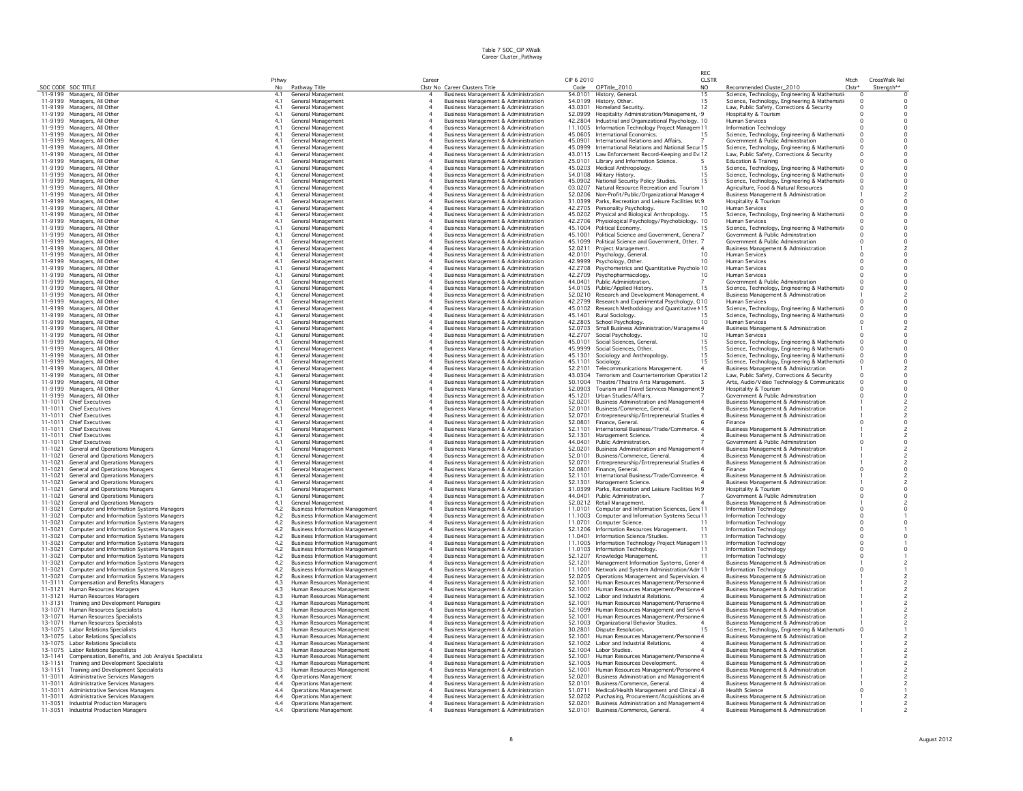|         |                                                                      | Pthwy          |                                                          | Career |                                                                                         | CIP 6 2010         |                                                                                  | CLSTR          |                                                                                             | Mtch     | CrossWalk Rel |
|---------|----------------------------------------------------------------------|----------------|----------------------------------------------------------|--------|-----------------------------------------------------------------------------------------|--------------------|----------------------------------------------------------------------------------|----------------|---------------------------------------------------------------------------------------------|----------|---------------|
|         | SOC CODE SOC TITLE                                                   | N <sub>0</sub> | Pathway Title                                            |        | Clstr No Career Clusters Title                                                          |                    | Code CIPTitle_2010                                                               | N <sub>O</sub> | Recommended Cluster_2010                                                                    | $Clstr*$ | Strength**    |
|         | 11-9199 Managers, All Other                                          | 4.1            | General Management                                       |        | Business Management & Administration                                                    |                    | 54.0101 History, General.                                                        | 15             | Science, Technology, Engineering & Mathemati-                                               |          |               |
|         | 11-9199 Managers, All Other<br>11-9199 Managers, All Other           | 4.1<br>4.1     | General Management<br>General Management                 |        | <b>Business Management &amp; Administration</b><br>Business Management & Administration | 43.0301            | 54.0199 History, Other.<br>Homeland Security.                                    | 15<br>12       | Science, Technology, Engineering & Mathemati-<br>Law, Public Safety, Corrections & Security |          |               |
|         | 11-9199 Managers, All Other                                          | 4.1            | General Management                                       |        | <b>Business Management &amp; Administration</b>                                         |                    | 52.0999 Hospitality Administration/Management, 9                                 |                | Hospitality & Tourism                                                                       |          |               |
|         | 11-9199 Managers, All Other                                          | 4.1            | <b>General Management</b>                                |        | Business Management & Administration                                                    |                    | 42.2804 Industrial and Organizational Psychology, 10                             |                | <b>Human Services</b>                                                                       |          |               |
|         | 11-9199 Managers, All Other                                          | 4.1            | General Management                                       |        | <b>Business Management &amp; Administration</b>                                         |                    | 11.1005 Information Technology Project Managerr 11                               |                | Information Technology                                                                      |          |               |
|         | 11-9199 Managers, All Other                                          | 4.1            | General Management                                       |        | <b>Business Management &amp; Administration</b>                                         |                    | 45.0605 International Economics.                                                 | 15             | Science, Technology, Engineering & Mathemati                                                |          |               |
|         | 11-9199 Managers, All Other                                          | 4.1            | General Management                                       |        | <b>Business Management &amp; Administration</b>                                         | 45.0901            | International Relations and Affairs.                                             |                | Government & Public Adminstration                                                           |          |               |
|         | 11-9199 Managers, All Other                                          | 4.1            | General Management                                       |        | Business Management & Administration                                                    |                    | 45.0999 International Relations and National Secur 15                            |                | Science, Technology, Engineering & Mathemati-                                               |          |               |
|         | 11-9199 Managers, All Other                                          | 4.1            | General Management                                       |        | <b>Business Management &amp; Administration</b>                                         |                    | 43.0115 Law Enforcement Record-Keeping and Ev 12                                 |                | Law, Public Safety, Corrections & Security                                                  |          |               |
|         | 11-9199 Managers, All Other                                          | 4.1            | General Management                                       |        | Business Management & Administration                                                    |                    | 25.0101 Library and Information Science.                                         |                | Education & Training                                                                        |          |               |
|         | 11-9199 Managers, All Other                                          | 4.1            | General Management                                       |        | Business Management & Administration                                                    |                    | 45.0203 Medical Anthropology.                                                    | 15             | Science, Technology, Engineering & Mathemati-                                               |          |               |
|         | 11-9199 Managers, All Other                                          | 41             | <b>General Management</b>                                |        | <b>Business Management &amp; Administration</b>                                         |                    | 54.0108 Military History.                                                        | 15             | Science, Technology, Engineering & Mathemati-                                               |          |               |
|         | 11-9199 Managers, All Other                                          | 4.1            | General Management                                       |        | Business Management & Administration                                                    |                    | 45.0902 National Security Policy Studies.                                        | 15             | Science, Technology, Engineering & Mathemati-                                               |          |               |
|         | 11-9199 Managers, All Other                                          | 4.1            | General Management                                       |        | Business Management & Administration                                                    | 03.0207            | Natural Resource Recreation and Tourism 1                                        |                | Agriculture, Food & Natural Resources                                                       |          |               |
|         | 11-9199 Managers, All Other                                          | 4.1            | General Management                                       |        | <b>Business Management &amp; Administration</b>                                         |                    | 52.0206 Non-Profit/Public/Organizational Manager 4                               |                | <b>Business Management &amp; Administration</b>                                             |          |               |
|         | 11-9199 Managers, All Other                                          | 4.1            | General Management                                       |        | Business Management & Administration                                                    |                    | 31.0399 Parks, Recreation and Leisure Facilities M: 9                            |                | Hospitality & Tourism                                                                       |          |               |
|         | 11-9199 Managers, All Other                                          | 4.1            | General Management                                       |        | <b>Business Management &amp; Administration</b>                                         |                    | 42.2705 Personality Psychology.                                                  |                | Human Services                                                                              |          |               |
|         | 11-9199 Managers, All Other                                          | 4.1            | General Management                                       |        | Business Management & Administration                                                    |                    | 45.0202 Physical and Biological Anthropology.                                    |                | Science, Technology, Engineering & Mathemati                                                |          |               |
|         | 11-9199 Managers, All Other                                          | 4.1            | General Management                                       |        | Business Management & Administration                                                    |                    | 42.2706 Physiological Psychology/Psychobiology. 10                               |                | Human Services                                                                              |          |               |
|         | 11-9199 Managers, All Other                                          | 4.1            | General Management                                       |        | <b>Business Management &amp; Administration</b>                                         |                    | 45.1004 Political Economy.                                                       |                | Science, Technology, Engineering & Mathemati-                                               |          |               |
|         | 11-9199 Managers, All Other                                          | 4.1            | <b>General Management</b>                                |        | Business Management & Administration                                                    | 45.1001            | Political Science and Government, Genera 7                                       |                | Government & Public Adminstration                                                           |          |               |
|         | 11-9199 Managers, All Other                                          | 4.1            | General Management                                       |        | <b>Business Management &amp; Administration</b>                                         |                    | 45.1099 Political Science and Government, Other. 7                               |                | Government & Public Adminstration                                                           |          |               |
|         | 11-9199 Managers, All Other                                          | 4.1            | General Management                                       |        | Business Management & Administration                                                    |                    | 52.0211 Project Management.                                                      |                | <b>Business Management &amp; Administration</b>                                             |          |               |
|         | 11-9199 Managers, All Other                                          | 4.1            | General Management                                       |        | <b>Business Management &amp; Administration</b>                                         | 42,0101            | Psychology, General.                                                             | 10             | Human Services                                                                              |          |               |
|         | 11-9199 Managers, All Other                                          | 4.1            | General Management                                       |        | <b>Business Management &amp; Administration</b>                                         | 42.9999            | Psychology, Other.                                                               | 10             | <b>Human Services</b>                                                                       |          |               |
|         | 11-9199 Managers, All Other                                          | 4.1            | <b>General Management</b>                                |        | Business Management & Administration                                                    | 42.2708            | Psychometrics and Quantitative Psycholo 10                                       |                | <b>Human Services</b>                                                                       |          |               |
|         | 11-9199 Managers, All Other                                          | 4.1            | General Management                                       |        | <b>Business Management &amp; Administration</b>                                         |                    | 42.2709 Psychopharmacology.                                                      | 10             | <b>Human Services</b>                                                                       |          |               |
|         | 11-9199 Managers, All Other                                          | 4.1            | General Management                                       |        | <b>Business Management &amp; Administration</b>                                         | 44.0401            | Public Administration.                                                           |                | Government & Public Adminstration                                                           |          |               |
|         | 11-9199 Managers, All Other                                          | 4.1            | General Management                                       |        | Business Management & Administration                                                    |                    | 54.0105 Public/Applied History.                                                  | 15             | Science, Technology, Engineering & Mathemati-                                               |          |               |
|         | 11-9199 Managers, All Other                                          | 4.1            | <b>General Management</b>                                |        | <b>Business Management &amp; Administration</b>                                         |                    | 52.0210 Research and Development Management. 4                                   |                | <b>Business Management &amp; Administration</b>                                             |          |               |
|         | 11-9199 Managers, All Other                                          | 41             | General Management                                       |        | <b>Business Management &amp; Administration</b>                                         | 42.2799            | Research and Experimental Psychology, C10                                        |                | <b>Human Services</b>                                                                       |          |               |
|         | 11-9199 Managers, All Other                                          | 4.1            | General Management                                       |        | Business Management & Administration                                                    |                    | 45.0102 Research Methodology and Quantitative 115                                |                | Science, Technology, Engineering & Mathemati-                                               |          |               |
|         | 11-9199 Managers, All Other                                          | 4.1            | General Management                                       |        | Business Management & Administration                                                    | 45.1401            | Rural Sociology.                                                                 | 15             | Science, Technology, Engineering & Mathemati-                                               |          |               |
|         | 11-9199 Managers, All Other                                          | 4.1            | General Management                                       |        | Business Management & Administration                                                    |                    | 42.2805 School Psychology.                                                       | 10             | <b>Human Services</b>                                                                       |          |               |
|         | 11-9199 Managers, All Other                                          | 4.1            | General Management                                       |        | <b>Business Management &amp; Administration</b>                                         | 52.0703            | Small Business Administration/Manageme 4                                         |                | Business Management & Administration                                                        |          |               |
|         | 11-9199 Managers, All Other                                          |                | General Management                                       |        | <b>Business Management &amp; Administration</b>                                         | 42.2707            | Social Psychology.                                                               | 10             | Human Services                                                                              |          |               |
|         | 11-9199 Managers, All Other                                          | 4.1            | General Management                                       |        | <b>Business Management &amp; Administration</b>                                         |                    | 45.0101 Social Sciences, General.                                                | 15             | Science, Technology, Engineering & Mathemati                                                |          |               |
|         | 11-9199 Managers, All Other                                          | 4.1            | General Management                                       |        | Business Management & Administration                                                    | 45.9999            | Social Sciences, Other.                                                          | 15             | Science, Technology, Engineering & Mathemati-                                               |          |               |
|         | 11-9199 Managers, All Other                                          | 4.1            | General Management                                       |        | <b>Business Management &amp; Administration</b>                                         | 45.1301            | Sociology and Anthropology.                                                      | 15             | Science, Technology, Engineering & Mathemati-                                               |          |               |
|         | 11-9199 Managers, All Other                                          | 4.1            | General Management                                       |        | Business Management & Administration                                                    | 45.1101            | Sociology                                                                        | 15             | Science, Technology, Engineering & Mathemati-                                               |          |               |
|         | 11-9199 Managers, All Other                                          | 4.1            | General Management                                       |        | <b>Business Management &amp; Administration</b>                                         | 52.2101            | Telecommunications Management.                                                   |                | <b>Business Management &amp; Administration</b>                                             |          |               |
|         | 11-9199 Managers, All Other                                          | 4.1            | General Management                                       |        | Business Management & Administration                                                    | 43.0304            | Terrorism and Counterterrorism Operatio: 12                                      |                | Law, Public Safety, Corrections & Security                                                  |          |               |
|         | 11-9199 Managers, All Other                                          | 4.1            | General Management                                       |        | <b>Business Management &amp; Administration</b>                                         | 50.1004            | Theatre/Theatre Arts Management.                                                 |                | Arts, Audio/Video Technology & Communicatic                                                 |          |               |
|         | 11-9199 Managers, All Other                                          | 4.1            | General Management                                       |        | Business Management & Administration                                                    | 52.0903            | Tourism and Travel Services Management 9                                         |                | Hospitality & Tourism                                                                       |          |               |
|         | 11-9199 Managers, All Other                                          | 4.1            | General Management                                       |        | Business Management & Administration                                                    | 45.1201            | Urban Studies/Affairs.                                                           |                | Government & Public Adminstration                                                           |          |               |
|         | 11-1011 Chief Executives                                             | 4.1            | General Management                                       |        | <b>Business Management &amp; Administration</b>                                         | 52.0201            | Business Administration and Management 4                                         |                | <b>Business Management &amp; Administration</b>                                             |          |               |
|         | 11-1011 Chief Executives<br>11-1011 Chief Executives                 | 4.1            | General Management                                       |        | <b>Business Management &amp; Administration</b>                                         | 52.0101<br>52.0701 | Business/Commerce, General.<br>Entrepreneurship/Entrepreneurial Studies 4        |                | <b>Business Management &amp; Administration</b>                                             |          |               |
|         | 11-1011 Chief Executives                                             | 4.1            | General Management<br>General Management                 |        | Business Management & Administration<br>Business Management & Administration            | 52.0801            | Finance, General.                                                                |                | <b>Business Management &amp; Administration</b>                                             |          |               |
|         | 11-1011 Chief Executives                                             |                | General Management                                       |        | Business Management & Administration                                                    | 52.1101            | International Business/Trade/Commerce. 4                                         |                | Finance<br>Business Management & Administration                                             |          |               |
|         | 11-1011 Chief Executives                                             | 4.1<br>4.1     |                                                          |        |                                                                                         | 52.1301            |                                                                                  |                |                                                                                             |          |               |
|         | 11-1011 Chief Executives                                             | 4.1            | General Management<br>General Management                 |        | Business Management & Administration<br><b>Business Management &amp; Administration</b> | 44.0401            | Management Science.<br>Public Administration.                                    |                | Business Management & Administration<br>Government & Public Adminstration                   |          |               |
|         | 11-1021 General and Operations Managers                              | 4.1            | General Management                                       |        | <b>Business Management &amp; Administration</b>                                         | 52.0201            | Business Administration and Management 4                                         |                | <b>Business Management &amp; Administration</b>                                             |          |               |
| 11-1021 | General and Operations Managers                                      | 4.1            | General Management                                       |        | Business Management & Administration                                                    | 52.0101            | Business/Commerce, General.                                                      |                | <b>Business Management &amp; Administration</b>                                             |          |               |
|         | 11-1021 General and Operations Managers                              | 4.1            | General Management                                       |        | Business Management & Administration                                                    | 52.0701            | Entrepreneurship/Entrepreneurial Studies 4                                       |                | <b>Business Management &amp; Administration</b>                                             |          |               |
|         | 11-1021 General and Operations Managers                              | 4.1            | General Management                                       |        | Business Management & Administration                                                    | 52.0801            | Finance, General,                                                                |                | Finance                                                                                     |          |               |
|         | 11-1021 General and Operations Managers                              | 4.1            | General Management                                       |        | Business Management & Administration                                                    | 52.1101            | International Business/Trade/Commerce, 4                                         |                | Business Management & Administration                                                        |          |               |
|         | 11-1021 General and Operations Managers                              | 4.1            | General Management                                       |        | <b>Business Management &amp; Administration</b>                                         | 52.1301            | Management Science.                                                              |                | Business Management & Administration                                                        |          |               |
| 11-1021 | General and Operations Managers                                      | 4.1            | General Management                                       |        | Business Management & Administration                                                    | 31.0399            | Parks, Recreation and Leisure Facilities M: 9                                    |                | Hospitality & Tourism                                                                       | $\Omega$ |               |
|         | 11-1021 General and Operations Managers                              | 4.1            | General Management                                       |        | <b>Business Management &amp; Administration</b>                                         | 44,0401            | Public Administration.                                                           |                | Government & Public Adminstration                                                           |          |               |
| 11-1021 | General and Operations Managers                                      | 4.1            | General Management                                       |        | <b>Business Management &amp; Administration</b>                                         | 52.0212            | Retail Management.                                                               |                | Business Management & Administration                                                        |          |               |
|         | 11-3021 Computer and Information Systems Managers                    | 4.2            | <b>Business Information Management</b>                   |        | Business Management & Administration                                                    | 11.0101            | Computer and Information Sciences, Gene 11                                       |                | Information Technology                                                                      |          |               |
|         | 11-3021 Computer and Information Systems Managers                    | 4.2            | <b>Business Information Management</b>                   |        | <b>Business Management &amp; Administration</b>                                         | 11.1003            | Computer and Information Systems Secul 11                                        |                | Information Technology                                                                      | $\Omega$ |               |
| 11-3021 | Computer and Information Systems Managers                            | 4.2            | <b>Business Information Management</b>                   |        | Business Management & Administration                                                    | 11.0701            | Computer Science.                                                                |                | Information Technology                                                                      |          |               |
| 11-3021 | Computer and Information Systems Managers                            | 4.2            | <b>Business Information Management</b>                   |        | Business Management & Administration                                                    | 52.1206            | Information Resources Management.                                                | 11             | Information Technology                                                                      |          |               |
| 11-3021 | Computer and Information Systems Managers                            | 4.2            | <b>Business Information Management</b>                   |        | Business Management & Administration                                                    | 11.0401            | Information Science/Studies.                                                     | 11             | Information Technology                                                                      |          |               |
| 11-3021 | Computer and Information Systems Managers                            | 4.2            | <b>Business Information Management</b>                   |        | <b>Business Management &amp; Administration</b>                                         |                    | 11.1005 Information Technology Project Managem 11                                |                | Information Technology                                                                      |          |               |
| 11-3021 | Computer and Information Systems Managers                            | 4.2            | <b>Business Information Management</b>                   |        | <b>Business Management &amp; Administration</b>                                         |                    | 11.0103 Information Technology.                                                  |                | Information Technology                                                                      | $\Omega$ |               |
| 11-3021 | Computer and Information Systems Managers                            | 4.2            | <b>Business Information Management</b>                   |        | Business Management & Administration                                                    | 52.1207            | Knowledge Management.                                                            | 11             | Information Technology                                                                      |          |               |
| 11-3021 | Computer and Information Systems Managers                            | 4.2            | <b>Business Information Management</b>                   |        | <b>Business Management &amp; Administration</b>                                         | 52.1201            | Management Information Systems, Gener 4                                          |                | Business Management & Administration                                                        |          |               |
| 11-3021 | Computer and Information Systems Managers                            | 4.2            | <b>Business Information Management</b>                   |        | Business Management & Administration                                                    | 11,1001            | Network and System Administration/Adm 11                                         |                | Information Technology                                                                      |          |               |
|         | 11-3021 Computer and Information Systems Managers                    | 4.2            | <b>Business Information Management</b>                   |        | <b>Business Management &amp; Administration</b>                                         | 52.0205            | Operations Management and Supervision. 4                                         |                | <b>Business Management &amp; Administration</b>                                             |          |               |
| 11-3111 | <b>Compensation and Benefits Managers</b>                            | 4.3<br>4.3     | Human Resources Management                               |        | Business Management & Administration                                                    | 52.1001            | Human Resources Management/Personne 4                                            |                | <b>Business Management &amp; Administration</b>                                             |          |               |
|         | 11-3121 Human Resources Managers<br>11-3121 Human Resources Managers |                | Human Resources Management<br>Human Resources Management |        | Business Management & Administration<br>Business Management & Administration            | 52,1001            | Human Resources Management/Personne 4<br>52.1002 Labor and Industrial Relations. |                | <b>Business Management &amp; Administration</b><br>Business Management & Administration     |          |               |
|         | 11-3131 Training and Development Managers                            | 4.3<br>4.3     | Human Resources Management                               |        | Business Management & Administration                                                    | 52,1001            | Human Resources Management/Personne 4                                            |                | Business Management & Administration                                                        |          |               |
|         | 13-1071 Human Resources Specialists                                  | 4.3            | Human Resources Management                               |        | Business Management & Administration                                                    | 52.1099            | Human Resources Management and Servi 4                                           |                | <b>Business Management &amp; Administration</b>                                             |          |               |
|         | 13-1071 Human Resources Specialists                                  | 4.3            | Human Resources Management                               |        | Business Management & Administration                                                    | 52.1001            | Human Resources Management/Personne 4                                            |                | <b>Business Management &amp; Administration</b>                                             |          |               |
|         | 13-1071 Human Resources Specialists                                  | 4.3            | Human Resources Management                               |        | <b>Business Management &amp; Administration</b>                                         |                    | 52.1003 Organizational Behavior Studies.                                         |                | <b>Business Management &amp; Administration</b>                                             |          |               |
|         | 13-1075 Labor Relations Specialists                                  | 4.3            | Human Resources Management                               |        | <b>Business Management &amp; Administration</b>                                         | 30,2801            | Dispute Resolution.                                                              | 15             | Science, Technology, Engineering & Mathemati-                                               |          |               |
|         | 13-1075 Labor Relations Specialists                                  | 4.3            | Human Resources Management                               |        | Business Management & Administration                                                    | 52,1001            | Human Resources Management/Personne 4                                            |                | <b>Business Management &amp; Administration</b>                                             |          |               |
|         | 13-1075 Labor Relations Specialists                                  | 4.3            | Human Resources Management                               |        | Business Management & Administration                                                    |                    | 52.1002 Labor and Industrial Relations.                                          |                | <b>Business Management &amp; Administration</b>                                             |          |               |
|         | 13-1075 Labor Relations Specialists                                  | 4.3            | Human Resources Management                               |        | Business Management & Administration                                                    |                    | 52.1004 Labor Studies                                                            |                | <b>Business Management &amp; Administration</b>                                             |          |               |
|         | 13-1141 Compensation, Benefits, and Job Analysis Specialists         | 4.3            | Human Resources Management                               |        | Business Management & Administration                                                    | 52,1001            | Human Resources Management/Personne 4                                            |                | <b>Business Management &amp; Administration</b>                                             |          |               |
|         | 13-1151 Training and Development Specialists                         | 4.3            | Human Resources Management                               |        | <b>Business Management &amp; Administration</b>                                         | 52.1005            | Human Resources Development.                                                     |                | <b>Business Management &amp; Administration</b>                                             |          |               |
|         | 13-1151 Training and Development Specialists                         | 4.3            | Human Resources Management                               |        | Business Management & Administration                                                    | 52.1001            | Human Resources Management/Personne 4                                            |                | <b>Business Management &amp; Administration</b>                                             |          |               |
|         | 11-3011 Administrative Services Managers                             | 4.4            | <b>Operations Management</b>                             |        | Business Management & Administration                                                    | 52.0201            | <b>Business Administration and Management 4</b>                                  |                | Business Management & Administration                                                        |          |               |
|         | 11-3011 Administrative Services Managers                             | 4.4            | Operations Management                                    |        | Business Management & Administration                                                    | 52.0101            | Business/Commerce, General.                                                      |                | <b>Business Management &amp; Administration</b>                                             |          |               |
|         | 11-3011 Administrative Services Managers                             | 4.4            | <b>Operations Management</b>                             |        | Business Management & Administration                                                    |                    | 51.0711 Medical/Health Management and Clinical &                                 |                | Health Science                                                                              |          |               |
|         | 11-3011 Administrative Services Managers                             | 4.4            | <b>Operations Management</b>                             |        | Business Management & Administration                                                    |                    | 52.0202 Purchasing, Procurement/Acquisitions an 4                                |                | Business Management & Administration                                                        |          |               |
|         | 11-3051 Industrial Production Managers                               | 4.4            | <b>Operations Management</b>                             |        | <b>Business Management &amp; Administration</b>                                         | 52.0201            | Business Administration and Management 4                                         |                | <b>Business Management &amp; Administration</b>                                             |          |               |
|         | 11-3051 Industrial Production Managers                               | 4.4            | <b>Operations Management</b>                             |        | Business Management & Administration                                                    | 52.0101            | Business/Commerce, General.                                                      |                | <b>Business Management &amp; Administration</b>                                             |          |               |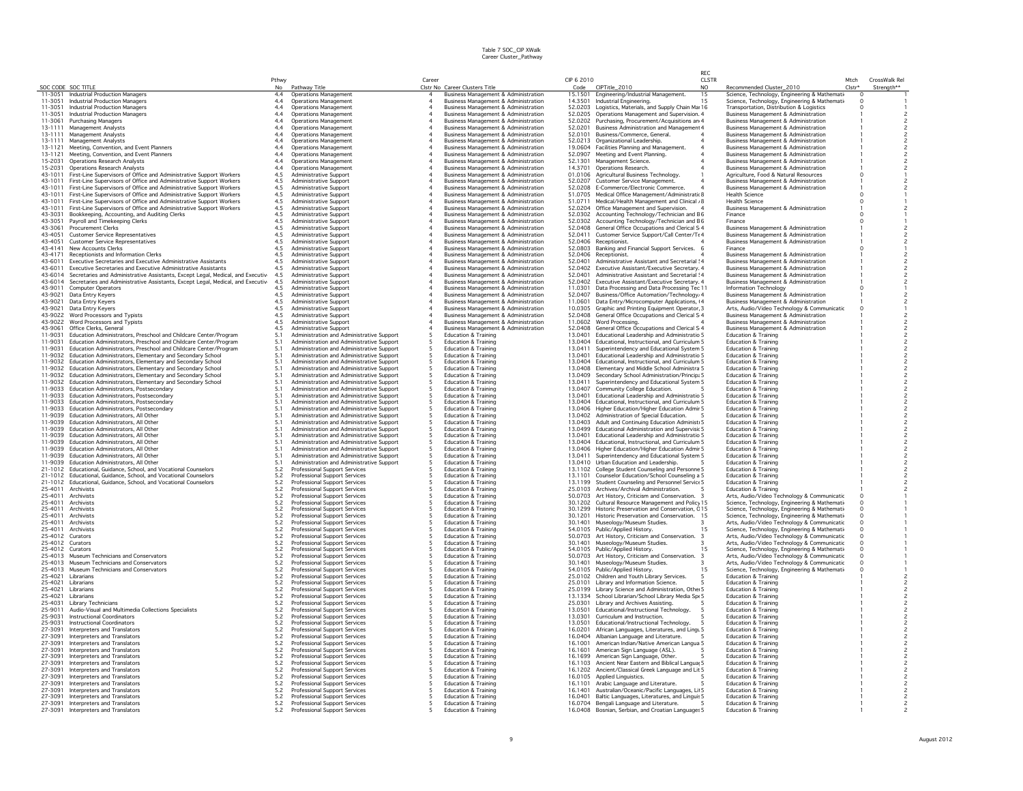|                    |                                                                                                                                            |             |                                                                                        |                  |                                                                                                    |                    |                                                                                                      | RFC.                |                                                                                                    |                |                             |
|--------------------|--------------------------------------------------------------------------------------------------------------------------------------------|-------------|----------------------------------------------------------------------------------------|------------------|----------------------------------------------------------------------------------------------------|--------------------|------------------------------------------------------------------------------------------------------|---------------------|----------------------------------------------------------------------------------------------------|----------------|-----------------------------|
|                    |                                                                                                                                            | Pthwy<br>No |                                                                                        | Career           | Clstr No Career Clusters Title                                                                     | CIP 6 2010         |                                                                                                      | <b>CLSTR</b><br>NO. |                                                                                                    | Mtch<br>Clstr* | CrossWalk Rel<br>Strenath** |
|                    | SOC CODE SOC TITLE<br>11-3051 Industrial Production Managers                                                                               | 4.4         | Pathway Title<br><b>Operations Management</b>                                          | $\overline{a}$   | <b>Business Management &amp; Administration</b>                                                    | Code               | CIPTitle_2010<br>15.1501 Engineering/Industrial Management.                                          | 15                  | Recommended Cluster_2010<br>Science, Technology, Engineering & Mathemati                           | $\Omega$       |                             |
| 11-3051            | Industrial Production Managers                                                                                                             | 4.4         | <b>Operations Management</b>                                                           |                  | Business Management & Administration                                                               |                    | 14.3501 Industrial Engineering.                                                                      | 15                  | Science, Technology, Engineering & Mathemati                                                       | $\Omega$       |                             |
| 11-3051            | Industrial Production Managers                                                                                                             | 4.4         | Operations Management                                                                  | $\boldsymbol{A}$ | <b>Business Management &amp; Administration</b>                                                    |                    | 52.0203 Logistics, Materials, and Supply Chain Mar 16                                                |                     | Transportation, Distribution & Logistics                                                           | $\Omega$       |                             |
| 11-3051            | Industrial Production Managers                                                                                                             | 4.4         | <b>Operations Management</b>                                                           |                  | Business Management & Administration                                                               |                    | 52.0205 Operations Management and Supervision. 4                                                     |                     | Business Management & Administration                                                               |                |                             |
| 11-3061            | <b>Purchasing Managers</b>                                                                                                                 | 4.4         | Operations Management                                                                  |                  | Business Management & Administration                                                               |                    | 52.0202 Purchasing, Procurement/Acquisitions an 4                                                    |                     | <b>Business Management &amp; Administration</b>                                                    |                |                             |
| 13-1111<br>13-1111 | Management Analysts                                                                                                                        | 4.4<br>4.4  | <b>Operations Management</b><br>Operations Management                                  |                  | <b>Business Management &amp; Administration</b>                                                    |                    | 52.0201 Business Administration and Management 4<br>52.0101 Business/Commerce, General.              |                     | Business Management & Administration                                                               |                |                             |
| 13-1111            | Management Analysts<br>Management Analysts                                                                                                 | 4.4         | <b>Operations Management</b>                                                           |                  | <b>Business Management &amp; Administration</b><br><b>Business Management &amp; Administration</b> |                    | 52.0213 Organizational Leadership.                                                                   |                     | <b>Business Management &amp; Administration</b><br><b>Business Management &amp; Administration</b> |                |                             |
| 13-1121            | Meeting, Convention, and Event Planners                                                                                                    | 4.4         | <b>Operations Management</b>                                                           |                  | <b>Business Management &amp; Administration</b>                                                    |                    | 19.0604 Facilities Planning and Management.                                                          |                     | <b>Business Management &amp; Administration</b>                                                    |                |                             |
| 13-1121            | Meeting, Convention, and Event Planners                                                                                                    | 4.4         | <b>Operations Management</b>                                                           |                  | Business Management & Administration                                                               |                    | 52.0907 Meeting and Event Planning.                                                                  |                     | Business Management & Administration                                                               |                |                             |
| 15-2031            | <b>Operations Research Analysts</b>                                                                                                        | 4.4         | <b>Operations Management</b>                                                           |                  | Business Management & Administration                                                               |                    | 52.1301 Management Science.                                                                          |                     | Business Management & Administration                                                               |                |                             |
| 15-2031            | Operations Research Analysts                                                                                                               | 4.4         | Operations Management                                                                  | $\boldsymbol{A}$ | <b>Business Management &amp; Administration</b>                                                    |                    | 14.3701 Operations Research                                                                          |                     | Business Management & Administration                                                               |                |                             |
| 43-1011            | First-Line Supervisors of Office and Administrative Support Workers                                                                        | 4.5         | Administrative Support                                                                 |                  | Business Management & Administration                                                               | 01.0106            | Agricultural Business Technology.                                                                    |                     | Agriculture, Food & Natural Resources                                                              | $\Omega$       |                             |
| 43-1011<br>43-1011 | First-Line Supervisors of Office and Administrative Support Workers                                                                        | 4.5         | Administrative Support                                                                 | $\overline{a}$   | <b>Business Management &amp; Administration</b>                                                    |                    | 52.0207 Customer Service Management                                                                  |                     | Business Management & Administration                                                               |                |                             |
| 43-1011            | First-Line Supervisors of Office and Administrative Support Workers<br>First-Line Supervisors of Office and Administrative Support Workers | 4.5<br>4.5  | Administrative Support<br>Administrative Support                                       |                  | Business Management & Administration<br>Business Management & Administration                       |                    | 52.0208 E-Commerce/Electronic Commerce.<br>51.0705 Medical Office Management/Administratio 8         |                     | Business Management & Administration<br><b>Health Science</b>                                      | $\circ$        |                             |
| 43-1011            | First-Line Supervisors of Office and Administrative Support Workers                                                                        | 4.5         | Administrative Support                                                                 |                  | Business Management & Administration                                                               | 51.0711            | Medical/Health Management and Clinical , 8                                                           |                     | <b>Health Science</b>                                                                              | $\circ$        |                             |
| 43-1011            | First-Line Supervisors of Office and Administrative Support Workers                                                                        | 4.5         | Administrative Support                                                                 |                  | <b>Business Management &amp; Administration</b>                                                    |                    | 52.0204 Office Management and Supervision.                                                           |                     | <b>Business Management &amp; Administration</b>                                                    |                |                             |
| 43-3031            | Bookkeeping, Accounting, and Auditing Clerks                                                                                               | 4.5         | Administrative Support                                                                 |                  | Business Management & Administration                                                               |                    | 52.0302 Accounting Technology/Technician and E6                                                      |                     | Finance                                                                                            | $\Omega$       |                             |
| 43-3051            | Payroll and Timekeeping Clerks                                                                                                             | 4.5         | Administrative Support                                                                 |                  | <b>Business Management &amp; Administration</b>                                                    | 52.0302            | Accounting Technology/Technician and E6                                                              |                     | Finance                                                                                            |                |                             |
| 43-3061<br>43-4051 | <b>Procurement Clerks</b>                                                                                                                  | 4.5<br>4.5  | Administrative Support                                                                 |                  | <b>Business Management &amp; Administration</b>                                                    |                    | 52.0408 General Office Occupations and Clerical S 4                                                  |                     | Business Management & Administration                                                               |                |                             |
| 43-4051            | <b>Customer Service Representatives</b><br><b>Customer Service Representatives</b>                                                         | 4.5         | Administrative Support<br>Administrative Support                                       | $\overline{4}$   | Business Management & Administration<br>Business Management & Administration                       |                    | 52.0411 Customer Service Support/Call Center/Te 4<br>52.0406 Receptionist.                           |                     | Business Management & Administration<br>Business Management & Administration                       |                |                             |
| 43-4141            | New Accounts Clerks                                                                                                                        | 4.5         | Administrative Support                                                                 |                  | Business Management & Administration                                                               |                    | 52.0803 Banking and Financial Support Services. 6                                                    |                     | Finance                                                                                            |                |                             |
| 43-4171            | Receptionists and Information Clerks                                                                                                       | 4.5         | Administrative Support                                                                 |                  | <b>Business Management &amp; Administration</b>                                                    |                    | 52.0406 Receptionist.                                                                                |                     | <b>Business Management &amp; Administration</b>                                                    |                |                             |
| 43-6011            | Executive Secretaries and Executive Administrative Assistants                                                                              | 4.5         | Administrative Support                                                                 |                  | <b>Business Management &amp; Administration</b>                                                    | 52.0401            | Administrative Assistant and Secretarial ! 4                                                         |                     | <b>Business Management &amp; Administration</b>                                                    |                |                             |
| 43-6011            | Executive Secretaries and Executive Administrative Assistants                                                                              | 4.5         | Administrative Support                                                                 |                  | <b>Business Management &amp; Administration</b>                                                    |                    | 52.0402 Executive Assistant/Executive Secretary. 4                                                   |                     | Business Management & Administration                                                               |                |                             |
| 43-6014            | Secretaries and Administrative Assistants, Except Legal, Medical, and Executiv                                                             | 4.5         | Administrative Support                                                                 |                  | <b>Business Management &amp; Administration</b>                                                    | 52.0401            | Administrative Assistant and Secretarial ! 4                                                         |                     | <b>Business Management &amp; Administration</b>                                                    |                |                             |
|                    | 43-6014 Secretaries and Administrative Assistants, Except Legal, Medical, and Executive                                                    | 4.5         | Administrative Support                                                                 |                  | <b>Business Management &amp; Administration</b>                                                    |                    | 52.0402 Executive Assistant/Executive Secretary. 4                                                   |                     | <b>Business Management &amp; Administration</b>                                                    |                |                             |
| 43-9011<br>43-9021 | <b>Computer Operators</b><br>Data Entry Kevers                                                                                             | 4.5         | Administrative Support<br><b>Administrative Support</b>                                | $\overline{4}$   | <b>Business Management &amp; Administration</b><br><b>Business Management &amp; Administration</b> | 11.0301<br>52.0407 | Data Processing and Data Processing Tec 11                                                           |                     | Information Technology                                                                             |                |                             |
| 43-9021            | Data Entry Keyers                                                                                                                          | 4.5<br>4.5  | Administrative Support                                                                 |                  | <b>Business Management &amp; Administration</b>                                                    |                    | Business/Office Automation/Technology, 4<br>11.0601 Data Entry/Microcomputer Applications, 14        |                     | <b>Business Management &amp; Administration</b><br><b>Business Management &amp; Administration</b> |                |                             |
| 43-9021            | Data Entry Keyers                                                                                                                          | 4.5         | Administrative Support                                                                 |                  | Business Management & Administration                                                               |                    | 10.0305 Graphic and Printing Equipment Operator, 3                                                   |                     | Arts, Audio/Video Technology & Communicatic                                                        |                |                             |
| 43-9022            | Word Processors and Typists                                                                                                                | 4.5         | Administrative Support                                                                 | $\overline{4}$   | Business Management & Administration                                                               | 52.0408            | General Office Occupations and Clerical S 4                                                          |                     | Business Management & Administration                                                               |                |                             |
| 43-9022            | Word Processors and Typists                                                                                                                | 4.5         | Administrative Support                                                                 |                  | Business Management & Administration                                                               | 11,0602            | Word Processing,                                                                                     |                     | Business Management & Administration                                                               |                |                             |
| 43-9061            | Office Clerks, General                                                                                                                     | 4.5         | Administrative Support                                                                 |                  | <b>Business Management &amp; Administration</b>                                                    | 52.0408            | General Office Occupations and Clerical S 4                                                          |                     | <b>Business Management &amp; Administration</b>                                                    |                |                             |
| 11-9031            | Education Administrators, Preschool and Childcare Center/Program                                                                           | 5.1         | Administration and Administrative Support                                              |                  | <b>Education &amp; Training</b>                                                                    | 13.0401            | Educational Leadership and Administratio 5                                                           |                     | Education & Training                                                                               |                |                             |
| 11-9031            | Education Administrators, Preschool and Childcare Center/Program                                                                           | 5.1         | Administration and Administrative Support                                              |                  | <b>Education &amp; Training</b>                                                                    |                    | 13.0404 Educational, Instructional, and Curriculum 5                                                 |                     | Education & Training                                                                               |                |                             |
| 11-9031<br>11-9032 | Education Administrators, Preschool and Childcare Center/Program<br>Education Administrators, Elementary and Secondary School              | 5.1<br>5.1  | Administration and Administrative Support<br>Administration and Administrative Support |                  | <b>Education &amp; Training</b><br><b>Education &amp; Training</b>                                 | 13.0411            | Superintendency and Educational System 5<br>13.0401 Educational Leadership and Administratio 5       |                     | <b>Education &amp; Training</b><br><b>Education &amp; Training</b>                                 |                |                             |
| 11-9032            | Education Administrators, Elementary and Secondary School                                                                                  | 5.1         | Administration and Administrative Support                                              |                  | <b>Education &amp; Training</b>                                                                    |                    | 13.0404 Educational, Instructional, and Curriculum 5                                                 |                     | <b>Education &amp; Training</b>                                                                    |                |                             |
| 11-9032            | Education Administrators, Elementary and Secondary School                                                                                  | 5.1         | Administration and Administrative Support                                              |                  | <b>Education &amp; Training</b>                                                                    |                    | 13.0408 Elementary and Middle School Administra 5                                                    |                     | <b>Education &amp; Training</b>                                                                    |                |                             |
| 11-9032            | Education Administrators, Elementary and Secondary School                                                                                  | 5.1         | Administration and Administrative Support                                              |                  | <b>Education &amp; Training</b>                                                                    |                    | 13.0409 Secondary School Administration/Princip: 5                                                   |                     | <b>Education &amp; Training</b>                                                                    |                |                             |
| 11-9032            | Education Administrators, Elementary and Secondary School                                                                                  | 5.1         | Administration and Administrative Support                                              |                  | <b>Education &amp; Training</b>                                                                    |                    | 13.0411 Superintendency and Educational System 5                                                     |                     | <b>Education &amp; Training</b>                                                                    |                |                             |
| 11-9033            | Education Administrators, Postsecondary                                                                                                    | 5.1         | Administration and Administrative Support                                              |                  | Education & Training                                                                               |                    | 13.0407 Community College Education.                                                                 |                     | Education & Training                                                                               |                |                             |
| 11-9033            | Education Administrators, Postsecondary                                                                                                    | 5.1         | Administration and Administrative Support                                              |                  | <b>Education &amp; Training</b>                                                                    |                    | 13.0401 Educational Leadership and Administratio 5                                                   |                     | <b>Education &amp; Training</b>                                                                    |                |                             |
| 11-9033<br>11-9033 | Education Administrators, Postsecondary                                                                                                    | 5.1<br>5.1  | Administration and Administrative Support<br>Administration and Administrative Support |                  | <b>Education &amp; Training</b><br>Education & Training                                            |                    | 13.0404 Educational, Instructional, and Curriculum 5                                                 |                     | <b>Education &amp; Training</b><br><b>Education &amp; Training</b>                                 |                |                             |
| 11-9039            | Education Administrators, Postsecondary<br>Education Administrators, All Other                                                             | 5.1         | Administration and Administrative Support                                              |                  | <b>Education &amp; Training</b>                                                                    |                    | 13.0406 Higher Education/Higher Education Admir 5<br>13.0402 Administration of Special Education.    |                     | <b>Education &amp; Training</b>                                                                    |                |                             |
| 11-9039            | Education Administrators, All Other                                                                                                        | 5.1         | Administration and Administrative Support                                              |                  | <b>Education &amp; Training</b>                                                                    |                    | 13.0403 Adult and Continuing Education Administr 5                                                   |                     | <b>Education &amp; Training</b>                                                                    |                |                             |
| 11-9039            | Education Administrators, All Other                                                                                                        | 5.1         | Administration and Administrative Support                                              |                  | <b>Education &amp; Training</b>                                                                    |                    | 13.0499 Educational Administration and Supervisic 5                                                  |                     | <b>Education &amp; Training</b>                                                                    |                |                             |
| 11-9039            | <b>Education Administrators</b> , All Other                                                                                                | 5.1         | Administration and Administrative Support                                              |                  | <b>Education &amp; Training</b>                                                                    |                    | 13.0401 Fducational Leadership and Administratio 5                                                   |                     | <b>Education &amp; Training</b>                                                                    |                |                             |
| 11-9039            | Education Administrators, All Other                                                                                                        | 5.1         | Administration and Administrative Support                                              |                  | <b>Education &amp; Training</b>                                                                    |                    | 13.0404 Educational, Instructional, and Curriculum 5                                                 |                     | <b>Education &amp; Training</b>                                                                    |                |                             |
| 11-9039            | Education Administrators, All Other                                                                                                        | 5.1         | Administration and Administrative Support                                              |                  | Education & Training                                                                               |                    | 13.0406 Higher Education/Higher Education Admir 5                                                    |                     | <b>Education &amp; Training</b>                                                                    |                |                             |
| 11-9039            | Education Administrators, All Other                                                                                                        | 5.1         | Administration and Administrative Support                                              |                  | Education & Training                                                                               |                    | 13.0411 Superintendency and Educational System 5                                                     |                     | <b>Education &amp; Training</b>                                                                    |                |                             |
| 11-9039<br>21-1012 | Education Administrators, All Other<br>Educational, Guidance, School, and Vocational Counselors                                            | 5.1<br>5.2  | Administration and Administrative Support<br>Professional Support Services             |                  | <b>Education &amp; Training</b><br><b>Education &amp; Training</b>                                 |                    | 13.0410 Urban Education and Leadership.<br>13.1102 College Student Counseling and Personne 5         |                     | <b>Education &amp; Training</b><br><b>Education &amp; Training</b>                                 |                |                             |
| 21-1012            | Educational, Guidance, School, and Vocational Counselors                                                                                   | 5.2         | Professional Support Services                                                          |                  | <b>Education &amp; Training</b>                                                                    |                    | 13.1101 Counselor Education/School Counseling a 5                                                    |                     | <b>Education &amp; Training</b>                                                                    |                |                             |
| 21-1012            | Educational, Guidance, School, and Vocational Counselors                                                                                   | 5.2         | Professional Support Services                                                          |                  | Education & Training                                                                               |                    | 13.1199 Student Counseling and Personnel Service 5                                                   |                     | <b>Education &amp; Training</b>                                                                    |                |                             |
| 25-4011            | Archivists                                                                                                                                 | 5.2         | Professional Support Services                                                          |                  | <b>Education &amp; Training</b>                                                                    |                    | 25.0103 Archives/Archival Administration.                                                            |                     | <b>Education &amp; Training</b>                                                                    |                |                             |
| 25-4011            | Archivists                                                                                                                                 | 5.2         | Professional Support Services                                                          |                  | <b>Education &amp; Training</b>                                                                    |                    | 50.0703 Art History, Criticism and Conservation. 3                                                   |                     | Arts, Audio/Video Technology & Communicatic                                                        |                |                             |
| 25-4011            | Archivists                                                                                                                                 | 5.2         | <b>Professional Support Services</b>                                                   |                  | <b>Education &amp; Training</b>                                                                    |                    | 30.1202 Cultural Resource Management and Policy 15                                                   |                     | Science, Technology, Engineering & Mathemati                                                       |                |                             |
| 25-4011<br>25-4011 | Archivists<br>Archivists                                                                                                                   | 5.2<br>5.2  | Professional Support Services                                                          |                  | Education & Training                                                                               |                    | 30.1299 Historic Preservation and Conservation, C15<br>15                                            |                     | Science, Technology, Engineering & Mathemati-                                                      |                |                             |
|                    | Archivists                                                                                                                                 |             | Professional Support Services                                                          |                  | <b>Education &amp; Training</b>                                                                    |                    | 30.1201 Historic Preservation and Conservation.                                                      |                     | Science, Technology, Engineering & Mathemati-                                                      |                |                             |
| 25-4011<br>25-4011 | Archivists                                                                                                                                 | 5.2<br>5.2  | Professional Support Services<br>Professional Support Services                         |                  | <b>Education &amp; Training</b><br><b>Education &amp; Training</b>                                 |                    | 30.1401 Museology/Museum Studies.<br>54.0105 Public/Applied History.                                 | 15                  | Arts, Audio/Video Technology & Communicatic<br>Science, Technology, Engineering & Mathemati-       |                |                             |
| 25-4012            | Curators                                                                                                                                   | 5.2         | Professional Support Services                                                          |                  | <b>Education &amp; Training</b>                                                                    |                    | 50.0703 Art History, Criticism and Conservation.<br>3                                                |                     | Arts, Audio/Video Technology & Communicatic                                                        |                |                             |
| 25-4012            | Curators                                                                                                                                   | 5.2         | Professional Support Services                                                          |                  | <b>Education &amp; Training</b>                                                                    |                    | 30.1401 Museology/Museum Studies.                                                                    |                     | Arts, Audio/Video Technology & Communicatic                                                        |                |                             |
| 25-4012            | Curators                                                                                                                                   | 5.2         | Professional Support Services                                                          |                  | <b>Education &amp; Training</b>                                                                    |                    | 54.0105 Public/Applied History.                                                                      | 15                  | Science, Technology, Engineering & Mathemati-                                                      |                |                             |
| 25-4013            | Museum Technicians and Conservators                                                                                                        | 5.2         | Professional Support Services                                                          |                  | Education & Training                                                                               |                    | 50.0703 Art History, Criticism and Conservation.<br>$\mathbf{3}$                                     |                     | Arts, Audio/Video Technology & Communicatic                                                        |                |                             |
| 25-4013<br>25-4013 | Museum Technicians and Conservators<br>Museum Technicians and Conservators                                                                 | 5.2<br>5.2  | Professional Support Services<br>Professional Support Services                         |                  | Education & Training<br><b>Education &amp; Training</b>                                            | 30.1401            | Museology/Museum Studies.<br>54.0105 Public/Applied History.                                         | 15                  | Arts, Audio/Video Technology & Communicatic                                                        |                |                             |
| 25-4021            | I ibrarians                                                                                                                                | 5.2         | Professional Support Services                                                          |                  | <b>Education &amp; Training</b>                                                                    |                    | 25.0102 Children and Youth Library Services.                                                         |                     | Science, Technology, Engineering & Mathemati-<br><b>Education &amp; Training</b>                   |                |                             |
| 25-4021            | Librarians                                                                                                                                 | 5.2         | Professional Support Services                                                          |                  | <b>Education &amp; Training</b>                                                                    |                    | 25.0101 Library and Information Science.                                                             |                     | <b>Education &amp; Training</b>                                                                    |                |                             |
| 25-4021            | Librarians                                                                                                                                 | 5.2         | Professional Support Services                                                          |                  | Education & Training                                                                               |                    | 25.0199 Library Science and Administration, Other 5                                                  |                     | Education & Training                                                                               |                |                             |
| 25-4021            | Librarians                                                                                                                                 | 5.2         | Professional Support Services                                                          |                  | Education & Training                                                                               |                    | 13.1334 School Librarian/School Library Media Spt 5                                                  |                     | <b>Education &amp; Training</b>                                                                    |                |                             |
| 25-4031            | Library Technicians                                                                                                                        | 5.2         | Professional Support Services                                                          |                  | <b>Education &amp; Training</b>                                                                    |                    | 25.0301 Library and Archives Assisting.                                                              |                     | <b>Education &amp; Training</b>                                                                    |                |                             |
| 25-9011            | Audio-Visual and Multimedia Collections Specialists                                                                                        | 5.2         | Professional Support Services                                                          |                  | Education & Training                                                                               |                    | 13.0501 Educational/Instructional Technology                                                         |                     | <b>Education &amp; Training</b>                                                                    |                |                             |
| 25-9031            | Instructional Coordinators                                                                                                                 | 5.2         | Professional Support Services                                                          |                  | <b>Education &amp; Training</b>                                                                    | 13.0301            | Curriculum and Instruction.                                                                          |                     | <b>Education &amp; Training</b>                                                                    |                |                             |
| 25-9031<br>27-3091 | Instructional Coordinators<br>Interpreters and Translators                                                                                 | 5.2<br>5.2  | Professional Support Services<br>Professional Support Services                         |                  | <b>Education &amp; Training</b><br><b>Education &amp; Training</b>                                 |                    | 13.0501 Educational/Instructional Technology.<br>16.0201 African Languages, Literatures, and Lingu 5 |                     | <b>Education &amp; Training</b><br><b>Education &amp; Training</b>                                 |                |                             |
| 27-3091            | Interpreters and Translators                                                                                                               | 5.2         | <b>Professional Support Services</b>                                                   |                  | <b>Education &amp; Training</b>                                                                    | 16.0404            | Albanian Language and Literature.                                                                    |                     | <b>Education &amp; Training</b>                                                                    |                |                             |
| 27-3091            | Interpreters and Translators                                                                                                               | 5.2         | Professional Support Services                                                          |                  | <b>Education &amp; Training</b>                                                                    |                    | 16.1001 American Indian/Native American Langua 5                                                     |                     | <b>Education &amp; Training</b>                                                                    |                |                             |
| 27-3091            | Interpreters and Translators                                                                                                               | 5.2         | Professional Support Services                                                          |                  | <b>Education &amp; Training</b>                                                                    | 16.1601            | American Sign Language (ASL).                                                                        |                     | <b>Education &amp; Training</b>                                                                    |                |                             |
| 27-3091            | Interpreters and Translators                                                                                                               | 5.2         | Professional Support Services                                                          |                  | Education & Training                                                                               |                    | 16.1699 American Sign Language, Other                                                                |                     | Education & Training                                                                               |                |                             |
| 27-3091            | Interpreters and Translators                                                                                                               | 5.2         | Professional Support Services                                                          |                  | <b>Education &amp; Training</b>                                                                    |                    | 16.1103 Ancient Near Eastern and Biblical Langua; 5                                                  |                     | <b>Education &amp; Training</b>                                                                    |                |                             |
| 27-3091            | Interpreters and Translators                                                                                                               | 5.2<br>5.2  | Professional Support Services                                                          |                  | <b>Education &amp; Training</b>                                                                    |                    | 16.1202 Ancient/Classical Greek Language and Lit 5                                                   |                     | <b>Education &amp; Training</b>                                                                    |                |                             |
| 27-3091<br>27-3091 | Interpreters and Translators<br>Interpreters and Translators                                                                               | 5.2         | Professional Support Services<br>Professional Support Services                         |                  | Education & Training<br><b>Education &amp; Training</b>                                            |                    | 16.0105 Applied Linguistics.<br>16.1101 Arabic Language and Literature.                              |                     | <b>Education &amp; Training</b><br><b>Education &amp; Training</b>                                 |                |                             |
| 27-3091            | Interpreters and Translators                                                                                                               | 5.2         | Professional Support Services                                                          |                  | <b>Education &amp; Training</b>                                                                    |                    | 16.1401 Australian/Oceanic/Pacific Languages, Lit 5                                                  |                     | <b>Education &amp; Training</b>                                                                    |                |                             |
| 27-3091            | Interpreters and Translators                                                                                                               | 5.2         | Professional Support Services                                                          |                  | <b>Education &amp; Training</b>                                                                    |                    | 16.0401 Baltic Languages, Literatures, and Linguis 5                                                 |                     | <b>Education &amp; Training</b>                                                                    |                |                             |
| 27-3091            | Interpreters and Translators                                                                                                               | 5.2         | Professional Support Services                                                          |                  | <b>Education &amp; Training</b>                                                                    |                    | 16.0704 Bengali Language and Literature.                                                             |                     | <b>Education &amp; Training</b>                                                                    |                |                             |
| 27-3091            | Interpreters and Translators                                                                                                               | 5.2         | Professional Support Services                                                          |                  | Education & Training                                                                               |                    | 16.0408 Bosnian, Serbian, and Croatian Languages 5                                                   |                     | <b>Education &amp; Training</b>                                                                    |                |                             |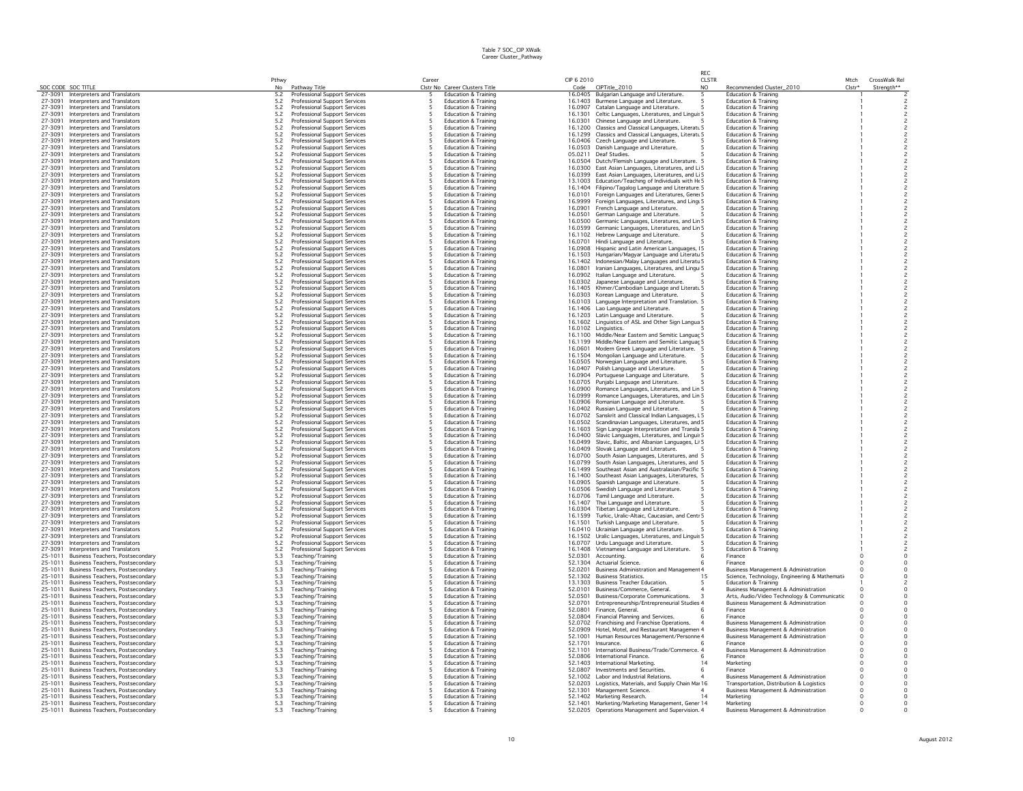|                    |                                                                      | Pthwy                                     |                                                                | Career |                                                                    | CIP 6 2010 |                                                                                                              | <b>CLSTR</b>   |                                                                                 | Mtch     | CrossWalk Rel            |
|--------------------|----------------------------------------------------------------------|-------------------------------------------|----------------------------------------------------------------|--------|--------------------------------------------------------------------|------------|--------------------------------------------------------------------------------------------------------------|----------------|---------------------------------------------------------------------------------|----------|--------------------------|
| SOC CODE SOC TITLE |                                                                      | No                                        | Pathway Title                                                  |        | Clstr No Career Clusters Title                                     | Code       | CIPTitle_2010                                                                                                | N <sub>O</sub> | Recommended Cluster_2010                                                        | Clstr*   | Strength**               |
| 27-3091<br>27-3091 | Interpreters and Translators                                         | 5.2                                       | <b>Professional Support Services</b>                           |        | <b>Education &amp; Training</b>                                    | 16.0405    | Bulgarian Language and Literature.                                                                           |                | <b>Education &amp; Training</b>                                                 |          |                          |
| 27-3091            | Interpreters and Translators                                         | 5.2                                       | Professional Support Services                                  |        | Education & Training                                               |            | 16.1403 Burmese Language and Literature.                                                                     |                | Education & Training                                                            |          |                          |
| 27-3091            | Interpreters and Translators<br>Interpreters and Translators         | 5.2<br>5.2                                | Professional Support Services<br>Professional Support Services |        | Education & Training<br>Education & Training                       |            | 16,0907 Catalan Language and Literature.<br>16.1301 Celtic Languages, Literatures, and Linguis 5             |                | Education & Training<br><b>Education &amp; Training</b>                         |          |                          |
|                    |                                                                      | 5.2                                       |                                                                |        | <b>Education &amp; Training</b>                                    |            |                                                                                                              |                | <b>Education &amp; Training</b>                                                 |          |                          |
| 27-3091            | 27-3091 Interpreters and Translators                                 | $5.2\,$                                   | Professional Support Services                                  |        | <b>Education &amp; Training</b>                                    |            | 16.0301 Chinese Language and Literature.                                                                     |                | <b>Education &amp; Training</b>                                                 |          |                          |
| 27-3091            | Interpreters and Translators<br>Interpreters and Translators         | $5.2\,$                                   | Professional Support Services<br>Professional Support Services |        | <b>Education &amp; Training</b>                                    |            | 16.1200 Classics and Classical Languages, Literatu 5<br>16.1299 Classics and Classical Languages, Literatu 5 |                | <b>Education &amp; Training</b>                                                 |          |                          |
| 27-3091            |                                                                      |                                           |                                                                |        |                                                                    |            |                                                                                                              |                |                                                                                 |          |                          |
| 27-3091            | Interpreters and Translators<br>Interpreters and Translators         | 5.2<br>5.2                                | Professional Support Services<br>Professional Support Services |        | <b>Education &amp; Training</b><br><b>Education &amp; Training</b> |            | 16.0406 Czech Language and Literature.<br>16.0503 Danish Language and Literature.                            |                | <b>Education &amp; Training</b><br><b>Education &amp; Training</b>              |          |                          |
| 27-3091            | Interpreters and Translators                                         | 5.2                                       | Professional Support Services                                  |        | Education & Training                                               |            | 05.0211 Deaf Studies.                                                                                        |                | <b>Education &amp; Training</b>                                                 |          |                          |
| 27-3091            | Interpreters and Translators                                         | 5.2                                       | Professional Support Services                                  |        | <b>Education &amp; Training</b>                                    |            | 16.0504 Dutch/Flemish Language and Literature. 5                                                             |                | <b>Education &amp; Training</b>                                                 |          |                          |
| 27-3091            | Interpreters and Translators                                         |                                           | Professional Support Services                                  |        | <b>Education &amp; Training</b>                                    |            |                                                                                                              |                | <b>Education &amp; Training</b>                                                 |          |                          |
|                    |                                                                      | 5.2                                       |                                                                |        | <b>Education &amp; Training</b>                                    |            | 16.0300 East Asian Languages, Literatures, and Li 5                                                          |                | <b>Education &amp; Training</b>                                                 |          |                          |
| 27-3091<br>27-3091 | Interpreters and Translators<br>Interpreters and Translators         | $5.2\,$<br>$5.2\,$                        | Professional Support Services<br>Professional Support Services |        | <b>Education &amp; Training</b>                                    |            | 16.0399 East Asian Languages, Literatures, and Li 5<br>13.1003 Education/Teaching of Individuals with He 5   |                | <b>Education &amp; Training</b>                                                 |          |                          |
| 27-3091            | Interpreters and Translators                                         | 5.2                                       | Professional Support Services                                  |        | Education & Training                                               |            | 16.1404 Filipino/Tagalog Language and Literature 5                                                           |                | <b>Education &amp; Training</b>                                                 |          |                          |
| 27-3091            | Interpreters and Translators                                         | $5.2\,$                                   | Professional Support Services                                  |        | Education & Training                                               |            | 16.0101 Foreign Languages and Literatures, Gene 5                                                            |                | Education & Training                                                            |          |                          |
| 27-3091            | Interpreters and Translators                                         | 5.2                                       | Professional Support Services                                  |        | Education & Training                                               |            |                                                                                                              |                | <b>Education &amp; Training</b>                                                 |          | $\overline{c}$           |
| 27-3091            | Interpreters and Translators                                         | 5.2                                       | Professional Support Services                                  |        | <b>Education &amp; Training</b>                                    | 16,0901    | 16.9999 Foreign Languages, Literatures, and Lingi 5<br>French Language and Literature.                       |                | <b>Education &amp; Training</b>                                                 |          |                          |
| 27-3091            | Interpreters and Translators                                         |                                           | Professional Support Services                                  |        | Education & Training                                               | 16.0501    | German Language and Literature.                                                                              |                | <b>Education &amp; Training</b>                                                 |          |                          |
| 27-3091            | Interpreters and Translators                                         | $\frac{5.2}{5.2}$                         | Professional Support Services                                  |        | <b>Education &amp; Training</b>                                    |            | 16.0500 Germanic Languages, Literatures, and Lin 5                                                           |                | <b>Education &amp; Training</b>                                                 |          |                          |
| 27-3091            | Interpreters and Translators                                         | 5.2                                       | Professional Support Services                                  |        | Education & Training                                               |            | 16.0599 Germanic Languages, Literatures, and Lin 5                                                           |                | <b>Education &amp; Training</b>                                                 |          |                          |
| 27-3091            | Interpreters and Translators                                         | 5.2                                       | Professional Support Services                                  |        | <b>Education &amp; Training</b>                                    |            | 16.1102 Hebrew Language and Literature.                                                                      |                | <b>Education &amp; Training</b>                                                 |          |                          |
| 27-3091            | Interpreters and Translators                                         | 5.2                                       | Professional Support Services                                  |        | Education & Training                                               | 16.0701    | Hindi Language and Literature.                                                                               |                | <b>Education &amp; Training</b>                                                 |          | $\overline{\phantom{a}}$ |
| 27-3091            | Interpreters and Translators                                         | 5.2                                       | <b>Professional Support Services</b>                           |        | <b>Education &amp; Training</b>                                    |            | 16,0908 Hispanic and Latin American Languages, 15                                                            |                | <b>Education &amp; Training</b>                                                 |          | $\overline{\phantom{a}}$ |
| 27-3091            | Interpreters and Translators                                         |                                           | Professional Support Services                                  |        | Education & Training                                               |            | 16.1503 Hungarian/Magyar Language and Literatu 5                                                             |                | Education & Training                                                            |          |                          |
| 27-3091            | Interpreters and Translators                                         | $\frac{5.2}{5.2}$                         | Professional Support Services                                  |        | <b>Education &amp; Training</b>                                    |            | 16.1402 Indonesian/Malay Languages and Literatu 5                                                            |                | <b>Education &amp; Training</b>                                                 |          | $\overline{c}$           |
| 27-3091            | Interpreters and Translators                                         | $5.2\,$                                   | Professional Support Services                                  |        | <b>Education &amp; Training</b>                                    | 16.0801    | Iranian Languages, Literatures, and Lingu 5                                                                  |                | <b>Education &amp; Training</b>                                                 |          |                          |
| 27-3091            | Interpreters and Translators                                         | $5.2\,$                                   | Professional Support Services                                  |        | Education & Training                                               |            | 16.0902 Italian Language and Literature.                                                                     |                | <b>Education &amp; Training</b>                                                 |          |                          |
| 27-3091            | Interpreters and Translators                                         | $5.2\,$                                   | Professional Support Services                                  |        | Education & Training                                               |            | 16.0302 Japanese Language and Literature.                                                                    |                | Education & Training                                                            |          |                          |
| 27-3091            | Interpreters and Translators                                         | 5.2                                       | Professional Support Services                                  |        | Education & Training                                               |            | 16.1405 Khmer/Cambodian Language and Literatu 5                                                              |                | <b>Education &amp; Training</b>                                                 |          | $\overline{c}$           |
| 27-3091            | Interpreters and Translators                                         |                                           | <b>Professional Support Services</b>                           |        | <b>Education &amp; Training</b>                                    |            | 16.0303 Korean Language and Literature.                                                                      |                | <b>Education &amp; Training</b>                                                 |          |                          |
| 27-3091            | Interpreters and Translators                                         | $\frac{5.2}{5.2}$                         | Professional Support Services                                  |        | <b>Education &amp; Training</b>                                    |            | 16.0103 Language Interpretation and Translation. 5                                                           |                | <b>Education &amp; Training</b>                                                 |          |                          |
| 27-3091            | Interpreters and Translators                                         | $5.2\,$                                   | Professional Support Services                                  |        | Education & Training                                               |            | 16.1406 Lao Language and Literature.                                                                         |                | <b>Education &amp; Training</b>                                                 |          |                          |
| 27-3091            | Interpreters and Translators                                         | 5.2                                       | Professional Support Services                                  |        | <b>Education &amp; Training</b>                                    |            | 16.1203 Latin Language and Literature.                                                                       |                | <b>Education &amp; Training</b>                                                 |          |                          |
| 27-3091            | Interpreters and Translators                                         | $5.2\,$                                   | Professional Support Services                                  |        | <b>Education &amp; Training</b>                                    |            | 16.1602 Linguistics of ASL and Other Sign Langua 5                                                           |                | <b>Education &amp; Training</b>                                                 |          |                          |
| 27-3091            | Interpreters and Translators                                         | 5.2                                       | Professional Support Services                                  |        | Education & Training                                               |            | 16.0102 Linguistics.                                                                                         |                | Education & Training                                                            |          | $\overline{c}$           |
| 27-3091            | Interpreters and Translators                                         | 5.2                                       | Professional Support Services                                  |        | Education & Training                                               |            | 16.1100 Middle/Near Eastern and Semitic Languar 5                                                            |                | <b>Education &amp; Training</b>                                                 |          |                          |
| 27-3091            | Interpreters and Translators                                         | 5.2                                       | Professional Support Services                                  |        | <b>Education &amp; Training</b>                                    |            | 16.1199 Middle/Near Eastern and Semitic Languaç 5                                                            |                | <b>Education &amp; Training</b>                                                 |          | $\overline{\phantom{0}}$ |
| 27-3091            | Interpreters and Translators                                         | $5.2\,$                                   | Professional Support Services                                  |        | <b>Education &amp; Training</b>                                    |            | 16.0601 Modern Greek Language and Literature. 5                                                              |                | <b>Education &amp; Training</b>                                                 |          |                          |
| 27-3091            | Interpreters and Translators                                         | 5.2                                       | Professional Support Services                                  |        | Education & Training                                               |            | 16.1504 Mongolian Language and Literature.<br>-5                                                             |                | <b>Education &amp; Training</b>                                                 |          | $\overline{c}$           |
| 27-3091            | Interpreters and Translators                                         | 5.2                                       | Professional Support Services                                  |        | <b>Education &amp; Training</b>                                    | 16.0505    | Norwegian Language and Literature.                                                                           | 5              | <b>Education &amp; Training</b>                                                 |          |                          |
| 27-3091            | Interpreters and Translators                                         | 5.2                                       | Professional Support Services                                  |        | Education & Training                                               |            | 16.0407 Polish Language and Literature.                                                                      |                | Education & Training                                                            |          |                          |
| 27-3091            | Interpreters and Translators                                         | 5.2                                       | Professional Support Services                                  |        | <b>Education &amp; Training</b>                                    |            | 16.0904 Portuguese Language and Literature.                                                                  |                | <b>Education &amp; Training</b>                                                 |          |                          |
| 27-3091            | Interpreters and Translators                                         | 5.2                                       | Professional Support Services                                  |        | Education & Training                                               |            | 16.0705 Punjabi Language and Literature.                                                                     |                | <b>Education &amp; Training</b>                                                 |          | $\overline{c}$           |
| 27-3091            | Interpreters and Translators                                         | $5.2\,$                                   | <b>Professional Support Services</b>                           |        | Education & Training                                               |            | 16.0900 Romance Languages, Literatures, and Lin 5                                                            |                | <b>Education &amp; Training</b>                                                 |          | $\overline{c}$           |
| 27-3091            | Interpreters and Translators                                         | 5.2                                       | Professional Support Services                                  |        | <b>Education &amp; Training</b>                                    |            | 16.0999 Romance Languages, Literatures, and Lin 5                                                            |                | <b>Education &amp; Training</b>                                                 |          |                          |
| 27-3091            | Interpreters and Translators                                         | 5.2                                       | Professional Support Services                                  |        | <b>Education &amp; Training</b>                                    |            | 16.0906 Romanian Language and Literature.                                                                    |                | <b>Education &amp; Training</b>                                                 |          |                          |
| 27-3091            | Interpreters and Translators                                         | 5.2                                       | Professional Support Services                                  |        | Education & Training                                               |            | 16.0402 Russian Language and Literature.                                                                     |                | <b>Education &amp; Training</b>                                                 |          |                          |
| 27-3091            | Interpreters and Translators                                         | 5.2                                       | Professional Support Services                                  |        | <b>Education &amp; Training</b>                                    |            | 16.0702 Sanskrit and Classical Indian Languages, L5                                                          |                | <b>Education &amp; Training</b>                                                 |          |                          |
| 27-3091            | Interpreters and Translators                                         | 5.2                                       | Professional Support Services                                  |        | Education & Training                                               |            | 16.0502 Scandinavian Languages, Literatures, and 5                                                           |                | Education & Training                                                            |          | $\overline{c}$           |
| 27-3091            | Interpreters and Translators                                         | 5.2                                       | <b>Professional Support Services</b>                           |        | <b>Education &amp; Training</b>                                    |            | 16.1603 Sign Language Interpretation and Transla 5                                                           |                | <b>Education &amp; Training</b>                                                 |          | $\overline{\phantom{0}}$ |
| 27-3091            | Interpreters and Translators                                         | $5.2\,$                                   | Professional Support Services                                  |        | <b>Education &amp; Training</b>                                    |            | 16.0400 Slavic Languages, Literatures, and Lingui: 5                                                         |                | <b>Education &amp; Training</b>                                                 |          |                          |
| 27-3091            | Interpreters and Translators                                         | $5.2\,$                                   | Professional Support Services                                  |        | <b>Education &amp; Training</b>                                    |            | 16.0499 Slavic, Baltic, and Albanian Languages, Li 5                                                         |                | <b>Education &amp; Training</b>                                                 |          |                          |
| 27-3091            | Interpreters and Translators                                         | $5.2\,$                                   | Professional Support Services                                  |        | <b>Education &amp; Training</b>                                    |            | 16.0409 Slovak Language and Literature.                                                                      |                | <b>Education &amp; Training</b>                                                 |          | $\overline{c}$           |
| 27-3091            | Interpreters and Translators                                         | 5.2                                       | Professional Support Services                                  |        | <b>Education &amp; Training</b>                                    |            | 16.0700 South Asian Languages, Literatures, and 5                                                            |                | <b>Education &amp; Training</b>                                                 |          |                          |
| 27-3091            | Interpreters and Translators                                         | $5.2\,$                                   | Professional Support Services                                  |        | <b>Education &amp; Training</b>                                    |            | 16.0799 South Asian Languages, Literatures, and 5                                                            |                | <b>Education &amp; Training</b>                                                 |          |                          |
| 27-3091            | Interpreters and Translators                                         | 5.2                                       | Professional Support Services                                  |        | Education & Training                                               |            | 16.1499 Southeast Asian and Australasian/Pacific 5                                                           |                | <b>Education &amp; Training</b>                                                 |          |                          |
| 27-3091            | Interpreters and Translators                                         | 5.2                                       | <b>Professional Support Services</b>                           |        | <b>Education &amp; Training</b>                                    |            | 16.1400 Southeast Asian Languages, Literatures, 5                                                            |                | <b>Education &amp; Training</b>                                                 |          |                          |
| 27-3091            | Interpreters and Translators                                         | $\frac{5.2}{5.2}$                         | Professional Support Services                                  |        | Education & Training                                               |            | 16.0905 Spanish Language and Literature.                                                                     |                | <b>Education &amp; Training</b>                                                 |          |                          |
| 27-3091            | Interpreters and Translators                                         |                                           | Professional Support Services                                  |        | <b>Education &amp; Training</b>                                    |            | 16.0506 Swedish Language and Literature.                                                                     | -5             | <b>Education &amp; Training</b>                                                 |          |                          |
| 27-3091            | Interpreters and Translators                                         | 5.2                                       | Professional Support Services                                  |        | <b>Education &amp; Training</b>                                    |            | 16.0706 Tamil Language and Literature.                                                                       |                | <b>Education &amp; Training</b>                                                 |          |                          |
| 27-3091            | Interpreters and Translators                                         | 5.2                                       | Professional Support Services                                  |        | Education & Training                                               |            | 16.1407 Thai Language and Literature.                                                                        |                | <b>Education &amp; Training</b>                                                 |          |                          |
| 27-3091            | Interpreters and Translators                                         | 5.2                                       | Professional Support Services                                  |        | Education & Training                                               |            | 16.0304 Tibetan Language and Literature.                                                                     |                | <b>Education &amp; Training</b>                                                 |          |                          |
| 27-3091            | Interpreters and Translators                                         | $5.2\,$                                   | Professional Support Services                                  |        | <b>Education &amp; Training</b>                                    |            | 16.1599 Turkic, Uralic-Altaic, Caucasian, and Centr 5                                                        |                | <b>Education &amp; Training</b>                                                 |          | $\overline{\phantom{0}}$ |
| 27-3091            | Interpreters and Translators                                         | $\frac{5.2}{5.2}$                         | Professional Support Services                                  |        | <b>Education &amp; Training</b>                                    | 16.1501    | Turkish Language and Literature.                                                                             |                | <b>Education &amp; Training</b>                                                 |          |                          |
| 27-3091            | Interpreters and Translators                                         |                                           | Professional Support Services                                  |        | <b>Education &amp; Training</b>                                    |            | 16.0410 Ukrainian Language and Literature.                                                                   |                | <b>Education &amp; Training</b>                                                 |          |                          |
| 27-3091            | Interpreters and Translators                                         | $5.2\,$                                   | Professional Support Services                                  |        | <b>Education &amp; Training</b>                                    |            | 16.1502 Uralic Languages, Literatures, and Linguis 5                                                         |                | <b>Education &amp; Training</b>                                                 |          |                          |
| 27-3091            | Interpreters and Translators                                         | 5.2<br>5.2                                | Professional Support Services                                  |        | Education & Training                                               |            | 16.0707 Urdu Language and Literature.                                                                        | 5              | <b>Education &amp; Training</b>                                                 |          |                          |
| 27-3091            | Interpreters and Translators                                         |                                           | Professional Support Services                                  |        | <b>Education &amp; Training</b>                                    | 16.1408    | Vietnamese Language and Literature.                                                                          |                | <b>Education &amp; Training</b>                                                 |          | $\Omega$                 |
| 25-1011<br>25-1011 | Business Teachers, Postsecondary<br>Business Teachers, Postsecondary | 5.3<br>5.3                                | Teaching/Training<br>Teaching/Training                         |        | Education & Training<br>Education & Training                       | 52.1304    | 52.0301 Accounting.<br>Actuarial Science.                                                                    |                | Finance<br>Finance                                                              |          | $^{\circ}$               |
| 25-1011            | Business Teachers, Postsecondary                                     | 5.3                                       | Teaching/Training                                              |        | <b>Education &amp; Training</b>                                    |            | 52.0201 Business Administration and Management 4                                                             |                | <b>Business Management &amp; Administration</b>                                 | $\Omega$ | $\Omega$                 |
| 25-1011            | Business Teachers, Postsecondary                                     |                                           |                                                                |        | <b>Education &amp; Training</b>                                    |            | 52.1302 Business Statistics.                                                                                 | 15             |                                                                                 | $\Omega$ | $^{\circ}$               |
| 25-1011            | Business Teachers, Postsecondary                                     | $5.3\,$<br>5.3                            | Teaching/Training<br>Teaching/Training                         |        | <b>Education &amp; Training</b>                                    | 13.1303    | <b>Business Teacher Education.</b>                                                                           |                | Science, Technology, Engineering & Mathemati<br><b>Education &amp; Training</b> |          | $\overline{c}$           |
| 25-1011            | <b>Business Teachers, Postsecondary</b>                              | 5.3                                       | Teaching/Training                                              |        | Education & Training                                               | 52.0101    | Business/Commerce, General.                                                                                  |                | <b>Business Management &amp; Administration</b>                                 |          |                          |
| 25-1011            | Business Teachers, Postsecondary                                     |                                           | Teaching/Training                                              |        | Education & Training                                               | 52.0501    | Business/Corporate Communications.<br>3                                                                      |                | Arts, Audio/Video Technology & Communicatic                                     | $\Omega$ | $\circ$                  |
| 25-1011            | Business Teachers, Postsecondary                                     | $\frac{5.3}{5.3}$                         | Teaching/Training                                              |        | Education & Training                                               | 52.0701    | Entrepreneurship/Entrepreneurial Studies 4                                                                   |                | <b>Business Management &amp; Administration</b>                                 |          | $\Omega$                 |
| 25-1011            | <b>Business Teachers, Postsecondary</b>                              | 5.3                                       | Teaching/Training                                              |        | <b>Education &amp; Training</b>                                    | 52.0801    | Finance, General                                                                                             |                | Finance                                                                         | $\Omega$ | $\Omega$                 |
| 25-1011            | Business Teachers, Postsecondary                                     | $5.3\,$                                   | Teaching/Training                                              |        | <b>Education &amp; Training</b>                                    | 52.0804    | Financial Planning and Services.                                                                             |                | Finance                                                                         | $\Omega$ | $^{\circ}$               |
| 25-1011            | <b>Business Teachers, Postsecondary</b>                              | $5.3\,$                                   | Teaching/Training                                              |        | Education & Training                                               |            | 52.0702 Franchising and Franchise Operations.                                                                |                | <b>Business Management &amp; Administration</b>                                 | $\circ$  | $\circ$                  |
| 25-1011            | Business Teachers, Postsecondary                                     | 5.3                                       | Teaching/Training                                              |        | <b>Education &amp; Training</b>                                    | 52.0909    | Hotel, Motel, and Restaurant Managemen 4                                                                     |                | <b>Business Management &amp; Administration</b>                                 | $\circ$  | $\Omega$                 |
| 25-1011            | Business Teachers, Postsecondary                                     | 5.3                                       | Teaching/Training                                              |        | <b>Education &amp; Training</b>                                    | 52.1001    | Human Resources Management/Personne 4                                                                        |                | <b>Business Management &amp; Administration</b>                                 | $\Omega$ |                          |
| 25-1011            | <b>Business Teachers, Postsecondary</b>                              | 5.3                                       | Teaching/Training                                              |        | <b>Education &amp; Training</b>                                    | 52.1701    | Insurance.                                                                                                   |                | Finance                                                                         | $\circ$  |                          |
| 25-1011            | Business Teachers, Postsecondary                                     | 5.3                                       | Teaching/Training                                              |        | Education & Training                                               |            | 52.1101 International Business/Trade/Commerce. 4                                                             |                | Business Management & Administration                                            | $\Omega$ | $^{\circ}$               |
| 25-1011            | <b>Business Teachers, Postsecondary</b>                              |                                           | Teaching/Training                                              |        | <b>Education &amp; Training</b>                                    |            | 52.0806 International Finance.                                                                               |                | Finance                                                                         | $\Omega$ | $\Omega$                 |
| 25-1011            | Business Teachers, Postsecondary                                     | $\begin{array}{c} 5.3 \\ 5.3 \end{array}$ | Teaching/Training                                              |        | <b>Education &amp; Training</b>                                    |            | 52.1403 International Marketing.                                                                             | 14             | Marketing                                                                       | $\Omega$ | $\Omega$                 |
| 25-1011            | <b>Business Teachers, Postsecondary</b>                              | $5.3\,$                                   | Teaching/Training                                              |        | <b>Education &amp; Training</b>                                    |            | 52.0807 Investments and Securities.                                                                          |                | Finance                                                                         |          |                          |
| 25-1011            | Business Teachers, Postsecondar                                      | 5.3                                       | Teaching/Training                                              |        | <b>Education &amp; Training</b>                                    |            | 52.1002 Labor and Industrial Relations.                                                                      |                | <b>Business Management &amp; Administration</b>                                 | $\circ$  | $^{\circ}$               |
|                    | 25-1011 Business Teachers, Postsecondary                             | 5.3                                       | Teaching/Training                                              |        | Education & Training                                               |            | 52.0203 Logistics, Materials, and Supply Chain Mai 16                                                        |                | Transportation, Distribution & Logistics                                        |          |                          |
|                    | 25-1011 Business Teachers, Postsecondary                             | 5.3                                       | Teaching/Training                                              |        | Education & Training                                               |            | 52.1301 Management Science.                                                                                  |                | <b>Business Management &amp; Administration</b>                                 | $\Omega$ | $\Omega$                 |
|                    | 25-1011 Business Teachers, Postsecondary                             | 5.3                                       | Teaching/Training                                              |        | <b>Education &amp; Training</b>                                    |            | 52.1402 Marketing Research.                                                                                  |                | Marketing                                                                       | $\Omega$ | $\Omega$                 |
|                    | 25-1011 Business Teachers, Postsecondary                             | $5.3\,$                                   | Teaching/Training                                              |        | <b>Education &amp; Training</b>                                    |            | 52.1401 Marketing/Marketing Management, Gener 14                                                             |                | Marketing                                                                       | $\Omega$ | $\Omega$                 |
|                    | 25-1011 Business Teachers, Postsecondary                             | 5.3                                       | Teaching/Training                                              | 5      | Education & Training                                               |            | 52.0205 Operations Management and Supervision. 4                                                             |                | <b>Business Management &amp; Administration</b>                                 | $\Omega$ |                          |
|                    |                                                                      |                                           |                                                                |        |                                                                    |            |                                                                                                              |                |                                                                                 |          |                          |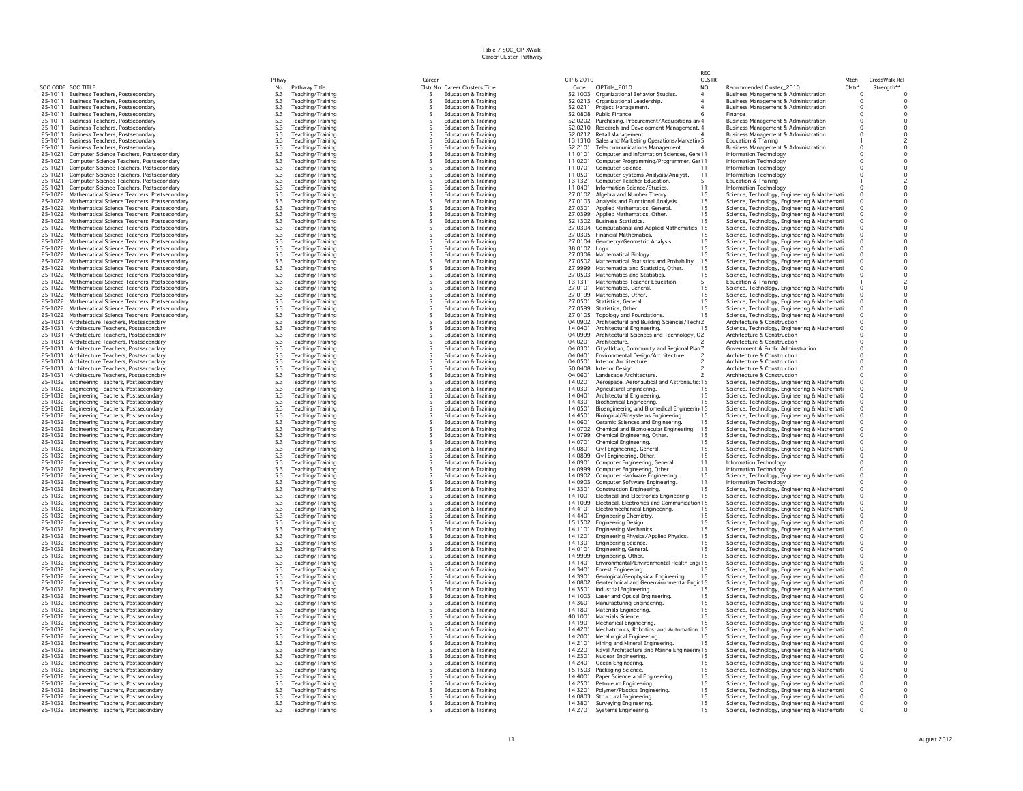|                    |                                                                                            | Pthwy             |                                        | Career |                                                                    | CIP 6 2010         |                                                                   | <b>RFC</b><br><b>CLSTR</b> |                                                                                               | Mtch       | CrossWalk Rel           |
|--------------------|--------------------------------------------------------------------------------------------|-------------------|----------------------------------------|--------|--------------------------------------------------------------------|--------------------|-------------------------------------------------------------------|----------------------------|-----------------------------------------------------------------------------------------------|------------|-------------------------|
|                    | SOC CODE SOC TITLE                                                                         | No                | Pathway Title                          |        | Clstr No Career Clusters Title                                     | Code               | CIPTitle_2010                                                     | NO.                        | Recommended Cluster_2010                                                                      | Clstr*     | Strength**              |
|                    | 25-1011 Business Teachers, Postsecondary                                                   | 5.3               | Teaching/Training                      |        | <b>Education &amp; Training</b>                                    |                    | 52.1003 Organizational Behavior Studies.                          |                            | Business Management & Administration                                                          |            |                         |
| 25-1011            | <b>Business Teachers, Postsecondary</b>                                                    | 5.3               | Teaching/Training                      |        | <b>Education &amp; Training</b>                                    |                    | 52.0213 Organizational Leadership.                                |                            | <b>Business Management &amp; Administration</b>                                               | $\circ$    |                         |
| 25-1011            | Business Teachers, Postsecondary                                                           | 5.3               | Teaching/Training                      |        | Education & Training                                               |                    | 52.0211 Project Management.                                       |                            | <b>Business Management &amp; Administration</b>                                               |            | $\circ$                 |
| 25-1011            | Business Teachers, Postsecondary                                                           | 5.3               | Teaching/Training                      |        | <b>Education &amp; Training</b>                                    |                    | 52.0808 Public Finance.                                           |                            | Finance                                                                                       | $\circ$    | $\mathsf{O}$            |
| 25-1011            | Business Teachers, Postsecondary                                                           | 5.3               | Teaching/Training                      |        | Education & Training                                               |                    | 52.0202 Purchasing, Procurement/Acquisitions an 4                 |                            | <b>Business Management &amp; Administration</b>                                               | $\circ$    | $\circ$                 |
| 25-1011            | Business Teachers, Postsecondary                                                           | 5.3               | Teaching/Training                      | -5     | <b>Education &amp; Training</b>                                    |                    | 52.0210 Research and Development Management, 4                    |                            | <b>Business Management &amp; Administration</b>                                               | $\Omega$   | $\Omega$                |
| 25-1011            | Business Teachers, Postsecondary                                                           | 5.3               | Teaching/Training                      |        | <b>Education &amp; Training</b>                                    |                    | 52.0212 Retail Management                                         |                            | Business Management & Administration                                                          | $\Omega$   | 0                       |
| 25-1011            | <b>Business Teachers, Postsecondary</b>                                                    | 5.3               | Teaching/Training                      |        | <b>Education &amp; Training</b>                                    |                    | 13.1310 Sales and Marketing Operations/Marketin 5                 |                            | <b>Education &amp; Training</b>                                                               |            |                         |
| 25-1011            | Business Teachers, Postsecondary                                                           | 5.3               | Teaching/Training                      |        | <b>Education &amp; Training</b>                                    |                    | 52.2101 Telecommunications Management.                            |                            | <b>Business Management &amp; Administration</b>                                               | $\Omega$   | $\circ$                 |
| 25-1021            | Computer Science Teachers, Postsecondary                                                   | $5.3\,$           | Teaching/Training                      |        | Education & Training                                               |                    | 11.0101 Computer and Information Sciences, Gene 11                |                            | Information Technology                                                                        |            | $\circ$                 |
| 25-1021            | Computer Science Teachers, Postsecondary                                                   | 5.3               | Teaching/Training                      |        | <b>Education &amp; Training</b>                                    | 11.0201            | Computer Programming/Programmer, Ge: 11                           |                            | Information Technology                                                                        |            | $\circ$                 |
| 25-1021            | Computer Science Teachers, Postsecondary                                                   | 5.3               | Teaching/Training                      |        | Education & Training                                               | 11.0701            | Computer Science.                                                 |                            | Information Technology                                                                        |            | $\circ$                 |
| 25-1021            | Computer Science Teachers, Postsecondary                                                   | 5.3               | Teaching/Training                      |        | <b>Education &amp; Training</b>                                    | 11.0501            | Computer Systems Analysis/Analyst.                                | 11                         | Information Technology                                                                        |            | $\circ$                 |
| 25-1021            | Computer Science Teachers, Postsecondary                                                   | 5.3               | Teaching/Training                      |        | <b>Education &amp; Training</b>                                    | 13.1321            | Computer Teacher Education.                                       |                            | Education & Training                                                                          |            | $\overline{c}$          |
| 25-1021            | Computer Science Teachers, Postsecondary                                                   | 5.3               | Teaching/Training                      |        | <b>Education &amp; Training</b>                                    |                    | 11.0401 Information Science/Studies                               | 11                         | Information Technology                                                                        |            | $\circ$                 |
| 25-1022            | Mathematical Science Teachers, Postsecondary                                               | 5.3               | Teaching/Training                      |        | <b>Education &amp; Training</b>                                    |                    | 27.0102 Algebra and Number Theory                                 | 15                         | Science, Technology, Engineering & Mathemati                                                  |            | $\circ$                 |
| 25-1022            | Mathematical Science Teachers, Postsecondary                                               | $5.3\,$           | Teaching/Training                      |        | <b>Education &amp; Training</b>                                    |                    | 27.0103 Analysis and Functional Analysis.                         | 15                         | Science, Technology, Engineering & Mathemati-                                                 |            | $\mathsf{O}$            |
| 25-1022            | Mathematical Science Teachers, Postsecondary                                               | 5.3               | Teaching/Training                      |        | <b>Education &amp; Training</b>                                    | 27,0301            | Applied Mathematics, General.                                     | 15                         | Science, Technology, Engineering & Mathemati                                                  |            | $\circ$                 |
| 25-1022            | Mathematical Science Teachers, Postsecondary                                               | 5.3               | Teaching/Training                      |        | Education & Training                                               |                    | 27.0399 Applied Mathematics, Other.                               | 15                         | Science, Technology, Engineering & Mathemati-                                                 |            | $\mathsf{O}$            |
| 25-1022<br>25-1022 | Mathematical Science Teachers, Postsecondary                                               | 5.3               | Teaching/Training                      |        | <b>Education &amp; Training</b>                                    |                    | 52.1302 Business Statistics.                                      |                            | Science, Technology, Engineering & Mathemati-                                                 |            | $\mathsf{o}$            |
|                    | Mathematical Science Teachers, Postsecondary                                               | 5.3               | Teaching/Training                      |        | Education & Training                                               |                    | 27.0304 Computational and Applied Mathematics. 15                 |                            | Science, Technology, Engineering & Mathemati                                                  |            | $\circ$                 |
|                    | 25-1022 Mathematical Science Teachers, Postsecondary                                       | 5.3               | Teaching/Training                      |        | <b>Education &amp; Training</b>                                    |                    | 27.0305 Financial Mathematics.                                    | 15                         | Science, Technology, Engineering & Mathemati-                                                 | $^{\circ}$ | $\circ$                 |
| 25-1022            | Mathematical Science Teachers, Postsecondary                                               | 5.3               | Teaching/Training                      |        | <b>Education &amp; Training</b>                                    |                    | 27.0104 Geometry/Geometric Analysis.                              | 15                         | Science, Technology, Engineering & Mathemati-                                                 |            | $\circ$                 |
| 25-1022            | Mathematical Science Teachers, Postsecondary                                               | $5.3\,$           | Teaching/Training                      |        | <b>Education &amp; Training</b>                                    | 38.0102 Logic.     |                                                                   | 15                         | Science, Technology, Engineering & Mathemati-                                                 |            | 0                       |
| 25-1022            | Mathematical Science Teachers, Postsecondary                                               | 5.3               | Teaching/Training                      |        | <b>Education &amp; Training</b>                                    |                    | 27.0306 Mathematical Biology.                                     |                            | Science, Technology, Engineering & Mathemati-                                                 |            | $\mathsf{O}$            |
| 25-1022            | Mathematical Science Teachers, Postsecondary                                               | 5.3               | Teaching/Training                      |        | <b>Education &amp; Training</b>                                    |                    | 27.0502 Mathematical Statistics and Probability.                  | 15                         | Science, Technology, Engineering & Mathemati-                                                 | $\Omega$   | $\circ$                 |
| 25-1022            | Mathematical Science Teachers, Postsecondary                                               | 5.3               | Teaching/Training                      |        | <b>Education &amp; Training</b>                                    |                    | 27.9999 Mathematics and Statistics, Other.                        | 15                         | Science, Technology, Engineering & Mathemati                                                  |            | $\circ$                 |
| 25-1022            | Mathematical Science Teachers, Postsecondary                                               | 5.3               | Teaching/Training                      |        | <b>Education &amp; Training</b>                                    |                    | 27.0503 Mathematics and Statistics.                               | 15                         | Science, Technology, Engineering & Mathemati-                                                 |            | $\mathsf{O}$            |
| 25-1022            | Mathematical Science Teachers, Postsecondary                                               | 5.3               | Teaching/Training                      |        | Education & Training                                               |                    | 13.1311 Mathematics Teacher Education.                            |                            | Education & Training                                                                          |            | $\overline{c}$          |
| 25-1022            | Mathematical Science Teachers, Postsecondary                                               | 5.3               | Teaching/Training                      |        | <b>Education &amp; Training</b>                                    |                    | 27.0101 Mathematics, General,                                     | 15                         | Science, Technology, Engineering & Mathemati                                                  |            | $\Omega$                |
| 25-1022            | Mathematical Science Teachers, Postsecondary                                               | $\frac{5.3}{5.3}$ | Teaching/Training                      |        | <b>Education &amp; Training</b>                                    |                    | 27.0199 Mathematics, Other.                                       | 15                         | Science, Technology, Engineering & Mathemati-                                                 |            | $\circ$                 |
| 25-1022            | Mathematical Science Teachers, Postsecondary                                               |                   | Teaching/Training                      |        | <b>Education &amp; Training</b>                                    |                    | 27.0501 Statistics, General,                                      | 15                         | Science, Technology, Engineering & Mathemati                                                  |            | $\circ$                 |
| 25-1022            | Mathematical Science Teachers, Postsecondary                                               | 5.3               | Teaching/Training                      |        | Education & Training                                               |                    | 27.0599 Statistics, Other                                         | 15                         | Science, Technology, Engineering & Mathemati                                                  | $\Omega$   | $\mathsf{o}$            |
| 25-1022            | Mathematical Science Teachers, Postsecondary                                               | 5.3               | Teaching/Training                      |        | <b>Education &amp; Training</b>                                    | 27.0105            | Topology and Foundations.                                         | 15                         | Science, Technology, Engineering & Mathemati-                                                 |            | $\mathsf{O}$            |
| 25-1031            | Architecture Teachers, Postsecondary                                                       | 5.3               | Teaching/Training                      |        | Education & Training                                               |                    | 04.0902 Architectural and Building Sciences/Tech 2                |                            | Architecture & Construction                                                                   |            |                         |
| 25-1031            | Architecture Teachers, Postsecondary                                                       | 5.3               | Teaching/Training                      |        | <b>Education &amp; Training</b>                                    | 14.0401            | Architectural Engineering.                                        |                            | Science, Technology, Engineering & Mathemati-                                                 |            | $\mathsf{O}$            |
| 25-1031            | Architecture Teachers, Postsecondary                                                       | 5.3               | Teaching/Training                      |        | <b>Education &amp; Training</b>                                    | 04.0999            | Architectural Sciences and Technology, C2                         |                            | Architecture & Construction                                                                   |            | $\circ$                 |
| 25-1031            | Architecture Teachers, Postsecondary                                                       | 5.3               | Teaching/Training                      |        | <b>Education &amp; Training</b>                                    | 04.0201            | Architecture.                                                     |                            | Architecture & Construction                                                                   |            | $\circ$                 |
| 25-1031            | Architecture Teachers, Postsecondary                                                       | 5.3               | Teaching/Training                      |        | <b>Education &amp; Training</b>                                    | 04.0301            | City/Urban, Community and Regional Plan 7                         |                            | Government & Public Adminstration                                                             |            | $\circ$                 |
| 25-1031            | Architecture Teachers, Postsecondary                                                       | $5.3\,$           | Teaching/Training                      |        | <b>Education &amp; Training</b>                                    | 04.0401            | Environmental Design/Architecture.                                |                            | Architecture & Construction                                                                   |            | $\circ$                 |
| 25-1031            | Architecture Teachers, Postsecondary                                                       | 5.3               | Teaching/Training                      |        | <b>Education &amp; Training</b>                                    | 04.0501            | Interior Architecture.                                            |                            | Architecture & Construction                                                                   |            | $\circ$                 |
| 25-1031            | Architecture Teachers, Postsecondary                                                       | $\frac{5.3}{5.3}$ | Teaching/Training                      |        | <b>Education &amp; Training</b>                                    |                    | 50.0408 Interior Design.                                          |                            | Architecture & Construction                                                                   |            | $\circ$                 |
| 25-1031            | Architecture Teachers, Postsecondary                                                       |                   | Teaching/Training                      |        | <b>Education &amp; Training</b>                                    | 04.0601            | Landscape Architecture.                                           |                            | Architecture & Construction                                                                   |            | $\mathsf{O}$            |
| 25-1032            | Engineering Teachers, Postsecondary                                                        | 5.3               | Teaching/Training                      |        | Education & Training                                               | 14.0201            | Aerospace, Aeronautical and Astronautic: 15                       |                            | Science, Technology, Engineering & Mathemati                                                  |            | $\circ$                 |
|                    | 25-1032 Engineering Teachers, Postsecondary                                                | 5.3               | Teaching/Training                      |        | <b>Education &amp; Training</b>                                    | 14.0301            | Agricultural Engineering.                                         |                            | Science, Technology, Engineering & Mathemati-                                                 |            | $\mathsf{O}$            |
|                    | 25-1032 Engineering Teachers, Postsecondary                                                | 5.3               | Teaching/Training                      |        | Education & Training                                               | 14.0401            | Architectural Engineering                                         | 15                         | Science, Technology, Engineering & Mathemati                                                  |            | $\circ$                 |
|                    | 25-1032 Engineering Teachers, Postsecondary                                                | 5.3               | Teaching/Training                      |        | <b>Education &amp; Training</b>                                    | 14.4301            | Biochemical Engineering.                                          | 15                         | Science, Technology, Engineering & Mathemati-                                                 |            | $\circ$                 |
| 25-1032            | Engineering Teachers, Postsecondary                                                        | $\frac{5.3}{5.3}$ | Teaching/Training                      |        | <b>Education &amp; Training</b>                                    | 14.0501            | Bioengineering and Biomedical Engineerin 15                       |                            | Science, Technology, Engineering & Mathemati                                                  |            | $\circ$                 |
| 25-1032            | Engineering Teachers, Postsecondary                                                        |                   | Teaching/Training                      |        | <b>Education &amp; Training</b>                                    | 14.4501            | Biological/Biosystems Engineering.                                | 15                         | Science, Technology, Engineering & Mathemati                                                  | $\Omega$   | $\circ$                 |
| 25-1032            | Engineering Teachers, Postsecondary                                                        | 5.3               | Teaching/Training                      |        | Education & Training                                               | 14.0601            | Ceramic Sciences and Engineering.                                 | 15                         | Science, Technology, Engineering & Mathemati                                                  |            | $\circ$                 |
| 25-1032            | Engineering Teachers, Postsecondary                                                        | $5.3\,$           | Teaching/Training                      |        | Education & Training                                               |                    | 14.0702 Chemical and Biomolecular Engineering.                    | 15                         | Science, Technology, Engineering & Mathemati-                                                 |            | $\circ$                 |
|                    | 25-1032 Engineering Teachers, Postsecondary                                                | 5.3               | Teaching/Training                      |        | <b>Education &amp; Training</b>                                    | 14.0799            | Chemical Engineering, Other.                                      | 15                         | Science, Technology, Engineering & Mathemati                                                  |            | $\circ$                 |
|                    | 25-1032 Engineering Teachers, Postsecondary                                                | 5.3               | Teaching/Training                      |        | Education & Training                                               | 14.0701            | Chemical Engineering.                                             | 15                         | Science, Technology, Engineering & Mathemati                                                  |            | $\circ$                 |
|                    | 25-1032 Engineering Teachers, Postsecondary                                                | 5.3               | Teaching/Training                      |        | <b>Education &amp; Training</b>                                    | 14.0801            | Civil Engineering, General.                                       | 15                         | Science, Technology, Engineering & Mathemati-                                                 |            | $\mathsf{O}$            |
|                    | 25-1032 Engineering Teachers, Postsecondary                                                | 5.3               | Teaching/Training                      |        | Education & Training                                               |                    | 14.0899 Civil Engineering, Other.                                 | 15                         | Science, Technology, Engineering & Mathemati-                                                 |            | $\circ$                 |
|                    | 25-1032 Engineering Teachers, Postsecondary                                                | 5.3               | Teaching/Training                      |        | <b>Education &amp; Training</b>                                    | 14.0901            | Computer Engineering, General.                                    | 11                         | Information Technology                                                                        |            | $\Omega$                |
| 25-1032            | Engineering Teachers, Postsecondary                                                        | 5.3               | Teaching/Training                      |        | <b>Education &amp; Training</b>                                    | 14.0999            | Computer Engineering, Other.                                      | 11                         | Information Technology                                                                        |            | 0                       |
|                    | 25-1032 Engineering Teachers, Postsecondary                                                | $5.3\,$           | Teaching/Training                      |        | <b>Education &amp; Training</b>                                    |                    | 14.0902 Computer Hardware Engineering.                            | 15                         | Science, Technology, Engineering & Mathemati-                                                 |            | $\mathsf{O}$            |
| 25-1032            | Engineering Teachers, Postsecondary                                                        | 5.3               | Teaching/Training                      |        | <b>Education &amp; Training</b>                                    | 14.0903            | Computer Software Engineering.                                    | 11                         | Information Technology                                                                        |            | $\circ$                 |
| 25-1032            | Engineering Teachers, Postsecondary                                                        | 5.3               | Teaching/Training                      |        | <b>Education &amp; Training</b>                                    | 14.3301            | <b>Construction Engineering.</b>                                  | 15                         | Science, Technology, Engineering & Mathemati-                                                 |            | $\circ$                 |
| 25-1032            | Engineering Teachers, Postsecondary                                                        | 5.3               | Teaching/Training                      |        | <b>Education &amp; Training</b>                                    | 14.1001            | Electrical and Electronics Engineering                            |                            | Science, Technology, Engineering & Mathemati-                                                 |            | $\mathsf{o}$            |
|                    | 25-1032 Engineering Teachers, Postsecondary                                                | 5.3               | Teaching/Training                      |        | <b>Education &amp; Training</b>                                    |                    | 14.1099 Electrical, Electronics and Communication 15              |                            | Science, Technology, Engineering & Mathemati                                                  |            | $\circ$                 |
|                    | 25-1032 Engineering Teachers, Postsecondary                                                | 5.3               | Teaching/Training                      |        | <b>Education &amp; Training</b>                                    |                    | 14.4101 Electromechanical Engineering.                            | 15                         | Science, Technology, Engineering & Mathemati-                                                 |            | $\circ$                 |
|                    | 25-1032 Engineering Teachers, Postsecondary                                                | 5.3               | Teaching/Training                      |        | <b>Education &amp; Training</b>                                    |                    | 14.4401 Engineering Chemistry.                                    | 15                         | Science, Technology, Engineering & Mathemati-                                                 |            | $\circ$                 |
| 25-1032            | Engineering Teachers, Postsecondary                                                        | $\frac{5.3}{5.3}$ | Teaching/Training                      |        | <b>Education &amp; Training</b>                                    |                    | 15.1502 Engineering Design.                                       | 15                         | Science, Technology, Engineering & Mathemati-                                                 |            | 0                       |
| 25-1032            | Engineering Teachers, Postsecondary                                                        |                   | Teaching/Training                      |        | <b>Education &amp; Training</b>                                    | 14.1101            | <b>Engineering Mechanics</b>                                      | 15                         | Science, Technology, Engineering & Mathemati                                                  |            | $\circ$                 |
|                    | 25-1032 Engineering Teachers, Postsecondary                                                | 5.3               | Teaching/Training                      |        | <b>Education &amp; Training</b>                                    |                    | 14.1201 Engineering Physics/Applied Physics.                      | 15<br>15                   | Science, Technology, Engineering & Mathemati-                                                 |            | $\circ$<br>$\mathsf{o}$ |
| 25-1032            | Engineering Teachers, Postsecondary                                                        | 5.3               | Teaching/Training                      |        | <b>Education &amp; Training</b>                                    | 14.1301            | Engineering Science.                                              | 15                         | Science, Technology, Engineering & Mathemati                                                  |            |                         |
|                    | 25-1032 Engineering Teachers, Postsecondary                                                | 5.3               | Teaching/Training                      |        | <b>Education &amp; Training</b>                                    | 14.9999            | 14.0101 Engineering, General.                                     | 15                         | Science, Technology, Engineering & Mathemati-                                                 |            | $\mathsf{O}$<br>$\circ$ |
| 25-1032<br>25-1032 | Engineering Teachers, Postsecondary<br>Engineering Teachers, Postsecondary                 | 5.3<br>5.3        | Teaching/Training<br>Teaching/Training |        | <b>Education &amp; Training</b><br>Education & Training            | 14.1401            | Engineering, Other.<br>Environmental/Environmental Health Engi 15 |                            | Science, Technology, Engineering & Mathemati-<br>Science, Technology, Engineering & Mathemati |            | $\ddot{\mathbf{0}}$     |
|                    |                                                                                            |                   |                                        |        |                                                                    |                    |                                                                   |                            |                                                                                               |            |                         |
|                    | 25-1032 Engineering Teachers, Postsecondary                                                | 5.3<br>5.3        | Teaching/Training                      |        | <b>Education &amp; Training</b><br><b>Education &amp; Training</b> | 14.3901            | 14.3401 Forest Engineering.                                       | 15<br>15                   | Science, Technology, Engineering & Mathemati-                                                 |            | $\circ$<br>$\circ$      |
|                    | 25-1032 Engineering Teachers, Postsecondary                                                |                   | Teaching/Training                      |        |                                                                    | 14.0802            | Geological/Geophysical Engineering.                               |                            | Science, Technology, Engineering & Mathemati-                                                 |            |                         |
| 25-1032            | Engineering Teachers, Postsecondary                                                        | 5.3               | Teaching/Training                      |        | Education & Training                                               |                    | Geotechnical and Geoenvironmental Engir 15                        |                            | Science, Technology, Engineering & Mathemati                                                  |            | $\mathsf{O}$            |
| 25-1032            | Engineering Teachers, Postsecondary                                                        | 5.3               | Teaching/Training                      |        | <b>Education &amp; Training</b>                                    | 14.3501            | Industrial Engineering.                                           |                            | Science, Technology, Engineering & Mathemati-                                                 |            | $\mathsf{O}$            |
| 25-1032            | Engineering Teachers, Postsecondary                                                        | 5.3<br>5.3        | Teaching/Training                      |        | <b>Education &amp; Training</b>                                    | 14.3601            | 14.1003 Laser and Optical Engineering.                            | 15                         | Science, Technology, Engineering & Mathemati                                                  |            | $\mathsf{o}$            |
| 25-1032            | Engineering Teachers, Postsecondary<br>25-1032 Engineering Teachers, Postsecondary         | 5.3               | Teaching/Training<br>Teaching/Training |        | <b>Education &amp; Training</b><br>Education & Training            |                    | Manufacturing Engineering.<br>14.1801 Materials Engineering.      | 15                         | Science, Technology, Engineering & Mathemati<br>Science, Technology, Engineering & Mathemati- |            | $\circ$                 |
|                    | 25-1032 Engineering Teachers, Postsecondary                                                | 5.3               | Teaching/Training                      |        | <b>Education &amp; Training</b>                                    |                    | 40.1001 Materials Science.                                        | 15                         | Science, Technology, Engineering & Mathemati                                                  |            | $\circ$                 |
|                    |                                                                                            | 5.3               |                                        |        | <b>Education &amp; Training</b>                                    |                    |                                                                   | 15                         |                                                                                               |            | $\circ$                 |
|                    | 25-1032 Engineering Teachers, Postsecondary                                                |                   | Teaching/Training                      |        |                                                                    |                    | 14.1901 Mechanical Engineering.                                   |                            | Science, Technology, Engineering & Mathemati                                                  | $\Omega$   | $\circ$                 |
| 25-1032            | 25-1032 Engineering Teachers, Postsecondary                                                | 5.3               | Teaching/Training                      |        | <b>Education &amp; Training</b>                                    |                    | 14.4201 Mechatronics, Robotics, and Automation 15                 |                            | Science, Technology, Engineering & Mathemati-                                                 |            |                         |
|                    | Engineering Teachers, Postsecondary                                                        | 5.3               | Teaching/Training                      |        | Education & Training                                               | 14,2001            | Metallurgical Engineering.                                        | 15                         | Science, Technology, Engineering & Mathemati-                                                 |            | $\mathsf{O}$            |
| 25-1032            | Engineering Teachers, Postsecondary                                                        | $5.3\,$           | Teaching/Training                      |        | <b>Education &amp; Training</b>                                    |                    | 14.2101 Mining and Mineral Engineering                            |                            | Science, Technology, Engineering & Mathemati                                                  |            | 0                       |
| 25-1032            | Engineering Teachers, Postsecondary                                                        | 5.3               | Teaching/Training                      |        | <b>Education &amp; Training</b><br>Education & Training            | 14.2201<br>14.2301 | Naval Architecture and Marine Engineerin 15                       | 15                         | Science, Technology, Engineering & Mathemati-                                                 |            | $\mathsf{O}$            |
|                    | 25-1032 Engineering Teachers, Postsecondary                                                | $5.3\,$           | Teaching/Training                      |        |                                                                    |                    | Nuclear Engineering.                                              | 15                         | Science, Technology, Engineering & Mathemati                                                  |            | $\circ$                 |
|                    | 25-1032 Engineering Teachers, Postsecondary                                                | 5.3               | Teaching/Training                      |        | <b>Education &amp; Training</b>                                    | 14.2401            | Ocean Engineering.                                                |                            | Science, Technology, Engineering & Mathemati-                                                 |            |                         |
|                    | 25-1032 Engineering Teachers, Postsecondary<br>25-1032 Engineering Teachers, Postsecondary | 5.3<br>5.3        | Teaching/Training<br>Teaching/Training |        | Education & Training<br><b>Education &amp; Training</b>            | 14.4001            | 15.1503 Packaging Science<br>Paper Science and Engineering        | 15<br>15                   | Science, Technology, Engineering & Mathemati                                                  |            | $\circ$<br>$\circ$      |
|                    |                                                                                            | 5.3               |                                        |        | <b>Education &amp; Training</b>                                    | 14.2501            |                                                                   | 15                         | Science, Technology, Engineering & Mathemati-                                                 |            | $\circ$                 |
|                    | 25-1032 Engineering Teachers, Postsecondary                                                | 5.3               | Teaching/Training                      |        | <b>Education &amp; Training</b>                                    |                    | Petroleum Engineering<br>14.3201 Polymer/Plastics Engineering.    | 15                         | Science, Technology, Engineering & Mathemati                                                  | $\Omega$   | $\circ$                 |
|                    | 25-1032 Engineering Teachers, Postsecondary                                                | 5.3               | Teaching/Training                      |        | Education & Training                                               |                    |                                                                   | 15                         | Science, Technology, Engineering & Mathemati-                                                 | $\circ$    | $\circ$                 |
|                    | 25-1032 Engineering Teachers, Postsecondary                                                |                   | Teaching/Training                      |        |                                                                    |                    | 14.0803 Structural Engineering.                                   |                            | Science, Technology, Engineering & Mathemati-                                                 |            |                         |
|                    | 25-1032 Engineering Teachers, Postsecondary                                                | 5.3               | Teaching/Training                      |        | Education & Training                                               |                    | 14.3801 Surveying Engineering.                                    | 15                         | Science, Technology, Engineering & Mathemati-                                                 | $\circ$    | $\circ$                 |
|                    | 25-1032 Engineering Teachers, Postsecondary                                                | 5.3               | Teaching/Training                      |        | Education & Training                                               |                    | 14.2701 Systems Engineering.                                      | 15                         | Science, Technology, Engineering & Mathemati                                                  |            |                         |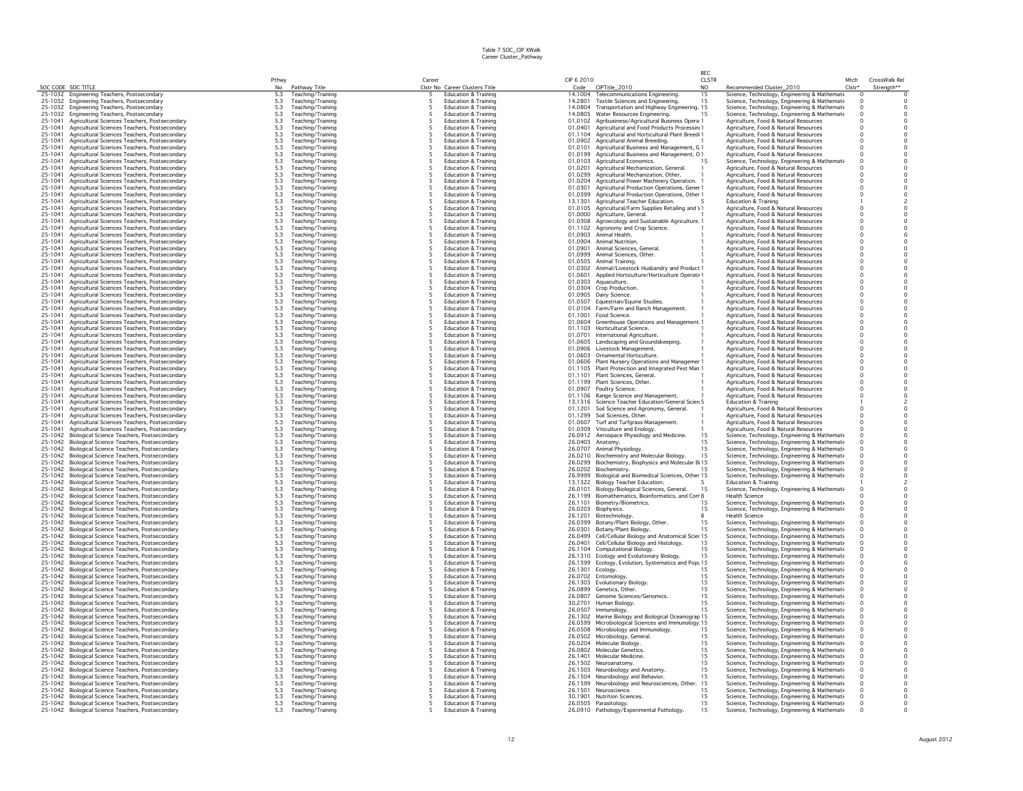|                    |                                                                                                          | Pthwy                   |                                        | Career |                                                                    | CIP 6 2010 |                                                                                                          | <b>RFC</b><br><b>CLSTR</b> |                                                                                                | Mtch                | CrossWalk Rel                  |
|--------------------|----------------------------------------------------------------------------------------------------------|-------------------------|----------------------------------------|--------|--------------------------------------------------------------------|------------|----------------------------------------------------------------------------------------------------------|----------------------------|------------------------------------------------------------------------------------------------|---------------------|--------------------------------|
|                    | SOC CODE SOC TITLE                                                                                       | No                      | Pathway Title                          |        | Clstr No Career Clusters Title                                     | Code       | CIPTitle_2010                                                                                            | NO.                        | Recommended Cluster_2010                                                                       | $Clstr*$            | Strenath**                     |
|                    | 25-1032 Engineering Teachers, Postsecondary                                                              | 5.3                     | Teaching/Training                      |        | Education & Training                                               |            | 14.1004 Telecommunications Engineering.                                                                  | 15                         | Science, Technology, Engineering & Mathemati-                                                  |                     |                                |
|                    | 25-1032 Engineering Teachers, Postsecondary                                                              | 5.3                     | Teaching/Training                      |        | Education & Training                                               |            | 14.2801 Textile Sciences and Engineering.                                                                | 15                         | Science, Technology, Engineering & Mathemati-                                                  | $\circ$             |                                |
|                    | 25-1032 Engineering Teachers, Postsecondary                                                              | 5.3                     | Teaching/Training                      |        | Education & Training                                               |            | 14.0804 Transportation and Highway Engineering. 15                                                       |                            | Science, Technology, Engineering & Mathemati-                                                  | $\Omega$            | $\mathbf 0$                    |
| 25-1041            | 25-1032 Engineering Teachers, Postsecondary                                                              | 5.3                     | Teaching/Training                      |        | Education & Training<br>Education & Training                       |            | 14.0805 Water Resources Engineering.                                                                     |                            | Science, Technology, Engineering & Mathemati-                                                  | $\circ$             | $\mathsf{O}\xspace$<br>$\circ$ |
| 25-1041            | Agricultural Sciences Teachers, Postsecondary<br>Agricultural Sciences Teachers, Postsecondary           | 5.3<br>5.3              | Teaching/Training<br>Teaching/Training |        | <b>Education &amp; Training</b>                                    |            | 01.0102 Agribusiness/Agricultural Business Opera 1<br>01.0401 Agricultural and Food Products Processin 1 |                            | Agriculture, Food & Natural Resources<br>Agriculture, Food & Natural Resources                 | $\circ$             | $\circ$                        |
| 25-1041            | Agricultural Sciences Teachers, Postsecondary                                                            | 5.3                     | Teaching/Training                      |        | <b>Education &amp; Training</b>                                    |            | 01.1104 Agricultural and Horticultural Plant Breedi 1                                                    |                            | Agriculture, Food & Natural Resources                                                          | $\Omega$            | $\Omega$                       |
| 25-1041            | Agricultural Sciences Teachers, Postsecondary                                                            |                         | Teaching/Training                      |        | Education & Training                                               |            | 01.0902 Agricultural Animal Breeding.                                                                    |                            | Agriculture, Food & Natural Resources                                                          | $\Omega$            | 0                              |
| 25-1041            | Agricultural Sciences Teachers, Postsecondary                                                            | $\frac{5.3}{5.3}$       | Teaching/Training                      |        | <b>Education &amp; Training</b>                                    |            | 01.0101 Agricultural Business and Management, G 1                                                        |                            | Agriculture, Food & Natural Resources                                                          | $\Omega$            | $\circ$                        |
| 25-1041            | Agricultural Sciences Teachers, Postsecondary                                                            | $5.3\,$                 | Teaching/Training                      |        | Education & Training                                               |            | 01.0199 Agricultural Business and Management, 01                                                         |                            | Agriculture, Food & Natural Resources                                                          |                     | $\mathsf{O}\xspace$            |
| 25-1041            | Agricultural Sciences Teachers, Postsecondary                                                            | 5.3                     | Teaching/Training                      |        | <b>Education &amp; Training</b>                                    | 01.0103    | Agricultural Economics.                                                                                  | 15                         | Science, Technology, Engineering & Mathemati                                                   | $^{\circ}$          | $\circ$                        |
| 25-1041            | Agricultural Sciences Teachers, Postsecondary                                                            | 5.3                     | Teaching/Training                      |        | Education & Training                                               |            | 01.0201 Agricultural Mechanization, General.                                                             |                            | Agriculture, Food & Natural Resources                                                          |                     |                                |
| 25-1041<br>25-1041 | Agricultural Sciences Teachers, Postsecondary<br>Agricultural Sciences Teachers, Postsecondary           | 5.3<br>5.3              | Teaching/Training<br>Teaching/Training |        | <b>Education &amp; Training</b><br><b>Education &amp; Training</b> | 01.0204    | 01.0299 Agricultural Mechanization, Other.<br>Agricultural Power Machinery Operation. 1                  |                            | Agriculture, Food & Natural Resources<br>Agriculture, Food & Natural Resources                 | $^{\circ}$          | 0<br>$\mathbf 0$               |
| 25-1041            | Agricultural Sciences Teachers, Postsecondary                                                            | 5.3                     | Teaching/Training                      |        | Education & Training                                               |            | 01.0301 Agricultural Production Operations, Gener 1                                                      |                            | Agriculture, Food & Natural Resources                                                          | $\Omega$            | $\circ$                        |
| 25-1041            | Agricultural Sciences Teachers, Postsecondary                                                            | 5.3                     | Teaching/Training                      |        | <b>Education &amp; Training</b>                                    |            | 01.0399 Agricultural Production Operations, Other 1                                                      |                            | Agriculture, Food & Natural Resources                                                          | $\Omega$            | $\circ$                        |
| 25-1041            | Agricultural Sciences Teachers, Postsecondary                                                            | 5.3                     | Teaching/Training                      | -5     | <b>Education &amp; Training</b>                                    |            | 13.1301 Agricultural Teacher Education.                                                                  |                            | <b>Education &amp; Training</b>                                                                |                     | $\overline{\phantom{a}}$       |
| 25-1041            | Agricultural Sciences Teachers, Postsecondary                                                            | 5.3                     | Teaching/Training                      |        | <b>Education &amp; Training</b>                                    |            | 01.0105 Agricultural/Farm Supplies Retailing and \1                                                      |                            | Agriculture, Food & Natural Resources                                                          | $\Omega$            | $\circ$                        |
| 25-1041            | Agricultural Sciences Teachers, Postsecondary                                                            | $\frac{5.3}{5.3}$       | Teaching/Training                      |        | Education & Training                                               |            | 01.0000 Agriculture, General.                                                                            |                            | Agriculture, Food & Natural Resources                                                          |                     | 0                              |
| 25-1041            | Agricultural Sciences Teachers, Postsecondary                                                            |                         | Teaching/Training                      |        | <b>Education &amp; Training</b>                                    | 01.0308    | Agroecology and Sustainable Agriculture. 1                                                               |                            | Agriculture, Food & Natural Resources                                                          | $\Omega$            | $\circ$                        |
| 25-1041<br>25-1041 | Agricultural Sciences Teachers, Postsecondary                                                            | $5.3$<br>5.3            | Teaching/Training                      |        | <b>Education &amp; Training</b><br><b>Education &amp; Training</b> |            | 01.1102 Agronomy and Crop Science.<br>01.0903 Animal Health.                                             |                            | Agriculture, Food & Natural Resources                                                          | $\Omega$<br>$\circ$ | 0<br>$\circ$                   |
| 25-1041            | Agricultural Sciences Teachers, Postsecondary<br>Agricultural Sciences Teachers, Postsecondary           | 5.3                     | Teaching/Training<br>Teaching/Training |        | Education & Training                                               |            | 01.0904 Animal Nutrition.                                                                                |                            | Agriculture, Food & Natural Resources<br>Agriculture, Food & Natural Resources                 |                     | $\mathsf{O}\xspace$            |
| 25-1041            | Agricultural Sciences Teachers, Postsecondary                                                            | 5.3                     | Teaching/Training                      |        | Education & Training                                               |            | 01.0901 Animal Sciences, General.                                                                        |                            | Agriculture, Food & Natural Resources                                                          | $\circ$             | $\circ$                        |
| 25-1041            | Agricultural Sciences Teachers, Postsecondary                                                            | 5.3                     | Teaching/Training                      |        | <b>Education &amp; Training</b>                                    |            | 01.0999 Animal Sciences, Other.                                                                          |                            | Agriculture, Food & Natural Resources                                                          | $\Omega$            | $\Omega$                       |
| 25-1041            | Agricultural Sciences Teachers, Postsecondary                                                            | 5.3                     | Teaching/Training                      |        | <b>Education &amp; Training</b>                                    |            | 01.0505 Animal Training.                                                                                 |                            | Agriculture, Food & Natural Resources                                                          | $^{\circ}$          | $\mathbf 0$                    |
| 25-1041            | Agricultural Sciences Teachers, Postsecondary                                                            | 5.3                     | Teaching/Training                      |        | <b>Education &amp; Training</b>                                    |            | 01.0302 Animal/Livestock Husbandry and Product 1                                                         |                            | Agriculture, Food & Natural Resources                                                          | $\Omega$            | $\circ$                        |
| 25-1041            | Agricultural Sciences Teachers, Postsecondary                                                            | $5.3\,$                 | Teaching/Training                      |        | Education & Training                                               |            | 01.0601 Applied Horticulture/Horticulture Operati 1                                                      |                            | Agriculture, Food & Natural Resources                                                          | $\Omega$            | $\mathbf 0$                    |
| 25-1041            | Agricultural Sciences Teachers, Postsecondary                                                            | 5.3                     | Teaching/Training                      |        | <b>Education &amp; Training</b>                                    | 01.0303    | Aquaculture.                                                                                             |                            | Agriculture, Food & Natural Resources                                                          | $^{\circ}$          | $\circ$                        |
| 25-1041            | Agricultural Sciences Teachers, Postsecondary                                                            | $5.3\,$                 | Teaching/Training                      |        | Education & Training                                               |            | 01.0304 Crop Production.                                                                                 |                            | Agriculture, Food & Natural Resources                                                          | $\Omega$            |                                |
| 25-1041<br>25-1041 | Agricultural Sciences Teachers, Postsecondary<br>Agricultural Sciences Teachers, Postsecondary           | $\frac{5.3}{5.3}$       | Teaching/Training<br>Teaching/Training |        | <b>Education &amp; Training</b><br>Education & Training            |            | 01.0905 Dairy Science.<br>01.0507 Equestrian/Equine Studies.                                             |                            | Agriculture, Food & Natural Resources<br>Agriculture, Food & Natural Resources                 | $\circ$             |                                |
| 25-1041            | Agricultural Sciences Teachers, Postsecondary                                                            | 5.3                     | Teaching/Training                      |        | Education & Training                                               |            | 01.0104 Farm/Farm and Ranch Management.                                                                  |                            | Agriculture, Food & Natural Resources                                                          | $\Omega$            | $\mathsf{O}\xspace$            |
| 25-1041            | Agricultural Sciences Teachers, Postsecondary                                                            | 5.3                     | Teaching/Training                      |        | <b>Education &amp; Training</b>                                    |            | 01.1001 Food Science.                                                                                    |                            | Agriculture, Food & Natural Resources                                                          | $\Omega$            | $\circ$                        |
| 25-1041            | Agricultural Sciences Teachers, Postsecondary                                                            | 5.3                     | Teaching/Training                      |        | <b>Education &amp; Training</b>                                    |            | 01.0604 Greenhouse Operations and Management 1                                                           |                            | Agriculture, Food & Natural Resources                                                          | $\Omega$            | $\Omega$                       |
| 25-1041            | Agricultural Sciences Teachers, Postsecondary                                                            |                         | Teaching/Training                      |        | Education & Training                                               |            | 01.1103 Horticultural Science.                                                                           |                            | Agriculture, Food & Natural Resources                                                          | $\Omega$            | $_{\rm 0}^{\rm 0}$             |
| 25-1041            | Agricultural Sciences Teachers, Postsecondary                                                            | $5.3$<br>$5.3$<br>$5.3$ | Teaching/Training                      |        | <b>Education &amp; Training</b>                                    |            | 01.0701 International Agriculture.                                                                       |                            | Agriculture, Food & Natural Resources                                                          | $\Omega$            |                                |
| 25-1041            | Agricultural Sciences Teachers, Postsecondary                                                            |                         | Teaching/Training                      |        | <b>Education &amp; Training</b>                                    |            | 01.0605 Landscaping and Groundskeeping.                                                                  |                            | Agriculture, Food & Natural Resources                                                          | $\Omega$            | 0                              |
| 25-1041            | Agricultural Sciences Teachers, Postsecondary                                                            | $5.3$                   | Teaching/Training                      |        | Education & Training                                               |            | 01.0906 Livestock Management.                                                                            |                            | Agriculture, Food & Natural Resources                                                          | $\Omega$            | 0                              |
| 25-1041<br>25-1041 | Agricultural Sciences Teachers, Postsecondary                                                            | $5.3\,$                 | Teaching/Training                      |        | <b>Education &amp; Training</b>                                    |            | 01.0603 Ornamental Horticulture.                                                                         |                            | Agriculture, Food & Natural Resources                                                          | $\circ$             | $\circ$                        |
| 25-1041            | Agricultural Sciences Teachers, Postsecondary<br>Agricultural Sciences Teachers, Postsecondary           | 5.3                     | Teaching/Training<br>Teaching/Training |        | Education & Training<br><b>Education &amp; Training</b>            |            | 01.0606 Plant Nursery Operations and Managemer 1<br>01.1105 Plant Protection and Integrated Pest Man 1   |                            | Agriculture, Food & Natural Resources<br>Agriculture, Food & Natural Resources                 | $\circ$             | 0<br>$\circ$                   |
| 25-1041            | Agricultural Sciences Teachers, Postsecondary                                                            | $\frac{5.3}{5.3}$       | Teaching/Training                      |        | Education & Training                                               |            | 01.1101 Plant Sciences, General.                                                                         |                            | Agriculture, Food & Natural Resources                                                          |                     | $\ddot{\mathbf{0}}$            |
| 25-1041            | Agricultural Sciences Teachers, Postsecondary                                                            | 5.3                     | Teaching/Training                      |        | <b>Education &amp; Training</b>                                    |            | 01.1199 Plant Sciences, Other.                                                                           |                            | Agriculture, Food & Natural Resources                                                          | $^{\circ}$          | $\circ$                        |
| 25-1041            | Agricultural Sciences Teachers, Postsecondary                                                            | 5.3                     | Teaching/Training                      |        | <b>Education &amp; Training</b>                                    |            | 01.0907 Poultry Science.                                                                                 |                            | Agriculture, Food & Natural Resources                                                          | $\Omega$            | $\circ$                        |
| 25-1041            | Agricultural Sciences Teachers, Postsecondary                                                            | $\frac{5.3}{5.3}$       | Teaching/Training                      |        | <b>Education &amp; Training</b>                                    |            | 01.1106 Range Science and Management.                                                                    |                            | Agriculture, Food & Natural Resources                                                          | $\Omega$            | $\circ$                        |
| 25-1041            | Agricultural Sciences Teachers, Postsecondary                                                            |                         | Teaching/Training                      |        | <b>Education &amp; Training</b>                                    |            | 13.1316 Science Teacher Education/General Scien 5                                                        |                            | <b>Education &amp; Training</b>                                                                |                     | $\overline{c}$                 |
| 25-1041            | Agricultural Sciences Teachers, Postsecondary                                                            | $\frac{5.3}{5.3}$       | Teaching/Training                      |        | <b>Education &amp; Training</b>                                    |            | 01.1201 Soil Science and Agronomy, General.                                                              |                            | Agriculture, Food & Natural Resources                                                          |                     | $\mathbf 0$                    |
| 25-1041<br>25-1041 | Agricultural Sciences Teachers, Postsecondary                                                            |                         | Teaching/Training                      |        | Education & Training<br>Education & Training                       |            | 01.1299 Soil Sciences, Other.                                                                            |                            | Agriculture, Food & Natural Resources                                                          |                     | $\circ$<br>$\circ$             |
| 25-1041            | Agricultural Sciences Teachers, Postsecondary<br>Agricultural Sciences Teachers, Postsecondary           | $5.3\,$<br>5.3          | Teaching/Training<br>Teaching/Training |        | <b>Education &amp; Training</b>                                    |            | 01.0607 Turf and Turfgrass Management<br>01.0309 Viticulture and Enology.                                |                            | Agriculture, Food & Natural Resources<br>Agriculture, Food & Natural Resources                 |                     | 0                              |
| 25-1042            | Biological Science Teachers, Postsecondary                                                               | 5.3                     | Teaching/Training                      |        | Education & Training                                               |            | 26.0912 Aerospace Physiology and Medicine.                                                               | 15                         | Science, Technology, Engineering & Mathemati                                                   |                     | $\circ$                        |
|                    | 25-1042 Biological Science Teachers, Postsecondary                                                       | 5.3                     | Teaching/Training                      |        | <b>Education &amp; Training</b>                                    |            | 26.0403 Anatomy                                                                                          | 15                         | Science, Technology, Engineering & Mathemati                                                   | $\Omega$            | $\mathsf{O}\xspace$            |
| 25-1042            | Biological Science Teachers, Postsecondary                                                               | 5.3                     | Teaching/Training                      |        | <b>Education &amp; Training</b>                                    |            | 26.0707 Animal Physiology.                                                                               | 15                         | Science, Technology, Engineering & Mathemati-                                                  |                     | $\ddot{\mathbf{0}}$            |
|                    | 25-1042 Biological Science Teachers, Postsecondary                                                       | 5.3                     | Teaching/Training                      | -5     | <b>Education &amp; Training</b>                                    |            | 26.0210 Biochemistry and Molecular Biology.                                                              | 15                         | Science, Technology, Engineering & Mathemati-                                                  | $\Omega$            | $\mathbf 0$                    |
| 25-1042            | Biological Science Teachers, Postsecondary                                                               | 5.3                     | Teaching/Training                      |        | Education & Training                                               |            | 26.0299 Biochemistry, Biophysics and Molecular B 15                                                      |                            | Science, Technology, Engineering & Mathemati                                                   |                     | 0                              |
|                    | 25-1042 Biological Science Teachers, Postsecondary                                                       | $5.3$                   | Teaching/Training                      |        | <b>Education &amp; Training</b>                                    |            | 26.0202 Biochemistry.                                                                                    |                            | Science, Technology, Engineering & Mathemati-                                                  | $^{\circ}$          | 0                              |
| 25-1042            | 25-1042 Biological Science Teachers, Postsecondary                                                       | 5.3                     | Teaching/Training                      |        | Education & Training<br>Education & Training                       |            | 26.9999 Biological and Biomedical Sciences, Other 15                                                     |                            | Science, Technology, Engineering & Mathemati                                                   |                     | $\mathsf{O}\xspace$            |
| 25-1042            | Biological Science Teachers, Postsecondary<br>Biological Science Teachers, Postsecondary                 | $\frac{5.3}{5.3}$       | Teaching/Training<br>Teaching/Training |        | <b>Education &amp; Training</b>                                    |            | 13.1322 Biology Teacher Education.<br>26.0101 Biology/Biological Sciences, General.                      | 15                         | <b>Education &amp; Training</b><br>Science, Technology, Engineering & Mathemati-               |                     | $\circ$                        |
|                    | 25-1042 Biological Science Teachers, Postsecondary                                                       | 5.3                     | Teaching/Training                      |        | Education & Training                                               |            | 26.1199 Biomathematics, Bioinformatics, and Corr 8                                                       |                            | <b>Health Science</b>                                                                          |                     | 0                              |
|                    | 25-1042 Biological Science Teachers, Postsecondary                                                       | 5.3                     | Teaching/Training                      |        | Education & Training                                               |            | 26.1101 Biometry/Biometrics.                                                                             | 1.5                        | Science, Technology, Engineering & Mathemati                                                   |                     | $\circ$                        |
|                    | 25-1042 Biological Science Teachers, Postsecondary                                                       | 5.3                     | Teaching/Training                      |        | <b>Education &amp; Training</b>                                    |            | 26.0203 Biophysics.                                                                                      | 15                         | Science, Technology, Engineering & Mathemati-                                                  |                     | $\mathsf{O}\xspace$            |
|                    | 25-1042 Biological Science Teachers, Postsecondary                                                       |                         | Teaching/Training                      | -5     | <b>Education &amp; Training</b>                                    |            | 26.1201 Biotechnology                                                                                    | 8                          | <b>Health Science</b>                                                                          |                     | $\ddot{\circ}$                 |
| 25-1042            | Biological Science Teachers, Postsecondary                                                               | $\frac{5.3}{5.3}$       | Teaching/Training                      |        | Education & Training                                               | 26.0399    | Botany/Plant Biology, Other.                                                                             | 15                         | Science, Technology, Engineering & Mathemati                                                   |                     | $\mathsf 0$                    |
|                    | 25-1042 Biological Science Teachers, Postsecondary                                                       | 5.3                     | Teaching/Training                      |        | Education & Training                                               |            | 26.0301 Botany/Plant Biology.                                                                            | 15                         | Science, Technology, Engineering & Mathemati-                                                  |                     | 0                              |
|                    | 25-1042 Biological Science Teachers, Postsecondary<br>25-1042 Biological Science Teachers, Postsecondary | 5.3<br>$5.3\,$          | Teaching/Training<br>Teaching/Training |        | <b>Education &amp; Training</b><br><b>Education &amp; Training</b> |            | 26.0499 Cell/Cellular Biology and Anatomical Scier 15<br>26.0401 Cell/Cellular Biology and Histology.    | 15                         | Science, Technology, Engineering & Mathemati<br>Science, Technology, Engineering & Mathemati   |                     | $\circ$<br>$\mathsf{O}\xspace$ |
|                    | 25-1042 Biological Science Teachers, Postsecondary                                                       | 5.3                     | Teaching/Training                      |        | <b>Education &amp; Training</b>                                    |            | 26.1104 Computational Biology.                                                                           | 15                         | Science, Technology, Engineering & Mathemati-                                                  |                     | $\mathsf 0$                    |
|                    | 25-1042 Biological Science Teachers, Postsecondary                                                       |                         | Teaching/Training                      |        | Education & Training                                               |            | 26.1310 Ecology and Evolutionary Biology.                                                                | 15                         | Science, Technology, Engineering & Mathemati                                                   |                     | $\circ$                        |
|                    | 25-1042 Biological Science Teachers, Postsecondary                                                       | $\frac{5.3}{5.3}$       | Teaching/Training                      |        | <b>Education &amp; Training</b>                                    |            | 26.1399 Ecology, Evolution, Systematics and Pop. 15                                                      |                            | Science, Technology, Engineering & Mathemati-                                                  |                     | $\mathbf 0$                    |
|                    | 25-1042 Biological Science Teachers, Postsecondary                                                       | 5.3                     | Teaching/Training                      |        | <b>Education &amp; Training</b>                                    |            | 26.1301 Ecology.                                                                                         | 15                         | Science, Technology, Engineering & Mathemati-                                                  |                     | $\circ$                        |
|                    | 25-1042 Biological Science Teachers, Postsecondary                                                       | 5.3                     | Teaching/Training                      |        | <b>Education &amp; Training</b>                                    |            | 26.0702 Entomology.                                                                                      | 15                         | Science, Technology, Engineering & Mathemati-                                                  | $\Omega$            | $\circ$                        |
| 25-1042            | Biological Science Teachers, Postsecondary                                                               | $5.3$                   | Teaching/Training                      |        | <b>Education &amp; Training</b>                                    |            | 26.1303 Evolutionary Biology.                                                                            | 15                         | Science, Technology, Engineering & Mathemati-                                                  |                     | $\mathsf{O}\xspace$            |
|                    | 25-1042 Biological Science Teachers, Postsecondary                                                       | $5.3\,$                 | Teaching/Training                      |        | Education & Training                                               | 26.0899    | Genetics, Other.                                                                                         | 15                         | Science, Technology, Engineering & Mathemati-                                                  |                     | $\circ$                        |
| 25-1042            | Biological Science Teachers, Postsecondary<br>25-1042 Biological Science Teachers, Postsecondary         | $5.3\,$<br>$5.3$        | Teaching/Training<br>Teaching/Training |        | Education & Training<br>Education & Training                       |            | 26.0807 Genome Sciences/Genomics.<br>30.2701 Human Biology.                                              | 15<br>15                   | Science, Technology, Engineering & Mathemati-<br>Science, Technology, Engineering & Mathemati  |                     | $\mathsf{O}\xspace$<br>$\circ$ |
| 25-1042            | <b>Biological Science Teachers, Postsecondary</b>                                                        | 5.3                     | Teaching/Training                      |        | <b>Education &amp; Training</b>                                    | 26,0507    | Immunology.                                                                                              |                            | Science, Technology, Engineering & Mathemati                                                   |                     | $\circ$                        |
|                    | 25-1042 Biological Science Teachers, Postsecondary                                                       | 5.3                     | Teaching/Training                      |        | Education & Training                                               |            | 26.1302 Marine Biology and Biological Oceanograp 15                                                      |                            | Science, Technology, Engineering & Mathemati-                                                  |                     |                                |
|                    | 25-1042 Biological Science Teachers, Postsecondary                                                       | 5.3                     | Teaching/Training                      |        | Education & Training                                               |            | 26.0599 Microbiological Sciences and Immunology 15                                                       |                            | Science, Technology, Engineering & Mathemati                                                   |                     | $\circ$                        |
|                    | 25-1042 Biological Science Teachers, Postsecondary                                                       | 5.3                     | Teaching/Training                      |        | <b>Education &amp; Training</b>                                    |            | 26.0508 Microbiology and Immunology.                                                                     | 15                         | Science, Technology, Engineering & Mathemati-                                                  |                     | $\circ$                        |
|                    | 25-1042 Biological Science Teachers, Postsecondary                                                       | $\frac{5.3}{5.3}$       | Teaching/Training                      |        | <b>Education &amp; Training</b>                                    |            | 26.0502 Microbiology, General.                                                                           | 15                         | Science, Technology, Engineering & Mathemati-                                                  | $\Omega$            | $\circ$                        |
| 25-1042            | Biological Science Teachers, Postsecondary                                                               |                         | Teaching/Training                      |        | <b>Education &amp; Training</b>                                    | 26.0204    | Molecular Biology.                                                                                       | 15                         | Science, Technology, Engineering & Mathemati-                                                  |                     | $\overline{0}$                 |
|                    | 25-1042 Biological Science Teachers, Postsecondary                                                       | 5.3                     | Teaching/Training                      |        | <b>Education &amp; Training</b>                                    |            | 26.0802 Molecular Genetics                                                                               | 15<br>1.5                  | Science, Technology, Engineering & Mathemati                                                   | $\Omega$            | 0                              |
| 25-1042            | Biological Science Teachers, Postsecondary<br>25-1042 Biological Science Teachers, Postsecondary         | 5.3                     | Teaching/Training                      |        | <b>Education &amp; Training</b><br>Education & Training            |            | 26.1401 Molecular Medicine<br>26.1502 Neuroanatomy.                                                      | 15                         | Science, Technology, Engineering & Mathemati-                                                  | $\Omega$            | $\circ$<br>0                   |
| 25-1042            | Biological Science Teachers, Postsecondary                                                               | $5.3$<br>5.3            | Teaching/Training<br>Teaching/Training |        | <b>Education &amp; Training</b>                                    | 26.1503    | Neurobiology and Anatomy.                                                                                | 15                         | Science, Technology, Engineering & Mathemati-<br>Science, Technology, Engineering & Mathemati- |                     | 0                              |
|                    | 25-1042 Biological Science Teachers, Postsecondary                                                       | $5.3\,$                 | Teaching/Training                      |        | Education & Training                                               |            | 26.1504 Neurobiology and Behavior.                                                                       |                            | Science, Technology, Engineering & Mathemati-                                                  |                     |                                |
|                    | 25-1042 Biological Science Teachers, Postsecondary                                                       | 5.3                     | Teaching/Training                      |        | <b>Education &amp; Training</b>                                    |            | 26.1599 Neurobiology and Neurosciences, Other.                                                           | 15                         | Science, Technology, Engineering & Mathemati-                                                  |                     | $\circ$                        |
|                    | 25-1042 Biological Science Teachers, Postsecondary                                                       | 5.3                     | Teaching/Training                      |        | Education & Training                                               |            | 26.1501 Neuroscience.                                                                                    | 15                         | Science, Technology, Engineering & Mathemati-                                                  |                     | $\circ$                        |
|                    | 25-1042 Biological Science Teachers, Postsecondary                                                       | 5.3                     | Teaching/Training                      | -5     | <b>Education &amp; Training</b>                                    |            | 30.1901 Nutrition Sciences.                                                                              | 15                         | Science, Technology, Engineering & Mathemati-                                                  | $\circ$             | $\circ$                        |
|                    | 25-1042 Biological Science Teachers, Postsecondary                                                       | 5.3                     | Teaching/Training                      | -5     | <b>Education &amp; Training</b>                                    |            | 26.0505 Parasitology.                                                                                    | 15                         | Science, Technology, Engineering & Mathemati-                                                  | $\Omega$            | $^{\circ}$                     |
|                    | 25-1042 Biological Science Teachers, Postsecondary                                                       | 5.3                     | Teaching/Training                      | -5     | <b>Education &amp; Training</b>                                    |            | 26.0910 Pathology/Experimental Pathology.                                                                | 15                         | Science, Technology, Engineering & Mathemati-                                                  | $\Omega$            | $\Omega$                       |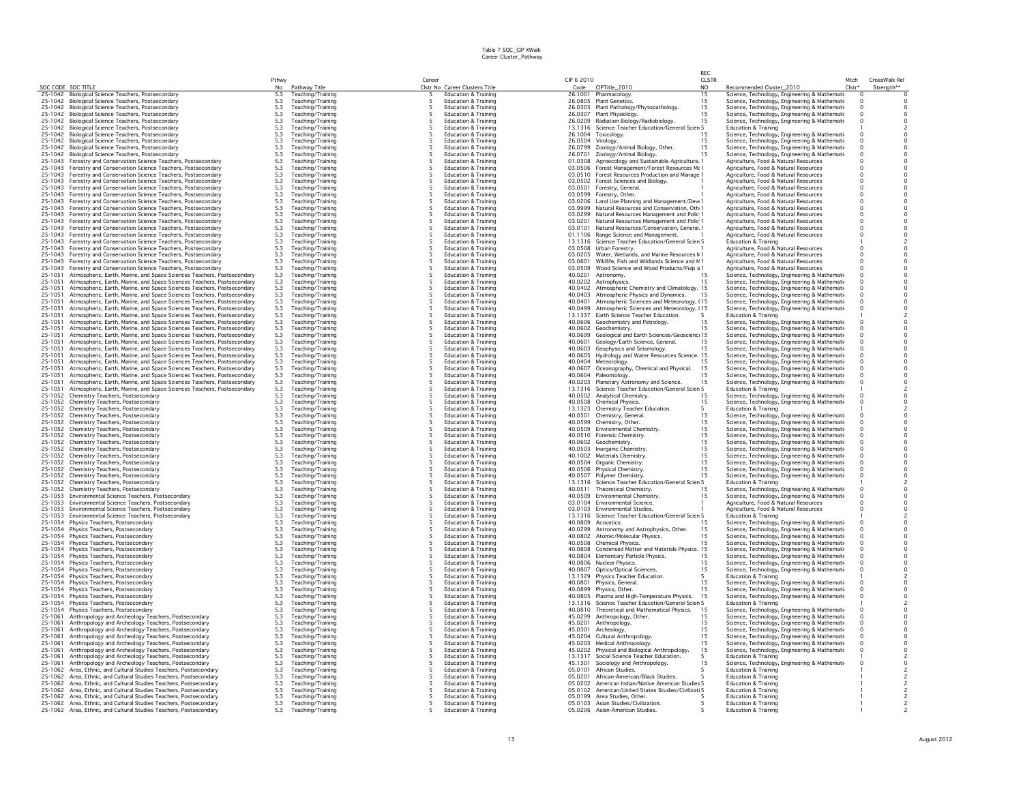|                    |                                                                        |                                                  |                                        |        |                                 |            |                                                     | RFC.         |                                       |                                               |            |                                            |
|--------------------|------------------------------------------------------------------------|--------------------------------------------------|----------------------------------------|--------|---------------------------------|------------|-----------------------------------------------------|--------------|---------------------------------------|-----------------------------------------------|------------|--------------------------------------------|
|                    |                                                                        | Pthwy                                            |                                        | Career |                                 | CIP 6 2010 |                                                     | <b>CLSTR</b> |                                       |                                               | Mtch       | CrossWalk Rel                              |
| SOC CODE SOC TITLE |                                                                        | No                                               | Pathway Title                          |        | Clstr No Career Clusters Title  |            | Code CIPTitle_2010                                  | NO.          | Recommended Cluster_2010              |                                               | $Clstr*$   | Strength**                                 |
|                    | 25-1042 Biological Science Teachers, Postsecondary                     | 5.3                                              | Teaching/Training                      |        | <b>Education &amp; Training</b> |            | 26.1001 Pharmacology                                | 15           |                                       | Science, Technology, Engineering & Mathemati  | $\Omega$   | $\overline{0}$                             |
| 25-1042            | Biological Science Teachers, Postsecondary                             | $\begin{array}{c} 5.3 \\ 5.3 \\ 5.3 \end{array}$ | Teaching/Training                      |        | <b>Education &amp; Training</b> |            | 26,0805 Plant Genetics.                             | 15           |                                       | Science, Technology, Engineering & Mathemati- | $\Omega$   | $^{\circ}$                                 |
| 25-1042            | Biological Science Teachers, Postsecondary                             |                                                  | Teaching/Training                      |        | <b>Education &amp; Training</b> |            | 26.0305 Plant Pathology/Phytopathology.             | 15           |                                       | Science, Technology, Engineering & Mathemati- | $\Omega$   | $\Omega$                                   |
| 25-1042            | Biological Science Teachers, Postsecondary                             |                                                  | Teaching/Training                      |        | Education & Training            |            | 26.0307 Plant Physiology.                           | 15           |                                       | Science, Technology, Engineering & Mathemati- | $\Omega$   | $\circ$                                    |
| 25-1042            | Biological Science Teachers, Postsecondary                             | $5.3\,$                                          | Teaching/Training                      |        | <b>Education &amp; Training</b> |            | 26.0209 Radiation Biology/Radiobiology.             | 15           |                                       | Science, Technology, Engineering & Mathemati  |            | $\circ$                                    |
| 25-1042            | Biological Science Teachers, Postsecondary                             | 5.3                                              | Teaching/Training                      |        | <b>Education &amp; Training</b> |            | 13.1316 Science Teacher Education/General Scien 5   |              | Education & Training                  |                                               |            |                                            |
|                    | 25-1042 Biological Science Teachers, Postsecondary                     | 5.3                                              | Teaching/Training                      |        | Education & Training            |            | 26.1004 Toxicology.                                 | 15           |                                       | Science, Technology, Engineering & Mathemati- |            |                                            |
| 25-1042            | Biological Science Teachers, Postsecondary                             | $\frac{5.3}{5.3}$                                | Teaching/Training                      |        | <b>Education &amp; Training</b> | 26.0504    | Virology.                                           | 15           |                                       | Science, Technology, Engineering & Mathematio | $\Omega$   | $\circ$                                    |
| 25-1042            | Biological Science Teachers, Postsecondary                             |                                                  | Teaching/Training                      |        | <b>Education &amp; Training</b> | 26.0799    | Zoology/Animal Biology, Other.                      | 15           |                                       | Science, Technology, Engineering & Mathemati  |            |                                            |
| 25-1042            | Biological Science Teachers, Postsecondary                             | 5.3                                              | Teaching/Training                      |        | <b>Education &amp; Training</b> |            | 26.0701 Zoology/Animal Biology.                     | 15           |                                       | Science, Technology, Engineering & Mathemati  | $\Omega$   | $\circ$                                    |
| 25-1043            | Forestry and Conservation Science Teachers, Postsecondary              | $5.3\,$                                          | Teaching/Training                      |        | <b>Education &amp; Training</b> |            | 01.0308 Agroecology and Sustainable Agriculture. 1  |              | Agriculture, Food & Natural Resources |                                               | $\Omega$   | $_{\rm o}^{\rm o}$                         |
| 25-1043            | Forestry and Conservation Science Teachers, Postsecondary              | $\frac{5.3}{5.3}$                                | Teaching/Training                      |        | <b>Education &amp; Training</b> |            | 03.0506 Forest Management/Forest Resources Ma 1     |              | Agriculture, Food & Natural Resources |                                               | $\Omega$   |                                            |
| 25-1043            | Forestry and Conservation Science Teachers, Postsecondary              |                                                  | Teaching/Training                      |        | <b>Education &amp; Training</b> | 03.0510    | Forest Resources Production and Manage 1            |              | Agriculture, Food & Natural Resources |                                               | $\Omega$   | $\circ$                                    |
| 25-1043            | Forestry and Conservation Science Teachers, Postsecondary              | $5.3\,$                                          | Teaching/Training                      |        | <b>Education &amp; Training</b> |            | 03.0502 Forest Sciences and Biology.                |              | Agriculture, Food & Natural Resources |                                               |            | $\circ$                                    |
| 25-1043            | Forestry and Conservation Science Teachers, Postsecondary              | $5.3\,$                                          | Teaching/Training                      |        | Education & Training            | 03.0501    | Forestry, General.                                  |              | Agriculture, Food & Natural Resources |                                               | $\circ$    | $\circ$                                    |
| 25-1043            | Forestry and Conservation Science Teachers, Postsecondary              | 5.3                                              | Teaching/Training                      |        | <b>Education &amp; Training</b> |            | 03.0599 Forestry, Other.                            |              | Agriculture, Food & Natural Resources |                                               |            |                                            |
| 25-1043            | Forestry and Conservation Science Teachers, Postsecondary              |                                                  | Teaching/Training                      |        | <b>Education &amp; Training</b> |            | 03.0206 Land Use Planning and Management/Deve1      |              | Agriculture, Food & Natural Resources |                                               | $\Omega$   | $\circ$                                    |
| 25-1043            | Forestry and Conservation Science Teachers, Postsecondary              | 5.3<br>5.3<br>5.3<br>5.3<br>5.3<br>5.3           | Teaching/Training                      |        | <b>Education &amp; Training</b> | 03.9999    | Natural Resources and Conservation, Oth 1           |              | Agriculture, Food & Natural Resources |                                               | $\Omega$   | $\circ$                                    |
| 25-1043            | Forestry and Conservation Science Teachers, Postsecondary              |                                                  | Teaching/Training                      |        | <b>Education &amp; Training</b> |            | 03.0299 Natural Resources Management and Polic 1    |              | Agriculture, Food & Natural Resources |                                               | $\Omega$   | $\circ$                                    |
| 25-1043            | Forestry and Conservation Science Teachers, Postsecondary              |                                                  | Teaching/Training                      |        | <b>Education &amp; Training</b> | 03.0201    | Natural Resources Management and Polic 1            |              | Agriculture, Food & Natural Resources |                                               | $\Omega$   | $\overline{0}$                             |
| 25-1043            | Forestry and Conservation Science Teachers, Postsecondary              |                                                  | Teaching/Training                      | 5      | <b>Education &amp; Training</b> |            | 03.0101 Natural Resources/Conservation, General, 1  |              | Agriculture, Food & Natural Resources |                                               | $\Omega$   | $\circ$                                    |
| 25-1043            | Forestry and Conservation Science Teachers, Postsecondary              |                                                  | Teaching/Training                      |        | <b>Education &amp; Training</b> | 01.1106    | Range Science and Management.                       |              | Agriculture, Food & Natural Resources |                                               | $\Omega$   | $\circ$                                    |
| 25-1043            | Forestry and Conservation Science Teachers, Postsecondary              | $5.3\,$                                          | Teaching/Training                      |        | <b>Education &amp; Training</b> |            | 13.1316 Science Teacher Education/General Scien 5   |              | <b>Education &amp; Training</b>       |                                               |            | $\overline{c}$                             |
| 25-1043            | Forestry and Conservation Science Teachers, Postsecondary              | 5.3                                              | Teaching/Training                      |        | <b>Education &amp; Training</b> | 03.0508    | Urban Forestry.                                     |              | Agriculture, Food & Natural Resources |                                               |            | $\circ$                                    |
| 25-1043            | Forestry and Conservation Science Teachers, Postsecondary              |                                                  | Teaching/Training                      |        | Education & Training            |            | 03.0205 Water, Wetlands, and Marine Resources M 1   |              | Agriculture, Food & Natural Resources |                                               |            | $\circ$                                    |
| 25-1043            | Forestry and Conservation Science Teachers, Postsecondary              | $\frac{5.3}{5.3}$                                | Teaching/Training                      |        | <b>Education &amp; Training</b> | 03.0601    | Wildlife, Fish and Wildlands Science and N 1        |              | Agriculture, Food & Natural Resources |                                               |            | $\mathbf 0$                                |
| 25-1043            | Forestry and Conservation Science Teachers, Postsecondary              | 5.3                                              | Teaching/Training                      |        | <b>Education &amp; Training</b> | 03.0509    | Wood Science and Wood Products/Pulp a 1             |              | Agriculture, Food & Natural Resources |                                               |            | $\circ$                                    |
| 25-1051            | Atmospheric, Earth, Marine, and Space Sciences Teachers, Postsecondary | 5.3                                              | Teaching/Training                      |        | <b>Education &amp; Training</b> | 40.0201    | Astronomy.                                          | 15           |                                       | Science, Technology, Engineering & Mathemati- | $^{\circ}$ | $\circ$                                    |
| 25-1051            | Atmospheric, Earth, Marine, and Space Sciences Teachers, Postsecondary | 5.3                                              | Teaching/Training                      |        | <b>Education &amp; Training</b> | 40.0202    | Astrophysics.                                       | 15           |                                       | Science, Technology, Engineering & Mathemati  | $\Omega$   | $\mathbf 0$                                |
| 25-1051            | Atmospheric, Earth, Marine, and Space Sciences Teachers, Postsecondary | 5.3                                              | Teaching/Training                      |        | Education & Training            | 40.0402    | Atmospheric Chemistry and Climatology. 15           |              |                                       | Science, Technology, Engineering & Mathemati- |            | $\mathbf 0$                                |
| 25-1051            | Atmospheric, Earth, Marine, and Space Sciences Teachers, Postsecondary | $5.3\,$                                          | Teaching/Training                      |        | <b>Education &amp; Training</b> | 40.0403    | Atmospheric Physics and Dynamics.                   | 15           |                                       | Science, Technology, Engineering & Mathemati  |            | $\circ$                                    |
| 25-1051            | Atmospheric, Earth, Marine, and Space Sciences Teachers, Postsecondary | 5.3                                              | Teaching/Training                      |        | <b>Education &amp; Training</b> | 40.0401    | Atmospheric Sciences and Meteorology, (15           |              |                                       | Science, Technology, Engineering & Mathemati  |            | $\circ$                                    |
| 25-1051            | Atmospheric, Earth, Marine, and Space Sciences Teachers, Postsecondary | 5.3                                              | Teaching/Training                      |        | <b>Education &amp; Training</b> | 40.0499    | Atmospheric Sciences and Meteorology, (15           |              |                                       | Science, Technology, Engineering & Mathemati  |            | $\circ$                                    |
| 25-1051            | Atmospheric, Earth, Marine, and Space Sciences Teachers, Postsecondary | 5.3                                              | Teaching/Training                      |        | <b>Education &amp; Training</b> | 13.1337    | Earth Science Teacher Education.                    |              | Education & Training                  |                                               |            |                                            |
| 25-1051            | Atmospheric, Earth, Marine, and Space Sciences Teachers, Postsecondary | 5.3                                              | Teaching/Training                      |        | <b>Education &amp; Training</b> | 40.0606    | Geochemistry and Petrology.                         | 15           |                                       | Science, Technology, Engineering & Mathemati- |            | $\circ$                                    |
| 25-1051            | Atmospheric, Earth, Marine, and Space Sciences Teachers, Postsecondary |                                                  | Teaching/Training                      |        | <b>Education &amp; Training</b> | 40.0602    | Geochemistry                                        | 15           |                                       | Science, Technology, Engineering & Mathemati  |            | $\circ$                                    |
| 25-1051            | Atmospheric, Earth, Marine, and Space Sciences Teachers, Postsecondary | $\frac{5.3}{5.3}$                                | Teaching/Training                      |        | <b>Education &amp; Training</b> | 40.0699    | Geological and Earth Sciences/Geoscienc: 15         |              |                                       | Science, Technology, Engineering & Mathemati- |            | $\circ$                                    |
| 25-1051            | Atmospheric, Earth, Marine, and Space Sciences Teachers, Postsecondary | 5.3                                              | Teaching/Training                      |        | <b>Education &amp; Training</b> | 40.0601    | Geology/Earth Science, General,                     | 1.5          |                                       | Science, Technology, Engineering & Mathemati- |            | $\circ$                                    |
| 25-1051            | Atmospheric, Earth, Marine, and Space Sciences Teachers, Postsecondary | 5.3                                              | Teaching/Training                      |        | <b>Education &amp; Training</b> | 40.0603    | Geophysics and Seismology.                          | 15           |                                       | Science, Technology, Engineering & Mathemati- | $\Omega$   | $\circ$                                    |
| 25-1051            | Atmospheric, Earth, Marine, and Space Sciences Teachers, Postsecondary | 5.3                                              | Teaching/Training                      |        | <b>Education &amp; Training</b> | 40.0605    | Hydrology and Water Resources Science. 15           |              |                                       | Science, Technology, Engineering & Mathemati- |            | $\circ$                                    |
| 25-1051            | Atmospheric, Earth, Marine, and Space Sciences Teachers, Postsecondary | 5.3                                              | Teaching/Training                      |        | <b>Education &amp; Training</b> |            | 40.0404 Meteorology.                                | 15           |                                       | Science, Technology, Engineering & Mathemati  |            | $\circ$                                    |
| 25-1051            | Atmospheric, Earth, Marine, and Space Sciences Teachers, Postsecondary | 5.3                                              | Teaching/Training                      |        | <b>Education &amp; Training</b> | 40.0607    | Oceanography, Chemical and Physical.                | 15           |                                       | Science, Technology, Engineering & Mathemati  |            | $\circ$                                    |
| 25-1051            | Atmospheric, Earth, Marine, and Space Sciences Teachers, Postsecondary | 5.3                                              | Teaching/Training                      |        | <b>Education &amp; Training</b> | 40.0604    | Paleontology.                                       | 15           |                                       | Science, Technology, Engineering & Mathemati  |            | $\circ$                                    |
| 25-1051            | Atmospheric, Earth, Marine, and Space Sciences Teachers, Postsecondary | 5.3                                              | Teaching/Training                      |        | <b>Education &amp; Training</b> |            | 40.0203 Planetary Astronomy and Science.            | 15           |                                       | Science, Technology, Engineering & Mathemati- |            | $\circ$                                    |
| 25-1051            | Atmospheric, Earth, Marine, and Space Sciences Teachers, Postsecondary | 5.3                                              | Teaching/Training                      |        | <b>Education &amp; Training</b> |            | 13.1316 Science Teacher Education/General Scien 5   |              | Education & Training                  |                                               |            |                                            |
| 25-1052            | Chemistry Teachers, Postsecondary                                      | 5.3                                              | Teaching/Training                      |        | <b>Education &amp; Training</b> |            | 40.0502 Analytical Chemistry.                       | 15           |                                       | Science, Technology, Engineering & Mathemati  |            | $\circ$                                    |
| 25-1052            | Chemistry Teachers, Postsecondary                                      | 5.3                                              | Teaching/Training                      |        | <b>Education &amp; Training</b> | 40.0508    | <b>Chemical Physics.</b>                            | 15           |                                       | Science, Technology, Engineering & Mathemati- |            | $\circ$                                    |
| 25-1052            | Chemistry Teachers, Postsecondary                                      |                                                  | Teaching/Training                      |        | <b>Education &amp; Training</b> | 13.1323    | Chemistry Teacher Education.                        | 5            | <b>Education &amp; Training</b>       |                                               |            | $\overline{c}$                             |
| 25-1052            | Chemistry Teachers, Postsecondary                                      | $\frac{5.3}{5.3}$                                | Teaching/Training                      |        | Education & Training            | 40.0501    | Chemistry, General.                                 | 15           |                                       | Science, Technology, Engineering & Mathemati  |            | $\circ$                                    |
| 25-1052            | Chemistry Teachers, Postsecondary                                      | $5.3\,$                                          | Teaching/Training                      |        | <b>Education &amp; Training</b> |            | 40.0599 Chemistry, Other.                           | 15           |                                       | Science, Technology, Engineering & Mathemati  |            | $\circ$                                    |
| 25-1052            | Chemistry Teachers, Postsecondary                                      | 5.3                                              | Teaching/Training                      |        | <b>Education &amp; Training</b> | 40.0509    | Environmental Chemistry.                            | 15           |                                       | Science, Technology, Engineering & Mathemati  |            | $\circ$                                    |
| 25-1052            | Chemistry Teachers, Postsecondary                                      | 5.3                                              | Teaching/Training                      |        | <b>Education &amp; Training</b> |            | 40.0510 Forensic Chemistry.                         | 15           |                                       | Science, Technology, Engineering & Mathemati- |            |                                            |
| 25-1052            | Chemistry Teachers, Postsecondary                                      |                                                  | Teaching/Training                      |        | <b>Education &amp; Training</b> |            | 40.0602 Geochemistry.                               | 15           |                                       | Science, Technology, Engineering & Mathemati- |            | $\circ$                                    |
| 25-1052            | Chemistry Teachers, Postsecondary                                      | $\frac{5.3}{5.3}$                                | Teaching/Training                      |        | Education & Training            | 40.0503    | Inorganic Chemistry.                                | 15           |                                       | Science, Technology, Engineering & Mathemati  |            |                                            |
| 25-1052            | Chemistry Teachers, Postsecondary                                      | 5.3                                              | Teaching/Training                      |        | <b>Education &amp; Training</b> |            | 40.1002 Materials Chemistry.                        | 15           |                                       | Science, Technology, Engineering & Mathemati  |            | $\circ$                                    |
| 25-1052            | Chemistry Teachers, Postsecondary                                      | 5.3                                              | Teaching/Training                      |        | <b>Education &amp; Training</b> |            | 40.0504 Organic Chemistry.                          | 15           |                                       |                                               |            | $\circ$                                    |
| 25-1052            |                                                                        |                                                  |                                        |        | <b>Education &amp; Training</b> |            | 40.0506 Physical Chemistry.                         | 15           |                                       | Science, Technology, Engineering & Mathemati  | $\Omega$   | $\circ$                                    |
| 25-1052            | Chemistry Teachers, Postsecondary<br>Chemistry Teachers, Postsecondary | $\frac{5.3}{5.3}$                                | Teaching/Training<br>Teaching/Training |        | <b>Education &amp; Training</b> | 40.0507    | Polymer Chemistry.                                  | 15           |                                       | Science, Technology, Engineering & Mathemati- |            | $\circ$                                    |
| 25-1052            | Chemistry Teachers, Postsecondary                                      | 5.3                                              | Teaching/Training                      |        | <b>Education &amp; Training</b> |            | 13.1316 Science Teacher Education/General Scien 5   |              | Education & Training                  | Science, Technology, Engineering & Mathemati  |            |                                            |
| 25-1052            | Chemistry Teachers, Postsecondary                                      | 5.3                                              | Teaching/Training                      |        | <b>Education &amp; Training</b> | 40.0511    | Theoretical Chemistry.                              | 15           |                                       | Science, Technology, Engineering & Mathemati  |            | $\circ$                                    |
| 25-1053            | Environmental Science Teachers, Postsecondary                          | 5.3                                              | Teaching/Training                      |        | <b>Education &amp; Training</b> |            | 40.0509 Environmental Chemistry                     | 15           |                                       | Science, Technology, Engineering & Mathemati- |            | $\circ$                                    |
| 25-1053            | Environmental Science Teachers, Postsecondary                          | 5.3                                              | Teaching/Training                      |        | <b>Education &amp; Training</b> |            | 03.0104 Environmental Science.                      |              | Agriculture, Food & Natural Resources |                                               |            | $\circ$                                    |
| 25-1053            | Environmental Science Teachers, Postsecondary                          | 5.3                                              | Teaching/Training                      |        | <b>Education &amp; Training</b> |            | 03.0103 Environmental Studies.                      |              | Agriculture, Food & Natural Resources |                                               |            |                                            |
| 25-1053            | Environmental Science Teachers, Postsecondary                          |                                                  | Teaching/Training                      |        | <b>Education &amp; Training</b> |            | 13.1316 Science Teacher Education/General Scien 5   |              | Education & Training                  |                                               |            | $\overline{c}$                             |
| 25-1054            | Physics Teachers, Postsecondary                                        | $5.3$<br>$5.3$<br>$5.3$<br>$5.3$                 | Teaching/Training                      |        | <b>Education &amp; Training</b> | 40.0809    | Acoustics.                                          | 15           |                                       | Science, Technology, Engineering & Mathemati  |            |                                            |
| 25-1054            | Physics Teachers, Postsecondary                                        |                                                  | Teaching/Training                      |        | <b>Education &amp; Training</b> | 40.0299    | Astronomy and Astrophysics, Other.                  | 15           |                                       | Science, Technology, Engineering & Mathemati- |            | $\begin{smallmatrix}0\\0\end{smallmatrix}$ |
| 25-1054            | Physics Teachers, Postsecondary                                        |                                                  | Teaching/Training                      |        | <b>Education &amp; Training</b> | 40,0802    | Atomic/Molecular Physics.                           | 15           |                                       | Science, Technology, Engineering & Mathemati  |            | $\circ$                                    |
| 25-1054            | Physics Teachers, Postsecondary                                        | $5.3\,$                                          | Teaching/Training                      |        | <b>Education &amp; Training</b> | 40.0508    | Chemical Physics.                                   | 15           |                                       | Science, Technology, Engineering & Mathemati  |            | $\circ$                                    |
| 25-1054            | Physics Teachers, Postsecondary                                        | 5.3                                              | Teaching/Training                      |        | <b>Education &amp; Training</b> | 40.0808    | Condensed Matter and Materials Physics. 15          |              |                                       | Science, Technology, Engineering & Mathemati- |            | $\circ$                                    |
| 25-1054            | Physics Teachers, Postsecondary                                        |                                                  | Teaching/Training                      |        | <b>Education &amp; Training</b> | 40.0804    | Elementary Particle Physics.                        | 15           |                                       | Science, Technology, Engineering & Mathemati- |            | $\circ$                                    |
| 25-1054            | Physics Teachers, Postsecondary                                        | $\frac{5.3}{5.3}$                                | Teaching/Training                      |        | <b>Education &amp; Training</b> | 40.0806    | Nuclear Physics.                                    | 15           |                                       | Science, Technology, Engineering & Mathemati  |            | $\mathbf 0$                                |
| 25-1054            | Physics Teachers, Postsecondary                                        | 5.3                                              | Teaching/Training                      |        | <b>Education &amp; Training</b> | 40.0807    | Optics/Optical Sciences.                            | 15           |                                       | Science, Technology, Engineering & Mathemati- |            |                                            |
| 25-1054            | Physics Teachers, Postsecondary                                        | 5.3                                              | Teaching/Training                      |        | <b>Education &amp; Training</b> |            | 13.1329 Physics Teacher Education.                  | 5            | Education & Training                  |                                               |            | $\overline{c}$                             |
| 25-1054            | Physics Teachers, Postsecondary                                        | $5.3\,$                                          | Teaching/Training                      |        | <b>Education &amp; Training</b> | 40.0801    | Physics, General.                                   | 15           |                                       | Science, Technology, Engineering & Mathemati  |            | $\circ$                                    |
| 25-1054            | Physics Teachers, Postsecondary                                        | $5.3\,$                                          | Teaching/Training                      |        | Education & Training            |            | 40.0899 Physics, Other.                             | 15           |                                       | Science, Technology, Engineering & Mathemati- |            | $\circ$                                    |
| 25-1054            | Physics Teachers, Postsecondary                                        | 5.3                                              | Teaching/Training                      |        | <b>Education &amp; Training</b> | 40.0805    | Plasma and High-Temperature Physics.                | 15           |                                       | Science, Technology, Engineering & Mathemati- |            | $\circ$                                    |
| 25-1054            | Physics Teachers, Postsecondary                                        | $5.3\,$                                          | Teaching/Training                      |        | <b>Education &amp; Training</b> |            | 13.1316 Science Teacher Education/General Scien 5   |              | <b>Education &amp; Training</b>       |                                               |            | $\overline{c}$                             |
| 25-1054            | Physics Teachers, Postsecondary                                        | 5.3                                              | Teaching/Training                      |        | Education & Training            |            | 40.0810 Theoretical and Mathematical Physics.       | 15           |                                       | Science, Technology, Engineering & Mathemati  |            | $\circ$                                    |
| 25-1061            | Anthropology and Archeology Teachers, Postsecondary                    | 5.3                                              | Teaching/Training                      |        | Education & Training            |            | 45.0299 Anthropology, Other.                        | 15           |                                       | Science, Technology, Engineering & Mathemati- |            |                                            |
| 25-1061            | Anthropology and Archeology Teachers, Postsecondary                    | 5.3                                              | Teaching/Training                      |        | <b>Education &amp; Training</b> | 45.0201    | Anthropology.                                       | 15           |                                       | Science, Technology, Engineering & Mathematio |            | $\circ$                                    |
| 25-1061            | Anthropology and Archeology Teachers, Postsecondary                    | 5.3                                              | Teaching/Training                      |        | <b>Education &amp; Training</b> | 45.0301    | Archeology.                                         | 15           |                                       | Science, Technology, Engineering & Mathemati  |            | $\circ$                                    |
| 25-1061            | Anthropology and Archeology Teachers, Postsecondary                    |                                                  | Teaching/Training                      |        | <b>Education &amp; Training</b> | 45.0204    | Cultural Anthropology.                              | 15           |                                       | Science, Technology, Engineering & Mathemati- |            |                                            |
| 25-1061            | Anthropology and Archeology Teachers, Postsecondary                    | $\frac{5.3}{5.3}$                                | Teaching/Training                      |        | <b>Education &amp; Training</b> | 45.0203    | Medical Anthropology.                               | 15           |                                       | Science, Technology, Engineering & Mathemati  |            | $_{0}^{0}$                                 |
| 25-1061            | Anthropology and Archeology Teachers, Postsecondary                    |                                                  | Teaching/Training                      |        | <b>Education &amp; Training</b> |            | 45.0202 Physical and Biological Anthropology.       | 15           |                                       | Science, Technology, Engineering & Mathemati  |            | $\circ$                                    |
| 25-1061            | Anthropology and Archeology Teachers, Postsecondary                    | $\frac{5.3}{5.3}$                                | Teaching/Training                      |        | <b>Education &amp; Training</b> | 13.1317    | Social Science Teacher Education.                   |              | <b>Education &amp; Training</b>       |                                               |            |                                            |
| 25-1061            | Anthropology and Archeology Teachers, Postsecondary                    | $5.3\,$                                          | Teaching/Training                      |        | <b>Education &amp; Training</b> | 45.1301    | Sociology and Anthropology.                         | 15           |                                       | Science, Technology, Engineering & Mathemati  |            |                                            |
| 25-1062            | Area, Ethnic, and Cultural Studies Teachers, Postsecondary             | 5.3                                              | Teaching/Training                      |        | <b>Education &amp; Training</b> | 05.0101    | African Studies.                                    |              | <b>Education &amp; Training</b>       |                                               |            |                                            |
| 25-1062            | Area, Ethnic, and Cultural Studies Teachers, Postsecondary             | 5.3                                              | Teaching/Training                      |        | <b>Education &amp; Training</b> | 05.0201    | African-American/Black Studies.                     |              | <b>Education &amp; Training</b>       |                                               |            |                                            |
| 25-1062            | Area, Ethnic, and Cultural Studies Teachers, Postsecondary             |                                                  | Teaching/Training                      |        | <b>Education &amp; Training</b> |            | 05.0202 American Indian/Native American Studies 5   |              | <b>Education &amp; Training</b>       |                                               |            |                                            |
| 25-1062            | Area, Ethnic, and Cultural Studies Teachers, Postsecondary             | $\frac{5.3}{5.3}$                                | Teaching/Training                      |        | <b>Education &amp; Training</b> |            | 05.0102 American/United States Studies/Civilizati 5 |              | <b>Education &amp; Training</b>       |                                               |            |                                            |
|                    | 25-1062 Area, Ethnic, and Cultural Studies Teachers, Postsecondary     | 5.3                                              | Teaching/Training                      | -5     | <b>Education &amp; Training</b> |            | 05.0199 Area Studies, Other,                        |              | <b>Education &amp; Training</b>       |                                               |            |                                            |
|                    | 25-1062 Area, Ethnic, and Cultural Studies Teachers, Postsecondary     | 5.3                                              | Teaching/Training                      |        | <b>Education &amp; Training</b> |            | 05.0103 Asian Studies/Civilization                  |              | <b>Education &amp; Training</b>       |                                               |            |                                            |
| 25-1062            | Area, Ethnic, and Cultural Studies Teachers, Postsecondary             | 5.3                                              | Teaching/Training                      |        | Education & Training            |            | 05.0206 Asian-American Studies.                     |              | Education & Training                  |                                               |            |                                            |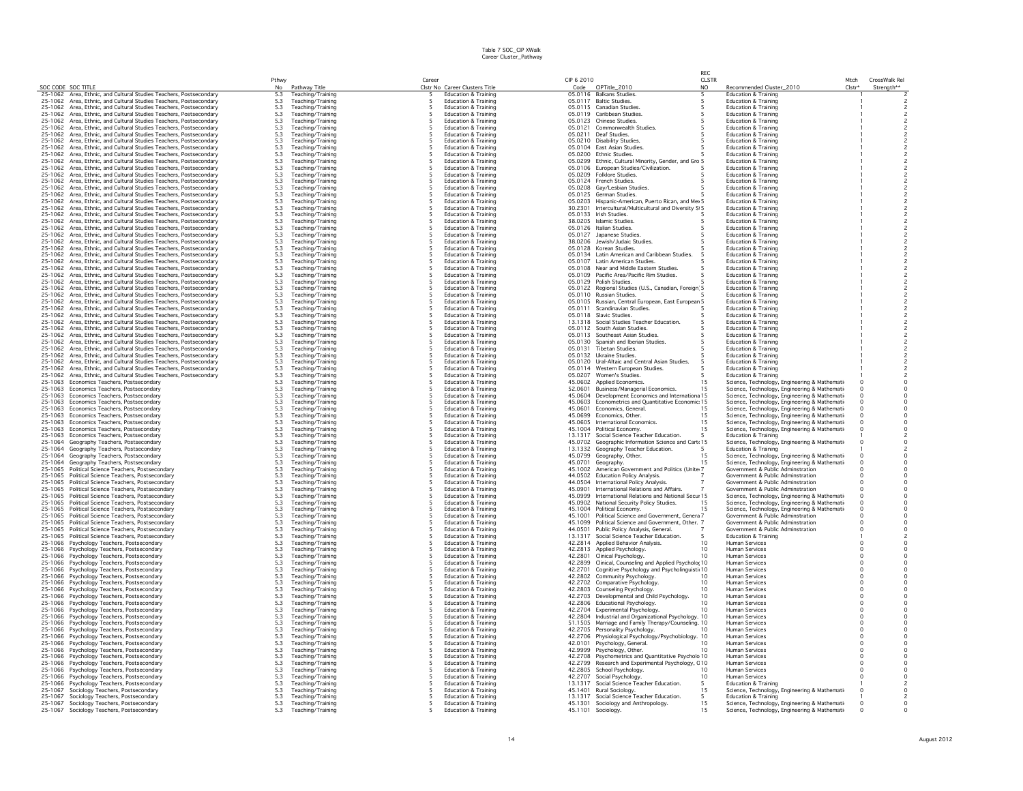|                    |                                                                                                | Pthwy                                     |                                        | Career |                                              | CIP 6 2010 |                                                                                                | CLSTR           |                                                                        | Mtch     | CrossWalk Rel                                 |
|--------------------|------------------------------------------------------------------------------------------------|-------------------------------------------|----------------------------------------|--------|----------------------------------------------|------------|------------------------------------------------------------------------------------------------|-----------------|------------------------------------------------------------------------|----------|-----------------------------------------------|
| SOC CODE SOC TITLE |                                                                                                | N <sub>0</sub>                            | Pathway Title                          |        | Clstr No Career Clusters Title               | Code       | CIPTitle_2010                                                                                  | NO.             | Recommended Cluster_2010                                               | $Clstr*$ | Strength**                                    |
|                    | 25-1062 Area, Ethnic, and Cultural Studies Teachers, Postsecondary                             | 5.3                                       | Teaching/Training                      |        | <b>Education &amp; Training</b>              |            | 05.0116 Balkans Studies                                                                        |                 | <b>Education &amp; Training</b>                                        |          |                                               |
| 25-1062            | Area, Ethnic, and Cultural Studies Teachers, Postsecondary                                     | 5.3                                       | Teaching/Training                      |        | Education & Training                         |            | 05.0117 Baltic Studies.                                                                        |                 | <b>Education &amp; Training</b>                                        |          |                                               |
| 25-1062            | Area, Ethnic, and Cultural Studies Teachers, Postsecondary                                     | 5.3                                       | Teaching/Training                      |        | <b>Education &amp; Training</b>              |            | 05.0115 Canadian Studies                                                                       |                 | Education & Training                                                   |          |                                               |
| 25-1062            | Area, Ethnic, and Cultural Studies Teachers, Postsecondary                                     | 5.3                                       | Teaching/Training                      |        | <b>Education &amp; Training</b>              |            | 05.0119 Caribbean Studies.                                                                     |                 | <b>Education &amp; Training</b>                                        |          |                                               |
| 25-1062            | Area, Ethnic, and Cultural Studies Teachers, Postsecondary                                     | 5.3                                       | Teaching/Training                      |        | Education & Training                         |            | 05.0123 Chinese Studies.                                                                       |                 | <b>Education &amp; Training</b>                                        |          |                                               |
| 25-1062            | Area, Ethnic, and Cultural Studies Teachers, Postsecondary                                     |                                           | Teaching/Training                      |        | <b>Education &amp; Training</b>              |            | 05.0121 Commonwealth Studies                                                                   |                 | <b>Education &amp; Training</b>                                        |          | $\overline{\phantom{a}}$                      |
| 25-1062            | Area, Ethnic, and Cultural Studies Teachers, Postsecondary                                     | $5.3$<br>$5.3$<br>$5.3$<br>$5.3$          | Teaching/Training                      | -5     | <b>Education &amp; Training</b>              |            | 05.0211 Deaf Studies.                                                                          |                 | <b>Education &amp; Training</b>                                        |          | $\overline{c}$                                |
| 25-1062            | Area, Ethnic, and Cultural Studies Teachers, Postsecondary                                     |                                           | Teaching/Training                      |        | <b>Education &amp; Training</b>              |            | 05.0210 Disability Studies                                                                     |                 | <b>Education &amp; Training</b>                                        |          |                                               |
| 25-1062            | Area, Ethnic, and Cultural Studies Teachers, Postsecondary                                     |                                           | Teaching/Training                      |        | <b>Education &amp; Training</b>              |            | 05.0104 East Asian Studies.                                                                    |                 | Education & Training                                                   |          | $\overline{c}$                                |
| 25-1062            | Area, Ethnic, and Cultural Studies Teachers, Postsecondary                                     | 5.3                                       | Teaching/Training                      |        | Education & Training                         |            | 05.0200 Ethnic Studies.                                                                        |                 | <b>Education &amp; Training</b>                                        |          |                                               |
| 25-1062            | Area, Ethnic, and Cultural Studies Teachers, Postsecondary                                     | $5.3\,$                                   | Teaching/Training                      |        | Education & Training                         |            | 05.0299 Ethnic, Cultural Minority, Gender, and Gro 5                                           |                 | Education & Training                                                   |          | $\overline{c}$                                |
| 25-1062            | Area, Ethnic, and Cultural Studies Teachers, Postsecondary                                     | 5.3                                       | Teaching/Training                      | 5      | Education & Training                         |            | 05.0106 European Studies/Civilization.                                                         |                 | <b>Education &amp; Training</b>                                        |          | $\overline{c}$                                |
| 25-1062            | Area, Ethnic, and Cultural Studies Teachers, Postsecondary                                     | $\frac{5.3}{5.3}$<br>5.3                  | Teaching/Training                      |        | <b>Education &amp; Training</b>              |            | 05.0209 Folklore Studies.                                                                      |                 | <b>Education &amp; Training</b>                                        |          |                                               |
| 25-1062            | Area, Ethnic, and Cultural Studies Teachers, Postsecondary                                     |                                           | Teaching/Training                      |        | <b>Education &amp; Training</b>              |            | 05.0124 French Studies.                                                                        |                 | <b>Education &amp; Training</b>                                        |          | $\overline{c}$                                |
| 25-1062            | Area, Ethnic, and Cultural Studies Teachers, Postsecondary                                     |                                           | Teaching/Training                      |        | Education & Training                         |            | 05.0208 Gay/Lesbian Studies.                                                                   |                 | <b>Education &amp; Training</b>                                        |          | $\overline{c}$                                |
| 25-1062            | Area, Ethnic, and Cultural Studies Teachers, Postsecondary                                     | $5.3\,$                                   | Teaching/Training                      |        | Education & Training                         |            | 05.0125 German Studies.                                                                        |                 | <b>Education &amp; Training</b>                                        |          | $\overline{c}$                                |
| 25-1062            | Area, Ethnic, and Cultural Studies Teachers, Postsecondary                                     | 5.3                                       | Teaching/Training                      |        | <b>Education &amp; Training</b>              |            | 05.0203 Hispanic-American, Puerto Rican, and Me> 5                                             |                 | <b>Education &amp; Training</b>                                        |          | $\overline{c}$                                |
| 25-1062            | Area, Ethnic, and Cultural Studies Teachers, Postsecondary                                     | 5.3                                       | Teaching/Training                      |        | Education & Training                         |            | 30.2301 Intercultural/Multicultural and Diversity S: 5                                         |                 | <b>Education &amp; Training</b>                                        |          | $\overline{c}$                                |
|                    |                                                                                                |                                           |                                        |        | <b>Education &amp; Training</b>              |            | 05.0133 Irish Studies.                                                                         |                 | <b>Education &amp; Training</b>                                        |          |                                               |
| 25-1062            | Area, Ethnic, and Cultural Studies Teachers, Postsecondary                                     | $5.3$<br>$5.3$<br>$5.3$<br>$5.3$          | Teaching/Training                      | -5     |                                              |            |                                                                                                |                 |                                                                        |          | $\frac{2}{2}$                                 |
| 25-1062            | Area, Ethnic, and Cultural Studies Teachers, Postsecondary                                     |                                           | Teaching/Training                      |        | <b>Education &amp; Training</b>              |            | 38.0205 Islamic Studies                                                                        |                 | <b>Education &amp; Training</b>                                        |          |                                               |
| 25-1062            | Area, Ethnic, and Cultural Studies Teachers, Postsecondary                                     |                                           | Teaching/Training                      | -5     | <b>Education &amp; Training</b>              |            | 05.0126 Italian Studies.                                                                       |                 | <b>Education &amp; Training</b>                                        |          | $\mathsf{2}$                                  |
| 25-1062            | Area, Ethnic, and Cultural Studies Teachers, Postsecondary                                     |                                           | Teaching/Training                      |        | Education & Training                         |            | 05.0127 Japanese Studies                                                                       |                 | <b>Education &amp; Training</b>                                        |          | $\overline{c}$                                |
| 25-1062            | Area, Ethnic, and Cultural Studies Teachers, Postsecondary                                     | 5.3                                       | Teaching/Training                      |        | Education & Training                         |            | 38.0206 Jewish/Judaic Studies.                                                                 |                 | <b>Education &amp; Training</b>                                        |          | $\overline{c}$                                |
| 25-1062            | Area, Ethnic, and Cultural Studies Teachers, Postsecondary                                     | 5.3                                       | Teaching/Training                      |        | Education & Training                         |            | 05.0128 Korean Studies.                                                                        |                 | Education & Training                                                   |          | $\overline{c}$                                |
| 25-1062            | Area, Ethnic, and Cultural Studies Teachers, Postsecondary                                     | $5.3$<br>$5.3$<br>$5.3$                   | Teaching/Training                      |        | Education & Training                         |            | 05.0134 Latin American and Caribbean Studies.                                                  |                 | <b>Education &amp; Training</b>                                        |          | $\overline{c}$                                |
| 25-1062            | Area, Ethnic, and Cultural Studies Teachers, Postsecondary                                     |                                           | Teaching/Training                      |        | <b>Education &amp; Training</b>              |            | 05.0107 Latin American Studies.                                                                |                 | <b>Education &amp; Training</b>                                        |          | $\overline{c}$                                |
| 25-1062            | Area, Ethnic, and Cultural Studies Teachers, Postsecondary                                     |                                           | Teaching/Training                      |        | <b>Education &amp; Training</b>              |            | 05.0108 Near and Middle Eastern Studies.                                                       |                 | <b>Education &amp; Training</b>                                        |          | $\sqrt{2}$                                    |
| 25-1062            | Area, Ethnic, and Cultural Studies Teachers, Postsecondary                                     | $5.3\,$                                   | Teaching/Training                      |        | Education & Training                         |            | 05.0109 Pacific Area/Pacific Rim Studies.                                                      |                 | <b>Education &amp; Training</b>                                        |          | $\overline{c}$                                |
| 25-1062            | Area, Ethnic, and Cultural Studies Teachers, Postsecondary                                     | $5.3\,$                                   | Teaching/Training                      |        | <b>Education &amp; Training</b>              |            | 05.0129 Polish Studies.                                                                        |                 | <b>Education &amp; Training</b>                                        |          | $\overline{c}$                                |
| 25-1062            | Area, Ethnic, and Cultural Studies Teachers, Postsecondary                                     | 5.3                                       | Teaching/Training                      |        | Education & Training                         |            | 05.0122 Regional Studies (U.S., Canadian, Foreign 5                                            |                 | <b>Education &amp; Training</b>                                        |          |                                               |
| 25-1062            | Area, Ethnic, and Cultural Studies Teachers, Postsecondary                                     | $\frac{5.3}{5.3}$                         | Teaching/Training                      |        | Education & Training                         |            | 05.0110 Russian Studies.                                                                       |                 | Education & Training                                                   |          | $\overline{c}$                                |
| 25-1062            | Area, Ethnic, and Cultural Studies Teachers, Postsecondary                                     |                                           | Teaching/Training                      |        | Education & Training                         |            | 05.0105 Russian, Central European, East European 5                                             |                 | <b>Education &amp; Training</b>                                        |          |                                               |
| 25-1062            | Area, Ethnic, and Cultural Studies Teachers, Postsecondary                                     | $\frac{5.3}{5.3}$<br>5.3                  | Teaching/Training                      |        | <b>Education &amp; Training</b>              |            | 05.0111 Scandinavian Studies.                                                                  |                 | <b>Education &amp; Training</b>                                        |          | $\bar{z}$                                     |
| 25-1062            | Area, Ethnic, and Cultural Studies Teachers, Postsecondary                                     |                                           | Teaching/Training                      |        | <b>Education &amp; Training</b>              |            | 05.0118 Slavic Studies.                                                                        |                 | <b>Education &amp; Training</b>                                        |          | $\overline{\mathbf{c}}$                       |
| 25-1062            | Area, Ethnic, and Cultural Studies Teachers, Postsecondary                                     |                                           | Teaching/Training                      |        | Education & Training                         |            | 13.1318 Social Studies Teacher Education.                                                      |                 | <b>Education &amp; Training</b>                                        |          | $\overline{c}$                                |
| 25-1062            | Area, Ethnic, and Cultural Studies Teachers, Postsecondary                                     | $5.3\,$                                   | Teaching/Training                      |        | <b>Education &amp; Training</b>              |            | 05.0112 South Asian Studies.                                                                   |                 | Education & Training                                                   |          | $\overline{c}$                                |
| 25-1062            | Area, Ethnic, and Cultural Studies Teachers, Postsecondary                                     | $5.3\,$                                   | Teaching/Training                      |        | <b>Education &amp; Training</b>              |            | 05.0113 Southeast Asian Studies.                                                               |                 | <b>Education &amp; Training</b>                                        |          | $\overline{c}$                                |
| 25-1062            | Area, Ethnic, and Cultural Studies Teachers, Postsecondary                                     | 5.3                                       | Teaching/Training                      |        | Education & Training                         |            | 05.0130 Spanish and Iberian Studies.                                                           |                 | <b>Education &amp; Training</b>                                        |          | $\overline{c}$                                |
| 25-1062            | Area, Ethnic, and Cultural Studies Teachers, Postsecondary                                     | 5.3                                       | Teaching/Training                      |        | Education & Training                         |            | 05.0131 Tibetan Studies.                                                                       |                 | <b>Education &amp; Training</b>                                        |          | $\overline{c}$                                |
| 25-1062            | Area, Ethnic, and Cultural Studies Teachers, Postsecondary                                     |                                           | Teaching/Training                      | 5      | <b>Education &amp; Training</b>              |            | 05.0132 Ukraine Studies                                                                        |                 | <b>Education &amp; Training</b>                                        |          | $\bar{z}$                                     |
|                    |                                                                                                | $5.3$<br>$5.3$                            |                                        |        |                                              |            |                                                                                                |                 |                                                                        |          |                                               |
| 25-1062            | Area, Ethnic, and Cultural Studies Teachers, Postsecondary                                     |                                           | Teaching/Training                      |        | <b>Education &amp; Training</b>              |            | 05.0120 Ural-Altaic and Central Asian Studies.                                                 |                 | <b>Education &amp; Training</b>                                        |          | $\overline{\mathbf{c}}$                       |
| 25-1062            | Area, Ethnic, and Cultural Studies Teachers, Postsecondary                                     | $\frac{5.3}{5.3}$                         | Teaching/Training                      |        | <b>Education &amp; Training</b>              |            | 05.0114 Western European Studies.                                                              |                 | <b>Education &amp; Training</b>                                        |          | $\overline{\mathbf{c}}$                       |
| 25-1062            | Area, Ethnic, and Cultural Studies Teachers, Postsecondary                                     |                                           | Teaching/Training                      |        | <b>Education &amp; Training</b>              | 05.0207    | Women's Studies.                                                                               |                 | <b>Education &amp; Training</b>                                        |          | $\overline{c}$                                |
|                    | 25-1063 Economics Teachers, Postsecondary                                                      | 5.3                                       | Teaching/Training                      |        | Education & Training                         |            | 45.0602 Applied Economics.                                                                     | 15              | Science, Technology, Engineering & Mathemati-                          |          | $\circ$                                       |
|                    | 25-1063 Economics Teachers, Postsecondary                                                      | 5.3                                       | Teaching/Training                      | -5     | Education & Training                         | 52.0601    | Business/Managerial Economics.                                                                 | 15              | Science, Technology, Engineering & Mathemati                           |          | $\circ$                                       |
|                    | 25-1063 Economics Teachers, Postsecondary                                                      | 5.3                                       | Teaching/Training                      |        | <b>Education &amp; Training</b>              |            | 45.0604 Development Economics and Internationa 15                                              |                 | Science, Technology, Engineering & Mathemati-                          |          | $\circ$                                       |
|                    | 25-1063 Economics Teachers, Postsecondary                                                      | $5.3$<br>$5.3$<br>$5.3$                   | Teaching/Training                      |        | <b>Education &amp; Training</b>              |            | 45.0603 Econometrics and Quantitative Economic: 15                                             |                 | Science, Technology, Engineering & Mathemati-                          |          | $\circ$                                       |
| 25-1063            | Economics Teachers, Postsecondary                                                              |                                           | Teaching/Training                      |        | Education & Training                         |            | 45.0601 Economics, General.                                                                    | 15              | Science, Technology, Engineering & Mathemati-                          |          | $\mathsf{O}\xspace$                           |
| 25-1063            | Economics Teachers, Postsecondary                                                              |                                           | Teaching/Training                      |        | <b>Education &amp; Training</b>              |            | 45.0699 Economics, Other.                                                                      | 15              | Science, Technology, Engineering & Mathemati                           | $\Omega$ | $\mathsf{O}\xspace$                           |
| 25-1063            | Economics Teachers, Postsecondary                                                              | $5.3\,$                                   | Teaching/Training                      |        | Education & Training                         |            | 45.0605 International Economics.                                                               | 15              | Science, Technology, Engineering & Mathemati-                          |          | $\circ$                                       |
|                    | 25-1063 Economics Teachers, Postsecondary                                                      | 5.3                                       | Teaching/Training                      |        | Education & Training                         |            | 45.1004 Political Economy.                                                                     | 15              | Science, Technology, Engineering & Mathemati-                          |          | $\circ$                                       |
|                    | 25-1063 Economics Teachers, Postsecondary                                                      | 5.3                                       | Teaching/Training                      |        | Education & Training                         |            | 13.1317 Social Science Teacher Education.                                                      |                 | Education & Training                                                   |          | $\overline{c}$                                |
| 25-1064            | Geography Teachers, Postsecondary                                                              |                                           | Teaching/Training                      |        | <b>Education &amp; Training</b>              |            | 45.0702 Geographic Information Science and Cart (15                                            |                 | Science, Technology, Engineering & Mathemati                           |          |                                               |
| 25-1064            | Geography Teachers, Postsecondary                                                              | $\frac{5.3}{5.3}$                         | Teaching/Training                      |        | <b>Education &amp; Training</b>              |            | 13.1332 Geography Teacher Education.                                                           | 5               | <b>Education &amp; Training</b>                                        |          | $\begin{smallmatrix} 0\\ 2 \end{smallmatrix}$ |
| 25-1064            | Geography Teachers, Postsecondary                                                              | 5.3                                       | Teaching/Training                      |        | <b>Education &amp; Training</b>              | 45.0799    | Geography, Other.                                                                              | 1.5             | Science, Technology, Engineering & Mathemati-                          |          | $\mathsf{O}\xspace$                           |
| 25-1064            | Geography Teachers, Postsecondary                                                              | $5.3\,$                                   | Teaching/Training                      |        | <b>Education &amp; Training</b>              |            | 45.0701 Geography.                                                                             | 15              | Science, Technology, Engineering & Mathemati-                          |          | $\circ$                                       |
| 25-1065            | Political Science Teachers, Postsecondary                                                      | 5.3                                       | Teaching/Training                      |        | Education & Training                         |            | 45.1002 American Government and Politics (Unite 7                                              |                 | Government & Public Adminstration                                      |          | $\circ$                                       |
|                    | 25-1065 Political Science Teachers, Postsecondary                                              | 5.3                                       | Teaching/Training                      |        | Education & Training                         |            | 44.0502 Education Policy Analysis.                                                             |                 | Government & Public Adminstration                                      |          | $\circ$                                       |
| 25-1065            | Political Science Teachers, Postsecondary                                                      |                                           | Teaching/Training                      |        | <b>Education &amp; Training</b>              |            | 44.0504 International Policy Analysis.                                                         |                 | Government & Public Adminstration                                      | $\Omega$ | $\circ$                                       |
| 25-1065            | Political Science Teachers, Postsecondary                                                      | $\frac{5.3}{5.3}$                         | Teaching/Training                      |        | <b>Education &amp; Training</b>              | 45.0901    | International Relations and Affairs.                                                           |                 | Government & Public Adminstration                                      |          | $\circ$                                       |
|                    | 25-1065 Political Science Teachers, Postsecondary                                              |                                           | Teaching/Training                      | 5      | <b>Education &amp; Training</b>              |            | 45.0999 International Relations and National Secur 15                                          |                 |                                                                        | $\Omega$ | $\circ$                                       |
| 25-1065            |                                                                                                | $\frac{5.3}{5.3}$                         |                                        |        | <b>Education &amp; Training</b>              |            |                                                                                                | 15              | Science, Technology, Engineering & Mathemati-                          | $\Omega$ |                                               |
|                    | Political Science Teachers, Postsecondary                                                      |                                           | Teaching/Training                      |        |                                              |            | 45.0902 National Security Policy Studies.                                                      |                 | Science, Technology, Engineering & Mathemati-                          |          | 0                                             |
| 25-1065            | Political Science Teachers, Postsecondary                                                      | $5.3\,$                                   | Teaching/Training                      |        | <b>Education &amp; Training</b>              |            | 45.1004 Political Economy.                                                                     | 15              | Science, Technology, Engineering & Mathemati-                          | $\circ$  | $\circ$                                       |
| 25-1065            | Political Science Teachers, Postsecondary                                                      | 5.3                                       | Teaching/Training                      |        | <b>Education &amp; Training</b>              | 45.1001    | Political Science and Government, Genera 7                                                     |                 | Government & Public Adminstration                                      |          | $\mathsf{O}\xspace$                           |
| 25-1065            | Political Science Teachers, Postsecondary<br>25-1065 Political Science Teachers, Postsecondary | 5.3                                       | Teaching/Training<br>Teaching/Training |        | Education & Training<br>Education & Training |            | 45.1099 Political Science and Government, Other. 7<br>44.0501 Public Policy Analysis, General. |                 | Government & Public Adminstration<br>Government & Public Adminstration |          | $\circ$<br>$\ddot{\mathbf{0}}$                |
|                    |                                                                                                | 5.3<br>5.3                                |                                        |        |                                              |            |                                                                                                |                 |                                                                        | $\Omega$ | $\overline{c}$                                |
|                    | 25-1065 Political Science Teachers, Postsecondary                                              |                                           | Teaching/Training                      |        | <b>Education &amp; Training</b>              |            | 13.1317 Social Science Teacher Education.                                                      |                 | <b>Education &amp; Training</b>                                        |          |                                               |
| 25-1066            | Psychology Teachers, Postsecondary                                                             | $\frac{5.3}{5.3}$                         | Teaching/Training                      | 5      | <b>Education &amp; Training</b>              |            | 42.2814 Applied Behavior Analysis.                                                             | 10              | <b>Human Services</b>                                                  | $\Omega$ | $\circ$                                       |
| 25-1066            | Psychology Teachers, Postsecondary                                                             |                                           | Teaching/Training                      |        | Education & Training                         | 42.2813    | Applied Psychology.                                                                            | 10              | <b>Human Services</b>                                                  |          | $\circ$                                       |
| 25-1066            | Psychology Teachers, Postsecondary                                                             | $5.3\,$                                   | Teaching/Training                      |        | <b>Education &amp; Training</b>              |            | 42.2801 Clinical Psychology.                                                                   | 10              | Human Services                                                         |          | $\mathbf 0$                                   |
| 25-1066            | Psychology Teachers, Postsecondary                                                             | $5.3\,$                                   | Teaching/Training                      |        | Education & Training                         | 42.2899    | Clinical, Counseling and Applied Psycholo(10                                                   |                 | <b>Human Services</b>                                                  |          | $\circ$                                       |
| 25-1066            | Psychology Teachers, Postsecondary                                                             | 5.3                                       | Teaching/Training                      |        | <b>Education &amp; Training</b>              |            | 42.2701 Cognitive Psychology and Psycholinguistii 10                                           |                 | <b>Human Services</b>                                                  |          | $\mathsf{O}\xspace$                           |
| 25-1066            | Psychology Teachers, Postsecondary                                                             | 5.3                                       | Teaching/Training                      |        | Education & Training                         |            | 42.2802 Community Psychology.                                                                  | 10              | <b>Human Services</b>                                                  |          | $\circ$                                       |
| 25-1066            | Psychology Teachers, Postsecondary                                                             | 5.3                                       | Teaching/Training                      |        | <b>Education &amp; Training</b>              | 42.2702    | Comparative Psychology.                                                                        | 10              | <b>Human Services</b>                                                  |          | $\Omega$                                      |
| 25-1066            | Psychology Teachers, Postsecondary                                                             | 5.3                                       | Teaching/Training                      |        | <b>Education &amp; Training</b>              |            | 42.2803 Counseling Psychology.                                                                 | 10              | <b>Human Services</b>                                                  |          | $\mathsf{O}\xspace$                           |
| 25-1066            | Psychology Teachers, Postsecondary                                                             | $5.3\,$                                   | Teaching/Training                      |        | <b>Education &amp; Training</b>              |            | 42.2703 Developmental and Child Psychology.                                                    | 10              | Human Services                                                         |          | $\mathsf{O}\xspace$                           |
| 25-1066            | Psychology Teachers, Postsecondary                                                             | $5.3\,$                                   | Teaching/Training                      |        | <b>Education &amp; Training</b>              |            | 42.2806 Educational Psychology.                                                                | 10              | <b>Human Services</b>                                                  |          | $\circ$                                       |
| 25-1066            | Psychology Teachers, Postsecondary                                                             | 5.3                                       | Teaching/Training                      |        | <b>Education &amp; Training</b>              |            | 42.2704 Experimental Psychology.                                                               | 10              | Human Services                                                         |          | $\circ$                                       |
| 25-1066            | Psychology Teachers, Postsecondary                                                             | 5.3                                       | Teaching/Training                      |        | <b>Education &amp; Training</b>              |            | 42.2804 Industrial and Organizational Psychology. 10                                           |                 | <b>Human Services</b>                                                  |          | $\circ$                                       |
| 25-1066            | Psychology Teachers, Postsecondary                                                             | 5.3                                       | Teaching/Training                      |        | Education & Training                         |            | 51.1505 Marriage and Family Therapy/Counseling. 10                                             |                 | <b>Human Services</b>                                                  |          | $\circ$                                       |
| 25-1066            | Psychology Teachers, Postsecondary                                                             | 5.3                                       | Teaching/Training                      |        | <b>Education &amp; Training</b>              |            | 42.2705 Personality Psychology.                                                                | 10              | <b>Human Services</b>                                                  |          | $\circ$                                       |
| 25-1066            | Psychology Teachers, Postsecondary                                                             |                                           | Teaching/Training                      |        | <b>Education &amp; Training</b>              |            | 42.2706 Physiological Psychology/Psychobiology. 10                                             |                 | <b>Human Services</b>                                                  |          | $\mathsf{O}\xspace$                           |
| 25-1066            | Psychology Teachers, Postsecondary                                                             | $\begin{array}{c} 5.3 \\ 5.3 \end{array}$ | Teaching/Training                      |        | <b>Education &amp; Training</b>              | 42,0101    | Psychology, General.                                                                           | 10              | <b>Human Services</b>                                                  |          | 0                                             |
| 25-1066            | Psychology Teachers, Postsecondary                                                             | $5.3\,$                                   | Teaching/Training                      |        | <b>Education &amp; Training</b>              |            | 42.9999 Psychology, Other.                                                                     | 10              | <b>Human Services</b>                                                  |          | $\circ$                                       |
| 25-1066            | Psychology Teachers, Postsecondary                                                             | 5.3                                       | Teaching/Training                      |        | Education & Training                         |            | 42.2708 Psychometrics and Quantitative Psycholo 10                                             |                 | <b>Human Services</b>                                                  |          | $\mathsf{O}\xspace$                           |
| 25-1066            | Psychology Teachers, Postsecondary                                                             | 5.3                                       | Teaching/Training                      |        | Education & Training                         |            | 42.2799 Research and Experimental Psychology, C10                                              |                 | <b>Human Services</b>                                                  |          | $\circ$                                       |
| 25-1066            |                                                                                                |                                           |                                        |        | <b>Education &amp; Training</b>              |            | 42.2805 School Psychology.                                                                     |                 | <b>Human Services</b>                                                  |          | $\Omega$                                      |
|                    | Psychology Teachers, Postsecondary                                                             | $\frac{5.3}{5.3}$                         | Teaching/Training                      | -5     |                                              |            |                                                                                                | 10              |                                                                        |          | $\circ$                                       |
| 25-1066            | Psychology Teachers, Postsecondary                                                             |                                           | Teaching/Training                      |        | <b>Education &amp; Training</b>              | 42,2707    | Social Psychology.                                                                             | 10 <sup>°</sup> | <b>Human Services</b>                                                  |          |                                               |
| 25-1066            | Psychology Teachers, Postsecondary                                                             | $\frac{5.3}{5.3}$                         | Teaching/Training                      | -5     | <b>Education &amp; Training</b>              |            | 13.1317 Social Science Teacher Education.                                                      | 5               | <b>Education &amp; Training</b>                                        |          | $\overline{c}$                                |
| 25-1067            | Sociology Teachers, Postsecondary                                                              |                                           | Teaching/Training                      |        | <b>Education &amp; Training</b>              | 45.1401    | Rural Sociology.                                                                               | 15              | Science, Technology, Engineering & Mathemati-                          |          | $\circ$                                       |
| 25-1067            | Sociology Teachers, Postsecondary                                                              | 5.3                                       | Teaching/Training                      |        | Education & Training                         |            | 13.1317 Social Science Teacher Education.                                                      |                 | Education & Training                                                   |          | $\overline{c}$                                |
| 25-1067            | Sociology Teachers, Postsecondary                                                              | 5.3                                       | Teaching/Training                      | 5      | <b>Education &amp; Training</b>              | 45.1301    | Sociology and Anthropology.                                                                    | 15              | Science, Technology, Engineering & Mathemati-                          | $\circ$  | $\circ$                                       |
| 25-1067            | Sociology Teachers, Postsecondary                                                              | 5.3                                       | Teaching/Training                      | -5     | <b>Education &amp; Training</b>              | 45.1101    | Sociology.                                                                                     | 15              | Science, Technology, Engineering & Mathemati                           |          | $\circ$                                       |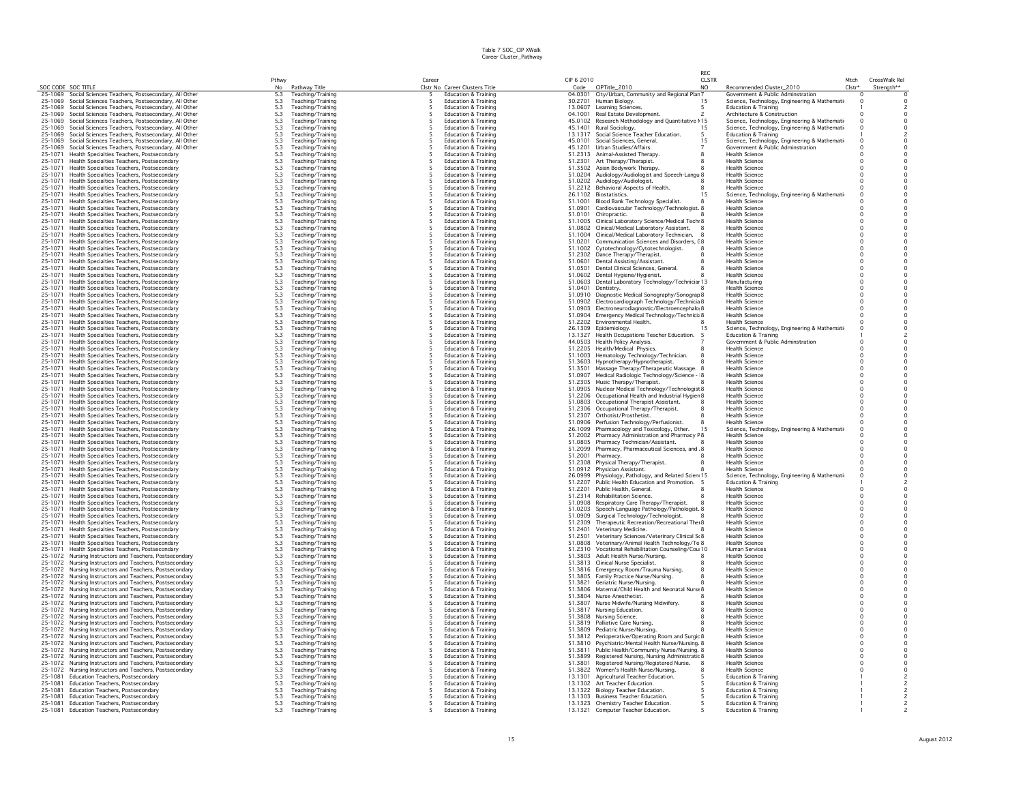|                                                                                                                  | Pthwy                                                 | Career                                                             | CIP 6 2010         |                                                                                                   | RFC<br>CLSTR                                         | CrossWalk Rel<br>Mtch |
|------------------------------------------------------------------------------------------------------------------|-------------------------------------------------------|--------------------------------------------------------------------|--------------------|---------------------------------------------------------------------------------------------------|------------------------------------------------------|-----------------------|
| SOC CODE SOC TITLE                                                                                               | No                                                    | Clstr No Career Clusters Title                                     | Code               | CIPTitle_2010                                                                                     | NO<br>Recommended Cluster_2010                       | Clstr*<br>Strength**  |
| 25-1069 Social Sciences Teachers, Postsecondary, All Other                                                       | Pathway Title<br>5.3<br>Teaching/Training             | <b>Education &amp; Training</b>                                    |                    | 04.0301 City/Urban, Community and Regional Plan                                                   | Government & Public Adminstration                    |                       |
| 25-1069 Social Sciences Teachers, Postsecondary, All Other                                                       | 5.3<br>Teaching/Training                              | Education & Training<br>5                                          |                    | 30.2701 Human Biology.                                                                            | Science, Technology, Engineering & Mathemati-<br>1.5 |                       |
| 25-1069<br>Social Sciences Teachers, Postsecondary, All Other                                                    | 5.3<br>Teaching/Training                              | <b>Education &amp; Training</b>                                    |                    | 13.0607 Learning Sciences.                                                                        | Education & Training                                 |                       |
| 25-1069 Social Sciences Teachers, Postsecondary, All Other                                                       | 5.3<br>Teaching/Training                              | Education & Training                                               |                    | 04.1001 Real Estate Development.                                                                  | Architecture & Construction                          | $\Omega$              |
| 25-1069 Social Sciences Teachers, Postsecondary, All Other                                                       | 5.3<br>Teaching/Training                              | <b>Education &amp; Training</b>                                    |                    | 45.0102 Research Methodology and Quantitative 115                                                 | Science, Technology, Engineering & Mathemati         | $\Omega$              |
| Social Sciences Teachers, Postsecondary, All Other<br>25-1069                                                    | $5.3$<br>$5.3$<br>Teaching/Training                   | <b>Education &amp; Training</b>                                    |                    | 45.1401 Rural Sociology.                                                                          | Science, Technology, Engineering & Mathemati<br>15   | $\Omega$<br>$\Omega$  |
| 25-1069<br>Social Sciences Teachers, Postsecondary, All Other                                                    | Teaching/Training                                     | <b>Education &amp; Training</b><br>5                               |                    | 13.1317 Social Science Teacher Education.<br>-5                                                   | <b>Education &amp; Training</b>                      |                       |
| 25-1069<br>Social Sciences Teachers, Postsecondary, All Other                                                    | Teaching/Training                                     | <b>Education &amp; Training</b>                                    |                    | 45.0101 Social Sciences, General.                                                                 | Science, Technology, Engineering & Mathemati-<br>15  |                       |
| 25-1069<br>Social Sciences Teachers, Postsecondary, All Other                                                    | $\frac{5.3}{5.3}$<br>Teaching/Training                | <b>Education &amp; Training</b>                                    |                    | 45.1201 Urban Studies/Affairs.                                                                    | Government & Public Adminstration                    |                       |
| 25-1071<br>Health Specialties Teachers, Postsecondary                                                            | $5.3\,$<br>Teaching/Training                          | <b>Education &amp; Training</b>                                    |                    | 51.2313 Animal-Assisted Therapy                                                                   | <b>Health Science</b>                                |                       |
| 25-1071<br>Health Specialties Teachers, Postsecondary                                                            | 5.3<br>Teaching/Training                              | <b>Education &amp; Training</b>                                    |                    | 51.2301 Art Therapy/Therapist.                                                                    | <b>Health Science</b>                                |                       |
| 25-1071<br>Health Specialties Teachers, Postsecondary                                                            | 5.3<br>Teaching/Training                              | Education & Training                                               |                    | 51.3502 Asian Bodywork Therapy.                                                                   | <b>Health Science</b>                                |                       |
| Health Specialties Teachers, Postsecondary<br>25-1071                                                            | 5.3<br>Teaching/Training                              | <b>Education &amp; Training</b>                                    |                    | 51.0204 Audiology/Audiologist and Speech-Langu 8                                                  | <b>Health Science</b>                                |                       |
| 25-1071<br>Health Specialties Teachers, Postsecondary                                                            | 5.3<br>Teaching/Training                              | <b>Education &amp; Training</b>                                    |                    | 51.0202 Audiology/Audiologist.                                                                    | <b>Health Science</b>                                |                       |
| 25-1071<br>Health Specialties Teachers, Postsecondary                                                            | 5.3<br>Teaching/Training                              | <b>Education &amp; Training</b><br>5                               |                    | 51.2212 Behavioral Aspects of Health.                                                             | <b>Health Science</b>                                | $^{\circ}$            |
| 25-1071<br>Health Specialties Teachers, Postsecondary                                                            | 5.3<br>Teaching/Training                              | 5<br><b>Education &amp; Training</b>                               |                    | 26.1102 Biostatistics.                                                                            | Science, Technology, Engineering & Mathemati<br>15   |                       |
| 25-1071 Health Specialties Teachers, Postsecondary                                                               | $\frac{5.3}{5.3}$<br>Teaching/Training                | <b>Education &amp; Training</b><br>5                               |                    | 51.1001 Blood Bank Technology Specialist.                                                         | <b>Health Science</b>                                |                       |
| 25-1071<br>Health Specialties Teachers, Postsecondary                                                            | Teaching/Training                                     | <b>Education &amp; Training</b>                                    |                    | 51.0901 Cardiovascular Technology/Technologist. 8                                                 | <b>Health Science</b>                                |                       |
| 25-1071<br>Health Specialties Teachers, Postsecondary                                                            | 5.3<br>Teaching/Training                              | <b>Education &amp; Training</b>                                    |                    | 51.0101 Chiropractic.                                                                             | <b>Health Science</b>                                |                       |
| Health Specialties Teachers, Postsecondary<br>25-1071<br>25-1071                                                 | $5.3\,$<br>Teaching/Training                          | Education & Training<br><b>Education &amp; Training</b>            | 51.1005            | Clinical Laboratory Science/Medical Techr 8                                                       | <b>Health Science</b><br><b>Health Science</b>       |                       |
| Health Specialties Teachers, Postsecondary<br>Health Specialties Teachers, Postsecondary<br>25-1071              | 5.3<br>Teaching/Training<br>5.3<br>Teaching/Training  | Education & Training                                               |                    | 51.0802 Clinical/Medical Laboratory Assistant.<br>51.1004 Clinical/Medical Laboratory Technician. | <b>Health Science</b>                                |                       |
| 25-1071<br>Health Specialties Teachers, Postsecondary                                                            | 5.3<br>Teaching/Training                              | <b>Education &amp; Training</b>                                    |                    | 51.0201 Communication Sciences and Disorders, 08                                                  | <b>Health Science</b>                                | $\Omega$              |
| 25-1071<br>Health Specialties Teachers, Postsecondary                                                            | Teaching/Training                                     | <b>Education &amp; Training</b><br>5                               |                    | 51.1002 Cytotechnology/Cytotechnologist.                                                          | <b>Health Science</b>                                | $\Omega$              |
| 25-1071<br>Health Specialties Teachers, Postsecondary                                                            | $5.3$<br>$5.3$<br>$5.3$<br>$5.3$<br>Teaching/Training | <b>Education &amp; Training</b>                                    |                    | 51.2302 Dance Therapy/Therapist.                                                                  | Health Science                                       | $\Omega$              |
| 25-1071<br>Health Specialties Teachers, Postsecondary                                                            | Teaching/Training                                     | 5<br><b>Education &amp; Training</b>                               |                    | 51.0601 Dental Assisting/Assistant.                                                               | Health Science                                       | $\Omega$              |
| 25-1071<br>Health Specialties Teachers, Postsecondary                                                            | Teaching/Training                                     | <b>Education &amp; Training</b>                                    |                    | 51.0501 Dental Clinical Sciences, General.                                                        | Health Science                                       | $\Omega$              |
| 25-1071<br>Health Specialties Teachers, Postsecondary                                                            | $5.3\,$<br>Teaching/Training                          | <b>Education &amp; Training</b>                                    |                    | 51.0602 Dental Hygiene/Hygienist.                                                                 | <b>Health Science</b>                                | $^{\circ}$            |
| Health Specialties Teachers, Postsecondary<br>25-1071                                                            | 5.3<br>Teaching/Training                              | <b>Education &amp; Training</b>                                    |                    | 51.0603 Dental Laboratory Technology/Technicial 13                                                | Manufacturino                                        | $\Omega$              |
| 25-1071<br>Health Specialties Teachers, Postsecondary                                                            | 5.3<br>Teaching/Training                              | <b>Education &amp; Training</b>                                    | 51.0401 Dentistry. |                                                                                                   | <b>Health Science</b>                                |                       |
| Health Specialties Teachers, Postsecondary<br>25-1071                                                            | 5.3<br>Teaching/Training                              | Education & Training                                               |                    | 51.0910 Diagnostic Medical Sonography/Sonograp 8                                                  | <b>Health Science</b>                                | $\Omega$              |
| 25-1071<br>Health Specialties Teachers, Postsecondary                                                            | 5.3<br>Teaching/Training                              | Education & Training                                               |                    | 51.0902 Electrocardiograph Technology/Technicia 8                                                 | <b>Health Science</b>                                |                       |
| 25-1071<br>Health Specialties Teachers, Postsecondary                                                            | 5.3<br>Teaching/Training                              | <b>Education &amp; Training</b><br>5                               |                    | 51.0903 Electroneurodiagnostic/Electroencephalo 8                                                 | <b>Health Science</b>                                | $\circ$               |
| 25-1071<br>Health Specialties Teachers, Postsecondary                                                            | 5.3<br>Teaching/Training                              | <b>Education &amp; Training</b><br>5                               |                    | 51.0904 Emergency Medical Technology/Technicia 8                                                  | <b>Health Science</b>                                | $\Omega$              |
| 25-1071<br>Health Specialties Teachers, Postsecondary                                                            | Teaching/Training                                     | <b>Education &amp; Training</b><br>5                               |                    | 51.2202 Environmental Health.                                                                     | <b>Health Science</b>                                | $\Omega$              |
| 25-1071<br>Health Specialties Teachers, Postsecondary                                                            | 5.3<br>5.3<br>5.3<br>5.3<br>Teaching/Training         | <b>Education &amp; Training</b>                                    |                    | 26.1309 Epidemiology.                                                                             | Science, Technology, Engineering & Mathemati-        | $^{\circ}$            |
| 25-1071<br>Health Specialties Teachers, Postsecondary                                                            | Teaching/Training                                     | <b>Education &amp; Training</b>                                    |                    | 13.1327 Health Occupations Teacher Education.                                                     | <b>Education &amp; Training</b>                      |                       |
| 25-1071<br>Health Specialties Teachers, Postsecondary                                                            | Teaching/Training                                     | <b>Education &amp; Training</b>                                    |                    | 44.0503 Health Policy Analysis.                                                                   | Government & Public Adminstration                    | $\Omega$              |
| 25-1071<br>Health Specialties Teachers, Postsecondary                                                            | 5.3<br>Teaching/Training                              | <b>Education &amp; Training</b>                                    |                    | 51.2205 Health/Medical Physics.                                                                   | <b>Health Science</b>                                |                       |
| 25-1071<br>Health Specialties Teachers, Postsecondary                                                            | 5.3<br>Teaching/Training                              | <b>Education &amp; Training</b>                                    |                    | 51.1003 Hematology Technology/Technician.                                                         | <b>Health Science</b>                                |                       |
| 25-1071<br>Health Specialties Teachers, Postsecondary                                                            | 5.3<br>Teaching/Training                              | <b>Education &amp; Training</b>                                    |                    | 51.3603 Hypnotherapy/Hypnotherapist.                                                              | <b>Health Science</b>                                | $\Omega$              |
| 25-1071<br>Health Specialties Teachers, Postsecondary                                                            | $\frac{5.3}{5.3}$<br>Teaching/Training                | <b>Education &amp; Training</b><br>5                               | 51,3501            | Massage Therapy/Therapeutic Massage. 8                                                            | <b>Health Science</b>                                | $^{\circ}$            |
| 25-1071<br>Health Specialties Teachers, Postsecondary                                                            | Teaching/Training                                     | <b>Education &amp; Training</b>                                    | 51,0907            | Medical Radiologic Technology/Science - 8                                                         | <b>Health Science</b>                                |                       |
| Health Specialties Teachers, Postsecondary<br>25-1071                                                            | $5.3$<br>$5.3$<br>Teaching/Training                   | 5<br><b>Education &amp; Training</b>                               |                    | 51.2305 Music Therapy/Therapist.                                                                  | <b>Health Science</b>                                | $\Omega$              |
| 25-1071<br>Health Specialties Teachers, Postsecondary                                                            | Teaching/Training                                     | <b>Education &amp; Training</b>                                    |                    | 51.0905 Nuclear Medical Technology/Technologist 8                                                 | Health Science                                       | $\Omega$              |
| 25-1071<br>Health Specialties Teachers, Postsecondary                                                            | 5.3<br>Teaching/Training                              | <b>Education &amp; Training</b><br>5                               |                    | 51.2206 Occupational Health and Industrial Hygier 8                                               | <b>Health Science</b>                                | $\Omega$              |
| 25-1071<br>Health Specialties Teachers, Postsecondary                                                            | 5.3<br>Teaching/Training                              | <b>Education &amp; Training</b><br>5                               |                    | 51.0803 Occupational Therapist Assistant.                                                         | <b>Health Science</b>                                | $^{\circ}$            |
| 25-1071<br>Health Specialties Teachers, Postsecondary<br>25-1071<br>Health Specialties Teachers, Postsecondary   | $\frac{5.3}{5.3}$<br>Teaching/Training                | <b>Education &amp; Training</b><br><b>Education &amp; Training</b> |                    | 51.2306 Occupational Therapy/Therapist.<br>51.2307 Orthotist/Prosthetist.                         | <b>Health Science</b><br><b>Health Science</b>       | $\Omega$              |
| 25-1071                                                                                                          | Teaching/Training<br>5.3                              | <b>Education &amp; Training</b>                                    |                    |                                                                                                   | <b>Health Science</b>                                |                       |
| Health Specialties Teachers, Postsecondary<br>25-1071<br>Health Specialties Teachers, Postsecondary              | Teaching/Training<br>5.3<br>Teaching/Training         | Education & Training                                               |                    | 51.0906 Perfusion Technology/Perfusionist.<br>26.1099 Pharmacology and Toxicology, Other.         | 15<br>Science, Technology, Engineering & Mathemati   | $\Omega$              |
| 25-1071<br>Health Specialties Teachers, Postsecondary                                                            | 5.3<br>Teaching/Training                              | <b>Education &amp; Training</b>                                    |                    | 51.2002 Pharmacy Administration and Pharmacy F 8                                                  | <b>Health Science</b>                                | $\Omega$              |
| 25-1071<br>Health Specialties Teachers, Postsecondary                                                            | Teaching/Training                                     | <b>Education &amp; Training</b><br>5                               |                    | 51.0805 Pharmacy Technician/Assistant.                                                            | <b>Health Science</b>                                | $\Omega$              |
| 25-1071<br>Health Specialties Teachers, Postsecondary                                                            | $\frac{5.3}{5.3}$<br>Teaching/Training                | <b>Education &amp; Training</b>                                    |                    | 51.2099 Pharmacy, Pharmaceutical Sciences, and .8                                                 | <b>Health Science</b>                                | $\Omega$              |
| 25-1071<br>Health Specialties Teachers, Postsecondary                                                            | Teaching/Training                                     | 5<br><b>Education &amp; Training</b>                               | 51.2001 Pharmacy.  |                                                                                                   | Health Science                                       | $\Omega$<br>$\Omega$  |
| 25-1071<br>Health Specialties Teachers, Postsecondary                                                            | $5.3$<br>$5.3$<br>Teaching/Training                   | <b>Education &amp; Training</b><br>5                               |                    | 51.2308 Physical Therapy/Therapist.                                                               | <b>Health Science</b>                                | $\Omega$              |
| 25-1071<br>Health Specialties Teachers, Postsecondary                                                            | $5.3\,$<br>Teaching/Training                          | <b>Education &amp; Training</b>                                    |                    | 51.0912 Physician Assistant.                                                                      | <b>Health Science</b>                                |                       |
| 25-1071<br>Health Specialties Teachers, Postsecondary                                                            | 5.3<br>Teaching/Training                              | <b>Education &amp; Training</b>                                    |                    | 26.0999 Physiology, Pathology, and Related Scien 15                                               | Science, Technology, Engineering & Mathemati-        |                       |
| 25-1071<br>Health Specialties Teachers, Postsecondary                                                            | $\frac{5.3}{5.3}$<br>Teaching/Training                | <b>Education &amp; Training</b>                                    |                    | 51.2207 Public Health Education and Promotion.                                                    | Education & Training                                 |                       |
| 25-1071<br>Health Specialties Teachers, Postsecondary                                                            | Teaching/Training                                     | <b>Education &amp; Training</b>                                    |                    | 51.2201 Public Health, General.                                                                   | <b>Health Science</b>                                |                       |
| 25-1071<br>Health Specialties Teachers, Postsecondary                                                            | 5.3<br>Teaching/Training                              | Education & Training                                               |                    | 51.2314 Rehabilitation Science.                                                                   | <b>Health Science</b>                                |                       |
| 25-1071<br>Health Specialties Teachers, Postsecondary                                                            | 5.3<br>Teaching/Training                              | <b>Education &amp; Training</b><br>5                               |                    | 51.0908 Respiratory Care Therapy/Therapist.<br>-8                                                 | <b>Health Science</b>                                | $^{\circ}$            |
| 25-1071<br>Health Specialties Teachers, Postsecondary                                                            | 5.3<br>Teaching/Training                              | <b>Education &amp; Training</b>                                    |                    | 51.0203 Speech-Language Pathology/Pathologist. 8                                                  | <b>Health Science</b>                                | $\Omega$              |
| 25-1071<br>Health Specialties Teachers, Postsecondary                                                            | Teaching/Training                                     | <b>Education &amp; Training</b><br>5                               |                    | 51.0909 Surgical Technology/Technologist.                                                         | <b>Health Science</b>                                | $\Omega$              |
| 25-1071<br>Health Specialties Teachers, Postsecondary                                                            | $5.3$<br>$5.3$<br>$5.3$<br>$5.3$<br>Teaching/Training | <b>Education &amp; Training</b>                                    |                    | 51.2309 Therapeutic Recreation/Recreational The 8                                                 | <b>Health Science</b>                                | $\Omega$              |
| 25-1071<br>Health Specialties Teachers, Postsecondary<br>25-1071                                                 | Teaching/Training                                     | <b>Education &amp; Training</b>                                    |                    | 51.2401 Veterinary Medicine.                                                                      | <b>Health Science</b>                                | $\Omega$              |
| Health Specialties Teachers, Postsecondary                                                                       | Teaching/Training                                     | <b>Education &amp; Training</b>                                    | 51.2501            | Veterinary Sciences/Veterinary Clinical St 8                                                      | <b>Health Science</b>                                | $^{\circ}$            |
| 25-1071<br>Health Specialties Teachers, Postsecondary                                                            | 5.3<br>Teaching/Training                              | <b>Education &amp; Training</b>                                    |                    | 51.0808 Veterinary/Animal Health Technology/Te 8                                                  | <b>Health Science</b>                                |                       |
| 25-1071<br>Health Specialties Teachers, Postsecondary<br>25-1072 Nursing Instructors and Teachers, Postsecondary | 5.3<br>Teaching/Training<br>Teaching/Training         | <b>Education &amp; Training</b><br><b>Education &amp; Training</b> |                    | 51.2310 Vocational Rehabilitation Counseling/Cou 10<br>51.3803 Adult Health Nurse/Nursing.        | <b>Human Services</b><br><b>Health Science</b>       | $\circ$<br>$\Omega$   |
| 25-1072 Nursing Instructors and Teachers, Postsecondary                                                          | $\frac{5.3}{5.3}$<br>Teaching/Training                | <b>Education &amp; Training</b>                                    |                    | 51.3813 Clinical Nurse Specialist.                                                                | <b>Health Science</b>                                |                       |
| 25-1072 Nursing Instructors and Teachers, Postsecondary                                                          | 5.3<br>Teaching/Training                              | <b>Education &amp; Training</b>                                    |                    | 51.3816 Emergency Room/Trauma Nursing.                                                            | <b>Health Science</b>                                | $^{\circ}$            |
| 25-1072 Nursing Instructors and Teachers, Postsecondary                                                          | Teaching/Training                                     | <b>Education &amp; Training</b><br>5                               |                    | 51.3805 Family Practice Nurse/Nursing.<br>$\mathbf{R}$                                            | <b>Health Science</b>                                | $\Omega$<br>$\Omega$  |
| 25-1072<br>Nursing Instructors and Teachers, Postsecondary                                                       | $5.3$<br>$5.3$<br>Teaching/Training                   | <b>Education &amp; Training</b>                                    | 51.3821            | Geriatric Nurse/Nursing.                                                                          | <b>Health Science</b>                                | $\Omega$              |
| 25-1072 Nursing Instructors and Teachers, Postsecondary                                                          | 5.3<br>Teaching/Training                              | <b>Education &amp; Training</b>                                    |                    | 51,3806 Maternal/Child Health and Neonatal Nurse 8                                                | <b>Health Science</b>                                | $\Omega$              |
| 25-1072 Nursing Instructors and Teachers, Postsecondary                                                          | Teaching/Training                                     | Education & Training                                               |                    | 51.3804 Nurse Anesthetist.                                                                        | <b>Health Science</b>                                | $\Omega$              |
| 25-1072 Nursing Instructors and Teachers, Postsecondary                                                          | $\frac{5.3}{5.3}$<br>Teaching/Training                | <b>Education &amp; Training</b>                                    |                    | 51.3807 Nurse Midwife/Nursing Midwifery.                                                          | <b>Health Science</b>                                |                       |
| 25-1072 Nursing Instructors and Teachers, Postsecondary                                                          | 5.3<br>Teaching/Training                              | <b>Education &amp; Training</b>                                    |                    | 51.3817 Nursing Education.                                                                        | <b>Health Science</b>                                |                       |
| 25-1072 Nursing Instructors and Teachers, Postsecondary                                                          | 5.3<br>Teaching/Training                              | <b>Education &amp; Training</b>                                    |                    | 51.3808 Nursing Science.                                                                          | <b>Health Science</b>                                |                       |
| 25-1072 Nursing Instructors and Teachers, Postsecondary                                                          | 5.3<br>Teaching/Training                              | <b>Education &amp; Training</b>                                    |                    | 51.3819 Palliative Care Nursing.                                                                  | <b>Health Science</b>                                | $\Omega$              |
| 25-1072 Nursing Instructors and Teachers, Postsecondary                                                          | 5.3<br>Teaching/Training                              | <b>Education &amp; Training</b>                                    |                    | 51.3809 Pediatric Nurse/Nursing                                                                   | <b>Health Science</b>                                | $\Omega$              |
| 25-1072 Nursing Instructors and Teachers, Postsecondary                                                          | $\frac{5.3}{5.3}$<br>Teaching/Training                | <b>Education &amp; Training</b><br>5                               |                    | 51.3812 Perioperative/Operating Room and Surgic 8                                                 | <b>Health Science</b>                                | $\Omega$              |
| 25-1072 Nursing Instructors and Teachers, Postsecondary                                                          | Teaching/Training                                     | <b>Education &amp; Training</b>                                    |                    | 51.3810 Psychiatric/Mental Health Nurse/Nursing. 8                                                | <b>Health Science</b>                                | $\Omega$              |
| 25-1072 Nursing Instructors and Teachers, Postsecondary                                                          | $\frac{5.3}{5.3}$<br>Teaching/Training                | <b>Education &amp; Training</b>                                    |                    | 51.3811 Public Health/Community Nurse/Nursing. 8                                                  | <b>Health Science</b>                                | $\Omega$              |
| 25-1072 Nursing Instructors and Teachers, Postsecondary                                                          | Teaching/Training                                     | <b>Education &amp; Training</b>                                    |                    | 51.3899 Registered Nursing, Nursing Administratic 8                                               | <b>Health Science</b>                                | $^{\circ}$            |
| 25-1072 Nursing Instructors and Teachers, Postsecondary                                                          | $5.3\,$<br>Teaching/Training                          | <b>Education &amp; Training</b>                                    |                    | 51.3801 Registered Nursing/Registered Nurse.                                                      | <b>Health Science</b>                                |                       |
| Nursing Instructors and Teachers, Postsecondary<br>25-1072                                                       | $\frac{5.3}{5.3}$<br>Teaching/Training                | <b>Education &amp; Training</b>                                    |                    | 51.3822 Women's Health Nurse/Nursing.                                                             | <b>Health Science</b>                                |                       |
| Education Teachers, Postsecondary<br>25-1081                                                                     | Teaching/Training                                     | <b>Education &amp; Training</b>                                    |                    | 13.1301 Agricultural Teacher Education.                                                           | <b>Education &amp; Training</b>                      |                       |
| 25-1081<br>Education Teachers, Postsecondary                                                                     | 5.3<br>Teaching/Training                              | <b>Education &amp; Training</b>                                    |                    | 13.1302 Art Teacher Education.                                                                    | <b>Education &amp; Training</b>                      |                       |
| 25-1081 Education Teachers, Postsecondary                                                                        | 5.3<br>Teaching/Training                              | <b>Education &amp; Training</b>                                    |                    | 13.1322 Biology Teacher Education.                                                                | <b>Education &amp; Training</b>                      |                       |
| 25-1081 Education Teachers, Postsecondary                                                                        | 5.3<br>Teaching/Training                              | <b>Education &amp; Training</b><br>5                               |                    | 13.1303 Business Teacher Education.                                                               | <b>Education &amp; Training</b><br>-5                |                       |
| Education Teachers, Postsecondary<br>25-1081                                                                     | 5.3<br>Teaching/Training                              | 5<br><b>Education &amp; Training</b>                               |                    | 13.1323 Chemistry Teacher Education.<br>5                                                         | <b>Education &amp; Training</b>                      |                       |
| 25-1081<br>Education Teachers, Postsecondary                                                                     | 5.3<br>Teaching/Training                              | 5<br><b>Education &amp; Training</b>                               |                    | 13.1321 Computer Teacher Education.                                                               | <b>Education &amp; Training</b><br>-5                |                       |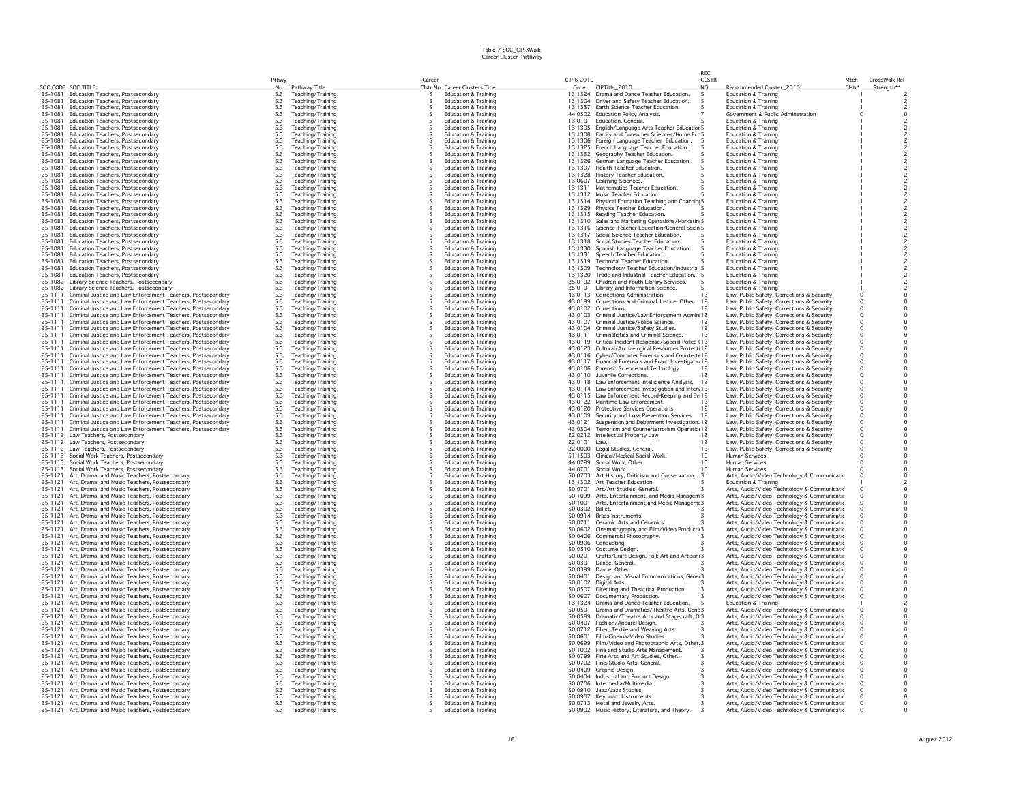|                    |                                                                                                                              | Pthwy                                     |                                        | Career |                                                                    | CIP 6 2010         |                                                                                                           | <b>CLSTR</b>    |                                                                                          | Mtch                 | CrossWalk Re                                  |
|--------------------|------------------------------------------------------------------------------------------------------------------------------|-------------------------------------------|----------------------------------------|--------|--------------------------------------------------------------------|--------------------|-----------------------------------------------------------------------------------------------------------|-----------------|------------------------------------------------------------------------------------------|----------------------|-----------------------------------------------|
| SOC CODE SOC TITLE |                                                                                                                              | No                                        | Pathway Title                          |        | Clstr No Career Clusters Title                                     | Code               | CIPTitle_2010                                                                                             | NO              | Recommended Cluster_2010                                                                 | $Clstr*$             | Strength**                                    |
| 25-1081<br>25-1081 | Education Teachers, Postsecondary                                                                                            | 5.3                                       | Teaching/Training                      |        | <b>Education &amp; Training</b>                                    | 13.1324            | Drama and Dance Teacher Education.                                                                        |                 | <b>Education &amp; Training</b>                                                          |                      |                                               |
| 25-1081            | Education Teachers, Postsecondary<br>Education Teachers, Postsecondary                                                       | 5.3<br>5.3                                | Teaching/Training<br>Teaching/Training |        | Education & Training<br><b>Education &amp; Training</b>            |                    | 13.1304 Driver and Safety Teacher Education.<br>13.1337 Earth Science Teacher Education.                  |                 | Education & Training<br><b>Education &amp; Training</b>                                  |                      |                                               |
| 25-1081            | Education Teachers, Postsecondary                                                                                            | 5.3                                       | Teaching/Training                      |        | <b>Education &amp; Training</b>                                    |                    | 44.0502 Education Policy Analysis.                                                                        |                 | Government & Public Adminstration                                                        |                      | $\circ$                                       |
| 25-1081            | Education Teachers, Postsecondary                                                                                            |                                           | Teaching/Training                      |        | <b>Education &amp; Training</b>                                    |                    | 13.0101 Education, General                                                                                |                 | <b>Education &amp; Training</b>                                                          |                      | $\overline{\phantom{a}}$                      |
| 25-1081            | Education Teachers, Postsecondary                                                                                            | $\begin{array}{c} 5.3 \\ 5.3 \end{array}$ | Teaching/Training                      |        | <b>Education &amp; Training</b>                                    |                    | 13.1305 English/Language Arts Teacher Educatior 5                                                         |                 | <b>Education &amp; Training</b>                                                          |                      |                                               |
| 25-1081            | Education Teachers, Postsecondary                                                                                            | $5.3\,$                                   | Teaching/Training                      |        | <b>Education &amp; Training</b>                                    |                    | 13.1308 Family and Consumer Sciences/Home Ecc 5                                                           |                 | <b>Education &amp; Training</b>                                                          |                      |                                               |
| 25-1081            | Education Teachers, Postsecondary                                                                                            | 5.3                                       | Teaching/Training                      |        | <b>Education &amp; Training</b>                                    | 13.1306            | Foreign Language Teacher Education.                                                                       |                 | <b>Education &amp; Training</b>                                                          |                      |                                               |
| 25-1081            | Education Teachers, Postsecondary                                                                                            | 5.3                                       | Teaching/Training                      |        | <b>Education &amp; Training</b>                                    |                    | 13.1325 French Language Teacher Education.                                                                |                 | <b>Education &amp; Training</b>                                                          |                      |                                               |
| 25-1081            | Education Teachers, Postsecondary                                                                                            | 5.3                                       | Teaching/Training                      |        | <b>Education &amp; Training</b>                                    |                    | 13.1332 Geography Teacher Education.                                                                      |                 | <b>Education &amp; Training</b>                                                          |                      | $\overline{c}$                                |
| 25-1081            | Education Teachers, Postsecondary                                                                                            | 5.3                                       | Teaching/Training                      |        | <b>Education &amp; Training</b>                                    |                    | 13.1326 German Language Teacher Education.                                                                |                 | <b>Education &amp; Training</b>                                                          |                      | $\overline{c}$                                |
| 25-1081            | <b>Education Teachers, Postsecondary</b>                                                                                     |                                           | Teaching/Training                      |        | <b>Education &amp; Training</b>                                    |                    | 13.1307 Health Teacher Education.                                                                         |                 | <b>Education &amp; Training</b>                                                          |                      | $\overline{c}$                                |
| 25-1081            | Education Teachers, Postsecondary                                                                                            | $5.3$<br>$5.3$<br>$5.3$                   | Teaching/Training                      |        | <b>Education &amp; Training</b>                                    |                    | 13.1328 History Teacher Education.                                                                        |                 | <b>Education &amp; Training</b>                                                          |                      |                                               |
| 25-1081            | Education Teachers, Postsecondary                                                                                            |                                           | Teaching/Training                      |        | <b>Education &amp; Training</b>                                    |                    | 13.0607 Learning Sciences.                                                                                |                 | Education & Training                                                                     |                      | $\overline{\mathbf{c}}$                       |
| 25-1081            | Education Teachers, Postsecondary                                                                                            | 5.3                                       | Teaching/Training                      |        | <b>Education &amp; Training</b>                                    |                    | 13.1311 Mathematics Teacher Education.                                                                    |                 | <b>Education &amp; Training</b>                                                          |                      | $\overline{c}$                                |
| 25-1081            | Education Teachers, Postsecondary                                                                                            | 5.3                                       | Teaching/Training                      |        | <b>Education &amp; Training</b>                                    |                    | 13.1312 Music Teacher Education.                                                                          |                 | <b>Education &amp; Training</b>                                                          |                      |                                               |
| 25-1081            | Education Teachers, Postsecondary                                                                                            | 5.3                                       | Teaching/Training                      |        | Education & Training                                               |                    | 13.1314 Physical Education Teaching and Coaching 5                                                        |                 | Education & Training                                                                     |                      | $\overline{c}$                                |
| 25-1081            | Education Teachers, Postsecondary                                                                                            | 5.3                                       | Teaching/Training                      |        | <b>Education &amp; Training</b>                                    |                    | 13.1329 Physics Teacher Education.                                                                        |                 | <b>Education &amp; Training</b>                                                          |                      | $\overline{c}$                                |
| 25-1081<br>25-1081 | <b>Education Teachers, Postsecondary</b><br><b>Education Teachers, Postsecondary</b>                                         | $\frac{5.3}{5.3}$                         | Teaching/Training<br>Teaching/Training |        | <b>Education &amp; Training</b><br><b>Education &amp; Training</b> |                    | 13.1315 Reading Teacher Education.                                                                        |                 | <b>Education &amp; Training</b><br><b>Education &amp; Training</b>                       |                      | $\begin{array}{c}\n2 \\ 2 \\ 2\n\end{array}$  |
| 25-1081            |                                                                                                                              |                                           |                                        |        | <b>Education &amp; Training</b>                                    |                    | 13.1310 Sales and Marketing Operations/Marketin 5<br>13.1316 Science Teacher Education/General Scien 5    |                 | <b>Education &amp; Training</b>                                                          |                      |                                               |
| 25-1081            | Education Teachers, Postsecondary<br>Education Teachers, Postsecondary                                                       | $\frac{5.3}{5.3}$                         | Teaching/Training<br>Teaching/Training |        | <b>Education &amp; Training</b>                                    | 13.1317            | Social Science Teacher Education.                                                                         |                 | <b>Education &amp; Training</b>                                                          |                      | $\overline{c}$                                |
| 25-1081            | Education Teachers, Postsecondary                                                                                            | 5.3                                       | Teaching/Training                      |        | <b>Education &amp; Training</b>                                    |                    | 13.1318 Social Studies Teacher Education.                                                                 |                 | <b>Education &amp; Training</b>                                                          |                      |                                               |
| 25-1081            | Education Teachers, Postsecondary                                                                                            | 5.3                                       | Teaching/Training                      |        | <b>Education &amp; Training</b>                                    | 13.1330            | Spanish Language Teacher Education.                                                                       |                 | Education & Training                                                                     |                      | $\overline{c}$                                |
| 25-1081            | <b>Education Teachers, Postsecondary</b>                                                                                     |                                           | Teaching/Training                      |        | <b>Education &amp; Training</b>                                    | 13.1331            | Speech Teacher Education.                                                                                 |                 | <b>Education &amp; Training</b>                                                          |                      |                                               |
| 25-1081            | Education Teachers, Postsecondary                                                                                            | $\frac{5.3}{5.3}$                         | Teaching/Training                      |        | <b>Education &amp; Training</b>                                    | 13.1319            | <b>Technical Teacher Education.</b>                                                                       |                 | <b>Education &amp; Training</b>                                                          |                      | $\frac{2}{2}$                                 |
| 25-1081            | Education Teachers, Postsecondary                                                                                            | 5.3                                       | Teaching/Training                      |        | <b>Education &amp; Training</b>                                    | 13.1309            | Technology Teacher Education/Industrial 5                                                                 |                 | <b>Education &amp; Training</b>                                                          |                      | $\mathsf z$                                   |
| 25-1081            | Education Teachers, Postsecondary                                                                                            | 5.3                                       | Teaching/Training                      |        | <b>Education &amp; Training</b>                                    |                    | 13.1320 Trade and Industrial Teacher Education. 5                                                         |                 | <b>Education &amp; Training</b>                                                          |                      | $\overline{c}$                                |
| 25-1082            | Library Science Teachers, Postsecondary                                                                                      | 5.3                                       | Teaching/Training                      |        | <b>Education &amp; Training</b>                                    |                    | 25.0102 Children and Youth Library Services.                                                              |                 | <b>Education &amp; Training</b>                                                          |                      | $\overline{c}$                                |
| 25-1082            | Library Science Teachers, Postsecondary                                                                                      | 5.3                                       | Teaching/Training                      |        | <b>Education &amp; Training</b>                                    |                    | 25.0101 Library and Information Science.                                                                  |                 | <b>Education &amp; Training</b>                                                          |                      | $\overline{c}$                                |
| 25-1111            | Criminal Justice and Law Enforcement Teachers, Postsecondary                                                                 | $\frac{5.3}{5.3}$                         | Teaching/Training                      |        | Education & Training                                               |                    | 43.0113 Corrections Administration.                                                                       | 12              | Law, Public Safety, Corrections & Security                                               |                      | $\circ$                                       |
| 25-1111            | Criminal Justice and Law Enforcement Teachers, Postsecondary                                                                 |                                           | Teaching/Training                      |        | <b>Education &amp; Training</b>                                    |                    | 43.0199 Corrections and Criminal Justice, Other.                                                          | 12              | Law, Public Safety, Corrections & Security                                               |                      | $\ddot{\mathbf{0}}$                           |
| 25-1111            | Criminal Justice and Law Enforcement Teachers, Postsecondary                                                                 | 5.3<br>5.3<br>5.3<br>5.3<br>5.3           | Teaching/Training                      |        | <b>Education &amp; Training</b>                                    |                    | 43.0102 Corrections.                                                                                      | 12              | Law, Public Safety, Corrections & Security                                               | $\Omega$             | $\mathsf{O}\xspace$                           |
| 25-1111            | Criminal Justice and Law Enforcement Teachers, Postsecondary                                                                 |                                           | Teaching/Training                      |        | <b>Education &amp; Training</b>                                    |                    | 43.0103 Criminal Justice/Law Enforcement Admin 12                                                         |                 | Law, Public Safety, Corrections & Security                                               | $\Omega$             | $\circ$                                       |
| 25-1111            | Criminal Justice and Law Enforcement Teachers, Postsecondary                                                                 |                                           | Teaching/Training                      |        | <b>Education &amp; Training</b>                                    | 43.0107            | Criminal Justice/Police Science.                                                                          | 12              | Law, Public Safety, Corrections & Security                                               | $\circ$              | $\mathsf{O}\xspace$                           |
| 25-1111            | Criminal Justice and Law Enforcement Teachers, Postsecondary                                                                 |                                           | Teaching/Training                      |        | <b>Education &amp; Training</b>                                    | 43.0104            | Criminal Justice/Safety Studies.                                                                          | 12              | Law, Public Safety, Corrections & Security                                               | $\Omega$             | $\mathsf{O}\xspace$                           |
| 25-1111            | Criminal Justice and Law Enforcement Teachers, Postsecondary                                                                 |                                           | Teaching/Training                      |        | Education & Training                                               |                    | 43.0111 Criminalistics and Criminal Science.                                                              | 12              | Law, Public Safety, Corrections & Security                                               | $\circ$              | $\mathsf{O}\xspace$                           |
| 25-1111            | Criminal Justice and Law Enforcement Teachers, Postsecondary                                                                 | 5.3                                       | Teaching/Training                      |        | <b>Education &amp; Training</b>                                    |                    | 43.0119 Critical Incident Response/Special Police (12                                                     |                 | Law, Public Safety, Corrections & Security                                               | $\circ$              | $\mathsf{O}\xspace$                           |
| 25-1111            | Criminal Justice and Law Enforcement Teachers, Postsecondary<br>Criminal Justice and Law Enforcement Teachers, Postsecondary |                                           | Teaching/Training                      |        | <b>Education &amp; Training</b>                                    |                    | 43.0123 Cultural/Archaelogical Resources Protecti 12<br>43.0116 Cyber/Computer Forensics and Countertr 12 |                 | Law, Public Safety, Corrections & Security                                               | $\circ$              | $\circ$<br>$\mathsf{O}\xspace$                |
| 25-1111<br>25-1111 | Criminal Justice and Law Enforcement Teachers, Postsecondary                                                                 | $5.3$<br>$5.3$<br>$5.3$                   | Teaching/Training                      |        | <b>Education &amp; Training</b><br><b>Education &amp; Training</b> |                    |                                                                                                           |                 | Law, Public Safety, Corrections & Security                                               | $\Omega$<br>$\Omega$ |                                               |
| 25-1111            |                                                                                                                              |                                           | Teaching/Training                      |        | <b>Education &amp; Training</b>                                    |                    | 43.0117 Financial Forensics and Fraud Investigatio 12<br>43.0106 Forensic Science and Technology.         | 12              | Law, Public Safety, Corrections & Security                                               | $\circ$              | $\mathsf{O}\xspace$                           |
| 25-1111            | Criminal Justice and Law Enforcement Teachers, Postsecondary<br>Criminal Justice and Law Enforcement Teachers, Postsecondary | $\frac{5.3}{5.3}$                         | Teaching/Training<br>Teaching/Training |        | <b>Education &amp; Training</b>                                    |                    | 43.0110 Juvenile Corrections.                                                                             | 12              | Law, Public Safety, Corrections & Security<br>Law, Public Safety, Corrections & Security | $\Omega$             | $\mathsf{O}\xspace$<br>$\mathsf{o}$           |
| 25-1111            | Criminal Justice and Law Enforcement Teachers, Postsecondary                                                                 | $5.3$                                     | Teaching/Training                      |        | <b>Education &amp; Training</b>                                    |                    | 43.0118 Law Enforcement Intelligence Analysis.                                                            | 12              | Law, Public Safety, Corrections & Security                                               | $\circ$              | $\mathsf{O}\xspace$                           |
| 25-1111            | Criminal Justice and Law Enforcement Teachers, Postsecondary                                                                 | 5.3                                       | Teaching/Training                      |        | <b>Education &amp; Training</b>                                    |                    | 43.0114 Law Enforcement Investigation and Interv 12                                                       |                 | Law, Public Safety, Corrections & Security                                               | $\circ$              | $\mathsf{O}\xspace$                           |
| 25-1111            | Criminal Justice and Law Enforcement Teachers, Postsecondary                                                                 |                                           | Teaching/Training                      |        | <b>Education &amp; Training</b>                                    |                    | 43.0115 Law Enforcement Record-Keeping and Ev 12                                                          |                 | Law, Public Safety, Corrections & Security                                               | $\circ$              | $\circ$                                       |
| 25-1111            | Criminal Justice and Law Enforcement Teachers, Postsecondary                                                                 | 5.3<br>5.3<br>5.3<br>5.3<br>5.3           | Teaching/Training                      |        | <b>Education &amp; Training</b>                                    |                    | 43.0122 Maritime Law Enforcement                                                                          | 12              | Law, Public Safety, Corrections & Security                                               | $\Omega$             | $\circ$                                       |
| 25-1111            | Criminal Justice and Law Enforcement Teachers, Postsecondary                                                                 |                                           | Teaching/Training                      |        | <b>Education &amp; Training</b>                                    |                    | 43.0120 Protective Services Operations.                                                                   | 12              | Law, Public Safety, Corrections & Security                                               | $\Omega$             |                                               |
| 25-1111            | Criminal Justice and Law Enforcement Teachers, Postsecondary                                                                 |                                           | Teaching/Training                      |        | <b>Education &amp; Training</b>                                    |                    | 43.0109 Security and Loss Prevention Services.                                                            | 12              | Law, Public Safety, Corrections & Security                                               | $\Omega$             | $_{\rm 0}^{\rm 0}$                            |
| 25-1111            | Criminal Justice and Law Enforcement Teachers, Postsecondary                                                                 |                                           | Teaching/Training                      |        | <b>Education &amp; Training</b>                                    | 43.0121            | Suspension and Debarment Investigation. 12                                                                |                 | Law, Public Safety, Corrections & Security                                               | $\circ$              | $\mathsf{O}\xspace$                           |
| 25-1111            | Criminal Justice and Law Enforcement Teachers, Postsecondary                                                                 | 5.3                                       | Teaching/Training                      |        | <b>Education &amp; Training</b>                                    |                    | 43.0304 Terrorism and Counterterrorism Operatio 12                                                        |                 | Law, Public Safety, Corrections & Security                                               | $\Omega$             | $\mathsf{O}\xspace$                           |
|                    | 25-1112 Law Teachers, Postsecondary                                                                                          | 5.3                                       | Teaching/Training                      |        | <b>Education &amp; Training</b>                                    |                    | 22.0212 Intellectual Property Law.                                                                        | 12              | Law, Public Safety, Corrections & Security                                               | $\circ$              | $\mathsf{O}\xspace$                           |
|                    | 25-1112 Law Teachers, Postsecondary                                                                                          | $\frac{5.3}{5.3}$                         | Teaching/Training                      |        | <b>Education &amp; Training</b>                                    | 22.0101 Law.       |                                                                                                           | 12              | Law, Public Safety, Corrections & Security                                               | $\Omega$             | $\circ$                                       |
|                    | 25-1112 Law Teachers, Postsecondary                                                                                          |                                           | Teaching/Training                      |        | <b>Education &amp; Training</b>                                    |                    | 22.0000 Legal Studies, General.                                                                           | 12              | Law, Public Safety, Corrections & Security                                               | $\Omega$             | $\ddot{\mathbf{0}}$                           |
| 25-1113            | Social Work Teachers, Postsecondary                                                                                          | 5.3                                       | Teaching/Training                      |        | <b>Education &amp; Training</b>                                    |                    | 51.1503 Clinical/Medical Social Work                                                                      | 10 <sup>1</sup> | <b>Human Services</b>                                                                    | $\Omega$             | $\circ$                                       |
| 25-1113            | Social Work Teachers, Postsecondary                                                                                          | $\frac{5.3}{5.3}$                         | Teaching/Training                      |        | <b>Education &amp; Training</b>                                    | 44.0799            | Social Work, Other,                                                                                       | 10 <sup>°</sup> | Human Services                                                                           |                      | $\mathsf{O}\xspace$                           |
| 25-1113            | Social Work Teachers, Postsecondary                                                                                          |                                           | Teaching/Training                      |        | <b>Education &amp; Training</b>                                    | 44.0701            | Social Work.                                                                                              | 10 <sup>1</sup> | Human Services                                                                           |                      | $\circ$                                       |
| 25-1121<br>25-1121 | Art, Drama, and Music Teachers, Postsecondary                                                                                | 5.3                                       | Teaching/Training                      |        | <b>Education &amp; Training</b><br><b>Education &amp; Training</b> | 50.0703<br>13,1302 | Art History, Criticism and Conservation.                                                                  |                 | Arts, Audio/Video Technology & Communicatic                                              |                      | $\circ$                                       |
| 25-1121            | Art, Drama, and Music Teachers, Postsecondary<br>Art, Drama, and Music Teachers, Postsecondary                               | $\frac{5.3}{5.3}$                         | Teaching/Training<br>Teaching/Training |        | <b>Education &amp; Training</b>                                    | 50.0701            | Art Teacher Education.<br>Art/Art Studies, General                                                        |                 | <b>Education &amp; Training</b><br>Arts, Audio/Video Technology & Communicatic           |                      | $\overline{c}$<br>$\mathbf 0$                 |
| 25-1121            | Art, Drama, and Music Teachers, Postsecondary                                                                                | 5.3                                       | Teaching/Training                      |        | <b>Education &amp; Training</b>                                    | 50.1099            | Arts, Entertainment, and Media Managem 3                                                                  |                 | Arts, Audio/Video Technology & Communicatic                                              |                      | $\circ$                                       |
| 25-1121            | Art, Drama, and Music Teachers, Postsecondary                                                                                | 5.3                                       | Teaching/Training                      |        | <b>Education &amp; Training</b>                                    |                    | 50.1001 Arts, Entertainment, and Media Manageme 3                                                         |                 | Arts, Audio/Video Technology & Communicatic                                              |                      | $\circ$                                       |
| 25-1121            | Art, Drama, and Music Teachers, Postsecondary                                                                                |                                           | Teaching/Training                      |        | <b>Education &amp; Training</b>                                    | 50.0302 Ballet     |                                                                                                           |                 | Arts, Audio/Video Technology & Communicatic                                              |                      | $\mathsf{O}\xspace$                           |
| 25-1121            | Art, Drama, and Music Teachers, Postsecondary                                                                                | $5.3$<br>$5.3$                            | Teaching/Training                      |        | <b>Education &amp; Training</b>                                    | 50.0914            | Brass Instruments.                                                                                        |                 | Arts, Audio/Video Technology & Communicatic                                              |                      | $\circ$                                       |
| 25-1121            | Art, Drama, and Music Teachers, Postsecondary                                                                                | 5.3                                       | Teaching/Training                      |        | <b>Education &amp; Training</b>                                    | 50.0711            | Ceramic Arts and Ceramics.                                                                                |                 | Arts, Audio/Video Technology & Communicatic                                              |                      | $\mathsf{O}\xspace$                           |
| 25-1121            | Art, Drama, and Music Teachers, Postsecondary                                                                                | 5.3                                       | Teaching/Training                      |        | <b>Education &amp; Training</b>                                    | 50,0602            | Cinematography and Film/Video Producti 3                                                                  |                 | Arts, Audio/Video Technology & Communicatic                                              |                      | $\circ$                                       |
| 25-1121            | Art, Drama, and Music Teachers, Postsecondary                                                                                | 5.3                                       | Teaching/Training                      |        | Education & Training                                               |                    | 50.0406 Commercial Photography.                                                                           |                 | Arts, Audio/Video Technology & Communicatic                                              |                      | $\circ$                                       |
| 25-1121            | Art, Drama, and Music Teachers, Postsecondary                                                                                | 5.3                                       | Teaching/Training                      |        | <b>Education &amp; Training</b>                                    | 50.0906            | Conducting                                                                                                |                 | Arts, Audio/Video Technology & Communicatic                                              |                      | $\circ$                                       |
| 25-1121            | Art, Drama, and Music Teachers, Postsecondary                                                                                | 5.3                                       | Teaching/Training                      |        | <b>Education &amp; Training</b>                                    | 50.0510            | Costume Design.                                                                                           |                 | Arts, Audio/Video Technology & Communicatic                                              |                      | $\circ$                                       |
| 25-1121            | Art, Drama, and Music Teachers, Postsecondary                                                                                | $\frac{5.3}{5.3}$                         | Teaching/Training                      |        | <b>Education &amp; Training</b>                                    | 50.0201            | Crafts/Craft Design, Folk Art and Artisan 3                                                               |                 | Arts, Audio/Video Technology & Communicatic                                              |                      | $_{\rm o}^{\rm o}$                            |
| 25-1121            | Art, Drama, and Music Teachers, Postsecondary                                                                                |                                           | Teaching/Training                      |        | <b>Education &amp; Training</b>                                    | 50,0301<br>50.0399 | Dance, General,                                                                                           |                 | Arts, Audio/Video Technology & Communicatic                                              |                      |                                               |
| 25-1121            | Art, Drama, and Music Teachers, Postsecondary                                                                                | 5.3                                       | Teaching/Training                      |        | <b>Education &amp; Training</b>                                    |                    | Dance, Other.                                                                                             |                 | Arts, Audio/Video Technology & Communicatic                                              |                      | $\circ$<br>$\circ$                            |
| 25-1121<br>25-1121 | Art, Drama, and Music Teachers, Postsecondary                                                                                | 5.3                                       | Teaching/Training                      |        | <b>Education &amp; Training</b>                                    | 50.0401            | Design and Visual Communications, Gener 3                                                                 |                 | Arts, Audio/Video Technology & Communicatic                                              |                      |                                               |
|                    | Art, Drama, and Music Teachers, Postsecondary<br>Art, Drama, and Music Teachers, Postsecondary                               | 5.3<br>5.3                                | Teaching/Training<br>Teaching/Training |        | Education & Training<br><b>Education &amp; Training</b>            | 50.0102<br>50.0507 | Digital Arts.<br>Directing and Theatrical Production.                                                     |                 | Arts, Audio/Video Technology & Communicatic                                              |                      | $\circ$<br>$\circ$                            |
| 25-1121<br>25-1121 | Art, Drama, and Music Teachers, Postsecondary                                                                                |                                           | Teaching/Training                      |        | <b>Education &amp; Training</b>                                    | 50.0607            | Documentary Production.                                                                                   |                 | Arts, Audio/Video Technology & Communicatic                                              |                      |                                               |
| 25-1121            | Art. Drama, and Music Teachers, Postsecondary                                                                                | $\frac{5.3}{5.3}$                         | Teaching/Training                      |        | <b>Education &amp; Training</b>                                    | 13.1324            | Drama and Dance Teacher Education.                                                                        |                 | Arts, Audio/Video Technology & Communicatic<br><b>Education &amp; Training</b>           |                      | $\begin{smallmatrix} 0\\ 2 \end{smallmatrix}$ |
| 25-1121            | Art, Drama, and Music Teachers, Postsecondary                                                                                | 5.3                                       | Teaching/Training                      |        | <b>Education &amp; Training</b>                                    | 50.0501            | Drama and Dramatics/Theatre Arts, Gene 3                                                                  |                 | Arts, Audio/Video Technology & Communicatic                                              |                      | $\mathsf{O}\xspace$                           |
| 25-1121            | Art, Drama, and Music Teachers, Postsecondary                                                                                | $5.3\,$                                   | Teaching/Training                      |        | <b>Education &amp; Training</b>                                    | 50.0599            | Dramatic/Theatre Arts and Stagecraft, 0 3                                                                 |                 | Arts, Audio/Video Technology & Communicatic                                              |                      | $\circ$                                       |
| 25-1121            | Art, Drama, and Music Teachers, Postsecondary                                                                                | 5.3                                       | Teaching/Training                      |        | <b>Education &amp; Training</b>                                    |                    | 50.0407 Fashion/Apparel Design.                                                                           |                 | Arts, Audio/Video Technology & Communicatic                                              |                      | $\mathsf{O}\xspace$                           |
| 25-1121            | Art, Drama, and Music Teachers, Postsecondary                                                                                | 5.3                                       | Teaching/Training                      |        | <b>Education &amp; Training</b>                                    |                    | 50.0712 Fiber, Textile and Weaving Arts                                                                   |                 | Arts, Audio/Video Technology & Communicatic                                              |                      | $\circ$                                       |
| 25-1121            | Art, Drama, and Music Teachers, Postsecondary                                                                                |                                           | Teaching/Training                      |        | <b>Education &amp; Training</b>                                    |                    | 50.0601 Film/Cinema/Video Studies.                                                                        |                 | Arts, Audio/Video Technology & Communicatic                                              |                      | $\circ$                                       |
| 25-1121            | Art, Drama, and Music Teachers, Postsecondary                                                                                | $\frac{5.3}{5.3}$                         | Teaching/Training                      |        | <b>Education &amp; Training</b>                                    |                    | 50.0699 Film/Video and Photographic Arts, Other. 3                                                        |                 | Arts, Audio/Video Technology & Communicatic                                              |                      | $\circ$                                       |
| 25-1121            | Art, Drama, and Music Teachers, Postsecondary                                                                                | 5.3                                       | Teaching/Training                      |        | <b>Education &amp; Training</b>                                    |                    | 50.1002 Fine and Studio Arts Management.                                                                  |                 | Arts, Audio/Video Technology & Communicatic                                              | $\Omega$             | $\circ$                                       |
| 25-1121            | Art, Drama, and Music Teachers, Postsecondary                                                                                | 5.3                                       | Teaching/Training                      |        | Education & Training                                               |                    | 50.0799 Fine Arts and Art Studies, Other.                                                                 |                 | Arts, Audio/Video Technology & Communicatic                                              | $\Omega$             | 0                                             |
| 25-1121            | Art, Drama, and Music Teachers, Postsecondary                                                                                | $5.3\,$                                   | Teaching/Training                      |        | <b>Education &amp; Training</b>                                    |                    | 50.0702 Fine/Studio Arts, General.                                                                        |                 | Arts, Audio/Video Technology & Communicatic                                              |                      | $\circ$                                       |
| 25-1121            | Art, Drama, and Music Teachers, Postsecondary                                                                                | $\frac{5.3}{5.3}$                         | Teaching/Training                      |        | <b>Education &amp; Training</b>                                    | 50,0409            | Graphic Design.                                                                                           |                 | Arts, Audio/Video Technology & Communicatic                                              |                      | $\mathsf{O}\xspace$                           |
| 25-1121            | Art, Drama, and Music Teachers, Postsecondary                                                                                |                                           | Teaching/Training                      |        | <b>Education &amp; Training</b>                                    |                    | 50.0404 Industrial and Product Design.                                                                    |                 | Arts, Audio/Video Technology & Communicatic                                              |                      |                                               |
| 25-1121            | Art, Drama, and Music Teachers, Postsecondary                                                                                | 5.3                                       | Teaching/Training                      |        | <b>Education &amp; Training</b>                                    |                    | 50.0706 Intermedia/Multimedia.                                                                            |                 | Arts, Audio/Video Technology & Communicatic                                              |                      | $\circ$                                       |
| 25-1121            | Art, Drama, and Music Teachers, Postsecondary                                                                                | 5.3                                       | Teaching/Training                      |        | <b>Education &amp; Training</b>                                    |                    | 50.0910 Jazz/Jazz Studies.                                                                                |                 | Arts, Audio/Video Technology & Communicatic                                              |                      | $\circ$                                       |
| 25-1121            | Art, Drama, and Music Teachers, Postsecondary                                                                                | 5.3                                       | Teaching/Training                      | 5      | <b>Education &amp; Training</b>                                    |                    | 50.0907 Keyboard Instruments.                                                                             |                 | Arts, Audio/Video Technology & Communicatic                                              | $\Omega$             | $\circ$                                       |
| 25-1121            | Art, Drama, and Music Teachers, Postsecondary                                                                                | 5.3                                       | Teaching/Training                      |        | <b>Education &amp; Training</b>                                    |                    | 50.0713 Metal and Jewelry Arts.                                                                           |                 | Arts, Audio/Video Technology & Communicatic                                              | $\Omega$             | $\circ$<br>$\circ$                            |
|                    | 25-1121 Art, Drama, and Music Teachers, Postsecondary                                                                        | 5.3                                       | Teaching/Training                      |        | Education & Training                                               |                    | 50.0902 Music History, Literature, and Theory.                                                            |                 | Arts, Audio/Video Technology & Communicatic                                              | $\circ$              |                                               |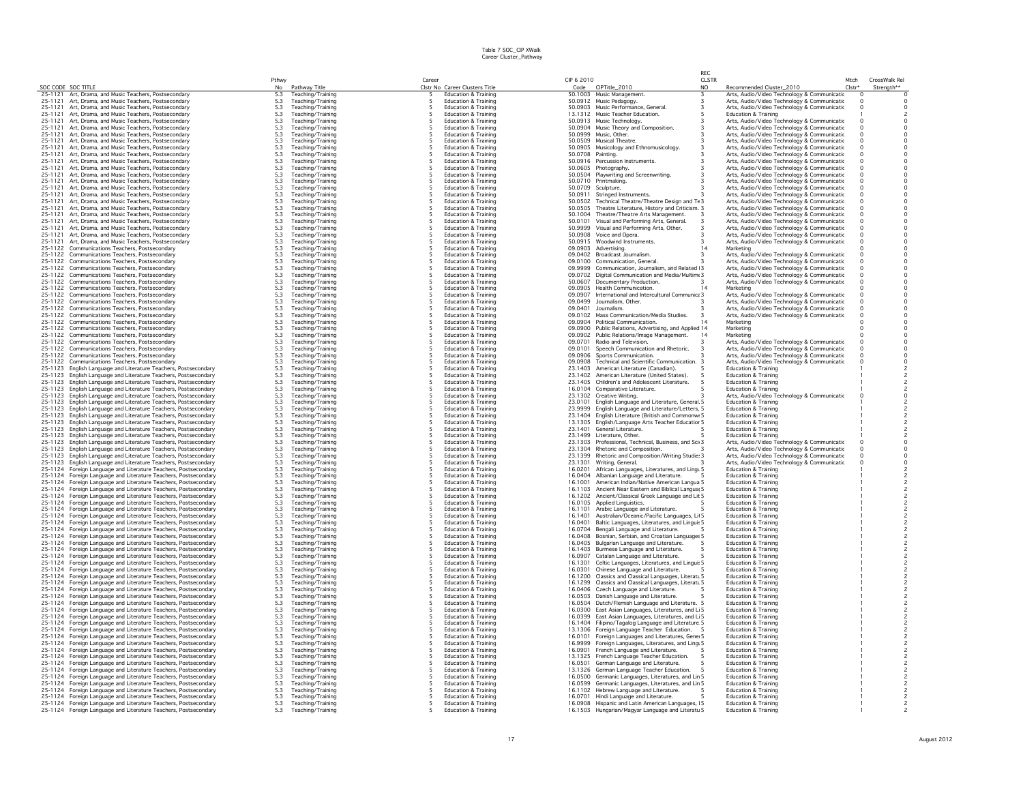|                    |                                                                                                                    | Pthwy                                     |                                        | Career |                                                                    | CIP 6 2010         |                                                                                                     | REC<br><b>CLSTR</b> |                                                                                            | Mtch     | CrossWalk Rel                              |
|--------------------|--------------------------------------------------------------------------------------------------------------------|-------------------------------------------|----------------------------------------|--------|--------------------------------------------------------------------|--------------------|-----------------------------------------------------------------------------------------------------|---------------------|--------------------------------------------------------------------------------------------|----------|--------------------------------------------|
|                    | SOC CODE SOC TITLE                                                                                                 | No                                        | Pathway Title                          |        | Clstr No Career Clusters Title                                     | Code               | CIPTitle_2010                                                                                       | NO.                 | Recommended Cluster_2010                                                                   | $Clstr*$ | Strenath**                                 |
| 25-1121            | Art, Drama, and Music Teachers, Postsecondary                                                                      | 5.3                                       | Teaching/Training                      |        | <b>Education &amp; Training</b>                                    |                    | 50.1003 Music Management.                                                                           |                     | Arts, Audio/Video Technology & Communicatic                                                | $\Omega$ |                                            |
| 25-1121            | Art, Drama, and Music Teachers, Postsecondary                                                                      | 5.3                                       | Teaching/Training                      |        | <b>Education &amp; Training</b>                                    |                    | 50.0912 Music Pedagogy.                                                                             |                     | Arts, Audio/Video Technology & Communicatic                                                | $\circ$  |                                            |
| 25-1121            | Art, Drama, and Music Teachers, Postsecondary                                                                      | 5.3                                       | Teaching/Training                      |        | <b>Education &amp; Training</b>                                    |                    | 50.0903 Music Performance, General.                                                                 |                     | Arts, Audio/Video Technology & Communicatic                                                | $\Omega$ | $\circ$                                    |
| 25-1121<br>25-1121 | Art, Drama, and Music Teachers, Postsecondary<br>Art, Drama, and Music Teachers, Postsecondary                     | 5.3<br>5.3                                | Teaching/Training<br>Teaching/Training |        | <b>Education &amp; Training</b><br><b>Education &amp; Training</b> |                    | 13.1312 Music Teacher Education.<br>50.0913 Music Technology                                        |                     | <b>Education &amp; Training</b><br>Arts, Audio/Video Technology & Communicatic             | $\Omega$ | $\overline{c}$<br>$\circ$                  |
| 25-1121            | Art, Drama, and Music Teachers, Postsecondary                                                                      | 5.3                                       | Teaching/Training                      | -5     | <b>Education &amp; Training</b>                                    |                    | 50.0904 Music Theory and Composition.                                                               |                     | Arts, Audio/Video Technology & Communicatic                                                | $\Omega$ | $\circ$                                    |
| 25-1121            | Art, Drama, and Music Teachers, Postsecondary                                                                      | 5.3                                       | Teaching/Training                      |        | <b>Education &amp; Training</b>                                    |                    | 50.0999 Music, Other                                                                                |                     | Arts, Audio/Video Technology & Communicatic                                                | $\Omega$ | $\circ$                                    |
| 25-1121            | Art, Drama, and Music Teachers, Postsecondary                                                                      |                                           | Teaching/Training                      |        | Education & Training                                               |                    | 50.0509 Musical Theatre                                                                             |                     | Arts, Audio/Video Technology & Communicatic                                                | $\Omega$ | $\mathsf 0$                                |
| 25-1121            | Art, Drama, and Music Teachers, Postsecondary                                                                      | $\frac{5.3}{5.3}$                         | Teaching/Training                      |        | <b>Education &amp; Training</b>                                    |                    | 50.0905 Musicology and Ethnomusicology                                                              |                     | Arts, Audio/Video Technology & Communicatic                                                | $\Omega$ | $\circ$                                    |
| 25-1121            | Art, Drama, and Music Teachers, Postsecondary                                                                      | 5.3                                       | Teaching/Training                      |        | <b>Education &amp; Training</b>                                    | 50.0708 Painting.  |                                                                                                     |                     | Arts, Audio/Video Technology & Communicatic                                                | $\Omega$ | $\circ$                                    |
| 25-1121            | Art, Drama, and Music Teachers, Postsecondary                                                                      | 5.3                                       | Teaching/Training                      |        | <b>Education &amp; Training</b>                                    | 50.0916            | Percussion Instruments.                                                                             |                     | Arts, Audio/Video Technology & Communicatic                                                |          | $\mathsf{O}\xspace$                        |
| 25-1121<br>25-1121 | Art, Drama, and Music Teachers, Postsecondary<br>Art, Drama, and Music Teachers, Postsecondary                     | 5.3<br>5.3                                | Teaching/Training<br>Teaching/Training |        | <b>Education &amp; Training</b><br>Education & Training            | 50.0605            | Photography.<br>50.0504 Playwriting and Screenwriting.                                              |                     | Arts, Audio/Video Technology & Communicatic<br>Arts, Audio/Video Technology & Communicatic | $\Omega$ | $\circ$<br>$\circ$                         |
| 25-1121            | Art, Drama, and Music Teachers, Postsecondary                                                                      | 5.3                                       | Teaching/Training                      |        | Education & Training                                               | 50.0710            | Printmaking.                                                                                        |                     | Arts, Audio/Video Technology & Communicatic                                                |          | $\circ$                                    |
| 25-1121            | Art, Drama, and Music Teachers, Postsecondary                                                                      | 5.3                                       | Teaching/Training                      |        | <b>Education &amp; Training</b>                                    | 50.0709            | Sculpture.                                                                                          |                     | Arts, Audio/Video Technology & Communicatic                                                | $\Omega$ | $\circ$                                    |
| 25-1121            | Art. Drama, and Music Teachers, Postsecondary                                                                      | 5.3                                       | Teaching/Training                      |        | <b>Education &amp; Training</b>                                    | 50.0911            | Stringed Instruments.                                                                               |                     | Arts, Audio/Video Technology & Communicatic                                                | $\Omega$ | $\Omega$                                   |
| 25-1121            | Art, Drama, and Music Teachers, Postsecondary                                                                      | $\frac{5.3}{5.3}$                         | Teaching/Training                      |        | <b>Education &amp; Training</b>                                    |                    | 50.0502 Technical Theatre/Theatre Design and Te 3                                                   |                     | Arts, Audio/Video Technology & Communicatic                                                | $\Omega$ | $\circ$                                    |
| 25-1121            | Art, Drama, and Music Teachers, Postsecondary                                                                      |                                           | Teaching/Training                      |        | <b>Education &amp; Training</b>                                    | 50.0505            | Theatre Literature, History and Criticism. 3                                                        |                     | Arts, Audio/Video Technology & Communicatic                                                | $\Omega$ | $\circ$                                    |
| 25-1121            | Art, Drama, and Music Teachers, Postsecondary                                                                      | $\frac{5.3}{5.3}$                         | Teaching/Training                      |        | <b>Education &amp; Training</b>                                    |                    | 50.1004 Theatre/Theatre Arts Management.                                                            |                     | Arts, Audio/Video Technology & Communicatic                                                | $\circ$  | $\circ$                                    |
| 25-1121<br>25-1121 | Art, Drama, and Music Teachers, Postsecondary                                                                      |                                           | Teaching/Training                      |        | <b>Education &amp; Training</b><br><b>Education &amp; Training</b> | 50.0101<br>50.9999 | Visual and Performing Arts, General.<br>Visual and Performing Arts, Other.                          |                     | Arts, Audio/Video Technology & Communicatic                                                |          | $\circ$<br>$\circ$                         |
| 25-1121            | Art, Drama, and Music Teachers, Postsecondary<br>Art, Drama, and Music Teachers, Postsecondary                     | 5.3<br>5.3                                | Teaching/Training<br>Teaching/Training |        | <b>Education &amp; Training</b>                                    |                    | 50.0908 Voice and Opera.                                                                            |                     | Arts, Audio/Video Technology & Communicatic<br>Arts, Audio/Video Technology & Communicatic |          | $\mathsf{O}\xspace$                        |
| 25-1121            | Art, Drama, and Music Teachers, Postsecondary                                                                      | 5.3                                       | Teaching/Training                      |        | <b>Education &amp; Training</b>                                    |                    | 50.0915 Woodwind Instruments                                                                        |                     | Arts, Audio/Video Technology & Communicatic                                                |          | $\circ$                                    |
| 25-1122            | Communications Teachers, Postsecondary                                                                             | 5.3                                       | Teaching/Training                      |        | <b>Education &amp; Training</b>                                    |                    | 09.0903 Advertising                                                                                 | 14                  | Marketing                                                                                  |          | $\Omega$                                   |
| 25-1122            | Communications Teachers, Postsecondary                                                                             | $5.3$<br>$5.3$<br>$5.3$                   | Teaching/Training                      |        | <b>Education &amp; Training</b>                                    | 09.0402            | Broadcast Journalism.                                                                               |                     | Arts, Audio/Video Technology & Communicatic                                                |          | $_{\rm 0}^{\rm 0}$                         |
| 25-1122            | Communications Teachers, Postsecondary                                                                             |                                           | Teaching/Training                      |        | <b>Education &amp; Training</b>                                    | 09.0100            | Communication, General,                                                                             |                     | Arts, Audio/Video Technology & Communicatic                                                | $\Omega$ |                                            |
| 25-1122            | Communications Teachers, Postsecondary                                                                             |                                           | Teaching/Training                      |        | Education & Training                                               | 09.9999            | Communication, Journalism, and Related   3                                                          |                     | Arts, Audio/Video Technology & Communicatic                                                | $\Omega$ | $\mathsf{O}\xspace$                        |
| 25-1122<br>25-1122 | Communications Teachers, Postsecondary<br>Communications Teachers, Postsecondary                                   | $5.3\,$                                   | Teaching/Training                      |        | <b>Education &amp; Training</b><br><b>Education &amp; Training</b> | 50,0607            | 09.0702 Digital Communication and Media/Multime 3<br>Documentary Production.                        |                     | Arts, Audio/Video Technology & Communicatic                                                | $\Omega$ | $\circ$<br>$\circ$                         |
| 25-1122            | Communications Teachers, Postsecondary                                                                             | 5.3<br>5.3                                | Teaching/Training<br>Teaching/Training |        | <b>Education &amp; Training</b>                                    |                    | 09.0905 Health Communication.                                                                       |                     | Arts, Audio/Video Technology & Communicatic<br>Marketing                                   |          | $\circ$                                    |
| 25-1122            | Communications Teachers, Postsecondary                                                                             |                                           | Teaching/Training                      |        | <b>Education &amp; Training</b>                                    | 09.0907            | International and Intercultural Communic: 3                                                         |                     | Arts, Audio/Video Technology & Communicatic                                                |          | $\circ$                                    |
| 25-1122            | Communications Teachers, Postsecondary                                                                             | $\frac{5.3}{5.3}$                         | Teaching/Training                      |        | <b>Education &amp; Training</b>                                    | 09.0499            | Journalism, Other.                                                                                  |                     | Arts, Audio/Video Technology & Communicatic                                                |          | $\ddot{\mathbf{0}}$                        |
| 25-1122            | Communications Teachers, Postsecondary                                                                             | 5.3                                       | Teaching/Training                      |        | <b>Education &amp; Training</b>                                    | 09.0401            | Journalism.                                                                                         |                     | Arts, Audio/Video Technology & Communicatic                                                |          | $\circ$                                    |
| 25-1122            | Communications Teachers, Postsecondary                                                                             | 5.3                                       | Teaching/Training                      |        | <b>Education &amp; Training</b>                                    | 09.0102            | Mass Communication/Media Studies.                                                                   |                     | Arts, Audio/Video Technology & Communicatic                                                |          | $\circ$                                    |
| 25-1122            | Communications Teachers, Postsecondary                                                                             | $\frac{5.3}{5.3}$                         | Teaching/Training                      |        | <b>Education &amp; Training</b>                                    | 09.0904            | Political Communication.                                                                            |                     | Marketing                                                                                  |          | $\mathsf{O}\xspace$                        |
| 25-1122<br>25-1122 | Communications Teachers, Postsecondary                                                                             |                                           | Teaching/Training                      |        | <b>Education &amp; Training</b><br><b>Education &amp; Training</b> | 09.0900<br>09.0902 | Public Relations, Advertising, and Applied 14                                                       |                     | Marketing                                                                                  |          | $\mathsf{O}\xspace$                        |
| 25-1122            | Communications Teachers, Postsecondary<br>Communications Teachers, Postsecondary                                   | $5.3\,$<br>5.3                            | Teaching/Training<br>Teaching/Training |        | <b>Education &amp; Training</b>                                    | 09.0701            | Public Relations/Image Management.<br>Radio and Television.                                         |                     | Marketing<br>Arts, Audio/Video Technology & Communicatic                                   |          | $\circ$<br>$\circ$                         |
| 25-1122            | Communications Teachers, Postsecondary                                                                             | 5.3                                       | Teaching/Training                      |        | <b>Education &amp; Training</b>                                    | 09.0101            | Speech Communication and Rhetoric.                                                                  |                     | Arts, Audio/Video Technology & Communicatic                                                |          | $\circ$                                    |
| 25-1122            | Communications Teachers, Postsecondary                                                                             | 5.3                                       | Teaching/Training                      |        | Education & Training                                               | 09.0906            | Sports Communication.                                                                               |                     | Arts, Audio/Video Technology & Communicatic                                                |          | $\mathsf{O}\xspace$                        |
| 25-1122            | Communications Teachers, Postsecondary                                                                             | 5.3                                       | Teaching/Training                      |        | <b>Education &amp; Training</b>                                    | 09.0908            | Technical and Scientific Communication. 3                                                           |                     | Arts, Audio/Video Technology & Communicatic                                                |          | $\circ$                                    |
| 25-1123            | English Language and Literature Teachers, Postsecondary                                                            | $\frac{5.3}{5.3}$                         | Teaching/Training                      | -5     | <b>Education &amp; Training</b>                                    | 23.1403            | American Literature (Canadian).                                                                     |                     | <b>Education &amp; Training</b>                                                            |          | $\frac{2}{2}$                              |
| 25-1123            | English Language and Literature Teachers, Postsecondary                                                            |                                           | Teaching/Training                      |        | <b>Education &amp; Training</b>                                    | 23.1402            | American Literature (United States).                                                                |                     | <b>Education &amp; Training</b>                                                            |          |                                            |
| 25-1123            | English Language and Literature Teachers, Postsecondary                                                            | $\begin{array}{c} 5.3 \\ 5.3 \end{array}$ | Teaching/Training                      |        | <b>Education &amp; Training</b>                                    | 23.1405            | Children's and Adolescent Literature.                                                               |                     | <b>Education &amp; Training</b>                                                            |          | $\overline{\mathbf{c}}$                    |
| 25-1123            | English Language and Literature Teachers, Postsecondary                                                            |                                           | Teaching/Training                      |        | <b>Education &amp; Training</b>                                    | 16.0104            | Comparative Literature.                                                                             |                     | <b>Education &amp; Training</b>                                                            |          | $\sqrt{2}$                                 |
| 25-1123<br>25-1123 | English Language and Literature Teachers, Postsecondary<br>English Language and Literature Teachers, Postsecondary | $5.3\,$<br>5.3                            | Teaching/Training<br>Teaching/Training |        | <b>Education &amp; Training</b><br><b>Education &amp; Training</b> | 23,0101            | 23.1302 Creative Writing.<br>English Language and Literature, General. 5                            |                     | Arts, Audio/Video Technology & Communicatic<br><b>Education &amp; Training</b>             |          | $\circ$                                    |
| 25-1123            | English Language and Literature Teachers, Postsecondary                                                            |                                           | Teaching/Training                      |        | <b>Education &amp; Training</b>                                    | 23.9999            | English Language and Literature/Letters, 5                                                          |                     | <b>Education &amp; Training</b>                                                            |          |                                            |
| 25-1123            | English Language and Literature Teachers, Postsecondary                                                            | $\frac{5.3}{5.3}$                         | Teaching/Training                      |        | <b>Education &amp; Training</b>                                    |                    | 23.1404 English Literature (British and Commonwr 5                                                  |                     | <b>Education &amp; Training</b>                                                            |          |                                            |
|                    | 25-1123 English Language and Literature Teachers, Postsecondary                                                    | $5.3$<br>$5.3$<br>$5.3$                   | Teaching/Training                      |        | <b>Education &amp; Training</b>                                    |                    | 13.1305 English/Language Arts Teacher Educatior 5                                                   |                     | Education & Training                                                                       |          | $\overline{c}$                             |
| 25-1123            | English Language and Literature Teachers, Postsecondary                                                            |                                           | Teaching/Training                      |        | <b>Education &amp; Training</b>                                    | 23.1401            | General Literature.                                                                                 |                     | <b>Education &amp; Training</b>                                                            |          | $\overline{c}$                             |
| 25-1123            | English Language and Literature Teachers, Postsecondary                                                            |                                           | Teaching/Training                      |        | <b>Education &amp; Training</b>                                    | 23.1499            | Literature, Other.                                                                                  |                     | <b>Education &amp; Training</b>                                                            |          | $\overline{c}$                             |
| 25-1123            | English Language and Literature Teachers, Postsecondary                                                            |                                           | Teaching/Training                      |        | Education & Training                                               |                    | 23.1303 Professional, Technical, Business, and Sci 3                                                |                     | Arts, Audio/Video Technology & Communicatic                                                |          | $\mathsf 0$                                |
| 25-1123<br>25-1123 | English Language and Literature Teachers, Postsecondary                                                            | 5.3<br>5.3<br>5.3<br>5.3                  | Teaching/Training                      |        | Education & Training<br><b>Education &amp; Training</b>            | 23.1304<br>23.1399 | Rhetoric and Composition.<br>Rhetoric and Composition/Writing Studie: 3                             |                     | Arts, Audio/Video Technology & Communicatic                                                |          | $\mathsf{O}\xspace$<br>$\circ$             |
| 25-1123            | English Language and Literature Teachers, Postsecondary<br>English Language and Literature Teachers, Postsecondary |                                           | Teaching/Training<br>Teaching/Training |        | <b>Education &amp; Training</b>                                    | 23.1301            | Writing, General.                                                                                   |                     | Arts, Audio/Video Technology & Communicatic<br>Arts, Audio/Video Technology & Communicatic |          | $\circ$                                    |
| 25-1124            | Foreign Language and Literature Teachers, Postsecondary                                                            | 5.3                                       | Teaching/Training                      |        | <b>Education &amp; Training</b>                                    | 16,0201            | African Languages, Literatures, and Lingu 5                                                         |                     | <b>Education &amp; Training</b>                                                            |          |                                            |
| 25-1124            | Foreign Language and Literature Teachers, Postsecondary                                                            | 5.3                                       | Teaching/Training                      |        | <b>Education &amp; Training</b>                                    | 16.0404            | Albanian Language and Literature.                                                                   |                     | Education & Training                                                                       |          | $\overline{c}$                             |
| 25-1124            | Foreign Language and Literature Teachers, Postsecondary                                                            | 5.3<br>5.3<br>5.3<br>5.3<br>5.3           | Teaching/Training                      |        | <b>Education &amp; Training</b>                                    | 16,1001            | American Indian/Native American Langua 5                                                            |                     | <b>Education &amp; Training</b>                                                            |          | $\overline{c}$                             |
| 25-1124            | Foreign Language and Literature Teachers, Postsecondary                                                            |                                           | Teaching/Training                      |        | <b>Education &amp; Training</b>                                    | 16.1103            | Ancient Near Eastern and Biblical Languar 5                                                         |                     | <b>Education &amp; Training</b>                                                            |          | $\overline{c}$                             |
| 25-1124            | Foreign Language and Literature Teachers, Postsecondary                                                            |                                           | Teaching/Training                      |        | <b>Education &amp; Training</b>                                    | 16.1202            | Ancient/Classical Greek Language and Lit 5                                                          |                     | <b>Education &amp; Training</b>                                                            |          | $\overline{\phantom{a}}$                   |
| 25-1124<br>25-1124 | Foreign Language and Literature Teachers, Postsecondary                                                            |                                           | Teaching/Training                      |        | <b>Education &amp; Training</b><br><b>Education &amp; Training</b> | 16.1101            | 16.0105 Applied Linguistics.                                                                        |                     | <b>Education &amp; Training</b><br><b>Education &amp; Training</b>                         |          | $\overline{c}$                             |
| 25-1124            | Foreign Language and Literature Teachers, Postsecondary<br>Foreign Language and Literature Teachers, Postsecondary | $5.3\,$                                   | Teaching/Training<br>Teaching/Training |        | <b>Education &amp; Training</b>                                    | 16.1401            | Arabic Language and Literature.<br>Australian/Oceanic/Pacific Languages, Lit 5                      |                     | <b>Education &amp; Training</b>                                                            |          | $\overline{c}$<br>$\overline{c}$           |
| 25-1124            | Foreign Language and Literature Teachers, Postsecondary                                                            |                                           | Teaching/Training                      |        | <b>Education &amp; Training</b>                                    | 16.0401            | Baltic Languages, Literatures, and Linguis 5                                                        |                     | <b>Education &amp; Training</b>                                                            |          |                                            |
| 25-1124            | Foreign Language and Literature Teachers, Postsecondary                                                            | $\frac{5.3}{5.3}$                         | Teaching/Training                      |        | <b>Education &amp; Training</b>                                    | 16.0704            | Bengali Language and Literature.                                                                    |                     | <b>Education &amp; Training</b>                                                            |          | $\overline{c}$                             |
| 25-1124            | Foreign Language and Literature Teachers, Postsecondary                                                            | 5.3                                       | Teaching/Training                      |        | <b>Education &amp; Training</b>                                    | 16.0408            | Bosnian, Serbian, and Croatian Languages 5                                                          |                     | <b>Education &amp; Training</b>                                                            |          | $\overline{c}$                             |
| 25-1124            | Foreign Language and Literature Teachers, Postsecondary                                                            | 5.3                                       | Teaching/Training                      |        | <b>Education &amp; Training</b>                                    |                    | 16.0405 Bulgarian Language and Literature.                                                          |                     | <b>Education &amp; Training</b>                                                            |          | $\overline{c}$                             |
| 25-1124            | Foreign Language and Literature Teachers, Postsecondary                                                            |                                           | Teaching/Training                      | -5     | <b>Education &amp; Training</b>                                    | 16.1403            | Burmese Language and Literature.                                                                    |                     | <b>Education &amp; Training</b>                                                            |          | $\overline{\phantom{a}}$                   |
| 25-1124<br>25-1124 | Foreign Language and Literature Teachers, Postsecondary<br>Foreign Language and Literature Teachers, Postsecondary | $5.3$<br>$5.3$<br>$5.3$<br>$5.3$          | Teaching/Training<br>Teaching/Training |        | <b>Education &amp; Training</b><br><b>Education &amp; Training</b> | 16.0907<br>16.1301 | Catalan Language and Literature.<br>Celtic Languages, Literatures, and Linguis 5                    |                     | <b>Education &amp; Training</b><br><b>Education &amp; Training</b>                         |          | $\frac{2}{2}$                              |
| 25-1124            | Foreign Language and Literature Teachers, Postsecondary                                                            |                                           | Teaching/Training                      |        | Education & Training                                               | 16.0301            | Chinese Language and Literature.                                                                    |                     | Education & Training                                                                       |          | $\sqrt{2}$                                 |
| 25-1124            | Foreign Language and Literature Teachers, Postsecondary                                                            | $5.3\,$                                   | Teaching/Training                      |        | Education & Training                                               | 16.1200            | Classics and Classical Languages, Literatu 5                                                        |                     | <b>Education &amp; Training</b>                                                            |          | $\overline{c}$                             |
| 25-1124            | Foreign Language and Literature Teachers, Postsecondary                                                            | 5.3                                       | Teaching/Training                      |        | <b>Education &amp; Training</b>                                    | 16.1299            | Classics and Classical Languages, Literatu 5                                                        |                     | <b>Education &amp; Training</b>                                                            |          | $\overline{c}$                             |
| 25-1124            | Foreign Language and Literature Teachers, Postsecondary                                                            | 5.3                                       | Teaching/Training                      |        | <b>Education &amp; Training</b>                                    | 16.0406            | Czech Language and Literature.                                                                      |                     | <b>Education &amp; Training</b>                                                            |          |                                            |
| 25-1124            | Foreign Language and Literature Teachers, Postsecondary                                                            | $\frac{5.3}{5.3}$                         | Teaching/Training                      |        | <b>Education &amp; Training</b>                                    | 16.0503            | Danish Language and Literature                                                                      |                     | Education & Training                                                                       |          | $\overline{c}$                             |
| 25-1124            | Foreign Language and Literature Teachers, Postsecondary                                                            |                                           | Teaching/Training                      |        | Education & Training                                               | 16.0504            | Dutch/Flemish Language and Literature. 5                                                            |                     | Education & Training                                                                       |          | $\overline{c}$                             |
| 25-1124<br>25-1124 | Foreign Language and Literature Teachers, Postsecondary                                                            | 5.3<br>5.3                                | Teaching/Training                      |        | <b>Education &amp; Training</b>                                    | 16.0399            | 16.0300 East Asian Languages, Literatures, and Li 5                                                 |                     | <b>Education &amp; Training</b><br><b>Education &amp; Training</b>                         |          | $\overline{c}$<br>$\overline{\phantom{a}}$ |
| 25-1124            | Foreign Language and Literature Teachers, Postsecondary                                                            |                                           | Teaching/Training                      |        | <b>Education &amp; Training</b><br><b>Education &amp; Training</b> |                    | East Asian Languages, Literatures, and Li 5                                                         |                     | <b>Education &amp; Training</b>                                                            |          | $\overline{\mathbf{c}}$                    |
| 25-1124            | Foreign Language and Literature Teachers, Postsecondary<br>Foreign Language and Literature Teachers, Postsecondary | $\frac{5.3}{5.3}$                         | Teaching/Training<br>Teaching/Training |        | <b>Education &amp; Training</b>                                    |                    | 16.1404 Filipino/Tagalog Language and Literature 5<br>13.1306 Foreign Language Teacher Education. 5 |                     | <b>Education &amp; Training</b>                                                            |          | $\overline{c}$                             |
| 25-1124            | Foreign Language and Literature Teachers, Postsecondary                                                            |                                           | Teaching/Training                      |        | <b>Education &amp; Training</b>                                    | 16.0101            | Foreign Languages and Literatures, Gene 5                                                           |                     | <b>Education &amp; Training</b>                                                            |          |                                            |
| 25-1124            | Foreign Language and Literature Teachers, Postsecondary                                                            | $\frac{5.3}{5.3}$                         | Teaching/Training                      |        | <b>Education &amp; Training</b>                                    | 16.9999            | Foreign Languages, Literatures, and Lingi 5                                                         |                     | Education & Training                                                                       |          | $\overline{c}$                             |
| 25-1124            | Foreign Language and Literature Teachers, Postsecondary                                                            | 5.3                                       | Teaching/Training                      |        | <b>Education &amp; Training</b>                                    | 16,0901            | French Language and Literature.                                                                     |                     | <b>Education &amp; Training</b>                                                            |          |                                            |
| 25-1124            | Foreign Language and Literature Teachers, Postsecondary                                                            | 5.3                                       | Teaching/Training                      |        | <b>Education &amp; Training</b>                                    |                    | 13.1325 French Language Teacher Education.                                                          |                     | <b>Education &amp; Training</b>                                                            |          | $\overline{c}$                             |
|                    | 25-1124 Foreign Language and Literature Teachers, Postsecondary                                                    | 5.3                                       | Teaching/Training                      |        | <b>Education &amp; Training</b>                                    | 16.0501            | German Language and Literature.                                                                     |                     | <b>Education &amp; Training</b>                                                            |          | $\overline{c}$                             |
| 25-1124<br>25-1124 | Foreign Language and Literature Teachers, Postsecondary<br>Foreign Language and Literature Teachers, Postsecondary | $\frac{5.3}{5.3}$                         | Teaching/Training<br>Teaching/Training |        | <b>Education &amp; Training</b><br><b>Education &amp; Training</b> | 16,0500            | 13.1326 German Language Teacher Education.                                                          |                     | <b>Education &amp; Training</b><br><b>Education &amp; Training</b>                         |          | $\frac{2}{2}$                              |
|                    | 25-1124 Foreign Language and Literature Teachers, Postsecondary                                                    |                                           | Teaching/Training                      |        | <b>Education &amp; Training</b>                                    |                    | Germanic Languages, Literatures, and Lin 5<br>16.0599 Germanic Languages, Literatures, and Lin 5    |                     | <b>Education &amp; Training</b>                                                            |          | $\overline{c}$                             |
|                    | 25-1124 Foreign Language and Literature Teachers, Postsecondary                                                    | $\begin{array}{c} 5.3 \\ 5.3 \end{array}$ | Teaching/Training                      |        | Education & Training                                               |                    | 16.1102 Hebrew Language and Literature.                                                             |                     | Education & Training                                                                       |          | $\overline{\mathbf{c}}$                    |
|                    | 25-1124 Foreign Language and Literature Teachers, Postsecondary                                                    | $5.3\,$                                   | Teaching/Training                      |        | <b>Education &amp; Training</b>                                    |                    | 16.0701 Hindi Language and Literature.                                                              |                     | Education & Training                                                                       |          | $\overline{c}$                             |
|                    | 25-1124 Foreign Language and Literature Teachers, Postsecondary                                                    | 5.3                                       | Teaching/Training                      |        | <b>Education &amp; Training</b>                                    |                    | 16.0908 Hispanic and Latin American Languages, 15                                                   |                     | <b>Education &amp; Training</b>                                                            |          |                                            |
|                    | 25-1124 Foreign Language and Literature Teachers, Postsecondary                                                    | 5.3                                       | Teaching/Training                      | 5      | Education & Training                                               |                    | 16.1503 Hungarian/Magyar Language and Literatu 5                                                    |                     | <b>Education &amp; Training</b>                                                            |          |                                            |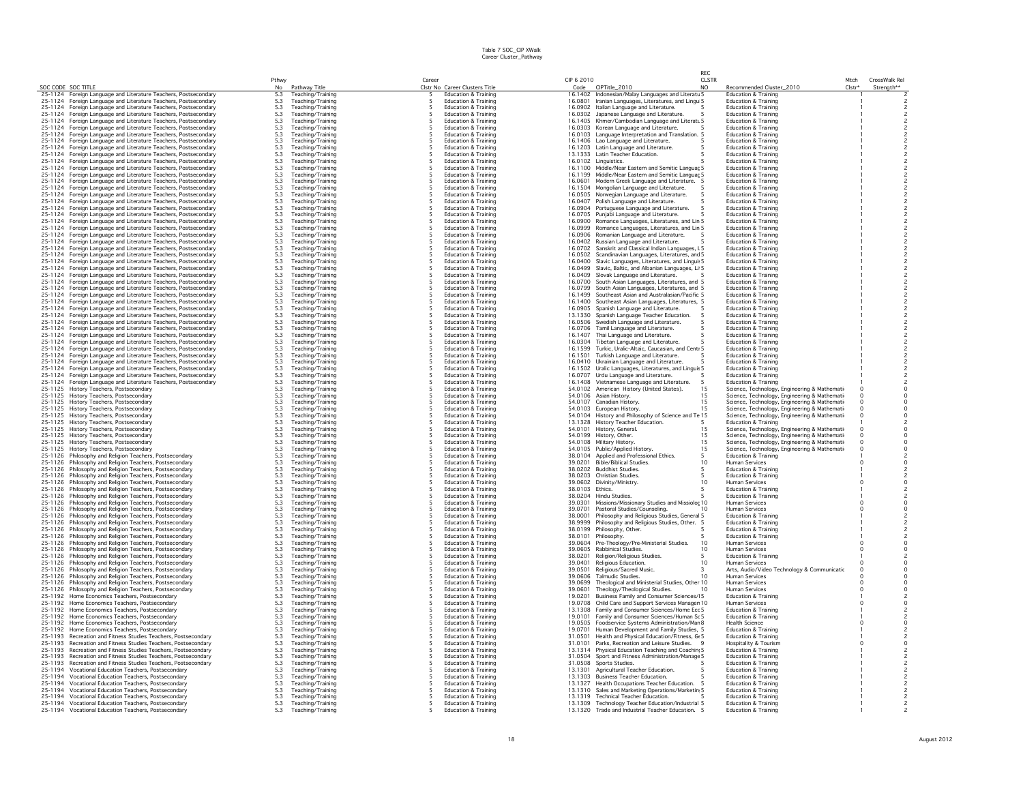|                    |                                                                                                                                    |                                                         |                                        |       |                                                                    |                    |                                                                                                           | RFC                 |                                                                      |                |                                            |
|--------------------|------------------------------------------------------------------------------------------------------------------------------------|---------------------------------------------------------|----------------------------------------|-------|--------------------------------------------------------------------|--------------------|-----------------------------------------------------------------------------------------------------------|---------------------|----------------------------------------------------------------------|----------------|--------------------------------------------|
|                    | SOC CODE SOC TITLE                                                                                                                 | Pthwy<br><b>No</b>                                      |                                        | Caree | Clstr No Career Clusters Title                                     | CIP 6 2010         |                                                                                                           | <b>CLSTR</b><br>NO. |                                                                      | Mtch<br>Clstr* | CrossWalk Rel<br>Strenath**                |
|                    | 25-1124 Foreign Language and Literature Teachers, Postsecondary                                                                    | 5.3                                                     | Pathway Title<br>Teaching/Training     | -5    | <b>Education &amp; Training</b>                                    | Code               | CIPTitle_2010<br>16.1402 Indonesian/Malay Languages and Literatu 5                                        |                     | Recommended Cluster_2010<br><b>Education &amp; Training</b>          |                |                                            |
|                    | 25-1124 Foreign Language and Literature Teachers, Postsecondary                                                                    |                                                         | Teaching/Training                      | -5    | <b>Education &amp; Training</b>                                    |                    | 16.0801 Iranian Languages, Literatures, and Lingu 5                                                       |                     | <b>Education &amp; Training</b>                                      |                |                                            |
|                    | 25-1124 Foreign Language and Literature Teachers, Postsecondary                                                                    | $\frac{5.3}{5.3}$                                       | Teaching/Training                      | 5     | <b>Education &amp; Training</b>                                    |                    | 16.0902 Italian Language and Literature.                                                                  |                     | <b>Education &amp; Training</b>                                      |                |                                            |
| 25-1124            | Foreign Language and Literature Teachers, Postsecondary                                                                            | 5.3                                                     | Teaching/Training                      | 5     | <b>Education &amp; Training</b>                                    |                    | 16.0302 Japanese Language and Literature.                                                                 |                     | <b>Education &amp; Training</b>                                      |                |                                            |
|                    | 25-1124 Foreign Language and Literature Teachers, Postsecondary                                                                    | 5.3                                                     | Teaching/Training                      |       | Education & Training                                               |                    | 16.1405 Khmer/Cambodian Language and Literatu 5                                                           |                     | <b>Education &amp; Training</b>                                      |                |                                            |
|                    | 25-1124 Foreign Language and Literature Teachers, Postsecondary                                                                    | $5.3\,$                                                 | Teaching/Training                      |       | Education & Training                                               |                    | 16.0303 Korean Language and Literature.                                                                   |                     | <b>Education &amp; Training</b>                                      |                |                                            |
|                    | 25-1124 Foreign Language and Literature Teachers, Postsecondary<br>25-1124 Foreign Language and Literature Teachers, Postsecondary | 5.3                                                     | Teaching/Training<br>Teaching/Training |       | Education & Training<br><b>Education &amp; Training</b>            |                    | 16.0103 Language Interpretation and Translation. 5<br>16.1406 Lao Language and Literature.                |                     | <b>Education &amp; Training</b><br><b>Education &amp; Training</b>   |                |                                            |
|                    | 25-1124 Foreign Language and Literature Teachers, Postsecondary                                                                    | $\frac{5.3}{5.3}$                                       | Teaching/Training                      |       | <b>Education &amp; Training</b>                                    |                    | 16.1203 Latin Language and Literature.                                                                    |                     | <b>Education &amp; Training</b>                                      |                |                                            |
|                    | 25-1124 Foreign Language and Literature Teachers, Postsecondary                                                                    | 5.3                                                     | Teaching/Training                      |       | Education & Training                                               |                    | 13.1333 Latin Teacher Education.                                                                          |                     | Education & Training                                                 |                |                                            |
|                    | 25-1124 Foreign Language and Literature Teachers, Postsecondary                                                                    | 5.3                                                     | Teaching/Training                      |       | <b>Education &amp; Training</b>                                    |                    | 16.0102 Linguistics.                                                                                      |                     | <b>Education &amp; Training</b>                                      |                |                                            |
|                    | 25-1124 Foreign Language and Literature Teachers, Postsecondary                                                                    | $5.3$<br>$5.3$<br>$5.3$<br>$5.3$                        | Teaching/Training                      | -5    | <b>Education &amp; Training</b>                                    |                    | 16.1100 Middle/Near Eastern and Semitic Languaç 5                                                         |                     | <b>Education &amp; Training</b>                                      |                |                                            |
| 25-1124            | Foreign Language and Literature Teachers, Postsecondary                                                                            |                                                         | Teaching/Training                      |       | Education & Training                                               | 16.1199            | Middle/Near Eastern and Semitic Languac 5                                                                 |                     | <b>Education &amp; Training</b>                                      |                |                                            |
|                    | 25-1124 Foreign Language and Literature Teachers, Postsecondary                                                                    |                                                         | Teaching/Training                      |       | <b>Education &amp; Training</b>                                    | 16.0601            | Modern Greek Language and Literature. 5                                                                   |                     | <b>Education &amp; Training</b>                                      |                |                                            |
|                    | 25-1124 Foreign Language and Literature Teachers, Postsecondary<br>25-1124 Foreign Language and Literature Teachers, Postsecondary |                                                         | Teaching/Training<br>Teaching/Training |       | Education & Training<br>Education & Training                       | 16.1504            | Mongolian Language and Literature.                                                                        |                     | <b>Education &amp; Training</b><br>Education & Training              |                | $\overline{\mathbf{c}}$<br>$\overline{c}$  |
| 25-1124            | Foreign Language and Literature Teachers, Postsecondary                                                                            | $5.3\,$<br>5.3                                          | Teaching/Training                      |       | <b>Education &amp; Training</b>                                    | 16,0407            | 16.0505 Norwegian Language and Literature.<br>Polish Language and Literature.                             |                     | <b>Education &amp; Training</b>                                      |                |                                            |
|                    | 25-1124 Foreign Language and Literature Teachers, Postsecondary                                                                    | 5.3                                                     | Teaching/Training                      |       | Education & Training                                               |                    | 16.0904 Portuguese Language and Literature.                                                               |                     | <b>Education &amp; Training</b>                                      |                |                                            |
|                    | 25-1124 Foreign Language and Literature Teachers, Postsecondary                                                                    |                                                         | Teaching/Training                      |       | Education & Training                                               |                    | 16.0705 Punjabi Language and Literature.                                                                  |                     | Education & Training                                                 |                |                                            |
|                    | 25-1124 Foreign Language and Literature Teachers, Postsecondary                                                                    | $\frac{5.3}{5.3}$                                       | Teaching/Training                      |       | Education & Training                                               | 16.0900            | Romance Languages, Literatures, and Lin 5                                                                 |                     | <b>Education &amp; Training</b>                                      |                |                                            |
|                    | 25-1124 Foreign Language and Literature Teachers, Postsecondary                                                                    | $\frac{5.3}{5.3}$                                       | Teaching/Training                      | -5    | <b>Education &amp; Training</b>                                    |                    | 16,0999 Romance Languages, Literatures, and Lin 5                                                         |                     | <b>Education &amp; Training</b>                                      |                | $\overline{c}$                             |
|                    | 25-1124 Foreign Language and Literature Teachers, Postsecondary                                                                    |                                                         | Teaching/Training                      | 5     | <b>Education &amp; Training</b>                                    |                    | 16.0906 Romanian Language and Literature.                                                                 |                     | <b>Education &amp; Training</b>                                      |                |                                            |
| 25-1124            | 25-1124 Foreign Language and Literature Teachers, Postsecondary                                                                    | $\frac{5.3}{5.3}$                                       | Teaching/Training                      | -5    | <b>Education &amp; Training</b><br><b>Education &amp; Training</b> |                    | 16.0402 Russian Language and Literature.                                                                  |                     | <b>Education &amp; Training</b><br><b>Education &amp; Training</b>   |                | $\overline{c}$                             |
|                    | Foreign Language and Literature Teachers, Postsecondary<br>25-1124 Foreign Language and Literature Teachers, Postsecondary         |                                                         | Teaching/Training<br>Teaching/Training |       | <b>Education &amp; Training</b>                                    |                    | 16.0702 Sanskrit and Classical Indian Languages, L5<br>16.0502 Scandinavian Languages, Literatures, and 5 |                     | <b>Education &amp; Training</b>                                      |                | $\overline{c}$                             |
| 25-1124            | Foreign Language and Literature Teachers, Postsecondary                                                                            | $\frac{5.3}{5.3}$                                       | Teaching/Training                      |       | <b>Education &amp; Training</b>                                    | 16,0400            | Slavic Languages, Literatures, and Lingui: 5                                                              |                     | <b>Education &amp; Training</b>                                      |                | $\overline{c}$                             |
|                    | 25-1124 Foreign Language and Literature Teachers, Postsecondary                                                                    | $5.3\,$                                                 | Teaching/Training                      |       | Education & Training                                               |                    | 16.0499 Slavic, Baltic, and Albanian Languages, Li 5                                                      |                     | <b>Education &amp; Training</b>                                      |                |                                            |
|                    | 25-1124 Foreign Language and Literature Teachers, Postsecondary                                                                    | 5.3                                                     | Teaching/Training                      |       | Education & Training                                               |                    | 16.0409 Slovak Language and Literature.                                                                   |                     | <b>Education &amp; Training</b>                                      |                |                                            |
|                    | 25-1124 Foreign Language and Literature Teachers, Postsecondary                                                                    | 5.3                                                     | Teaching/Training                      |       | Education & Training                                               |                    | 16.0700 South Asian Languages, Literatures, and 5                                                         |                     | <b>Education &amp; Training</b>                                      |                |                                            |
|                    | 25-1124 Foreign Language and Literature Teachers, Postsecondary                                                                    | 5.3                                                     | Teaching/Training                      | 5     | <b>Education &amp; Training</b>                                    |                    | 16,0799 South Asian Languages, Literatures, and 5                                                         |                     | <b>Education &amp; Training</b>                                      |                | $\overline{c}$                             |
| 25-1124            | Foreign Language and Literature Teachers, Postsecondary                                                                            | $\frac{5.3}{5.3}$<br>5.3                                | Teaching/Training                      |       | <b>Education &amp; Training</b>                                    |                    | 16.1499 Southeast Asian and Australasian/Pacific 5                                                        |                     | <b>Education &amp; Training</b>                                      |                |                                            |
|                    | 25-1124 Foreign Language and Literature Teachers, Postsecondary                                                                    |                                                         | Teaching/Training                      | -5    | <b>Education &amp; Training</b><br><b>Education &amp; Training</b> |                    | 16.1400 Southeast Asian Languages, Literatures, 5                                                         |                     | <b>Education &amp; Training</b><br><b>Education &amp; Training</b>   |                | $\overline{\phantom{a}}$<br>$\overline{c}$ |
|                    | 25-1124 Foreign Language and Literature Teachers, Postsecondary<br>25-1124 Foreign Language and Literature Teachers, Postsecondary | $5.3\,$                                                 | Teaching/Training<br>Teaching/Training | 5     | Education & Training                                               |                    | 16.0905 Spanish Language and Literature.<br>13.1330 Spanish Language Teacher Education.                   |                     | <b>Education &amp; Training</b>                                      |                | $\overline{c}$                             |
| 25-1124            | Foreign Language and Literature Teachers, Postsecondary                                                                            | 5.3                                                     | Teaching/Training                      |       | <b>Education &amp; Training</b>                                    | 16.0506            | Swedish Language and Literature.                                                                          |                     | <b>Education &amp; Training</b>                                      |                |                                            |
|                    | 25-1124 Foreign Language and Literature Teachers, Postsecondary                                                                    |                                                         | Teaching/Training                      |       | Education & Training                                               |                    | 16.0706 Tamil Language and Literature.                                                                    |                     | <b>Education &amp; Training</b>                                      |                |                                            |
| 25-1124            | Foreign Language and Literature Teachers, Postsecondary                                                                            | $\frac{5.3}{5.3}$                                       | Teaching/Training                      |       | <b>Education &amp; Training</b>                                    | 16.1407            | Thai Language and Literature.                                                                             |                     | Education & Training                                                 |                |                                            |
|                    | 25-1124 Foreign Language and Literature Teachers, Postsecondary                                                                    | 5.3                                                     | Teaching/Training                      |       | Education & Training                                               |                    | 16.0304 Tibetan Language and Literature.                                                                  |                     | <b>Education &amp; Training</b>                                      |                |                                            |
|                    | 25-1124 Foreign Language and Literature Teachers, Postsecondary                                                                    | 5.3                                                     | Teaching/Training                      |       | Education & Training                                               | 16.1599            | Turkic, Uralic-Altaic, Caucasian, and Centr 5                                                             |                     | Education & Training                                                 |                | $\overline{c}$                             |
|                    | 25-1124 Foreign Language and Literature Teachers, Postsecondary                                                                    | 5.3                                                     | Teaching/Training                      |       | <b>Education &amp; Training</b>                                    |                    | 16.1501 Turkish Language and Literature.                                                                  |                     | <b>Education &amp; Training</b>                                      |                | $\overline{c}$<br>$\overline{\phantom{a}}$ |
|                    | 25-1124 Foreign Language and Literature Teachers, Postsecondary                                                                    |                                                         | Teaching/Training<br>Teaching/Training | -5    | <b>Education &amp; Training</b><br><b>Education &amp; Training</b> |                    | 16.0410 Ukrainian Language and Literature.                                                                |                     | <b>Education &amp; Training</b><br><b>Education &amp; Training</b>   |                |                                            |
|                    | 25-1124 Foreign Language and Literature Teachers, Postsecondary<br>25-1124 Foreign Language and Literature Teachers, Postsecondary |                                                         | Teaching/Training                      |       | <b>Education &amp; Training</b>                                    |                    | 16.1502 Uralic Languages, Literatures, and Linguis 5<br>16.0707 Urdu Language and Literature.             |                     | <b>Education &amp; Training</b>                                      |                | $\frac{2}{2}$                              |
| 25-1124            | Foreign Language and Literature Teachers, Postsecondary                                                                            | $5.3$<br>$5.3$<br>$5.3$<br>$5.3$                        | Teaching/Training                      |       | Education & Training                                               |                    | 16.1408 Vietnamese Language and Literature.                                                               |                     | Education & Training                                                 |                | $\overline{\mathbf{c}}$                    |
|                    | 25-1125 History Teachers, Postsecondary                                                                                            | $5.3\,$                                                 | Teaching/Training                      |       | <b>Education &amp; Training</b>                                    |                    | 54.0102 American History (United States).                                                                 | 15                  | Science, Technology, Engineering & Mathemati-                        |                | $\circ$                                    |
|                    | 25-1125 History Teachers, Postsecondary                                                                                            | $5.3\,$                                                 | Teaching/Training                      |       | Education & Training                                               |                    | 54.0106 Asian History.                                                                                    | 15                  | Science, Technology, Engineering & Mathemati                         |                | $\circ$                                    |
|                    | 25-1125 History Teachers, Postsecondary                                                                                            | 5.3                                                     | Teaching/Training                      |       | Education & Training                                               |                    | 54.0107 Canadian History.                                                                                 | 15                  | Science, Technology, Engineering & Mathemati-                        |                | $\circ$                                    |
|                    | 25-1125 History Teachers, Postsecondary                                                                                            | $\frac{5.3}{5.3}$                                       | Teaching/Training                      |       | <b>Education &amp; Training</b>                                    |                    | 54.0103 European History.                                                                                 | 15                  | Science, Technology, Engineering & Mathemati-                        | $\Omega$       | $\circ$                                    |
|                    | 25-1125 History Teachers, Postsecondary<br>25-1125 History Teachers, Postsecondary                                                 | 5.3                                                     | Teaching/Training<br>Teaching/Training |       | Education & Training<br><b>Education &amp; Training</b>            |                    | 54.0104 History and Philosophy of Science and Te 15<br>13.1328 History Teacher Education.                 |                     | Science, Technology, Engineering & Mathemati<br>Education & Training |                | $\mathsf{O}\xspace$<br>$\overline{c}$      |
|                    | 25-1125 History Teachers, Postsecondary                                                                                            | 5.3                                                     | Teaching/Training                      |       | <b>Education &amp; Training</b>                                    |                    | 54.0101 History, General.                                                                                 | 1.5                 | Science, Technology, Engineering & Mathemati                         | $\Omega$       | $\Omega$                                   |
|                    | 25-1125 History Teachers, Postsecondary                                                                                            |                                                         | Teaching/Training                      | -5    | <b>Education &amp; Training</b>                                    |                    | 54.0199 History, Other.                                                                                   | 15                  | Science, Technology, Engineering & Mathemati                         | $\Omega$       | $\circ$                                    |
| 25-1125            | History Teachers, Postsecondary                                                                                                    | $\frac{5.3}{5.3}$                                       | Teaching/Training                      |       | Education & Training                                               | 54.0108            | Military History                                                                                          | 15                  | Science, Technology, Engineering & Mathemati-                        |                | $\circ$                                    |
|                    | 25-1125 History Teachers, Postsecondary                                                                                            | 5.3                                                     | Teaching/Training                      | 5     | <b>Education &amp; Training</b>                                    |                    | 54.0105 Public/Applied History.                                                                           | 15                  | Science, Technology, Engineering & Mathemati                         |                | 0                                          |
| 25-1126            | Philosophy and Religion Teachers, Postsecondary                                                                                    | $5.3\,$                                                 | Teaching/Training                      |       | <b>Education &amp; Training</b>                                    |                    | 38.0104 Applied and Professional Ethics.                                                                  | 5                   | Education & Training                                                 |                | $\overline{c}$                             |
|                    | 25-1126 Philosophy and Religion Teachers, Postsecondary                                                                            | $5.3\,$                                                 | Teaching/Training                      |       | <b>Education &amp; Training</b>                                    | 39.0201            | <b>Bible/Biblical Studies.</b>                                                                            | 10                  | Human Services                                                       |                | $\mathbf 0$                                |
| 25-1126            | Philosophy and Religion Teachers, Postsecondary<br>25-1126 Philosophy and Religion Teachers, Postsecondary                         | 5.3<br>5.3                                              | Teaching/Training<br>Teaching/Training |       | <b>Education &amp; Training</b><br>Education & Training            | 38.0202            | <b>Buddhist Studies</b><br>38.0203 Christian Studies.                                                     |                     | <b>Education &amp; Training</b><br>Education & Training              |                | $\overline{c}$                             |
|                    | 25-1126 Philosophy and Religion Teachers, Postsecondary                                                                            |                                                         | Teaching/Training                      |       | <b>Education &amp; Training</b>                                    |                    | 39.0602 Divinity/Ministry.                                                                                | 10                  | <b>Human Services</b>                                                |                | $\circ$                                    |
| 25-1126            | Philosophy and Religion Teachers, Postsecondary                                                                                    | $\frac{5.3}{5.3}$                                       | Teaching/Training                      |       | <b>Education &amp; Training</b>                                    | 38.0103            | Ethics.                                                                                                   |                     | <b>Education &amp; Training</b>                                      |                | $\overline{c}$                             |
|                    | 25-1126 Philosophy and Religion Teachers, Postsecondary                                                                            | 5.3                                                     | Teaching/Training                      | -5    | <b>Education &amp; Training</b>                                    | 38.0204            | Hindu Studies.                                                                                            |                     | <b>Education &amp; Training</b>                                      |                | $\overline{\phantom{a}}$                   |
| 25-1126            | Philosophy and Religion Teachers, Postsecondary                                                                                    | 5.3                                                     | Teaching/Training                      | 5     | <b>Education &amp; Training</b>                                    | 39.0301            | Missions/Missionary Studies and Missiolog 10                                                              |                     | <b>Human Services</b>                                                |                | $\circ$                                    |
|                    | 25-1126 Philosophy and Religion Teachers, Postsecondary                                                                            | 5.3                                                     | Teaching/Training                      | -5    | Education & Training                                               | 39.0701            | Pastoral Studies/Counseling.                                                                              | 10                  | <b>Human Services</b>                                                |                | $\mathsf{O}\xspace$                        |
| 25-1126            | Philosophy and Religion Teachers, Postsecondary                                                                                    | 5.3                                                     | Teaching/Training                      |       | <b>Education &amp; Training</b>                                    | 38,0001            | Philosophy and Religious Studies, General 5                                                               |                     | <b>Education &amp; Training</b>                                      |                | $\overline{c}$                             |
| 25-1126            | Philosophy and Religion Teachers, Postsecondary                                                                                    | $\frac{5.3}{5.3}$                                       | Teaching/Training                      |       | Education & Training                                               | 38.9999            | Philosophy and Religious Studies, Other. 5                                                                |                     | <b>Education &amp; Training</b>                                      |                | $\overline{c}$<br>$\overline{c}$           |
| 25-1126<br>25-1126 | Philosophy and Religion Teachers, Postsecondary<br>Philosophy and Religion Teachers, Postsecondary                                 | 5.3                                                     | Teaching/Training<br>Teaching/Training |       | <b>Education &amp; Training</b><br>Education & Training            | 38.0199            | Philosophy, Other.<br>38.0101 Philosophy.                                                                 |                     | Education & Training<br><b>Education &amp; Training</b>              |                | $\overline{c}$                             |
|                    | 25-1126 Philosophy and Religion Teachers, Postsecondary                                                                            | 5.3                                                     | Teaching/Training                      |       | Education & Training                                               | 39.0604            | Pre-Theology/Pre-Ministerial Studies.                                                                     | 10                  | Human Services                                                       |                | $\mathsf{O}\xspace$                        |
|                    | 25-1126 Philosophy and Religion Teachers, Postsecondary                                                                            | 5.3                                                     | Teaching/Training                      |       | <b>Education &amp; Training</b>                                    |                    | 39.0605 Rabbinical Studies.                                                                               | 10 <sup>°</sup>     | <b>Human Services</b>                                                |                | $\circ$                                    |
|                    | 25-1126 Philosophy and Religion Teachers, Postsecondary                                                                            | $\frac{5.3}{5.3}$                                       | Teaching/Training                      | 5     | <b>Education &amp; Training</b>                                    | 38.0201            | Religion/Religious Studies                                                                                | 5                   | <b>Education &amp; Training</b>                                      |                | $\overline{\phantom{a}}$                   |
| 25-1126            | Philosophy and Religion Teachers, Postsecondary                                                                                    |                                                         | Teaching/Training                      |       | <b>Education &amp; Training</b>                                    | 39,0401            | Religious Education.                                                                                      | 10                  | <b>Human Services</b>                                                |                | $\circ$                                    |
|                    | 25-1126 Philosophy and Religion Teachers, Postsecondary                                                                            | $\frac{5.3}{5.3}$                                       | Teaching/Training                      | 5     | <b>Education &amp; Training</b>                                    | 39.0501            | Religious/Sacred Music.                                                                                   | 3                   | Arts, Audio/Video Technology & Communicatic                          |                | $\Omega$                                   |
|                    | 25-1126 Philosophy and Religion Teachers, Postsecondary                                                                            |                                                         | Teaching/Training                      |       | Education & Training                                               | 39,0606<br>39.0699 | <b>Talmudic Studies</b>                                                                                   | 10                  | Human Services<br><b>Human Services</b>                              |                | 0                                          |
| 25-1126            | 25-1126 Philosophy and Religion Teachers, Postsecondary<br>Philosophy and Religion Teachers, Postsecondary                         | $5.3\,$<br>$5.3\,$                                      | Teaching/Training<br>Teaching/Training |       | <b>Education &amp; Training</b><br><b>Education &amp; Training</b> | 39.0601            | Theological and Ministerial Studies, Other 10<br>Theology/Theological Studies.                            | 10                  | <b>Human Services</b>                                                |                | $\circ$<br>$\circ$                         |
|                    | 25-1192 Home Economics Teachers, Postsecondary                                                                                     | 5.3                                                     | Teaching/Training                      |       | Education & Training                                               | 19,0201            | Business Family and Consumer Sciences/15                                                                  |                     | <b>Education &amp; Training</b>                                      |                | $\overline{c}$                             |
| 25-1192            | Home Economics Teachers, Postsecondary                                                                                             | 5.3                                                     | Teaching/Training                      |       | Education & Training                                               | 19,0708            | Child Care and Support Services Managen 10                                                                |                     | <b>Human Services</b>                                                |                | $\circ$                                    |
|                    | 25-1192 Home Economics Teachers, Postsecondary                                                                                     | 5.3                                                     | Teaching/Training                      |       | Education & Training                                               |                    | 13.1308 Family and Consumer Sciences/Home Ecc 5                                                           |                     | <b>Education &amp; Training</b>                                      |                | $\overline{c}$                             |
|                    | 25-1192 Home Economics Teachers, Postsecondary                                                                                     | 5.3                                                     | Teaching/Training                      |       | Education & Training                                               |                    | 19.0101 Family and Consumer Sciences/Human St 5                                                           |                     | <b>Education &amp; Training</b>                                      |                | $\overline{c}$                             |
|                    | 25-1192 Home Economics Teachers, Postsecondary                                                                                     | 5.3                                                     | Teaching/Training                      |       | <b>Education &amp; Training</b>                                    |                    | 19.0505 Foodservice Systems Administration/Mar 8                                                          |                     | <b>Health Science</b>                                                |                | $\Omega$                                   |
|                    | 25-1192 Home Economics Teachers, Postsecondary                                                                                     | $\begin{array}{l} 5.3 \\ 5.3 \\ 5.3 \\ 5.3 \end{array}$ | Teaching/Training                      | -5    | <b>Education &amp; Training</b>                                    | 19.0701            | Human Development and Family Studies, 5                                                                   |                     | <b>Education &amp; Training</b>                                      |                | $\overline{c}$                             |
| 25-1193<br>25-1193 | Recreation and Fitness Studies Teachers, Postsecondary                                                                             |                                                         | Teaching/Training                      |       | Education & Training<br><b>Education &amp; Training</b>            | 31.0501            | Health and Physical Education/Fitness, Gt 5<br>31.0101 Parks, Recreation and Leisure Studies.             |                     | <b>Education &amp; Training</b><br>Hospitality & Tourism             |                | $^2_{\rm O}$                               |
| 25-1193            | Recreation and Fitness Studies Teachers, Postsecondary<br>Recreation and Fitness Studies Teachers, Postsecondary                   |                                                         | Teaching/Training<br>Teaching/Training |       | <b>Education &amp; Training</b>                                    | 13.1314            | Physical Education Teaching and Coachin; 5                                                                |                     | <b>Education &amp; Training</b>                                      |                | $\overline{c}$                             |
| 25-1193            | Recreation and Fitness Studies Teachers, Postsecondary                                                                             | $5.3\,$                                                 | Teaching/Training                      |       | Education & Training                                               |                    | 31.0504 Sport and Fitness Administration/Manage 5                                                         |                     | <b>Education &amp; Training</b>                                      |                |                                            |
| 25-1193            | Recreation and Fitness Studies Teachers, Postsecondary                                                                             | 5.3                                                     | Teaching/Training                      |       | Education & Training                                               | 31.0508            | Sports Studies.                                                                                           |                     | <b>Education &amp; Training</b>                                      |                |                                            |
|                    | 25-1194 Vocational Education Teachers, Postsecondary                                                                               | $\frac{5.3}{5.3}$                                       | Teaching/Training                      |       | Education & Training                                               | 13.1301            | Agricultural Teacher Education.                                                                           |                     | <b>Education &amp; Training</b>                                      |                |                                            |
| 25-1194            | Vocational Education Teachers, Postsecondary                                                                                       |                                                         | Teaching/Training                      |       | <b>Education &amp; Training</b>                                    | 13.1303            | Business Teacher Education.                                                                               |                     | <b>Education &amp; Training</b>                                      |                |                                            |
|                    | 25-1194 Vocational Education Teachers, Postsecondary                                                                               | 5.3                                                     | Teaching/Training                      |       | Education & Training                                               |                    | 13.1327 Health Occupations Teacher Education.                                                             |                     | <b>Education &amp; Training</b>                                      |                |                                            |
|                    | 25-1194 Vocational Education Teachers, Postsecondary<br>25-1194 Vocational Education Teachers, Postsecondary                       | 5.3<br>5.3                                              | Teaching/Training<br>Teaching/Training | -5    | <b>Education &amp; Training</b><br><b>Education &amp; Training</b> |                    | 13.1310 Sales and Marketing Operations/Marketin 5<br>13.1319 Technical Teacher Education.                 |                     | <b>Education &amp; Training</b><br><b>Education &amp; Training</b>   |                |                                            |
|                    | 25-1194 Vocational Education Teachers, Postsecondary                                                                               | 5.3                                                     | Teaching/Training                      | -5    | Education & Training                                               |                    | 13.1309 Technology Teacher Education/Industrial 5                                                         |                     | Education & Training                                                 |                |                                            |
|                    | 25-1194 Vocational Education Teachers, Postsecondary                                                                               | 5.3                                                     | Teaching/Training                      |       | <b>Education &amp; Training</b>                                    |                    | 13.1320 Trade and Industrial Teacher Education. 5                                                         |                     | <b>Education &amp; Training</b>                                      |                |                                            |
|                    |                                                                                                                                    |                                                         |                                        |       |                                                                    |                    |                                                                                                           |                     |                                                                      |                |                                            |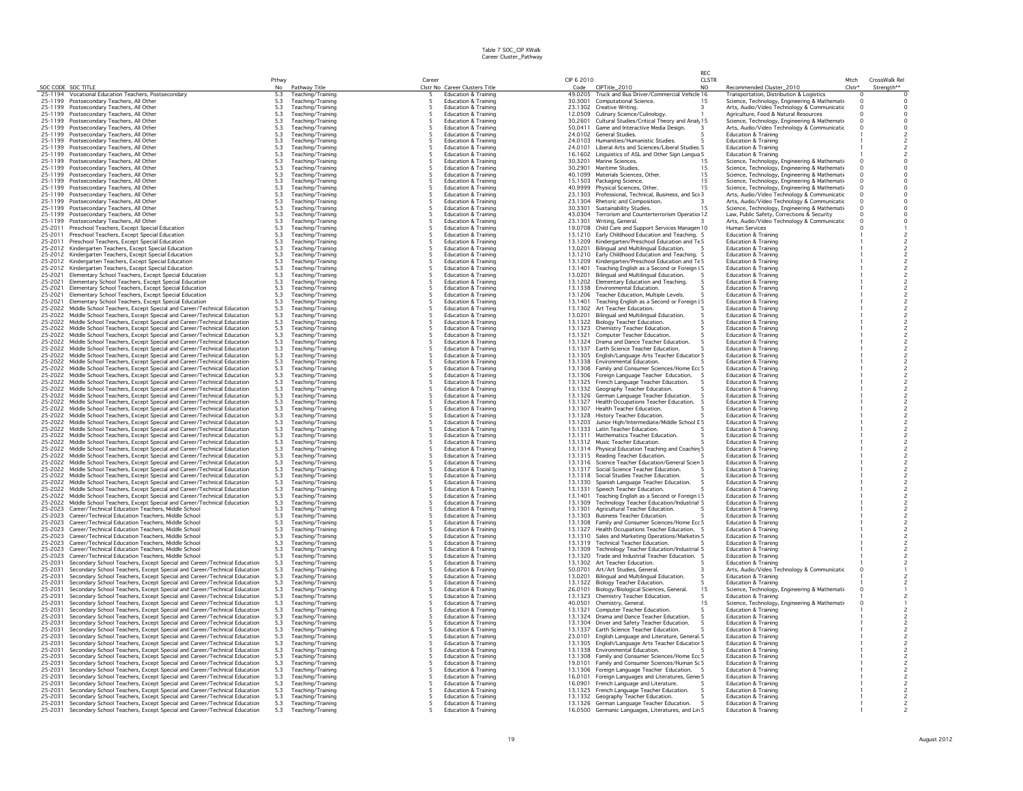|                    |                                                                                                                                                      |                   |                                        |        |                                                                    |                    |                                                                                                | RFC            |                                                                                               |                  |                                            |
|--------------------|------------------------------------------------------------------------------------------------------------------------------------------------------|-------------------|----------------------------------------|--------|--------------------------------------------------------------------|--------------------|------------------------------------------------------------------------------------------------|----------------|-----------------------------------------------------------------------------------------------|------------------|--------------------------------------------|
|                    | SOC CODE SOC TITLE                                                                                                                                   | Pthwy             |                                        | Career | Clstr No Career Clusters Title                                     | CIP 6 2010         | CIPTitle_2010                                                                                  | <b>CLSTR</b>   | Recommended Cluster 2010                                                                      | Mtch<br>$Clstr*$ | CrossWalk Rel                              |
| 25-1194            | Vocational Education Teachers, Postsecondary                                                                                                         | No<br>5.3         | Pathway Title<br>Teaching/Training     | -5     | Education & Training                                               | Code<br>49.0205    | Truck and Bus Driver/Commercial Vehicle 16                                                     | N <sub>O</sub> | Transportation, Distribution & Logistics                                                      | $\circ$          | Strength**<br>$\Omega$                     |
| 25-1199            | Postsecondary Teachers, All Other                                                                                                                    | 5.3               | Teaching/Training                      |        | <b>Education &amp; Training</b>                                    | 30.3001            | <b>Computational Science.</b>                                                                  | 15             | Science, Technology, Engineering & Mathemati                                                  | $\Omega$         | $\Omega$                                   |
| 25-1199            | Postsecondary Teachers, All Other                                                                                                                    | 5.3               | Teaching/Training                      | -5     | <b>Education &amp; Training</b>                                    |                    | 23.1302 Creative Writing                                                                       | 3              | Arts, Audio/Video Technology & Communicatic                                                   | $\Omega$         | $\Omega$                                   |
| 25-1199            | Postsecondary Teachers, All Other                                                                                                                    | 5.3               | Teaching/Training                      |        | <b>Education &amp; Training</b>                                    | 12.0509            | Culinary Science/Culinology.                                                                   |                | Agriculture, Food & Natural Resources                                                         |                  | $\Omega$                                   |
| 25-1199<br>25-1199 | Postsecondary Teachers, All Other<br>Postsecondary Teachers, All Other                                                                               | 5.3<br>5.3        | Teaching/Training<br>Teaching/Training |        | <b>Education &amp; Training</b><br><b>Education &amp; Training</b> | 30,2601<br>50.0411 | Cultural Studies/Critical Theory and Analy 15<br>Game and Interactive Media Design.            |                | Science, Technology, Engineering & Mathemati<br>Arts, Audio/Video Technology & Communicatic   | $\Omega$         | $\circ$<br>$\circ$                         |
| 25-1199            | Postsecondary Teachers, All Other                                                                                                                    | 5.3               | Teaching/Training                      |        | <b>Education &amp; Training</b>                                    |                    | 24.0102 General Studies.                                                                       |                | Education & Training                                                                          |                  |                                            |
| 25-1199            | Postsecondary Teachers, All Other                                                                                                                    | 5.3               | Teaching/Training                      |        | <b>Education &amp; Training</b>                                    | 24.0103            | Humanities/Humanistic Studies.                                                                 |                | Education & Training                                                                          |                  |                                            |
| 25-1199            | Postsecondary Teachers, All Other                                                                                                                    | 5.3               | Teaching/Training                      |        | <b>Education &amp; Training</b>                                    | 24.0101            | Liberal Arts and Sciences/Liberal Studies 5                                                    |                | <b>Education &amp; Training</b>                                                               |                  |                                            |
| 25-1199            | Postsecondary Teachers, All Other                                                                                                                    | 5.3               | Teaching/Training                      |        | <b>Education &amp; Training</b>                                    | 16.1602            | Linguistics of ASL and Other Sign Langua 5                                                     |                | <b>Education &amp; Training</b>                                                               |                  | $\overline{c}$                             |
| 25-1199<br>25-1199 | Postsecondary Teachers, All Other                                                                                                                    | 5.3<br>5.3        | Teaching/Training                      |        | <b>Education &amp; Training</b><br><b>Education &amp; Training</b> | 30,3201<br>30.2901 | Marine Sciences.<br>Maritime Studies                                                           | 15<br>15       | Science, Technology, Engineering & Mathemati                                                  | $\Omega$         | $\circ$<br>$\Omega$                        |
| 25-1199            | Postsecondary Teachers, All Other<br>Postsecondary Teachers, All Other                                                                               | 5.3               | Teaching/Training<br>Teaching/Training |        | Education & Training                                               | 40.1099            | Materials Sciences, Other                                                                      | 1.5            | Science, Technology, Engineering & Mathemati-<br>Science, Technology, Engineering & Mathemati | $\Omega$         | $\Omega$                                   |
| 25-1199            | Postsecondary Teachers, All Other                                                                                                                    | 5.3               | Teaching/Training                      |        | <b>Education &amp; Training</b>                                    |                    | 15.1503 Packaging Science.                                                                     | 15             | Science, Technology, Engineering & Mathemati-                                                 | $\Omega$         | $\circ$                                    |
| 25-1199            | Postsecondary Teachers, All Other                                                                                                                    | 5.3               | Teaching/Training                      |        | Education & Training                                               | 40.9999            | Physical Sciences, Other.                                                                      | 15             | Science, Technology, Engineering & Mathemati                                                  | $\Omega$         | $\circ$                                    |
| 25-1199            | Postsecondary Teachers, All Other                                                                                                                    | 5.3               | Teaching/Training                      |        | <b>Education &amp; Training</b>                                    | 23.1303            | Professional, Technical, Business, and Sci 3                                                   |                | Arts, Audio/Video Technology & Communicatic                                                   | $\circ$          | $\circ$                                    |
| 25-1199            | Postsecondary Teachers, All Other                                                                                                                    | 5.3               | Teaching/Training                      |        | <b>Education &amp; Training</b>                                    | 23.1304            | Rhetoric and Composition.                                                                      | 3              | Arts, Audio/Video Technology & Communicatic                                                   |                  | $\circ$                                    |
| 25-1199<br>25-1199 | Postsecondary Teachers, All Other<br>Postsecondary Teachers, All Other                                                                               | 5.3<br>5.3        | Teaching/Training<br>Teaching/Training |        | <b>Education &amp; Training</b><br><b>Education &amp; Training</b> | 30.3301<br>43.0304 | Sustainability Studies.<br>Terrorism and Counterterrorism Operatio 12                          | 15             | Science, Technology, Engineering & Mathemati-<br>Law, Public Safety, Corrections & Security   |                  | $\Omega$<br>$\circ$                        |
| 25-1199            | Postsecondary Teachers, All Other                                                                                                                    | 5.3               | Teaching/Training                      |        | <b>Education &amp; Training</b>                                    | 23.1301            | Writing, General,                                                                              |                | Arts, Audio/Video Technology & Communicatic                                                   |                  | $\Omega$                                   |
| 25-2011            | Preschool Teachers, Except Special Education                                                                                                         | 5.3               | Teaching/Training                      |        | <b>Education &amp; Training</b>                                    | 19,0708            | Child Care and Support Services Managen 10                                                     |                | Human Services                                                                                |                  |                                            |
| 25-2011            | Preschool Teachers, Except Special Education                                                                                                         | 5.3               | Teaching/Training                      |        | <b>Education &amp; Training</b>                                    |                    | 13.1210 Early Childhood Education and Teaching, 5                                              |                | <b>Education &amp; Training</b>                                                               |                  | $\overline{\phantom{0}}$                   |
| 25-2011            | Preschool Teachers, Except Special Education                                                                                                         | 5.3               | Teaching/Training                      |        | <b>Education &amp; Training</b>                                    |                    | 13.1209 Kindergarten/Preschool Education and Te 5                                              |                | <b>Education &amp; Training</b>                                                               |                  | $\overline{c}$                             |
| 25-2012            | Kindergarten Teachers, Except Special Education                                                                                                      | 5.3               | Teaching/Training                      |        | <b>Education &amp; Training</b>                                    | 13,0201            | Bilingual and Multilingual Education.                                                          |                | <b>Education &amp; Training</b>                                                               |                  | $\overline{c}$                             |
| 25-2012<br>25-2012 | Kindergarten Teachers, Except Special Education<br>Kindergarten Teachers, Except Special Education                                                   | 5.3<br>5.3        | Teaching/Training<br>Teaching/Training |        | <b>Education &amp; Training</b><br><b>Education &amp; Training</b> | 13.1209            | 13.1210 Early Childhood Education and Teaching. 5<br>Kindergarten/Preschool Education and Te 5 |                | <b>Education &amp; Training</b><br><b>Education &amp; Training</b>                            |                  | $\overline{c}$                             |
| 25-2012            | Kindergarten Teachers, Except Special Education                                                                                                      | 5.3               | Teaching/Training                      |        | <b>Education &amp; Training</b>                                    | 13.1401            | Teaching English as a Second or Foreign I 5                                                    |                | <b>Education &amp; Training</b>                                                               |                  |                                            |
| 25-2021            | Elementary School Teachers, Except Special Education                                                                                                 | 5.3               | Teaching/Training                      |        | <b>Education &amp; Training</b>                                    | 13.0201            | Bilingual and Multilingual Education.<br>-5                                                    |                | Education & Training                                                                          |                  | $\overline{c}$                             |
| 25-2021            | Elementary School Teachers, Except Special Education                                                                                                 | 5.3               | Teaching/Training                      |        | <b>Education &amp; Training</b>                                    |                    | 13.1202 Elementary Education and Teaching.<br>-5                                               |                | <b>Education &amp; Training</b>                                                               |                  | $\overline{c}$                             |
| 25-2021            | Elementary School Teachers, Except Special Education                                                                                                 | 5.3               | Teaching/Training                      |        | <b>Education &amp; Training</b>                                    |                    | 13.1338 Environmental Education.                                                               |                | <b>Education &amp; Training</b>                                                               |                  | $\overline{\phantom{a}}$                   |
| 25-2021<br>25-2021 | Elementary School Teachers, Except Special Education<br>Elementary School Teachers, Except Special Education                                         | 5.3<br>5.3        | Teaching/Training<br>Teaching/Training |        | <b>Education &amp; Training</b><br><b>Education &amp; Training</b> | 13.1206<br>13.1401 | Teacher Education, Multiple Levels.<br>Teaching English as a Second or Foreign I 5             |                | <b>Education &amp; Training</b><br><b>Education &amp; Training</b>                            |                  | $\overline{\phantom{a}}$                   |
| 25-2022            | Middle School Teachers, Except Special and Career/Technical Education                                                                                | 5.3               | Teaching/Training                      |        | <b>Education &amp; Training</b>                                    | 13.1302            | Art Teacher Education.                                                                         |                | <b>Education &amp; Training</b>                                                               |                  | $\overline{c}$                             |
| 25-2022            | Middle School Teachers, Except Special and Career/Technical Education                                                                                | 5.3               | Teaching/Training                      |        | <b>Education &amp; Training</b>                                    | 13.0201            | Bilingual and Multilingual Education.                                                          |                | <b>Education &amp; Training</b>                                                               |                  | $\overline{c}$                             |
| 25-2022            | Middle School Teachers, Except Special and Career/Technical Education                                                                                | 5.3               | Teaching/Training                      |        | <b>Education &amp; Training</b>                                    | 13.1322            | Biology Teacher Education.                                                                     |                | <b>Education &amp; Training</b>                                                               |                  |                                            |
| 25-2022            | Middle School Teachers, Except Special and Career/Technical Education                                                                                | 5.3               | Teaching/Training                      |        | <b>Education &amp; Training</b>                                    | 13.1323            | Chemistry Teacher Education.                                                                   |                | <b>Education &amp; Training</b>                                                               |                  |                                            |
| 25-2022            | Middle School Teachers, Except Special and Career/Technical Education                                                                                | 5.3               | Teaching/Training                      |        | <b>Education &amp; Training</b>                                    | 13.1321            | Computer Teacher Education.                                                                    |                | <b>Education &amp; Training</b>                                                               |                  |                                            |
| 25-2022<br>25-2022 | Middle School Teachers, Except Special and Career/Technical Education<br>Middle School Teachers, Except Special and Career/Technical Education       | 5.3<br>5.3        | Teaching/Training<br>Teaching/Training |        | Education & Training<br><b>Education &amp; Training</b>            |                    | 13.1324 Drama and Dance Teacher Education.<br>13.1337 Earth Science Teacher Education.         |                | <b>Education &amp; Training</b><br><b>Education &amp; Training</b>                            |                  | $\overline{c}$<br>$\overline{c}$           |
| 25-2022            | Middle School Teachers, Except Special and Career/Technical Education                                                                                | 5.3               | Teaching/Training                      |        | <b>Education &amp; Training</b>                                    |                    | 13.1305 English/Language Arts Teacher Educatior 5                                              |                | <b>Education &amp; Training</b>                                                               |                  | $\overline{\phantom{a}}$                   |
| 25-2022            | Middle School Teachers, Except Special and Career/Technical Education                                                                                | 5.3               | Teaching/Training                      |        | <b>Education &amp; Training</b>                                    |                    | 13.1338 Environmental Education.                                                               |                | <b>Education &amp; Training</b>                                                               |                  | $\overline{c}$                             |
| 25-2022            | Middle School Teachers, Except Special and Career/Technical Education                                                                                | 5.3               | Teaching/Training                      |        | <b>Education &amp; Training</b>                                    | 13.1308            | Family and Consumer Sciences/Home Ecc 5                                                        |                | <b>Education &amp; Training</b>                                                               |                  |                                            |
| 25-2022            | Middle School Teachers, Except Special and Career/Technical Education                                                                                | 5.3               | Teaching/Training                      |        | <b>Education &amp; Training</b>                                    |                    | 13.1306 Foreign Language Teacher Education.                                                    |                | <b>Education &amp; Training</b>                                                               |                  | $\overline{c}$                             |
| 25-2022            | Middle School Teachers, Except Special and Career/Technical Education                                                                                | 5.3               | Teaching/Training                      |        | Education & Trainin                                                | 13.1325            | French Language Teacher Education.                                                             |                | <b>Education &amp; Training</b>                                                               |                  | $\overline{c}$                             |
| 25-2022<br>25-2022 | Middle School Teachers, Except Special and Career/Technical Education<br>Middle School Teachers, Except Special and Career/Technical Education       | 5.3<br>5.3        | Teaching/Training<br>Teaching/Training |        | Education & Training<br><b>Education &amp; Training</b>            |                    | 13.1332 Geography Teacher Education.<br>13.1326 German Language Teacher Education.             | 5              | Education & Training<br><b>Education &amp; Training</b>                                       |                  |                                            |
| 25-2022            | Middle School Teachers, Except Special and Career/Technical Education                                                                                | 5.3               | Teaching/Training                      |        | <b>Education &amp; Training</b>                                    |                    | 13.1327 Health Occupations Teacher Education.                                                  | 5              | <b>Education &amp; Training</b>                                                               |                  | $\overline{\phantom{a}}$                   |
| 25-2022            | Middle School Teachers, Except Special and Career/Technical Education                                                                                | 5.3               | Teaching/Training                      |        | <b>Education &amp; Training</b>                                    |                    | 13.1307 Health Teacher Education.                                                              |                | <b>Education &amp; Training</b>                                                               |                  | $\overline{c}$                             |
| 25-2022            | Middle School Teachers, Except Special and Career/Technical Education                                                                                | 5.3               | Teaching/Training                      |        | <b>Education &amp; Training</b>                                    |                    | 13.1328 History Teacher Education.                                                             |                | <b>Education &amp; Training</b>                                                               |                  | $\overline{c}$                             |
| 25-2022            | Middle School Teachers, Except Special and Career/Technical Education                                                                                | 5.3               | Teaching/Training                      |        | <b>Education &amp; Training</b>                                    |                    | 13.1203 Junior High/Intermediate/Middle School E 5                                             |                | <b>Education &amp; Training</b>                                                               |                  | $\overline{\phantom{0}}$                   |
| 25-2022<br>25-2022 | Middle School Teachers, Except Special and Career/Technical Education                                                                                | 5.3               | Teaching/Training                      |        | <b>Education &amp; Training</b><br><b>Education &amp; Training</b> |                    | 13.1333 Latin Teacher Education.<br>13.1311 Mathematics Teacher Education.                     | 5              | <b>Education &amp; Training</b><br><b>Education &amp; Training</b>                            |                  | $\overline{\phantom{0}}$<br>$\overline{c}$ |
| 25-2022            | Middle School Teachers, Except Special and Career/Technical Education<br>Middle School Teachers, Except Special and Career/Technical Education       | $5.3$<br>$5.3$    | Teaching/Training<br>Teaching/Training |        | <b>Education &amp; Training</b>                                    | 13.1312            | Music Teacher Education.                                                                       |                | <b>Education &amp; Training</b>                                                               |                  |                                            |
| 25-2022            | Middle School Teachers, Except Special and Career/Technical Education                                                                                | 5.3               | Teaching/Training                      |        | <b>Education &amp; Trainin</b>                                     |                    | 13.1314 Physical Education Teaching and Coaching 5                                             |                | <b>Education &amp; Training</b>                                                               |                  | $\overline{c}$                             |
| 25-2022            | Middle School Teachers, Except Special and Career/Technical Education                                                                                | 5.3               | Teaching/Training                      |        | <b>Education &amp; Training</b>                                    | 13.1315            | Reading Teacher Education.                                                                     |                | <b>Education &amp; Training</b>                                                               |                  |                                            |
| 25-2022            | Middle School Teachers, Except Special and Career/Technical Education                                                                                | 5.3               | Teaching/Training                      |        | <b>Education &amp; Training</b>                                    |                    | 13.1316 Science Teacher Education/General Scien 5                                              |                | <b>Education &amp; Training</b>                                                               |                  |                                            |
| 25-2022            | Middle School Teachers, Except Special and Career/Technical Education                                                                                | 5.3               | Teaching/Training                      |        | <b>Education &amp; Training</b>                                    | 13.1317            | Social Science Teacher Education.                                                              |                | Education & Training                                                                          |                  | $\overline{c}$                             |
| 25-2022<br>25-2022 | Middle School Teachers, Except Special and Career/Technical Education<br>Middle School Teachers, Except Special and Career/Technical Education       | 5.3               | Teaching/Training<br>Teaching/Training |        | <b>Education &amp; Training</b><br><b>Education &amp; Training</b> | 13,1318<br>13.1330 | Social Studies Teacher Education.<br>Spanish Language Teacher Education.                       | 5              | <b>Education &amp; Training</b><br><b>Education &amp; Training</b>                            |                  | $\overline{c}$<br>$\overline{\phantom{a}}$ |
| 25-2022            | Middle School Teachers, Except Special and Career/Technical Education                                                                                | $\frac{5.3}{5.3}$ | Teaching/Training                      |        | <b>Education &amp; Training</b>                                    | 13.1331            | Speech Teacher Education.                                                                      |                | <b>Education &amp; Training</b>                                                               |                  | $\overline{\phantom{0}}$                   |
| 25-2022            | Middle School Teachers, Except Special and Career/Technical Education                                                                                | 5.3               | Teaching/Training                      |        | <b>Education &amp; Training</b>                                    | 13.1401            | Teaching English as a Second or Foreign I 5                                                    |                | <b>Education &amp; Training</b>                                                               |                  | $\overline{c}$                             |
| 25-2022            | Middle School Teachers, Except Special and Career/Technical Education                                                                                | $5.3$             | Teaching/Training                      |        | <b>Education &amp; Training</b>                                    | 13.1309            | Technology Teacher Education/Industrial 5                                                      |                | <b>Education &amp; Training</b>                                                               |                  | $\overline{c}$                             |
| 25-2023            | Career/Technical Education Teachers, Middle School                                                                                                   | 5.3               | Teaching/Training                      |        | <b>Education &amp; Training</b>                                    | 13.1301            | Agricultural Teacher Education.                                                                |                | <b>Education &amp; Training</b>                                                               |                  | $\overline{c}$                             |
| 25-2023<br>25-2023 | Career/Technical Education Teachers, Middle School<br>Career/Technical Education Teachers, Middle School                                             | 5.3<br>5.3        | Teaching/Training<br>Teaching/Training |        | <b>Education &amp; Training</b><br>Education & Training            | 13.1303<br>13.1308 | Business Teacher Education.<br>Family and Consumer Sciences/Home Ecc 5                         |                | <b>Education &amp; Training</b><br><b>Education &amp; Training</b>                            |                  | $\overline{c}$                             |
| 25-2023            | Career/Technical Education Teachers, Middle School                                                                                                   | 5.3               | Teaching/Training                      |        | <b>Education &amp; Training</b>                                    | 13.1327            | Health Occupations Teacher Education.                                                          |                | <b>Education &amp; Training</b>                                                               |                  |                                            |
| 25-2023            | Career/Technical Education Teachers, Middle School                                                                                                   | 5.3               | Teaching/Training                      |        | <b>Education &amp; Training</b>                                    |                    | 13.1310 Sales and Marketing Operations/Marketin 5                                              |                | <b>Education &amp; Training</b>                                                               |                  | $\overline{\phantom{a}}$                   |
| 25-2023            | Career/Technical Education Teachers, Middle School                                                                                                   | 5.3               | Teaching/Training                      |        | <b>Education &amp; Training</b>                                    |                    | 13.1319 Technical Teacher Education.                                                           |                | <b>Education &amp; Training</b>                                                               |                  | $\overline{c}$                             |
| 25-2023            | Career/Technical Education Teachers, Middle School                                                                                                   | 5.3               | Teaching/Training                      |        | <b>Education &amp; Training</b>                                    | 13.1309            | Technology Teacher Education/Industrial 5                                                      |                | <b>Education &amp; Training</b>                                                               |                  | $\overline{\phantom{a}}$                   |
| 25-2023<br>25-2031 | Career/Technical Education Teachers, Middle School<br>Secondary School Teachers, Except Special and Career/Technical Education                       | 5.3<br>5.3        | Teaching/Training<br>Teaching/Training |        | <b>Education &amp; Training</b><br><b>Education &amp; Training</b> | 13.1320<br>13.1302 | Trade and Industrial Teacher Education.<br>- 5<br>Art Teacher Education.                       |                | <b>Education &amp; Training</b><br><b>Education &amp; Training</b>                            |                  |                                            |
| 25-2031            | Secondary School Teachers, Except Special and Career/Technical Education                                                                             | $5.3$             | Teaching/Training                      |        | <b>Education &amp; Training</b>                                    | 50.0701            | Art/Art Studies, General,                                                                      |                | Arts, Audio/Video Technology & Communicatic                                                   |                  |                                            |
| 25-2031            | Secondary School Teachers, Except Special and Career/Technical Education                                                                             | 5.3               | Teaching/Training                      |        | <b>Education &amp; Training</b>                                    | 13.0201            | Bilingual and Multilingual Education.                                                          | 5              | <b>Education &amp; Training</b>                                                               |                  |                                            |
| 25-2031            | Secondary School Teachers, Except Special and Career/Technical Education                                                                             | 5.3               | Teaching/Training                      |        | <b>Education &amp; Training</b>                                    | 13.1322            | Biology Teacher Education.                                                                     |                | <b>Education &amp; Training</b>                                                               |                  |                                            |
| 25-2031            | Secondary School Teachers, Except Special and Career/Technical Education                                                                             | 5.3               | Teaching/Training                      |        | <b>Education &amp; Training</b>                                    | 26.0101            | Biology/Biological Sciences, General.                                                          | 15             | Science, Technology, Engineering & Mathemati-                                                 |                  |                                            |
| 25-2031<br>25-2031 | Secondary School Teachers, Except Special and Career/Technical Education<br>Secondary School Teachers, Except Special and Career/Technical Education | 5.3<br>5.3        | Teaching/Training<br>Teaching/Training |        | <b>Education &amp; Training</b><br><b>Education &amp; Training</b> | 13.1323<br>40.0501 | Chemistry Teacher Education.<br>Chemistry, General,                                            | 5<br>15        | <b>Education &amp; Training</b><br>Science, Technology, Engineering & Mathematio              |                  |                                            |
| 25-2031            | Secondary School Teachers, Except Special and Career/Technical Education                                                                             | 5.3               | Teaching/Training                      |        | <b>Education &amp; Training</b>                                    | 13.1321            | Computer Teacher Education.                                                                    | 5              | <b>Education &amp; Training</b>                                                               |                  |                                            |
| 25-2031            | Secondary School Teachers, Except Special and Career/Technical Education                                                                             | 5.3               | Teaching/Training                      |        | <b>Education &amp; Training</b>                                    |                    | 13.1324 Drama and Dance Teacher Education.                                                     | -5             | <b>Education &amp; Training</b>                                                               |                  | $\overline{\phantom{a}}$                   |
| 25-2031            | Secondary School Teachers, Except Special and Career/Technical Education                                                                             | 5.3               | Teaching/Training                      |        | <b>Education &amp; Training</b>                                    | 13.1304            | Driver and Safety Teacher Education.                                                           |                | <b>Education &amp; Training</b>                                                               |                  |                                            |
| 25-2031            | Secondary School Teachers, Except Special and Career/Technical Education                                                                             | 5.3               | Teaching/Training                      |        | <b>Education &amp; Training</b>                                    |                    | 13.1337 Earth Science Teacher Education.                                                       |                | <b>Education &amp; Training</b>                                                               |                  |                                            |
| 25-2031            | Secondary School Teachers, Except Special and Career/Technical Education                                                                             | 5.3               | Teaching/Training                      |        | <b>Education &amp; Training</b>                                    | 23.0101            | English Language and Literature, General. 5                                                    |                | <b>Education &amp; Training</b>                                                               |                  |                                            |
| 25-2031<br>25-2031 | Secondary School Teachers, Except Special and Career/Technical Education<br>Secondary School Teachers, Except Special and Career/Technical Education | 5.3<br>5.3        | Teaching/Training<br>Teaching/Training |        | <b>Education &amp; Training</b><br><b>Education &amp; Training</b> | 13.1305<br>13.1338 | English/Language Arts Teacher Educatior 5<br>Environmental Education.                          |                | <b>Education &amp; Training</b><br><b>Education &amp; Training</b>                            |                  | $\overline{c}$                             |
| 25-2031            | Secondary School Teachers, Except Special and Career/Technical Education                                                                             | 5.3               | Teaching/Training                      |        | <b>Education &amp; Training</b>                                    |                    | 13.1308 Family and Consumer Sciences/Home Ecc 5                                                |                | <b>Education &amp; Training</b>                                                               |                  |                                            |
| 25-2031            | Secondary School Teachers, Except Special and Career/Technical Education                                                                             | 5.3               | Teaching/Training                      |        | <b>Education &amp; Training</b>                                    | 19.0101            | Family and Consumer Sciences/Human Sc 5                                                        |                | <b>Education &amp; Training</b>                                                               |                  |                                            |
| 25-2031            | Secondary School Teachers, Except Special and Career/Technical Education                                                                             | 5.3               | Teaching/Training                      |        | <b>Education &amp; Training</b>                                    |                    | 13.1306 Foreign Language Teacher Education. 5                                                  |                | <b>Education &amp; Training</b>                                                               |                  | $\overline{c}$                             |
| 25-2031            | Secondary School Teachers, Except Special and Career/Technical Education                                                                             | 5.3               | Teaching/Training                      |        | <b>Education &amp; Training</b>                                    | 16,0101            | Foreign Languages and Literatures, Gene 5                                                      |                | <b>Education &amp; Training</b>                                                               |                  | $\overline{c}$                             |
| 25-2031<br>25-2031 | Secondary School Teachers, Except Special and Career/Technical Education<br>Secondary School Teachers, Except Special and Career/Technical Education | 5.3<br>5.3        | Teaching/Training<br>Teaching/Training |        | <b>Education &amp; Training</b><br><b>Education &amp; Training</b> | 16.0901            | French Language and Literature.<br>13.1325 French Language Teacher Education.                  | -5             | <b>Education &amp; Training</b><br><b>Education &amp; Training</b>                            |                  | $\overline{\phantom{0}}$                   |
| 25-2031            | Secondary School Teachers, Except Special and Career/Technical Education                                                                             | 5.3               | Teaching/Training                      |        | <b>Education &amp; Training</b>                                    |                    | 13.1332 Geography Teacher Education.                                                           |                | <b>Education &amp; Training</b>                                                               |                  |                                            |
| 25-2031            | Secondary School Teachers, Except Special and Career/Technical Education                                                                             | 5.3               | Teaching/Training                      |        | <b>Education &amp; Training</b>                                    |                    | 13.1326 German Language Teacher Education.<br>- 5                                              |                | <b>Education &amp; Training</b>                                                               |                  |                                            |
| 25-2031            | Secondary School Teachers, Except Special and Career/Technical Education                                                                             | 5.3               | Teaching/Training                      |        | <b>Education &amp; Training</b>                                    |                    | 16.0500 Germanic Languages, Literatures, and Lin 5                                             |                | <b>Education &amp; Training</b>                                                               |                  |                                            |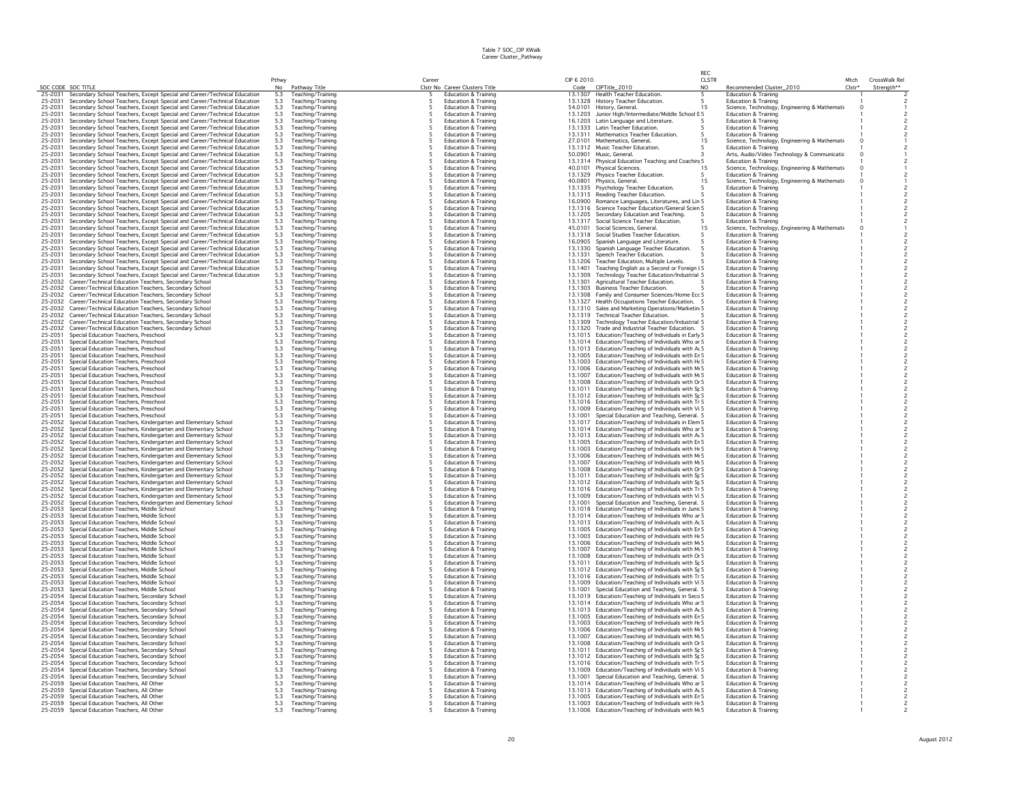|                               |                                                                                                                                                      |                                                  |                                        |                                                                         |            |                                                                                                            | RFC            |                                                                                  |          |                                           |
|-------------------------------|------------------------------------------------------------------------------------------------------------------------------------------------------|--------------------------------------------------|----------------------------------------|-------------------------------------------------------------------------|------------|------------------------------------------------------------------------------------------------------------|----------------|----------------------------------------------------------------------------------|----------|-------------------------------------------|
|                               |                                                                                                                                                      | Pthwy                                            |                                        | Caree                                                                   | CIP 6 2010 |                                                                                                            | <b>CLSTR</b>   |                                                                                  | Mtch     | CrossWalk Rel                             |
| SOC CODE SOC TITLE<br>25-2031 | Secondary School Teachers, Except Special and Career/Technical Education                                                                             | No<br>5.3                                        | Pathway Title<br>Teaching/Training     | Clstr No Career Clusters Title<br><b>Education &amp; Training</b><br>-5 |            | Code CIPTitle_2010<br>13.1307 Health Teacher Education.<br>-5                                              | N <sub>O</sub> | Recommended Cluster_2010<br><b>Education &amp; Training</b>                      | $Clstr*$ | Strenath**                                |
| 25-2031                       | Secondary School Teachers, Except Special and Career/Technical Education                                                                             | 5.3                                              | Teaching/Training                      | <b>Education &amp; Training</b>                                         |            | 13.1328 History Teacher Education.                                                                         |                | <b>Education &amp; Training</b>                                                  |          |                                           |
| 25-2031                       | Secondary School Teachers, Except Special and Career/Technical Education                                                                             | 5.3                                              | Teaching/Training                      | 5<br><b>Education &amp; Training</b>                                    |            | 54.0101 History, General.                                                                                  | 15             | Science, Technology, Engineering & Mathemati-                                    | $\Omega$ |                                           |
| 25-2031                       | Secondary School Teachers, Except Special and Career/Technical Education                                                                             | 5.3                                              | Teaching/Training                      | <b>Education &amp; Training</b><br>5                                    |            | 13.1203 Junior High/Intermediate/Middle School E 5                                                         |                | <b>Education &amp; Training</b>                                                  |          |                                           |
| 25-2031                       | Secondary School Teachers, Except Special and Career/Technical Education                                                                             | 5.3                                              | Teaching/Training                      | Education & Training                                                    |            | 16.1203 Latin Language and Literature.                                                                     |                | <b>Education &amp; Training</b>                                                  |          |                                           |
| 25-2031<br>25-2031            | Secondary School Teachers, Except Special and Career/Technical Education<br>Secondary School Teachers, Except Special and Career/Technical Education | 5.3<br>5.3                                       | Teaching/Training<br>Teaching/Training | Education & Training<br>Education & Training                            |            | 13.1333 Latin Teacher Education.<br>13.1311 Mathematics Teacher Education.                                 |                | Education & Training<br><b>Education &amp; Training</b>                          |          |                                           |
| 25-2031                       | Secondary School Teachers, Except Special and Career/Technical Education                                                                             | 5.3                                              | Teaching/Training                      | Education & Training                                                    |            | 27.0101 Mathematics, General.                                                                              | 15             | Science, Technology, Engineering & Mathemati-                                    |          |                                           |
| 25-2031                       | Secondary School Teachers, Except Special and Career/Technical Education                                                                             | 5.3                                              | Teaching/Training                      | <b>Education &amp; Training</b>                                         |            | 13.1312 Music Teacher Education.                                                                           |                | <b>Education &amp; Training</b>                                                  |          |                                           |
| 25-2031                       | Secondary School Teachers, Except Special and Career/Technical Education                                                                             | 5.3                                              | Teaching/Training                      | Education & Training                                                    |            | 50.0901 Music, General.                                                                                    |                | Arts, Audio/Video Technology & Communicatio                                      |          |                                           |
| 25-2031                       | Secondary School Teachers, Except Special and Career/Technical Education                                                                             | 5.3                                              | Teaching/Training                      | <b>Education &amp; Training</b>                                         |            | 13.1314 Physical Education Teaching and Coaching 5                                                         |                | <b>Education &amp; Training</b>                                                  |          |                                           |
| 25-2031                       | Secondary School Teachers, Except Special and Career/Technical Education                                                                             | 5.3                                              | Teaching/Training                      | <b>Education &amp; Training</b>                                         |            | 40.0101 Physical Sciences.                                                                                 | 15             | Science, Technology, Engineering & Mathemati                                     |          |                                           |
| 25-2031<br>25-2031            | Secondary School Teachers, Except Special and Career/Technical Education                                                                             | 5.3                                              | Teaching/Training                      | <b>Education &amp; Training</b><br><b>Education &amp; Training</b>      |            | 13.1329 Physics Teacher Education.                                                                         | 15             | <b>Education &amp; Training</b>                                                  |          |                                           |
| 25-2031                       | Secondary School Teachers, Except Special and Career/Technical Education<br>Secondary School Teachers, Except Special and Career/Technical Education | $5.3\,$<br>5.3                                   | Teaching/Training<br>Teaching/Training | <b>Education &amp; Training</b>                                         |            | 40.0801 Physics, General.<br>13.1335 Psychology Teacher Education.                                         |                | Science, Technology, Engineering & Mathemati-<br><b>Education &amp; Training</b> |          |                                           |
| 25-2031                       | Secondary School Teachers, Except Special and Career/Technical Education                                                                             | 5.3                                              | Teaching/Training                      | Education & Training                                                    |            | 13.1315 Reading Teacher Education.                                                                         |                | Education & Training                                                             |          |                                           |
| 25-2031                       | Secondary School Teachers, Except Special and Career/Technical Education                                                                             | 5.3                                              | Teaching/Training                      | Education & Training                                                    |            | 16.0900 Romance Languages, Literatures, and Lin 5                                                          |                | Education & Training                                                             |          |                                           |
| 25-2031                       | Secondary School Teachers, Except Special and Career/Technical Education                                                                             | 5.3                                              | Teaching/Training                      | Education & Training                                                    |            | 13.1316 Science Teacher Education/General Scien 5                                                          |                | Education & Training                                                             |          |                                           |
| 25-2031                       | Secondary School Teachers, Except Special and Career/Technical Education                                                                             | 5.3                                              | Teaching/Training                      | <b>Education &amp; Training</b>                                         |            | 13.1205 Secondary Education and Teaching.<br>-5                                                            |                | <b>Education &amp; Training</b>                                                  |          |                                           |
| 25-2031<br>25-2031            | Secondary School Teachers, Except Special and Career/Technical Education<br>Secondary School Teachers, Except Special and Career/Technical Education | 5.3<br>5.3                                       | Teaching/Training<br>Teaching/Training | <b>Education &amp; Training</b><br><b>Education &amp; Training</b>      |            | 13.1317 Social Science Teacher Education.<br>45.0101 Social Sciences, General.                             | 15             | <b>Education &amp; Training</b>                                                  |          |                                           |
| 25-2031                       | Secondary School Teachers, Except Special and Career/Technical Education                                                                             | 5.3                                              | Teaching/Training                      | <b>Education &amp; Training</b>                                         |            | 13.1318 Social Studies Teacher Education.                                                                  |                | Science, Technology, Engineering & Mathemati-<br>Education & Training            |          |                                           |
| 25-2031                       | Secondary School Teachers, Except Special and Career/Technical Education                                                                             | 5.3                                              | Teaching/Training                      | Education & Training                                                    |            | 16.0905 Spanish Language and Literature.                                                                   |                | <b>Education &amp; Training</b>                                                  |          |                                           |
| 25-2031                       | Secondary School Teachers, Except Special and Career/Technical Education                                                                             | 5.3                                              | Teaching/Training                      | <b>Education &amp; Training</b>                                         |            | 13.1330 Spanish Language Teacher Education.                                                                |                | <b>Education &amp; Training</b>                                                  |          |                                           |
| 25-2031                       | Secondary School Teachers, Except Special and Career/Technical Education                                                                             | 5.3                                              | Teaching/Training                      | <b>Education &amp; Training</b>                                         |            | 13.1331 Speech Teacher Education.                                                                          |                | <b>Education &amp; Training</b>                                                  |          |                                           |
| 25-2031                       | Secondary School Teachers, Except Special and Career/Technical Education                                                                             | 5.3                                              | Teaching/Training                      | <b>Education &amp; Training</b>                                         |            | 13.1206 Teacher Education, Multiple Levels.                                                                |                | <b>Education &amp; Training</b>                                                  |          |                                           |
| 25-2031<br>25-2031            | Secondary School Teachers, Except Special and Career/Technical Education                                                                             | 5.3                                              | Teaching/Training                      | Education & Training<br><b>Education &amp; Training</b>                 |            | 13.1401 Teaching English as a Second or Foreign I 5                                                        |                | Education & Training<br>Education & Training                                     |          |                                           |
| 25-2032                       | Secondary School Teachers, Except Special and Career/Technical Education<br>Career/Technical Education Teachers, Secondary School                    | 5.3<br>5.3                                       | Teaching/Training<br>Teaching/Training | <b>Education &amp; Training</b>                                         |            | 13.1309 Technology Teacher Education/Industrial 5<br>13.1301 Agricultural Teacher Education.               |                | <b>Education &amp; Training</b>                                                  |          | $\overline{c}$<br>$\overline{c}$          |
| 25-2032                       | Career/Technical Education Teachers, Secondary School                                                                                                | $5.3\,$                                          | Teaching/Training                      | <b>Education &amp; Training</b>                                         |            | 13.1303 Business Teacher Education.                                                                        |                | <b>Education &amp; Training</b>                                                  |          | $\overline{c}$                            |
| 25-2032                       | Career/Technical Education Teachers, Secondary School                                                                                                | 5.3                                              | Teaching/Training                      | <b>Education &amp; Training</b>                                         |            | 13.1308 Family and Consumer Sciences/Home Ecc 5                                                            |                | <b>Education &amp; Training</b>                                                  |          | $\overline{c}$                            |
| 25-2032                       | Career/Technical Education Teachers, Secondary School                                                                                                | 5.3                                              | Teaching/Training                      | <b>Education &amp; Training</b>                                         |            | 13.1327 Health Occupations Teacher Education. 5                                                            |                | <b>Education &amp; Training</b>                                                  |          | $\overline{c}$                            |
| 25-2032                       | Career/Technical Education Teachers, Secondary School                                                                                                | 5.3                                              | Teaching/Training                      | Education & Training                                                    |            | 13.1310 Sales and Marketing Operations/Marketin 5                                                          |                | Education & Training                                                             |          | $\overline{c}$                            |
| 25-2032                       | Career/Technical Education Teachers, Secondary School                                                                                                | 5.3<br>5.3                                       | Teaching/Training                      | Education & Training                                                    |            | 13.1319 Technical Teacher Education.                                                                       |                | Education & Training                                                             |          | $\overline{c}$                            |
| 25-2032<br>25-2032            | Career/Technical Education Teachers, Secondary School<br>Career/Technical Education Teachers, Secondary School                                       | 5.3                                              | Teaching/Training<br>Teaching/Training | Education & Training<br>Education & Training                            |            | 13.1309 Technology Teacher Education/Industrial 5<br>13,1320 Trade and Industrial Teacher Education. 5     |                | Education & Training<br>Education & Training                                     |          | $\overline{c}$                            |
| 25-2051                       | Special Education Teachers, Preschool                                                                                                                | 5.3                                              | Teaching/Training                      | Education & Training                                                    |            | 13,1015 Education/Teaching of Individuals in Early 5                                                       |                | Education & Training                                                             |          | $\overline{c}$                            |
| 25-2051                       | Special Education Teachers, Preschool                                                                                                                | 5.3                                              | Teaching/Training                      | <b>Education &amp; Training</b>                                         |            | 13.1014 Education/Teaching of Individuals Who ar 5                                                         |                | <b>Education &amp; Training</b>                                                  |          | 2                                         |
| 25-2051                       | Special Education Teachers, Preschool                                                                                                                | 5.3                                              | Teaching/Training                      | <b>Education &amp; Training</b>                                         |            | 13.1013 Education/Teaching of Individuals with AL5                                                         |                | <b>Education &amp; Training</b>                                                  |          | $\overline{c}$                            |
| 25-2051                       | Special Education Teachers, Preschool                                                                                                                | 5.3                                              | Teaching/Training                      | <b>Education &amp; Training</b>                                         |            | 13.1005 Education/Teaching of Individuals with Er 5                                                        |                | <b>Education &amp; Training</b>                                                  |          | $\overline{c}$                            |
| 25-2051                       | Special Education Teachers, Preschool                                                                                                                | 5.3                                              | Teaching/Training                      | Education & Training                                                    |            | 13.1003 Education/Teaching of Individuals with Ht 5                                                        |                | <b>Education &amp; Training</b>                                                  |          |                                           |
| 25-2051<br>25-2051            | Special Education Teachers, Preschool<br>Special Education Teachers, Preschoo                                                                        | 5.3<br>5.3                                       | Teaching/Training                      | <b>Education &amp; Training</b><br><b>Education &amp; Training</b>      |            | 13.1006 Education/Teaching of Individuals with Mr 5<br>13.1007 Education/Teaching of Individuals with Mi 5 |                | <b>Education &amp; Training</b><br><b>Education &amp; Training</b>               |          | $\overline{c}$                            |
| 25-2051                       | Special Education Teachers, Preschool                                                                                                                | 5.3                                              | Teaching/Training<br>Teaching/Training | Education & Training                                                    |            | 13.1008 Education/Teaching of Individuals with Or 5                                                        |                | <b>Education &amp; Training</b>                                                  |          | $\overline{c}$                            |
| 25-2051                       | Special Education Teachers, Preschool                                                                                                                | 5.3                                              | Teaching/Training                      | Education & Training                                                    |            | 13.1011 Education/Teaching of Individuals with Sr. 5                                                       |                | <b>Education &amp; Training</b>                                                  |          | $\overline{c}$                            |
| 25-2051                       | Special Education Teachers, Preschool                                                                                                                | 5.3                                              | Teaching/Training                      | <b>Education &amp; Training</b>                                         |            | 13.1012 Education/Teaching of Individuals with Sr 5                                                        |                | <b>Education &amp; Training</b>                                                  |          | $\overline{c}$                            |
| 25-2051                       | Special Education Teachers, Preschool                                                                                                                | 5.3                                              | Teaching/Training                      | <b>Education &amp; Training</b>                                         |            | 13.1016 Education/Teaching of Individuals with Tr 5                                                        |                | <b>Education &amp; Training</b>                                                  |          | $\overline{c}$                            |
| 25-2051                       | Special Education Teachers, Preschool                                                                                                                | 5.3                                              | Teaching/Training                      | <b>Education &amp; Training</b>                                         |            | 13.1009 Education/Teaching of Individuals with Vi 5                                                        |                | <b>Education &amp; Training</b>                                                  |          | $\overline{c}$                            |
| 25-2051                       | Special Education Teachers, Preschool                                                                                                                | $5.3\,$                                          | Teaching/Training                      | <b>Education &amp; Training</b><br><b>Education &amp; Training</b>      |            | 13.1001 Special Education and Teaching, General. 5                                                         |                | Education & Training<br><b>Education &amp; Training</b>                          |          | $\overline{c}$                            |
| 25-2052<br>25-2052            | Special Education Teachers, Kindergarten and Elementary School<br>Special Education Teachers, Kindergarten and Elementary School                     | 5.3<br>$5.3\,$                                   | Teaching/Training<br>Teaching/Training | Education & Training                                                    |            | 13.1017 Education/Teaching of Individuals in Elem 5<br>13.1014 Education/Teaching of Individuals Who ar 5  |                | Education & Training                                                             |          | $\overline{c}$<br>$\overline{c}$          |
| 25-2052                       | Special Education Teachers, Kindergarten and Elementary School                                                                                       | 5.3                                              | Teaching/Training                      | Education & Training                                                    |            | 13.1013 Education/Teaching of Individuals with AL5                                                         |                | <b>Education &amp; Training</b>                                                  |          | $\overline{c}$                            |
| 25-2052                       | Special Education Teachers, Kindergarten and Elementary School                                                                                       | $\frac{5.3}{5.3}$                                | Teaching/Training                      | Education & Training                                                    |            | 13.1005 Education/Teaching of Individuals with Er 5                                                        |                | Education & Training                                                             |          | $\overline{c}$                            |
| 25-2052                       | Special Education Teachers, Kindergarten and Elementary School                                                                                       |                                                  | Teaching/Training                      | <b>Education &amp; Training</b>                                         |            | 13.1003 Education/Teaching of Individuals with Ht 5                                                        |                | Education & Training                                                             |          |                                           |
| 25-2052                       | Special Education Teachers, Kindergarten and Elementary School                                                                                       | 5.3                                              | Teaching/Training                      | Education & Training                                                    |            | 13.1006 Education/Teaching of Individuals with Mr 5                                                        |                | Education & Training                                                             |          | $\overline{c}$                            |
| 25-2052                       | Special Education Teachers, Kindergarten and Elementary School                                                                                       | 5.3                                              | Teaching/Training                      | <b>Education &amp; Training</b><br><b>Education &amp; Training</b>      |            | 13,1007 Education/Teaching of Individuals with Mr 5                                                        |                | <b>Education &amp; Training</b><br><b>Education &amp; Training</b>               |          | $\overline{c}$                            |
| 25-2052<br>25-2052            | Special Education Teachers, Kindergarten and Elementary School<br>Special Education Teachers, Kindergarten and Elementary School                     | $\frac{5.3}{5.3}$                                | Teaching/Training<br>Teaching/Training | <b>Education &amp; Training</b>                                         |            | 13.1008 Education/Teaching of Individuals with Or 5<br>13.1011 Education/Teaching of Individuals with Sr 5 |                | <b>Education &amp; Training</b>                                                  |          | $\overline{c}$<br>$\overline{c}$          |
| 25-2052                       | Special Education Teachers, Kindergarten and Elementary School                                                                                       |                                                  | Teaching/Training                      | <b>Education &amp; Training</b>                                         |            | 13.1012 Education/Teaching of Individuals with Sr 5                                                        |                | Education & Training                                                             |          |                                           |
| 25-2052                       | Special Education Teachers, Kindergarten and Elementary School                                                                                       | $\frac{5.3}{5.3}$                                | Teaching/Training                      | <b>Education &amp; Training</b>                                         |            | 13.1016 Education/Teaching of Individuals with Tr 5                                                        |                | <b>Education &amp; Training</b>                                                  |          | $\overline{c}$                            |
| 25-2052                       | Special Education Teachers, Kindergarten and Elementary School                                                                                       | 5.3                                              | Teaching/Training                      | Education & Training                                                    |            | 13.1009 Education/Teaching of Individuals with Vi 5                                                        |                | <b>Education &amp; Training</b>                                                  |          |                                           |
| 25-2052                       | Special Education Teachers, Kindergarten and Elementary School                                                                                       | 5.3                                              | Teaching/Training                      | Education & Training                                                    |            | 13.1001 Special Education and Teaching, General. 5                                                         |                | Education & Training                                                             |          | $\overline{c}$                            |
| 25-2053<br>25-2053            | Special Education Teachers, Middle School<br>Special Education Teachers, Middle School                                                               | 5.3<br>5.3                                       | Teaching/Training<br>Teaching/Training | Education & Training<br><b>Education &amp; Training</b>                 |            | 13.1018 Education/Teaching of Individuals in Junic 5<br>13.1014 Education/Teaching of Individuals Who ar 5 |                | <b>Education &amp; Training</b><br><b>Education &amp; Training</b>               |          | $\overline{c}$                            |
| 25-2053                       | Special Education Teachers, Middle School                                                                                                            |                                                  | Teaching/Training                      | <b>Education &amp; Training</b>                                         |            | 13.1013 Education/Teaching of Individuals with AL5                                                         |                | <b>Education &amp; Training</b>                                                  |          | $\overline{c}$<br>$\overline{\mathbf{c}}$ |
| 25-2053                       | Special Education Teachers, Middle School                                                                                                            | $\begin{array}{c} 5.3 \\ 5.3 \\ 5.3 \end{array}$ | Teaching/Training                      | <b>Education &amp; Training</b>                                         |            | 13.1005 Education/Teaching of Individuals with Er 5                                                        |                | <b>Education &amp; Training</b>                                                  |          | $\overline{c}$                            |
| 25-2053                       | Special Education Teachers, Middle School                                                                                                            |                                                  | Teaching/Training                      | Education & Training                                                    |            | 13.1003 Education/Teaching of Individuals with He 5                                                        |                | <b>Education &amp; Training</b>                                                  |          | $\overline{\mathbf{c}}$                   |
| 25-2053                       | Special Education Teachers, Middle School                                                                                                            | 5.3                                              | Teaching/Training                      | <b>Education &amp; Training</b><br>5                                    |            | 13.1006 Education/Teaching of Individuals with Mr 5                                                        |                | <b>Education &amp; Training</b>                                                  |          | $\overline{c}$                            |
| 25-2053                       | Special Education Teachers, Middle School                                                                                                            | 5.3                                              | Teaching/Training                      | <b>Education &amp; Training</b>                                         |            | 13.1007 Education/Teaching of Individuals with Mi 5                                                        |                | Education & Training                                                             |          | $\overline{c}$                            |
| 25-2053<br>25-2053            | Special Education Teachers, Middle School<br>Special Education Teachers, Middle School                                                               | 5.3<br>5.3                                       | Teaching/Training<br>Teaching/Training | <b>Education &amp; Training</b><br><b>Education &amp; Training</b>      |            | 13.1008 Education/Teaching of Individuals with Or 5<br>13.1011 Education/Teaching of Individuals with Sr 5 |                | <b>Education &amp; Training</b><br><b>Education &amp; Training</b>               |          | $\overline{c}$<br>$\overline{c}$          |
| 25-2053                       | Special Education Teachers, Middle School                                                                                                            | 5.3                                              | Teaching/Training                      | Education & Training                                                    |            | 13.1012 Education/Teaching of Individuals with Sr. 5                                                       |                | Education & Training                                                             |          | $\overline{c}$                            |
| 25-2053                       | Special Education Teachers, Middle School                                                                                                            | 5.3                                              | Teaching/Training                      | <b>Education &amp; Training</b>                                         |            | 13.1016 Education/Teaching of Individuals with Tr 5                                                        |                | Education & Training                                                             |          | $\overline{c}$                            |
| 25-2053                       | Special Education Teachers, Middle School                                                                                                            | 5.3                                              | Teaching/Training                      | <b>Education &amp; Training</b>                                         |            | 13,1009 Education/Teaching of Individuals with Vi 5                                                        |                | Education & Training                                                             |          | $\overline{c}$                            |
| 25-2053                       | Special Education Teachers, Middle School                                                                                                            | 5.3                                              | Teaching/Training                      | <b>Education &amp; Training</b>                                         |            | 13.1001 Special Education and Teaching, General. 5                                                         |                | <b>Education &amp; Training</b>                                                  |          | $\overline{c}$                            |
| 25-2054                       | Special Education Teachers, Secondary School                                                                                                         | 5.3                                              | Teaching/Training                      | <b>Education &amp; Training</b><br><b>Education &amp; Training</b>      |            | 13.1019 Education/Teaching of Individuals in Secc 5                                                        |                | <b>Education &amp; Training</b><br><b>Education &amp; Training</b>               |          | $\overline{c}$<br>$\overline{c}$          |
| 25-2054<br>25-2054            | Special Education Teachers, Secondary School<br>Special Education Teachers, Secondary School                                                         | 5.3<br>5.3                                       | Teaching/Training<br>Teaching/Training | <b>Education &amp; Training</b>                                         |            | 13.1014 Education/Teaching of Individuals Who ar 5<br>13.1013 Education/Teaching of Individuals with AL5   |                | <b>Education &amp; Training</b>                                                  |          | $\overline{c}$                            |
| 25-2054                       | Special Education Teachers, Secondary School                                                                                                         | 5.3                                              | Teaching/Training                      | Education & Training                                                    |            | 13.1005 Education/Teaching of Individuals with Er 5                                                        |                | <b>Education &amp; Training</b>                                                  |          |                                           |
| 25-2054                       | Special Education Teachers, Secondary School                                                                                                         | 5.3                                              | Teaching/Training                      | Education & Training                                                    |            | 13.1003 Education/Teaching of Individuals with He 5                                                        |                | Education & Training                                                             |          | $\overline{c}$                            |
| 25-2054                       | Special Education Teachers, Secondary School                                                                                                         | 5.3                                              | Teaching/Training                      | Education & Training                                                    |            | 13.1006 Education/Teaching of Individuals with Mr 5                                                        |                | <b>Education &amp; Training</b>                                                  |          | $\overline{c}$                            |
| 25-2054                       | Special Education Teachers, Secondary School                                                                                                         | $\frac{5.3}{5.3}$                                | Teaching/Training                      | <b>Education &amp; Training</b>                                         |            | 13.1007 Education/Teaching of Individuals with Mr 5                                                        |                | <b>Education &amp; Training</b>                                                  |          |                                           |
| 25-2054<br>25-2054            | Special Education Teachers, Secondary School                                                                                                         |                                                  | Teaching/Training                      | <b>Education &amp; Training</b><br><b>Education &amp; Training</b>      |            | 13.1008 Education/Teaching of Individuals with Or 5                                                        |                | <b>Education &amp; Training</b><br><b>Education &amp; Training</b>               |          |                                           |
| 25-2054                       | Special Education Teachers, Secondary School<br>Special Education Teachers, Secondary School                                                         | 5.3<br>5.3                                       | Teaching/Training<br>Teaching/Training | <b>Education &amp; Training</b>                                         |            | 13.1011 Education/Teaching of Individuals with Sr 5<br>13.1012 Education/Teaching of Individuals with Sr 5 |                | <b>Education &amp; Training</b>                                                  |          | $\overline{c}$<br>$\overline{c}$          |
| 25-2054                       | Special Education Teachers, Secondary School                                                                                                         | 5.3                                              | Teaching/Training                      | Education & Training                                                    |            | 13.1016 Education/Teaching of Individuals with Tr 5                                                        |                | <b>Education &amp; Training</b>                                                  |          |                                           |
| 25-2054                       | Special Education Teachers, Secondary School                                                                                                         | 5.3                                              | Teaching/Training                      | <b>Education &amp; Training</b>                                         |            | 13.1009 Education/Teaching of Individuals with Vi 5                                                        |                | <b>Education &amp; Training</b>                                                  |          |                                           |
| 25-2054                       | Special Education Teachers, Secondary School                                                                                                         | 5.3                                              | Teaching/Training                      | <b>Education &amp; Training</b>                                         |            | 13.1001 Special Education and Teaching, General. 5                                                         |                | <b>Education &amp; Training</b>                                                  |          |                                           |
| 25-2059                       | Special Education Teachers, All Other                                                                                                                | 5.3                                              | Teaching/Training                      | <b>Education &amp; Training</b>                                         |            | 13.1014 Education/Teaching of Individuals Who ar 5                                                         |                | <b>Education &amp; Training</b>                                                  |          |                                           |
|                               | 25-2059 Special Education Teachers, All Other<br>25-2059 Special Education Teachers, All Other                                                       | 5.3<br>5.3                                       | Teaching/Training                      | Education & Training<br><b>Education &amp; Training</b>                 |            | 13.1013 Education/Teaching of Individuals with AL5                                                         |                | Education & Training<br><b>Education &amp; Training</b>                          |          |                                           |
|                               | 25-2059 Special Education Teachers, All Other                                                                                                        | 5.3                                              | Teaching/Training<br>Teaching/Training | <b>Education &amp; Training</b>                                         |            | 13.1005 Education/Teaching of Individuals with Er 5<br>13.1003 Education/Teaching of Individuals with He 5 |                | <b>Education &amp; Training</b>                                                  |          |                                           |
|                               | 25-2059 Special Education Teachers, All Other                                                                                                        | 5.3                                              | Teaching/Training                      | Education & Training                                                    |            | 13.1006 Education/Teaching of Individuals with Mr 5                                                        |                | <b>Education &amp; Training</b>                                                  |          |                                           |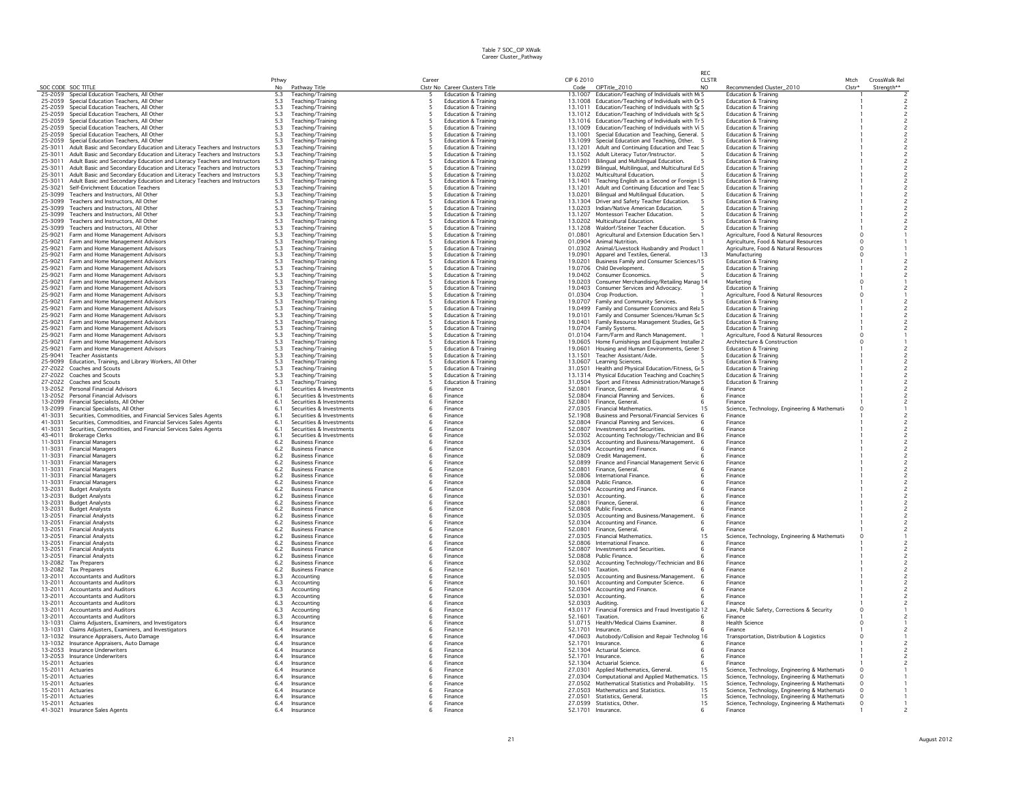|                               |                                                                                                                                                        |                    |                                                      |          |                                                                    |                    |                                                                                                            | <b>REC</b>                     |                                                                                               |                            |               |
|-------------------------------|--------------------------------------------------------------------------------------------------------------------------------------------------------|--------------------|------------------------------------------------------|----------|--------------------------------------------------------------------|--------------------|------------------------------------------------------------------------------------------------------------|--------------------------------|-----------------------------------------------------------------------------------------------|----------------------------|---------------|
|                               |                                                                                                                                                        | Pthwy<br>No        |                                                      | Career   |                                                                    | CIP 6 2010<br>Code |                                                                                                            | <b>CLSTR</b><br>N <sub>O</sub> |                                                                                               | Mtch<br>Clstr <sup>+</sup> | CrossWalk Rel |
| SOC CODE SOC TITLE<br>25-2059 | Special Education Teachers, All Other                                                                                                                  | 5.3                | Pathway Title<br>Teaching/Training                   |          | Clstr No Career Clusters Title<br><b>Education &amp; Training</b>  | 13.1007            | CIPTitle_2010<br>Education/Teaching of Individuals with Mr 5                                               |                                | Recommended Cluster_2010<br><b>Education &amp; Training</b>                                   |                            | Strength**    |
| 25-2059                       | Special Education Teachers, All Other                                                                                                                  | 5.3                | Teaching/Training                                    |          | <b>Education &amp; Training</b>                                    |                    | 13.1008 Education/Teaching of Individuals with Or 5                                                        |                                | Education & Training                                                                          |                            |               |
| 25-2059                       | Special Education Teachers, All Other<br>Special Education Teachers, All Other                                                                         | 5.3<br>5.3         | Teaching/Training<br>Teaching/Training               |          | <b>Education &amp; Training</b>                                    |                    | 13.1011 Education/Teaching of Individuals with Sr 5                                                        |                                | <b>Education &amp; Training</b>                                                               |                            |               |
| 25-2059<br>25-2059            | Special Education Teachers, All Other                                                                                                                  | 5.3                | Teaching/Training                                    |          | <b>Education &amp; Training</b><br><b>Education &amp; Training</b> |                    | 13.1012 Education/Teaching of Individuals with Sr 5<br>13.1016 Education/Teaching of Individuals with Tr 5 |                                | <b>Education &amp; Training</b><br><b>Education &amp; Training</b>                            |                            |               |
| 25-2059                       | Special Education Teachers, All Other                                                                                                                  | 5.3                | Teaching/Training                                    |          | <b>Education &amp; Training</b>                                    |                    | 13.1009 Education/Teaching of Individuals with Vi 5                                                        |                                | <b>Education &amp; Training</b>                                                               |                            |               |
| 25-2059                       | Special Education Teachers, All Other                                                                                                                  | 5.3                | Teaching/Training                                    |          | <b>Education &amp; Training</b>                                    |                    | 13.1001 Special Education and Teaching, General. 5                                                         |                                | <b>Education &amp; Training</b>                                                               |                            |               |
| 25-2059<br>25-3011            | Special Education Teachers, All Other<br>Adult Basic and Secondary Education and Literacy Teachers and Instructors                                     | $5.3\,$<br>5.3     | Teaching/Training<br>Teaching/Training               |          | <b>Education &amp; Training</b><br><b>Education &amp; Training</b> |                    | 13.1099 Special Education and Teaching, Other. 5<br>13.1201 Adult and Continuing Education and Teac 5      |                                | Education & Training<br><b>Education &amp; Training</b>                                       |                            |               |
| 25-3011                       | Adult Basic and Secondary Education and Literacy Teachers and Instructors                                                                              | 5.3                | Teaching/Training                                    |          | <b>Education &amp; Training</b>                                    |                    | 13.1502 Adult Literacy Tutor/Instructor.                                                                   |                                | Education & Training                                                                          |                            |               |
| 25-3011                       | Adult Basic and Secondary Education and Literacy Teachers and Instructors                                                                              | 5.3                | Teaching/Training                                    |          | <b>Education &amp; Training</b>                                    | 13,0201            | Bilingual and Multilingual Education.                                                                      |                                | Education & Training                                                                          |                            |               |
| 25-3011                       | Adult Basic and Secondary Education and Literacy Teachers and Instructors                                                                              | 5.3                | Teaching/Training                                    |          | <b>Education &amp; Training</b>                                    |                    | 13.0299 Bilingual, Multilingual, and Multicultural Ed 5                                                    |                                | Education & Training                                                                          |                            |               |
| 25-3011<br>25-3011            | Adult Basic and Secondary Education and Literacy Teachers and Instructors<br>Adult Basic and Secondary Education and Literacy Teachers and Instructors | $\frac{5.3}{5.3}$  | Teaching/Training<br>Teaching/Training               |          | <b>Education &amp; Training</b><br>Education & Training            | 13.1401            | 13.0202 Multicultural Education.<br>Teaching English as a Second or Foreign I 5                            |                                | Education & Training<br><b>Education &amp; Training</b>                                       |                            |               |
| 25-3021                       | Self-Enrichment Education Teachers                                                                                                                     | 5.3                | Teaching/Training                                    |          | <b>Education &amp; Training</b>                                    | 13.1201            | Adult and Continuing Education and Teac 5                                                                  |                                | <b>Education &amp; Training</b>                                                               |                            |               |
| 25-3099                       | Teachers and Instructors. All Other                                                                                                                    | 5.3                | Teaching/Training                                    |          | <b>Education &amp; Training</b>                                    | 13.0201            | Bilingual and Multilingual Education.                                                                      |                                | <b>Education &amp; Training</b>                                                               |                            |               |
| 25-3099<br>25-3099            | Teachers and Instructors. All Other<br>Teachers and Instructors. All Other                                                                             | $5.3$<br>5.3       | Teaching/Training<br>Teaching/Training               |          | <b>Education &amp; Training</b><br><b>Education &amp; Training</b> |                    | 13.1304 Driver and Safety Teacher Education.<br>13.0203 Indian/Native American Education.                  |                                | <b>Education &amp; Training</b><br><b>Education &amp; Training</b>                            |                            |               |
| 25-3099                       | Teachers and Instructors, All Other                                                                                                                    |                    | Teaching/Training                                    |          | <b>Education &amp; Training</b>                                    |                    | 13.1207 Montessori Teacher Education.                                                                      |                                | Education & Training                                                                          |                            |               |
| 25-3099                       | Teachers and Instructors, All Other                                                                                                                    | $\frac{5.3}{5.3}$  | Teaching/Training                                    |          | <b>Education &amp; Training</b>                                    |                    | 13.0202 Multicultural Education.                                                                           |                                | <b>Education &amp; Training</b>                                                               |                            |               |
| 25-3099<br>25-9021            | Teachers and Instructors, All Other<br>Farm and Home Management Advisors                                                                               | $5.3\,$            | Teaching/Training                                    |          | Education & Training<br><b>Education &amp; Training</b>            |                    | 13.1208 Waldorf/Steiner Teacher Education.<br>Agricultural and Extension Education Serv                    |                                | <b>Education &amp; Training</b><br>Agriculture, Food & Natural Resources                      |                            |               |
| 25-9021                       | Farm and Home Management Advisors                                                                                                                      | 5.3<br>5.3         | Teaching/Training<br>Teaching/Training               |          | <b>Education &amp; Training</b>                                    | 01.0801            | 01.0904 Animal Nutrition.                                                                                  |                                | Agriculture, Food & Natural Resources                                                         |                            |               |
| 25-9021                       | Farm and Home Management Advisors                                                                                                                      | 5.3                | Teaching/Training                                    |          | <b>Education &amp; Training</b>                                    |                    | 01.0302 Animal/Livestock Husbandry and Product 1                                                           |                                | Agriculture, Food & Natural Resources                                                         |                            |               |
| 25-9021                       | Farm and Home Management Advisors                                                                                                                      | 5.3                | Teaching/Training                                    |          | <b>Education &amp; Training</b>                                    | 19,0901            | Apparel and Textiles, General,                                                                             | -13                            | Manufacturing                                                                                 |                            |               |
| 25-9021<br>25-9021            | Farm and Home Management Advisors<br>Farm and Home Management Advisors                                                                                 | 5.3<br>5.3         | Teaching/Training<br>Teaching/Training               |          | <b>Education &amp; Training</b><br><b>Education &amp; Training</b> | 19.0201            | Business Family and Consumer Sciences/15<br>19.0706 Child Development.                                     |                                | Education & Training<br>Education & Training                                                  |                            |               |
| 25-9021                       | Farm and Home Management Advisors                                                                                                                      | 5.3                | Teaching/Training                                    |          | <b>Education &amp; Training</b>                                    |                    | 19.0402 Consumer Economics.                                                                                |                                | <b>Education &amp; Training</b>                                                               |                            |               |
| 25-9021                       | Farm and Home Management Advisors                                                                                                                      | 5.3                | Teaching/Training                                    |          | <b>Education &amp; Training</b>                                    |                    | 19.0203 Consumer Merchandising/Retailing Manag 14                                                          |                                | Marketing                                                                                     |                            |               |
| 25-9021                       | Farm and Home Management Advisors                                                                                                                      | $5.3\,$            | Teaching/Training                                    |          | <b>Education &amp; Training</b>                                    |                    | 19.0403 Consumer Services and Advocacy.                                                                    |                                | <b>Education &amp; Training</b>                                                               |                            |               |
| 25-9021<br>25-9021            | Farm and Home Management Advisors<br>Farm and Home Management Advisors                                                                                 | $5.3\,$<br>$5.3\,$ | Teaching/Training<br>Teaching/Training               |          | <b>Education &amp; Training</b><br><b>Education &amp; Training</b> |                    | 01.0304 Crop Production.<br>19.0707 Family and Community Services.                                         |                                | Agriculture, Food & Natural Resources<br><b>Education &amp; Training</b>                      |                            |               |
| 25-9021                       | Farm and Home Management Advisors                                                                                                                      | 5.3                | Teaching/Training                                    |          | Education & Training                                               |                    | 19.0499 Family and Consumer Economics and Rela 5                                                           |                                | Education & Training                                                                          |                            |               |
| 25-9021                       | Farm and Home Management Advisors                                                                                                                      | 5.3                | Teaching/Training                                    |          | <b>Education &amp; Training</b>                                    |                    | 19.0101 Family and Consumer Sciences/Human Sc 5                                                            |                                | <b>Education &amp; Training</b>                                                               |                            |               |
| 25-9021<br>25-9021            | Farm and Home Management Advisors<br>Farm and Home Management Advisors                                                                                 | 5.3<br>5.3         | Teaching/Training<br>Teaching/Training               |          | <b>Education &amp; Training</b><br><b>Education &amp; Training</b> |                    | 19.0401 Family Resource Management Studies, Ge 5<br>19.0704 Family Systems.                                |                                | <b>Education &amp; Training</b><br>Education & Training                                       |                            |               |
| 25-9021                       | Farm and Home Management Advisors                                                                                                                      | 5.3                | Teaching/Training                                    |          | <b>Education &amp; Training</b>                                    |                    | 01.0104 Farm/Farm and Ranch Management.                                                                    |                                | Agriculture, Food & Natural Resources                                                         |                            |               |
| 25-9021                       | Farm and Home Management Advisors                                                                                                                      | 5.3                | Teaching/Training                                    |          | <b>Education &amp; Training</b>                                    |                    | 19.0605 Home Furnishings and Equipment Installer 2                                                         |                                | Architecture & Construction                                                                   |                            |               |
| 25-9021<br>25-9041            | Farm and Home Management Advisors<br><b>Teacher Assistants</b>                                                                                         | 5.3<br>5.3         | Teaching/Training<br>Teaching/Training               |          | <b>Education &amp; Training</b><br><b>Education &amp; Training</b> | 19,0601<br>13.1501 | Housing and Human Environments, Gener 5<br>Teacher Assistant/Aide.                                         |                                | <b>Education &amp; Training</b><br><b>Education &amp; Training</b>                            |                            |               |
| 25-9099                       | Education, Training, and Library Workers, All Other                                                                                                    | 5.3                | Teaching/Training                                    |          | <b>Education &amp; Training</b>                                    |                    | 13.0607 Learning Sciences.                                                                                 |                                | Education & Training                                                                          |                            |               |
| 27-2022                       | Coaches and Scouts                                                                                                                                     | 5.3                | Teaching/Training                                    |          | <b>Education &amp; Training</b>                                    | 31.0501            | Health and Physical Education/Fitness, Gt 5                                                                |                                | <b>Education &amp; Training</b>                                                               |                            |               |
| 27-2022                       | Coaches and Scouts                                                                                                                                     | 5.3                | Teaching/Training                                    |          | <b>Education &amp; Training</b>                                    |                    | 13.1314 Physical Education Teaching and Coachin; 5                                                         |                                | <b>Education &amp; Training</b>                                                               |                            |               |
| 27-2022<br>13-2052            | Coaches and Scouts<br>Personal Financial Advisors                                                                                                      | 5.3<br>6.1         | Teaching/Training<br>Securities & Investments        |          | <b>Education &amp; Training</b><br>Finance                         |                    | 31.0504 Sport and Fitness Administration/Manage 5<br>52.0801 Finance, General,                             |                                | <b>Education &amp; Training</b><br>Finance                                                    |                            |               |
| 13-2052                       | <b>Personal Financial Advisors</b>                                                                                                                     | 6.1                | Securities & Investments                             |          | Finance                                                            |                    | 52.0804 Financial Planning and Services.                                                                   |                                | Finance                                                                                       |                            |               |
| 13-2099                       | Financial Specialists, All Other                                                                                                                       | 6.1                | Securities & Investments                             |          | Finance                                                            |                    | 52.0801 Finance, General.                                                                                  |                                | Finance                                                                                       |                            |               |
| 13-2099<br>41-3031            | Financial Specialists, All Other<br>Securities, Commodities, and Financial Services Sales Agents                                                       | 6.1<br>6.1         | Securities & Investments<br>Securities & Investments | - 6      | Finance                                                            |                    | 27,0305 Financial Mathematics.<br>52.1908 Business and Personal/Financial Services 6                       | 15                             | Science, Technology, Engineering & Mathematio<br>Finance                                      |                            |               |
| 41-3031                       | Securities, Commodities, and Financial Services Sales Agents                                                                                           | 6.1                | Securities & Investments                             | -6       | Finance<br>Finance                                                 |                    | 52.0804 Financial Planning and Services.                                                                   |                                | Finance                                                                                       |                            |               |
| 41-3031                       | Securities, Commodities, and Financial Services Sales Agents                                                                                           | 6.1                | Securities & Investments                             | -6       | Finance                                                            |                    | 52.0807 Investments and Securities.                                                                        |                                | Finance                                                                                       |                            |               |
| 43-4011                       | <b>Brokerage Clerks</b>                                                                                                                                | 6.1                | Securities & Investments                             | -6       | Finance                                                            |                    | 52.0302 Accounting Technology/Technician and E6                                                            |                                | Finance                                                                                       |                            |               |
| 11-3031<br>11-3031            | <b>Financial Managers</b><br><b>Financial Managers</b>                                                                                                 | $6.2\,$<br>6.2     | <b>Business Finance</b><br><b>Business Finance</b>   | -6       | Finance<br>Finance                                                 |                    | 52.0305 Accounting and Business/Management. 6<br>52.0304 Accounting and Finance.                           |                                | Finance<br>Finance                                                                            |                            |               |
| 11-3031                       | <b>Financial Managers</b>                                                                                                                              | $6.2\,$            | <b>Business Finance</b>                              |          | Finance                                                            |                    | 52.0809 Credit Management.                                                                                 |                                | Finance                                                                                       |                            |               |
| 11-3031                       | <b>Financial Managers</b>                                                                                                                              | 6.2                | <b>Business Finance</b>                              |          | Finance                                                            |                    | 52.0899 Finance and Financial Management Servic 6                                                          |                                | Finance                                                                                       |                            |               |
| 11-3031<br>11-3031            | <b>Financial Managers</b><br><b>Financial Managers</b>                                                                                                 | 6.2<br>6.2         | <b>Business Finance</b><br><b>Business Finance</b>   |          | Finance<br>Finance                                                 |                    | 52.0801 Finance, General,<br>52.0806 International Finance.                                                |                                | Finance<br>Finance                                                                            |                            |               |
| 11-3031                       | <b>Financial Managers</b>                                                                                                                              | 6.2                | <b>Business Finance</b>                              | -6       | Finance                                                            |                    | 52.0808 Public Finance.                                                                                    |                                | Finance                                                                                       |                            |               |
| 13-2031                       | <b>Budget Analysts</b>                                                                                                                                 | 6.2                | <b>Business Finance</b>                              |          | Finance                                                            |                    | 52.0304 Accounting and Finance.                                                                            |                                | Finance                                                                                       |                            |               |
| 13-2031<br>13-2031            | <b>Budget Analysts</b>                                                                                                                                 | 6.2<br>6.2         | <b>Business Finance</b><br><b>Business Finance</b>   | -6<br>-6 | Finance                                                            | 52.0301<br>52,0801 | Accounting<br>Finance, General                                                                             |                                | Finance                                                                                       |                            |               |
| 13-2031                       | <b>Budget Analysts</b><br><b>Budget Analysts</b>                                                                                                       | 6.2                | <b>Business Finance</b>                              | -6       | Finance<br>Finance                                                 |                    | 52.0808 Public Finance.                                                                                    |                                | Finance<br>Finance                                                                            |                            |               |
| 13-2051                       | <b>Financial Analysts</b>                                                                                                                              | $6.2\,$            | <b>Business Finance</b>                              |          | Finance                                                            |                    | 52.0305 Accounting and Business/Management.                                                                | -6                             | Finance                                                                                       |                            |               |
| 13-2051                       | <b>Financial Analysts</b><br><b>Financial Analysts</b>                                                                                                 | $6.2\,$            | <b>Business Finance</b>                              |          | Finance                                                            |                    | 52.0304 Accounting and Finance.                                                                            |                                | Finance                                                                                       |                            |               |
| 13-2051<br>13-2051            | <b>Financial Analysts</b>                                                                                                                              | 6.2<br>6.2         | <b>Business Finance</b><br><b>Business Finance</b>   |          | Finance<br>Finance                                                 | 52.0801            | Finance, General.<br>27,0305 Financial Mathematics.                                                        | 15                             | Finance<br>Science, Technology, Engineering & Mathemati-                                      |                            |               |
| 13-2051                       | <b>Financial Analysts</b>                                                                                                                              | $6.2\,$            | <b>Business Finance</b>                              |          | Finance                                                            |                    | 52.0806 International Finance.                                                                             |                                | Finance                                                                                       |                            |               |
| 13-2051                       | <b>Financial Analysts</b>                                                                                                                              | 6.2                | <b>Business Finance</b>                              |          | Finance                                                            |                    | 52.0807 Investments and Securities.                                                                        |                                | Finance                                                                                       |                            |               |
| 13-2051<br>13-2082            | <b>Financial Analysts</b><br>Tax Preparers                                                                                                             | 6.2<br>6.2         | <b>Business Finance</b><br><b>Business Finance</b>   | -6       | Finance<br>Finance                                                 |                    | 52.0808 Public Finance.<br>52.0302 Accounting Technology/Technician and E 6                                |                                | Finance<br>Finance                                                                            |                            |               |
| 13-2082                       | <b>Tax Preparers</b>                                                                                                                                   | 6.2                | <b>Business Finance</b>                              | -6       | Finance                                                            | 52.1601            | Taxation.                                                                                                  |                                | Finance                                                                                       |                            |               |
| 13-2011                       | <b>Accountants and Auditors</b>                                                                                                                        | 6.3                | Accounting                                           |          | Finance                                                            |                    | 52.0305 Accounting and Business/Management.                                                                |                                | Finance                                                                                       |                            |               |
| 13-2011                       | <b>Accountants and Auditors</b>                                                                                                                        | 6.3<br>6.3         | Accounting                                           | -6       | Finance<br>Finance                                                 | 30.1601            | Accounting and Computer Science.                                                                           |                                | Finance                                                                                       |                            |               |
| 13-2011<br>13-2011            | <b>Accountants and Auditors</b><br>Accountants and Auditors                                                                                            | $6.3\,$            | Accounting<br>Accounting                             | -6       | Finance                                                            | 52.0304<br>52.0301 | Accounting and Finance.<br>Accounting.                                                                     |                                | Finance<br>Finance                                                                            |                            |               |
| 13-2011                       | <b>Accountants and Auditors</b>                                                                                                                        | 6.3                | Accounting                                           |          | Finance                                                            | 52.0303            | Auditina.                                                                                                  |                                | Finance                                                                                       |                            |               |
| 13-2011                       | <b>Accountants and Auditors</b>                                                                                                                        | $6.3\,$            | Accounting                                           |          | Finance                                                            |                    | 43.0117 Financial Forensics and Fraud Investigatio 12                                                      |                                | Law, Public Safety, Corrections & Security                                                    |                            |               |
| 13-2011<br>13-1031            | Accountants and Auditors<br>Claims Adjusters, Examiners, and Investigators                                                                             | 6.3<br>6.4         | Accounting<br>Insurance                              |          | Finance<br>Finance                                                 | 52.1601            | <b>Taxation</b><br>51.0715 Health/Medical Claims Examiner.                                                 |                                | Finance<br><b>Health Science</b>                                                              |                            |               |
| 13-1031                       | Claims Adjusters, Examiners, and Investigators                                                                                                         | 6.4                | Insurance                                            | 6        | Finance                                                            |                    | 52.1701 Insurance.                                                                                         |                                | Finance                                                                                       |                            |               |
| 13-1032                       | Insurance Appraisers, Auto Damage                                                                                                                      | 6.4                | Insurance                                            |          | Finance                                                            |                    | 47.0603 Autobody/Collision and Repair Technolog 16                                                         |                                | Transportation, Distribution & Logistics                                                      |                            |               |
| 13-1032<br>13-2053            | Insurance Appraisers, Auto Damage<br>Insurance Underwriters                                                                                            | 6.4<br>6.4         | Insurance<br>Insurance                               |          | Finance                                                            | 52.1701            | Insurance.<br>52.1304 Actuarial Science.                                                                   |                                | Finance<br>Finance                                                                            |                            |               |
| 13-2053                       | Insurance Underwriters                                                                                                                                 | 6.4                | Insurance                                            | -6       | Finance<br>Finance                                                 | 52,1701            | Insurance.                                                                                                 |                                | Finance                                                                                       |                            |               |
| 15-2011                       | Actuaries                                                                                                                                              | 6.4                | Insurance                                            | -6       | Finance                                                            |                    | 52.1304 Actuarial Science.                                                                                 |                                | Finance                                                                                       |                            |               |
| 15-2011                       | Actuaries                                                                                                                                              | 6.4                | Insurance                                            | -6       | Finance                                                            |                    | 27.0301 Applied Mathematics, General.                                                                      |                                | Science, Technology, Engineering & Mathemati                                                  |                            |               |
| 15-2011<br>15-2011            | Actuaries<br>Actuaries                                                                                                                                 | 6.4<br>6.4         | Insurance<br>Insurance                               | -6       | Finance<br>Finance                                                 | 27.0304            | Computational and Applied Mathematics, 15<br>27.0502 Mathematical Statistics and Probability.              | -15                            | Science, Technology, Engineering & Mathemati<br>Science, Technology, Engineering & Mathemati- | 0                          |               |
| 15-2011                       | Actuaries                                                                                                                                              | 6.4                | Insurance                                            |          | Finance                                                            |                    | 27.0503 Mathematics and Statistics.                                                                        | 15                             | Science, Technology, Engineering & Mathemati                                                  | $\circ$                    |               |
| 15-2011                       | Actuaries                                                                                                                                              | 6.4                | Insurance                                            |          | Finance                                                            |                    | 27.0501 Statistics, General.                                                                               | 15                             | Science, Technology, Engineering & Mathemati                                                  | $\circ$                    |               |
| 15-2011<br>41-3021            | Actuaries                                                                                                                                              | 6.4<br>6.4         | Insurance<br>Insurance                               |          | Finance<br>Finance                                                 |                    | 27.0599 Statistics, Other.<br>52.1701 Insurance.                                                           | 15<br>6                        | Science, Technology, Engineering & Mathemati-<br>Finance                                      | $\circ$                    |               |
|                               | <b>Insurance Sales Agents</b>                                                                                                                          |                    |                                                      |          |                                                                    |                    |                                                                                                            |                                |                                                                                               |                            |               |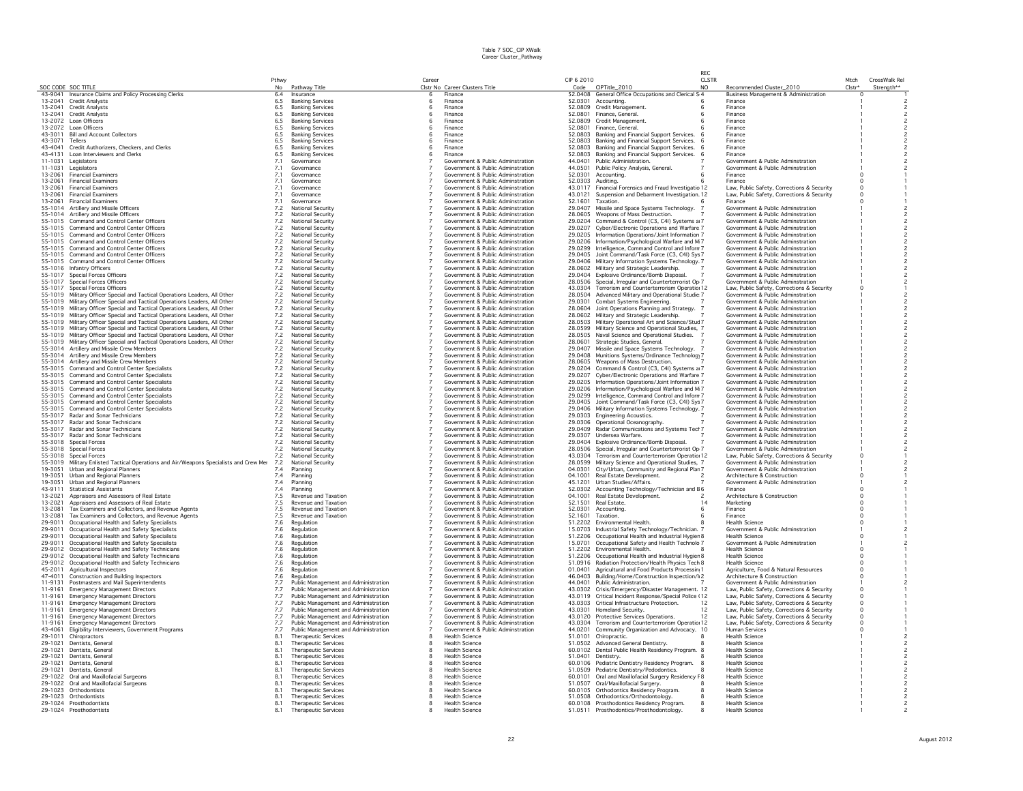|                    |                                                                                                                                                            |                    |                                                     |        |                                                                        |                    |                                                                                                        | RFC.                |                                                                        |                |                                            |
|--------------------|------------------------------------------------------------------------------------------------------------------------------------------------------------|--------------------|-----------------------------------------------------|--------|------------------------------------------------------------------------|--------------------|--------------------------------------------------------------------------------------------------------|---------------------|------------------------------------------------------------------------|----------------|--------------------------------------------|
|                    | SOC CODE SOC TITLE                                                                                                                                         | Pthwy              |                                                     | Career | Clstr No Career Clusters Title                                         | CIP 6 2010         | Code CIPTitle_2010                                                                                     | <b>CLSTR</b><br>NO. | Recommended Cluster_2010                                               | Mtch<br>Clstr* | CrossWalk Rel                              |
|                    | 43-9041 Insurance Claims and Policy Processing Clerks                                                                                                      | No<br>6.4          | Pathway Title<br>Insurance                          | 6      | Finance                                                                |                    | 52.0408 General Office Occupations and Clerical S 4                                                    |                     | Business Management & Administration                                   | n              | Strength**                                 |
|                    | 13-2041 Credit Analysts                                                                                                                                    | 6.5                | <b>Banking Services</b>                             | -6     | Finance                                                                | 52.0301            | Accounting.                                                                                            |                     | Finance                                                                |                |                                            |
| 13-2041            | Credit Analysts                                                                                                                                            | 6.5                | <b>Banking Services</b>                             | 6      | Finance                                                                | 52.0809            | Credit Management.                                                                                     |                     | Finance                                                                |                |                                            |
|                    | 13-2041 Credit Analysts                                                                                                                                    | 6.5                | <b>Banking Services</b>                             |        | Finance                                                                | 52.0801            | Finance, General,                                                                                      |                     | Finance                                                                |                |                                            |
|                    | 13-2072 Loan Officers                                                                                                                                      | 6.5                | <b>Banking Services</b>                             |        | Finance                                                                | 52.0809            | Credit Management.                                                                                     |                     | Finance                                                                |                |                                            |
|                    | 13-2072 Loan Officers<br>43-3011 Bill and Account Collectors                                                                                               | 6.5<br>6.5         | <b>Banking Services</b>                             |        | Finance<br>Finance                                                     | 52.0801<br>52.0803 | Finance, General.                                                                                      |                     | Finance<br>Finance                                                     |                |                                            |
| 43-3071            | Tellers                                                                                                                                                    | $6.5\,$            | <b>Banking Services</b><br><b>Banking Services</b>  |        | Finance                                                                | 52.0803            | Banking and Financial Support Services.<br>Banking and Financial Support Services.                     |                     | Finance                                                                |                |                                            |
| 43-4041            | Credit Authorizers, Checkers, and Clerks                                                                                                                   | 6.5                | <b>Banking Services</b>                             |        | Finance                                                                | 52.0803            | Banking and Financial Support Services.                                                                |                     | Finance                                                                |                |                                            |
| 43-4131            | Loan Interviewers and Clerks                                                                                                                               | 6.5                | <b>Banking Services</b>                             |        | Finance                                                                | 52.0803            | Banking and Financial Support Services.                                                                |                     | Finance                                                                |                | $\overline{c}$                             |
| 11-1031            | Legislators                                                                                                                                                | 7.1                | Governance                                          |        | Government & Public Adminstration                                      |                    | 44.0401 Public Administration.                                                                         |                     | Government & Public Adminstration                                      |                | $\overline{c}$                             |
|                    | 11-1031 Legislators                                                                                                                                        | 7.1                | Governance                                          |        | Government & Public Adminstration                                      | 44.0501            | Public Policy Analysis, General.                                                                       |                     | Government & Public Adminstration                                      |                | $\overline{\phantom{a}}$                   |
| 13-2061            | <b>Financial Examiners</b>                                                                                                                                 | 7.1                | Governance                                          |        | Government & Public Adminstration                                      | 52.0301            | Accounting                                                                                             |                     | Finance                                                                |                |                                            |
|                    | 13-2061 Financial Examiners                                                                                                                                | 7.1                | Governance                                          |        | Government & Public Adminstration                                      | 52.0303 Auditina   |                                                                                                        |                     | Finance                                                                | $\Omega$       |                                            |
| 13-2061<br>13-2061 | <b>Financial Examiners</b><br><b>Financial Examiners</b>                                                                                                   | 7.1<br>7.1         | Governance<br>Governance                            |        | Government & Public Adminstration<br>Government & Public Adminstration | 43.0117<br>43.0121 | Financial Forensics and Fraud Investigatio 12<br>Suspension and Debarment Investigation. 12            |                     | Law, Public Safety, Corrections & Security                             | $\circ$        |                                            |
| 13-2061            | <b>Financial Examiners</b>                                                                                                                                 | 7.1                | Governance                                          |        | Government & Public Adminstration                                      | 52.1601            | Taxation.                                                                                              |                     | Law, Public Safety, Corrections & Security<br>Finance                  |                |                                            |
|                    | 55-1014 Artillery and Missile Officers                                                                                                                     | $7.2\,$            | National Security                                   |        | Government & Public Adminstration                                      | 29.0407            | Missile and Space Systems Technology.                                                                  |                     | Government & Public Adminstration                                      |                | $\overline{\mathbf{c}}$                    |
|                    | 55-1014 Artillery and Missile Officers                                                                                                                     | 7.2                | National Security                                   |        | Government & Public Adminstration                                      | 28.0605            | Weapons of Mass Destruction.                                                                           |                     | Government & Public Adminstration                                      |                | $\overline{c}$                             |
|                    | 55-1015 Command and Control Center Officers                                                                                                                | 7.2                | National Security                                   |        | Government & Public Adminstration                                      | 29.0204            | Command & Control (C3, C4I) Systems a 7                                                                |                     | Government & Public Adminstration                                      |                | $\overline{c}$                             |
|                    | 55-1015 Command and Control Center Officers                                                                                                                | 7.2                | National Security                                   |        | Government & Public Adminstration                                      | 29.0207            | Cyber/Electronic Operations and Warfare 7                                                              |                     | Government & Public Adminstration                                      |                | $\overline{c}$                             |
|                    | 55-1015 Command and Control Center Officers                                                                                                                | 7.2                | <b>National Security</b>                            |        | Government & Public Adminstration                                      | 29.0205            | Information Operations/Joint Information 7                                                             |                     | Government & Public Adminstration                                      |                | $\overline{c}$                             |
|                    | 55-1015 Command and Control Center Officers                                                                                                                | 7.2                | <b>National Security</b>                            |        | Government & Public Adminstration<br>Government & Public Adminstration |                    | 29.0206 Information/Psychological Warfare and M 7                                                      |                     | Government & Public Adminstration<br>Government & Public Adminstration |                | 2                                          |
|                    | 55-1015 Command and Control Center Officers<br>55-1015 Command and Control Center Officers                                                                 | 7.2<br>$7.2\,$     | National Security<br>National Security              |        | Government & Public Adminstration                                      |                    | 29.0299 Intelligence, Command Control and Inforn 7<br>29.0405 Joint Command/Task Force (C3, C4I) Sys 7 |                     | Government & Public Adminstration                                      |                | $\overline{c}$<br>$\mathsf{2}\,$           |
|                    | 55-1015 Command and Control Center Officers                                                                                                                | 7.2                | National Security                                   |        | Government & Public Adminstration                                      | 29.0406            | Military Information Systems Technology. 7                                                             |                     | Government & Public Adminstration                                      |                | $\overline{c}$                             |
|                    | 55-1016 Infantry Officers                                                                                                                                  | $7.2\,$            | National Security                                   |        | Government & Public Adminstration                                      |                    | 28.0602 Military and Strategic Leadership.                                                             |                     | Government & Public Adminstration                                      |                |                                            |
|                    | 55-1017 Special Forces Officers                                                                                                                            | $7.2\,$            | National Security                                   |        | Government & Public Adminstration                                      | 29.0404            | Explosive Ordinance/Bomb Disposal.                                                                     |                     | Government & Public Adminstration                                      |                | $\overline{c}$                             |
|                    | 55-1017 Special Forces Officers                                                                                                                            | 7.2                | <b>National Security</b>                            |        | Government & Public Adminstration                                      | 28,0506            | Special, Irregular and Counterterrorist Op 7                                                           |                     | Government & Public Adminstration                                      |                | $\overline{c}$                             |
|                    | 55-1017 Special Forces Officers                                                                                                                            | 7.2                | National Security                                   |        | Government & Public Adminstration                                      | 43.0304            | Terrorism and Counterterrorism Operatio 12                                                             |                     | Law, Public Safety, Corrections & Security                             | o              |                                            |
|                    | 55-1019 Military Officer Special and Tactical Operations Leaders, All Other                                                                                | $7.2$              | National Security                                   |        | Government & Public Adminstration                                      | 28.0504            | Advanced Military and Operational Studie 7                                                             |                     | Government & Public Adminstration                                      |                | $\frac{2}{2}$                              |
|                    | 55-1019 Military Officer Special and Tactical Operations Leaders, All Other                                                                                | 7.2                | National Security                                   |        | Government & Public Adminstration                                      | 29.0301            | Combat Systems Engineering.                                                                            |                     | Government & Public Adminstration                                      |                |                                            |
|                    | 55-1019 Military Officer Special and Tactical Operations Leaders, All Other<br>55-1019 Military Officer Special and Tactical Operations Leaders, All Other | $7.2\,$<br>$7.2\,$ | National Security<br>National Security              |        | Government & Public Adminstration<br>Government & Public Adminstration | 28,0604<br>28,0602 | Joint Operations Planning and Strategy.<br>Military and Strategic Leadership.                          |                     | Government & Public Adminstration<br>Government & Public Adminstration |                | 2<br>$\overline{c}$                        |
| 55-1019            | Military Officer Special and Tactical Operations Leaders, All Other                                                                                        | $7.2\,$            | National Security                                   |        | Government & Public Adminstration                                      | 28.0503            | Military Operational Art and Science/Stud 7                                                            |                     | Government & Public Adminstration                                      |                | $\overline{c}$                             |
|                    | 55-1019 Military Officer Special and Tactical Operations Leaders, All Other                                                                                | 7.2                | National Security                                   |        | Government & Public Adminstration                                      | 28.0599            | Military Science and Operational Studies, 7                                                            |                     | Government & Public Adminstration                                      |                |                                            |
|                    | 55-1019 Military Officer Special and Tactical Operations Leaders, All Other                                                                                | 7.2                | National Security                                   |        | Government & Public Adminstration                                      | 28.0505            | Naval Science and Operational Studies.                                                                 |                     | Government & Public Adminstration                                      |                | $\overline{c}$                             |
|                    | 55-1019 Military Officer Special and Tactical Operations Leaders, All Other                                                                                | 7.2                | National Security                                   |        | Government & Public Adminstration                                      | 28,0601            | Strategic Studies, General.                                                                            |                     | Government & Public Adminstration                                      |                | $\overline{c}$                             |
|                    | 55-3014 Artillery and Missile Crew Members                                                                                                                 | 7.2                | National Security                                   |        | Government & Public Adminstration                                      | 29.0407            | Missile and Space Systems Technology. 7                                                                |                     | Government & Public Adminstration                                      |                | $\overline{c}$                             |
|                    | 55-3014 Artillery and Missile Crew Members                                                                                                                 | 7.2                | National Security                                   |        | Government & Public Adminstration                                      | 28.0605            | 29.0408 Munitions Systems/Ordinance Technology 7                                                       |                     | Government & Public Adminstration                                      |                | $\overline{c}$                             |
| 55-3015            | 55-3014 Artillery and Missile Crew Members                                                                                                                 | 7.2                | <b>National Security</b>                            |        | Government & Public Adminstration<br>Government & Public Adminstration | 29.0204            | Weapons of Mass Destruction.                                                                           |                     | Government & Public Adminstration<br>Government & Public Adminstration |                | 2                                          |
| 55-3015            | Command and Control Center Specialists<br>Command and Control Center Specialists                                                                           | $7.2\,$<br>7.2     | National Security<br><b>National Security</b>       |        | Government & Public Adminstration                                      | 29,0207            | Command & Control (C3, C4I) Systems a 7<br>Cyber/Electronic Operations and Warfare 7                   |                     | Government & Public Adminstration                                      |                | 2<br>$\overline{\mathbf{c}}$               |
| 55-3015            | Command and Control Center Specialists                                                                                                                     | 7.2                | National Security                                   |        | Government & Public Adminstration                                      | 29.0205            | Information Operations/Joint Information 7                                                             |                     | Government & Public Adminstration                                      |                | $\overline{c}$                             |
|                    | 55-3015 Command and Control Center Specialists                                                                                                             | $7.2\,$            | National Security                                   |        | Government & Public Adminstration                                      |                    | 29.0206 Information/Psychological Warfare and M 7                                                      |                     | Government & Public Adminstration                                      |                | $\overline{c}$                             |
|                    | 55-3015 Command and Control Center Specialists                                                                                                             | 7.2                | National Security                                   |        | Government & Public Adminstration                                      |                    | 29.0299 Intelligence, Command Control and Inforn 7                                                     |                     | Government & Public Adminstration                                      |                | $\overline{c}$                             |
|                    | 55-3015 Command and Control Center Specialists                                                                                                             | 7.2                | National Security                                   |        | Government & Public Adminstration                                      |                    | 29.0405 Joint Command/Task Force (C3, C4I) Sys 7                                                       |                     | Government & Public Adminstration                                      |                | $\overline{c}$                             |
| 55-3015            | Command and Control Center Specialists                                                                                                                     | $7.2$<br>$7.2$     | National Security                                   |        | Government & Public Adminstration                                      |                    | 29.0406 Military Information Systems Technology. 7                                                     |                     | Government & Public Adminstration                                      |                | $\frac{2}{2}$                              |
| 55-3017            | Radar and Sonar Technicians<br>55-3017 Radar and Sonar Technicians                                                                                         |                    | National Security<br>National Security              |        | Government & Public Adminstration<br>Government & Public Adminstration | 29.0303            | Engineering Acoustics.<br>29.0306 Operational Oceanography.                                            |                     | Government & Public Adminstration<br>Government & Public Adminstration |                | $\overline{c}$                             |
|                    | 55-3017 Radar and Sonar Technicians                                                                                                                        | 7.2<br>7.2         | <b>National Security</b>                            |        | Government & Public Adminstration                                      | 29.0409            | Radar Communications and Systems Tech 7                                                                |                     | Government & Public Adminstration                                      |                | 2                                          |
|                    | 55-3017 Radar and Sonar Technicians                                                                                                                        | $7.2\,$            | National Security                                   |        | Government & Public Adminstration                                      | 29.0307            | Undersea Warfare.                                                                                      |                     | Government & Public Adminstration                                      |                | $\overline{c}$                             |
| 55-3018            | Special Forces                                                                                                                                             | 7.2                | National Security                                   |        | Government & Public Adminstration                                      | 29.0404            | Explosive Ordinance/Bomb Disposal.                                                                     |                     | Government & Public Adminstration                                      |                | $\overline{c}$                             |
|                    | 55-3018 Special Forces                                                                                                                                     | 7.2                | National Security                                   |        | Government & Public Adminstration                                      | 28.0506            | Special, Irregular and Counterterrorist Op 7                                                           |                     | Government & Public Adminstration                                      |                | $\overline{c}$                             |
| 55-3018            | Special Forces                                                                                                                                             | 7.2                | National Security                                   |        | Government & Public Adminstration                                      | 43.0304            | Terrorism and Counterterrorism Operatio 12                                                             |                     | Law, Public Safety, Corrections & Security                             |                |                                            |
| 19-3051            | 55-3019 Military Enlisted Tactical Operations and Air/Weapons Specialists and Crew Mer                                                                     | 7.2                | <b>National Security</b>                            |        | Government & Public Adminstration                                      | 28.0599<br>04.0301 | Military Science and Operational Studies, 7                                                            |                     | Government & Public Adminstration                                      |                |                                            |
| 19-3051            | Urban and Regional Planners<br>Urban and Regional Planners                                                                                                 | 7.4<br>7.4         | Planning<br>Planning                                |        | Government & Public Adminstration<br>Government & Public Adminstration | 04.1001            | City/Urban, Community and Regional Plan 7<br>Real Estate Development.                                  |                     | Government & Public Adminstration<br>Architecture & Construction       |                | $\overline{c}$                             |
| 19-3051            | <b>Urban and Regional Planners</b>                                                                                                                         | 7.4                | Planning                                            |        | Government & Public Adminstration                                      | 45.1201            | Urban Studies/Affairs.                                                                                 |                     | Government & Public Adminstration                                      |                | $\overline{\phantom{0}}$                   |
| 43-9111            | <b>Statistical Assistants</b>                                                                                                                              | 7.4                | Planning                                            |        | Government & Public Adminstration                                      | 52.0302            | Accounting Technology/Technician and E6                                                                |                     | Finance                                                                |                |                                            |
| 13-2021            | Appraisers and Assessors of Real Estate                                                                                                                    | 7.5                | Revenue and Taxation                                |        | Government & Public Adminstration                                      | 04.1001            | Real Estate Development.                                                                               |                     | Architecture & Construction                                            |                |                                            |
| 13-2021            | Appraisers and Assessors of Real Estate                                                                                                                    | 7.5                | Revenue and Taxation                                |        | Government & Public Adminstration                                      | 52.1501            | <b>Real Estate</b>                                                                                     | 14                  | Marketing                                                              |                |                                            |
| 13-2081            | Tax Examiners and Collectors, and Revenue Agents                                                                                                           | 7.5                | Revenue and Taxation                                |        | Government & Public Adminstration                                      | 52.0301            | Accounting                                                                                             |                     | Finance                                                                |                |                                            |
| 13-2081            | Tax Examiners and Collectors, and Revenue Agents                                                                                                           | 7.5                | Revenue and Taxation                                |        | Government & Public Adminstration                                      | 52.1601            | Taxation.                                                                                              |                     | Finance                                                                |                |                                            |
| 29-9011<br>29-9011 | Occupational Health and Safety Specialists<br>Occupational Health and Safety Specialists                                                                   | 7.6<br>7.6         | Regulation<br>Regulation                            |        | Government & Public Adminstration<br>Government & Public Adminstration | 51.2202<br>15.0703 | Environmental Health.<br>Industrial Safety Technology/Technician. 7                                    |                     | <b>Health Science</b><br>Government & Public Adminstration             |                |                                            |
| 29-9011            | Occupational Health and Safety Specialists                                                                                                                 | $7.6\,$            | Regulation                                          |        | Government & Public Adminstration                                      | 51.2206            | Occupational Health and Industrial Hygier 8                                                            |                     | Health Science                                                         |                |                                            |
| 29-9011            | Occupational Health and Safety Specialists                                                                                                                 | 7.6                | Regulation                                          |        | Government & Public Adminstration                                      | 15,0701            | Occupational Safety and Health Technolo 7                                                              |                     | Government & Public Adminstration                                      |                | $\overline{c}$                             |
| 29-9012            | Occupational Health and Safety Technicians                                                                                                                 | 7.6                | Regulation                                          |        | Government & Public Adminstration                                      |                    | 51.2202 Environmental Health.                                                                          |                     | <b>Health Science</b>                                                  |                |                                            |
| 29-9012            | Occupational Health and Safety Technicians                                                                                                                 | $7.6$<br>$7.6$     | Regulation                                          |        | Government & Public Adminstration                                      | 51.2206            | Occupational Health and Industrial Hygier 8                                                            |                     | <b>Health Science</b>                                                  | $\Omega$       |                                            |
| 29-9012            | Occupational Health and Safety Technicians                                                                                                                 |                    | Regulation                                          |        | Government & Public Adminstration                                      | 51.0916            | Radiation Protection/Health Physics Tech 8                                                             |                     | <b>Health Science</b>                                                  | $\Omega$       |                                            |
| 45-2011            | Agricultural Inspectors                                                                                                                                    | $7.6\,$            | Regulation                                          |        | Government & Public Adminstration                                      | 01.0401            | Agricultural and Food Products Processin 1                                                             |                     | Agriculture, Food & Natural Resources                                  |                |                                            |
| 47-4011<br>11-9131 | Construction and Building Inspectors<br>Postmasters and Mail Superintendents                                                                               | 7.6<br>7.7         | Regulation<br>Public Management and Administration  |        | Government & Public Adminstration<br>Government & Public Adminstration | 46.0403<br>44.0401 | Building/Home/Construction Inspection/I 2<br>Public Administration.                                    |                     | Architecture & Construction<br>Government & Public Adminstration       | $\Omega$       |                                            |
| 11-9161            | <b>Emergency Management Directors</b>                                                                                                                      | 7.7                | Public Management and Administration                |        | Government & Public Adminstration                                      | 43.0302            | Crisis/Emergency/Disaster Management. 12                                                               |                     | Law, Public Safety, Corrections & Security                             | $\circ$        |                                            |
| 11-9161            | <b>Emergency Management Directors</b>                                                                                                                      | 7.7                | Public Management and Administration                |        | Government & Public Adminstration                                      | 43.0119            | Critical Incident Response/Special Police (12                                                          |                     | Law, Public Safety, Corrections & Security                             | $\circ$        |                                            |
| 11-9161            | <b>Emergency Management Directors</b>                                                                                                                      | 7.7                | Public Management and Administration                |        | Government & Public Adminstration                                      | 43.0303            | Critical Infrastructure Protection.                                                                    | 12                  | Law, Public Safety, Corrections & Security                             | $\circ$        |                                            |
| 11-9161            | <b>Emergency Management Directors</b>                                                                                                                      | 7.7                | Public Management and Administration                |        | Government & Public Adminstration                                      | 43.0301            | Homeland Security.                                                                                     | 12                  | Law, Public Safety, Corrections & Security                             | $\circ$        |                                            |
| 11-9161            | <b>Emergency Management Directors</b>                                                                                                                      | 7.7                | Public Management and Administration                |        | Government & Public Adminstration                                      |                    | 43.0120 Protective Services Operations.                                                                | $12^{1}$            | Law, Public Safety, Corrections & Security                             | $\Omega$       |                                            |
| 11-9161            | <b>Emergency Management Directors</b>                                                                                                                      | 7.7                | Public Management and Administration                |        | Government & Public Adminstration                                      | 43.0304            | Terrorism and Counterterrorism Operatio: 12                                                            |                     | Law, Public Safety, Corrections & Security                             | $\Omega$       |                                            |
| 43-4061            | Eligibility Interviewers, Government Programs                                                                                                              | 7.7                | Public Management and Administration                |        | Government & Public Adminstration                                      | 44.0201            | Community Organization and Advocacy. 10                                                                |                     | <b>Human Services</b>                                                  | $\Omega$       |                                            |
| 29-1011<br>29-1021 | Chiropractors<br>Dentists, General                                                                                                                         | 8.1<br>8.1         | Therapeutic Services<br>Therapeutic Services        |        | Health Science<br><b>Health Science</b>                                | 51.0101<br>51.0502 | Chiropractic.<br>Advanced General Dentistry.                                                           |                     | <b>Health Science</b><br><b>Health Science</b>                         |                | $\overline{c}$                             |
| 29-1021            | Dentists, General                                                                                                                                          | 8.1                | Therapeutic Services                                |        | <b>Health Science</b>                                                  | 60.0102            | Dental Public Health Residency Program. 8                                                              |                     | <b>Health Science</b>                                                  |                |                                            |
| 29-1021            | Dentists, General                                                                                                                                          | 8.1                | Therapeutic Services                                |        | Health Science                                                         | 51.0401            | Dentistry.                                                                                             |                     | <b>Health Science</b>                                                  |                | $\overline{c}$                             |
|                    | 29-1021 Dentists, General                                                                                                                                  | 8.1                | Therapeutic Services                                |        | <b>Health Science</b>                                                  |                    | 60.0106 Pediatric Dentistry Residency Program.                                                         |                     | <b>Health Science</b>                                                  |                | $\overline{c}$                             |
|                    | 29-1021 Dentists, General                                                                                                                                  | 8.1                | Therapeutic Services                                |        | <b>Health Science</b>                                                  | 51.0509            | Pediatric Dentistry/Pedodontics.                                                                       |                     | <b>Health Science</b>                                                  |                | $\overline{c}$                             |
|                    | 29-1022 Oral and Maxillofacial Surgeons                                                                                                                    | 8.1                | <b>Therapeutic Services</b>                         |        | <b>Health Science</b>                                                  | 60,0101            | Oral and Maxillofacial Surgery Residency F 8                                                           |                     | <b>Health Science</b>                                                  |                | $\overline{c}$                             |
|                    | 29-1022 Oral and Maxillofacial Surgeons                                                                                                                    | 8.1                | <b>Therapeutic Services</b>                         |        | <b>Health Science</b>                                                  | 51.0507            | Oral/Maxillofacial Surgery.                                                                            |                     | <b>Health Science</b>                                                  |                | $\overline{\phantom{a}}$                   |
|                    | 29-1023 Orthodontists<br>29-1023 Orthodontists                                                                                                             | 8.1<br>8.1         | <b>Therapeutic Services</b><br>Therapeutic Services |        | <b>Health Science</b><br><b>Health Science</b>                         |                    | 60.0105 Orthodontics Residency Program.<br>51.0508 Orthodontics/Orthodontology.                        |                     | <b>Health Science</b><br><b>Health Science</b>                         |                | $\overline{\phantom{0}}$<br>$\overline{c}$ |
|                    | 29-1024 Prosthodontists                                                                                                                                    | 8.1                | Therapeutic Services                                |        | <b>Health Science</b>                                                  |                    | 60.0108 Prosthodontics Residency Program.                                                              |                     | <b>Health Science</b>                                                  |                |                                            |
|                    | 29-1024 Prosthodontists                                                                                                                                    | 8.1                | Therapeutic Services                                |        | <b>Health Science</b>                                                  |                    | 51.0511 Prosthodontics/Prosthodontology.                                                               |                     | <b>Health Science</b>                                                  |                |                                            |
|                    |                                                                                                                                                            |                    |                                                     |        |                                                                        |                    |                                                                                                        |                     |                                                                        |                |                                            |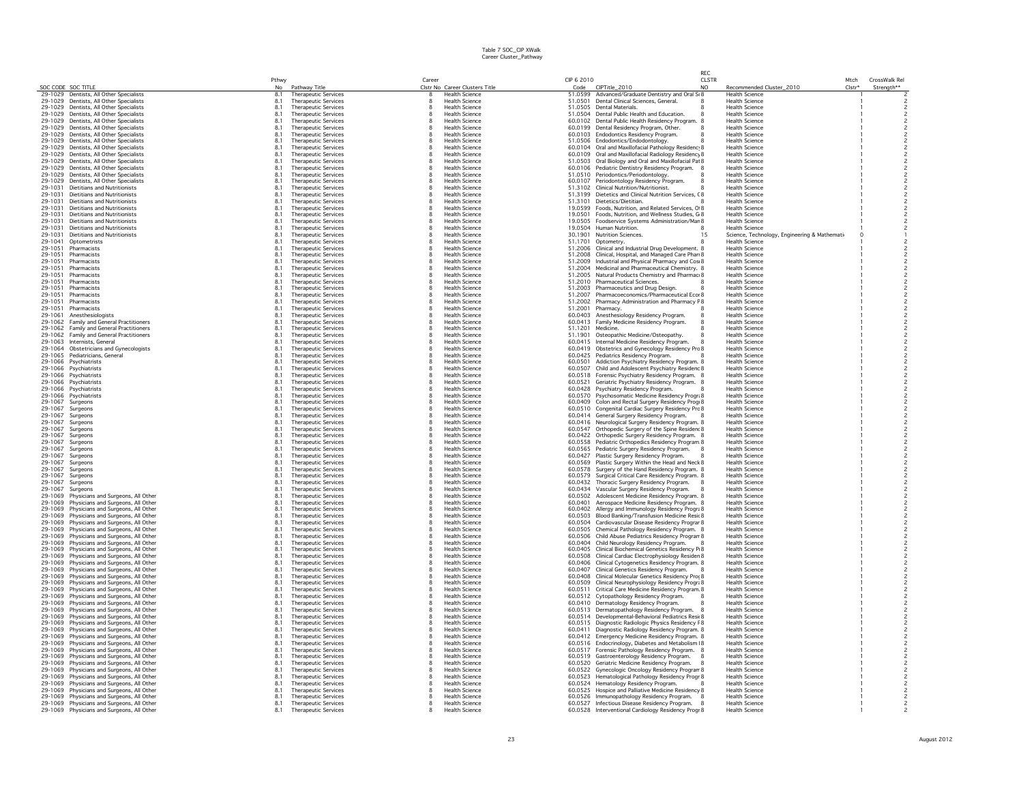|                    |                                                                                    |                       |                                                            |              |                                                         |            |                                                                                                             | RFC          |                                                                        |          |                                            |
|--------------------|------------------------------------------------------------------------------------|-----------------------|------------------------------------------------------------|--------------|---------------------------------------------------------|------------|-------------------------------------------------------------------------------------------------------------|--------------|------------------------------------------------------------------------|----------|--------------------------------------------|
|                    |                                                                                    | Pthwy                 |                                                            | Career       |                                                         | CIP 6 2010 |                                                                                                             | <b>CLSTR</b> |                                                                        | Mtch     | CrossWalk Rel                              |
| SOC CODE SOC TITLE | 29-1029 Dentists, All Other Specialists                                            | N <sub>0</sub><br>8.1 | Pathway Title                                              | 8            | Clstr No Career Clusters Title<br><b>Health Science</b> | Code       | CIPTitle_2010<br>51,0599 Advanced/Graduate Dentistry and Oral St 8                                          | NO.          | Recommended Cluster_2010<br><b>Health Science</b>                      | $Clstr*$ | Strength**                                 |
|                    | 29-1029 Dentists, All Other Specialists                                            | 8.1                   | <b>Therapeutic Services</b><br><b>Therapeutic Services</b> | 8            | Health Science                                          |            | 51.0501 Dental Clinical Sciences, General                                                                   |              | Health Science                                                         |          |                                            |
|                    | 29-1029 Dentists, All Other Specialists                                            | 8.1                   | <b>Therapeutic Services</b>                                | 8            | <b>Health Science</b>                                   |            | 51.0505 Dental Materials.                                                                                   |              | <b>Health Science</b>                                                  |          |                                            |
|                    | 29-1029 Dentists, All Other Specialists                                            | 8.1                   | <b>Therapeutic Services</b>                                | 8            | <b>Health Science</b>                                   |            | 51.0504 Dental Public Health and Education.                                                                 |              | <b>Health Science</b>                                                  |          | $\overline{\phantom{a}}$                   |
|                    | 29-1029 Dentists, All Other Specialists                                            | 8.1                   | Therapeutic Services                                       | 8            | <b>Health Science</b>                                   |            | 60.0102 Dental Public Health Residency Program. 8                                                           |              | <b>Health Science</b>                                                  |          |                                            |
|                    | 29-1029 Dentists, All Other Specialists                                            | 8.1                   | <b>Therapeutic Services</b>                                | 8            | <b>Health Science</b>                                   |            | 60.0199 Dental Residency Program, Other.                                                                    |              | <b>Health Science</b>                                                  |          |                                            |
|                    | 29-1029 Dentists, All Other Specialists                                            | 8.1                   | Therapeutic Services                                       |              | <b>Health Science</b>                                   |            | 60.0103 Endodontics Residency Program.                                                                      |              | <b>Health Science</b>                                                  |          |                                            |
| 29-1029            | Dentists, All Other Specialists                                                    | 8.1                   | Therapeutic Services                                       | 8            | <b>Health Science</b>                                   |            | 51.0506 Endodontics/Endodontology.                                                                          |              | <b>Health Science</b>                                                  |          |                                            |
|                    | 29-1029 Dentists, All Other Specialists<br>29-1029 Dentists, All Other Specialists | 8.1<br>8.1            | Therapeutic Services                                       | 8            | <b>Health Science</b><br><b>Health Science</b>          |            | 60.0104 Oral and Maxillofacial Pathology Residenc 8<br>60.0109 Oral and Maxillofacial Radiology Residency 8 |              | <b>Health Science</b><br><b>Health Science</b>                         |          |                                            |
|                    | 29-1029 Dentists, All Other Specialists                                            | 8.1                   | <b>Therapeutic Services</b><br><b>Therapeutic Services</b> | 8            | <b>Health Science</b>                                   |            | 51.0503 Oral Biology and Oral and Maxillofacial Pat 8                                                       |              | <b>Health Science</b>                                                  |          | $\overline{c}$                             |
|                    | 29-1029 Dentists, All Other Specialists                                            | 8.1                   | <b>Therapeutic Services</b>                                | 8            | <b>Health Science</b>                                   |            | 60.0106 Pediatric Dentistry Residency Program.                                                              |              | <b>Health Science</b>                                                  |          |                                            |
| 29-1029            | Dentists, All Other Specialists                                                    | 8.1                   | <b>Therapeutic Services</b>                                | я            | <b>Health Science</b>                                   |            | 51.0510 Periodontics/Periodontology.                                                                        |              | <b>Health Science</b>                                                  |          |                                            |
| 29-1029            | Dentists, All Other Specialists                                                    | 8.1                   | <b>Therapeutic Services</b>                                | 8            | <b>Health Science</b>                                   |            | 60.0107 Periodontology Residency Program.                                                                   |              | <b>Health Science</b>                                                  |          |                                            |
| 29-1031            | Dietitians and Nutritionists                                                       | 8.1                   | Therapeutic Services                                       | 8            | <b>Health Science</b>                                   |            | 51.3102 Clinical Nutrition/Nutritionist.                                                                    |              | <b>Health Science</b>                                                  |          | $\overline{\mathbf{c}}$                    |
| 29-1031            | Dietitians and Nutritionists                                                       | 8.1                   | Therapeutic Services                                       |              | <b>Health Science</b>                                   |            | 51.3199 Dietetics and Clinical Nutrition Services, C8                                                       |              | <b>Health Science</b>                                                  |          | $\overline{c}$                             |
| 29-1031            | <b>Dietitians and Nutritionists</b>                                                | 8.1                   | <b>Therapeutic Services</b>                                |              | <b>Health Science</b>                                   |            | 51.3101 Dietetics/Dietitian.                                                                                |              | <b>Health Science</b>                                                  |          |                                            |
| 29-1031            | Dietitians and Nutritionists                                                       | 8.1                   | Therapeutic Services                                       |              | <b>Health Science</b>                                   |            | 19.0599 Foods, Nutrition, and Related Services, O 8                                                         |              | <b>Health Science</b>                                                  |          |                                            |
| 29-1031<br>29-1031 | <b>Dietitians and Nutritionists</b>                                                | 8.1<br>8.1            | <b>Therapeutic Services</b>                                | 8            | <b>Health Science</b>                                   |            | 19.0501 Foods, Nutrition, and Wellness Studies, G 8                                                         |              | <b>Health Science</b>                                                  |          |                                            |
| 29-1031            | <b>Dietitians and Nutritionists</b><br><b>Dietitians and Nutritionists</b>         | 8.1                   | <b>Therapeutic Services</b><br><b>Therapeutic Services</b> |              | Health Science<br><b>Health Science</b>                 |            | 19.0505 Foodservice Systems Administration/Man 8<br>19.0504 Human Nutrition.                                |              | <b>Health Science</b><br><b>Health Science</b>                         |          | $\overline{c}$                             |
| 29-1031            | Dietitians and Nutritionists                                                       | 8.1                   | <b>Therapeutic Services</b>                                | 8<br>8       | <b>Health Science</b>                                   |            | 30.1901 Nutrition Sciences.                                                                                 | 15           |                                                                        |          |                                            |
| 29-1041            | Optometrists                                                                       | 8.1                   | <b>Therapeutic Services</b>                                | 8            | <b>Health Science</b>                                   |            | 51.1701 Optometry.                                                                                          |              | Science, Technology, Engineering & Mathemati-<br><b>Health Science</b> |          | $\overline{c}$                             |
| 29-1051            | Pharmacists                                                                        | 8.1                   | Therapeutic Services                                       | 8            | <b>Health Science</b>                                   |            | 51.2006 Clinical and Industrial Drug Development. 8                                                         |              | <b>Health Science</b>                                                  |          | $\overline{c}$                             |
| 29-1051            | Pharmacists                                                                        | 8.1                   | Therapeutic Services                                       |              | <b>Health Science</b>                                   |            | 51.2008 Clinical, Hospital, and Managed Care Phan 8                                                         |              | <b>Health Science</b>                                                  |          |                                            |
| 29-1051            | Pharmacists                                                                        | 8.1                   | <b>Therapeutic Services</b>                                | 8            | <b>Health Science</b>                                   |            | 51.2009 Industrial and Physical Pharmacy and Cos 8                                                          |              | <b>Health Science</b>                                                  |          | $\overline{c}$                             |
| 29-1051            | Pharmacists                                                                        | 8.1                   | Therapeutic Services                                       |              | <b>Health Science</b>                                   |            | 51,2004 Medicinal and Pharmaceutical Chemistry, 8                                                           |              | <b>Health Science</b>                                                  |          |                                            |
| 29-1051            | Pharmacists                                                                        | 8.1                   | <b>Therapeutic Services</b>                                | 8            | <b>Health Science</b>                                   |            | 51.2005 Natural Products Chemistry and Pharmac 8                                                            |              | <b>Health Science</b>                                                  |          |                                            |
| 29-1051            | Pharmacists                                                                        | 8.1                   | <b>Therapeutic Services</b>                                | 8            | <b>Health Science</b>                                   |            | 51.2010 Pharmaceutical Sciences.                                                                            |              | <b>Health Science</b>                                                  |          | $\overline{c}$                             |
| 29-1051<br>29-1051 | Pharmacists<br>Pharmacists                                                         | 8.1<br>8.1            | <b>Therapeutic Services</b>                                | 8<br>8       | <b>Health Science</b><br><b>Health Science</b>          |            | 51,2003 Pharmaceutics and Drug Design.                                                                      |              | <b>Health Science</b><br><b>Health Science</b>                         |          | $\overline{c}$<br>$\overline{\phantom{a}}$ |
| 29-1051            | Pharmacists                                                                        | 8.1                   | <b>Therapeutic Services</b><br><b>Therapeutic Services</b> | 8            | <b>Health Science</b>                                   |            | 51.2007 Pharmacoeconomics/Pharmaceutical Ecor 8<br>51.2002 Pharmacy Administration and Pharmacy F8          |              | <b>Health Science</b>                                                  |          | $\overline{\phantom{a}}$                   |
| 29-1051            | Pharmacists                                                                        | 8.1                   | <b>Therapeutic Services</b>                                | 8            | <b>Health Science</b>                                   |            | 51.2001 Pharmacy.                                                                                           |              | <b>Health Science</b>                                                  |          | $\overline{c}$                             |
| 29-1061            | Anesthesiologists                                                                  | 8.1                   | Therapeutic Services                                       | 8            | <b>Health Science</b>                                   |            | 60.0403 Anesthesiology Residency Program.                                                                   |              | <b>Health Science</b>                                                  |          |                                            |
| 29-1062            | Family and General Practitioners                                                   | 8.1                   | <b>Therapeutic Services</b>                                | 8            | <b>Health Science</b>                                   |            | 60.0413 Family Medicine Residency Program.                                                                  |              | <b>Health Science</b>                                                  |          |                                            |
| 29-1062            | Family and General Practitioners                                                   | 8.1                   | Therapeutic Services                                       |              | <b>Health Science</b>                                   |            | 51.1201 Medicine.                                                                                           |              | <b>Health Science</b>                                                  |          |                                            |
| 29-1062            | Family and General Practitioners                                                   | 8.1                   | <b>Therapeutic Services</b>                                |              | <b>Health Science</b>                                   |            | 51.1901 Osteopathic Medicine/Osteopathy.                                                                    |              | <b>Health Science</b>                                                  |          |                                            |
|                    | 29-1063 Internists, General                                                        | 8.1                   | Therapeutic Services                                       |              | <b>Health Science</b>                                   |            | 60.0415 Internal Medicine Residency Program.                                                                |              | <b>Health Science</b>                                                  |          |                                            |
| 29-1064            | Obstetricians and Gynecologists                                                    | 8.1                   | <b>Therapeutic Services</b>                                | 8            | <b>Health Science</b>                                   |            | 60.0419 Obstetrics and Gynecology Residency Prc 8                                                           |              | <b>Health Science</b>                                                  |          |                                            |
|                    | 29-1065 Pediatricians, General                                                     | 8.1<br>8.1            | <b>Therapeutic Services</b>                                | 8<br>8       | <b>Health Science</b><br><b>Health Science</b>          |            | 60.0425 Pediatrics Residency Program.                                                                       |              | <b>Health Science</b><br><b>Health Science</b>                         |          | $\overline{c}$                             |
| 29-1066            | 29-1066 Psychiatrists<br>Psychiatrists                                             | 8.1                   | <b>Therapeutic Services</b><br><b>Therapeutic Services</b> | 8            | <b>Health Science</b>                                   |            | 60.0501 Addiction Psychiatry Residency Program. 8                                                           |              | <b>Health Science</b>                                                  |          |                                            |
|                    | 29-1066 Psychiatrists                                                              | 8.1                   | Therapeutic Services                                       | 8            | <b>Health Science</b>                                   |            | 60.0507 Child and Adolescent Psychiatry Residenc 8<br>60.0518 Forensic Psychiatry Residency Program. 8      |              | <b>Health Science</b>                                                  |          |                                            |
| 29-1066            | Psychiatrists                                                                      | 8.1                   | Therapeutic Services                                       | 8            | <b>Health Science</b>                                   |            | 60.0521 Geriatric Psychiatry Residency Program. 8                                                           |              | <b>Health Science</b>                                                  |          | $\overline{c}$                             |
| 29-1066            | Psychiatrists                                                                      | 8.1                   | Therapeutic Services                                       |              | <b>Health Science</b>                                   |            | 60.0428 Psychiatry Residency Program.                                                                       |              | <b>Health Science</b>                                                  |          |                                            |
| 29-1066            | Psychiatrists                                                                      | 8.1                   | <b>Therapeutic Services</b>                                |              | <b>Health Science</b>                                   |            | 60.0570 Psychosomatic Medicine Residency Progr: 8                                                           |              | <b>Health Science</b>                                                  |          |                                            |
| 29-1067            | Surgeons                                                                           | 8.1                   | Therapeutic Services                                       |              | <b>Health Science</b>                                   |            | 60.0409 Colon and Rectal Surgery Residency Progi 8                                                          |              | <b>Health Science</b>                                                  |          |                                            |
| 29-1067            | Surgeons                                                                           | 8.1                   | <b>Therapeutic Services</b>                                | 8            | <b>Health Science</b>                                   |            | 60.0510 Congenital Cardiac Surgery Residency Prc 8                                                          |              | <b>Health Science</b>                                                  |          |                                            |
| 29-1067            | Surgeons                                                                           | 8.1                   | <b>Therapeutic Services</b>                                |              | <b>Health Science</b>                                   |            | 60.0414 General Surgery Residency Program.                                                                  |              | <b>Health Science</b>                                                  |          |                                            |
| 29-1067<br>29-1067 | Surgeons<br>Surgeons                                                               | 8.1<br>8.1            | <b>Therapeutic Services</b><br><b>Therapeutic Services</b> | 8<br>8       | <b>Health Science</b><br><b>Health Science</b>          |            | 60.0416 Neurological Surgery Residency Program. 8                                                           |              | <b>Health Science</b><br><b>Health Science</b>                         |          | $\overline{c}$<br>$\overline{\phantom{a}}$ |
| 29-1067            | Surgeons                                                                           | 8.1                   | <b>Therapeutic Services</b>                                | 8            | <b>Health Science</b>                                   |            | 60.0547 Orthopedic Surgery of the Spine Resident 8<br>60.0422 Orthopedic Surgery Residency Program. 8       |              | <b>Health Science</b>                                                  |          |                                            |
| 29-1067            | Surgeons                                                                           | 8.1                   | Therapeutic Services                                       | 8            | <b>Health Science</b>                                   |            | 60.0558 Pediatric Orthopedics Residency Program 8                                                           |              | <b>Health Science</b>                                                  |          |                                            |
| 29-1067            | Surgeons                                                                           | 8.1                   | Therapeutic Services                                       | я            | <b>Health Science</b>                                   |            | 60.0565 Pediatric Surgery Residency Program.                                                                |              | <b>Health Science</b>                                                  |          |                                            |
| 29-1067            | Surgeons                                                                           | 8.1                   | Therapeutic Services                                       | 8            | <b>Health Science</b>                                   |            | 60.0427 Plastic Surgery Residency Program.                                                                  |              | <b>Health Science</b>                                                  |          | $\overline{c}$                             |
| 29-1067            | Surgeons                                                                           | 8.1                   | Therapeutic Services                                       |              | <b>Health Science</b>                                   |            | 60.0569 Plastic Surgery Within the Head and Neck 8                                                          |              | <b>Health Science</b>                                                  |          |                                            |
| 29-1067            | Surgeons                                                                           | 8.1                   | Therapeutic Services                                       | 8            | <b>Health Science</b>                                   |            | 60.0578 Surgery of the Hand Residency Program. 8                                                            |              | <b>Health Science</b>                                                  |          |                                            |
| 29-1067            | Surgeons                                                                           | 8.1                   | <b>Therapeutic Services</b>                                | 8            | <b>Health Science</b>                                   |            | 60.0579 Surgical Critical Care Residency Program. 8                                                         |              | <b>Health Science</b>                                                  |          |                                            |
| 29-1067<br>29-1067 | Surgeons<br>Surgeons                                                               | 8.1<br>8.1            | <b>Therapeutic Services</b><br><b>Therapeutic Services</b> | 8            | <b>Health Science</b><br><b>Health Science</b>          |            | 60.0432 Thoracic Surgery Residency Program.<br>60.0434 Vascular Surgery Residency Program.                  |              | <b>Health Science</b><br><b>Health Science</b>                         |          | $\overline{c}$                             |
| 29-1069            | Physicians and Surgeons, All Other                                                 | 8.1                   | <b>Therapeutic Services</b>                                | 8            | <b>Health Science</b>                                   |            | 60.0502 Adolescent Medicine Residency Program. 8                                                            |              | <b>Health Science</b>                                                  |          | $\overline{\phantom{a}}$                   |
| 29-1069            | Physicians and Surgeons, All Other                                                 | 8.1                   | <b>Therapeutic Services</b>                                | 8            | <b>Health Science</b>                                   | 60.0401    | Aerospace Medicine Residency Program. 8                                                                     |              | <b>Health Science</b>                                                  |          | $\overline{c}$                             |
| 29-1069            | Physicians and Surgeons, All Other                                                 | 8.1                   | Therapeutic Services                                       | я            | <b>Health Science</b>                                   |            | 60.0402 Allergy and Immunology Residency Progra 8                                                           |              | <b>Health Science</b>                                                  |          |                                            |
| 29-1069            | Physicians and Surgeons, All Other                                                 | 8.1                   | Therapeutic Services                                       | 8            | <b>Health Science</b>                                   |            | 60.0503 Blood Banking/Transfusion Medicine Resix 8                                                          |              | <b>Health Science</b>                                                  |          | $\overline{c}$                             |
| 29-1069            | Physicians and Surgeons, All Other                                                 | 8.1                   | Therapeutic Services                                       |              | <b>Health Science</b>                                   |            | 60.0504 Cardiovascular Disease Residency Prograr 8                                                          |              | <b>Health Science</b>                                                  |          |                                            |
| 29-1069<br>29-1069 | Physicians and Surgeons, All Othe                                                  | 8.1<br>8.1            | <b>Therapeutic Services</b>                                |              | <b>Health Science</b><br><b>Health Science</b>          | 60.0505    | Chemical Pathology Residency Program. 8                                                                     |              | <b>Health Science</b><br><b>Health Science</b>                         |          | $\overline{c}$                             |
| 29-1069            | Physicians and Surgeons, All Other<br>Physicians and Surgeons, All Other           | 8.1                   | Therapeutic Services<br><b>Therapeutic Services</b>        | 8            | <b>Health Science</b>                                   |            | 60.0506 Child Abuse Pediatrics Residency Program 8<br>60.0404 Child Neurology Residency Program.            |              | <b>Health Science</b>                                                  |          |                                            |
| 29-1069            | Physicians and Surgeons, All Other                                                 | 8.1                   | <b>Therapeutic Services</b>                                | 8            | <b>Health Science</b>                                   |            | 60.0405 Clinical Biochemical Genetics Residency P 8                                                         |              | <b>Health Science</b>                                                  |          | $\overline{c}$                             |
| 29-1069            | Physicians and Surgeons, All Other                                                 | 8.1                   | <b>Therapeutic Services</b>                                | 8            | <b>Health Science</b>                                   |            | 60.0508 Clinical Cardiac Electrophysiology Residen 8                                                        |              | <b>Health Science</b>                                                  |          |                                            |
| 29-1069            | Physicians and Surgeons, All Other                                                 | 8.1                   | <b>Therapeutic Services</b>                                | 8            | <b>Health Science</b>                                   |            | 60.0406 Clinical Cytogenetics Residency Program. 8                                                          |              | <b>Health Science</b>                                                  |          | $\overline{c}$                             |
| 29-1069            | Physicians and Surgeons, All Other                                                 | 8.1                   | <b>Therapeutic Services</b>                                | 8            | <b>Health Science</b>                                   |            | 60.0407 Clinical Genetics Residency Program.                                                                |              | <b>Health Science</b>                                                  |          |                                            |
| 29-1069            | Physicians and Surgeons, All Other                                                 | 8.1                   | <b>Therapeutic Services</b>                                | $\mathbf{R}$ | <b>Health Science</b>                                   |            | 60.0408 Clinical Molecular Genetics Residency Pro(8                                                         |              | <b>Health Science</b>                                                  |          | 2                                          |
| 29-1069            | Physicians and Surgeons, All Other                                                 | 8.1                   | Therapeutic Services                                       |              | <b>Health Science</b>                                   |            | 60.0509 Clinical Neurophysiology Residency Progra 8                                                         |              | <b>Health Science</b>                                                  |          |                                            |
| 29-1069            | Physicians and Surgeons, All Other                                                 | 8.1                   | <b>Therapeutic Services</b>                                | 8            | <b>Health Science</b>                                   |            | 60.0511 Critical Care Medicine Residency Program. 8                                                         |              | <b>Health Science</b>                                                  |          |                                            |
| 29-1069<br>29-1069 | Physicians and Surgeons, All Other<br>Physicians and Surgeons, All Other           | 8.1<br>8.1            | Therapeutic Services<br>Therapeutic Services               |              | <b>Health Science</b><br><b>Health Science</b>          |            | 60.0512 Cytopathology Residency Program.<br>60.0410 Dermatology Residency Program.                          |              | <b>Health Science</b><br><b>Health Science</b>                         |          |                                            |
| 29-1069            | Physicians and Surgeons, All Other                                                 | 8.1                   | Therapeutic Services                                       |              | <b>Health Science</b>                                   |            | 60.0513 Dermatopathology Residency Program.                                                                 |              | <b>Health Science</b>                                                  |          |                                            |
| 29-1069            | Physicians and Surgeons, All Other                                                 | 8.1                   | <b>Therapeutic Services</b>                                | 8            | <b>Health Science</b>                                   |            | 60.0514 Developmental-Behavioral Pediatrics Resi(8                                                          |              | <b>Health Science</b>                                                  |          |                                            |
| 29-1069            | Physicians and Surgeons, All Other                                                 | 8.1                   | <b>Therapeutic Services</b>                                | 8            | <b>Health Science</b>                                   |            | 60.0515 Diagnostic Radiologic Physics Residency F8                                                          |              | <b>Health Science</b>                                                  |          | $\overline{\phantom{a}}$                   |
| 29-1069            | Physicians and Surgeons, All Other                                                 | 8.1                   | <b>Therapeutic Services</b>                                | 8            | <b>Health Science</b>                                   |            | 60.0411 Diagnostic Radiology Residency Program. 8                                                           |              | <b>Health Science</b>                                                  |          |                                            |
| 29-1069            | Physicians and Surgeons, All Other                                                 | 8.1                   | Therapeutic Services                                       | 8            | <b>Health Science</b>                                   |            | 60.0412 Emergency Medicine Residency Program. 8                                                             |              | <b>Health Science</b>                                                  |          |                                            |
| 29-1069            | Physicians and Surgeons, All Other                                                 | 8.1                   | <b>Therapeutic Services</b>                                | 8            | <b>Health Science</b>                                   |            | 60.0516 Endocrinology, Diabetes and Metabolism   8                                                          |              | <b>Health Science</b>                                                  |          |                                            |
| 29-1069            | Physicians and Surgeons, All Other                                                 | 8.1                   | Therapeutic Services                                       | 8            | <b>Health Science</b>                                   |            | 60.0517 Forensic Pathology Residency Program. 8                                                             |              | <b>Health Science</b>                                                  |          |                                            |
| 29-1069<br>29-1069 | Physicians and Surgeons, All Other<br>Physicians and Surgeons, All Other           | 8.1<br>8.1            | Therapeutic Services<br>Therapeutic Services               | 8            | <b>Health Science</b><br><b>Health Science</b>          |            | 60.0519 Gastroenterology Residency Program.<br>60.0520 Geriatric Medicine Residency Program.                |              | <b>Health Science</b><br><b>Health Science</b>                         |          |                                            |
| 29-1069            | Physicians and Surgeons, All Other                                                 | 8.1                   | Therapeutic Services                                       |              | Health Science                                          |            | 60.0522 Gynecologic Oncology Residency Program 8                                                            |              | <b>Health Science</b>                                                  |          |                                            |
|                    | 29-1069 Physicians and Surgeons, All Other                                         | 8.1                   | <b>Therapeutic Services</b>                                | 8            | <b>Health Science</b>                                   |            | 60.0523 Hematological Pathology Residency Progr 8                                                           |              | <b>Health Science</b>                                                  |          |                                            |
|                    | 29-1069 Physicians and Surgeons, All Other                                         | 8.1                   | <b>Therapeutic Services</b>                                |              | <b>Health Science</b>                                   |            | 60.0524 Hematology Residency Program.                                                                       |              | <b>Health Science</b>                                                  |          |                                            |
|                    | 29-1069 Physicians and Surgeons, All Other                                         | 8.1                   | <b>Therapeutic Services</b>                                | 8            | <b>Health Science</b>                                   |            | 60.0525 Hospice and Palliative Medicine Residency 8                                                         |              | <b>Health Science</b>                                                  |          | $\overline{c}$                             |
|                    | 29-1069 Physicians and Surgeons, All Other                                         | 8.1                   | <b>Therapeutic Services</b>                                | 8            | <b>Health Science</b>                                   |            | 60.0526 Immunopathology Residency Program. 8                                                                |              | <b>Health Science</b>                                                  |          |                                            |
|                    | 29-1069 Physicians and Surgeons, All Other                                         | 8.1                   | <b>Therapeutic Services</b>                                | $\mathbf{R}$ | <b>Health Science</b>                                   |            | 60.0527 Infectious Disease Residency Program. 8                                                             |              | <b>Health Science</b>                                                  |          |                                            |
|                    | 29-1069 Physicians and Surgeons, All Other                                         | 8.1                   | Therapeutic Services                                       | 8            | <b>Health Science</b>                                   |            | 60.0528 Interventional Cardiology Residency Progr 8                                                         |              | Health Science                                                         |          | $\overline{\phantom{a}}$                   |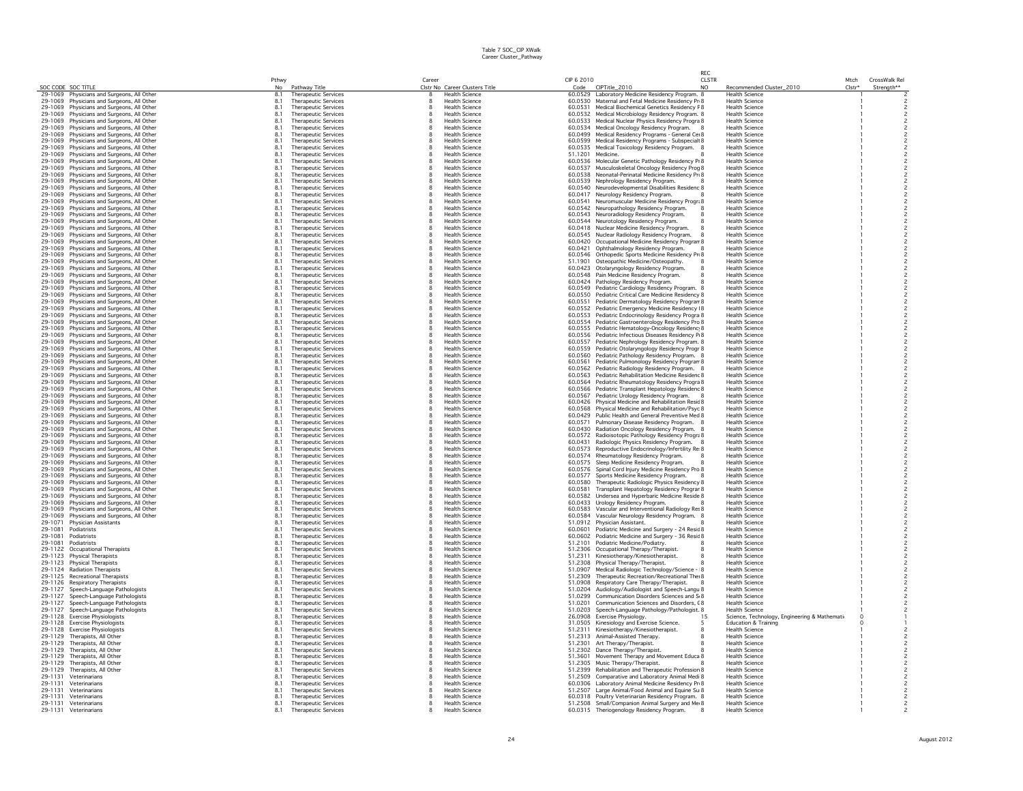|                    |                                                                          |            |                                                            |              |                                                         |            |                                                                                                            | RFC          |                                                   |        |                          |
|--------------------|--------------------------------------------------------------------------|------------|------------------------------------------------------------|--------------|---------------------------------------------------------|------------|------------------------------------------------------------------------------------------------------------|--------------|---------------------------------------------------|--------|--------------------------|
|                    |                                                                          | Pthwy      |                                                            | Caree        |                                                         | CIP 6 2010 |                                                                                                            | <b>CLSTR</b> |                                                   | Mtch   | CrossWalk Rel            |
| SOC CODE SOC TITLE | 29-1069 Physicians and Surgeons, All Other                               | No<br>8.1  | Pathway Title<br><b>Therapeutic Services</b>               | $\mathbf{R}$ | Clstr No Career Clusters Title<br><b>Health Science</b> | Code       | CIPTitle_2010<br>60.0529 Laboratory Medicine Residency Program. 8                                          | NO.          | Recommended Cluster_2010<br><b>Health Science</b> | Clstr* | Strength**               |
| 29-1069            | Physicians and Surgeons, All Other                                       | 8.1        | <b>Therapeutic Services</b>                                | 8            | <b>Health Science</b>                                   |            | 60.0530 Maternal and Fetal Medicine Residency Pr 8                                                         |              | <b>Health Science</b>                             |        |                          |
| 29-1069            | Physicians and Surgeons, All Other                                       | 8.1        | <b>Therapeutic Services</b>                                | $\mathbf{R}$ | <b>Health Science</b>                                   |            | 60.0531 Medical Biochemical Genetics Residency F 8                                                         |              | <b>Health Science</b>                             |        |                          |
| 29-1069            | Physicians and Surgeons, All Other                                       | 8.1        | <b>Therapeutic Services</b>                                | 8            | <b>Health Science</b>                                   |            | 60.0532 Medical Microbiology Residency Program. 8                                                          |              | <b>Health Science</b>                             |        |                          |
| 29-1069            | Physicians and Surgeons, All Other                                       | 8.1        | Therapeutic Services                                       | 8            | <b>Health Science</b>                                   |            | 60.0533 Medical Nuclear Physics Residency Progra 8                                                         |              | <b>Health Science</b>                             |        |                          |
| 29-1069            | Physicians and Surgeons, All Other                                       | 8.1        | <b>Therapeutic Services</b>                                |              | <b>Health Science</b>                                   |            | 60.0534 Medical Oncology Residency Program.                                                                |              | <b>Health Science</b>                             |        |                          |
| 29-1069<br>29-1069 | Physicians and Surgeons, All Other<br>Physicians and Surgeons, All Other | 8.1<br>8.1 | Therapeutic Services<br>Therapeutic Services               |              | <b>Health Science</b><br><b>Health Science</b>          |            | 60.0499 Medical Residency Programs - General Cei 8<br>60.0599 Medical Residency Programs - Subspecialt 8   |              | <b>Health Science</b><br><b>Health Science</b>    |        |                          |
| 29-1069            | Physicians and Surgeons, All Other                                       | 8.1        | Therapeutic Services                                       |              | <b>Health Science</b>                                   |            | 60.0535 Medical Toxicology Residency Program. 8                                                            |              | <b>Health Science</b>                             |        |                          |
| 29-1069            | Physicians and Surgeons, All Other                                       | 8.1        | <b>Therapeutic Services</b>                                |              | <b>Health Science</b>                                   |            | 51.1201 Medicine.                                                                                          |              | <b>Health Science</b>                             |        |                          |
| 29-1069            | Physicians and Surgeons, All Other                                       | 8.1        | <b>Therapeutic Services</b>                                |              | <b>Health Science</b>                                   |            | 60.0536 Molecular Genetic Pathology Residency Pr 8                                                         |              | <b>Health Science</b>                             |        |                          |
| 29-1069            | Physicians and Surgeons, All Other                                       | 8.1        | <b>Therapeutic Services</b>                                |              | <b>Health Science</b>                                   | 60.0537    | Musculoskeletal Oncology Residency Prog 8                                                                  |              | <b>Health Science</b>                             |        |                          |
| 29-1069            | Physicians and Surgeons, All Other                                       | 8.1        | <b>Therapeutic Services</b>                                |              | <b>Health Science</b>                                   | 60.0538    | Neonatal-Perinatal Medicine Residency Pri 8                                                                |              | <b>Health Science</b>                             |        |                          |
| 29-1069            | Physicians and Surgeons, All Other                                       | 8.1        | <b>Therapeutic Services</b>                                |              | <b>Health Science</b>                                   |            | 60.0539 Nephrology Residency Program.                                                                      |              | <b>Health Science</b>                             |        |                          |
| 29-1069<br>29-1069 | Physicians and Surgeons, All Other                                       | 8.1<br>8.1 | <b>Therapeutic Services</b><br><b>Therapeutic Services</b> |              | <b>Health Science</b><br><b>Health Science</b>          |            | 60.0540 Neurodevelopmental Disabilities Residenc 8                                                         |              | <b>Health Science</b><br><b>Health Science</b>    |        |                          |
| 29-1069            | Physicians and Surgeons, All Other<br>Physicians and Surgeons, All Other | 8.1        | <b>Therapeutic Services</b>                                |              | <b>Health Science</b>                                   | 60.0541    | 60.0417 Neurology Residency Program.<br>Neuromuscular Medicine Residency Progra 8                          |              | <b>Health Science</b>                             |        |                          |
| 29-1069            | Physicians and Surgeons, All Other                                       | 8.1        | <b>Therapeutic Services</b>                                |              | <b>Health Science</b>                                   |            | 60.0542 Neuropathology Residency Program.                                                                  |              | <b>Health Science</b>                             |        |                          |
| 29-1069            | Physicians and Surgeons, All Other                                       | 8.1        | <b>Therapeutic Services</b>                                |              | <b>Health Science</b>                                   |            | 60.0543 Neuroradiology Residency Program.                                                                  |              | <b>Health Science</b>                             |        |                          |
| 29-1069            | Physicians and Surgeons, All Other                                       | 8.1        | <b>Therapeutic Services</b>                                |              | <b>Health Science</b>                                   |            | 60.0544 Neurotology Residency Program.                                                                     |              | <b>Health Science</b>                             |        |                          |
| 29-1069            | Physicians and Surgeons, All Other                                       | 8.1        | <b>Therapeutic Services</b>                                |              | <b>Health Science</b>                                   |            | 60.0418 Nuclear Medicine Residency Program.                                                                |              | <b>Health Science</b>                             |        |                          |
| 29-1069            | Physicians and Surgeons, All Other                                       | 8.1        | <b>Therapeutic Services</b>                                |              | <b>Health Science</b>                                   |            | 60.0545 Nuclear Radiology Residency Program.                                                               |              | <b>Health Science</b>                             |        |                          |
| 29-1069            | Physicians and Surgeons, All Other                                       | 8.1        | <b>Therapeutic Services</b>                                |              | <b>Health Science</b>                                   |            | 60.0420 Occupational Medicine Residency Program 8                                                          |              | <b>Health Science</b>                             |        |                          |
| 29-1069<br>29-1069 | Physicians and Surgeons, All Other<br>Physicians and Surgeons, All Other | 8.1        | <b>Therapeutic Services</b><br><b>Therapeutic Services</b> |              | <b>Health Science</b><br><b>Health Science</b>          | 60.0421    | Ophthalmology Residency Program.<br>60.0546 Orthopedic Sports Medicine Residency Pri 8                     |              | <b>Health Science</b><br><b>Health Science</b>    |        | $\overline{c}$           |
| 29-1069            | Physicians and Surgeons, All Other                                       | 8.1        | <b>Therapeutic Services</b>                                |              | <b>Health Science</b>                                   | 51,1901    | Osteopathic Medicine/Osteopathy.                                                                           |              | <b>Health Science</b>                             |        |                          |
| 29-1069            | Physicians and Surgeons, All Other                                       | 8.1        | <b>Therapeutic Services</b>                                |              | <b>Health Science</b>                                   |            | 60.0423 Otolaryngology Residency Program.                                                                  |              | <b>Health Science</b>                             |        |                          |
| 29-1069            | Physicians and Surgeons, All Other                                       | 8.1        | <b>Therapeutic Services</b>                                |              | <b>Health Science</b>                                   |            | 60.0548 Pain Medicine Residency Program.                                                                   |              | <b>Health Science</b>                             |        |                          |
| 29-1069            | Physicians and Surgeons, All Other                                       | 8.1        | <b>Therapeutic Services</b>                                |              | <b>Health Science</b>                                   |            | 60.0424 Pathology Residency Program.                                                                       |              | <b>Health Science</b>                             |        |                          |
| 29-1069            | Physicians and Surgeons, All Other                                       | 8.1        | <b>Therapeutic Services</b>                                |              | <b>Health Science</b>                                   |            | 60.0549 Pediatric Cardiology Residency Program, 8                                                          |              | <b>Health Science</b>                             |        |                          |
| 29-1069            | Physicians and Surgeons, All Other                                       | 8.1        | <b>Therapeutic Services</b>                                |              | <b>Health Science</b>                                   |            | 60.0550 Pediatric Critical Care Medicine Residency 8                                                       |              | <b>Health Science</b>                             |        |                          |
| 29-1069            | Physicians and Surgeons, All Other                                       | 8.1        | <b>Therapeutic Services</b>                                |              | <b>Health Science</b>                                   |            | 60.0551 Pediatric Dermatology Residency Program 8                                                          |              | Health Science                                    |        |                          |
| 29-1069<br>29-1069 | Physicians and Surgeons, All Other<br>Physicians and Surgeons, All Other | 8.1<br>8.1 | <b>Therapeutic Services</b><br>Therapeutic Services        |              | <b>Health Science</b><br><b>Health Science</b>          |            | 60.0552 Pediatric Emergency Medicine Residency   8<br>60.0553 Pediatric Endocrinology Residency Progra 8   |              | <b>Health Science</b><br><b>Health Science</b>    |        |                          |
| 29-1069            | Physicians and Surgeons, All Other                                       | 8.1        | <b>Therapeutic Services</b>                                |              | <b>Health Science</b>                                   |            | 60.0554 Pediatric Gastroenterology Residency Pro 8                                                         |              | <b>Health Science</b>                             |        |                          |
| 29-1069            | Physicians and Surgeons, All Other                                       | 8.1        | Therapeutic Services                                       |              | <b>Health Science</b>                                   |            | 60.0555 Pediatric Hematology-Oncology Residenc 8                                                           |              | <b>Health Science</b>                             |        |                          |
| 29-1069            | Physicians and Surgeons, All Other                                       |            | <b>Therapeutic Services</b>                                |              | <b>Health Science</b>                                   |            | 60.0556 Pediatric Infectious Diseases Residency P 8                                                        |              | <b>Health Science</b>                             |        |                          |
| 29-1069            | Physicians and Surgeons, All Other                                       | 8.1        | <b>Therapeutic Services</b>                                |              | <b>Health Science</b>                                   |            | 60.0557 Pediatric Nephrology Residency Program. 8                                                          |              | <b>Health Science</b>                             |        |                          |
| 29-1069            | Physicians and Surgeons, All Other                                       | 8.1        | <b>Therapeutic Services</b>                                |              | <b>Health Science</b>                                   |            | 60.0559 Pediatric Otolaryngology Residency Progr 8                                                         |              | <b>Health Science</b>                             |        |                          |
| 29-1069            | Physicians and Surgeons, All Other                                       | 8.1        | <b>Therapeutic Services</b>                                |              | <b>Health Science</b>                                   |            | 60.0560 Pediatric Pathology Residency Program. 8                                                           |              | <b>Health Science</b>                             |        |                          |
| 29-1069<br>29-1069 | Physicians and Surgeons, All Other                                       | 8.1<br>8.1 | <b>Therapeutic Services</b>                                |              | <b>Health Science</b><br><b>Health Science</b>          |            | 60.0561 Pediatric Pulmonology Residency Program 8                                                          |              | <b>Health Science</b><br><b>Health Science</b>    |        |                          |
| 29-1069            | Physicians and Surgeons, All Other<br>Physicians and Surgeons, All Other | 81         | Therapeutic Services<br><b>Therapeutic Services</b>        |              | <b>Health Science</b>                                   |            | 60.0562 Pediatric Radiology Residency Program. 8<br>60.0563 Pediatric Rehabilitation Medicine Residenc 8   |              | <b>Health Science</b>                             |        |                          |
| 29-1069            | Physicians and Surgeons, All Other                                       | 8.1        | <b>Therapeutic Services</b>                                |              | <b>Health Science</b>                                   |            | 60.0564 Pediatric Rheumatology Residency Progra 8                                                          |              | <b>Health Science</b>                             |        |                          |
| 29-1069            | Physicians and Surgeons, All Other                                       | 8.1        | <b>Therapeutic Services</b>                                |              | <b>Health Science</b>                                   |            | 60.0566 Pediatric Transplant Hepatology Residenc 8                                                         |              | <b>Health Science</b>                             |        |                          |
| 29-1069            | Physicians and Surgeons, All Other                                       | 8.1        | Therapeutic Services                                       |              | <b>Health Science</b>                                   |            | 60.0567 Pediatric Urology Residency Program.                                                               |              | <b>Health Science</b>                             |        |                          |
| 29-1069            | Physicians and Surgeons, All Other                                       | 8.1        | <b>Therapeutic Services</b>                                |              | Health Science                                          |            | 60.0426 Physical Medicine and Rehabilitation Resic 8                                                       |              | <b>Health Science</b>                             |        |                          |
| 29-1069            | Physicians and Surgeons, All Other                                       | 8.1        | <b>Therapeutic Services</b>                                |              | <b>Health Science</b>                                   |            | 60.0568 Physical Medicine and Rehabilitation/Psyc 8                                                        |              | <b>Health Science</b>                             |        |                          |
| 29-1069<br>29-1069 | Physicians and Surgeons, All Other                                       | 8.1<br>8.1 | <b>Therapeutic Services</b><br><b>Therapeutic Services</b> |              | <b>Health Science</b><br><b>Health Science</b>          |            | 60.0429 Public Health and General Preventive Med 8                                                         |              | <b>Health Science</b><br><b>Health Science</b>    |        |                          |
| 29-1069            | Physicians and Surgeons, All Other<br>Physicians and Surgeons, All Other | 8.1        | <b>Therapeutic Services</b>                                |              | <b>Health Science</b>                                   |            | 60.0571 Pulmonary Disease Residency Program. 8<br>60.0430 Radiation Oncology Residency Program. 8          |              | <b>Health Science</b>                             |        |                          |
| 29-1069            | Physicians and Surgeons, All Other                                       | 8.1        | <b>Therapeutic Services</b>                                |              | <b>Health Science</b>                                   |            | 60.0572 Radioisotopic Pathology Residency Progra 8                                                         |              | <b>Health Science</b>                             |        |                          |
| 29-1069            | Physicians and Surgeons, All Other                                       | 8.1        | <b>Therapeutic Services</b>                                |              | <b>Health Science</b>                                   |            | 60.0431 Radiologic Physics Residency Program.                                                              |              | <b>Health Science</b>                             |        |                          |
| 29-1069            | Physicians and Surgeons, All Other                                       | 8.1        | <b>Therapeutic Services</b>                                |              | <b>Health Science</b>                                   |            | 60.0573 Reproductive Endocrinology/Infertility Re 8                                                        |              | <b>Health Science</b>                             |        |                          |
| 29-1069            | Physicians and Surgeons, All Other                                       | 8.1        | <b>Therapeutic Services</b>                                |              | <b>Health Science</b>                                   |            | 60.0574 Rheumatology Residency Program.                                                                    |              | <b>Health Science</b>                             |        |                          |
| 29-1069            | Physicians and Surgeons, All Other                                       | 8.1        | Therapeutic Services                                       |              | <b>Health Science</b>                                   |            | 60.0575 Sleep Medicine Residency Program.                                                                  |              | <b>Health Science</b>                             |        |                          |
| 29-1069<br>29-1069 | Physicians and Surgeons, All Other                                       | 8.1<br>8.1 | <b>Therapeutic Services</b><br><b>Therapeutic Services</b> |              | <b>Health Science</b><br><b>Health Science</b>          |            | 60.0576 Spinal Cord Injury Medicine Residency Pro 8<br>60.0577 Sports Medicine Residency Program.<br>-8    |              | <b>Health Science</b><br><b>Health Science</b>    |        |                          |
| 29-1069            | Physicians and Surgeons, All Other<br>Physicians and Surgeons, All Other | 8.1        | <b>Therapeutic Services</b>                                |              | <b>Health Science</b>                                   |            |                                                                                                            |              | <b>Health Science</b>                             |        |                          |
| 29-1069            | Physicians and Surgeons, All Other                                       | 8.1        | <b>Therapeutic Services</b>                                |              | <b>Health Science</b>                                   | 60.0581    | 60.0580 Therapeutic Radiologic Physics Residency 8<br>Transplant Hepatology Residency Prograr 8            |              | <b>Health Science</b>                             |        |                          |
| 29-1069            | Physicians and Surgeons, All Other                                       | 8.1        | <b>Therapeutic Services</b>                                |              | <b>Health Science</b>                                   |            | 60.0582 Undersea and Hyperbaric Medicine Reside 8                                                          |              | <b>Health Science</b>                             |        |                          |
| 29-1069            | Physicians and Surgeons, All Other                                       | 8.1        | <b>Therapeutic Services</b>                                |              | <b>Health Science</b>                                   |            | 60.0433 Urology Residency Program.                                                                         |              | <b>Health Science</b>                             |        |                          |
| 29-1069            | Physicians and Surgeons, All Other                                       | 8.1        | <b>Therapeutic Services</b>                                |              | <b>Health Science</b>                                   |            | 60.0583 Vascular and Interventional Radiology Res 8                                                        |              | <b>Health Science</b>                             |        |                          |
| 29-1069            | Physicians and Surgeons, All Other                                       | 8.1        | <b>Therapeutic Services</b>                                |              | <b>Health Science</b>                                   |            | 60.0584 Vascular Neurology Residency Program. 8                                                            |              | <b>Health Science</b>                             |        |                          |
| 29-1071<br>29-1081 | Physician Assistants<br>Podiatrists                                      | 8.1<br>8.1 | Therapeutic Services<br><b>Therapeutic Services</b>        |              | <b>Health Science</b><br><b>Health Science</b>          |            | 51.0912 Physician Assistant.                                                                               |              | <b>Health Science</b><br><b>Health Science</b>    |        |                          |
| 29-1081            | Podiatrists                                                              | 8.1        | <b>Therapeutic Services</b>                                |              | Health Science                                          |            | 60.0601 Podiatric Medicine and Surgery - 24 Resic 8<br>60.0602 Podiatric Medicine and Surgery - 36 Resic 8 |              | <b>Health Science</b>                             |        |                          |
| 29-1081            | Podiatrists                                                              | 8.1        | <b>Therapeutic Services</b>                                |              | <b>Health Science</b>                                   |            | 51.2101 Podiatric Medicine/Podiatry.                                                                       |              | <b>Health Science</b>                             |        |                          |
| 29-1122            | Occupational Therapists                                                  | 8.1        | <b>Therapeutic Services</b>                                |              | <b>Health Science</b>                                   |            | 51.2306 Occupational Therapy/Therapist                                                                     |              | <b>Health Science</b>                             |        | $\overline{\phantom{a}}$ |
| 29-1123            | <b>Physical Therapists</b>                                               | 8.1        | <b>Therapeutic Services</b>                                |              | <b>Health Science</b>                                   |            | 51.2311 Kinesiotherapy/Kinesiotherapist.                                                                   |              | <b>Health Science</b>                             |        |                          |
| 29-1123            | Physical Therapists                                                      | 8.1        | <b>Therapeutic Services</b>                                |              | <b>Health Science</b>                                   | 51,2308    | Physical Therapy/Therapist.                                                                                |              | <b>Health Science</b>                             |        |                          |
| 29-1124            | <b>Radiation Therapists</b>                                              | 8.1        | <b>Therapeutic Services</b>                                |              | <b>Health Science</b>                                   |            | 51.0907 Medical Radiologic Technology/Science - 8                                                          |              | <b>Health Science</b>                             |        |                          |
| 29-1125            | <b>Recreational Therapists</b>                                           | 8.1        | <b>Therapeutic Services</b>                                |              | <b>Health Science</b>                                   |            | 51.2309 Therapeutic Recreation/Recreational The 8                                                          |              | <b>Health Science</b>                             |        | $\overline{c}$           |
| 29-1126<br>29-1127 | Respiratory Therapists<br>Speech-Language Pathologists                   | 8.1<br>8.1 | <b>Therapeutic Services</b><br>Therapeutic Services        |              | <b>Health Science</b><br><b>Health Science</b>          | 51.0204    | 51.0908 Respiratory Care Therapy/Therapist.<br>Audiology/Audiologist and Speech-Langu 8                    |              | <b>Health Science</b><br><b>Health Science</b>    |        |                          |
| 29-1127            | Speech-Language Pathologists                                             | 8.1        | <b>Therapeutic Services</b>                                |              | <b>Health Science</b>                                   |            | 51.0299 Communication Disorders Sciences and S 8                                                           |              | <b>Health Science</b>                             |        |                          |
| 29-1127            | Speech-Language Pathologists                                             | 8.1        | <b>Therapeutic Services</b>                                |              | <b>Health Science</b>                                   |            | 51.0201 Communication Sciences and Disorders, 08                                                           |              | <b>Health Science</b>                             |        |                          |
| 29-1127            | Speech-Language Pathologists                                             | 8.1        | <b>Therapeutic Services</b>                                |              | <b>Health Science</b>                                   |            | 51.0203 Speech-Language Pathology/Pathologist. 8                                                           |              | <b>Health Science</b>                             |        |                          |
| 29-1128            | <b>Exercise Physiologists</b>                                            | 8.1        | <b>Therapeutic Services</b>                                |              | Health Science                                          |            | 26.0908 Exercise Physiology.<br>15                                                                         |              | Science, Technology, Engineering & Mathemati-     |        |                          |
| 29-1128            | <b>Exercise Physiologists</b>                                            | 8.1        | <b>Therapeutic Services</b>                                |              | <b>Health Science</b>                                   |            | 31.0505 Kinesiology and Exercise Science.                                                                  |              | <b>Education &amp; Training</b>                   |        |                          |
| 29-1128            | <b>Exercise Physiologists</b>                                            | 8.1        | Therapeutic Services                                       |              | <b>Health Science</b>                                   |            | 51.2311 Kinesiotherapy/Kinesiotherapist.                                                                   |              | <b>Health Science</b>                             |        |                          |
| 29-1129<br>29-1129 | Therapists, All Other                                                    | 8.1<br>8.1 | <b>Therapeutic Services</b>                                |              | <b>Health Science</b><br><b>Health Science</b>          |            | 51.2313 Animal-Assisted Therapy.                                                                           |              | <b>Health Science</b><br><b>Health Science</b>    |        |                          |
| 29-1129            | Therapists, All Other<br>Therapists, All Other                           | 8.1        | <b>Therapeutic Services</b><br><b>Therapeutic Services</b> |              | <b>Health Science</b>                                   |            | 51.2301 Art Therapy/Therapist.<br>51.2302 Dance Therapy/Therapist.                                         |              | <b>Health Science</b>                             |        |                          |
| 29-1129            | Therapists, All Other                                                    | 8.1        | <b>Therapeutic Services</b>                                |              | <b>Health Science</b>                                   |            | 51.3601 Movement Therapy and Movement Educa 8                                                              |              | <b>Health Science</b>                             |        |                          |
| 29-1129            | Therapists, All Other                                                    | 8.1        | <b>Therapeutic Services</b>                                |              | <b>Health Science</b>                                   |            | 51.2305 Music Therapy/Therapist.                                                                           |              | <b>Health Science</b>                             |        |                          |
| 29-1129            | Therapists, All Other                                                    | 8.1        | <b>Therapeutic Services</b>                                |              | <b>Health Science</b>                                   |            | 51.2399 Rehabilitation and Therapeutic Profession 8                                                        |              | <b>Health Science</b>                             |        |                          |
| 29-1131            | Veterinarians                                                            | 8.1        | <b>Therapeutic Services</b>                                |              | <b>Health Science</b>                                   |            | 51,2509 Comparative and Laboratory Animal Medi 8                                                           |              | <b>Health Science</b>                             |        |                          |
| 29-1131            | Veterinarians                                                            | 8.1        | <b>Therapeutic Services</b>                                |              | <b>Health Science</b>                                   |            | 60.0306 Laboratory Animal Medicine Residency Pr 8                                                          |              | Health Science                                    |        |                          |
| 29-1131<br>29-1131 | Veterinarians<br>Veterinarians                                           | 8.1<br>8.1 | <b>Therapeutic Services</b>                                |              | <b>Health Science</b><br><b>Health Science</b>          |            | 51.2507 Large Animal/Food Animal and Equine Su 8                                                           |              | <b>Health Science</b><br><b>Health Science</b>    |        |                          |
|                    | 29-1131 Veterinarians                                                    | 8.1        | Therapeutic Services<br><b>Therapeutic Services</b>        |              | <b>Health Science</b>                                   |            | 60.0318 Poultry Veterinarian Residency Program. 8<br>51.2508 Small/Companion Animal Surgery and Me 8       |              | <b>Health Science</b>                             |        |                          |
|                    | 29-1131 Veterinarians                                                    | 8.1        | Therapeutic Services                                       |              | <b>Health Science</b>                                   |            | 60.0315 Theriogenology Residency Program.                                                                  |              | <b>Health Science</b>                             |        |                          |
|                    |                                                                          |            |                                                            |              |                                                         |            |                                                                                                            |              |                                                   |        |                          |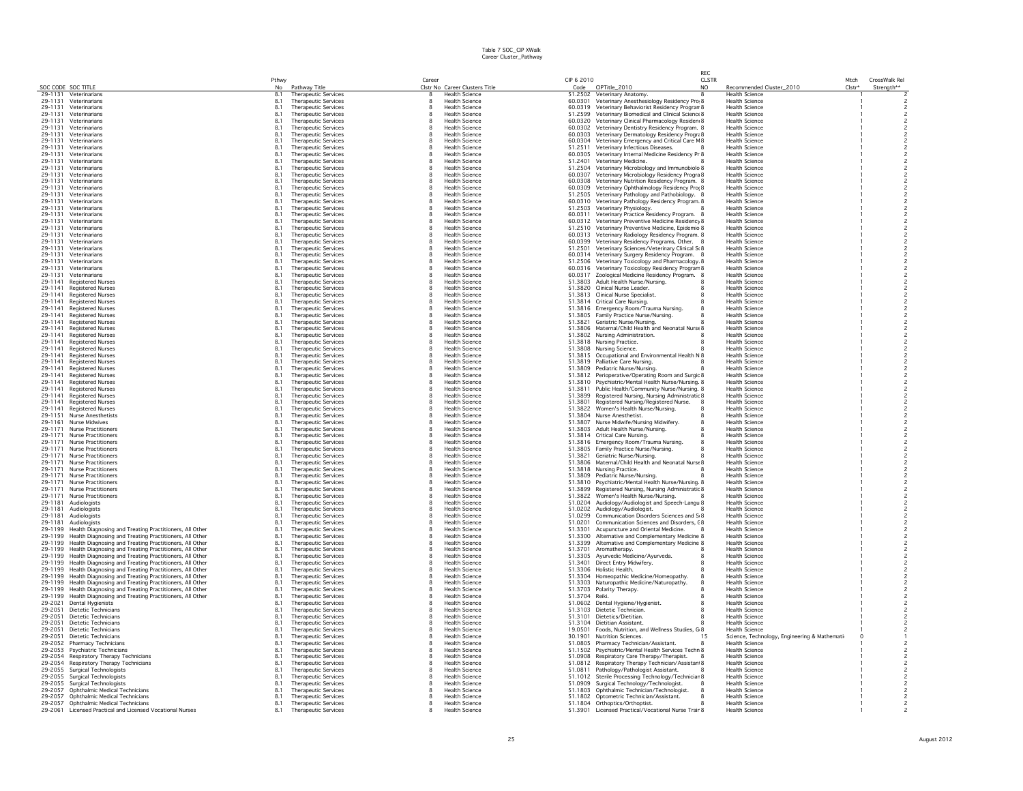|                               |                                                                                                                                    |            |                                                            |              |                                                         |                    |                                                                                                      | RFC          |                                                   |          |               |                                  |
|-------------------------------|------------------------------------------------------------------------------------------------------------------------------------|------------|------------------------------------------------------------|--------------|---------------------------------------------------------|--------------------|------------------------------------------------------------------------------------------------------|--------------|---------------------------------------------------|----------|---------------|----------------------------------|
|                               |                                                                                                                                    | Pthwy      |                                                            | Career       |                                                         | CIP 6 2010         |                                                                                                      | <b>CLSTR</b> |                                                   | Mtch     | CrossWalk Rel |                                  |
| SOC CODE SOC TITLE<br>29-1131 | Veterinarians                                                                                                                      | No<br>8.1  | Pathway Title<br><b>Therapeutic Services</b>               | я.           | Clstr No Career Clusters Title<br><b>Health Science</b> | Code               | CIPTitle_2010<br>51.2502 Veterinary Anatomy.                                                         | NO.          | Recommended Cluster_2010<br><b>Health Science</b> | $Clstr*$ | Strength**    |                                  |
| 29-1131                       | Veterinarians                                                                                                                      | 8.1        | <b>Therapeutic Services</b>                                | 8            | <b>Health Science</b>                                   |                    | 60.0301 Veterinary Anesthesiology Residency Pro 8                                                    |              | <b>Health Science</b>                             |          |               |                                  |
| 29-1131                       | Veterinarians                                                                                                                      | 8.1        | <b>Therapeutic Services</b>                                | 8            | <b>Health Science</b>                                   |                    | 60.0319 Veterinary Behaviorist Residency Program 8                                                   |              | <b>Health Science</b>                             |          |               |                                  |
| 29-1131                       | Veterinarians                                                                                                                      | 8.1        | <b>Therapeutic Services</b>                                | 8            | <b>Health Science</b>                                   |                    | 51.2599 Veterinary Biomedical and Clinical Science 8                                                 |              | <b>Health Science</b>                             |          |               |                                  |
| 29-1131                       | Veterinarians                                                                                                                      | 8.1        | Therapeutic Services                                       | 8            | <b>Health Science</b>                                   |                    | 60.0320 Veterinary Clinical Pharmacology Residen 8                                                   |              | <b>Health Science</b>                             |          |               |                                  |
| 29-1131                       | Veterinarians                                                                                                                      | 8.1        | <b>Therapeutic Services</b>                                |              | <b>Health Science</b>                                   |                    | 60.0302 Veterinary Dentistry Residency Program. 8                                                    |              | <b>Health Science</b>                             |          |               |                                  |
| 29-1131                       | Veterinarians                                                                                                                      | 8.1        | <b>Therapeutic Services</b>                                |              | <b>Health Science</b>                                   |                    | 60.0303 Veterinary Dermatology Residency Progra 8                                                    |              | <b>Health Science</b>                             |          |               |                                  |
| 29-1131                       | Veterinarians                                                                                                                      | 8.1        | Therapeutic Services                                       | 8            | <b>Health Science</b>                                   | 60.0304            | Veterinary Emergency and Critical Care M 8                                                           |              | <b>Health Science</b>                             |          |               |                                  |
| 29-1131                       | Veterinarians                                                                                                                      | 8.1        | Therapeutic Services                                       |              | <b>Health Science</b>                                   |                    | 51.2511 Veterinary Infectious Diseases.                                                              |              | <b>Health Science</b>                             |          |               |                                  |
| 29-1131                       | Veterinarians                                                                                                                      | 8.1        | <b>Therapeutic Services</b>                                | 8            | <b>Health Science</b>                                   |                    | 60.0305 Veterinary Internal Medicine Residency Pr 8                                                  |              | <b>Health Science</b>                             |          |               |                                  |
| 29-1131<br>29-1131            | Veterinarians<br>Veterinarians                                                                                                     | 8.1<br>8.1 | <b>Therapeutic Services</b><br><b>Therapeutic Services</b> | 8            | <b>Health Science</b><br><b>Health Science</b>          | 51.2504            | 51.2401 Veterinary Medicine.                                                                         |              | <b>Health Science</b><br><b>Health Science</b>    |          |               |                                  |
| 29-1131                       | Veterinarians                                                                                                                      | 8.1        | <b>Therapeutic Services</b>                                |              | <b>Health Science</b>                                   | 60.0307            | Veterinary Microbiology and Immunobiolo 8                                                            |              | <b>Health Science</b>                             |          |               |                                  |
| 29-1131                       | Veterinarians                                                                                                                      | 8.1        | Therapeutic Services                                       | 8            | <b>Health Science</b>                                   |                    | Veterinary Microbiology Residency Progra 8<br>60.0308 Veterinary Nutrition Residency Program. 8      |              | <b>Health Science</b>                             |          |               |                                  |
| 29-1131                       | Veterinarians                                                                                                                      | 8.1        | <b>Therapeutic Services</b>                                | 8            | <b>Health Science</b>                                   |                    | 60.0309 Veterinary Ophthalmology Residency Pro: 8                                                    |              | <b>Health Science</b>                             |          |               | $\overline{c}$                   |
| 29-1131                       | Veterinarians                                                                                                                      | 8.1        | Therapeutic Services                                       |              | <b>Health Science</b>                                   |                    | 51.2505 Veterinary Pathology and Pathobiology. 8                                                     |              | <b>Health Science</b>                             |          |               |                                  |
| 29-1131                       | Veterinarians                                                                                                                      | 8.1        | <b>Therapeutic Services</b>                                |              | <b>Health Science</b>                                   |                    | 60.0310 Veterinary Pathology Residency Program. 8                                                    |              | <b>Health Science</b>                             |          |               |                                  |
| 29-1131                       | Veterinarians                                                                                                                      | 8.1        | Therapeutic Services                                       |              | <b>Health Science</b>                                   |                    | 51.2503 Veterinary Physiology.                                                                       |              | <b>Health Science</b>                             |          |               |                                  |
| 29-1131                       | Veterinarians                                                                                                                      | 8.1        | <b>Therapeutic Services</b>                                | 8            | <b>Health Science</b>                                   |                    | 60.0311 Veterinary Practice Residency Program. 8                                                     |              | <b>Health Science</b>                             |          |               |                                  |
| 29-1131                       | Veterinarians                                                                                                                      | 8.1        | <b>Therapeutic Services</b>                                |              | <b>Health Science</b>                                   |                    | 60.0312 Veterinary Preventive Medicine Residency 8                                                   |              | <b>Health Science</b>                             |          |               |                                  |
| 29-1131                       | Veterinarians                                                                                                                      | 8.1        | <b>Therapeutic Services</b>                                | 8            | <b>Health Science</b>                                   |                    | 51.2510 Veterinary Preventive Medicine, Epidemio 8                                                   |              | <b>Health Science</b>                             |          |               | $\overline{c}$                   |
| 29-1131                       | Veterinarians                                                                                                                      | 8.1        | <b>Therapeutic Services</b>                                | 8            | <b>Health Science</b>                                   |                    | 60.0313 Veterinary Radiology Residency Program. 8                                                    |              | <b>Health Science</b>                             |          |               |                                  |
| 29-1131                       | Veterinarians                                                                                                                      | 8.1        | <b>Therapeutic Services</b>                                | 8            | <b>Health Science</b>                                   |                    | 60.0399 Veterinary Residency Programs, Other. 8                                                      |              | <b>Health Science</b>                             |          |               |                                  |
| 29-1131                       | Veterinarians                                                                                                                      | 8.1        | Therapeutic Services                                       | 8            | <b>Health Science</b>                                   |                    | 51.2501 Veterinary Sciences/Veterinary Clinical St 8                                                 |              | <b>Health Science</b>                             |          |               | $\overline{c}$                   |
| 29-1131<br>29-1131            | Veterinarians<br>Veterinarians                                                                                                     | 8.1<br>8.1 | <b>Therapeutic Services</b><br><b>Therapeutic Services</b> | 8            | <b>Health Science</b><br><b>Health Science</b>          |                    | 60.0314 Veterinary Surgery Residency Program. 8<br>51.2506 Veterinary Toxicology and Pharmacology. 8 |              | <b>Health Science</b><br><b>Health Science</b>    |          |               | $\overline{c}$                   |
| 29-1131                       | Veterinarians                                                                                                                      | 8.         | <b>Therapeutic Services</b>                                |              | <b>Health Science</b>                                   |                    | 60.0316 Veterinary Toxicology Residency Program 8                                                    |              | <b>Health Science</b>                             |          |               |                                  |
| 29-1131                       | Veterinarians                                                                                                                      | 8.1        | Therapeutic Services                                       | 8            | <b>Health Science</b>                                   |                    | 60.0317 Zoological Medicine Residency Program. 8                                                     |              | <b>Health Science</b>                             |          |               |                                  |
| 29-1141                       | <b>Registered Nurses</b>                                                                                                           | 8.1        | <b>Therapeutic Services</b>                                | 8            | <b>Health Science</b>                                   |                    | 51.3803 Adult Health Nurse/Nursing.                                                                  |              | <b>Health Science</b>                             |          |               | $\overline{c}$                   |
| 29-1141                       | <b>Registered Nurses</b>                                                                                                           | 8.1        | <b>Therapeutic Services</b>                                | 8            | <b>Health Science</b>                                   |                    | 51.3820 Clinical Nurse Leader.                                                                       |              | <b>Health Science</b>                             |          |               | $\overline{c}$                   |
| 29-1141                       | <b>Registered Nurses</b>                                                                                                           | 8.1        | <b>Therapeutic Services</b>                                | 8            | <b>Health Science</b>                                   |                    | 51.3813 Clinical Nurse Specialist.                                                                   |              | <b>Health Science</b>                             |          |               |                                  |
| 29-1141                       | <b>Registered Nurses</b>                                                                                                           | 8.1        | <b>Therapeutic Services</b>                                | 8            | <b>Health Science</b>                                   |                    | 51.3814 Critical Care Nursing.                                                                       |              | <b>Health Science</b>                             |          |               | $\overline{\phantom{a}}$         |
| 29-1141                       | <b>Registered Nurses</b>                                                                                                           | 8.1        | <b>Therapeutic Services</b>                                | 8            | <b>Health Science</b>                                   |                    | 51.3816 Emergency Room/Trauma Nursing.                                                               |              | <b>Health Science</b>                             |          |               | $\overline{c}$                   |
| 29-1141                       | <b>Registered Nurses</b>                                                                                                           | 8.1        | Therapeutic Services                                       | 8            | <b>Health Science</b>                                   |                    | 51.3805 Family Practice Nurse/Nursing.                                                               |              | <b>Health Science</b>                             |          |               |                                  |
| 29-1141                       | <b>Registered Nurses</b>                                                                                                           | 8.1        | <b>Therapeutic Services</b>                                |              | <b>Health Science</b>                                   | 51.3821            | Geriatric Nurse/Nursing.                                                                             |              | <b>Health Science</b>                             |          |               |                                  |
| 29-1141                       | <b>Registered Nurses</b>                                                                                                           | 8.<br>8.1  | <b>Therapeutic Services</b>                                |              | <b>Health Science</b>                                   |                    | 51.3806 Maternal/Child Health and Neonatal Nurse 8                                                   |              | <b>Health Science</b>                             |          |               |                                  |
| 29-1141<br>29-1141            | <b>Registered Nurses</b><br><b>Registered Nurses</b>                                                                               | 8.1        | <b>Therapeutic Services</b><br>Therapeutic Services        |              | <b>Health Science</b><br><b>Health Science</b>          |                    | 51.3802 Nursing Administration.<br>51.3818 Nursing Practice.                                         |              | <b>Health Science</b><br><b>Health Science</b>    |          |               |                                  |
| 29-1141                       | <b>Registered Nurses</b>                                                                                                           | 8.1        | <b>Therapeutic Services</b>                                | 8            | <b>Health Science</b>                                   |                    | 51.3808 Nursing Science.                                                                             |              | <b>Health Science</b>                             |          |               |                                  |
| 29-1141                       | <b>Registered Nurses</b>                                                                                                           | 8.1        | <b>Therapeutic Services</b>                                |              | <b>Health Science</b>                                   |                    | 51.3815 Occupational and Environmental Health N 8                                                    |              | <b>Health Science</b>                             |          |               | $\overline{c}$                   |
| 29-1141                       | <b>Registered Nurses</b>                                                                                                           | 8.1        | <b>Therapeutic Services</b>                                | R            | <b>Health Science</b>                                   |                    | 51.3819 Palliative Care Nursing.                                                                     |              | <b>Health Science</b>                             |          |               | $\overline{\phantom{a}}$         |
| 29-1141                       | <b>Registered Nurses</b>                                                                                                           | 8.1        | <b>Therapeutic Services</b>                                |              | <b>Health Science</b>                                   |                    | 51.3809 Pediatric Nurse/Nursing.                                                                     |              | <b>Health Science</b>                             |          |               |                                  |
| 29-1141                       | <b>Registered Nurses</b>                                                                                                           | 8.1        | <b>Therapeutic Services</b>                                | R            | <b>Health Science</b>                                   |                    | 51.3812 Perioperative/Operating Room and Surgic 8                                                    |              | <b>Health Science</b>                             |          |               |                                  |
| 29-1141                       | <b>Registered Nurses</b>                                                                                                           | 8.1        | <b>Therapeutic Services</b>                                | R            | <b>Health Science</b>                                   |                    | 51.3810 Psychiatric/Mental Health Nurse/Nursing. 8                                                   |              | <b>Health Science</b>                             |          |               |                                  |
| 29-1141                       | <b>Registered Nurses</b>                                                                                                           | 8.         | <b>Therapeutic Services</b>                                |              | <b>Health Science</b>                                   |                    | 51.3811 Public Health/Community Nurse/Nursing. 8                                                     |              | <b>Health Science</b>                             |          |               |                                  |
| 29-1141                       | <b>Registered Nurses</b>                                                                                                           | 8.1        | <b>Therapeutic Services</b>                                |              | <b>Health Science</b>                                   | 51.3899            | Registered Nursing, Nursing Administratic 8                                                          |              | <b>Health Science</b>                             |          |               |                                  |
| 29-1141                       | <b>Registered Nurses</b>                                                                                                           | 8.1        | Therapeutic Services                                       |              | <b>Health Science</b>                                   |                    | 51.3801 Registered Nursing/Registered Nurse.                                                         |              | <b>Health Science</b>                             |          |               |                                  |
| 29-1141<br>29-1151            | <b>Registered Nurses</b>                                                                                                           | 8.1        | <b>Therapeutic Services</b>                                | 8            | <b>Health Science</b>                                   | 51.3822            | Women's Health Nurse/Nursing.                                                                        |              | <b>Health Science</b>                             |          |               |                                  |
| 29-1161                       | <b>Nurse Anesthetists</b>                                                                                                          | 8.1<br>8.1 | <b>Therapeutic Services</b>                                |              | <b>Health Science</b>                                   |                    | 51.3804 Nurse Anesthetist.<br>51.3807 Nurse Midwife/Nursing Midwiferv.                               |              | <b>Health Science</b>                             |          |               |                                  |
| 29-1171                       | Nurse Midwives<br><b>Nurse Practitioners</b>                                                                                       | 8.1        | <b>Therapeutic Services</b><br><b>Therapeutic Services</b> |              | <b>Health Science</b><br><b>Health Science</b>          |                    | 51.3803 Adult Health Nurse/Nursing                                                                   |              | <b>Health Science</b><br><b>Health Science</b>    |          |               |                                  |
| 29-1171                       | <b>Nurse Practitioners</b>                                                                                                         | 8.1        | <b>Therapeutic Services</b>                                | 8            | <b>Health Science</b>                                   |                    | 51.3814 Critical Care Nursing                                                                        |              | <b>Health Science</b>                             |          |               |                                  |
| 29-1171                       | <b>Nurse Practitioners</b>                                                                                                         | 8.1        | Therapeutic Services                                       |              | <b>Health Science</b>                                   | 51,3816            | Emergency Room/Trauma Nursing.                                                                       |              | <b>Health Science</b>                             |          |               |                                  |
| 29-1171                       | <b>Nurse Practitioners</b>                                                                                                         | 8.         | <b>Therapeutic Services</b>                                |              | <b>Health Science</b>                                   |                    | 51.3805 Family Practice Nurse/Nursing.                                                               |              | <b>Health Science</b>                             |          |               |                                  |
| 29-1171                       | <b>Nurse Practitioners</b>                                                                                                         | 8.1        | <b>Therapeutic Services</b>                                | 8            | <b>Health Science</b>                                   | 51.3821            | Geriatric Nurse/Nursing.                                                                             |              | <b>Health Science</b>                             |          |               | $\overline{c}$                   |
| 29-1171                       | <b>Nurse Practitioners</b>                                                                                                         | 8.         | <b>Therapeutic Services</b>                                |              | <b>Health Science</b>                                   |                    | 51.3806 Maternal/Child Health and Neonatal Nurse 8                                                   |              | <b>Health Science</b>                             |          |               |                                  |
| 29-1171                       | <b>Nurse Practitioners</b>                                                                                                         | 8.1        | <b>Therapeutic Services</b>                                | 8            | <b>Health Science</b>                                   |                    | 51.3818 Nursing Practice.                                                                            |              | <b>Health Science</b>                             |          |               |                                  |
| 29-1171                       | <b>Nurse Practitioners</b>                                                                                                         | 8.1        | <b>Therapeutic Services</b>                                | 8            | <b>Health Science</b>                                   |                    | 51.3809 Pediatric Nurse/Nursing.                                                                     |              | <b>Health Science</b>                             |          |               |                                  |
| 29-1171                       | <b>Nurse Practitioners</b>                                                                                                         | 8.1        | <b>Therapeutic Services</b>                                |              | <b>Health Science</b>                                   |                    | 51.3810 Psychiatric/Mental Health Nurse/Nursing, 8                                                   |              | <b>Health Science</b>                             |          |               |                                  |
| 29-1171                       | <b>Nurse Practitioners</b>                                                                                                         | 8.1<br>8.1 | Therapeutic Services                                       |              | <b>Health Science</b>                                   | 51.3899            | Registered Nursing, Nursing Administratic 8                                                          |              | <b>Health Science</b>                             |          |               |                                  |
| 29-1171                       | Nurse Practitioners                                                                                                                |            | <b>Therapeutic Services</b>                                | 8            | <b>Health Science</b>                                   |                    | 51.3822 Women's Health Nurse/Nursing                                                                 |              | <b>Health Science</b>                             |          |               | $\overline{\phantom{0}}$         |
| 29-1181<br>29-1181            | Audiologists<br>Audiologists                                                                                                       | 8.1<br>8.1 | <b>Therapeutic Services</b><br>Therapeutic Services        | 8<br>R       | <b>Health Science</b><br><b>Health Science</b>          | 51.0204            | Audiology/Audiologist and Speech-Langu 8<br>51.0202 Audiology/Audiologist.                           |              | <b>Health Science</b><br><b>Health Science</b>    |          |               | $\overline{c}$                   |
| 29-1181                       | Audiologists                                                                                                                       | 8.1        | <b>Therapeutic Services</b>                                |              | <b>Health Science</b>                                   | 51.0299            | Communication Disorders Sciences and S 8                                                             |              | <b>Health Science</b>                             |          |               |                                  |
| 29-1181                       | Audiologists                                                                                                                       | 8.1        | <b>Therapeutic Services</b>                                |              | <b>Health Science</b>                                   | 51.0201            | Communication Sciences and Disorders, C8                                                             |              | <b>Health Science</b>                             |          |               |                                  |
| 29-1199                       | Health Diagnosing and Treating Practitioners, All Other                                                                            | 8.1        | <b>Therapeutic Services</b>                                |              | <b>Health Science</b>                                   | 51.3301            | Acupuncture and Oriental Medicine.                                                                   |              | <b>Health Science</b>                             |          |               |                                  |
| 29-1199                       | Health Diagnosing and Treating Practitioners, All Other                                                                            | 8.1        | Therapeutic Services                                       |              | <b>Health Science</b>                                   | 51,3300            | Alternative and Complementary Medicine 8                                                             |              | <b>Health Science</b>                             |          |               |                                  |
| 29-1199                       | Health Diagnosing and Treating Practitioners, All Other                                                                            | 8.1        | <b>Therapeutic Services</b>                                | 8            | <b>Health Science</b>                                   | 51.3399            | Alternative and Complementary Medicine 8                                                             |              | <b>Health Science</b>                             |          |               |                                  |
|                               | 29-1199 Health Diagnosing and Treating Practitioners, All Other                                                                    | 8.1        | Therapeutic Services                                       |              | <b>Health Science</b>                                   |                    | 51.3701 Aromatherapy.                                                                                |              | <b>Health Science</b>                             |          |               | $\overline{c}$                   |
|                               | 29-1199 Health Diagnosing and Treating Practitioners, All Other                                                                    | 8.1        | <b>Therapeutic Services</b>                                | $\mathbf{R}$ | <b>Health Science</b>                                   | 51.3305            | Ayurvedic Medicine/Ayurveda.                                                                         |              | <b>Health Science</b>                             |          |               | $\overline{\phantom{a}}$         |
| 29-1199                       | Health Diagnosing and Treating Practitioners, All Other                                                                            | 8.1<br>8.1 | Therapeutic Services                                       | 8            | <b>Health Science</b>                                   | 51.3401<br>51.3306 | Direct Entry Midwifery.                                                                              |              | <b>Health Science</b>                             |          |               | $\overline{c}$                   |
|                               | 29-1199 Health Diagnosing and Treating Practitioners, All Other                                                                    |            | <b>Therapeutic Services</b>                                | 8            | <b>Health Science</b>                                   |                    | Holistic Health.                                                                                     |              | <b>Health Science</b>                             |          |               | $\overline{\phantom{a}}$         |
|                               | 29-1199 Health Diagnosing and Treating Practitioners, All Other<br>29-1199 Health Diagnosing and Treating Practitioners, All Other | 8.1<br>8.1 | <b>Therapeutic Services</b><br>Therapeutic Services        | R            | <b>Health Science</b><br><b>Health Science</b>          | 51.3304            | Homeopathic Medicine/Homeopathy.<br>51.3303 Naturopathic Medicine/Naturopathy.                       |              | <b>Health Science</b><br><b>Health Science</b>    |          |               | $\overline{c}$<br>$\overline{c}$ |
| 29-1199                       | Health Diagnosing and Treating Practitioners, All Other                                                                            | 8.1        | <b>Therapeutic Services</b>                                |              | <b>Health Science</b>                                   |                    | 51.3703 Polarity Therapy.                                                                            |              | <b>Health Science</b>                             |          |               |                                  |
| 29-1199                       | Health Diagnosing and Treating Practitioners, All Other                                                                            | 8.1        | Therapeutic Services                                       |              | <b>Health Science</b>                                   | 51.3704 Reiki      |                                                                                                      |              | <b>Health Science</b>                             |          |               |                                  |
| 29-2021                       | Dental Hygienists                                                                                                                  | 8.1        | <b>Therapeutic Services</b>                                |              | <b>Health Science</b>                                   |                    | 51.0602 Dental Hygiene/Hygienist.                                                                    |              | <b>Health Science</b>                             |          |               |                                  |
| 29-2051                       | Dietetic Technicians                                                                                                               | 8.1        | <b>Therapeutic Services</b>                                |              | <b>Health Science</b>                                   |                    | 51.3103 Dietetic Technician.                                                                         |              | <b>Health Science</b>                             |          |               |                                  |
| 29-2051                       | Dietetic Technicians                                                                                                               | 8.1        | <b>Therapeutic Services</b>                                |              | <b>Health Science</b>                                   | 51.3101            | Dietetics/Dietitian.                                                                                 |              | <b>Health Science</b>                             |          |               |                                  |
| 29-2051                       | Dietetic Technicians                                                                                                               | 8.1        | <b>Therapeutic Services</b>                                |              | <b>Health Science</b>                                   | 51.3104            | Dietitian Assistant.                                                                                 |              | <b>Health Science</b>                             |          |               |                                  |
| 29-2051                       | Dietetic Technicians                                                                                                               | 8.1        | <b>Therapeutic Services</b>                                | 8            | <b>Health Science</b>                                   | 19.0501            | Foods, Nutrition, and Wellness Studies, G 8                                                          |              | <b>Health Science</b>                             |          |               |                                  |
| 29-2051                       | Dietetic Technicians                                                                                                               | 8.1        | Therapeutic Services                                       |              | <b>Health Science</b>                                   | 30.1901            | Nutrition Sciences.                                                                                  | 15           | Science, Technology, Engineering & Mathemati-     |          |               |                                  |
| 29-2052                       | Pharmacy Technicians                                                                                                               | 8.1        | <b>Therapeutic Services</b>                                | 8            | <b>Health Science</b>                                   | 51,0805            | Pharmacy Technician/Assistant.                                                                       |              | <b>Health Science</b>                             |          |               |                                  |
| 29-2053                       | Psychiatric Technicians                                                                                                            | 8.1        | Therapeutic Services                                       | 8            | <b>Health Science</b>                                   | 51.1502            | Psychiatric/Mental Health Services Techn 8                                                           |              | <b>Health Science</b>                             |          |               |                                  |
| 29-2054<br>29-2054            | Respiratory Therapy Technicians<br>Respiratory Therapy Technicians                                                                 | 8.<br>8.1  | <b>Therapeutic Services</b><br><b>Therapeutic Services</b> |              | <b>Health Science</b><br><b>Health Science</b>          | 51.0908            | Respiratory Care Therapy/Therapist.<br>51.0812 Respiratory Therapy Technician/Assistan 8             |              | <b>Health Science</b><br><b>Health Science</b>    |          |               |                                  |
|                               | 29-2055 Surgical Technologists                                                                                                     | 8.1        | <b>Therapeutic Services</b>                                |              | <b>Health Science</b>                                   |                    | 51.0811 Pathology/Pathologist Assistant.                                                             |              | <b>Health Science</b>                             |          |               |                                  |
| 29-2055                       | <b>Surgical Technologists</b>                                                                                                      | 8.         | Therapeutic Services                                       |              | <b>Health Science</b>                                   |                    | 51.1012 Sterile Processing Technology/Techniciar 8                                                   |              | <b>Health Science</b>                             |          |               |                                  |
|                               | 29-2055 Surgical Technologists                                                                                                     | 8.1        | <b>Therapeutic Services</b>                                |              | <b>Health Science</b>                                   | 51.0909            | Surgical Technology/Technologist.                                                                    |              | <b>Health Science</b>                             |          |               |                                  |
| 29-2057                       | Ophthalmic Medical Technicians                                                                                                     | 8.1        | <b>Therapeutic Services</b>                                |              | <b>Health Science</b>                                   |                    | 51.1803 Ophthalmic Technician/Technologist.<br>-8                                                    |              | <b>Health Science</b>                             |          |               |                                  |
|                               | 29-2057 Ophthalmic Medical Technicians                                                                                             | 8.1        | <b>Therapeutic Services</b>                                | 8            | <b>Health Science</b>                                   |                    | 51.1802 Optometric Technician/Assistant.                                                             |              | <b>Health Science</b>                             |          |               |                                  |
|                               | 29-2057 Ophthalmic Medical Technicians                                                                                             | 8.1        | <b>Therapeutic Services</b>                                | R            | <b>Health Science</b>                                   |                    | 51.1804 Orthoptics/Orthoptist.                                                                       |              | <b>Health Science</b>                             |          |               |                                  |
| 29-2061                       | Licensed Practical and Licensed Vocational Nurses                                                                                  | 8.1        | <b>Therapeutic Services</b>                                | $\mathbf{R}$ | <b>Health Science</b>                                   |                    | 51.3901 Licensed Practical/Vocational Nurse Trair 8                                                  |              | <b>Health Science</b>                             |          |               |                                  |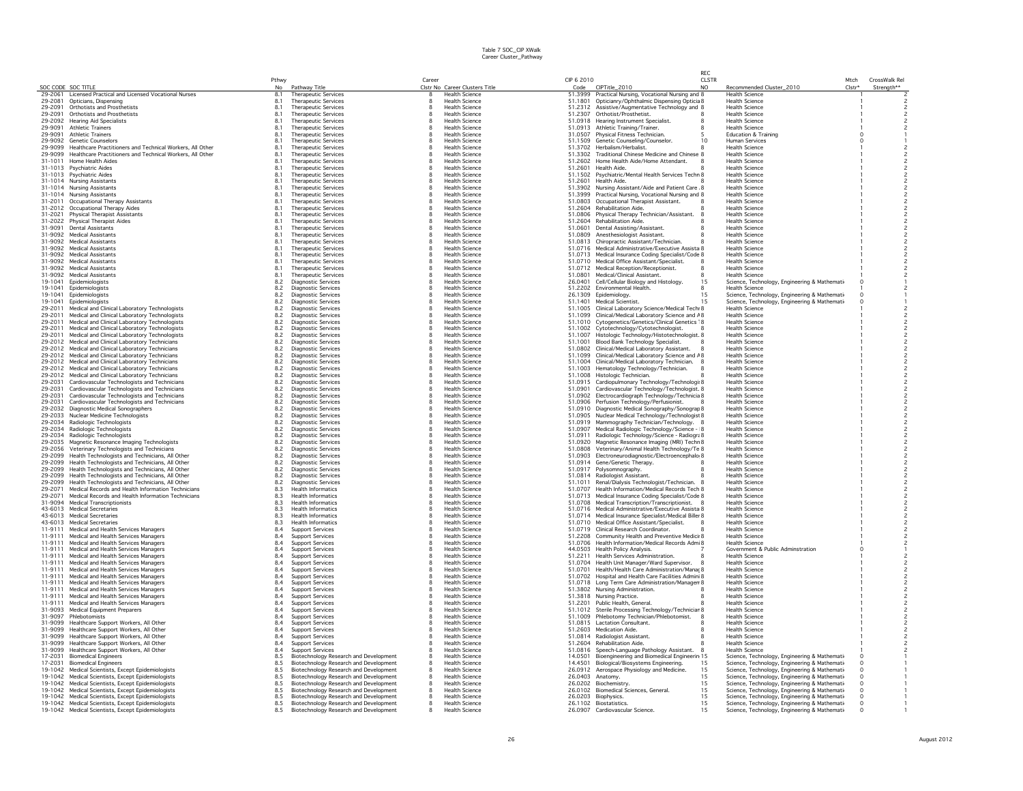|                    |                                                                                        |                |                                                         |        |                                                |                    |                                                                                                         | RFC          |                                                                       |          |                |
|--------------------|----------------------------------------------------------------------------------------|----------------|---------------------------------------------------------|--------|------------------------------------------------|--------------------|---------------------------------------------------------------------------------------------------------|--------------|-----------------------------------------------------------------------|----------|----------------|
|                    |                                                                                        | Pthwy          |                                                         | Career |                                                | CIP 6 2010         |                                                                                                         | <b>CLSTR</b> |                                                                       | Mtch     | CrossWalk Rel  |
| SOC CODE SOC TITLE |                                                                                        | No             | Pathway Title                                           |        | Clstr No Career Clusters Title                 |                    | Code CIPTitle_2010                                                                                      | NO.          | Recommended Cluster_2010                                              | Clstr*   | Strength**     |
|                    | 29-2061 Licensed Practical and Licensed Vocational Nurses                              | 8.1            | <b>Therapeutic Services</b>                             |        | <b>Health Science</b>                          |                    | 51.3999 Practical Nursing, Vocational Nursing and 8                                                     |              | Health Science                                                        |          |                |
| 29-2081            | Opticians, Dispensing                                                                  | 8.1            | Therapeutic Services                                    |        | <b>Health Science</b>                          |                    | 51.1801 Opticianry/Ophthalmic Dispensing Opticia 8                                                      |              | <b>Health Science</b>                                                 |          |                |
| 29-2091            | Orthotists and Prosthetists                                                            | 8.1            | <b>Therapeutic Services</b>                             | 8      | <b>Health Science</b>                          |                    | 51.2312 Assistive/Augmentative Technology and 8                                                         |              | <b>Health Science</b>                                                 |          |                |
| 29-2091            | Orthotists and Prosthetists                                                            | 8.1            | Therapeutic Services                                    |        | <b>Health Science</b>                          |                    | 51.2307 Orthotist/Prosthetist.                                                                          |              | <b>Health Science</b><br><b>Health Science</b>                        |          |                |
|                    | 29-2092 Hearing Aid Specialists                                                        | 8.1            | Therapeutic Services<br>Therapeutic Services            |        | Health Science<br><b>Health Science</b>        |                    | 51.0918 Hearing Instrument Specialist.                                                                  |              |                                                                       |          |                |
| 29-9091<br>29-9091 | <b>Athletic Trainers</b><br><b>Athletic Trainers</b>                                   | 8.1            |                                                         |        | <b>Health Science</b>                          |                    | 51.0913 Athletic Training/Trainer.                                                                      |              | <b>Health Science</b>                                                 |          |                |
| 29-9092            | Genetic Counselors                                                                     | 8.1<br>8.1     | Therapeutic Services<br>Therapeutic Services            |        | <b>Health Science</b>                          |                    | 31.0507 Physical Fitness Technician.<br>51.1509 Genetic Counseling/Counselor.                           | 10           | <b>Education &amp; Training</b><br><b>Human Services</b>              |          |                |
| 29-9099            | Healthcare Practitioners and Technical Workers, All Other                              | 8.1            | Therapeutic Services                                    |        | <b>Health Science</b>                          |                    | 51.3702 Herbalism/Herbalist.                                                                            |              | <b>Health Science</b>                                                 |          |                |
| 29-9099            | Healthcare Practitioners and Technical Workers, All Other                              | 8.1            | Therapeutic Services                                    |        | <b>Health Science</b>                          |                    | 51.3302 Traditional Chinese Medicine and Chinese 8                                                      |              | <b>Health Science</b>                                                 |          |                |
| 31-1011            | Home Health Aides                                                                      | 8.1            | <b>Therapeutic Services</b>                             |        | <b>Health Science</b>                          |                    | 51.2602 Home Health Aide/Home Attendant.                                                                |              | <b>Health Science</b>                                                 |          |                |
|                    | 31-1013 Psychiatric Aides                                                              | 8.1            | <b>Therapeutic Services</b>                             |        | <b>Health Science</b>                          | 51,2601            | Health Aide                                                                                             |              | <b>Health Science</b>                                                 |          |                |
|                    | 31-1013 Psychiatric Aides                                                              | 8.1            | Therapeutic Services                                    |        | <b>Health Science</b>                          | 51.1502            | Psychiatric/Mental Health Services Techn 8                                                              |              | <b>Health Science</b>                                                 |          |                |
|                    | 31-1014 Nursing Assistants                                                             | 8.1            | <b>Therapeutic Services</b>                             |        | <b>Health Science</b>                          | 51.2601            | Health Aide.                                                                                            |              | Health Science                                                        |          |                |
|                    | 31-1014 Nursing Assistants                                                             | 8.1            | Therapeutic Services                                    |        | <b>Health Science</b>                          | 51.3902            | Nursing Assistant/Aide and Patient Care 8                                                               |              | <b>Health Science</b>                                                 |          |                |
|                    | 31-1014 Nursing Assistants                                                             | 8.1            | Therapeutic Services                                    |        | <b>Health Science</b>                          |                    | 51.3999 Practical Nursing, Vocational Nursing and 8                                                     |              | <b>Health Science</b>                                                 |          |                |
|                    | 31-2011 Occupational Therapy Assistants                                                | 8.1            | Therapeutic Services                                    |        | <b>Health Science</b>                          |                    | 51.0803 Occupational Therapist Assistant.                                                               |              | <b>Health Science</b>                                                 |          |                |
| 31-2012            | Occupational Therapy Aides                                                             | 8.1            | Therapeutic Services                                    |        | <b>Health Science</b>                          |                    | 51.2604 Rehabilitation Aide.                                                                            |              | <b>Health Science</b>                                                 |          |                |
| 31-2021            | <b>Physical Therapist Assistants</b>                                                   | 8.1            | <b>Therapeutic Services</b>                             |        | Health Science                                 |                    | 51.0806 Physical Therapy Technician/Assistant.                                                          |              | <b>Health Science</b>                                                 |          |                |
| 31-2022            | <b>Physical Therapist Aides</b>                                                        | 8.1            | Therapeutic Services                                    |        | <b>Health Science</b>                          |                    | 51.2604 Rehabilitation Aide.                                                                            |              | <b>Health Science</b>                                                 |          |                |
| 31-9091            | <b>Dental Assistants</b>                                                               | 8.1            | Therapeutic Services                                    |        | Health Science                                 | 51.0601            | Dental Assisting/Assistant.                                                                             |              | <b>Health Science</b>                                                 |          | $\overline{c}$ |
| 31-9092            | <b>Medical Assistants</b>                                                              | 8.1            | <b>Therapeutic Services</b>                             |        | <b>Health Science</b>                          | 51.0809            | Anesthesiologist Assistant.                                                                             |              | <b>Health Science</b>                                                 |          |                |
|                    | 31-9092 Medical Assistants                                                             | 8.1            | Therapeutic Services                                    |        | <b>Health Science</b>                          |                    | 51.0813 Chiropractic Assistant/Technician.                                                              |              | <b>Health Science</b>                                                 |          |                |
| 31-9092            | <b>Medical Assistants</b>                                                              | 8.1            | Therapeutic Services                                    |        | <b>Health Science</b>                          | 51.0716            | Medical Administrative/Executive Assista 8                                                              |              | <b>Health Science</b>                                                 |          |                |
| 31-9092            | <b>Medical Assistants</b>                                                              | 8.1            | Therapeutic Services                                    |        | <b>Health Science</b>                          | 51.0713            | Medical Insurance Coding Specialist/Code 8                                                              |              | <b>Health Science</b>                                                 |          |                |
| 31-9092<br>31-9092 | <b>Medical Assistants</b>                                                              | 8.1            | <b>Therapeutic Services</b>                             |        | <b>Health Science</b>                          |                    | 51.0710 Medical Office Assistant/Specialist.                                                            |              | <b>Health Science</b><br><b>Health Science</b>                        |          |                |
|                    | Medical Assistants                                                                     | 8.1            | Therapeutic Services                                    |        | <b>Health Science</b>                          |                    | 51.0712 Medical Reception/Receptionist.                                                                 |              |                                                                       |          |                |
| 19-1041            | 31-9092 Medical Assistants                                                             | 8.1<br>8.2     | Therapeutic Services                                    |        | <b>Health Science</b><br><b>Health Science</b> | 51,0801            | Medical/Clinical Assistant.                                                                             |              | <b>Health Science</b>                                                 |          |                |
| 19-1041            | Epidemiologists                                                                        |                | <b>Diagnostic Services</b>                              |        |                                                |                    | 26.0401 Cell/Cellular Biology and Histology.<br>51.2202 Environmental Health.                           | 15           | Science, Technology, Engineering & Mathemati                          |          |                |
| 19-1041            | Epidemiologists                                                                        | 8.2            | <b>Diagnostic Services</b>                              |        | <b>Health Science</b><br><b>Health Science</b> |                    |                                                                                                         | 15           | <b>Health Science</b>                                                 |          |                |
| 19-1041            | Epidemiologists                                                                        | 8.2            | <b>Diagnostic Services</b>                              |        | <b>Health Science</b>                          | 51.1401            | 26.1309 Epidemiology.<br><b>Medical Scientist</b>                                                       | 15           | Science, Technology, Engineering & Mathemati-                         |          |                |
| 29-2011            | Epidemiologists<br>Medical and Clinical Laboratory Technologists                       | 8.2<br>8.2     | Diagnostic Services<br><b>Diagnostic Services</b>       |        | <b>Health Science</b>                          |                    | 51.1005 Clinical Laboratory Science/Medical Techr 8                                                     |              | Science, Technology, Engineering & Mathemati<br><b>Health Science</b> |          |                |
| 29-2011            | Medical and Clinical Laboratory Technologists                                          | 8.2            | Diagnostic Services                                     |        | <b>Health Science</b>                          |                    | 51.1099 Clinical/Medical Laboratory Science and A8                                                      |              | <b>Health Science</b>                                                 |          |                |
| 29-2011            | Medical and Clinical Laboratory Technologists                                          | 8.2            | <b>Diagnostic Services</b>                              |        | <b>Health Science</b>                          |                    | 51.1010 Cytogenetics/Genetics/Clinical Genetics '8                                                      |              | <b>Health Science</b>                                                 |          |                |
| 29-2011            | Medical and Clinical Laboratory Technologists                                          | 8.2            | <b>Diagnostic Services</b>                              |        | <b>Health Science</b>                          |                    | 51.1002 Cytotechnology/Cytotechnologist.                                                                |              | <b>Health Science</b>                                                 |          |                |
| 29-2011            | Medical and Clinical Laboratory Technologists                                          | 8.2            | Diagnostic Services                                     |        | <b>Health Science</b>                          | 51.1007            | Histologic Technology/Histotechnologist. 8                                                              |              | <b>Health Science</b>                                                 |          |                |
|                    | 29-2012 Medical and Clinical Laboratory Technicians                                    | 8.2            | Diagnostic Services                                     |        | <b>Health Science</b>                          |                    | 51.1001 Blood Bank Technology Specialist.                                                               |              | <b>Health Science</b>                                                 |          |                |
|                    | 29-2012 Medical and Clinical Laboratory Technicians                                    | 8.2            | <b>Diagnostic Services</b>                              | 8      | <b>Health Science</b>                          |                    | 51.0802 Clinical/Medical Laboratory Assistant.                                                          |              | <b>Health Science</b>                                                 |          |                |
| 29-2012            | Medical and Clinical Laboratory Technicians                                            | 8.2            | <b>Diagnostic Services</b>                              |        | <b>Health Science</b>                          |                    | 51.1099 Clinical/Medical Laboratory Science and A8                                                      |              | <b>Health Science</b>                                                 |          |                |
|                    | 29-2012 Medical and Clinical Laboratory Technicians                                    | 8.2            | <b>Diagnostic Services</b>                              |        | <b>Health Science</b>                          |                    | 51.1004 Clinical/Medical Laboratory Technician. 8                                                       |              | <b>Health Science</b>                                                 |          |                |
| 29-2012            | Medical and Clinical Laboratory Technicians                                            | 8.2            | <b>Diagnostic Services</b>                              |        | <b>Health Science</b>                          |                    | 51.1003 Hematology Technology/Technician.                                                               |              | Health Science                                                        |          |                |
| 29-2012            | Medical and Clinical Laboratory Technicians                                            | 8.2            | <b>Diagnostic Services</b>                              |        | Health Science                                 |                    | 51.1008 Histologic Technician.                                                                          |              | <b>Health Science</b>                                                 |          |                |
| 29-2031            | Cardiovascular Technologists and Technicians                                           | 8.2            | <b>Diagnostic Services</b>                              |        | <b>Health Science</b>                          |                    | 51.0915 Cardiopulmonary Technology/Technologi: 8                                                        |              | Health Scienc                                                         |          |                |
| 29-2031            | Cardiovascular Technologists and Technicians                                           | 8.2            | <b>Diagnostic Services</b>                              |        | <b>Health Science</b>                          | 51.0901            | Cardiovascular Technology/Technologist. 8                                                               |              | <b>Health Science</b>                                                 |          |                |
| 29-2031            | Cardiovascular Technologists and Technicians                                           | 8.2            | <b>Diagnostic Services</b>                              |        | <b>Health Science</b>                          |                    | 51.0902 Electrocardiograph Technology/Technicia 8                                                       |              | <b>Health Science</b>                                                 |          |                |
| 29-2031            | Cardiovascular Technologists and Technicians                                           | 8.2            | Diagnostic Services                                     |        | <b>Health Science</b>                          |                    | 51.0906 Perfusion Technology/Perfusionist.                                                              |              | <b>Health Science</b>                                                 |          |                |
| 29-2032            | Diagnostic Medical Sonographers                                                        |                | <b>Diagnostic Services</b>                              |        | Health Science                                 |                    | 51.0910 Diagnostic Medical Sonography/Sonograp 8                                                        |              | <b>Health Science</b>                                                 |          |                |
| 29-2033            | Nuclear Medicine Technologists                                                         | $8.2$<br>$8.2$ | <b>Diagnostic Services</b>                              |        | Health Science                                 |                    | 51.0905 Nuclear Medical Technology/Technologist 8                                                       |              | Health Science                                                        |          |                |
|                    | 29-2034 Radiologic Technologists                                                       | 8.2            | Diagnostic Services                                     |        | Health Science                                 |                    | 51.0919 Mammography Technician/Technology. 8                                                            |              | Health Science                                                        |          |                |
| 29-2034            | Radiologic Technologists                                                               | 8.2            | <b>Diagnostic Services</b>                              |        | Health Science                                 | 51.0907            | Medical Radiologic Technology/Science - 8                                                               |              | <b>Health Science</b>                                                 |          |                |
| 29-2034            | Radiologic Technologists                                                               | 8.2            | <b>Diagnostic Services</b>                              |        | <b>Health Science</b>                          | 51.0911            | Radiologic Technology/Science - Radiogra 8                                                              |              | <b>Health Science</b>                                                 |          |                |
| 29-2035            | Magnetic Resonance Imaging Technologists                                               | 8.2            | <b>Diagnostic Services</b>                              |        | <b>Health Science</b>                          | 51.0920            | Magnetic Resonance Imaging (MRI) Techn 8                                                                |              | <b>Health Science</b>                                                 |          |                |
| 29-2056            | Veterinary Technologists and Technicians                                               | 8.2            | <b>Diagnostic Services</b>                              |        | <b>Health Science</b>                          | 51,0808            | Veterinary/Animal Health Technology/Te 8                                                                |              | <b>Health Science</b>                                                 |          |                |
| 29-2099            | Health Technologists and Technicians, All Other                                        | 8.2            | <b>Diagnostic Services</b>                              |        | <b>Health Science</b>                          |                    | 51.0903 Electroneurodiagnostic/Electroencephalo 8                                                       |              | <b>Health Science</b>                                                 |          |                |
|                    | 29-2099 Health Technologists and Technicians, All Other                                | 8.2            | <b>Diagnostic Services</b>                              |        | <b>Health Science</b>                          |                    | 51.0914 Gene/Genetic Therapy                                                                            |              | <b>Health Science</b>                                                 |          |                |
|                    | 29-2099 Health Technologists and Technicians, All Other                                | 8.2            | <b>Diagnostic Services</b>                              |        | <b>Health Science</b>                          |                    | 51.0917 Polysomnography.                                                                                |              | <b>Health Science</b>                                                 |          | $\overline{c}$ |
| 29-2099            | Health Technologists and Technicians, All Other                                        | 8.2            | <b>Diagnostic Services</b>                              |        | <b>Health Science</b>                          |                    | 51.0814 Radiologist Assistant.                                                                          |              | <b>Health Science</b>                                                 |          |                |
| 29-2099<br>29-2071 | Health Technologists and Technicians, All Other                                        | 8.2<br>8.3     | <b>Diagnostic Services</b><br><b>Health Informatics</b> |        | <b>Health Science</b><br><b>Health Science</b> | 51.1011<br>51.0707 | Renal/Dialysis Technologist/Technician. 8                                                               |              | <b>Health Science</b><br><b>Health Science</b>                        |          |                |
|                    | Medical Records and Health Information Technicians                                     |                |                                                         |        |                                                |                    | Health Information/Medical Records Tech 8                                                               |              |                                                                       |          |                |
| 29-2071<br>31-9094 | Medical Records and Health Information Technicians<br><b>Medical Transcriptionists</b> | 8.3<br>8.3     | <b>Health Informatics</b><br><b>Health Informatics</b>  |        | Health Science<br><b>Health Science</b>        |                    | 51.0713 Medical Insurance Coding Specialist/Code 8<br>51.0708 Medical Transcription/Transcriptionist. 8 |              | <b>Health Science</b><br><b>Health Science</b>                        |          |                |
|                    | 43-6013 Medical Secretaries                                                            | 8.3            | <b>Health Informatics</b>                               |        | <b>Health Science</b>                          |                    | 51.0716 Medical Administrative/Executive Assista 8                                                      |              | <b>Health Science</b>                                                 |          |                |
|                    | 43-6013 Medical Secretaries                                                            | 8.3            | <b>Health Informatics</b>                               |        | <b>Health Science</b>                          |                    | 51.0714 Medical Insurance Specialist/Medical Biller 8                                                   |              | <b>Health Science</b>                                                 |          |                |
|                    | 43-6013 Medical Secretaries                                                            | 8.3            | <b>Health Informatics</b>                               |        | <b>Health Science</b>                          |                    | 51.0710 Medical Office Assistant/Specialist.                                                            |              | <b>Health Science</b>                                                 |          |                |
|                    | 11-9111 Medical and Health Services Managers                                           | 8.4            | Support Services                                        |        | <b>Health Science</b>                          |                    | 51.0719 Clinical Research Coordinator.                                                                  |              | <b>Health Science</b>                                                 |          |                |
| 11-9111            | Medical and Health Services Managers                                                   | 8.4            | <b>Support Services</b>                                 |        | Health Science                                 |                    | 51.2208 Community Health and Preventive Medicii 8                                                       |              | <b>Health Science</b>                                                 |          |                |
|                    | 11-9111 Medical and Health Services Managers                                           | 8.4            | <b>Support Services</b>                                 |        | <b>Health Science</b>                          |                    | 51.0706 Health Information/Medical Records Admi 8                                                       |              | <b>Health Science</b>                                                 |          |                |
| 11-9111            | Medical and Health Services Managers                                                   | 8.4            | <b>Support Services</b>                                 |        | <b>Health Science</b>                          |                    | 44.0503 Health Policy Analysis.                                                                         |              | Government & Public Adminstration                                     |          |                |
| 11-9111            | Medical and Health Services Managers                                                   | 8.4            | Support Services                                        |        | <b>Health Science</b>                          |                    | 51.2211 Health Services Administration                                                                  |              | <b>Health Science</b>                                                 |          |                |
| 11-9111            | Medical and Health Services Managers                                                   | 8.4            | <b>Support Services</b>                                 |        | <b>Health Science</b>                          | 51.0704            | Health Unit Manager/Ward Supervisor.                                                                    |              | <b>Health Science</b>                                                 |          |                |
|                    | 11-9111 Medical and Health Services Managers                                           | 8.4            | <b>Support Services</b>                                 |        | <b>Health Science</b>                          |                    | 51.0701 Health/Health Care Administration/Manaç 8                                                       |              | <b>Health Science</b>                                                 |          |                |
|                    | 11-9111 Medical and Health Services Managers                                           | 8.4            | Support Services                                        |        | <b>Health Science</b>                          |                    | 51.0702 Hospital and Health Care Facilities Admini 8                                                    |              | <b>Health Science</b>                                                 |          |                |
|                    | 11-9111 Medical and Health Services Managers                                           | 8.4            | Support Services                                        |        | <b>Health Science</b>                          |                    | 51.0718 Long Term Care Administration/Managen 8                                                         |              | <b>Health Science</b>                                                 |          |                |
|                    | 11-9111 Medical and Health Services Managers                                           | 8.4            | <b>Support Services</b>                                 | 8      | <b>Health Science</b>                          |                    | 51.3802 Nursing Administration.                                                                         |              | <b>Health Science</b>                                                 |          | $\overline{c}$ |
| 11-9111            | Medical and Health Services Managers                                                   | 8.4            | <b>Support Services</b>                                 |        | <b>Health Science</b>                          |                    | 51.3818 Nursing Practice.                                                                               |              | <b>Health Science</b>                                                 |          |                |
|                    | 11-9111 Medical and Health Services Managers                                           | 8.4            | <b>Support Services</b>                                 |        | Health Science                                 |                    | 51.2201 Public Health, General.                                                                         |              | Health Science                                                        |          |                |
| 31-9093            | <b>Medical Equipment Preparers</b>                                                     | 8.4            | <b>Support Services</b>                                 |        | <b>Health Science</b>                          |                    | 51.1012 Sterile Processing Technology/Techniciar 8                                                      |              | <b>Health Science</b>                                                 |          |                |
|                    | 31-9097 Phlebotomists                                                                  | 8.4            | <b>Support Services</b>                                 |        | <b>Health Science</b>                          |                    | 51.1009 Phlebotomy Technician/Phlebotomist.                                                             |              | <b>Health Science</b>                                                 |          |                |
| 31-9099            | Healthcare Support Workers, All Other                                                  | 8.4            | <b>Support Services</b>                                 |        | <b>Health Science</b>                          |                    | 51.0815 Lactation Consultant.                                                                           |              | <b>Health Science</b>                                                 |          |                |
| 31-9099            | Healthcare Support Workers, All Other                                                  | 8.4            | <b>Support Services</b>                                 |        | <b>Health Science</b>                          |                    | 51.2603 Medication Aide.                                                                                |              | <b>Health Science</b>                                                 |          |                |
| 31-9099            | Healthcare Support Workers, All Other                                                  | 8.4            | <b>Support Services</b>                                 |        | <b>Health Science</b>                          |                    | 51.0814 Radiologist Assistant.                                                                          |              | <b>Health Science</b>                                                 |          |                |
|                    | 31-9099 Healthcare Support Workers, All Other                                          | 8.4            | Support Services                                        |        | <b>Health Science</b>                          |                    | 51.2604 Rehabilitation Aide.                                                                            |              | <b>Health Science</b>                                                 |          |                |
|                    | 31-9099 Healthcare Support Workers, All Other                                          | 8.4            | <b>Support Services</b>                                 | 8      | <b>Health Science</b>                          | 51,0816            | Speech-Language Pathology Assistant.                                                                    |              | <b>Health Science</b>                                                 |          |                |
| 17-2031            | <b>Biomedical Engineers</b>                                                            | 8.5            | Biotechnology Research and Development                  |        | <b>Health Science</b>                          | 14.0501            | Bioengineering and Biomedical Engineerin 15                                                             |              | Science, Technology, Engineering & Mathemati                          |          |                |
| 17-2031            | <b>Biomedical Engineers</b>                                                            | 8.5            | Biotechnology Research and Development                  |        | Health Science                                 |                    | 14.4501 Biological/Biosystems Engineering.                                                              | 15           | Science, Technology, Engineering & Mathemati-                         |          |                |
| 19-1042            | Medical Scientists, Except Epidemiologists                                             | 8.5            | Biotechnology Research and Development                  |        | <b>Health Science</b>                          |                    | 26.0912 Aerospace Physiology and Medicine.                                                              | 15           | Science, Technology, Engineering & Mathemati-                         |          |                |
|                    | 19-1042 Medical Scientists, Except Epidemiologists                                     | 8.5            | Biotechnology Research and Development                  |        | <b>Health Science</b>                          |                    | 26.0403 Anatomy.                                                                                        | 15           | Science, Technology, Engineering & Mathemati                          |          |                |
|                    | 19-1042 Medical Scientists, Except Epidemiologists                                     | 8.5            | Biotechnology Research and Development                  |        | <b>Health Science</b>                          | 26.0202            | Biochemistry.                                                                                           | 15           | Science, Technology, Engineering & Mathemati                          |          |                |
|                    | 19-1042 Medical Scientists, Except Epidemiologists                                     | 8.5            | Biotechnology Research and Development                  |        | <b>Health Science</b><br><b>Health Science</b> |                    | 26.0102 Biomedical Sciences, General.                                                                   | 15           | Science, Technology, Engineering & Mathemati                          |          |                |
|                    | 19-1042 Medical Scientists, Except Epidemiologists                                     | $8.5\,$        | Biotechnology Research and Development                  | 8      |                                                |                    | 26.0203 Biophysics.                                                                                     | 15           | Science, Technology, Engineering & Mathemati                          | $\Omega$ |                |
|                    | 19-1042 Medical Scientists, Except Epidemiologists                                     | 8.5<br>8.5     | Biotechnology Research and Development                  |        | <b>Health Science</b><br>Health Science        |                    | 26.1102 Biostatistics.<br>26.0907 Cardiovascular Science.                                               | 15<br>15     | Science, Technology, Engineering & Mathemati-                         |          |                |
|                    | 19-1042 Medical Scientists, Except Epidemiologists                                     |                | Biotechnology Research and Development                  |        |                                                |                    |                                                                                                         |              | Science, Technology, Engineering & Mathemati-                         |          |                |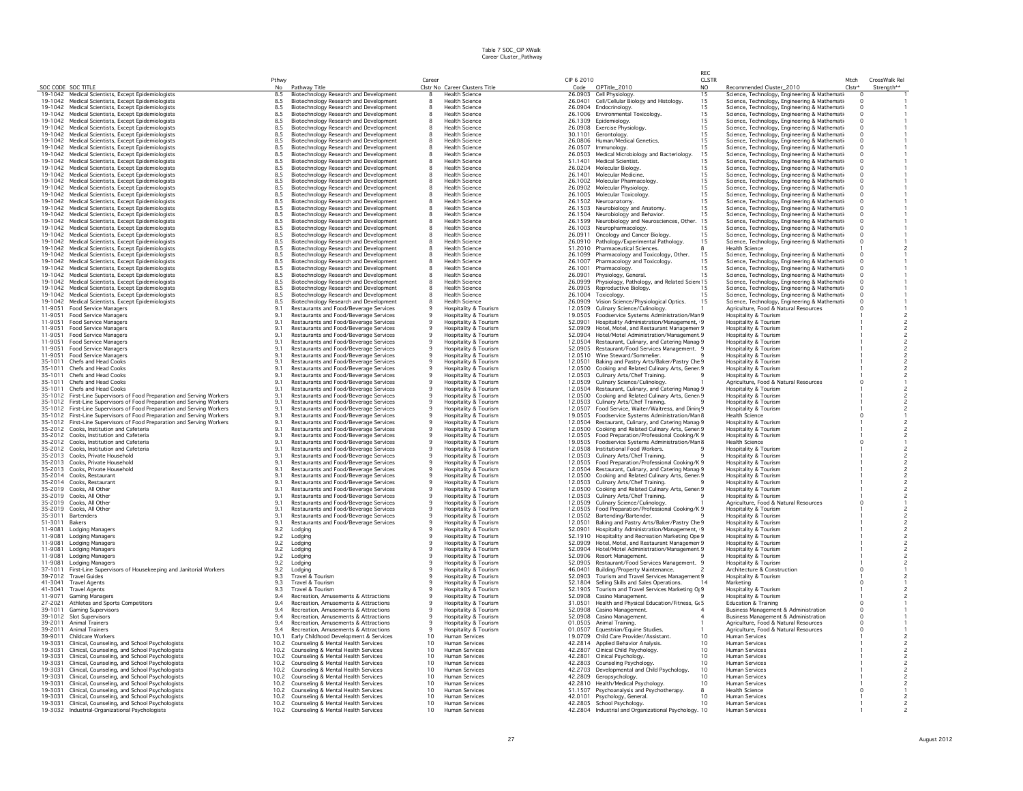|         |                                                                        | Pthwy      |                                        | Career          |                                | CIP 6 2010 |                                                      | CLSTR           |                                                 | Mtch     | CrossWalk Rel                           |
|---------|------------------------------------------------------------------------|------------|----------------------------------------|-----------------|--------------------------------|------------|------------------------------------------------------|-----------------|-------------------------------------------------|----------|-----------------------------------------|
|         | SOC CODE SOC TITLE                                                     | No         | Pathway Title                          |                 | Clstr No Career Clusters Title | Code       | CIPTitle_2010                                        | NO.             | Recommended Cluster_2010                        | $Clstr*$ | Strength**                              |
|         | 19-1042 Medical Scientists, Except Epidemiologists                     | 8.5        | Biotechnology Research and Development | 8               | <b>Health Science</b>          |            | 26.0903 Cell Physiology.                             | 15              | Science, Technology, Engineering & Mathemati-   | $\Omega$ |                                         |
|         | 19-1042 Medical Scientists, Except Epidemiologists                     | 8.5        | Biotechnology Research and Development |                 | <b>Health Science</b>          | 26,0401    | Cell/Cellular Biology and Histology.                 | 15              | Science, Technology, Engineering & Mathemati    |          |                                         |
| 19-1042 | Medical Scientists, Except Epidemiologists                             | 8.5        | Biotechnology Research and Development | 8               | <b>Health Science</b>          | 26.0904    | Endocrinology.                                       | 15              | Science, Technology, Engineering & Mathemati    | $\Omega$ |                                         |
|         | 19-1042 Medical Scientists, Except Epidemiologists                     | 8.5        | Biotechnology Research and Development |                 | <b>Health Science</b>          |            | 26.1006 Environmental Toxicology.                    | 15              | Science, Technology, Engineering & Mathemati-   | $\circ$  |                                         |
|         | 19-1042 Medical Scientists, Except Epidemiologists                     | 8.5        | Biotechnology Research and Development | 8               | <b>Health Science</b>          | 26,1309    | Epidemiology.                                        | 15              | Science, Technology, Engineering & Mathemati    | $\circ$  |                                         |
|         | 19-1042 Medical Scientists, Except Epidemiologists                     | 8.5        | Biotechnology Research and Development | $\mathbf{8}$    | <b>Health Science</b>          |            | 26.0908 Exercise Physiology                          | 15              | Science, Technology, Engineering & Mathemati    | $\Omega$ |                                         |
|         | 19-1042 Medical Scientists, Except Epidemiologists                     | 8.5        | Biotechnology Research and Development | $\mathbf{8}$    | <b>Health Science</b>          | 30.1101    | Gerontology                                          | 15              | Science, Technology, Engineering & Mathemati-   | $\Omega$ |                                         |
| 19-1042 | Medical Scientists, Except Epidemiologists                             | 8.5        | Biotechnology Research and Development |                 | <b>Health Science</b>          | 26.0806    | Human/Medical Genetics.                              | 15              | Science, Technology, Engineering & Mathemati-   | $\Omega$ |                                         |
|         | 19-1042 Medical Scientists, Except Epidemiologists                     | 8.5        | Biotechnology Research and Development |                 | <b>Health Science</b>          | 26.0507    | Immunology.                                          | 15              | Science, Technology, Engineering & Mathemati    | $\circ$  |                                         |
|         |                                                                        |            |                                        |                 |                                |            |                                                      |                 |                                                 |          |                                         |
|         | 19-1042 Medical Scientists, Except Epidemiologists                     | 8.5        | Biotechnology Research and Development |                 | <b>Health Science</b>          | 26,0503    | Medical Microbiology and Bacteriology.               | 15              | Science, Technology, Engineering & Mathemati    |          |                                         |
|         | 19-1042 Medical Scientists, Except Epidemiologists                     | 8.5        | Biotechnology Research and Development |                 | <b>Health Science</b>          | 51.1401    | Medical Scientist.                                   | 15              | Science, Technology, Engineering & Mathemati    |          |                                         |
|         | 19-1042 Medical Scientists, Except Epidemiologists                     | 8.5        | Biotechnology Research and Development | 8               | <b>Health Science</b>          | 26,0204    | Molecular Biology                                    | 15              | Science, Technology, Engineering & Mathemati    | $\Omega$ |                                         |
| 19-1042 | Medical Scientists, Except Epidemiologists                             | 8.5        | Biotechnology Research and Development | -8              | <b>Health Science</b>          | 26,1401    | Molecular Medicine.                                  | 15              | Science, Technology, Engineering & Mathemati    | $\Omega$ |                                         |
|         | 19-1042 Medical Scientists, Except Epidemiologists                     | 8.5        | Biotechnology Research and Development | $\mathbf{8}$    | <b>Health Science</b>          |            | 26.1002 Molecular Pharmacology.                      | 15              | Science, Technology, Engineering & Mathemati    | $\Omega$ |                                         |
| 19-1042 | Medical Scientists, Except Epidemiologists                             | 8.5        | Biotechnology Research and Development | 8               | <b>Health Science</b>          | 26.0902    | Molecular Physiology.                                | 15              | Science, Technology, Engineering & Mathemati    | $\Omega$ |                                         |
|         | 19-1042 Medical Scientists, Except Epidemiologists                     | 8.5        | Biotechnology Research and Development |                 | <b>Health Science</b>          | 26.1005    | Molecular Toxicology.                                | 15              | Science, Technology, Engineering & Mathemati-   |          |                                         |
|         | 19-1042 Medical Scientists, Except Epidemiologists                     | 8.5        | Biotechnology Research and Development | 8               | <b>Health Science</b>          | 26.1502    | Neuroanatomy.                                        | 15              | Science, Technology, Engineering & Mathemati-   |          |                                         |
|         | 19-1042 Medical Scientists, Except Epidemiologists                     | 8.5        | Biotechnology Research and Development |                 | <b>Health Science</b>          |            |                                                      | 15              |                                                 |          |                                         |
|         |                                                                        |            |                                        |                 |                                |            | 26.1503 Neurobiology and Anatomy.                    |                 | Science, Technology, Engineering & Mathemati    |          |                                         |
|         | 19-1042 Medical Scientists, Except Epidemiologists                     | 8.5        | Biotechnology Research and Development | 8               | <b>Health Science</b>          |            | 26.1504 Neurobiology and Behavior.                   | 15              | Science, Technology, Engineering & Mathemati    |          |                                         |
| 19-1042 | Medical Scientists, Except Epidemiologists                             | 8.5        | Biotechnology Research and Development |                 | <b>Health Science</b>          | 26.1599    | Neurobiology and Neurosciences, Other.               | 15              | Science, Technology, Engineering & Mathemati-   |          |                                         |
|         | 19-1042 Medical Scientists, Except Epidemiologists                     | 8.5        | Biotechnology Research and Development | $\mathbf{8}$    | <b>Health Science</b>          | 26,1003    | Neuropharmacology                                    | 15              | Science, Technology, Engineering & Mathemati    |          |                                         |
| 19-1042 | Medical Scientists, Except Epidemiologists                             | 8.5        | Biotechnology Research and Development |                 | <b>Health Science</b>          | 26.0911    | Oncology and Cancer Biology.                         | 15              | Science, Technology, Engineering & Mathemati-   |          |                                         |
|         | 19-1042 Medical Scientists, Except Epidemiologists                     | 8.5        | Biotechnology Research and Development |                 | <b>Health Science</b>          | 26,0910    | Pathology/Experimental Pathology.                    | 15              | Science, Technology, Engineering & Mathemati    |          |                                         |
|         | 19-1042 Medical Scientists, Except Epidemiologists                     | 8.5        | Biotechnology Research and Development | 8               | <b>Health Science</b>          | 51.2010    | Pharmaceutical Sciences.                             | 8               | <b>Health Science</b>                           |          |                                         |
|         | 19-1042 Medical Scientists, Except Epidemiologists                     | 8.5        | Biotechnology Research and Development |                 | <b>Health Science</b>          | 26,1099    | Pharmacology and Toxicology, Other.                  | 15              | Science, Technology, Engineering & Mathemati    |          |                                         |
|         | 19-1042 Medical Scientists, Except Epidemiologists                     | 8.5        | Biotechnology Research and Development | 8               | <b>Health Science</b>          | 26,1007    | Pharmacology and Toxicology.                         | 15              | Science, Technology, Engineering & Mathemati    |          |                                         |
| 19-1042 | Medical Scientists, Except Epidemiologists                             | 8.5        | Biotechnology Research and Development | $\mathbf{8}$    | <b>Health Science</b>          | 26,1001    | Pharmacology                                         | 15              | Science, Technology, Engineering & Mathemati    |          |                                         |
|         |                                                                        | 8.5        |                                        | $\mathbf{g}$    | <b>Health Science</b>          | 26,0901    |                                                      | 15              |                                                 |          |                                         |
|         | 19-1042 Medical Scientists, Except Epidemiologists                     |            | Biotechnology Research and Development |                 |                                |            | Physiology, General.                                 |                 | Science, Technology, Engineering & Mathemati    |          |                                         |
| 19-1042 | Medical Scientists, Except Epidemiologists                             | 8.5        | Biotechnology Research and Development | 8               | <b>Health Science</b>          | 26.0999    | Physiology, Pathology, and Related Scien 15          |                 | Science, Technology, Engineering & Mathemati-   |          |                                         |
| 19-1042 | Medical Scientists, Except Epidemiologists                             | 8.5        | Biotechnology Research and Development |                 | <b>Health Science</b>          | 26.0905    | Reproductive Biology.                                | 15              | Science, Technology, Engineering & Mathemati-   |          |                                         |
| 19-1042 | Medical Scientists, Except Epidemiologists                             | 8.5        | Biotechnology Research and Development | 8               | <b>Health Science</b>          | 26.1004    | Toxicology.                                          | 15              | Science, Technology, Engineering & Mathemati-   |          |                                         |
| 19-1042 | Medical Scientists, Except Epidemiologists                             | 8.5        | Biotechnology Research and Development |                 | <b>Health Science</b>          | 26.0909    | Vision Science/Physiological Optics.                 | 15              | Science, Technology, Engineering & Mathemati    |          |                                         |
| 11-9051 | Food Service Managers                                                  | 9.1        | Restaurants and Food/Beverage Services | -9              | Hospitality & Tourism          | 12.0509    | Culinary Science/Culinology.                         |                 | Agriculture, Food & Natural Resources           |          |                                         |
| 11-9051 | <b>Food Service Managers</b>                                           | 9.1        | Restaurants and Food/Beverage Services |                 | Hospitality & Tourism          | 19,0505    | Foodservice Systems Administration/Mar 9             |                 | Hospitality & Tourism                           |          |                                         |
| 11-9051 | <b>Food Service Managers</b>                                           | 9.1        | Restaurants and Food/Beverage Services |                 | Hospitality & Tourism          | 52.0901    | Hospitality Administration/Management, 9             |                 | Hospitality & Tourism                           |          |                                         |
| 11-9051 | Food Service Managers                                                  | 9.1        | Restaurants and Food/Beverage Services |                 | Hospitality & Tourism          | 52.0909    | Hotel, Motel, and Restaurant Managemen 9             |                 | Hospitality & Tourism                           |          |                                         |
| 11-9051 | <b>Food Service Managers</b>                                           | 9.1        | Restaurants and Food/Beverage Services |                 | Hospitality & Tourism          | 52.0904    | Hotel/Motel Administration/Management 9              |                 | Hospitality & Tourism                           |          | $\overline{c}$                          |
| 11-9051 |                                                                        |            |                                        |                 |                                | 12.0504    |                                                      |                 |                                                 |          |                                         |
|         | <b>Food Service Managers</b>                                           | 9.1        | Restaurants and Food/Beverage Services |                 | Hospitality & Tourism          |            | Restaurant, Culinary, and Catering Manag 9           |                 | Hospitality & Tourism                           |          | $\overline{c}$                          |
|         | 11-9051 Food Service Managers                                          | 9.1        | Restaurants and Food/Beverage Services |                 | Hospitality & Tourism          |            | 52.0905 Restaurant/Food Services Management. 9       |                 | Hospitality & Tourism                           |          | $\overline{c}$                          |
| 11-9051 | <b>Food Service Managers</b>                                           | 9.1        | Restaurants and Food/Beverage Services | 9               | Hospitality & Tourism          |            | 12.0510 Wine Steward/Sommelier.                      |                 | Hospitality & Tourism                           |          | $\mathsf{2}$                            |
| 35-1011 | Chefs and Head Cooks                                                   | 9.1        | Restaurants and Food/Beverage Services |                 | Hospitality & Tourism          | 12.0501    | Baking and Pastry Arts/Baker/Pastry Che 9            |                 | Hospitality & Tourism                           |          | $\overline{\mathbf{c}}$                 |
| 35-1011 | Chefs and Head Cooks                                                   | 9.1        | Restaurants and Food/Beverage Services |                 | Hospitality & Tourism          | 12.0500    | Cooking and Related Culinary Arts, Gener 9           |                 | Hospitality & Tourism                           |          |                                         |
| 35-1011 | Chefs and Head Cooks                                                   | 9.1        | Restaurants and Food/Beverage Services |                 | Hospitality & Tourism          | 12.0503    | Culinary Arts/Chef Training.                         |                 | Hospitality & Tourism                           |          | $\overline{c}$                          |
| 35-1011 | Chefs and Head Cooks                                                   | 9.1        | Restaurants and Food/Beverage Services |                 | Hospitality & Tourism          | 12.0509    | Culinary Science/Culinology.                         |                 | Agriculture, Food & Natural Resources           |          |                                         |
| 35-1011 | Chefs and Head Cooks                                                   | 9.1        | Restaurants and Food/Beverage Services | 9               | Hospitality & Tourism          | 12.0504    | Restaurant, Culinary, and Catering Manag 9           |                 | Hospitality & Tourism                           |          |                                         |
|         | 35-1012 First-Line Supervisors of Food Preparation and Serving Workers | 9.1        | Restaurants and Food/Beverage Services |                 | Hospitality & Tourism          | 12,0500    | Cooking and Related Culinary Arts, Gener 9           |                 | Hospitality & Tourism                           |          | $\overline{c}$                          |
|         | 35-1012 First-Line Supervisors of Food Preparation and Serving Workers | 9.1        | Restaurants and Food/Beverage Services | 9               | Hospitality & Tourism          | 12.0503    | Culinary Arts/Chef Training.                         |                 | Hospitality & Tourism                           |          | $\overline{\mathbf{c}}$                 |
| 35-1012 |                                                                        |            |                                        |                 |                                | 12.0507    | Food Service, Waiter/Waitress, and Dining 9          |                 |                                                 |          |                                         |
| 35-1012 | First-Line Supervisors of Food Preparation and Serving Workers         | 9.1<br>9.1 | Restaurants and Food/Beverage Services |                 | Hospitality & Tourism          | 19,0505    |                                                      |                 | Hospitality & Tourism<br><b>Health Science</b>  |          | $\overline{\mathbf{c}}$<br>$\mathbf{1}$ |
|         | First-Line Supervisors of Food Preparation and Serving Workers         |            | Restaurants and Food/Beverage Services |                 | Hospitality & Tourism          |            | Foodservice Systems Administration/Mar 8             |                 |                                                 |          |                                         |
| 35-1012 | First-Line Supervisors of Food Preparation and Serving Workers         | 9.1        | Restaurants and Food/Beverage Services |                 | Hospitality & Tourism          | 12.0504    | Restaurant, Culinary, and Catering Manag 9           |                 | Hospitality & Tourism                           |          | $\overline{c}$                          |
|         | 35-2012 Cooks, Institution and Cafeteria                               | 9.1        | Restaurants and Food/Beverage Services |                 | Hospitality & Tourism          | 12,0500    | Cooking and Related Culinary Arts, Gener 9           |                 | Hospitality & Tourism                           |          | $\overline{c}$                          |
|         | 35-2012 Cooks, Institution and Cafeteria                               | 9.1        | Restaurants and Food/Beverage Services | 9               | Hospitality & Tourism          | 12.0505    | Food Preparation/Professional Cooking/K 9            |                 | Hospitality & Tourism                           |          | $\overline{c}$                          |
| 35-2012 | Cooks, Institution and Cafeteria                                       | 9.1        | Restaurants and Food/Beverage Services |                 | Hospitality & Tourism          | 19.0505    | Foodservice Systems Administration/Mar 8             |                 | <b>Health Science</b>                           |          |                                         |
| 35-2012 | Cooks, Institution and Cafeteria                                       | 9.1        | Restaurants and Food/Beverage Services | -9              | Hospitality & Tourism          | 12.0508    | Institutional Food Workers.                          |                 | Hospitality & Tourism                           |          | $\bar{z}$                               |
| 35-2013 | Cooks, Private Household                                               | 9.1        | Restaurants and Food/Beverage Services |                 | Hospitality & Tourism          | 12.0503    | Culinary Arts/Chef Training.                         |                 | Hospitality & Tourism                           |          | $\mathsf z$                             |
|         | 35-2013 Cooks, Private Household                                       | 9.1        | Restaurants and Food/Beverage Services |                 | Hospitality & Tourism          |            | 12.0505 Food Preparation/Professional Cooking/K 9    |                 | Hospitality & Tourism                           |          | $\overline{c}$                          |
| 35-2013 | Cooks, Private Household                                               | 9.1        | Restaurants and Food/Beverage Services |                 | Hospitality & Tourism          | 12.0504    | Restaurant, Culinary, and Catering Manag 9           |                 | Hospitality & Tourism                           |          | $\overline{c}$                          |
|         | 35-2014 Cooks, Restaurant                                              | 9.1        | Restaurants and Food/Beverage Services |                 | Hospitality & Tourism          |            | 12.0500 Cooking and Related Culinary Arts, Gener 9   |                 | Hospitality & Tourism                           |          | $\bar{z}$                               |
|         | 35-2014 Cooks, Restaurant                                              | 9.1        | Restaurants and Food/Beverage Services | 9               | Hospitality & Tourism          | 12.0503    | Culinary Arts/Chef Training.                         |                 | Hospitality & Tourism                           |          | $\overline{c}$                          |
|         | 35-2019 Cooks, All Other                                               | 9.1        | Restaurants and Food/Beverage Services |                 | Hospitality & Tourism          | 12,0500    | Cooking and Related Culinary Arts, Gener 9           |                 | Hospitality & Tourism                           |          | $\overline{c}$                          |
|         |                                                                        |            |                                        |                 |                                |            |                                                      |                 |                                                 |          |                                         |
|         | 35-2019 Cooks, All Other                                               | 9.1        | Restaurants and Food/Beverage Services | 9               | Hospitality & Tourism          | 12.0503    | Culinary Arts/Chef Training.                         | q               | Hospitality & Tourism                           |          | $\overline{c}$                          |
|         | 35-2019 Cooks, All Other                                               | 9.1        | Restaurants and Food/Beverage Services |                 | Hospitality & Tourism          | 12.0509    | Culinary Science/Culinology.                         |                 | Agriculture, Food & Natural Resources           |          |                                         |
| 35-2019 | Cooks, All Other                                                       | 9.1        | Restaurants and Food/Beverage Services |                 | Hospitality & Tourism          | 12.0505    | Food Preparation/Professional Cooking/K 9            |                 | Hospitality & Tourism                           |          | $\overline{c}$                          |
| 35-3011 | Bartenders                                                             | 9.1        | Restaurants and Food/Beverage Services |                 | Hospitality & Tourism          | 12.0502    | Bartending/Bartender.                                |                 | Hospitality & Tourism                           |          |                                         |
| 51-3011 | Bakers                                                                 | 9.1        | Restaurants and Food/Beverage Services |                 | Hospitality & Tourism          | 12.0501    | Baking and Pastry Arts/Baker/Pastry Che 9            |                 | Hospitality & Tourism                           |          | $\overline{c}$                          |
| 11-9081 | Lodging Managers                                                       | 9.2        | Lodaina                                |                 | Hospitality & Tourism          | 52.0901    | Hospitality Administration/Management, 9             |                 | Hospitality & Tourism                           |          | $\overline{c}$                          |
| 11-9081 | <b>Lodging Managers</b>                                                | 9.2        | Lodging                                |                 | Hospitality & Tourism          |            | 52.1910 Hospitality and Recreation Marketing Ope 9   |                 | Hospitality & Tourism                           |          | $\overline{c}$                          |
| 11-9081 | Lodging Managers                                                       | 9.2        | Lodging                                |                 | Hospitality & Tourism          | 52.0909    | Hotel, Motel, and Restaurant Managemen 9             |                 | Hospitality & Tourism                           |          | $\mathsf z$                             |
| 11-9081 | <b>Lodging Managers</b>                                                | 9.2        | Lodging                                |                 | Hospitality & Tourism          | 52.0904    | Hotel/Motel Administration/Management 9              |                 | Hospitality & Tourism                           |          | $\overline{c}$                          |
| 11-9081 | <b>Lodging Managers</b>                                                | 9.2        | Lodging                                |                 | Hospitality & Tourism          | 52.0906    | Resort Management.                                   |                 | Hospitality & Tourism                           |          |                                         |
| 11-9081 | <b>Lodging Managers</b>                                                | 9.2        | Lodging                                |                 | Hospitality & Tourism          | 52.0905    | Restaurant/Food Services Management. 9               |                 | Hospitality & Tourism                           |          | $\overline{c}$                          |
| 37-1011 | First-Line Supervisors of Housekeeping and Janitorial Workers          | 9.2        | Lodging                                |                 | Hospitality & Tourism          | 46.0401    | Building/Property Maintenance.                       |                 | Architecture & Construction                     |          |                                         |
| 39-7012 | <b>Travel Guides</b>                                                   | 9.3        | Travel & Tourism                       |                 | Hospitality & Tourism          | 52.0903    | Tourism and Travel Services Management 9             |                 | Hospitality & Tourism                           |          | $\overline{c}$                          |
| 41-3041 |                                                                        | 9.3        |                                        |                 |                                | 52.1804    |                                                      | 14              | Marketing                                       |          |                                         |
|         | <b>Travel Agents</b>                                                   |            | Travel & Tourism                       |                 | Hospitality & Tourism          |            | Selling Skills and Sales Operations.                 |                 |                                                 |          |                                         |
| 41-3041 | <b>Travel Agents</b>                                                   | 9.3        | Travel & Tourism                       |                 | Hospitality & Tourism          | 52.1905    | Tourism and Travel Services Marketing Or 9           |                 | Hospitality & Tourism                           |          | $\overline{\mathbf{c}}$                 |
| 11-9071 | <b>Gaming Managers</b>                                                 | 9.4        | Recreation, Amusements & Attractions   |                 | Hospitality & Tourism          | 52.0908    | Casino Management.                                   |                 | Hospitality & Tourism                           |          | $\overline{c}$                          |
| 27-2021 | Athletes and Sports Competitors                                        | 9.4        | Recreation, Amusements & Attractions   |                 | Hospitality & Tourism          | 31.0501    | Health and Physical Education/Fitness, Gt 5          |                 | <b>Education &amp; Training</b>                 |          |                                         |
| 39-1011 | Gaming Supervisors                                                     | 9.4        | Recreation, Amusements & Attractions   |                 | Hospitality & Tourism          | 52.0908    | Casino Management.                                   |                 | <b>Business Management &amp; Administration</b> |          |                                         |
|         | 39-1012 Slot Supervisors                                               | 9.4        | Recreation, Amusements & Attractions   |                 | Hospitality & Tourism          | 52.0908    | Casino Management.                                   |                 | Business Management & Administration            |          |                                         |
|         | 39-2011 Animal Trainers                                                | 9.4        | Recreation, Amusements & Attractions   | 9               | Hospitality & Tourism          | 01.0505    | Animal Training                                      |                 | Agriculture, Food & Natural Resources           |          |                                         |
| 39-2011 | <b>Animal Trainers</b>                                                 | 9.4        | Recreation, Amusements & Attractions   | -9              | Hospitality & Tourism          | 01.0507    | Equestrian/Equine Studies.                           |                 | Agriculture, Food & Natural Resources           |          |                                         |
| 39-9011 | Childcare Workers                                                      | 10.1       | Early Childhood Development & Services | 10              | Human Services                 | 19.0709    | Child Care Provider/Assistant.                       | 10              | <b>Human Services</b>                           |          |                                         |
| 19-3031 | Clinical, Counseling, and School Psychologists                         | 10.2       | Counseling & Mental Health Services    | 10              | <b>Human Services</b>          | 42.2814    | Applied Behavior Analysis.                           | 10 <sup>2</sup> | <b>Human Services</b>                           |          |                                         |
| 19-3031 |                                                                        | 10.2       | Counseling & Mental Health Services    | 10              | Human Services                 | 42.2807    |                                                      | 10              | <b>Human Services</b>                           |          |                                         |
|         | Clinical, Counseling, and School Psychologists                         |            |                                        |                 |                                |            | Clinical Child Psychology.                           |                 |                                                 |          |                                         |
| 19-3031 | Clinical, Counseling, and School Psychologists                         | 10.2       | Counseling & Mental Health Services    | 10              | Human Services                 | 42.2801    | Clinical Psychology.                                 | 10              | <b>Human Services</b>                           |          |                                         |
| 19-3031 | Clinical, Counseling, and School Psychologists                         | 10.2       | Counseling & Mental Health Services    | 10              | Human Services                 |            | 42.2803 Counseling Psychology.                       | 10              | <b>Human Services</b>                           |          | $\overline{c}$                          |
| 19-3031 | Clinical, Counseling, and School Psychologists                         | 10.2       | Counseling & Mental Health Services    | 10              | Human Services                 | 42.2703    | Developmental and Child Psychology.                  | 10 <sup>1</sup> | <b>Human Services</b>                           |          | $\frac{2}{2}$                           |
| 19-3031 | Clinical, Counseling, and School Psychologists                         | 10.2       | Counseling & Mental Health Services    | 10              | Human Services                 | 42,2809    | Geropsychology.                                      | 10              | <b>Human Services</b>                           |          |                                         |
| 19-3031 | Clinical, Counseling, and School Psychologists                         | 10.2       | Counseling & Mental Health Services    | 10              | Human Services                 |            | 42.2810 Health/Medical Psychology.                   | 10              | <b>Human Services</b>                           |          | $\overline{c}$                          |
| 19-3031 | Clinical, Counseling, and School Psychologists                         | 10.2       | Counseling & Mental Health Services    | 10              | Human Services                 | 51.1507    | Psychoanalysis and Psychotherapy.                    | 8               | <b>Health Science</b>                           |          |                                         |
| 19-3031 | Clinical, Counseling, and School Psychologists                         | 10.2       | Counseling & Mental Health Services    | 10              | Human Services                 |            | 42.0101 Psychology, General.                         | 10              | <b>Human Services</b>                           |          |                                         |
| 19-3031 | Clinical, Counseling, and School Psychologists                         | 10.2       | Counseling & Mental Health Services    | 10              | Human Services                 |            | 42.2805 School Psychology.                           | 10              | <b>Human Services</b>                           |          |                                         |
|         | 19-3032 Industrial-Organizational Psychologists                        | 10.2       | Counseling & Mental Health Services    | 10 <sup>°</sup> | <b>Human Services</b>          |            | 42.2804 Industrial and Organizational Psychology. 10 |                 | <b>Human Services</b>                           |          |                                         |
|         |                                                                        |            |                                        |                 |                                |            |                                                      |                 |                                                 |          |                                         |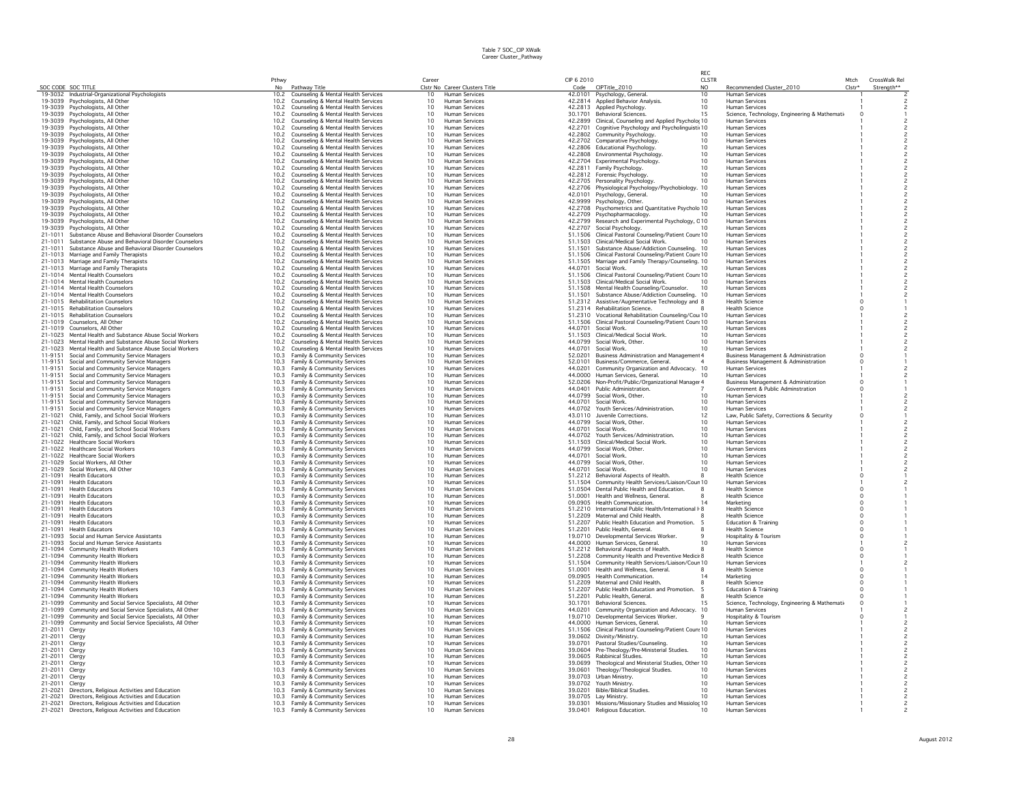|                                  |                                                                                                                | Pthwy        |                                                                            | Career                             |                                                | CIP 6 2010         |                                                                                             | RFC.<br><b>CLSTR</b>               |                                                                                                    | Mtch                 | CrossWalk Rel |  |
|----------------------------------|----------------------------------------------------------------------------------------------------------------|--------------|----------------------------------------------------------------------------|------------------------------------|------------------------------------------------|--------------------|---------------------------------------------------------------------------------------------|------------------------------------|----------------------------------------------------------------------------------------------------|----------------------|---------------|--|
|                                  | SOC CODE SOC TITLE                                                                                             | No           | Pathway Title                                                              |                                    | Clstr No Career Clusters Title                 | Code               | CIPTitle_2010                                                                               | N <sub>O</sub>                     | Recommended Cluster_2010                                                                           | Clstr <sup>+</sup>   | Strenath**    |  |
|                                  | 19-3032 Industrial-Organizational Psychologists                                                                | 10.2         | Counseling & Mental Health Services                                        | 10                                 | Human Services                                 |                    | 42.0101 Psychology, General.                                                                | 10                                 | <b>Human Services</b>                                                                              |                      |               |  |
|                                  | 19-3039 Psychologists, All Other<br>19-3039 Psychologists, All Other                                           | 10.2         | Counseling & Mental Health Services                                        | 10 <sup>1</sup><br>10 <sup>1</sup> | Human Services                                 |                    | 42.2814 Applied Behavior Analysis.<br>42.2813 Annlied Psychology.                           | 10 <sup>1</sup><br>10 <sup>1</sup> | <b>Human Services</b>                                                                              |                      |               |  |
|                                  | 19-3039 Psychologists, All Other                                                                               | 10.2<br>10.2 | Counseling & Mental Health Services<br>Counseling & Mental Health Services | 10                                 | <b>Human Services</b><br>Human Services        | 30.1701            | <b>Behavioral Sciences</b>                                                                  | 15                                 | <b>Human Services</b><br>Science, Technology, Engineering & Mathemati                              |                      |               |  |
|                                  | 19-3039 Psychologists, All Other                                                                               | 10.2         | Counseling & Mental Health Services                                        | 10 <sup>1</sup>                    | Human Services                                 |                    | 42.2899 Clinical, Counseling and Applied Psycholo; 10                                       |                                    | Human Services                                                                                     |                      |               |  |
|                                  | 19-3039 Psychologists, All Other                                                                               | 10.2         | Counseling & Mental Health Services                                        | 10                                 | Human Services                                 | 42.2701            | Cognitive Psychology and Psycholinguisti 10                                                 |                                    | <b>Human Services</b>                                                                              |                      |               |  |
|                                  | 19-3039 Psychologists, All Other                                                                               | 10.2<br>10.2 | Counseling & Mental Health Services                                        | 10<br>10                           | Human Services<br>Human Services               |                    | 42.2802 Community Psychology.                                                               | 10<br>10                           | <b>Human Services</b><br><b>Human Services</b>                                                     |                      |               |  |
|                                  | 19-3039 Psychologists, All Other<br>19-3039 Psychologists, All Other                                           | 10.2         | Counseling & Mental Health Services<br>Counseling & Mental Health Services | 10                                 | Human Services                                 |                    | 42.2702 Comparative Psychology.<br>42.2806 Educational Psychology.                          | 10                                 | <b>Human Services</b>                                                                              |                      |               |  |
|                                  | 19-3039 Psychologists, All Other                                                                               | 10.2         | Counseling & Mental Health Services                                        | 10                                 | Human Services                                 |                    | 42.2808 Environmental Psychology.                                                           | 10                                 | <b>Human Services</b>                                                                              |                      |               |  |
|                                  | 19-3039 Psychologists, All Other                                                                               | 10.2         | Counseling & Mental Health Services                                        | 10                                 | <b>Human Services</b>                          |                    | 42.2704 Experimental Psychology.                                                            | 10                                 | <b>Human Services</b>                                                                              |                      |               |  |
|                                  | 19-3039 Psychologists, All Other                                                                               | 10.2<br>10.2 | Counseling & Mental Health Services<br>Counseling & Mental Health Services | 10<br>10                           | Human Services<br><b>Human Services</b>        |                    | 42.2811 Family Psychology.<br>42.2812 Forensic Psychology.                                  | 10 <sup>1</sup><br>10              | <b>Human Services</b><br><b>Human Services</b>                                                     |                      |               |  |
|                                  | 19-3039 Psychologists, All Other<br>19-3039 Psychologists, All Other                                           | 10.2         | Counseling & Mental Health Services                                        | 10                                 | <b>Human Services</b>                          |                    | 42.2705 Personality Psychology.                                                             | 10                                 | <b>Human Services</b>                                                                              |                      |               |  |
|                                  | 19-3039 Psychologists, All Other                                                                               | 10.2         | Counseling & Mental Health Services                                        | 10                                 | <b>Human Services</b>                          |                    | 42.2706 Physiological Psychology/Psychobiology. 10                                          |                                    | <b>Human Services</b>                                                                              |                      |               |  |
|                                  | 19-3039 Psychologists, All Other                                                                               | 10.2         | Counseling & Mental Health Services                                        | 10                                 | <b>Human Services</b>                          |                    | 42.0101 Psychology, General.                                                                | 10                                 | <b>Human Services</b>                                                                              |                      |               |  |
|                                  | 19-3039 Psychologists, All Other<br>19-3039 Psychologists, All Other                                           | 10.2<br>10.2 | Counseling & Mental Health Services<br>Counseling & Mental Health Services | 10<br>10                           | Human Services<br>Human Services               | 42.9999            | Psychology, Other.<br>42.2708 Psychometrics and Quantitative Psycholo 10                    | 10                                 | <b>Human Services</b><br><b>Human Services</b>                                                     |                      |               |  |
|                                  | 19-3039 Psychologists, All Other                                                                               | 10.2         | Counseling & Mental Health Services                                        | 10                                 | Human Services                                 | 42.2709            | Psychopharmacology.                                                                         |                                    | <b>Human Services</b>                                                                              |                      |               |  |
|                                  | 19-3039 Psychologists, All Other                                                                               | 10.2         | Counseling & Mental Health Services                                        | 10                                 | Human Services                                 | 42.2799            | Research and Experimental Psychology, C10                                                   |                                    | <b>Human Services</b>                                                                              |                      |               |  |
|                                  | 19-3039 Psychologists, All Other<br>21-1011 Substance Abuse and Behavioral Disorder Counselors                 | 10.2<br>10.2 | Counseling & Mental Health Services<br>Counseling & Mental Health Services | 10                                 | Human Services                                 | 42.2707            | Social Psychology.<br>51.1506 Clinical Pastoral Counseling/Patient Coun: 10                 | 10.                                | <b>Human Services</b>                                                                              |                      |               |  |
|                                  | 21-1011 Substance Abuse and Behavioral Disorder Counselors                                                     | 10.2         | Counseling & Mental Health Services                                        | 10<br>10                           | <b>Human Services</b><br>Human Services        |                    | 51.1503 Clinical/Medical Social Work.                                                       | 10                                 | <b>Human Services</b><br><b>Human Services</b>                                                     |                      |               |  |
|                                  | 21-1011 Substance Abuse and Behavioral Disorder Counselors                                                     | 10.2         | Counseling & Mental Health Services                                        | 10                                 | Human Services                                 | 51.1501            | Substance Abuse/Addiction Counseling. 10                                                    |                                    | <b>Human Services</b>                                                                              |                      |               |  |
|                                  | 21-1013 Marriage and Family Therapists                                                                         | 10.2         | Counseling & Mental Health Services                                        | 10                                 | Human Services                                 | 51.1506            | Clinical Pastoral Counseling/Patient Coun: 10                                               |                                    | <b>Human Services</b>                                                                              |                      |               |  |
|                                  | 21-1013 Marriage and Family Therapists<br>21-1013 Marriage and Family Therapists                               | 10.2<br>10.2 | Counseling & Mental Health Services<br>Counseling & Mental Health Services | 10<br>10                           | Human Services<br><b>Human Services</b>        | 51.1505            | Marriage and Family Therapy/Counseling. 10<br>44.0701 Social Work.                          |                                    | <b>Human Services</b><br><b>Human Services</b>                                                     |                      |               |  |
|                                  | 21-1014 Mental Health Counselors                                                                               | 10.2         | Counseling & Mental Health Services                                        | 10                                 | <b>Human Services</b>                          | 51.1506            | Clinical Pastoral Counseling/Patient Coun: 10                                               |                                    | <b>Human Services</b>                                                                              |                      |               |  |
|                                  | 21-1014 Mental Health Counselors                                                                               | 10.2         | Counseling & Mental Health Services                                        | 10                                 | Human Services                                 | 51.1503            | Clinical/Medical Social Work.                                                               | 10                                 | <b>Human Services</b>                                                                              |                      |               |  |
|                                  | 21-1014 Mental Health Counselors                                                                               | 10.2         | Counseling & Mental Health Services                                        | 10                                 | Human Services                                 | 51.1508            | Mental Health Counseling/Counselor.                                                         | 10                                 | <b>Human Services</b>                                                                              |                      |               |  |
|                                  | 21-1014 Mental Health Counselors<br>21-1015 Rehabilitation Counselors                                          | 10.2<br>10.2 | Counseling & Mental Health Services<br>Counseling & Mental Health Services | 10<br>10                           | <b>Human Services</b><br>Human Services        | 51.1501            | Substance Abuse/Addiction Counseling. 10<br>51.2312 Assistive/Augmentative Technology and 8 |                                    | <b>Human Services</b><br><b>Health Science</b>                                                     |                      |               |  |
|                                  | 21-1015 Rehabilitation Counselors                                                                              | 10.2         | Counseling & Mental Health Services                                        | 10                                 | <b>Human Services</b>                          |                    | 51.2314 Rehabilitation Science.                                                             |                                    | <b>Health Science</b>                                                                              |                      |               |  |
|                                  | 21-1015 Rehabilitation Counselors                                                                              | 10.2         | Counseling & Mental Health Services                                        | 10                                 | <b>Human Services</b>                          |                    | 51.2310 Vocational Rehabilitation Counseling/Cou 10                                         |                                    | <b>Human Services</b>                                                                              |                      |               |  |
|                                  | 21-1019 Counselors, All Other                                                                                  | 10.2         | Counseling & Mental Health Services                                        | 10                                 | Human Services                                 |                    | 51.1506 Clinical Pastoral Counseling/Patient Coun: 10                                       |                                    | Human Services                                                                                     |                      |               |  |
|                                  | 21-1019 Counselors, All Other<br>21-1023 Mental Health and Substance Abuse Social Workers                      | 10.2<br>10.2 | Counseling & Mental Health Services<br>Counseling & Mental Health Services | 10<br>10                           | Human Services<br><b>Human Services</b>        | 44.0701<br>51.1503 | Social Work.<br>Clinical/Medical Social Work.                                               | 10                                 | <b>Human Services</b><br><b>Human Services</b>                                                     |                      |               |  |
|                                  | 21-1023 Mental Health and Substance Abuse Social Workers                                                       | 10.2         | Counseling & Mental Health Services                                        | 10                                 | Human Services                                 |                    | 44.0799 Social Work, Other.                                                                 | 10                                 | <b>Human Services</b>                                                                              |                      |               |  |
|                                  | 21-1023 Mental Health and Substance Abuse Social Workers                                                       | 10.2         | Counseling & Mental Health Services                                        | 10                                 | <b>Human Services</b>                          | 44.0701            | Social Work.                                                                                | 10                                 | <b>Human Services</b>                                                                              |                      |               |  |
|                                  | 11-9151 Social and Community Service Managers<br>11-9151 Social and Community Service Managers                 | 10.3<br>10.3 | Family & Community Services<br>Family & Community Services                 | 10<br>10                           | <b>Human Services</b>                          | 52.0201<br>52.0101 | Business Administration and Management 4<br>Business/Commerce, General.                     |                                    | <b>Business Management &amp; Administration</b><br><b>Business Management &amp; Administration</b> | $\Omega$             |               |  |
|                                  | 11-9151 Social and Community Service Managers                                                                  | 10.3         | Family & Community Services                                                | 10                                 | Human Services<br><b>Human Services</b>        | 44.0201            | Community Organization and Advocacy. 10                                                     |                                    | <b>Human Services</b>                                                                              |                      |               |  |
|                                  | 11-9151 Social and Community Service Managers                                                                  | 10.3         | Family & Community Services                                                | 10                                 | <b>Human Services</b>                          |                    | 44,0000 Human Services, General,                                                            | 10 <sup>2</sup>                    | <b>Human Services</b>                                                                              |                      |               |  |
|                                  | 11-9151 Social and Community Service Managers                                                                  | 10.3         | Family & Community Services                                                | 10                                 | <b>Human Services</b>                          |                    | 52.0206 Non-Profit/Public/Organizational Manager 4                                          |                                    | <b>Business Management &amp; Administration</b>                                                    | $\Omega$             |               |  |
|                                  | 11-9151 Social and Community Service Managers                                                                  | 10.3<br>10.3 | Family & Community Services                                                | 10<br>10                           | <b>Human Services</b><br><b>Human Services</b> |                    | 44.0401 Public Administration.<br>44.0799 Social Work, Other,                               | 10                                 | Government & Public Adminstration<br><b>Human Services</b>                                         | $\Omega$             |               |  |
|                                  | 11-9151 Social and Community Service Managers<br>11-9151 Social and Community Service Managers                 | 10.3         | Family & Community Services<br>Family & Community Services                 | 10                                 | Human Services                                 |                    | 44.0701 Social Work.                                                                        | 10                                 | Human Services                                                                                     |                      |               |  |
| 11-9151                          | Social and Community Service Managers                                                                          | 10.3         | Family & Community Services                                                | 10                                 | <b>Human Services</b>                          | 44.0702            | Youth Services/Administration.                                                              | 10                                 | <b>Human Services</b>                                                                              |                      |               |  |
| 21-1021                          | Child, Family, and School Social Workers                                                                       | 10.3         | Family & Community Services                                                | 10                                 | Human Services                                 |                    | 43.0110 Juvenile Corrections.                                                               | 12                                 | Law, Public Safety, Corrections & Security                                                         |                      |               |  |
| 21-1021                          | Child, Family, and School Social Workers<br>21-1021 Child, Family, and School Social Workers                   | 10.3<br>10.3 | Family & Community Services<br>Family & Community Services                 | 10<br>10                           | Human Services<br><b>Human Services</b>        |                    | 44.0799 Social Work, Other,<br>44.0701 Social Work.                                         | 10<br>10                           | <b>Human Services</b><br><b>Human Services</b>                                                     |                      |               |  |
|                                  | 21-1021 Child, Family, and School Social Workers                                                               | 10.3         | Family & Community Services                                                | 10                                 | Human Services                                 | 44.0702            | Youth Services/Administration.                                                              | 10                                 | <b>Human Services</b>                                                                              |                      |               |  |
|                                  | 21-1022 Healthcare Social Workers                                                                              | 10.3         | Family & Community Services                                                | 10                                 | <b>Human Services</b>                          | 51.1503            | Clinical/Medical Social Work.                                                               | 10 <sup>10</sup>                   | <b>Human Services</b>                                                                              |                      |               |  |
|                                  | 21-1022 Healthcare Social Workers                                                                              | 10.3         | Family & Community Services                                                | 10                                 | <b>Human Services</b>                          | 44.0799            | Social Work, Other,                                                                         | 10                                 | <b>Human Services</b>                                                                              |                      |               |  |
|                                  | 21-1022 Healthcare Social Workers<br>21-1029 Social Workers, All Other                                         | 10.3<br>10.3 | Family & Community Services<br>Family & Community Services                 | 10<br>10                           | <b>Human Services</b><br>Human Services        | 44.0701<br>44.0799 | Social Work<br>Social Work, Other,                                                          | 10 <sup>1</sup><br>10              | <b>Human Services</b><br><b>Human Services</b>                                                     |                      |               |  |
|                                  | 21-1029 Social Workers, All Other                                                                              | 10.3         | Family & Community Services                                                | 10                                 | <b>Human Services</b>                          | 44,0701            | Social Work.                                                                                | 10                                 | <b>Human Services</b>                                                                              |                      |               |  |
|                                  | 21-1091 Health Educators                                                                                       | 10.3         | Family & Community Services                                                | 10                                 | Human Services                                 |                    | 51.2212 Behavioral Aspects of Health.                                                       |                                    | <b>Health Science</b>                                                                              |                      |               |  |
| 21-1091                          | <b>Health Educators</b><br>21-1091 Health Educators                                                            | 10.3<br>10.3 | Family & Community Services<br>Family & Community Services                 | 10<br>10                           | Human Services<br><b>Human Services</b>        | 51.1504<br>51.0504 | Community Health Services/Liaison/Cour 10<br>Dental Public Health and Education.            |                                    | <b>Human Services</b><br><b>Health Science</b>                                                     |                      |               |  |
| 21-1091                          | <b>Health Educators</b>                                                                                        | 10.3         | Family & Community Services                                                | 10                                 | Human Services                                 | 51,0001            | Health and Wellness, General.                                                               |                                    | <b>Health Science</b>                                                                              |                      |               |  |
|                                  | 21-1091 Health Educators                                                                                       | 10.3         | Family & Community Services                                                | 10                                 | <b>Human Services</b>                          |                    | 09.0905 Health Communication.                                                               |                                    | Marketing                                                                                          | $\Omega$             |               |  |
|                                  | 21-1091 Health Educators                                                                                       | 10.3         | Family & Community Services                                                | 10                                 | <b>Human Services</b>                          |                    | 51.2210 International Public Health/International F 8                                       |                                    | <b>Health Science</b>                                                                              | $\circ$              |               |  |
| 21-1091                          | 21-1091 Health Educators<br><b>Health Educators</b>                                                            | 10.3<br>103  | Family & Community Services<br>Family & Community Services                 | 10<br>10                           | <b>Human Services</b><br>Human Services        |                    | 51.2209 Maternal and Child Health.<br>51.2207 Public Health Education and Promotion.        |                                    | <b>Health Science</b><br><b>Education &amp; Training</b>                                           | $\Omega$<br>$\Omega$ |               |  |
| 21-1091                          | <b>Health Educators</b>                                                                                        | 10.3         | Family & Community Services                                                | 10                                 | <b>Human Services</b>                          | 51.2201            | Public Health, General,                                                                     |                                    | Health Science                                                                                     | $\Omega$             |               |  |
|                                  | 21-1093 Social and Human Service Assistants                                                                    | 10.3         | Family & Community Services                                                | 10                                 | Human Services                                 |                    | 19.0710 Developmental Services Worker.                                                      |                                    | Hospitality & Tourism                                                                              | $\circ$              |               |  |
|                                  | 21-1093 Social and Human Service Assistants<br>21-1094 Community Health Workers                                | 10.3<br>10.3 | Family & Community Services<br>Family & Community Services                 | 10<br>10                           | Human Services<br>Human Services               |                    | 44.0000 Human Services, General.<br>51.2212 Behavioral Aspects of Health                    | 10                                 | Human Services<br><b>Health Science</b>                                                            | $\circ$              |               |  |
| 21-1094                          | Community Health Workers                                                                                       | 10.3         | Family & Community Services                                                | 10                                 | Human Services                                 | 51,2208            | Community Health and Preventive Medicii 8                                                   |                                    | <b>Health Science</b>                                                                              | $\circ$              |               |  |
|                                  | 21-1094 Community Health Workers                                                                               | 10.3         | Family & Community Services                                                | 10                                 | Human Services                                 | 51.1504            | Community Health Services/Liaison/Cour 10                                                   |                                    | <b>Human Services</b>                                                                              |                      |               |  |
|                                  | 21-1094 Community Health Workers                                                                               | 10.3         | Family & Community Services                                                | 10                                 | Human Services                                 | 51.0001            | Health and Wellness, General.                                                               |                                    | <b>Health Science</b>                                                                              | $\Omega$             |               |  |
|                                  | 21-1094 Community Health Workers<br>21-1094 Community Health Workers                                           | 10.3<br>10.3 | Family & Community Services<br>Family & Community Services                 | 10<br>10                           | <b>Human Services</b><br><b>Human Services</b> |                    | 09.0905 Health Communication.<br>51.2209 Maternal and Child Health.                         |                                    | Marketing<br><b>Health Science</b>                                                                 | $\Omega$<br>$\Omega$ |               |  |
|                                  | 21-1094 Community Health Workers                                                                               | 10.3         | Family & Community Services                                                | 10                                 | <b>Human Services</b>                          | 51,2207            | Public Health Education and Promotion.<br>-5                                                |                                    | <b>Education &amp; Training</b>                                                                    | $\Omega$             |               |  |
|                                  | 21-1094 Community Health Workers                                                                               | 10.3         | Family & Community Services                                                | 10                                 | Human Services                                 | 51.2201            | Public Health, General,                                                                     |                                    | <b>Health Science</b>                                                                              |                      |               |  |
| 21-1099<br>21-1099               | Community and Social Service Specialists, All Other                                                            | 10.3<br>10.3 | Family & Community Services                                                | 10<br>10                           | <b>Human Services</b><br><b>Human Services</b> | 30.1701<br>44.0201 | Behavioral Sciences.                                                                        | 15                                 | Science, Technology, Engineering & Mathemati<br><b>Human Services</b>                              | $\Omega$             |               |  |
| 21-1099                          | Community and Social Service Specialists, All Other<br>Community and Social Service Specialists, All Other     | 10.3         | Family & Community Services<br>Family & Community Services                 | 10                                 | Human Services                                 |                    | Community Organization and Advocacy. 10<br>19.0710 Developmental Services Worker.           |                                    | Hospitality & Tourism                                                                              |                      |               |  |
|                                  | 21-1099 Community and Social Service Specialists, All Other                                                    | 10.3         | Family & Community Services                                                | 10                                 | Human Services                                 |                    | 44.0000 Human Services, General.                                                            | 10                                 | <b>Human Services</b>                                                                              |                      |               |  |
| 21-2011 Clergy                   |                                                                                                                | 10.3         | Family & Community Services                                                | 10                                 | Human Services                                 |                    | 51.1506 Clinical Pastoral Counseling/Patient Coun: 10                                       |                                    | Human Services                                                                                     |                      |               |  |
| 21-2011 Clergy<br>21-2011 Clergy |                                                                                                                | 10.3<br>10.3 | Family & Community Services<br>Family & Community Services                 | 10<br>10                           | <b>Human Services</b><br>Human Services        | 39.0701            | 39.0602 Divinity/Ministry.<br>Pastoral Studies/Counseling.                                  | 10<br>10                           | <b>Human Services</b><br>Human Services                                                            |                      |               |  |
| 21-2011 Clergy                   |                                                                                                                | 10.3         | Family & Community Services                                                | 10                                 | <b>Human Services</b>                          | 39.0604            | Pre-Theology/Pre-Ministerial Studies.                                                       | 10                                 | <b>Human Services</b>                                                                              |                      |               |  |
| 21-2011 Clergy                   |                                                                                                                | 10.3         | Family & Community Services                                                | 10                                 | Human Services                                 |                    | 39.0605 Rabbinical Studies.                                                                 | 10                                 | <b>Human Services</b>                                                                              |                      |               |  |
| 21-2011                          | Clergy                                                                                                         | 103          | Family & Community Services                                                | 10                                 | <b>Human Services</b>                          | 39.0699            | Theological and Ministerial Studies, Other 10                                               |                                    | <b>Human Services</b>                                                                              |                      |               |  |
| 21-2011<br>21-2011               | Clergy<br>Clergy                                                                                               | 10.3<br>10.3 | Family & Community Services<br>Family & Community Services                 | 10<br>10                           | Human Services<br>Human Services               | 39.0601<br>39.0703 | Theology/Theological Studies.<br>Urban Ministry.                                            | 10<br>10                           | <b>Human Services</b><br>Human Services                                                            |                      |               |  |
| 21-2011 Clergy                   |                                                                                                                |              | 10.3 Family & Community Services                                           | 10                                 | Human Services                                 |                    | 39.0702 Youth Ministry.                                                                     | 10                                 | <b>Human Services</b>                                                                              |                      |               |  |
| 21-2021                          | Directors, Religious Activities and Education                                                                  | 10.3         | Family & Community Services                                                | 10                                 | Human Services                                 | 39.0201            | Bible/Biblical Studies.                                                                     | 10                                 | <b>Human Services</b>                                                                              |                      |               |  |
|                                  | 21-2021 Directors, Religious Activities and Education<br>21-2021 Directors, Religious Activities and Education | 10.3         | Family & Community Services<br>10.3 Family & Community Services            | 10<br>10                           | Human Services<br><b>Human Services</b>        |                    | 39.0705 Lay Ministry.<br>39.0301 Missions/Missionary Studies and Missiolor 10               | 10                                 | Human Services<br><b>Human Services</b>                                                            |                      |               |  |
|                                  | 21-2021 Directors, Religious Activities and Education                                                          |              | 10.3 Family & Community Services                                           | 10                                 | <b>Human Services</b>                          | 39,0401            | Religious Education.                                                                        | 10                                 | <b>Human Services</b>                                                                              |                      |               |  |
|                                  |                                                                                                                |              |                                                                            |                                    |                                                |                    |                                                                                             |                                    |                                                                                                    |                      |               |  |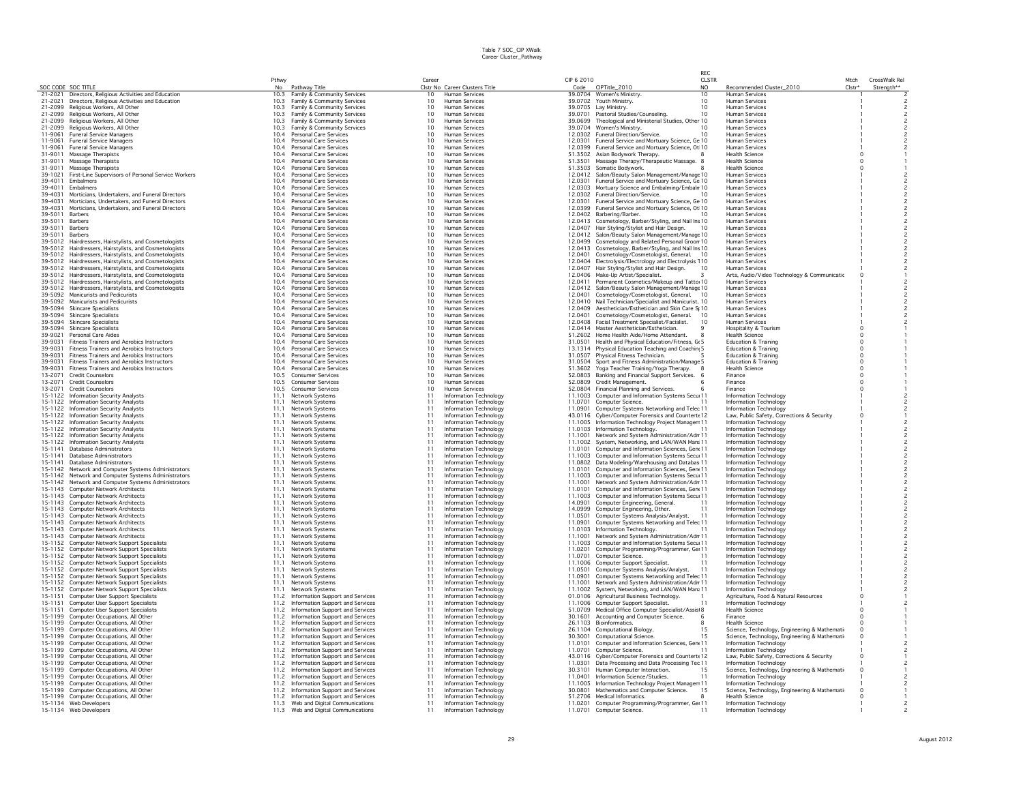|                    |                                                                                                          |              |                                                                            |                       |                                                  |                    |                                                                                                    | RFC                            |                                                                                               |                |                             |  |
|--------------------|----------------------------------------------------------------------------------------------------------|--------------|----------------------------------------------------------------------------|-----------------------|--------------------------------------------------|--------------------|----------------------------------------------------------------------------------------------------|--------------------------------|-----------------------------------------------------------------------------------------------|----------------|-----------------------------|--|
| SOC CODE SOC TITLE |                                                                                                          | Pthwy        | No Pathway Title                                                           | Career                | Clstr No Career Clusters Title                   | CIP 6 2010         | Code CIPTitle_2010                                                                                 | <b>CLSTR</b><br>N <sub>O</sub> | Recommended Cluster_2010                                                                      | Mtch<br>Clstr* | CrossWalk Rel<br>Strenath** |  |
|                    | 21-2021 Directors, Religious Activities and Education                                                    | 10.3         | Family & Community Services                                                | 10                    | Human Services                                   |                    | 39.0704 Women's Ministry.                                                                          | 10                             | <b>Human Services</b>                                                                         |                |                             |  |
| 21-2021            | Directors, Religious Activities and Education                                                            | 10.3         | Family & Community Services                                                | 10                    | Human Services                                   |                    | 39.0702 Youth Ministry.                                                                            | 10                             | Human Services                                                                                |                |                             |  |
| 21-2099<br>21-2099 | Religious Workers, All Other<br>Religious Workers, All Other                                             | 10.3<br>10.3 | Family & Community Services<br>Family & Community Services                 | 10<br>10 <sup>1</sup> | <b>Human Services</b><br>Human Services          | 39.0701            | 39.0705 Lav Ministry.<br>Pastoral Studies/Counseling.                                              | 10<br>10                       | <b>Human Services</b><br><b>Human Services</b>                                                |                |                             |  |
| 21-2099            | Religious Workers, All Other                                                                             | 10.3         | Family & Community Services                                                | 10                    | Human Services                                   |                    | 39.0699 Theological and Ministerial Studies, Other 10                                              |                                | <b>Human Services</b>                                                                         |                |                             |  |
| 21-2099            | Religious Workers, All Other                                                                             | 10.3         | Family & Community Services                                                | 10                    | Human Services                                   |                    | 39.0704 Women's Ministry.                                                                          | 10                             | <b>Human Services</b>                                                                         |                |                             |  |
| 11-9061            | <b>Funeral Service Managers</b>                                                                          | 10.4         | Personal Care Services                                                     | 10                    | Human Services                                   |                    | 12.0302 Funeral Direction/Service.                                                                 | 10                             | Human Services                                                                                |                |                             |  |
| 11-9061<br>11-9061 | <b>Funeral Service Managers</b><br><b>Funeral Service Managers</b>                                       | 10.4<br>10.4 | Personal Care Services<br>Personal Care Services                           | 10<br>10              | Human Services<br>Human Services                 | 12.0301            | Funeral Service and Mortuary Science, Ge 10<br>12.0399 Funeral Service and Mortuary Science, Ot 10 |                                | <b>Human Services</b><br><b>Human Services</b>                                                |                |                             |  |
| 31-9011            | Massage Therapists                                                                                       | 10.4         | Personal Care Services                                                     | 10                    | Human Services                                   |                    | 51.3502 Asian Bodywork Therapy.                                                                    |                                | <b>Health Science</b>                                                                         |                |                             |  |
| 31-9011            | Massage Therapists                                                                                       | 10.4         | Personal Care Services                                                     | 10                    | Human Services                                   |                    | 51.3501 Massage Therapy/Therapeutic Massage. 8                                                     |                                | Health Science                                                                                |                |                             |  |
| 31-9011            | Massage Therapists                                                                                       | 10.4         | Personal Care Services                                                     | 10                    | Human Services                                   | 51.3503            | Somatic Bodywork.                                                                                  |                                | <b>Health Science</b>                                                                         |                |                             |  |
| 39-1021<br>39-4011 | First-Line Supervisors of Personal Service Workers<br>Embalmers                                          | 10.4<br>10.4 | Personal Care Services<br><b>Personal Care Services</b>                    | 10 <sup>1</sup><br>10 | Human Services<br><b>Human Services</b>          | 12,0301            | 12.0412 Salon/Beauty Salon Management/Manage 10<br>Funeral Service and Mortuary Science, Ge 10     |                                | <b>Human Services</b><br><b>Human Services</b>                                                |                |                             |  |
| 39-4011            | <b>Embalmers</b>                                                                                         | 10.4         | Personal Care Services                                                     | 10 <sup>1</sup>       | Human Services                                   |                    | 12.0303 Mortuary Science and Embalming/Embaln 10                                                   |                                | <b>Human Services</b>                                                                         |                |                             |  |
| 39-4031            | Morticians, Undertakers, and Funeral Directors                                                           | 10.4         | Personal Care Services                                                     | 10                    | Human Services                                   |                    | 12.0302 Funeral Direction/Service.                                                                 |                                | <b>Human Services</b>                                                                         |                |                             |  |
| 39-4031            | Morticians, Undertakers, and Funeral Directors                                                           | 10.4         | Personal Care Services                                                     | 10                    | <b>Human Services</b>                            | 12.0301            | Funeral Service and Mortuary Science, Ge 10                                                        |                                | <b>Human Services</b>                                                                         |                |                             |  |
| 39-4031            | Morticians, Undertakers, and Funeral Directors                                                           | 10.4         | Personal Care Services                                                     | 10                    | Human Services                                   |                    | 12.0399 Funeral Service and Mortuary Science, Ot 10                                                |                                | Human Services                                                                                |                |                             |  |
| 39-5011<br>39-5011 | <b>Barbers</b><br>Barbers                                                                                | 10.4<br>10.4 | Personal Care Services<br>Personal Care Services                           | 10<br>10              | Human Services<br>Human Services                 |                    | 12.0402 Barbering/Barber.<br>12.0413 Cosmetology, Barber/Styling, and Nail Ins 10                  |                                | <b>Human Services</b><br><b>Human Services</b>                                                |                |                             |  |
| 39-5011            | Barbers                                                                                                  | 10.4         | Personal Care Services                                                     | 10                    | Human Services                                   |                    | 12.0407 Hair Styling/Stylist and Hair Design.                                                      |                                | <b>Human Services</b>                                                                         |                |                             |  |
| 39-5011            | Barbers                                                                                                  | 10.4         | Personal Care Services                                                     | 10                    | Human Services                                   |                    | 12.0412 Salon/Beauty Salon Management/Manage 10                                                    |                                | <b>Human Services</b>                                                                         |                |                             |  |
|                    | 39-5012 Hairdressers, Hairstylists, and Cosmetologists                                                   | 10.4         | <b>Personal Care Services</b>                                              | 10<br>10 <sup>1</sup> | Human Services                                   |                    | 12.0499 Cosmetology and Related Personal Groon 10                                                  |                                | <b>Human Services</b>                                                                         |                |                             |  |
| 39-5012            | 39-5012 Hairdressers, Hairstylists, and Cosmetologists<br>Hairdressers, Hairstylists, and Cosmetologists | 10.4<br>10.4 | Personal Care Services<br><b>Personal Care Services</b>                    |                       | Human Services<br>Human Services                 | 12,0401            | 12.0413 Cosmetology, Barber/Styling, and Nail Ins 10<br>Cosmetology/Cosmetologist, General.        | - 10                           | <b>Human Services</b><br><b>Human Services</b>                                                |                |                             |  |
| 39-5012            | Hairdressers, Hairstylists, and Cosmetologists                                                           | 10.4         | <b>Personal Care Services</b>                                              | $^{10}_{10}$          | Human Services                                   | 12.0404            | Electrolysis/Electrology and Electrolysis 110                                                      |                                | <b>Human Services</b>                                                                         |                |                             |  |
| 39-5012            | Hairdressers, Hairstylists, and Cosmetologists                                                           | 10.4         | Personal Care Services                                                     | 10                    | Human Services                                   |                    | 12.0407 Hair Styling/Stylist and Hair Design.                                                      | 10                             | Human Services                                                                                |                |                             |  |
| 39-5012            | Hairdressers, Hairstylists, and Cosmetologists                                                           | 10.4         | Personal Care Services                                                     | 10                    | Human Services                                   |                    | 12.0406 Make-Up Artist/Specialist.                                                                 |                                | Arts, Audio/Video Technology & Communicatic                                                   |                |                             |  |
| 39-5012            | 39-5012 Hairdressers, Hairstylists, and Cosmetologists                                                   | 10.4<br>10.4 | Personal Care Services<br>Personal Care Services                           | $10$<br>10            | Human Services<br>Human Services                 | 12.0411<br>12.0412 | Permanent Cosmetics/Makeup and Tatto 10                                                            |                                | Human Services<br><b>Human Services</b>                                                       |                |                             |  |
| 39-5092            | Hairdressers, Hairstylists, and Cosmetologists<br>Manicurists and Pedicurists                            | 10.4         | Personal Care Services                                                     | 10                    | <b>Human Services</b>                            | 12.0401            | Salon/Beauty Salon Management/Manage 10<br>Cosmetology/Cosmetologist, General.                     |                                | Human Services                                                                                |                |                             |  |
| 39-5092            | Manicurists and Pedicurists                                                                              | 10.4         | Personal Care Services                                                     | 10                    | Human Services                                   |                    | 12.0410 Nail Technician/Specialist and Manicurist. 10                                              |                                | <b>Human Services</b>                                                                         |                |                             |  |
|                    | 39-5094 Skincare Specialists                                                                             | 10.4         | Personal Care Services                                                     | 10                    | Human Services                                   |                    | 12.0409 Aesthetician/Esthetician and Skin Care St 10                                               |                                | <b>Human Services</b>                                                                         |                |                             |  |
| 39-5094            | <b>Skincare Specialists</b>                                                                              | 10.4         | Personal Care Services                                                     | 10                    | Human Services                                   | 12.0401            | Cosmetology/Cosmetologist, General,                                                                | 10                             | <b>Human Services</b>                                                                         |                |                             |  |
| 39-5094<br>39-5094 | Skincare Specialists<br><b>Skincare Specialists</b>                                                      | 10.4<br>104  | Personal Care Services<br><b>Personal Care Services</b>                    | 10 <sup>1</sup>       | Human Services<br><b>Human Services</b>          |                    | 12.0408 Facial Treatment Specialist/Facialist.<br>12.0414 Master Aesthetician/Esthetician.         | 10                             | <b>Human Services</b>                                                                         |                |                             |  |
| 39-9021            | Personal Care Aides                                                                                      | 10.4         | <b>Personal Care Services</b>                                              | $^{10}_{10}$          | Human Services                                   |                    | 51,2602 Home Health Aide/Home Attendant.                                                           |                                | Hospitality & Tourism<br><b>Health Science</b>                                                |                |                             |  |
| 39-9031            | <b>Fitness Trainers and Aerobics Instructors</b>                                                         | 10.4         | Personal Care Services                                                     | 10                    | Human Services                                   | 31.0501            | Health and Physical Education/Fitness, Gt 5                                                        |                                | <b>Education &amp; Training</b>                                                               |                |                             |  |
| 39-9031            | Fitness Trainers and Aerobics Instructors                                                                | 10.4         | Personal Care Services                                                     | 10                    | <b>Human Services</b>                            | 13.1314            | Physical Education Teaching and Coachin; 5                                                         |                                | <b>Education &amp; Training</b>                                                               |                |                             |  |
| 39-9031            | Fitness Trainers and Aerobics Instructors                                                                | 10.4         | Personal Care Services                                                     | $10$                  | Human Services                                   |                    | 31.0507 Physical Fitness Technician.                                                               |                                | Education & Training                                                                          |                |                             |  |
| 39-9031<br>39-9031 | Fitness Trainers and Aerobics Instructors<br>Fitness Trainers and Aerobics Instructors                   | 10.4<br>10.4 | Personal Care Services<br>Personal Care Services                           | 10<br>10              | Human Services<br>Human Services                 | 31.0504<br>51.3602 | Sport and Fitness Administration/Manage 5<br>Yoga Teacher Training/Yoga Therapy.                   |                                | <b>Education &amp; Training</b><br>Health Science                                             |                |                             |  |
| 13-2071            | <b>Credit Counselors</b>                                                                                 | 10.5         | <b>Consumer Services</b>                                                   | 10                    | Human Services                                   |                    | 52.0803 Banking and Financial Support Services.                                                    |                                | Finance                                                                                       |                |                             |  |
| 13-2071            | <b>Credit Counselors</b>                                                                                 | 10.5         | <b>Consumer Services</b>                                                   | 10                    | Human Services                                   |                    | 52.0809 Credit Management.                                                                         |                                | Finance                                                                                       |                |                             |  |
| 13-2071            | <b>Credit Counselors</b>                                                                                 | 10.5         | <b>Consumer Services</b>                                                   | 10                    | Human Services                                   |                    | 52.0804 Financial Planning and Services.                                                           |                                | Finance                                                                                       |                |                             |  |
|                    | 15-1122 Information Security Analysts                                                                    | 11.1         | Network Systems                                                            | 11                    | Information Technology                           |                    | 11.1003 Computer and Information Systems Secul 11                                                  |                                | Information Technology                                                                        |                |                             |  |
| 15-1122            | 15-1122 Information Security Analysts                                                                    | 11.1<br>11.1 | Network Systems                                                            | 11<br>11              | Information Technology<br>Information Technology | 11,0701<br>11,0901 | Computer Science.                                                                                  |                                | Information Technology                                                                        |                |                             |  |
|                    | <b>Information Security Analysts</b><br>15-1122 Information Security Analysts                            | 11.1         | Network Systems<br>Network Systems                                         | 11                    | Information Technology                           |                    | Computer Systems Networking and Telec 11<br>43.0116 Cyber/Computer Forensics and Countert 412      |                                | Information Technology<br>Law, Public Safety, Corrections & Security                          |                |                             |  |
|                    | 15-1122 Information Security Analysts                                                                    | 11.1         | Network Systems                                                            | 11                    | Information Technology                           |                    | 11.1005 Information Technology Project Managerr 11                                                 |                                | <b>Information Technology</b>                                                                 |                |                             |  |
|                    | 15-1122 Information Security Analysts                                                                    | 11.1         | Network Systems                                                            | 11                    | Information Technology                           |                    | 11.0103 Information Technology.                                                                    |                                | Information Technology                                                                        |                |                             |  |
| 15-1122            | Information Security Analysts                                                                            | 11.1         | Network Systems                                                            | 11                    | Information Technology                           | 11.1001            | Network and System Administration/Adn 11                                                           |                                | <b>Information Technology</b>                                                                 |                |                             |  |
| 15-1122<br>15-1141 | Information Security Analysts<br>Database Administrators                                                 | 11.1<br>11.1 | Network Systems<br>Network Systems                                         | 11<br>11              | Information Technology<br>Information Technology | 11.1002<br>11.0101 | System, Networking, and LAN/WAN Man: 11<br>Computer and Information Sciences, Gene 11              |                                | <b>Information Technology</b><br>Information Technology                                       |                |                             |  |
| 15-1141            | Database Administrators                                                                                  | 11.1         | Network Systems                                                            | 11                    | Information Technology                           |                    | 11.1003 Computer and Information Systems Secul 11                                                  |                                | Information Technology                                                                        |                |                             |  |
| 15-1141            | Database Administrators                                                                                  | 11.1         | Network Systems                                                            | 11                    | Information Technology                           | 11.0802            | Data Modeling/Warehousing and Databas 11                                                           |                                | Information Technology                                                                        |                |                             |  |
|                    | 15-1142 Network and Computer Systems Administrators                                                      | 11.1         | Network Systems                                                            | 11                    | Information Technology                           | 11.0101            | Computer and Information Sciences, Gene 11                                                         |                                | Information Technology                                                                        |                |                             |  |
| 15-1142            | 15-1142 Network and Computer Systems Administrators<br>Network and Computer Systems Administrators       | 11.1<br>11.1 | Network Systems<br>Network Systems                                         | 11<br>11              | Information Technology<br>Information Technology | 11,1003<br>11,1001 | Computer and Information Systems Secul 11<br>Network and System Administration/Adn 11              |                                | Information Technology<br>Information Technology                                              |                |                             |  |
| 15-1143            | <b>Computer Network Architects</b>                                                                       | 11.1         | Network Systems                                                            | 11                    | Information Technology                           | 11.0101            | Computer and Information Sciences, Gene 11                                                         |                                | Information Technology                                                                        |                |                             |  |
| 15-1143            | <b>Computer Network Architects</b>                                                                       | 11.1         | Network Systems                                                            | 11                    | Information Technology                           | 11.1003            | Computer and Information Systems Secul 11                                                          |                                | Information Technology                                                                        |                |                             |  |
|                    | 15-1143 Computer Network Architects                                                                      | 11.1         | Network Systems                                                            | 11                    | Information Technology                           | 14.0901            | Computer Engineering, General.                                                                     |                                | Information Technology                                                                        |                |                             |  |
|                    | 15-1143 Computer Network Architects<br>15-1143 Computer Network Architects                               | 11.1<br>11.1 | Network Systems<br>Network Systems                                         | 11<br>11              | Information Technology<br>Information Technology | 14.0999<br>11.0501 | Computer Engineering, Other.<br>Computer Systems Analysis/Analyst.                                 | 11<br>11                       | <b>Information Technology</b><br>Information Technology                                       |                |                             |  |
| 15-1143            | <b>Computer Network Architects</b>                                                                       | 11.1         | Network Systems                                                            | 11                    | Information Technology                           | 11,0901            | Computer Systems Networking and Telec 11                                                           |                                | Information Technology                                                                        |                |                             |  |
| 15-1143            | <b>Computer Network Architects</b>                                                                       | 11.1         | Network Systems                                                            | 11                    | Information Technology                           | 11.0103            | Information Technology.                                                                            |                                | Information Technology                                                                        |                |                             |  |
|                    | 15-1143 Computer Network Architects                                                                      | 11.1         | <b>Network Systems</b>                                                     | 11                    | Information Technology                           | 11,1001            | Network and System Administration/Adn 11                                                           |                                | Information Technology                                                                        |                |                             |  |
|                    | 15-1152 Computer Network Support Specialists                                                             | 11.1         | Network Systems                                                            | 11                    | Information Technology                           | 11.1003            | Computer and Information Systems Secul 11                                                          |                                | Information Technology                                                                        |                |                             |  |
| 15-1152<br>15-1152 | Computer Network Support Specialists<br>Computer Network Support Specialists                             | 11.1<br>11.1 | Network Systems<br>Network Systems                                         | 11<br>11              | Information Technology<br>Information Technology | 11.0201<br>11.0701 | Computer Programming/Programmer, Ge: 11<br>Computer Science.                                       |                                | Information Technology<br>Information Technology                                              |                |                             |  |
| 15-1152            | Computer Network Support Specialists                                                                     | 11.1         | Network Systems                                                            | 11                    | Information Technology                           | 11,1006            | Computer Support Specialist.                                                                       | 11                             | Information Technology                                                                        |                |                             |  |
| 15-1152            | <b>Computer Network Support Specialists</b>                                                              | 11.1         | Network Systems                                                            | 11                    | Information Technology                           | 11.0501            | Computer Systems Analysis/Analyst.                                                                 | 11                             | Information Technology                                                                        |                |                             |  |
|                    | 15-1152 Computer Network Support Specialists                                                             | 11.1         | Network Systems                                                            | 11                    | Information Technology                           | 11,0901            | Computer Systems Networking and Telec 11                                                           |                                | Information Technology                                                                        |                |                             |  |
| 15-1152<br>15-1152 | Computer Network Support Specialists<br><b>Computer Network Support Specialists</b>                      | 11.1<br>11.1 | Network Systems<br>Network Systems                                         | 11<br>11              | Information Technology<br>Information Technology | 11.1001            | Network and System Administration/Adn 11<br>11.1002 System, Networking, and LAN/WAN Man: 11        |                                | <b>Information Technology</b><br>Information Technology                                       |                |                             |  |
| 15-1151            | Computer User Support Specialists                                                                        | 11.2         | Information Support and Services                                           | 11                    | Information Technology                           |                    | 01.0106 Agricultural Business Technology.                                                          |                                | Agriculture, Food & Natural Resources                                                         |                |                             |  |
| 15-1151            | Computer User Support Specialists                                                                        | 11.2         | Information Support and Services                                           | 11                    | Information Technology                           |                    | 11.1006 Computer Support Specialist.                                                               |                                | Information Technology                                                                        |                |                             |  |
| 15-1151            | <b>Computer User Support Specialists</b>                                                                 | 11.2         | Information Support and Services                                           | 11                    | Information Technology                           | 51,0709            | Medical Office Computer Specialist/Assis 8                                                         |                                | <b>Health Science</b>                                                                         |                |                             |  |
| 15-1199            | Computer Occupations, All Other                                                                          | 11.2         | Information Support and Services                                           | 11                    | Information Technology                           | 30.1601            | Accounting and Computer Science.                                                                   |                                | Finance                                                                                       |                |                             |  |
| 15-1199<br>15-1199 | Computer Occupations, All Other<br>Computer Occupations, All Other                                       | 11.2<br>11.2 | Information Support and Services<br>Information Support and Services       | 11<br>11              | Information Technology<br>Information Technology |                    | 26.1103 Bioinformatics.<br>26.1104 Computational Biology.                                          | 15                             | <b>Health Science</b>                                                                         |                |                             |  |
| 15-1199            | Computer Occupations, All Other                                                                          | 11.2         | Information Support and Services                                           | 11                    | Information Technology                           | 30.3001            | Computational Science.                                                                             |                                | Science, Technology, Engineering & Mathemati-<br>Science, Technology, Engineering & Mathemati |                |                             |  |
| 15-1199            | Computer Occupations, All Other                                                                          | 11.2         | Information Support and Services                                           | 11                    | Information Technology                           | 11.0101            | Computer and Information Sciences, Gene 11                                                         |                                | <b>Information Technology</b>                                                                 |                |                             |  |
| 15-1199            | Computer Occupations, All Other                                                                          | 11.2         | Information Support and Services                                           | 11                    | Information Technology                           | 11,0701            | Computer Science.                                                                                  |                                | Information Technology                                                                        |                |                             |  |
| 15-1199            | Computer Occupations, All Other                                                                          | 11.2         | Information Support and Services                                           | 11                    | Information Technology                           |                    | 43.0116 Cyber/Computer Forensics and Countert 12                                                   |                                | Law, Public Safety, Corrections & Security                                                    |                |                             |  |
| 15-1199<br>15-1199 | Computer Occupations, All Other<br>Computer Occupations, All Other                                       | 11.2         | 11.2 Information Support and Services<br>Information Support and Services  | 11<br>11              | Information Technology<br>Information Technology | 11.0301<br>30,3101 | Data Processing and Data Processing Tec 11<br>Human Computer Interaction.                          | 15                             | Information Technology<br>Science, Technology, Engineering & Mathemati-                       |                |                             |  |
| 15-1199            | Computer Occupations, All Other                                                                          | 11.2         | Information Support and Services                                           | 11                    | Information Technology                           | 11,0401            | Information Science/Studies.                                                                       | 11                             | Information Technology                                                                        |                |                             |  |
|                    | 15-1199 Computer Occupations, All Other                                                                  | 11.2         | Information Support and Services                                           | 11                    | Information Technology                           |                    | 11.1005 Information Technology Project Manager 11                                                  |                                | Information Technology                                                                        |                |                             |  |
|                    | 15-1199 Computer Occupations, All Other                                                                  |              | 11.2 Information Support and Services                                      | 11                    | Information Technology                           | 30.0801            | Mathematics and Computer Science.                                                                  | 15                             | Science, Technology, Engineering & Mathemati-                                                 |                |                             |  |
|                    | 15-1199 Computer Occupations, All Other                                                                  |              | 11.2 Information Support and Services                                      | 11<br>11              | Information Technology                           | 11,0201            | 51.2706 Medical Informatics.                                                                       |                                | <b>Health Science</b>                                                                         |                |                             |  |
|                    | 15-1134 Web Developers<br>15-1134 Web Developers                                                         |              | 11.3 Web and Digital Communications<br>11.3 Web and Digital Communications | 11                    | Information Technology<br>Information Technology | 11.0701            | Computer Programming/Programmer, Ge: 11<br>Computer Science.                                       | 11                             | <b>Information Technology</b><br>Information Technology                                       |                |                             |  |
|                    |                                                                                                          |              |                                                                            |                       |                                                  |                    |                                                                                                    |                                |                                                                                               |                |                             |  |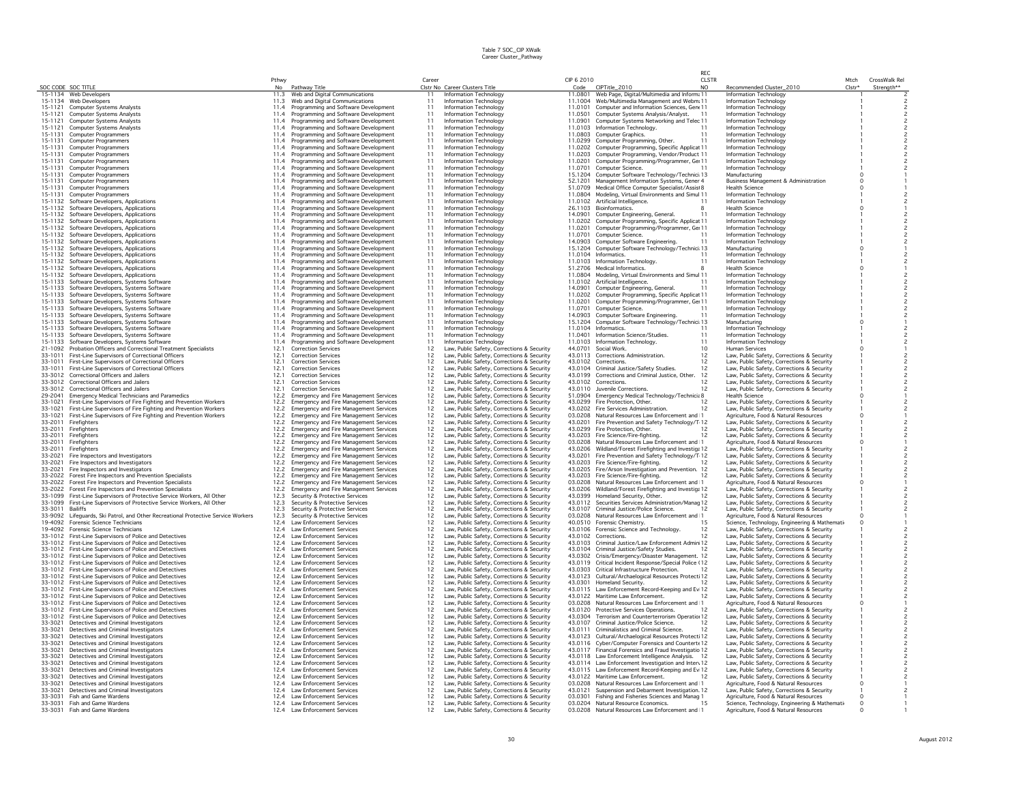|                    |                                                                                                                    |              |                                                                                        |                |                                                                                          |            |                                                                                                          | RFC            |                                                                                            |                    |               |
|--------------------|--------------------------------------------------------------------------------------------------------------------|--------------|----------------------------------------------------------------------------------------|----------------|------------------------------------------------------------------------------------------|------------|----------------------------------------------------------------------------------------------------------|----------------|--------------------------------------------------------------------------------------------|--------------------|---------------|
|                    |                                                                                                                    | Pthwy        |                                                                                        | Career         |                                                                                          | CIP 6 2010 |                                                                                                          | CLSTR          |                                                                                            | Mtch               | CrossWalk Rel |
|                    | SOC CODE SOC TITLE<br>15-1134 Web Developers                                                                       |              | No Pathway Title<br>11.3 Web and Digital Communications                                |                | Clstr No Career Clusters Title<br>Information Technology                                 |            | Code CIPTitle_2010<br>11.0801 Web Page, Digital/Multimedia and Inform: 11                                | N <sub>O</sub> | Recommended Cluster_2010                                                                   | Clstr <sup>+</sup> | Strength**    |
|                    | 15-1134 Web Developers                                                                                             |              | 11.3 Web and Digital Communications                                                    | 11<br>11       | Information Technology                                                                   |            | 11.1004 Web/Multimedia Management and Webm. 11                                                           |                | Information Technology<br>Information Technology                                           |                    |               |
| 15-1121            | Computer Systems Analysts                                                                                          |              | 11.4 Programming and Software Development                                              | 11             | Information Technology                                                                   |            | 11.0101 Computer and Information Sciences, Gene 11                                                       |                | Information Technology                                                                     |                    |               |
| 15-1121            | <b>Computer Systems Analysts</b>                                                                                   |              | 11.4 Programming and Software Development                                              | 11             | Information Technology                                                                   | 11.0501    | Computer Systems Analysis/Analyst. 11                                                                    |                | Information Technology                                                                     |                    |               |
|                    | 15-1121 Computer Systems Analysts                                                                                  |              | 11.4 Programming and Software Development                                              | 11             | Information Technology                                                                   |            | 11.0901 Computer Systems Networking and Telec 11                                                         |                | <b>Information Technology</b>                                                              |                    |               |
| 15-1121            | Computer Systems Analysts                                                                                          |              | 11.4 Programming and Software Development                                              | 11             | Information Technology                                                                   |            | 11.0103 Information Technology.                                                                          |                | Information Technology                                                                     |                    |               |
|                    | 15-1131 Computer Programmers                                                                                       |              | 11.4 Programming and Software Development                                              | 11             | Information Technology                                                                   |            | 11.0803 Computer Graphics.                                                                               |                | <b>Information Technology</b>                                                              |                    |               |
| 15-1131            | <b>Computer Programmers</b>                                                                                        |              | 11.4 Programming and Software Development                                              | 11             | Information Technology                                                                   |            | 11.0299 Computer Programming, Other.                                                                     | 11             | Information Technology                                                                     |                    |               |
|                    | 15-1131 Computer Programmers                                                                                       |              | 11.4 Programming and Software Development                                              | 11             | Information Technology                                                                   |            | 11.0202 Computer Programming, Specific Applicat 11                                                       |                | Information Technology                                                                     |                    |               |
|                    | 15-1131 Computer Programmers                                                                                       |              | 11.4 Programming and Software Development                                              | 11             | Information Technology                                                                   |            | 11.0203 Computer Programming, Vendor/Product 11                                                          |                | Information Technology                                                                     |                    |               |
|                    | 15-1131 Computer Programmers                                                                                       |              | 11.4 Programming and Software Development                                              | 11<br>11       | Information Technology<br>Information Technology                                         |            | 11.0201 Computer Programming/Programmer, Ge: 11                                                          |                | Information Technology                                                                     |                    |               |
| 15-1131<br>15-1131 | Computer Programmers<br><b>Computer Programmers</b>                                                                |              | 11.4 Programming and Software Development<br>11.4 Programming and Software Development | 11             | Information Technology                                                                   |            | 11.0701 Computer Science.<br>15.1204 Computer Software Technology/Technici 13                            |                | Information Technology<br>Manufacturing                                                    |                    |               |
|                    | 15-1131 Computer Programmers                                                                                       |              | 11.4 Programming and Software Development                                              | 11             | Information Technology                                                                   |            | 52.1201 Management Information Systems, Gener 4                                                          |                | Business Management & Administration                                                       |                    |               |
| 15-1131            | <b>Computer Programmers</b>                                                                                        |              | 11.4 Programming and Software Development                                              | 11             | Information Technology                                                                   |            | 51.0709 Medical Office Computer Specialist/Assist 8                                                      |                | Health Science                                                                             |                    |               |
| 15-1131            | <b>Computer Programmers</b>                                                                                        |              | 11.4 Programming and Software Development                                              | 11             | Information Technology                                                                   |            | 11.0804 Modeling, Virtual Environments and Simul 11                                                      |                | Information Technology                                                                     |                    |               |
| 15-1132            | Software Developers, Applications                                                                                  |              | 11.4 Programming and Software Development                                              | 11             | Information Technology                                                                   |            | 11.0102 Artificial Intelligence.                                                                         |                | Information Technology                                                                     |                    |               |
|                    | 15-1132 Software Developers, Applications                                                                          |              | 11.4 Programming and Software Development                                              | 11             | Information Technology                                                                   |            | 26.1103 Bioinformatics.                                                                                  |                | <b>Health Science</b>                                                                      |                    |               |
| 15-1132            | Software Developers, Applications                                                                                  |              | 11.4 Programming and Software Development                                              | 11             | Information Technology                                                                   |            | 14.0901 Computer Engineering, General,                                                                   | 11             | Information Technology                                                                     |                    |               |
| 15-1132            | Software Developers, Applications                                                                                  |              | 11.4 Programming and Software Development                                              | 11             | Information Technology                                                                   |            | 11.0202 Computer Programming, Specific Applicat 11                                                       |                | Information Technology                                                                     |                    |               |
|                    | 15-1132 Software Developers, Applications                                                                          |              | 11.4 Programming and Software Development                                              | 11             | Information Technology                                                                   |            | 11.0201 Computer Programming/Programmer, Gei 11                                                          |                | Information Technology                                                                     |                    |               |
| 15-1132            | Software Developers, Applications                                                                                  |              | 11.4 Programming and Software Development                                              | 11             | Information Technology                                                                   | 11,0701    | Computer Science.                                                                                        |                | Information Technology                                                                     |                    |               |
|                    | 15-1132 Software Developers, Applications                                                                          |              | 11.4 Programming and Software Development                                              | 11             | Information Technology                                                                   |            | 14.0903 Computer Software Engineering.                                                                   | 11             | <b>Information Technology</b>                                                              |                    |               |
| 15-1132            | Software Developers, Applications                                                                                  |              | 11.4 Programming and Software Development                                              | 11             | Information Technology                                                                   |            | 15.1204 Computer Software Technology/Technici 13                                                         |                | Manufacturing                                                                              |                    |               |
| 15-1132            | 15-1132 Software Developers, Applications                                                                          | 11.4         | 11.4 Programming and Software Development                                              | 11             | Information Technology<br>Information Technology                                         |            | 11.0104 Informatics.                                                                                     | 11<br>11       | <b>Information Technology</b>                                                              |                    |               |
|                    | Software Developers, Applications<br>15-1132 Software Developers, Applications                                     |              | Programming and Software Development<br>11.4 Programming and Software Development      | 11             | Information Technology                                                                   |            | 11.0103 Information Technology.<br>51.2706 Medical Informatics.                                          |                | Information Technology<br><b>Health Science</b>                                            |                    |               |
|                    | 15-1132 Software Developers, Applications                                                                          |              | 11.4 Programming and Software Development                                              | 11             | Information Technology                                                                   |            | 11.0804 Modeling, Virtual Environments and Simul 11                                                      |                | Information Technology                                                                     |                    |               |
| 15-1133            | Software Developers, Systems Software                                                                              |              | 11.4 Programming and Software Development                                              | 11             | Information Technology                                                                   |            | 11.0102 Artificial Intelligence.                                                                         | 11             | Information Technology                                                                     |                    |               |
| 15-1133            | Software Developers, Systems Software                                                                              |              | 11.4 Programming and Software Development                                              | 11             | Information Technology                                                                   |            | 14.0901 Computer Engineering, General,                                                                   | 11             | Information Technology                                                                     |                    |               |
| 15-1133            | Software Developers, Systems Software                                                                              | 11.4         | Programming and Software Development                                                   | 11             | Information Technology                                                                   |            | 11.0202 Computer Programming, Specific Applicat 11                                                       |                | Information Technology                                                                     |                    |               |
|                    | 15-1133 Software Developers, Systems Software                                                                      |              | 11.4 Programming and Software Development                                              | 11             | Information Technology                                                                   |            | 11.0201 Computer Programming/Programmer, Gei 11                                                          |                | Information Technology                                                                     |                    |               |
| 15-1133            | Software Developers, Systems Software                                                                              |              | 11.4 Programming and Software Development                                              | 11             | Information Technology                                                                   | 11.0701    | Computer Science.                                                                                        |                | Information Technology                                                                     |                    |               |
|                    | 15-1133 Software Developers, Systems Software                                                                      |              | 11.4 Programming and Software Development                                              | 11             | Information Technology                                                                   |            | 14.0903 Computer Software Engineering.                                                                   | 11             | Information Technology                                                                     |                    |               |
| 15-1133            | Software Developers, Systems Software                                                                              |              | 11.4 Programming and Software Development                                              | 11             | Information Technology                                                                   |            | 15.1204 Computer Software Technology/Technici 13                                                         |                | Manufacturing                                                                              |                    |               |
|                    | 15-1133 Software Developers, Systems Software                                                                      |              | 11.4 Programming and Software Development                                              | 11             | Information Technology                                                                   |            | 11.0104 Informatics.                                                                                     | 11             | Information Technology                                                                     |                    |               |
| 15-1133            | Software Developers, Systems Software                                                                              |              | 11.4 Programming and Software Development                                              | 11             | Information Technology                                                                   |            | 11.0401 Information Science/Studies.                                                                     | 11             | Information Technology                                                                     |                    |               |
|                    | 15-1133 Software Developers, Systems Software                                                                      |              | 11.4 Programming and Software Development                                              | 11             | Information Technology                                                                   |            | 11.0103 Information Technology.                                                                          | 11             | Information Technology                                                                     |                    |               |
| 21-1092<br>33-1011 | Probation Officers and Correctional Treatment Specialists                                                          | 12.1<br>12.1 | <b>Correction Services</b><br><b>Correction Services</b>                               | 12<br>12       | Law, Public Safety, Corrections & Security                                               |            | 44.0701 Social Work                                                                                      | 10<br>12       | <b>Human Services</b>                                                                      |                    |               |
| 33-1011            | First-Line Supervisors of Correctional Officers<br>First-Line Supervisors of Correctional Officers                 | 12.1         | <b>Correction Services</b>                                                             | 12             | Law, Public Safety, Corrections & Security<br>Law, Public Safety, Corrections & Security |            | 43.0113 Corrections Administration.<br>43.0102 Corrections.                                              | 12             | Law, Public Safety, Corrections & Security<br>Law, Public Safety, Corrections & Security   |                    |               |
| 33-1011            | First-Line Supervisors of Correctional Officers                                                                    | 12.1         | <b>Correction Services</b>                                                             | 12             | Law, Public Safety, Corrections & Security                                               |            | 43.0104 Criminal Justice/Safety Studies.                                                                 |                | Law, Public Safety, Corrections & Security                                                 |                    |               |
| 33-3012            | Correctional Officers and Jailers                                                                                  | 12.1         | <b>Correction Services</b>                                                             | 12             | Law, Public Safety, Corrections & Security                                               |            | 43.0199 Corrections and Criminal Justice, Other.                                                         | 12             | Law, Public Safety, Corrections & Security                                                 |                    |               |
|                    | 33-3012 Correctional Officers and Jailers                                                                          | 12.1         | <b>Correction Services</b>                                                             | 12             | Law, Public Safety, Corrections & Security                                               |            | 43.0102 Corrections.                                                                                     |                | Law, Public Safety, Corrections & Security                                                 |                    |               |
|                    | 33-3012 Correctional Officers and Jailers                                                                          | 12.1         | <b>Correction Services</b>                                                             | 12             | Law, Public Safety, Corrections & Security                                               |            | 43.0110 Juvenile Corrections.                                                                            | 12             | Law, Public Safety, Corrections & Security                                                 |                    |               |
| 29-2041            | Emergency Medical Technicians and Paramedics                                                                       | 12.2         | Emergency and Fire Management Services                                                 | $12^{12}$      | Law, Public Safety, Corrections & Security                                               |            | 51.0904 Emergency Medical Technology/Technicia 8                                                         |                | Health Science                                                                             |                    |               |
| 33-1021            | First-Line Supervisors of Fire Fighting and Prevention Workers                                                     | 12.2         | <b>Emergency and Fire Management Services</b>                                          | 12             | Law, Public Safety, Corrections & Security                                               |            | 43.0299 Fire Protection, Other.                                                                          | 12             | Law, Public Safety, Corrections & Security                                                 |                    |               |
| 33-1021            | First-Line Supervisors of Fire Fighting and Prevention Workers                                                     | 12.2         | Emergency and Fire Management Services                                                 | 12             | Law, Public Safety, Corrections & Security                                               |            | 43.0202 Fire Services Administration.                                                                    |                | Law, Public Safety, Corrections & Security                                                 |                    |               |
| 33-1021            | First-Line Supervisors of Fire Fighting and Prevention Workers                                                     | 12.2         | Emergency and Fire Management Services                                                 | 12             | Law, Public Safety, Corrections & Security                                               |            | 03.0208 Natural Resources Law Enforcement and 1                                                          |                | Agriculture, Food & Natural Resources                                                      |                    |               |
| 33-2011            | Firefighters                                                                                                       | 12.2         | Emergency and Fire Management Services                                                 | 12             | Law, Public Safety, Corrections & Security                                               |            | 43.0201 Fire Prevention and Safety Technology/T 12                                                       |                | Law, Public Safety, Corrections & Security                                                 |                    |               |
| 33-2011            | Firefighters                                                                                                       | 12.2         | <b>Emergency and Fire Management Services</b>                                          | 12             | Law, Public Safety, Corrections & Security                                               |            | 43.0299 Fire Protection, Other.                                                                          | 12             | Law, Public Safety, Corrections & Security                                                 |                    |               |
| 33-2011            | Firefighters                                                                                                       | 12.2         | <b>Emergency and Fire Management Services</b>                                          | 12             | Law, Public Safety, Corrections & Security                                               |            | 43.0203 Fire Science/Fire-fighting.                                                                      | 12             | Law, Public Safety, Corrections & Security                                                 |                    |               |
| 33-2011<br>33-2011 | Firefighters<br>Firefighters                                                                                       | 12.2<br>12.2 | Emergency and Fire Management Services<br>Emergency and Fire Management Services       | 12<br>12       | Law, Public Safety, Corrections & Security<br>Law, Public Safety, Corrections & Security |            | 03.0208 Natural Resources Law Enforcement and 1<br>43.0206 Wildland/Forest Firefighting and Investiga 12 |                | Agriculture, Food & Natural Resources<br>Law, Public Safety, Corrections & Security        |                    |               |
| 33-2021            | Fire Inspectors and Investigators                                                                                  | 12.2         | Emergency and Fire Management Services                                                 | 12             | Law, Public Safety, Corrections & Security                                               |            | 43.0201 Fire Prevention and Safety Technology/T 12                                                       |                | Law, Public Safety, Corrections & Security                                                 |                    |               |
| 33-2021            | Fire Inspectors and Investigators                                                                                  | 12.2         | Emergency and Fire Management Services                                                 | 12             | Law, Public Safety, Corrections & Security                                               |            | 43.0203 Fire Science/Fire-fighting.                                                                      | 12             | Law, Public Safety, Corrections & Security                                                 |                    |               |
| 33-2021            | Fire Inspectors and Investigators                                                                                  | 12.2         | Emergency and Fire Management Services                                                 | 12             | Law, Public Safety, Corrections & Security                                               |            | 43.0205 Fire/Arson Investigation and Prevention. 12                                                      |                | Law, Public Safety, Corrections & Security                                                 |                    |               |
| 33-2022            | Forest Fire Inspectors and Prevention Specialists                                                                  | 12.2         | <b>Emergency and Fire Management Services</b>                                          | 12             | Law, Public Safety, Corrections & Security                                               |            | 43.0203 Fire Science/Fire-fighting.                                                                      | 12             | Law, Public Safety, Corrections & Security                                                 |                    |               |
| 33-2022            | Forest Fire Inspectors and Prevention Specialists                                                                  | 12.2         | <b>Emergency and Fire Management Services</b>                                          |                | Law, Public Safety, Corrections & Security                                               |            | 03.0208 Natural Resources Law Enforcement and 1                                                          |                | Agriculture, Food & Natural Resources                                                      |                    |               |
| 33-2022            | Forest Fire Inspectors and Prevention Specialists                                                                  | 12.2         | Emergency and Fire Management Services                                                 | 12             | Law, Public Safety, Corrections & Security                                               |            | 43.0206 Wildland/Forest Firefighting and Investiga 12                                                    |                | Law, Public Safety, Corrections & Security                                                 |                    |               |
| 33-1099            | First-Line Supervisors of Protective Service Workers, All Other                                                    | 12.3         | Security & Protective Services                                                         | 12             | Law, Public Safety, Corrections & Security                                               |            | 43.0399 Homeland Security, Other.                                                                        |                | Law, Public Safety, Corrections & Security                                                 |                    |               |
| 33-1099            | First-Line Supervisors of Protective Service Workers, All Other                                                    | 12.3         | Security & Protective Services                                                         | 12             | Law, Public Safety, Corrections & Security                                               |            | 43.0112 Securities Services Administration/Manag 12                                                      |                | Law, Public Safety, Corrections & Security                                                 |                    |               |
| 33-3011 Bailiffs   | 33-9092 Lifequards, Ski Patrol, and Other Recreational Protective Service Workers                                  | 12.3         | Security & Protective Services<br>Security & Protective Services                       | 12<br>12       | Law, Public Safety, Corrections & Security                                               |            | 43.0107 Criminal Justice/Police Science.<br>03.0208 Natural Resources Law Enforcement and 1              | 12             | Law, Public Safety, Corrections & Security<br>Agriculture, Food & Natural Resources        |                    |               |
| 19-4092            | Forensic Science Technicians                                                                                       | 12.3<br>12.4 | <b>Law Enforcement Services</b>                                                        | 12             | Law, Public Safety, Corrections & Security                                               |            |                                                                                                          | 15             |                                                                                            |                    |               |
| 19-4092            | <b>Forensic Science Technicians</b>                                                                                |              | 12.4 Law Enforcement Services                                                          | 12             | Law, Public Safety, Corrections & Security<br>Law, Public Safety, Corrections & Security |            | 40.0510 Forensic Chemistry.<br>43.0106 Forensic Science and Technology.                                  | 12             | Science, Technology, Engineering & Mathemati<br>Law, Public Safety, Corrections & Security |                    |               |
| 33-1012            | First-Line Supervisors of Police and Detectives                                                                    |              | 12.4 Law Enforcement Services                                                          | 12             | Law, Public Safety, Corrections & Security                                               |            | 43.0102 Corrections.                                                                                     | 12             | Law, Public Safety, Corrections & Security                                                 |                    |               |
|                    | 33-1012 First-Line Supervisors of Police and Detectives                                                            |              | 12.4 Law Enforcement Services                                                          | 12             | Law, Public Safety, Corrections & Security                                               |            | 43.0103 Criminal Justice/Law Enforcement Admin 12                                                        |                | Law, Public Safety, Corrections & Security                                                 |                    |               |
| 33-1012            | First-Line Supervisors of Police and Detectives                                                                    | 12.4         | Law Enforcement Services                                                               | 12             | Law, Public Safety, Corrections & Security                                               |            | 43.0104 Criminal Justice/Safety Studies.                                                                 |                | Law, Public Safety, Corrections & Security                                                 |                    |               |
|                    | 33-1012 First-Line Supervisors of Police and Detectives                                                            |              | 12.4 Law Enforcement Services                                                          | 12             | Law, Public Safety, Corrections & Security                                               |            | 43.0302 Crisis/Emergency/Disaster Management. 12                                                         |                | Law, Public Safety, Corrections & Security                                                 |                    |               |
|                    | 33-1012 First-Line Supervisors of Police and Detectives                                                            | 12.4         | Law Enforcement Services                                                               | 12             | Law, Public Safety, Corrections & Security                                               |            | 43.0119 Critical Incident Response/Special Police (12                                                    |                | Law, Public Safety, Corrections & Security                                                 |                    |               |
|                    | 33-1012 First-Line Supervisors of Police and Detectives                                                            |              | 12.4 Law Enforcement Services                                                          | 12             | Law, Public Safety, Corrections & Security                                               |            | 43.0303 Critical Infrastructure Protection.                                                              | 12             | Law, Public Safety, Corrections & Security                                                 |                    |               |
|                    | 33-1012 First-Line Supervisors of Police and Detectives                                                            |              | 12.4 Law Enforcement Services                                                          | 12             | Law, Public Safety, Corrections & Security                                               |            | 43.0123 Cultural/Archaelogical Resources Protecti 12                                                     |                | Law, Public Safety, Corrections & Security                                                 |                    |               |
|                    | 33-1012 First-Line Supervisors of Police and Detectives<br>33-1012 First-Line Supervisors of Police and Detectives |              | 12.4 Law Enforcement Services                                                          | 12             | Law, Public Safety, Corrections & Security                                               |            | 43.0301 Homeland Security.                                                                               | 12             | Law, Public Safety, Corrections & Security                                                 |                    |               |
| 33-1012            | First-Line Supervisors of Police and Detectives                                                                    | 12.4         | 12.4 Law Enforcement Services<br><b>Law Enforcement Services</b>                       | $12^{1}$<br>12 | Law, Public Safety, Corrections & Security<br>Law, Public Safety, Corrections & Security |            | 43.0115 Law Enforcement Record-Keeping and Ev 12<br>43.0122 Maritime Law Enforcement.                    |                | Law, Public Safety, Corrections & Security<br>Law, Public Safety, Corrections & Security   |                    |               |
| 33-1012            | First-Line Supervisors of Police and Detectives                                                                    |              | 12.4 Law Enforcement Services                                                          | 12             | Law, Public Safety, Corrections & Security                                               |            | 03.0208 Natural Resources Law Enforcement and 1                                                          |                | Agriculture, Food & Natural Resources                                                      |                    |               |
|                    | 33-1012 First-Line Supervisors of Police and Detectives                                                            |              | 12.4 Law Enforcement Services                                                          | 12             | Law, Public Safety, Corrections & Security                                               |            | 43.0120 Protective Services Operations.                                                                  | 12             | Law, Public Safety, Corrections & Security                                                 |                    |               |
|                    | 33-1012 First-Line Supervisors of Police and Detectives                                                            |              | 12.4 Law Enforcement Services                                                          | 12             | Law, Public Safety, Corrections & Security                                               |            | 43.0304 Terrorism and Counterterrorism Operatio 12                                                       |                | Law, Public Safety, Corrections & Security                                                 |                    |               |
| 33-3021            | Detectives and Criminal Investigators                                                                              |              | 12.4 Law Enforcement Services                                                          | 12             | Law, Public Safety, Corrections & Security                                               |            | 43.0107 Criminal Justice/Police Science.                                                                 | 12             | Law, Public Safety, Corrections & Security                                                 |                    |               |
| 33-3021            | Detectives and Criminal Investigators                                                                              |              | 12.4 Law Enforcement Services                                                          | 12             | Law, Public Safety, Corrections & Security                                               |            | 43.0111 Criminalistics and Criminal Science.                                                             | 12             | Law, Public Safety, Corrections & Security                                                 |                    |               |
| 33-3021            | Detectives and Criminal Investigators                                                                              |              | 12.4 Law Enforcement Services                                                          | $12^{1}$       | Law, Public Safety, Corrections & Security                                               |            | 43.0123 Cultural/Archaelogical Resources Protecti 12                                                     |                | Law, Public Safety, Corrections & Security                                                 |                    |               |
| 33-3021            | Detectives and Criminal Investigators                                                                              | 124          | Law Enforcement Services                                                               | 12             | Law, Public Safety, Corrections & Security                                               |            | 43.0116 Cyber/Computer Forensics and Countert 412                                                        |                | Law, Public Safety, Corrections & Security                                                 |                    |               |
| 33-3021            | Detectives and Criminal Investigators                                                                              |              | 12.4 Law Enforcement Services                                                          | $12^{1}$       | Law, Public Safety, Corrections & Security                                               |            | 43.0117 Financial Forensics and Fraud Investigatio 12                                                    |                | Law, Public Safety, Corrections & Security                                                 |                    |               |
| 33-3021            | Detectives and Criminal Investigators                                                                              |              | 12.4 Law Enforcement Services                                                          | $12^{1}$       | Law, Public Safety, Corrections & Security                                               |            | 43.0118 Law Enforcement Intelligence Analysis. 12                                                        |                | Law, Public Safety, Corrections & Security                                                 |                    |               |
| 33-3021            | Detectives and Criminal Investigators                                                                              |              | 12.4 Law Enforcement Services                                                          | 12             | Law, Public Safety, Corrections & Security                                               |            | 43.0114 Law Enforcement Investigation and Interv 12                                                      |                | Law, Public Safety, Corrections & Security                                                 |                    |               |
| 33-3021<br>33-3021 | Detectives and Criminal Investigators<br>Detectives and Criminal Investigators                                     |              | 12.4 Law Enforcement Services<br>12.4 Law Enforcement Services                         | 12             | Law, Public Safety, Corrections & Security<br>Law, Public Safety, Corrections & Security |            | 43.0115 Law Enforcement Record-Keeping and Ev 12<br>43.0122 Maritime Law Enforcement.                    |                | Law, Public Safety, Corrections & Security<br>Law, Public Safety, Corrections & Security   |                    |               |
| 33-3021            | Detectives and Criminal Investigators                                                                              |              | 12.4 Law Enforcement Services                                                          | 12             | Law, Public Safety, Corrections & Security                                               |            | 03.0208 Natural Resources Law Enforcement and 1                                                          |                | Agriculture, Food & Natural Resources                                                      |                    |               |
| 33-3021            | Detectives and Criminal Investigators                                                                              |              | 12.4 Law Enforcement Services                                                          | 12             | Law, Public Safety, Corrections & Security                                               |            | 43.0121 Suspension and Debarment Investigation, 12                                                       |                | Law, Public Safety, Corrections & Security                                                 |                    |               |
| 33-3031            | Fish and Game Wardens                                                                                              |              | 12.4 Law Enforcement Services                                                          | 12             | Law, Public Safety, Corrections & Security                                               |            | 03.0301 Fishing and Fisheries Sciences and Manag 1                                                       |                | Agriculture, Food & Natural Resources                                                      |                    |               |
|                    | 33-3031 Fish and Game Wardens                                                                                      |              | 12.4 Law Enforcement Services                                                          | 12             | Law, Public Safety, Corrections & Security                                               |            | 03.0204 Natural Resource Economics.                                                                      | 15             | Science, Technology, Engineering & Mathemati                                               |                    |               |
|                    | 33-3031 Fish and Game Wardens                                                                                      |              | 12.4 Law Enforcement Services                                                          | 12             | Law, Public Safety, Corrections & Security                                               |            | 03.0208 Natural Resources Law Enforcement and 1                                                          |                | Agriculture, Food & Natural Resources                                                      |                    |               |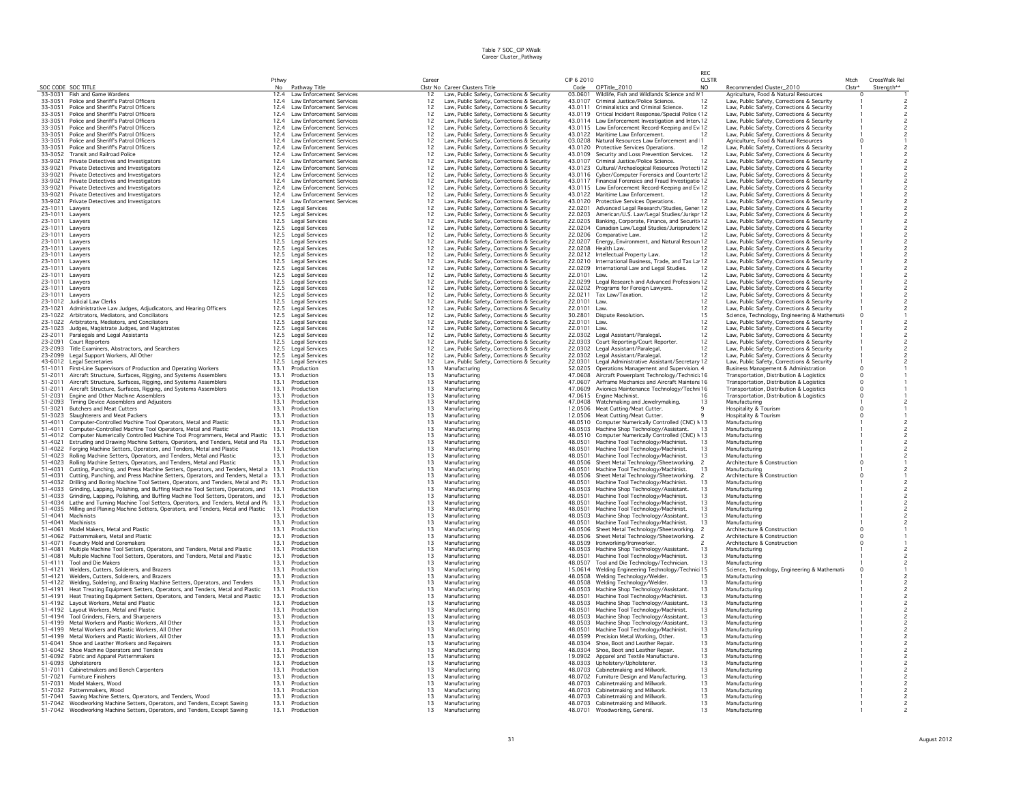|                            |                                                                                                                                                    |              |                                                      |                                         |                                                                                          |                    |                                                                                      | RFC.                     |                                                                                             |                    |                          |
|----------------------------|----------------------------------------------------------------------------------------------------------------------------------------------------|--------------|------------------------------------------------------|-----------------------------------------|------------------------------------------------------------------------------------------|--------------------|--------------------------------------------------------------------------------------|--------------------------|---------------------------------------------------------------------------------------------|--------------------|--------------------------|
|                            |                                                                                                                                                    | Pthwy        |                                                      | Career                                  |                                                                                          | CIP 6 2010         |                                                                                      | <b>CLSTR</b>             |                                                                                             | Mtch               | CrossWalk Rel            |
|                            | SOC CODE SOC TITLE<br>33-3031 Fish and Game Wardens                                                                                                | No           | Pathway Title<br>12.4 Law Enforcement Services       | 12                                      | Clstr No Career Clusters Title<br>Law, Public Safety, Corrections & Security             | 03.0601            | Code CIPTitle_2010<br>Wildlife, Fish and Wildlands Science and M1                    | N <sub>O</sub>           | Recommended Cluster_2010<br>Agriculture, Food & Natural Resources                           | Clstr*<br>$\Omega$ | Strength**               |
| 33-3051                    | Police and Sheriff's Patrol Officers                                                                                                               | 12.4         | Law Enforcement Services                             | 12                                      |                                                                                          | 43.0107            | Criminal Justice/Police Science.                                                     | 12                       |                                                                                             |                    |                          |
| 33-3051                    | Police and Sheriff's Patrol Officers                                                                                                               | 12.4         | Law Enforcement Services                             | $12^{1}$                                | Law, Public Safety, Corrections & Security<br>Law, Public Safety, Corrections & Security | 43.0111            | Criminalistics and Criminal Science.                                                 | 12                       | Law, Public Safety, Corrections & Security<br>Law, Public Safety, Corrections & Security    |                    |                          |
| 33-3051                    | Police and Sheriff's Patrol Officers                                                                                                               | 12.4         | <b>Law Enforcement Services</b>                      | 12                                      | Law, Public Safety, Corrections & Security                                               | 43.0119            | Critical Incident Response/Special Police (12                                        |                          | Law, Public Safety, Corrections & Security                                                  |                    |                          |
| 33-3051                    | Police and Sheriff's Patrol Officers                                                                                                               | 12.4         | Law Enforcement Services                             | 12                                      | Law, Public Safety, Corrections & Security                                               |                    | 43.0114 Law Enforcement Investigation and Interv 12                                  |                          | Law, Public Safety, Corrections & Security                                                  |                    |                          |
| 33-3051                    | Police and Sheriff's Patrol Officers                                                                                                               | 12.4         | Law Enforcement Services                             | 12                                      | Law, Public Safety, Corrections & Security                                               |                    | 43.0115 Law Enforcement Record-Keeping and Ev 12                                     |                          | Law, Public Safety, Corrections & Security                                                  |                    |                          |
| 33-3051                    | Police and Sheriff's Patrol Officers                                                                                                               | 12.4         | <b>Law Enforcement Services</b>                      | 12                                      | Law, Public Safety, Corrections & Security                                               | 43.0122            | Maritime Law Enforcement.                                                            | 12                       | Law, Public Safety, Corrections & Security                                                  |                    |                          |
| 33-3051                    | Police and Sheriff's Patrol Officers                                                                                                               | 12.4         | Law Enforcement Services                             | 12                                      | Law, Public Safety, Corrections & Security                                               | 03.0208            | Natural Resources Law Enforcement and 1                                              |                          | Agriculture, Food & Natural Resources                                                       |                    |                          |
| 33-3051                    | Police and Sheriff's Patrol Officers                                                                                                               | 12.4         | Law Enforcement Services                             | 12                                      | Law, Public Safety, Corrections & Security                                               | 43.0120            | Protective Services Operations.                                                      | 12                       | Law, Public Safety, Corrections & Security                                                  |                    |                          |
| 33-3052                    | <b>Transit and Railroad Police</b>                                                                                                                 | 12.4         | Law Enforcement Services                             | 12                                      | Law, Public Safety, Corrections & Security                                               | 43.0109            | Security and Loss Prevention Services.                                               | 12                       | Law, Public Safety, Corrections & Security                                                  |                    |                          |
| 33-9021                    | Private Detectives and Investigators                                                                                                               | 12.4         | <b>Law Enforcement Services</b>                      | 12                                      | Law, Public Safety, Corrections & Security                                               | 43,0107            | Criminal Justice/Police Science.                                                     | 12                       | Law, Public Safety, Corrections & Security                                                  |                    |                          |
| 33-9021                    | Private Detectives and Investigators                                                                                                               | 12.4         | Law Enforcement Services                             | 12                                      | Law, Public Safety, Corrections & Security                                               | 43.0123            | Cultural/Archaelogical Resources Protecti 12                                         |                          | Law, Public Safety, Corrections & Security                                                  |                    | $\overline{c}$           |
| 33-9021                    | Private Detectives and Investigators                                                                                                               | 12.4         | Law Enforcement Services                             | 12                                      | Law, Public Safety, Corrections & Security                                               | 43.0116            | Cyber/Computer Forensics and Countert 12                                             |                          | Law, Public Safety, Corrections & Security                                                  |                    |                          |
| 33-9021                    | Private Detectives and Investigators                                                                                                               | 12.4         | <b>Law Enforcement Services</b>                      | 12                                      | Law, Public Safety, Corrections & Security                                               | 43.0117            | Financial Forensics and Fraud Investigatio 12                                        |                          | Law, Public Safety, Corrections & Security                                                  |                    | $\overline{c}$           |
| 33-9021                    | Private Detectives and Investigators                                                                                                               | 12.4         | Law Enforcement Services                             | 12                                      | Law, Public Safety, Corrections & Security                                               | 43.0115            | Law Enforcement Record-Keeping and Ev 12                                             |                          | Law, Public Safety, Corrections & Security                                                  |                    |                          |
| 33-9021<br>33-9021         | Private Detectives and Investigators<br>Private Detectives and Investigators                                                                       | 12.4<br>12.4 | Law Enforcement Services<br>Law Enforcement Services | 12<br>12                                | Law, Public Safety, Corrections & Security<br>Law, Public Safety, Corrections & Security | 43.0122<br>43.0120 | Maritime Law Enforcement.<br>Protective Services Operations                          | 12<br>12                 | Law, Public Safety, Corrections & Security<br>Law, Public Safety, Corrections & Security    |                    |                          |
| 23-1011 Lawyers            |                                                                                                                                                    | 12.5         | <b>Legal Services</b>                                | 12                                      | Law, Public Safety, Corrections & Security                                               | 22.0201            | Advanced Legal Research/Studies, Gener 12                                            |                          | Law, Public Safety, Corrections & Security                                                  |                    |                          |
| 23-1011 Lawvers            |                                                                                                                                                    | 12.5         | <b>Legal Services</b>                                | 12                                      | Law, Public Safety, Corrections & Security                                               | 22.0203            | American/U.S. Law/Legal Studies/Jurispr 12                                           |                          | Law, Public Safety, Corrections & Security                                                  |                    |                          |
| 23-1011                    | Lawvers                                                                                                                                            | 12.5         | <b>Legal Services</b>                                | 12                                      | Law, Public Safety, Corrections & Security                                               | 22.0205            | Banking, Corporate, Finance, and Securiti 12                                         |                          | Law, Public Safety, Corrections & Security                                                  |                    |                          |
| 23-1011 Lawvers            |                                                                                                                                                    | 12.5         | <b>Legal Services</b>                                | 12                                      | Law, Public Safety, Corrections & Security                                               | 22.0204            | Canadian Law/Legal Studies/Jurispruden(12                                            |                          | Law, Public Safety, Corrections & Security                                                  |                    | $\overline{c}$           |
| 23-1011 Lawvers            |                                                                                                                                                    | 12.5         | <b>Legal Services</b>                                | 12                                      | Law, Public Safety, Corrections & Security                                               | 22.0206            | Comparative Law.                                                                     | 12                       | Law, Public Safety, Corrections & Security                                                  |                    | $\overline{c}$           |
| 23-1011 Lawyers            |                                                                                                                                                    | 12.5         | Legal Services                                       | 12                                      | Law, Public Safety, Corrections & Security                                               | 22.0207            | Energy, Environment, and Natural Resour 12                                           |                          | Law, Public Safety, Corrections & Security                                                  |                    | $\overline{c}$           |
| 23-1011                    | Lawyers                                                                                                                                            | 12.5         | <b>Legal Services</b>                                | 12                                      | Law, Public Safety, Corrections & Security                                               | 22.0208            | Health Law.                                                                          | 12                       | Law, Public Safety, Corrections & Security                                                  |                    | $\overline{c}$           |
| 23-1011                    | Lawvers                                                                                                                                            | 12.5         | Legal Services                                       | 12                                      | Law, Public Safety, Corrections & Security                                               | 22.0212            | Intellectual Property Law.                                                           |                          | Law, Public Safety, Corrections & Security                                                  |                    |                          |
| 23-1011                    | Lawyers                                                                                                                                            | 12.5         | <b>Legal Services</b>                                | 12                                      | Law, Public Safety, Corrections & Security                                               | 22.0210            | International Business, Trade, and Tax La 12                                         |                          | Law, Public Safety, Corrections & Security                                                  |                    | $\overline{c}$           |
| 23-1011 Lawvers            |                                                                                                                                                    | 12.5         | <b>Legal Services</b>                                | 12                                      | Law, Public Safety, Corrections & Security                                               | 22.0209            | International Law and Legal Studies.                                                 | 12                       | Law, Public Safety, Corrections & Security                                                  |                    |                          |
| 23-1011 Lawyers            |                                                                                                                                                    | 12.5         | Legal Services                                       | 12                                      | Law, Public Safety, Corrections & Security                                               | 22.0101            | l aw                                                                                 | 12                       | Law, Public Safety, Corrections & Security                                                  |                    |                          |
| 23-1011 Lawvers            |                                                                                                                                                    | 12.5         | <b>Legal Services</b>                                | 12                                      | Law, Public Safety, Corrections & Security                                               | 22.0299            | Legal Research and Advanced Profession; 12                                           |                          | Law, Public Safety, Corrections & Security                                                  |                    | $\overline{c}$           |
| 23-1011 Lawyers            |                                                                                                                                                    | 12.5         | <b>Legal Services</b>                                | 12                                      | Law, Public Safety, Corrections & Security                                               | 22.0202            | Programs for Foreign Lawvers.                                                        | 12                       | Law, Public Safety, Corrections & Security                                                  |                    | $\overline{c}$           |
| 23-1011 Lawvers<br>23-1012 |                                                                                                                                                    | 12.5<br>12.5 | <b>Legal Services</b>                                | 12<br>12                                | Law, Public Safety, Corrections & Security                                               | 22.0211<br>22.0101 | Tax Law/Taxation.<br>I aw                                                            | 12                       | Law, Public Safety, Corrections & Security                                                  |                    | $\overline{c}$           |
| 23-1021                    | Judicial Law Clerks                                                                                                                                | 12.5         | <b>Legal Services</b>                                | 12                                      | Law, Public Safety, Corrections & Security                                               | 22,0101            | Law.                                                                                 | 12<br>12                 | Law, Public Safety, Corrections & Security                                                  |                    | $\overline{c}$           |
| 23-1022                    | Administrative Law Judges, Adjudicators, and Hearing Officers<br>Arbitrators, Mediators, and Conciliators                                          | 12.5         | Legal Services<br><b>Legal Services</b>              | 12                                      | Law, Public Safety, Corrections & Security<br>Law, Public Safety, Corrections & Security | 30,2801            | Dispute Resolution.                                                                  | 15                       | Law, Public Safety, Corrections & Security<br>Science, Technology, Engineering & Mathemati- |                    |                          |
| 23-1022                    | Arbitrators, Mediators, and Conciliators                                                                                                           | 12.5         | Legal Services                                       | 12                                      | Law, Public Safety, Corrections & Security                                               | 22.0101            | Law.                                                                                 | 12                       | Law, Public Safety, Corrections & Security                                                  |                    |                          |
| 23-1023                    | Judges, Magistrate Judges, and Magistrates                                                                                                         | 12.5         | Legal Services                                       | 12                                      | Law, Public Safety, Corrections & Security                                               | 22.0101            | Law                                                                                  | 12                       | Law, Public Safety, Corrections & Security                                                  |                    |                          |
| 23-2011                    | Paralegals and Legal Assistants                                                                                                                    | 12.5         | Legal Services                                       | 12                                      | Law, Public Safety, Corrections & Security                                               | 22.0302            | Legal Assistant/Paralegal.                                                           | 12                       | Law, Public Safety, Corrections & Security                                                  |                    |                          |
|                            | 23-2091 Court Reporters                                                                                                                            | 12.5         | <b>Legal Services</b>                                | 12                                      | Law, Public Safety, Corrections & Security                                               | 22.0303            | Court Reporting/Court Reporter.                                                      | 12                       | Law, Public Safety, Corrections & Security                                                  |                    |                          |
| 23-2093                    | Title Examiners, Abstractors, and Searchers                                                                                                        | 12.5         | <b>Legal Services</b>                                | 12                                      | Law, Public Safety, Corrections & Security                                               | 22.0302            | Legal Assistant/Paralegal                                                            | 12                       | Law, Public Safety, Corrections & Security                                                  |                    | $\overline{c}$           |
|                            | 23-2099 Legal Support Workers, All Other                                                                                                           | 12.5         | <b>Legal Services</b>                                | 12                                      | Law, Public Safety, Corrections & Security                                               | 22.0302            | Legal Assistant/Paralegal.                                                           | 12                       | Law, Public Safety, Corrections & Security                                                  |                    | $\overline{\phantom{a}}$ |
|                            | 43-6012 Legal Secretaries                                                                                                                          | 12.5         | <b>Legal Services</b>                                | 12                                      | Law, Public Safety, Corrections & Security                                               | 22.0301            | Legal Administrative Assistant/Secretary 12                                          |                          | Law, Public Safety, Corrections & Security                                                  |                    | $\overline{c}$           |
|                            | 51-1011 First-Line Supervisors of Production and Operating Workers                                                                                 | 13.1         | Production                                           | 13                                      | Manufacturing                                                                            | 52.0205            | Operations Management and Supervision. 4                                             |                          | Business Management & Administration                                                        |                    |                          |
| 51-2011                    | Aircraft Structure, Surfaces, Rigging, and Systems Assemblers                                                                                      | 13.1         | Production                                           | 13                                      | Manufacturing                                                                            | 47 0608            | Aircraft Powerplant Technology/Technici: 16                                          |                          | Transportation, Distribution & Logistics                                                    |                    |                          |
| 51-2011                    | Aircraft Structure, Surfaces, Rigging, and Systems Assemblers                                                                                      | 13.1         | Production                                           | 13                                      | Manufacturing                                                                            | 47.0607            | Airframe Mechanics and Aircraft Maintena 16                                          |                          | Transportation, Distribution & Logistics                                                    |                    |                          |
| 51-2011                    | Aircraft Structure, Surfaces, Rigging, and Systems Assemblers                                                                                      | 13.1         | Production                                           | $13\,$                                  | Manufacturing                                                                            | 47.0609            | Avionics Maintenance Technology/Techni 16                                            |                          | Transportation, Distribution & Logistics                                                    |                    |                          |
| 51-2031                    | Engine and Other Machine Assemblers                                                                                                                | 13.1         | Production                                           | 13                                      | Manufacturing                                                                            | 47.0615            | Engine Machinist.                                                                    | 16                       | Transportation, Distribution & Logistics                                                    |                    |                          |
| 51-2093                    | Timing Device Assemblers and Adiusters                                                                                                             | 13.1         | Production                                           | 13                                      | Manufacturing                                                                            | 47.0408            | Watchmaking and Jewelrymaking.                                                       | 13                       | Manufacturino                                                                               |                    |                          |
| 51-3021                    | <b>Butchers and Meat Cutters</b>                                                                                                                   | 13.1         | Production                                           | 13                                      | Manufacturing                                                                            | 12.0506            | Meat Cutting/Meat Cutter.                                                            | 9                        | Hospitality & Tourism                                                                       |                    |                          |
| 51-3023                    | Slaughterers and Meat Packers                                                                                                                      | 13.1         | Production                                           | 13                                      | Manufacturing                                                                            | 12,0506            | Meat Cutting/Meat Cutter.                                                            |                          | Hospitality & Tourism                                                                       |                    |                          |
| 51-4011                    | Computer-Controlled Machine Tool Operators, Metal and Plastic                                                                                      | 13.1         | Production                                           | 13                                      | Manufacturing                                                                            |                    | 48.0510 Computer Numerically Controlled (CNC) M13                                    |                          | Manufacturing                                                                               |                    |                          |
| 51-4011<br>51-4012         | Computer-Controlled Machine Tool Operators, Metal and Plastic                                                                                      | 13.1         | Production<br>Production                             | 13                                      | Manufacturing                                                                            | 48.0503            | Machine Shop Technology/Assistant.                                                   | 13                       | Manufacturino                                                                               |                    | $\overline{c}$           |
| 51-4021                    | Computer Numerically Controlled Machine Tool Programmers, Metal and Plastic 13.1                                                                   |              |                                                      | 13                                      | Manufacturino                                                                            | 48.0510            | Computer Numerically Controlled (CNC) M13                                            | 13                       | Manufacturino                                                                               |                    | $\overline{c}$           |
| 51-4022                    | Extruding and Drawing Machine Setters, Operators, and Tenders, Metal and Pla<br>Forging Machine Setters, Operators, and Tenders, Metal and Plastic | 13.1<br>13.1 | Production<br>Production                             | 13<br>13                                | Manufacturing<br>Manufacturing                                                           | 48.0501<br>48.0501 | Machine Tool Technology/Machinist.<br>Machine Tool Technology/Machinist.             | 13                       | Manufacturing<br>Manufacturing                                                              |                    |                          |
| 51-4023                    | Rolling Machine Setters, Operators, and Tenders, Metal and Plastic                                                                                 | 13.1         | Production                                           | 13                                      | Manufacturing                                                                            | 48.0501            | Machine Tool Technology/Machinist.                                                   | 13                       | Manufacturing                                                                               |                    |                          |
| 51-4023                    | Rolling Machine Setters, Operators, and Tenders, Metal and Plastic                                                                                 | 13.1         | Production                                           | 13                                      | Manufacturing                                                                            | 48.0506            | Sheet Metal Technology/Sheetworking.                                                 |                          | Architecture & Construction                                                                 |                    |                          |
| 51-4031                    | Cutting, Punching, and Press Machine Setters, Operators, and Tenders, Metal a                                                                      | 13.1         | Production                                           | 13                                      | Manufacturing                                                                            | 48.0501            | Machine Tool Technology/Machinist.                                                   | 13                       | Manufacturing                                                                               |                    |                          |
| 51-4031                    | Cutting, Punching, and Press Machine Setters, Operators, and Tenders, Metal a 13.1                                                                 |              | Production                                           | 13                                      | Manufacturing                                                                            | 48.0506            | Sheet Metal Technology/Sheetworking.                                                 | $\overline{\phantom{a}}$ | Architecture & Construction                                                                 |                    |                          |
| 51-4032                    | Drilling and Boring Machine Tool Setters, Operators, and Tenders, Metal and Pla                                                                    | 13.1         | Production                                           | 13                                      | Manufacturing                                                                            | 48.0501            | Machine Tool Technology/Machinist.                                                   | 13                       | Manufacturing                                                                               |                    |                          |
| 51-4033                    | Grinding, Lapping, Polishing, and Buffing Machine Tool Setters, Operators, and                                                                     | 13.1         | Production                                           | $\overline{13}$                         | Manufacturing                                                                            | 48.0503            | Machine Shop Technology/Assistant.                                                   | 13                       | Manufacturing                                                                               |                    |                          |
| 51-4033                    | Grinding, Lapping, Polishing, and Buffing Machine Tool Setters, Operators, and                                                                     | 13.1         | Production                                           | 13                                      | Manufacturing                                                                            | 48.0501            | Machine Tool Technology/Machinist.                                                   | 13                       | Manufacturing                                                                               |                    | $\overline{c}$           |
| 51-4034                    | Lathe and Turning Machine Tool Setters, Operators, and Tenders, Metal and Pla                                                                      | 13.1         | Production                                           | 13                                      | Manufacturino                                                                            | 48.0501            | Machine Tool Technology/Machinist.                                                   | 13                       | Manufacturino                                                                               |                    | $\overline{c}$           |
| 51-4035                    | Milling and Planing Machine Setters, Operators, and Tenders, Metal and Plastic                                                                     | 13.1         | Production                                           | 13                                      | Manufacturing                                                                            | 48.0501            | Machine Tool Technology/Machinist.                                                   | 13                       | Manufacturing                                                                               |                    |                          |
| 51-4041                    | Machinists                                                                                                                                         | 13.          | Production                                           | 13                                      | Manufacturing                                                                            | 48.0503            | Machine Shop Technology/Assistant.                                                   | 13                       | Manufacturino                                                                               |                    |                          |
| 51-4041                    | Machinists                                                                                                                                         | 13.1         | Production                                           | 13                                      | Manufacturing                                                                            | 48.0501            | Machine Tool Technology/Machinist.                                                   | 13                       | Manufacturing                                                                               |                    |                          |
| 51-4061<br>51-4062         | Model Makers, Metal and Plastic<br>Patternmakers, Metal and Plastic                                                                                | 13.<br>13.1  | Production<br>Production                             | 13<br>13                                | Manufacturing<br>Manufacturing                                                           | 48.0506            | Sheet Metal Technology/Sheetworking.<br>48.0506 Sheet Metal Technology/Sheetworking. |                          | Architecture & Construction<br>Architecture & Construction                                  |                    |                          |
| 51-4071                    | Foundry Mold and Coremakers                                                                                                                        | 13.1         | Production                                           | 13                                      | Manufacturing                                                                            | 48.0509            | Ironworking/Ironworker.                                                              |                          | Architecture & Construction                                                                 |                    |                          |
| 51-4081                    | Multiple Machine Tool Setters, Operators, and Tenders, Metal and Plastic                                                                           | 13.1         | Production                                           | 13                                      | Manufacturing                                                                            |                    | 48.0503 Machine Shop Technology/Assistant.                                           | 13                       | Manufacturing                                                                               |                    |                          |
| 51-4081                    | Multiple Machine Tool Setters, Operators, and Tenders, Metal and Plastic                                                                           | 13.1         | Production                                           |                                         | Manufacturing                                                                            | 48.0501            | Machine Tool Technology/Machinist.                                                   | 13                       | Manufacturing                                                                               |                    |                          |
| 51-4111                    | Tool and Die Makers                                                                                                                                | 13.1         | Production                                           | $\begin{array}{c} 13 \\ 13 \end{array}$ | Manufacturing                                                                            | 48.0507            | Tool and Die Technology/Technician.                                                  | 13                       | Manufacturino                                                                               |                    |                          |
| 51-4121                    | Welders, Cutters, Solderers, and Brazers                                                                                                           | 13.1         | Production                                           | 13                                      | Manufacturino                                                                            | 15.0614            | Welding Engineering Technology/Technic 15                                            |                          | Science, Technology, Engineering & Mathemati                                                |                    |                          |
| 51-4121                    | Welders, Cutters, Solderers, and Brazers                                                                                                           | 13.1         | Production                                           | 13                                      | Manufacturing                                                                            | 48.0508            | Welding Technology/Welder.                                                           | 13                       | Manufacturing                                                                               |                    |                          |
| 51-4122                    | Welding, Soldering, and Brazing Machine Setters, Operators, and Tenders                                                                            | 13.1         | Production                                           | 13                                      | Manufacturing                                                                            | 48.0508            | Welding Technology/Welder.                                                           | 13                       | Manufacturino                                                                               |                    |                          |
| 51-4191                    | Heat Treating Equipment Setters, Operators, and Tenders, Metal and Plastic                                                                         | 13.1         | Production                                           | 13                                      | Manufacturing                                                                            | 48.0503            | Machine Shop Technology/Assistant.                                                   | 13                       | Manufacturino                                                                               |                    |                          |
| 51-4191                    | Heat Treating Equipment Setters, Operators, and Tenders, Metal and Plastic                                                                         | 13.1         | Production                                           | 13                                      | Manufacturing                                                                            | 48.0501            | Machine Tool Technology/Machinist.                                                   | 13                       | Manufacturino                                                                               |                    |                          |
| 51-4192                    | Layout Workers, Metal and Plastic                                                                                                                  | 13.1         | Production                                           | 13                                      | Manufacturing                                                                            | 48.0503            | Machine Shop Technology/Assistant.                                                   | 13                       | Manufacturing                                                                               |                    |                          |
| 51-4192                    | Lavout Workers, Metal and Plastic                                                                                                                  | 13.1         | Production                                           | 13                                      | Manufacturing                                                                            | 48.0501            | Machine Tool Technology/Machinist.                                                   | 13                       | Manufacturing                                                                               |                    |                          |
| 51-4194                    | Tool Grinders, Filers, and Shameners                                                                                                               | 13.1         | Production                                           | 13                                      | Manufacturing                                                                            | 48.0503            | Machine Shop Technology/Assistant.                                                   | 13                       | Manufacturino                                                                               |                    | $\overline{\phantom{a}}$ |
| 51-4199                    | Metal Workers and Plastic Workers, All Other                                                                                                       | 13.1         | Production                                           | 13                                      | Manufacturing                                                                            | 48.0503            | Machine Shop Technology/Assistant.                                                   | 13                       | Manufacturing                                                                               |                    |                          |
| 51-4199                    | Metal Workers and Plastic Workers, All Other                                                                                                       | 13.1         | Production                                           | 13                                      | Manufacturing                                                                            | 48.0501            | Machine Tool Technology/Machinist.                                                   | 13                       | Manufacturing                                                                               |                    |                          |
| 51-4199                    | Metal Workers and Plastic Workers, All Other                                                                                                       | 13.1         | Production                                           | 13                                      | Manufacturing                                                                            | 48.0599            | Precision Metal Working, Other.                                                      | 13                       | Manufacturing                                                                               |                    |                          |
| 51-6041<br>51-6042         | Shoe and Leather Workers and Repairers<br>Shoe Machine Operators and Tenders                                                                       | 13.1<br>13.1 | Production<br>Production                             | 13<br>13                                | Manufacturing<br>Manufacturing                                                           | 48.0304<br>48.0304 | Shoe, Boot and Leather Repair.<br>Shoe, Boot and Leather Repair.                     | 13<br>13                 | Manufacturing<br>Manufacturino                                                              |                    | $\overline{c}$           |
| 51-6092                    | Fabric and Apparel Patternmakers                                                                                                                   | 13.1         | Production                                           | 13                                      | Manufacturing                                                                            | 19,0902            | Apparel and Textile Manufacture.                                                     | 13                       | Manufacturino                                                                               |                    |                          |
| 51-6093                    | Upholsterers                                                                                                                                       | 13.1         | Production                                           | 13                                      | Manufacturing                                                                            | 48.0303            | Upholsterv/Upholsterer.                                                              | 13                       | Manufacturing                                                                               |                    |                          |
| 51-7011                    | Cabinetmakers and Bench Carpenters                                                                                                                 | 13.1         | Production                                           | 13                                      | Manufacturing                                                                            | 48,0703            | Cabinetmaking and Millwork.                                                          | 13                       | Manufacturino                                                                               |                    |                          |
| 51-7021                    | <b>Furniture Finishers</b>                                                                                                                         | 13.1         | Production                                           | 13                                      | Manufacturing                                                                            | 48,0702            | Furniture Design and Manufacturing                                                   | 13                       | Manufacturino                                                                               |                    |                          |
| 51-7031                    | Model Makers, Wood                                                                                                                                 | 13.1         | Production                                           | 13                                      | Manufacturing                                                                            | 48.0703            | Cabinetmaking and Millwork.                                                          | 13                       | Manufacturing                                                                               |                    |                          |
|                            | 51-7032 Patternmakers, Wood                                                                                                                        | 13.1         | Production                                           | 13                                      | Manufacturing                                                                            |                    | 48.0703 Cabinetmaking and Millwork.                                                  | 13                       | Manufacturing                                                                               |                    |                          |
| 51-7041                    | Sawing Machine Setters, Operators, and Tenders, Wood                                                                                               | 13.1         | Production                                           | 13                                      | Manufacturing                                                                            |                    | 48.0703 Cabinetmaking and Millwork.                                                  | 13                       | Manufacturing                                                                               |                    |                          |
|                            | 51-7042 Woodworking Machine Setters, Operators, and Tenders, Except Sawing                                                                         | 13.1         | Production                                           | 13                                      | Manufacturing                                                                            |                    | 48.0703 Cabinetmaking and Millwork.                                                  | 13                       | Manufacturing                                                                               |                    |                          |
|                            | 51-7042 Woodworking Machine Setters, Operators, and Tenders, Except Sawing                                                                         | 13.1         | Production                                           | 13                                      | Manufacturing                                                                            |                    | 48.0701 Woodworking, General.                                                        | 13                       | Manufacturino                                                                               |                    |                          |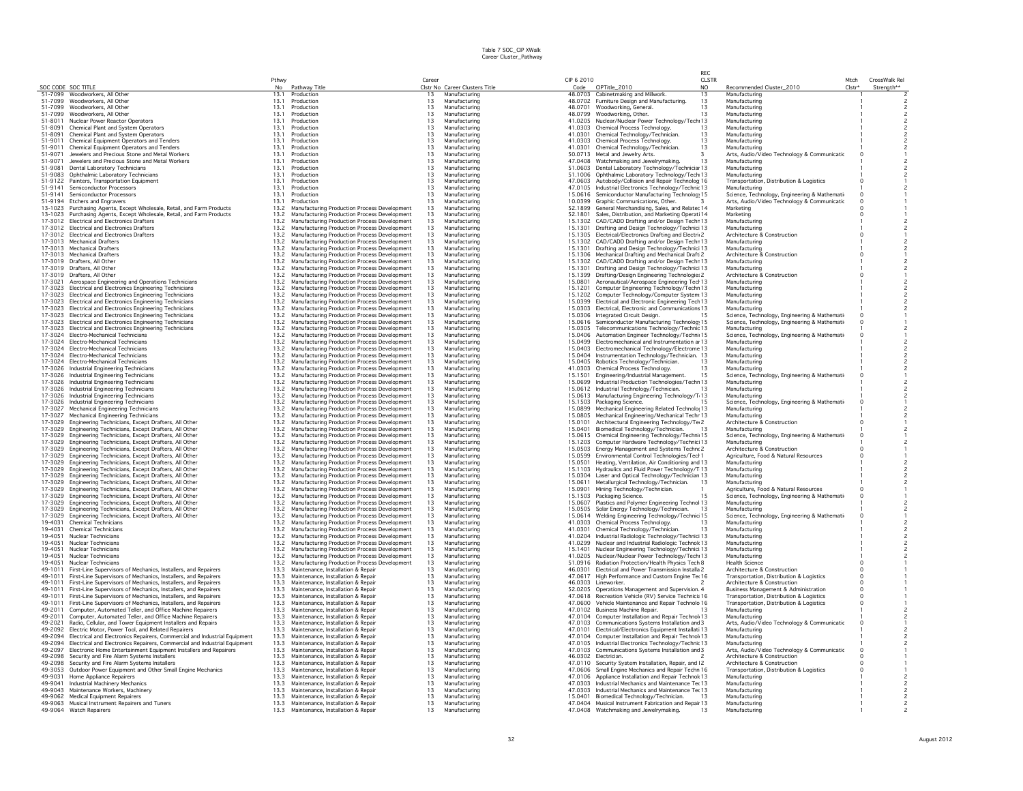|                    |                                                                                                                                          |              |                                                                                              |          |                                |            |                                                                                                               | RFC.                                    |                                                                     |                            |                             |  |
|--------------------|------------------------------------------------------------------------------------------------------------------------------------------|--------------|----------------------------------------------------------------------------------------------|----------|--------------------------------|------------|---------------------------------------------------------------------------------------------------------------|-----------------------------------------|---------------------------------------------------------------------|----------------------------|-----------------------------|--|
|                    | SOC CODE SOC TITLE                                                                                                                       | Pthwy<br>No  | Pathway Title                                                                                | Career   | Clstr No Career Clusters Title | CIP 6 2010 |                                                                                                               | <b>CLSTR</b><br>N <sub>O</sub>          | Recommended Cluster_2010                                            | Mtch<br>Clstr <sup>+</sup> | CrossWalk Rel<br>Strenath** |  |
|                    | 51-7099 Woodworkers, All Other                                                                                                           | 13.1         | Production                                                                                   | 13       | Manufacturing                  |            | Code CIPTitle_2010<br>48.0703 Cabinetmaking and Millwork                                                      | 13                                      | Manufacturino                                                       |                            |                             |  |
|                    | 51-7099 Woodworkers, All Other                                                                                                           | 13.1         | Production                                                                                   | 13       | Manufacturing                  |            | 48.0702 Furniture Design and Manufacturing                                                                    |                                         | Manufacturino                                                       |                            |                             |  |
|                    | 51-7099 Woodworkers, All Other                                                                                                           | 13.1         | Production                                                                                   | 13       | Manufacturing                  |            | 48.0701 Woodworking, General,                                                                                 | $\begin{array}{c} 13 \\ 13 \end{array}$ | Manufacturino                                                       |                            |                             |  |
| 51-7099            | Woodworkers, All Other                                                                                                                   | 13.1         | Production                                                                                   | 13       | Manufacturing                  |            | 48.0799 Woodworking, Other.                                                                                   | 13                                      | Manufacturino                                                       |                            |                             |  |
|                    | 51-8011 Nuclear Power Reactor Operators                                                                                                  | 13.1         | Production                                                                                   | 13       | Manufacturing                  |            | 41.0205 Nuclear/Nuclear Power Technology/Tech 13                                                              |                                         | Manufacturino                                                       |                            |                             |  |
| 51-8091            | Chemical Plant and System Operators                                                                                                      | 13.1         | Production                                                                                   | 13       | Manufacturing                  |            | 41.0303 Chemical Process Technology.                                                                          | 13                                      | Manufacturing                                                       |                            |                             |  |
| 51-8091            | Chemical Plant and System Operators                                                                                                      | 13.1         | Production                                                                                   | 13       | Manufacturino                  |            | 41.0301 Chemical Technology/Technician.                                                                       | 13                                      | Manufacturino                                                       |                            |                             |  |
| 51-9011            | Chemical Equipment Operators and Tenders                                                                                                 | 13.1         | Production                                                                                   | 13       | Manufacturing                  |            | 41.0303 Chemical Process Technology.                                                                          | 13                                      | Manufacturing                                                       |                            |                             |  |
| 51-9011<br>51-9071 | Chemical Equipment Operators and Tenders                                                                                                 | 13.1         | Production                                                                                   | 13<br>13 | Manufacturing                  |            | 41.0301 Chemical Technology/Technician.                                                                       | 13                                      | Manufacturino                                                       |                            |                             |  |
| 51-9071            | Jewelers and Precious Stone and Metal Workers<br>Jewelers and Precious Stone and Metal Workers                                           | 13.1<br>13.1 | Production<br>Production                                                                     | 13       | Manufacturing<br>Manufacturing |            | 50.0713 Metal and Jewelry Arts.<br>3<br>47,0408 Watchmaking and Jewelrymaking.                                | 13                                      | Arts, Audio/Video Technology & Communicatic<br>Manufacturing        |                            |                             |  |
| 51-9081            | Dental Laboratory Technicians                                                                                                            | 13.1         | Production                                                                                   | 13       | Manufacturing                  |            | 51.0603 Dental Laboratory Technology/Technicial 13                                                            |                                         | Manufacturino                                                       |                            |                             |  |
| 51-9083            | Ophthalmic Laboratory Technicians                                                                                                        | 131          | Production                                                                                   | 13       | Manufacturing                  |            | 51.1006 Ophthalmic Laboratory Technology/Tech 13                                                              |                                         | Manufacturing                                                       |                            |                             |  |
|                    | 51-9122 Painters, Transportation Equipment                                                                                               | 13.1         | Production                                                                                   | 13       | Manufacturing                  |            | 47.0603 Autobody/Collision and Repair Technolog 16                                                            |                                         | Transportation, Distribution & Logistics                            |                            |                             |  |
| 51-9141            | Semiconductor Processors                                                                                                                 | 13.1         | Production                                                                                   | 13       | Manufacturing                  |            | 47.0105 Industrial Electronics Technology/Technic 13                                                          |                                         | Manufacturino                                                       |                            |                             |  |
| 51-9141            | Semiconductor Processors                                                                                                                 | 13.1         | Production                                                                                   | 13       | Manufacturing                  |            | 15.0616 Semiconductor Manufacturing Technolog 15                                                              |                                         | Science, Technology, Engineering & Mathemati-                       |                            |                             |  |
| 51-9194            | <b>Etchers and Engravers</b>                                                                                                             | 13.1         | Production                                                                                   | 13       | Manufacturino                  | 10.0399    | Graphic Communications, Other.                                                                                |                                         | Arts, Audio/Video Technology & Communicatic                         |                            |                             |  |
|                    | 13-1023 Purchasing Agents, Except Wholesale, Retail, and Farm Products                                                                   | 13.2         | Manufacturing Production Process Development                                                 | 13       | Manufacturing                  | 52.1899    | General Merchandising, Sales, and Relatec 14                                                                  |                                         | Marketing                                                           |                            |                             |  |
|                    | 13-1023 Purchasing Agents, Except Wholesale, Retail, and Farm Products                                                                   | 13.2         | Manufacturing Production Process Development                                                 | 13       | Manufacturing                  | 52.1801    | Sales, Distribution, and Marketing Operati 14                                                                 |                                         | Marketing                                                           |                            |                             |  |
| 17-3012            | <b>Electrical and Electronics Drafters</b>                                                                                               | 13.2         | Manufacturing Production Process Development                                                 | 13       | Manufacturing                  | 15.1302    | CAD/CADD Drafting and/or Design Techr 13                                                                      |                                         | Manufacturino                                                       |                            |                             |  |
|                    | 17-3012 Electrical and Electronics Drafters<br>17-3012 Flectrical and Electronics Drafters                                               | 13.2<br>13.2 | Manufacturing Production Process Development<br>Manufacturing Production Process Development | 13<br>13 | Manufacturing<br>Manufacturing |            | 15.1301 Drafting and Design Technology/Technici 13<br>15.1305 Electrical/Electronics Drafting and Electri 2   |                                         | Manufacturino<br>Architecture & Construction                        |                            |                             |  |
|                    | 17-3013 Mechanical Drafters                                                                                                              | 13.2         | Manufacturing Production Process Development                                                 | 13       | Manufacturing                  |            | 15.1302 CAD/CADD Drafting and/or Design Techr 13                                                              |                                         | Manufacturing                                                       |                            |                             |  |
|                    | 17-3013 Mechanical Drafters                                                                                                              | 13.2         | Manufacturing Production Process Development                                                 | 13       | Manufacturing                  | 15.1301    | Drafting and Design Technology/Technici 13                                                                    |                                         | Manufacturing                                                       |                            |                             |  |
|                    | 17-3013 Mechanical Drafters                                                                                                              | 13.2         | Manufacturing Production Process Development                                                 | 13       | Manufacturing                  | 15.1306    | Mechanical Drafting and Mechanical Draft 2                                                                    |                                         | Architecture & Construction                                         |                            |                             |  |
|                    | 17-3019 Drafters, All Other                                                                                                              | 13.2         | Manufacturing Production Process Development                                                 | 13       | Manufacturing                  | 15.1302    | CAD/CADD Drafting and/or Design Techr 13                                                                      |                                         | Manufacturing                                                       |                            |                             |  |
|                    | 17-3019 Drafters, All Other                                                                                                              | 13.2         | Manufacturing Production Process Development                                                 | 13       | Manufacturing                  |            | 15.1301 Drafting and Design Technology/Technici 13                                                            |                                         | Manufacturino                                                       |                            |                             |  |
|                    | 17-3019 Drafters, All Other                                                                                                              | 13.2         | Manufacturing Production Process Development                                                 | 13       | Manufacturing                  |            | 15.1399 Drafting/Design Engineering Technologie: 2                                                            |                                         | Architecture & Construction                                         |                            |                             |  |
| 17-3021            | Aerospace Engineering and Operations Technicians                                                                                         | 13.2         | Manufacturing Production Process Development                                                 | 13       | Manufacturing                  |            | 15.0801 Aeronautical/Aerospace Engineering Tecl 13                                                            |                                         | Manufacturino                                                       |                            |                             |  |
|                    | 17-3023 Electrical and Electronics Engineering Technicians                                                                               | 13.2         | Manufacturing Production Process Development                                                 | 13       | Manufacturing                  |            | 15.1201 Computer Engineering Technology/Techn 13                                                              |                                         | Manufacturing                                                       |                            |                             |  |
| 17-3023            | Electrical and Electronics Engineering Technicians                                                                                       | 13.2         | Manufacturing Production Process Development                                                 | 13<br>13 | Manufacturing                  | 15.1202    | Computer Technology/Computer System 13                                                                        |                                         | Manufacturino                                                       |                            |                             |  |
|                    | 17-3023 Electrical and Electronics Engineering Technicians                                                                               | 13.2<br>13.2 | Manufacturing Production Process Development                                                 | 13       | Manufacturing                  |            | 15.0399 Electrical and Electronic Engineering Tech 13<br>15,0303 Electrical, Electronic and Communications 13 |                                         | Manufacturing<br>Manufacturino                                      |                            |                             |  |
|                    | 17-3023 Electrical and Electronics Engineering Technicians<br>17-3023 Electrical and Electronics Engineering Technicians                 | 13.2         | Manufacturing Production Process Development<br>Manufacturing Production Process Development | 13       | Manufacturing<br>Manufacturing |            | 15.0306 Integrated Circuit Design                                                                             |                                         | Science, Technology, Engineering & Mathemati                        |                            |                             |  |
| 17-3023            | Electrical and Electronics Engineering Technicians                                                                                       | 13.2         | Manufacturing Production Process Development                                                 | 13       | Manufacturing                  | 15.0616    | Semiconductor Manufacturing Technolog 15                                                                      |                                         | Science, Technology, Engineering & Mathemati                        |                            |                             |  |
|                    | 17-3023 Electrical and Electronics Engineering Technicians                                                                               | 13.2         | Manufacturing Production Process Development                                                 | 13       | Manufacturino                  |            | 15.0305 Telecommunications Technology/Technic 13                                                              |                                         | Manufacturino                                                       |                            |                             |  |
| 17-3024            | Electro-Mechanical Technicians                                                                                                           | 13.2         | Manufacturing Production Process Development                                                 | 13       | Manufacturing                  |            | 15.0406 Automation Engineer Technology/Technii 15                                                             |                                         | Science, Technology, Engineering & Mathemati                        |                            |                             |  |
|                    | 17-3024 Electro-Mechanical Technicians                                                                                                   | 13.2         | Manufacturing Production Process Development                                                 | 13       | Manufacturino                  |            | 15.0499 Electromechanical and Instrumentation ar 13                                                           |                                         | Manufacturino                                                       |                            |                             |  |
|                    | 17-3024 Electro-Mechanical Technicians                                                                                                   | 13.2         | Manufacturing Production Process Development                                                 | 13       | Manufacturing                  |            | 15.0403 Electromechanical Technology/Electrome 13                                                             |                                         | Manufacturino                                                       |                            |                             |  |
|                    | 17-3024 Electro-Mechanical Technicians                                                                                                   | 13.2         | Manufacturing Production Process Development                                                 | 13       | Manufacturing                  |            | 15.0404 Instrumentation Technology/Technician, 13                                                             |                                         | Manufacturino                                                       |                            |                             |  |
|                    | 17-3024 Flectro-Mechanical Technicians                                                                                                   | 13.2         | Manufacturing Production Process Development                                                 | 13       | Manufacturing                  |            | 15.0405 Robotics Technology/Technician.                                                                       | 13                                      | Manufacturino                                                       |                            |                             |  |
|                    | 17-3026 Industrial Engineering Technicians                                                                                               | 13.2         | Manufacturing Production Process Development                                                 | 13       | Manufacturing                  |            | 41.0303 Chemical Process Technology.                                                                          | 13                                      | Manufacturino                                                       |                            |                             |  |
|                    | 17-3026 Industrial Engineering Technicians                                                                                               | 13.2         | Manufacturing Production Process Development                                                 | 13       | Manufacturing                  |            | 15.1501 Engineering/Industrial Management.                                                                    | 15                                      | Science, Technology, Engineering & Mathemati                        |                            |                             |  |
|                    | 17-3026 Industrial Engineering Technicians                                                                                               | 13.2<br>13.2 | Manufacturing Production Process Development                                                 | 13<br>13 | Manufacturing                  |            | 15.0699 Industrial Production Technologies/Techn 13                                                           | 13                                      | Manufacturing<br>Manufacturino                                      |                            |                             |  |
|                    | 17-3026 Industrial Engineering Technicians<br>17-3026 Industrial Engineering Technicians                                                 | 13.2         | Manufacturing Production Process Development<br>Manufacturing Production Process Development | 13       | Manufacturing<br>Manufacturing |            | 15.0612 Industrial Technology/Technician.<br>15.0613 Manufacturing Engineering Technology/T 13                |                                         | Manufacturino                                                       |                            |                             |  |
|                    | 17-3026 Industrial Engineering Technicians                                                                                               | 13.2         | Manufacturing Production Process Development                                                 | 13       | Manufacturing                  |            | 15.1503 Packaging Science.                                                                                    |                                         | Science, Technology, Engineering & Mathemati-                       |                            |                             |  |
| 17-3027            | Mechanical Engineering Technicians                                                                                                       | 13.2         | Manufacturing Production Process Development                                                 | 13       | Manufacturing                  | 15.0899    | Mechanical Engineering Related Technolo 13                                                                    |                                         | Manufacturino                                                       |                            |                             |  |
| 17-3027            | Mechanical Engineering Technicians                                                                                                       | 13.2         | Manufacturing Production Process Development                                                 | 13       | Manufacturing                  | 15.0805    | Mechanical Engineering/Mechanical Techr 13                                                                    |                                         | Manufacturing                                                       |                            |                             |  |
|                    | 17-3029 Engineering Technicians, Except Drafters, All Other                                                                              | 13.2         | Manufacturing Production Process Development                                                 | 13       | Manufacturing                  |            | 15.0101 Architectural Engineering Technology/Te 2                                                             |                                         | Architecture & Construction                                         |                            |                             |  |
|                    | 17-3029 Engineering Technicians, Except Drafters, All Other                                                                              | 13.2         | Manufacturing Production Process Development                                                 | 13       | Manufacturing                  | 15.0401    | Biomedical Technology/Technician.                                                                             | 13                                      | Manufacturing                                                       |                            |                             |  |
|                    | 17-3029 Engineering Technicians, Except Drafters, All Other                                                                              | 13.2         | Manufacturing Production Process Development                                                 | 13       | Manufacturing                  |            | 15.0615 Chemical Engineering Technology/Technii 15                                                            |                                         | Science, Technology, Engineering & Mathemati                        |                            |                             |  |
| 17-3029            | Engineering Technicians, Except Drafters, All Other                                                                                      | 13.2         | Manufacturing Production Process Development                                                 | 13       | Manufacturing                  | 15.1203    | Computer Hardware Technology/Technici 13                                                                      |                                         | Manufacturing                                                       |                            |                             |  |
|                    | 17-3029 Engineering Technicians, Except Drafters, All Other                                                                              | 132          | Manufacturing Production Process Development                                                 | 13       | Manufacturing                  |            | 15.0503 Energy Management and Systems Techno 2                                                                |                                         | Architecture & Construction                                         |                            |                             |  |
| 17-3029            | Engineering Technicians, Except Drafters, All Other<br>17-3029 Engineering Technicians, Except Drafters, All Other                       | 13.2<br>13.2 | Manufacturing Production Process Development<br>Manufacturing Production Process Development | 13<br>13 | Manufacturing<br>Manufacturing |            | 15.0599 Environmental Control Technologies/Tech1<br>15.0501 Heating, Ventilation, Air Conditioning and 13     |                                         | Agriculture, Food & Natural Resources<br>Manufacturing              |                            |                             |  |
| 17-3029            | Engineering Technicians, Except Drafters, All Other                                                                                      | 13.2         | Manufacturing Production Process Development                                                 | 13       | Manufacturino                  |            | 15.1103 Hydraulics and Fluid Power Technology/T 13                                                            |                                         | Manufacturino                                                       |                            |                             |  |
|                    | 17-3029 Engineering Technicians, Except Drafters, All Other                                                                              | 13.2         | Manufacturing Production Process Development                                                 | 13       | Manufacturing                  |            | 15.0304 Laser and Optical Technology/Technician 13                                                            |                                         | Manufacturino                                                       |                            |                             |  |
|                    | 17-3029 Engineering Technicians, Except Drafters, All Other                                                                              | 13.2         | Manufacturing Production Process Development                                                 | 13       | Manufacturing                  |            | 15.0611 Metallurgical Technology/Technician.<br>13                                                            |                                         | Manufacturino                                                       |                            |                             |  |
| 17-3029            | Engineering Technicians, Except Drafters, All Other                                                                                      | 13.2         | Manufacturing Production Process Development                                                 | 13       | Manufacturing                  | 15.0901    | Mining Technology/Technician.                                                                                 |                                         | Agriculture, Food & Natural Resources                               |                            |                             |  |
|                    | 17-3029 Engineering Technicians, Except Drafters, All Other                                                                              | 13.2         | Manufacturing Production Process Development                                                 | 13       | Manufacturing                  |            | 15.1503 Packaging Science.                                                                                    | 15                                      | Science, Technology, Engineering & Mathemati                        |                            |                             |  |
| 17-3029            | Engineering Technicians, Except Drafters, All Other                                                                                      | 13.2         | Manufacturing Production Process Development                                                 | 13       | Manufacturing                  |            | 15.0607 Plastics and Polymer Engineering Technol 13                                                           |                                         | Manufacturino                                                       |                            |                             |  |
|                    | 17-3029 Engineering Technicians, Except Drafters, All Other                                                                              | 13.2         | Manufacturing Production Process Development                                                 | 13       | Manufacturing                  |            | 15.0505 Solar Energy Technology/Technician.<br>-13                                                            |                                         | Manufacturino                                                       |                            |                             |  |
| 19-4031            | 17-3029 Engineering Technicians, Except Drafters, All Other<br><b>Chemical Technicians</b>                                               | 13.2<br>13.2 | Manufacturing Production Process Development<br>Manufacturing Production Process Development | 13<br>13 | Manufacturing<br>Manufacturing | 41.0303    | 15.0614 Welding Engineering Technology/Technic 15<br>Chemical Process Technology.                             |                                         | Science, Technology, Engineering & Mathemati-<br>Manufacturino      |                            |                             |  |
| 19-4031            | <b>Chemical Technicians</b>                                                                                                              | 13.2         | Manufacturing Production Process Development                                                 | 13       | Manufacturing                  | 41.0301    | Chemical Technology/Technician                                                                                | 13                                      | Manufacturing                                                       |                            |                             |  |
| 19-4051            | Nuclear Technicians                                                                                                                      | 13.2         | Manufacturing Production Process Development                                                 | 13       | Manufacturino                  |            | 41.0204 Industrial Radiologic Technology/Technici 13                                                          |                                         | Manufacturino                                                       |                            |                             |  |
| 19-4051            | Nuclear Technicians                                                                                                                      | 13.2         | Manufacturing Production Process Development                                                 | 13       | Manufacturing                  |            | 41.0299 Nuclear and Industrial Radiologic Technok 13                                                          |                                         | Manufacturing                                                       |                            |                             |  |
| 19-4051            | Nuclear Technicians                                                                                                                      | 13.2         | Manufacturing Production Process Development                                                 | 13       | Manufacturing                  |            | 15.1401 Nuclear Engineering Technology/Technici 13                                                            |                                         | Manufacturing                                                       |                            |                             |  |
| 19-4051            | Nuclear Technicians                                                                                                                      | 13.2         | Manufacturing Production Process Development                                                 | 13       | Manufacturing                  |            | 41.0205 Nuclear/Nuclear Power Technology/Tech 13                                                              |                                         | Manufacturino                                                       |                            |                             |  |
| 19-4051            | Nuclear Technicians                                                                                                                      | 13.2         | Manufacturing Production Process Development                                                 | 13       | Manufacturing                  |            | 51.0916 Radiation Protection/Health Physics Tech 8                                                            |                                         | Health Science                                                      |                            |                             |  |
| 49-1011            | First-Line Supervisors of Mechanics, Installers, and Repairers                                                                           | 13.3         | Maintenance, Installation & Repair                                                           | 13       | Manufacturing                  |            | 46.0301 Flectrical and Power Transmission Installa 2                                                          |                                         | Architecture & Construction                                         |                            |                             |  |
| 49-1011            | First-Line Supervisors of Mechanics, Installers, and Repairers                                                                           | 133<br>13.3  | Maintenance, Installation & Repair                                                           | 13<br>13 | Manufacturing                  |            | 47.0617 High Performance and Custom Engine Ter 16<br>46.0303 Lineworker.                                      |                                         | Transportation, Distribution & Logistics                            |                            |                             |  |
| 49-1011            | 49-1011 First-Line Supervisors of Mechanics, Installers, and Repairers<br>First-Line Supervisors of Mechanics, Installers, and Repairers | 13.3         | Maintenance, Installation & Repair<br>Maintenance, Installation & Repair                     | 13       | Manufacturing<br>Manufacturing |            |                                                                                                               |                                         | Architecture & Construction<br>Business Management & Administration |                            |                             |  |
| 49-1011            | First-Line Supervisors of Mechanics, Installers, and Repairers                                                                           | 13.3         | Maintenance, Installation & Repair                                                           | 13       | Manufacturing                  |            | 52.0205 Operations Management and Supervision. 4<br>47.0618 Recreation Vehicle (RV) Service Technicia 16      |                                         | Transportation, Distribution & Logistics                            |                            |                             |  |
| 49-1011            | First-Line Supervisors of Mechanics, Installers, and Repairers                                                                           | 13.3         | Maintenance, Installation & Repai                                                            | 13       | Manufacturing                  |            | 47,0600 Vehicle Maintenance and Repair Technolo 16                                                            |                                         | Transportation, Distribution & Logistics                            |                            |                             |  |
| 49-2011            | Computer, Automated Teller, and Office Machine Repairers                                                                                 | 13.3         | Maintenance, Installation & Repair                                                           | 13       | Manufacturing                  |            | 47.0102 Business Machine Repair.                                                                              |                                         | Manufacturing                                                       |                            |                             |  |
| 49-2011            | Computer, Automated Teller, and Office Machine Repairers                                                                                 | 13.3         | Maintenance, Installation & Repair                                                           | 13       | Manufacturing                  |            | 47.0104 Computer Installation and Repair Technol 13                                                           |                                         | Manufacturino                                                       |                            |                             |  |
| 49-2021            | Radio, Cellular, and Tower Equipment Installers and Repairs                                                                              | 13.3         | Maintenance, Installation & Repair                                                           | 13       | Manufacturing                  |            | 47.0103 Communications Systems Installation and 3                                                             |                                         | Arts, Audio/Video Technology & Communicatic                         |                            |                             |  |
|                    | 49-2092 Electric Motor, Power Tool, and Related Repairers                                                                                | 13.3         | Maintenance, Installation & Repair                                                           | 13       | Manufacturing                  |            | 47.0101 Electrical/Electronics Equipment Installati 13                                                        |                                         | Manufacturing                                                       |                            |                             |  |
| 49-2094            | Electrical and Electronics Repairers, Commercial and Industrial Equipment                                                                | 13.3         | Maintenance, Installation & Repair                                                           | 13       | Manufacturing                  |            | 47.0104 Computer Installation and Repair Technol 13                                                           |                                         | Manufacturino                                                       |                            |                             |  |
|                    | 49-2094 Electrical and Electronics Repairers, Commercial and Industrial Equipment                                                        | 13.3         | Maintenance, Installation & Repair                                                           | 13       | Manufacturing                  |            | 47.0105 Industrial Electronics Technology/Technic 13                                                          |                                         | Manufacturing                                                       |                            |                             |  |
| 49-2097            | Electronic Home Entertainment Equipment Installers and Repairers                                                                         | 13.3         | Maintenance, Installation & Repair                                                           | 13       | Manufacturing                  |            | 47.0103 Communications Systems Installation and 3                                                             |                                         | Arts, Audio/Video Technology & Communicatic                         |                            |                             |  |
| 49-2098<br>49-2098 | Security and Fire Alarm Systems Installers<br>Security and Fire Alarm Systems Installers                                                 | 13.3<br>13.3 | Maintenance, Installation & Repair<br>Maintenance, Installation & Repair                     | 13<br>13 | Manufacturing<br>Manufacturing |            | 46.0302 Electrician.<br>47.0110 Security System Installation, Repair, and I2                                  |                                         | Architecture & Construction<br>Architecture & Construction          |                            |                             |  |
| 49-3053            | Outdoor Power Equipment and Other Small Engine Mechanics                                                                                 | 13.3         | Maintenance, Installation & Repair                                                           | 13       | Manufacturing                  |            | 47.0606 Small Engine Mechanics and Repair Techn 16                                                            |                                         | Transportation, Distribution & Logistics                            |                            |                             |  |
| 49-9031            | Home Appliance Repairers                                                                                                                 | 13.3         | Maintenance, Installation & Repair                                                           | 13       | Manufacturing                  | 47.0106    | Appliance Installation and Repair Technol 13                                                                  |                                         | Manufacturino                                                       |                            |                             |  |
|                    | 49-9041 Industrial Machinery Mechanics                                                                                                   | 13.3         | Maintenance, Installation & Repair                                                           | 13       | Manufacturing                  |            | 47.0303 Industrial Mechanics and Maintenance Ter 13                                                           |                                         | Manufacturino                                                       |                            |                             |  |
|                    | 49-9043 Maintenance Workers, Machinery                                                                                                   | 13.3         | Maintenance, Installation & Repair                                                           | 13       | Manufacturing                  |            | 47,0303 Industrial Mechanics and Maintenance Ter 13                                                           |                                         | Manufacturing                                                       |                            |                             |  |
|                    | 49-9062 Medical Equipment Repairers                                                                                                      | 13.3         | Maintenance, Installation & Repair                                                           | 13       | Manufacturing                  |            | 15.0401 Biomedical Technology/Technician.                                                                     |                                         | Manufacturino                                                       |                            |                             |  |
|                    | 49-9063 Musical Instrument Repairers and Tuners                                                                                          | 13.3         | Maintenance, Installation & Repair                                                           | 13       | Manufacturing                  |            | 47.0404 Musical Instrument Fabrication and Repair 13                                                          |                                         | Manufacturing                                                       |                            |                             |  |
|                    | 49-9064 Watch Repairers                                                                                                                  | 13.3         | Maintenance, Installation & Repair                                                           | 13       | Manufacturing                  |            | 47.0408 Watchmaking and Jewelrymaking.                                                                        | 13                                      | Manufacturing                                                       |                            |                             |  |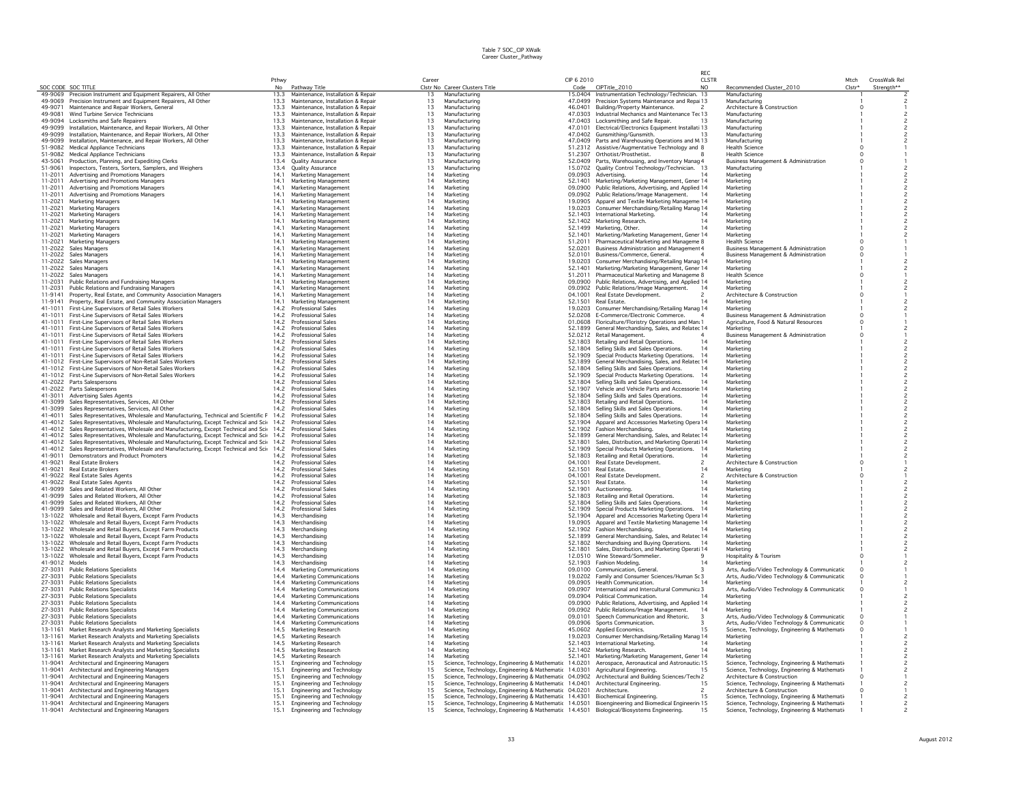|                    |                                                                                                                                                                |                        |                                                                          |                 |                                |                                                                                                                |                    |                                                                                                 | RFC            |                                                                                                |          |               |  |
|--------------------|----------------------------------------------------------------------------------------------------------------------------------------------------------------|------------------------|--------------------------------------------------------------------------|-----------------|--------------------------------|----------------------------------------------------------------------------------------------------------------|--------------------|-------------------------------------------------------------------------------------------------|----------------|------------------------------------------------------------------------------------------------|----------|---------------|--|
|                    |                                                                                                                                                                | Pthwy                  |                                                                          | Career          |                                |                                                                                                                | CIP 6 2010         |                                                                                                 | <b>CLSTR</b>   |                                                                                                | Mtch     | CrossWalk Rel |  |
| SOC CODE SOC TITLE | 49-9069 Precision Instrument and Foujoment Repairers, All Other                                                                                                | N <sub>0</sub><br>13.3 | Pathway Title<br>Maintenance, Installation & Repair                      | 13              | Manufacturing                  | Clstr No Career Clusters Title                                                                                 |                    | Code CIPTitle_2010<br>15.0404 Instrumentation Technology/Technician. 13                         | N <sub>O</sub> | Recommended Cluster_2010<br>Manufacturing                                                      | $Clstr*$ | Strength**    |  |
| 49-9069            | Precision Instrument and Equipment Repairers, All Other                                                                                                        | 13.3                   | Maintenance, Installation & Repair                                       | 13              | Manufacturing                  |                                                                                                                |                    | 47.0499 Precision Systems Maintenance and Repa 13                                               |                | Manufacturino                                                                                  |          |               |  |
| 49-9071            | Maintenance and Repair Workers, General                                                                                                                        | 13.3                   | Maintenance, Installation & Repair                                       | 13              | Manufacturing                  |                                                                                                                | 46.0401            | Building/Property Maintenance.                                                                  |                | Architecture & Construction                                                                    |          |               |  |
| 49-9081            | Wind Turbine Service Technicians                                                                                                                               | 13.3                   | Maintenance, Installation & Repair                                       | 13              | Manufacturing                  |                                                                                                                |                    | 47.0303 Industrial Mechanics and Maintenance Ter 13                                             |                | Manufacturing                                                                                  |          |               |  |
| 49-9094            | Locksmiths and Safe Repairers                                                                                                                                  | 13.3                   | Maintenance, Installation & Repair                                       | 13              | Manufacturing                  |                                                                                                                |                    | 47.0403 Locksmithing and Safe Repair.                                                           |                | Manufacturing                                                                                  |          |               |  |
| 49-9099            | Installation, Maintenance, and Repair Workers, All Other                                                                                                       | 13.3                   | Maintenance, Installation & Repair                                       | 13              | Manufacturing                  |                                                                                                                | 47,0101            | Electrical/Electronics Equipment Installati 13                                                  |                | Manufacturing                                                                                  |          |               |  |
| 49-9099<br>49-9099 | Installation, Maintenance, and Repair Workers, All Other<br>Installation, Maintenance, and Repair Workers, All Other                                           | 13.3<br>13.3           | Maintenance, Installation & Repair<br>Maintenance, Installation & Repair | 13<br>13        | Manufacturing<br>Manufacturing |                                                                                                                |                    | 47.0402 Gunsmithing/Gunsmith.<br>47.0409 Parts and Warehousing Operations and M 13              |                | Manufacturing<br>Manufacturino                                                                 |          |               |  |
| 51-9082            | Medical Appliance Technicians                                                                                                                                  | 13.3                   | Maintenance, Installation & Repair                                       | 13              | Manufacturing                  |                                                                                                                |                    | 51.2312 Assistive/Augmentative Technology and 8                                                 |                | Health Science                                                                                 |          |               |  |
| 51-9082            | <b>Medical Appliance Technicians</b>                                                                                                                           | 13.3                   | Maintenance, Installation & Repair                                       | 13              | Manufacturing                  |                                                                                                                |                    | 51.2307 Orthotist/Prosthetist.                                                                  |                | <b>Health Science</b>                                                                          |          |               |  |
| 43-5061            | Production, Planning, and Expediting Clerks                                                                                                                    | 13.4                   | <b>Ouality Assurance</b>                                                 | 13              | Manufacturing                  |                                                                                                                |                    | 52.0409 Parts, Warehousing, and Inventory Manag 4                                               |                | <b>Business Management &amp; Administration</b>                                                |          |               |  |
| 51-9061            | Inspectors, Testers, Sorters, Samplers, and Weighers                                                                                                           | 13.4                   | <b>Quality Assurance</b>                                                 | 13              | Manufacturing                  |                                                                                                                |                    | 15.0702 Quality Control Technology/Technician. 13                                               |                | Manufacturing                                                                                  |          |               |  |
| 11-2011            | Advertising and Promotions Managers                                                                                                                            | 14.1                   | Marketing Management                                                     | 14              | Marketing                      |                                                                                                                | 09.0903            | Advertising.                                                                                    |                | Marketino                                                                                      |          |               |  |
| 11-2011            | Advertising and Promotions Managers                                                                                                                            | 14.1                   | Marketing Management                                                     | 14              | Marketino                      |                                                                                                                | 52,1401            | Marketing/Marketing Management, Gener 14                                                        |                | Marketino                                                                                      |          |               |  |
| 11-2011<br>11-2011 | Advertising and Promotions Managers<br>Advertising and Promotions Managers                                                                                     | 14.1<br>14.1           | Marketing Management<br>Marketing Management                             | 14<br>14        | Marketing<br>Marketing         |                                                                                                                |                    | 09.0900 Public Relations, Advertising, and Applied 14                                           |                | Marketing<br>Marketing                                                                         |          |               |  |
| 11-2021            | <b>Marketing Managers</b>                                                                                                                                      | 14.1                   | Marketing Management                                                     | 14              | Marketing                      |                                                                                                                | 19.0905            | 09.0902 Public Relations/Image Management. 14<br>Apparel and Textile Marketing Manageme 14      |                | Marketing                                                                                      |          |               |  |
| 11-2021            | Marketing Managers                                                                                                                                             | 14.1                   | Marketing Management                                                     | 14              | Marketing                      |                                                                                                                |                    | 19.0203 Consumer Merchandising/Retailing Manag 14                                               |                | Marketino                                                                                      |          |               |  |
| 11-2021            | Marketing Managers                                                                                                                                             | 14.1                   | Marketing Management                                                     | 14              | Marketing                      |                                                                                                                |                    | 52.1403 International Marketing.                                                                |                | Marketing                                                                                      |          |               |  |
| 11-2021            | <b>Marketing Managers</b>                                                                                                                                      | 14.1                   | Marketing Management                                                     | 14              | Marketing                      |                                                                                                                |                    | 52.1402 Marketing Research.                                                                     | 14             | Marketing                                                                                      |          |               |  |
| 11-2021            | Marketing Managers                                                                                                                                             | 14.1                   | Marketing Management                                                     | 14              | Marketing                      |                                                                                                                |                    | 52.1499 Marketing, Other.                                                                       | 14             | Marketing                                                                                      |          |               |  |
| 11-2021            | <b>Marketing Managers</b>                                                                                                                                      | 14.1                   | Marketing Management                                                     | 14              | Marketino                      |                                                                                                                | 52.1401            | Marketing/Marketing Management, Gener 14                                                        |                | Marketino                                                                                      |          |               |  |
| 11-2021            | <b>Marketing Managers</b>                                                                                                                                      | 14.1                   | Marketing Management                                                     | 14              | Marketing                      |                                                                                                                | 51.2011            | Pharmaceutical Marketing and Manageme 8                                                         |                | Health Scienc                                                                                  |          |               |  |
| 11-2022            | Sales Managers                                                                                                                                                 | 14.                    | Marketing Management                                                     | 14              | Marketing                      |                                                                                                                | 52.0201<br>52.0101 | Business Administration and Management 4                                                        |                | Business Management & Administration<br>Business Management & Administration                   |          |               |  |
| 11-2022<br>11-2022 | Sales Managers<br>Sales Managers                                                                                                                               | 14.1<br>14.            | Marketing Management<br>Marketing Management                             | 14<br>14        | Marketing<br>Marketing         |                                                                                                                | 19.0203            | Business/Commerce, General.<br>Consumer Merchandising/Retailing Manag 14                        |                | Marketing                                                                                      |          |               |  |
| 11-2022            | Sales Managers                                                                                                                                                 | 14.1                   | Marketing Management                                                     | 14              | Marketing                      |                                                                                                                | 52.1401            | Marketing/Marketing Management, Gener 14                                                        |                | Marketing                                                                                      |          |               |  |
| 11-2022            | Sales Managers                                                                                                                                                 | 14.1                   | Marketing Management                                                     | 14              | Marketing                      |                                                                                                                | 51,2011            | Pharmaceutical Marketing and Manageme 8                                                         |                | <b>Health Science</b>                                                                          |          |               |  |
| 11-2031            | Public Relations and Fundraising Managers                                                                                                                      | 14.1                   | Marketing Management                                                     | 14              | Marketing                      |                                                                                                                |                    | 09.0900 Public Relations, Advertising, and Applied 14                                           |                | Marketing                                                                                      |          |               |  |
| 11-2031            | Public Relations and Fundraising Managers                                                                                                                      | 14.1                   | Marketing Management                                                     | 14              | Marketing                      |                                                                                                                |                    | 09.0902 Public Relations/Image Management.                                                      | 14             | Marketing                                                                                      |          |               |  |
| 11-9141            | Property, Real Estate, and Community Association Managers                                                                                                      | 14.1                   | Marketing Management                                                     | 14              | Marketing                      |                                                                                                                | 04.1001            | Real Estate Development.                                                                        |                | Architecture & Construction                                                                    |          |               |  |
| 11-9141            | Property, Real Estate, and Community Association Managers                                                                                                      | 14.1                   | Marketing Management                                                     | 14              | Marketing                      |                                                                                                                | 52.1501            | Real Estate.                                                                                    |                | Marketing                                                                                      |          |               |  |
| 41-1011<br>41-1011 | First-Line Supervisors of Retail Sales Workers                                                                                                                 | 14.2<br>14.2           | <b>Professional Sales</b><br><b>Professional Sales</b>                   | 14<br>14        | Marketing<br>Marketing         |                                                                                                                | 19.0203            | Consumer Merchandising/Retailing Manag 14                                                       |                | Marketing                                                                                      |          |               |  |
| 41-1011            | First-Line Supervisors of Retail Sales Workers<br>First-Line Supervisors of Retail Sales Workers                                                               | 14.2                   | Professional Sales                                                       | 14              | Marketing                      |                                                                                                                |                    | 52.0208 E-Commerce/Electronic Commerce.<br>01.0608 Floriculture/Floristry Operations and Man: 1 |                | <b>Business Management &amp; Administration</b><br>Agriculture, Food & Natural Resources       |          |               |  |
| 41-1011            | First-Line Supervisors of Retail Sales Workers                                                                                                                 | 14.2                   | <b>Professional Sales</b>                                                | 14              | Marketing                      |                                                                                                                | 52.1899            | General Merchandising, Sales, and Relater 14                                                    |                | Marketing                                                                                      |          |               |  |
| 41-1011            | First-Line Supervisors of Retail Sales Workers                                                                                                                 | 14.2                   | <b>Professional Sales</b>                                                | 14              | Marketing                      |                                                                                                                |                    | 52.0212 Retail Management.                                                                      |                | Business Management & Administration                                                           |          |               |  |
| 41-1011            | First-Line Supervisors of Retail Sales Workers                                                                                                                 | 14.2                   | <b>Professional Sales</b>                                                | 14              | Marketing                      |                                                                                                                |                    | 52.1803 Retailing and Retail Operations.                                                        | 14             | Marketing                                                                                      |          |               |  |
| 41-1011            | First-Line Supervisors of Retail Sales Workers                                                                                                                 | 14.2                   | <b>Professional Sales</b>                                                | 14              | Marketing                      |                                                                                                                |                    | 52.1804 Selling Skills and Sales Operations.                                                    | 14             | Marketing                                                                                      |          |               |  |
| 41-1011            | First-Line Supervisors of Retail Sales Workers                                                                                                                 | 14.2                   | <b>Professional Sales</b>                                                | 14              | Marketino                      |                                                                                                                | 52.1909            | Special Products Marketing Operations.                                                          | 14             | Marketino                                                                                      |          |               |  |
| 41-1012            | First-Line Supervisors of Non-Retail Sales Workers                                                                                                             | 14.2                   | Professional Sales                                                       | 14              | Marketing                      |                                                                                                                |                    | 52.1899 General Merchandising, Sales, and Relater 14                                            |                | Marketing                                                                                      |          |               |  |
| 41-1012<br>41-1012 | First-Line Supervisors of Non-Retail Sales Workers                                                                                                             | 14.2<br>14.2           | <b>Professional Sales</b><br><b>Professional Sales</b>                   | 14<br>14        | Marketing<br>Marketing         |                                                                                                                | 52.1804            | Selling Skills and Sales Operations.<br>52.1909 Special Products Marketing Operations.          | 14             | Marketing<br>Marketino                                                                         |          |               |  |
| 41-2022            | First-Line Supervisors of Non-Retail Sales Workers<br>Parts Salespersons                                                                                       | 14.2                   | <b>Professional Sales</b>                                                | 14              | Marketing                      |                                                                                                                |                    | 52.1804 Selling Skills and Sales Operations.                                                    | 14             | Marketino                                                                                      |          |               |  |
|                    | 41-2022 Parts Salespersons                                                                                                                                     | 14.2                   | <b>Professional Sales</b>                                                | 14              | Marketing                      |                                                                                                                |                    | 52.1907 Vehicle and Vehicle Parts and Accessorie 14                                             |                | Marketino                                                                                      |          |               |  |
| 41-3011            | <b>Advertising Sales Agents</b>                                                                                                                                | 14.2                   | <b>Professional Sales</b>                                                | 14              | Marketing                      |                                                                                                                |                    | 52.1804 Selling Skills and Sales Operations.                                                    | 14             | Marketing                                                                                      |          |               |  |
| 41-3099            | Sales Representatives, Services, All Other                                                                                                                     | 14.2                   | <b>Professional Sales</b>                                                | 14              | Marketing                      |                                                                                                                |                    | 52.1803 Retailing and Retail Operations.                                                        | 14             | Marketing                                                                                      |          |               |  |
| 41-3099            | Sales Representatives, Services, All Other                                                                                                                     | 14.2                   | <b>Professional Sales</b>                                                | $\frac{14}{14}$ | Marketing                      |                                                                                                                |                    | 52.1804 Selling Skills and Sales Operations.                                                    | 14             | Marketino                                                                                      |          |               |  |
| 41-4011            | Sales Representatives, Wholesale and Manufacturing, Technical and Scientific P                                                                                 | 14.2                   | <b>Professional Sales</b>                                                |                 | Marketing                      |                                                                                                                | 52.1804            | Selling Skills and Sales Operations.                                                            | 14             | Marketing                                                                                      |          |               |  |
| 41-4012            | Sales Representatives, Wholesale and Manufacturing, Except Technical and Scie                                                                                  | 14.2                   | <b>Professional Sales</b>                                                | 14              | Marketing                      |                                                                                                                |                    | 52.1904 Apparel and Accessories Marketing Opera 14                                              |                | Marketino                                                                                      |          |               |  |
| 41-4012<br>41-4012 | Sales Representatives, Wholesale and Manufacturing, Except Technical and Scir<br>Sales Representatives, Wholesale and Manufacturing, Except Technical and Scie | 14.2<br>14.2           | <b>Professional Sales</b><br><b>Professional Sales</b>                   | 14<br>14        | Marketing<br>Marketing         |                                                                                                                |                    | 52.1902 Fashion Merchandising.<br>52.1899 General Merchandising, Sales, and Relater 14          |                | Marketino<br>Marketino                                                                         |          |               |  |
| 41-4012            | Sales Representatives, Wholesale and Manufacturing, Except Technical and Scie                                                                                  | 14.2                   | Professional Sales                                                       | 14              | Marketing                      |                                                                                                                | 52.1801            | Sales, Distribution, and Marketing Operati 14                                                   |                | Marketing                                                                                      |          |               |  |
| 41-4012            | Sales Representatives, Wholesale and Manufacturing, Except Technical and Scie                                                                                  | 14.2                   | <b>Professional Sales</b>                                                | 14              | Marketing                      |                                                                                                                | 52.1909            | Special Products Marketing Operations.                                                          | 14             | Marketing                                                                                      |          |               |  |
| 41-9011            | Demonstrators and Product Promoters                                                                                                                            | 14.2                   | <b>Professional Sales</b>                                                | 14              | Marketing                      |                                                                                                                |                    | 52.1803 Retailing and Retail Operations.                                                        | 14             | Marketino                                                                                      |          |               |  |
| 41-9021            | <b>Real Estate Brokers</b>                                                                                                                                     | 14.2                   | <b>Professional Sales</b>                                                | 14              | Marketing                      |                                                                                                                | 04.1001            | Real Estate Development.<br>$\overline{\phantom{0}}$                                            |                | Architecture & Construction                                                                    |          |               |  |
| 41-9021            | <b>Real Estate Brokers</b>                                                                                                                                     | 14.2                   | <b>Professional Sales</b>                                                | 14              | Marketing                      |                                                                                                                | 52.1501            | Real Estate.                                                                                    | 14             | Marketino                                                                                      |          |               |  |
| 41-9022            | Real Estate Sales Agents                                                                                                                                       | 14.2                   | <b>Professional Sales</b>                                                | 14              | Marketing                      |                                                                                                                | 04.1001            | Real Estate Development.<br>$\overline{\phantom{a}}$                                            |                | Architecture & Construction                                                                    |          |               |  |
| 41-9022            | Real Estate Sales Agents                                                                                                                                       | 14.2<br>14.2           | <b>Professional Sales</b>                                                | 14<br>14        | Marketing                      |                                                                                                                | 52.1501            | Real Estate.                                                                                    | 14             | Marketing                                                                                      |          |               |  |
| 41-9099<br>41-9099 | Sales and Related Workers, All Other<br>Sales and Related Workers, All Othe                                                                                    | 14.2                   | <b>Professional Sales</b><br><b>Professional Sales</b>                   | 14              | Marketing<br>Marketing         |                                                                                                                | 52.1901            | Auctioneering.<br>52.1803 Retailing and Retail Operations.                                      | 14             | Marketing<br>Marketing                                                                         |          |               |  |
| 41-9099            | Sales and Related Workers, All Other                                                                                                                           | 14.2                   | Professional Sales                                                       | 14              | Marketing                      |                                                                                                                | 52.1804            | Selling Skills and Sales Operations.                                                            | 14             | Marketing                                                                                      |          |               |  |
| 41-9099            | Sales and Related Workers, All Other                                                                                                                           | 14.2                   | <b>Professional Sales</b>                                                | 14              | Marketing                      |                                                                                                                |                    | 52.1909 Special Products Marketing Operations. 14                                               |                | Marketino                                                                                      |          |               |  |
|                    | 13-1022 Wholesale and Retail Buvers, Except Farm Products                                                                                                      | 14.3                   | Merchandising                                                            | 14              | Marketing                      |                                                                                                                |                    | 52.1904 Apparel and Accessories Marketing Opera 14                                              |                | Marketing                                                                                      |          |               |  |
| 13-1022            | Wholesale and Retail Buyers, Except Farm Products                                                                                                              | 14.3                   | Merchandising                                                            | 14              | Marketing                      |                                                                                                                |                    | 19.0905 Apparel and Textile Marketing Manageme 14                                               |                | Marketing                                                                                      |          |               |  |
| 13-1022            | Wholesale and Retail Buyers, Except Farm Products                                                                                                              | 14.3                   | Merchandising                                                            | 14              | Marketing                      |                                                                                                                |                    | 52.1902 Fashion Merchandising                                                                   |                | Marketing                                                                                      |          |               |  |
| 13-1022            | Wholesale and Retail Buyers, Except Farm Products                                                                                                              | 14.3                   | Merchandising                                                            | 14              | Marketino                      |                                                                                                                |                    | 52.1899 General Merchandising, Sales, and Relater 14                                            |                | Marketino                                                                                      |          |               |  |
| 13-1022<br>13-1022 | Wholesale and Retail Buyers, Except Farm Products<br>Wholesale and Retail Buyers, Except Farm Products                                                         | 14.3<br>14.3           | Merchandising<br>Merchandising                                           | 14<br>14        | Marketing<br>Marketing         |                                                                                                                | 52,1801            | 52.1802 Merchandising and Buying Operations.<br>Sales, Distribution, and Marketing Operati 14   |                | Marketing<br>Marketino                                                                         |          |               |  |
| 13-1022            | Wholesale and Retail Buyers, Except Farm Products                                                                                                              | 14.3                   | Merchandising                                                            | 14              | Marketing                      |                                                                                                                |                    | 12.0510 Wine Steward/Sommelier.                                                                 |                | Hospitality & Tourism                                                                          |          |               |  |
| 41-9012            | Models                                                                                                                                                         | 14.3                   | Merchandising                                                            | 14              | Marketing                      |                                                                                                                |                    | 52.1903 Fashion Modeling.                                                                       |                | Marketing                                                                                      |          |               |  |
| 27-3031            | <b>Public Relations Specialists</b>                                                                                                                            | 14.4                   | Marketing Communications                                                 | 14              | Marketing                      |                                                                                                                |                    | 09.0100 Communication, General,                                                                 |                | Arts, Audio/Video Technology & Communicatic                                                    |          |               |  |
| 27-3031            | <b>Public Relations Specialists</b>                                                                                                                            | 14.4                   | Marketing Communications                                                 | 14              | Marketing                      |                                                                                                                |                    | 19.0202 Family and Consumer Sciences/Human Sc 3                                                 |                | Arts, Audio/Video Technology & Communicatic                                                    |          |               |  |
| 27-3031            | <b>Public Relations Specialists</b>                                                                                                                            | 14.4                   | Marketing Communications                                                 | 14              | Marketing                      |                                                                                                                |                    | 09.0905 Health Communication.                                                                   |                | Marketing                                                                                      |          |               |  |
| 27-3031            | <b>Public Relations Specialists</b>                                                                                                                            | 14.4                   | Marketing Communications                                                 | 14              | Marketing                      |                                                                                                                |                    | 09.0907 International and Intercultural Communic: 3                                             |                | Arts, Audio/Video Technology & Communicatic                                                    |          |               |  |
| 27-3031<br>27-3031 | <b>Public Relations Specialists</b><br><b>Public Relations Specialists</b>                                                                                     | 14.4<br>14.4           | Marketing Communications<br>Marketing Communications                     | 14<br>14        | Marketing<br>Marketing         |                                                                                                                |                    | 09.0904 Political Communication.<br>09.0900 Public Relations, Advertising, and Applied 14       |                | Marketing<br>Marketing                                                                         |          |               |  |
| 27-3031            | <b>Public Relations Specialists</b>                                                                                                                            | 14.4                   | Marketing Communications                                                 | 14              | Marketing                      |                                                                                                                |                    | 09.0902 Public Relations/Image Management.                                                      |                | Marketing                                                                                      |          |               |  |
| 27-3031            | <b>Public Relations Specialists</b>                                                                                                                            | 14.4                   | Marketing Communications                                                 | 14              | Marketing                      |                                                                                                                | 09.0101            | Speech Communication and Rhetoric.                                                              |                | Arts, Audio/Video Technology & Communicatic                                                    |          |               |  |
| 27-3031            | <b>Public Relations Specialists</b>                                                                                                                            | 14.4                   | Marketing Communications                                                 | 14              | Marketing                      |                                                                                                                |                    | 09.0906 Sports Communication.                                                                   |                | Arts, Audio/Video Technology & Communicatic                                                    |          |               |  |
| 13-1161            | Market Research Analysts and Marketing Specialists                                                                                                             | 14.5                   | Marketing Research                                                       | 14              | Marketing                      |                                                                                                                |                    | 45.0602 Applied Economics.                                                                      | 15             | Science, Technology, Engineering & Mathemati-                                                  |          |               |  |
| 13-1161            | Market Research Analysts and Marketing Specialists                                                                                                             | 14.5                   | Marketing Research                                                       | 14              | Marketing                      |                                                                                                                |                    | 19.0203 Consumer Merchandising/Retailing Manag 14                                               |                | Marketing                                                                                      |          |               |  |
| 13-1161            | Market Research Analysts and Marketing Specialists                                                                                                             | 14.5                   | Marketing Research                                                       | 14              | Marketing                      |                                                                                                                |                    | 52.1403 International Marketing.                                                                |                | Marketing                                                                                      |          |               |  |
| 13-1161            | Market Research Analysts and Marketing Specialists                                                                                                             | 14.5                   | Marketing Research                                                       | 14              | Marketing                      |                                                                                                                |                    | 52.1402 Marketing Research.                                                                     |                | Marketing                                                                                      |          |               |  |
| 13-1161<br>11-9041 | Market Research Analysts and Marketing Specialists<br>Architectural and Engineering Managers                                                                   | 14.5<br>15.1           | Marketing Research<br><b>Engineering and Technology</b>                  | 14<br>15        | Marketing                      |                                                                                                                | 52.1401            | Marketing/Marketing Management, Gener 14<br>Aerospace, Aeronautical and Astronautic 15          |                | Marketino                                                                                      |          |               |  |
| 11-9041            | Architectural and Engineering Managers                                                                                                                         | 15.                    | <b>Engineering and Technology</b>                                        | 15              |                                | Science, Technology, Engineering & Mathematic 14.0201<br>Science, Technology, Engineering & Mathematic 14.0301 |                    | Agricultural Engineering,                                                                       |                | Science, Technology, Engineering & Mathemati-<br>Science, Technology, Engineering & Mathemati- |          |               |  |
| 11-9041            | Architectural and Engineering Managers                                                                                                                         | 15.1                   | Engineering and Technology                                               | 15              |                                | Science, Technology, Engineering & Mathematic 04.0902                                                          |                    | Architectural and Building Sciences/Tech 2                                                      |                | Architecture & Construction                                                                    |          |               |  |
| 11-9041            | Architectural and Engineering Managers                                                                                                                         | 15.1                   | <b>Engineering and Technology</b>                                        | 15              |                                | Science, Technology, Engineering & Mathematic 14.0401                                                          |                    | Architectural Engineering.                                                                      | 15             | Science, Technology, Engineering & Mathemati-                                                  |          |               |  |
| 11-9041            | Architectural and Engineering Managers                                                                                                                         | 15.1                   | Engineering and Technology                                               | 15              |                                | Science, Technology, Engineering & Mathematic 04.0201                                                          |                    | Architecture.<br>$\overline{\phantom{a}}$                                                       |                | Architecture & Construction                                                                    |          |               |  |
| 11-9041            | Architectural and Engineering Managers                                                                                                                         | 15.1                   | Engineering and Technology                                               | 15              |                                | Science, Technology, Engineering & Mathematic 14.4301                                                          |                    | Biochemical Engineering,                                                                        | 15             | Science, Technology, Engineering & Mathemati                                                   |          |               |  |
| 11-9041            | Architectural and Engineering Managers                                                                                                                         | 15.1                   | Engineering and Technology                                               | 15              |                                | Science, Technology, Engineering & Mathematic 14.0501                                                          |                    | Bioengineering and Biomedical Engineerin 15                                                     |                | Science, Technology, Engineering & Mathemati-                                                  |          |               |  |
| 11-9041            | Architectural and Engineering Managers                                                                                                                         | 15.1                   | Engineering and Technology                                               | 15              |                                | Science, Technology, Engineering & Mathematic 14,4501                                                          |                    | Biological/Biosystems Engineering,                                                              | 15             | Science, Technology, Engineering & Mathematio                                                  |          |               |  |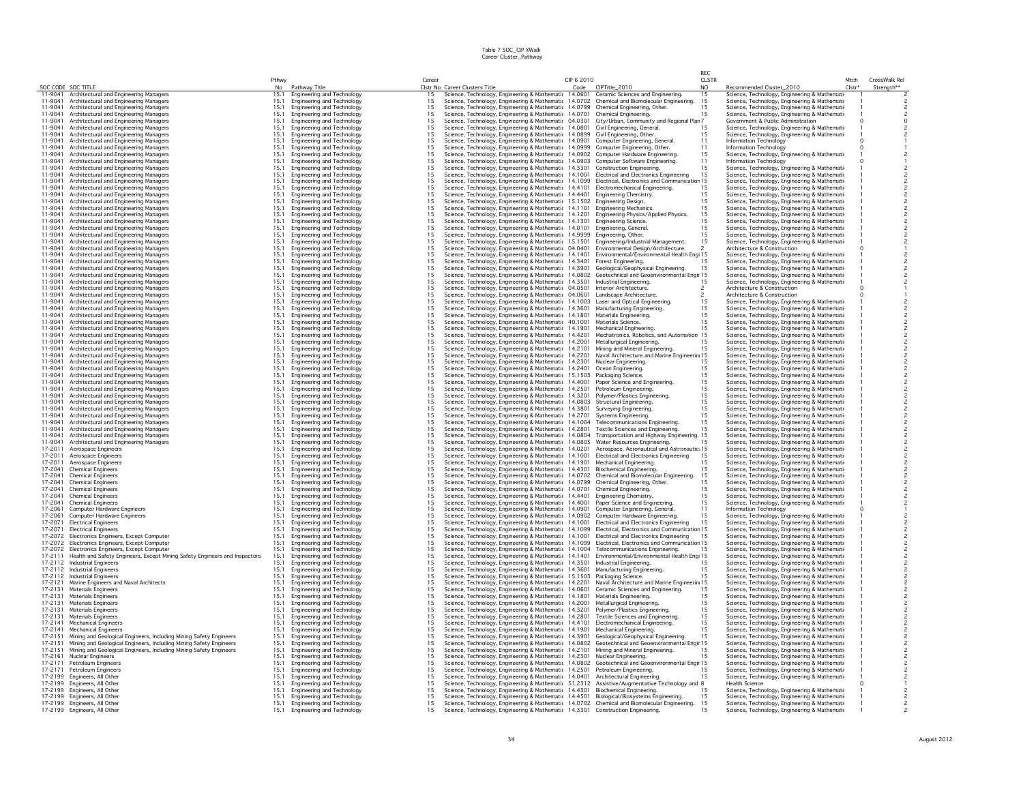|                    |                                                                                         |              |                                                                        |          |                                                                                                                                                                                |            |                                                                               | RFC                 |                                                                                               |                  |               |
|--------------------|-----------------------------------------------------------------------------------------|--------------|------------------------------------------------------------------------|----------|--------------------------------------------------------------------------------------------------------------------------------------------------------------------------------|------------|-------------------------------------------------------------------------------|---------------------|-----------------------------------------------------------------------------------------------|------------------|---------------|
|                    |                                                                                         | Pthwy<br>No  |                                                                        | Career   | Clstr No Career Clusters Title                                                                                                                                                 | CIP 6 2010 | Code CIPTitle_2010                                                            | <b>CLSTR</b><br>NO. |                                                                                               | Mtch<br>$Clstr*$ | CrossWalk Rel |
|                    | SOC CODE SOC TITLE<br>11-9041 Architectural and Engineering Managers                    | 15.1         | Pathway Title<br>Engineering and Technology                            | 15       | Science, Technology, Engineering & Mathematic 14.0601 Ceramic Sciences and Engineering.                                                                                        |            |                                                                               | 15                  | Recommended Cluster_2010<br>Science, Technology, Engineering & Mathemation                    |                  | Strength**    |
| 11-9041            | Architectural and Engineering Managers                                                  | 15.1         | Engineering and Technology                                             | 15       | Science, Technology, Engineering & Mathematic 14.0702 Chemical and Biomolecular Engineering.                                                                                   |            |                                                                               | 15                  | Science, Technology, Engineering & Mathemati-                                                 |                  |               |
| 11-9041            | Architectural and Engineering Managers                                                  | 15.1         | Engineering and Technology                                             | 15       | Science, Technology, Engineering & Mathematic 14.0799 Chemical Engineering, Other.                                                                                             |            |                                                                               | 15                  | Science, Technology, Engineering & Mathemati                                                  |                  |               |
| 11-9041            | Architectural and Engineering Managers                                                  | 15.1         | Engineering and Technology                                             | 15       | Science, Technology, Engineering & Mathematic 14.0701                                                                                                                          |            | Chemical Engineering.                                                         | 15                  | Science, Technology, Engineering & Mathemati                                                  |                  |               |
| 11-9041            | Architectural and Engineering Managers                                                  | 15.1         | Engineering and Technology                                             | 15       | Science, Technology, Engineering & Mathematic 04.0301 City/Urban, Community and Regional Plan 7                                                                                |            |                                                                               |                     | Government & Public Adminstration                                                             |                  |               |
| 11-9041            | Architectural and Engineering Managers                                                  | 15.1         | Engineering and Technology                                             | 15       | Science, Technology, Engineering & Mathematic 14.0801                                                                                                                          |            | Civil Engineering, General.                                                   | 15                  | Science, Technology, Engineering & Mathemati                                                  |                  |               |
| 11-9041<br>11-9041 | Architectural and Engineering Managers<br>Architectural and Engineering Managers        | 15.1<br>15.7 | Engineering and Technology<br>Engineering and Technology               | 15<br>15 | Science, Technology, Engineering & Mathematic 14.0899 Civil Engineering, Other.<br>Science, Technology, Engineering & Mathematic 14.0901                                       |            | Computer Engineering, General,                                                | 15<br>11            | Science, Technology, Engineering & Mathemati-<br>Information Technology                       |                  |               |
| 11-9041            | Architectural and Engineering Managers                                                  | 15.1         | Engineering and Technology                                             | 15       | Science, Technology, Engineering & Mathematic 14.0999                                                                                                                          |            | Computer Engineering, Other,                                                  | 11                  | Information Technology                                                                        |                  |               |
| 11-9041            | Architectural and Engineering Managers                                                  | 15.1         | Engineering and Technology                                             | 15       | Science, Technology, Engineering & Mathematic 14.0902 Computer Hardware Engineering.                                                                                           |            |                                                                               | 15                  | Science, Technology, Engineering & Mathemati                                                  |                  |               |
| 11-9041            | Architectural and Engineering Managers                                                  | 15.1         | Engineering and Technology                                             | 15       | Science, Technology, Engineering & Mathematic 14.0903 Computer Software Engineering.                                                                                           |            |                                                                               | 11                  | Information Technology                                                                        |                  |               |
| 11-9041            | Architectural and Engineering Managers                                                  | 15.1         | Engineering and Technology                                             | 15       | Science, Technology, Engineering & Mathematic 14.3301                                                                                                                          |            | <b>Construction Engineering</b>                                               | 15                  | Science, Technology, Engineering & Mathemati                                                  |                  |               |
| 11-9041            | Architectural and Engineering Managers                                                  | 15.7         | Engineering and Technology                                             | 15       | Science, Technology, Engineering & Mathematic 14.1001                                                                                                                          |            | <b>Electrical and Electronics Engineering</b>                                 | 15                  | Science, Technology, Engineering & Mathemati                                                  |                  |               |
| 11-9041            | Architectural and Engineering Managers                                                  | 15.1         | Engineering and Technology                                             | 15       | Science, Technology, Engineering & Mathematic 14.1099 Electrical, Electronics and Communication 15                                                                             |            |                                                                               |                     | Science, Technology, Engineering & Mathemati                                                  |                  |               |
| 11-9041<br>11-9041 | Architectural and Engineering Managers                                                  | 15.1<br>15.1 | Engineering and Technology                                             | 15<br>15 | Science, Technology, Engineering & Mathematic 14.4101 Electromechanical Engineering.<br>Science, Technology, Engineering & Mathematic 14.4401                                  |            |                                                                               | 15<br>15            | Science, Technology, Engineering & Mathemati                                                  |                  |               |
| 11-9041            | Architectural and Engineering Managers<br>Architectural and Engineering Managers        | 15.1         | <b>Engineering and Technology</b><br>Engineering and Technology        | 15       | Science, Technology, Engineering & Mathematic 15.1502 Engineering Design.                                                                                                      |            | Engineering Chemistry.                                                        | 15                  | Science, Technology, Engineering & Mathemati-<br>Science, Technology, Engineering & Mathemati |                  |               |
| 11-9041            | Architectural and Engineering Managers                                                  | 15.1         | Engineering and Technology                                             | 15       | Science, Technology, Engineering & Mathematic 14.1101                                                                                                                          |            | Engineering Mechanics                                                         | 15                  | Science, Technology, Engineering & Mathemati                                                  |                  |               |
| 11-9041            | Architectural and Engineering Managers                                                  | 15.1         | Engineering and Technology                                             | 15       | Science, Technology, Engineering & Mathematic 14.1201                                                                                                                          |            | Engineering Physics/Applied Physics.                                          | 15                  | Science, Technology, Engineering & Mathemati                                                  |                  |               |
| 11-9041            | Architectural and Engineering Managers                                                  | 15.7         | Engineering and Technology                                             | 15       | Science, Technology, Engineering & Mathematic 14.1301                                                                                                                          |            | <b>Engineering Science.</b>                                                   | 15                  | Science, Technology, Engineering & Mathemati                                                  |                  |               |
| 11-9041            | Architectural and Engineering Managers                                                  | 15.1         | Engineering and Technology                                             | 15       | Science, Technology, Engineering & Mathematic 14.0101 Engineering, General.                                                                                                    |            |                                                                               | 15                  | Science, Technology, Engineering & Mathemati                                                  |                  |               |
| 11-9041            | Architectural and Engineering Managers                                                  | 15.1         | Engineering and Technology                                             | 15       | Science, Technology, Engineering & Mathematic 14.9999                                                                                                                          |            | Engineering, Other.                                                           | 15                  | Science, Technology, Engineering & Mathemati                                                  |                  |               |
| 11-9041            | Architectural and Engineering Managers                                                  | 15.1         | Engineering and Technology                                             | 15       | Science, Technology, Engineering & Mathematic 15.1501 Engineering/Industrial Management.                                                                                       |            |                                                                               | 15                  | Science, Technology, Engineering & Mathemati                                                  |                  |               |
| 11-9041<br>11-9041 | Architectural and Engineering Managers                                                  | 15.7<br>15.1 | <b>Engineering and Technology</b>                                      | 15       | Science, Technology, Engineering & Mathematic 04.0401                                                                                                                          |            | Environmental Design/Architecture.                                            |                     | Architecture & Construction                                                                   |                  |               |
| 11-9041            | Architectural and Engineering Managers<br>Architectural and Engineering Managers        | 15.          | <b>Engineering and Technology</b><br><b>Engineering and Technology</b> | 15<br>15 | Science, Technology, Engineering & Mathematic 14.1401<br>Science, Technology, Engineering & Mathematic 14.3401                                                                 |            | Environmental/Environmental Health Engi 15<br>Forest Engineering.             |                     | Science, Technology, Engineering & Mathemati<br>Science, Technology, Engineering & Mathemati- |                  |               |
| 11-9041            | Architectural and Engineering Managers                                                  | 15.1         | Engineering and Technology                                             | 15       | Science, Technology, Engineering & Mathematic 14.3901                                                                                                                          |            | Geological/Geophysical Engineering.                                           | 15                  | Science, Technology, Engineering & Mathemati                                                  |                  |               |
| 11-9041            | Architectural and Engineering Managers                                                  | 15.1         | Engineering and Technology                                             | 15       | Science, Technology, Engineering & Mathematic 14.0802 Geotechnical and Geoenvironmental Engir 15                                                                               |            |                                                                               |                     | Science, Technology, Engineering & Mathemati                                                  |                  |               |
| 11-9041            | Architectural and Engineering Managers                                                  | 15.1         | Engineering and Technology                                             | 15       | Science, Technology, Engineering & Mathematic 14.3501                                                                                                                          |            | Industrial Engineering.                                                       | 15                  | Science, Technology, Engineering & Mathemati                                                  |                  |               |
| 11-9041            | Architectural and Engineering Managers                                                  | 15.1         | Engineering and Technology                                             | 15       | Science, Technology, Engineering & Mathematic 04.0501                                                                                                                          |            | Interior Architecture.                                                        |                     | Architecture & Construction                                                                   |                  |               |
| 11-9041            | Architectural and Engineering Managers                                                  | 15.7         | Engineering and Technology                                             | 15       | Science, Technology, Engineering & Mathematic 04.0601                                                                                                                          |            | Landscape Architecture                                                        |                     | Architecture & Construction                                                                   |                  |               |
| 11-9041            | Architectural and Engineering Managers                                                  | 15.1         | <b>Engineering and Technology</b>                                      | 15       | Science, Technology, Engineering & Mathematic 14.1003                                                                                                                          |            | Laser and Optical Engineering                                                 | 15                  | Science, Technology, Engineering & Mathemati                                                  |                  |               |
| 11-9041<br>11-9041 | Architectural and Engineering Managers                                                  | 15.1<br>15.1 | Engineering and Technology                                             | 15<br>15 | Science, Technology, Engineering & Mathematic 14.3601                                                                                                                          |            | Manufacturing Engineering.                                                    | 15<br>15            | Science, Technology, Engineering & Mathemati                                                  |                  |               |
| 11-9041            | Architectural and Engineering Managers<br>Architectural and Engineering Managers        | 15.1         | <b>Engineering and Technology</b><br>Engineering and Technology        | 15       | Science, Technology, Engineering & Mathematic 14.1801<br>Science, Technology, Engineering & Mathematic 40.1001                                                                 |            | Materials Engineering.<br>Materials Science.                                  | 15                  | Science, Technology, Engineering & Mathemati<br>Science, Technology, Engineering & Mathemati  |                  |               |
| 11-9041            | Architectural and Engineering Managers                                                  | 15.1         | Engineering and Technology                                             | 15       | Science, Technology, Engineering & Mathematic 14.1901                                                                                                                          |            | Mechanical Engineering.                                                       | 15                  | Science, Technology, Engineering & Mathemati                                                  |                  |               |
| 11-9041            | Architectural and Engineering Managers                                                  | 15.1         | Engineering and Technology                                             | 15       | Science, Technology, Engineering & Mathematic 14.4201                                                                                                                          |            | Mechatronics, Robotics, and Automation 15                                     |                     | Science, Technology, Engineering & Mathemati                                                  |                  |               |
| 11-9041            | Architectural and Engineering Managers                                                  | 15.1         | Engineering and Technology                                             | 15       | Science, Technology, Engineering & Mathematic 14.2001                                                                                                                          |            | Metallurgical Engineering.                                                    | 15                  | Science, Technology, Engineering & Mathemati                                                  |                  |               |
| 11-9041            | Architectural and Engineering Managers                                                  | 15.1         | Engineering and Technology                                             | 15       | Science, Technology, Engineering & Mathematic 14.2101                                                                                                                          |            | Mining and Mineral Engineering                                                | 15                  | Science, Technology, Engineering & Mathemati                                                  |                  |               |
| 11-9041            | Architectural and Engineering Managers                                                  | 15.1         | Engineering and Technology                                             | 15       | Science, Technology, Engineering & Mathematic 14.2201                                                                                                                          |            | Naval Architecture and Marine Engineer                                        | in 15               | Science, Technology, Engineering & Mathemati                                                  |                  |               |
| 11-9041            | Architectural and Engineering Managers                                                  | 15.1         | Engineering and Technology                                             | 15       | Science, Technology, Engineering & Mathematic 14.2301                                                                                                                          |            | Nuclear Engineering.                                                          | 15                  | Science, Technology, Engineering & Mathemati                                                  |                  |               |
| 11-9041<br>11-9041 | Architectural and Engineering Managers<br>Architectural and Engineering Managers        | 15.7<br>15.1 | <b>Engineering and Technology</b><br>Engineering and Technology        | 15<br>15 | Science, Technology, Engineering & Mathematic 14.2401<br>Science, Technology, Engineering & Mathematic 15.1503                                                                 |            | Ocean Engineering.<br>Packaging Science.                                      | 15<br>15            | Science, Technology, Engineering & Mathemati-<br>Science, Technology, Engineering & Mathemati |                  |               |
| 11-9041            | Architectural and Engineering Managers                                                  | 15.7         | Engineering and Technology                                             | 15       | Science, Technology, Engineering & Mathematic 14.4001                                                                                                                          |            | Paper Science and Engineering                                                 | 15                  | Science, Technology, Engineering & Mathemati-                                                 |                  |               |
| 11-9041            | Architectural and Engineering Managers                                                  | 15.1         | Engineering and Technology                                             | 15       | Science, Technology, Engineering & Mathematic 14.2501                                                                                                                          |            | Petroleum Engineering.                                                        | 15                  | Science, Technology, Engineering & Mathemati                                                  |                  |               |
| 11-9041            | Architectural and Engineering Managers                                                  | 15.1         | Engineering and Technology                                             | 15       | Science, Technology, Engineering & Mathematic 14.3201                                                                                                                          |            | Polymer/Plastics Engineering.                                                 | 15                  | Science, Technology, Engineering & Mathemati                                                  |                  |               |
| 11-9041            | Architectural and Engineering Managers                                                  | 15.1         | Engineering and Technology                                             | 15       | Science, Technology, Engineering & Mathematic 14.0803 Structural Engineering.                                                                                                  |            |                                                                               | 15                  | Science, Technology, Engineering & Mathemati                                                  |                  |               |
| 11-9041            | Architectural and Engineering Managers                                                  | 15.1         | Engineering and Technology                                             | 15       | Science, Technology, Engineering & Mathematic 14.3801                                                                                                                          |            | Surveying Engineering                                                         | 15                  | Science, Technology, Engineering & Mathemati                                                  |                  |               |
| 11-9041            | Architectural and Engineering Managers                                                  | 15.1         | Engineering and Technology                                             | 15       | Science, Technology, Engineering & Mathematic 14.2701                                                                                                                          |            | Systems Engineering.                                                          | 15                  | Science, Technology, Engineering & Mathemati                                                  |                  |               |
| 11-9041<br>11-9041 | Architectural and Engineering Managers                                                  | 15.1<br>15.7 | Engineering and Technology                                             | 15<br>15 | Science, Technology, Engineering & Mathematic 14.1004 Telecommunications Engineering.                                                                                          |            |                                                                               | 15<br>15            | Science, Technology, Engineering & Mathemati                                                  |                  |               |
| 11-9041            | Architectural and Engineering Managers<br>Architectural and Engineering Managers        | 15.1         | Engineering and Technology<br><b>Engineering and Technology</b>        | 15       | Science, Technology, Engineering & Mathematic 14.2801<br>Science, Technology, Engineering & Mathematic 14.0804 Transportation and Highway Engineer                             |            | Textile Sciences and Engineering.                                             | 15                  | Science, Technology, Engineering & Mathemati<br>Science, Technology, Engineering & Mathemati  |                  |               |
| 11-9041            | Architectural and Engineering Managers                                                  | 15.7         | Engineering and Technology                                             | 15       | Science, Technology, Engineering & Mathematic 14.0805 Water Resources Engineering.                                                                                             |            |                                                                               |                     | Science, Technology, Engineering & Mathemati-                                                 |                  |               |
| 17-2011            | Aerospace Engineers                                                                     | 15.1         | Engineering and Technology                                             | 15       | Science, Technology, Engineering & Mathematic 14.0201                                                                                                                          |            | Aerospace, Aeronautical and Astronautic 15                                    |                     | Science, Technology, Engineering & Mathemati                                                  |                  |               |
| 17-2011            | Aerospace Engineers                                                                     | 15.1         | Engineering and Technology                                             | 15       | Science, Technology, Engineering & Mathematic 14.1001                                                                                                                          |            | Electrical and Electronics Engineering                                        | 15                  | Science, Technology, Engineering & Mathemati                                                  |                  |               |
| 17-2011            | Aerospace Engineers                                                                     | 15.1         | Engineering and Technology                                             | 15       | Science, Technology, Engineering & Mathematic 14.1901                                                                                                                          |            | Mechanical Engineering.                                                       | 15                  | Science, Technology, Engineering & Mathemati                                                  |                  |               |
| 17-2041            | <b>Chemical Engineers</b>                                                               | 15.1         | Engineering and Technology                                             | 15       | Science, Technology, Engineering & Mathematic 14.4301                                                                                                                          |            | <b>Biochemical Engineering</b>                                                | 15                  | Science, Technology, Engineering & Mathemati                                                  |                  |               |
| 17-2041<br>17-2041 | <b>Chemical Engineers</b>                                                               | 15.          | Engineering and Technology                                             | 15       | Science, Technology, Engineering & Mathematic 14.0702                                                                                                                          |            | Chemical and Biomolecular Engineering.                                        | 15                  | Science, Technology, Engineering & Mathemati                                                  |                  |               |
| 17-2041            | <b>Chemical Engineers</b><br><b>Chemical Engineers</b>                                  | 15.1<br>15.7 | Engineering and Technology<br>Engineering and Technology               | 15<br>15 | Science, Technology, Engineering & Mathematic 14.0799 Chemical Engineering, Other.<br>Science, Technology, Engineering & Mathematic 14.0701                                    |            | Chemical Engineering.                                                         | 15<br>15            | Science, Technology, Engineering & Mathemati<br>Science, Technology, Engineering & Mathemati  |                  |               |
| 17-2041            | <b>Chemical Engineers</b>                                                               | 15.1         | <b>Engineering and Technology</b>                                      | 15       | Science, Technology, Engineering & Mathematic 14.4401                                                                                                                          |            | Engineering Chemistry.                                                        | 15                  | Science, Technology, Engineering & Mathemati                                                  |                  |               |
| 17-2041            | <b>Chemical Engineers</b>                                                               | 15.1         | Engineering and Technology                                             | 15       | Science, Technology, Engineering & Mathematic 14.4001                                                                                                                          |            | Paper Science and Engineering                                                 | 15                  | Science, Technology, Engineering & Mathemati                                                  |                  |               |
| 17-2061            | <b>Computer Hardware Engineers</b>                                                      | 15.1         | Engineering and Technology                                             | 15       | Science, Technology, Engineering & Mathematic 14.0901                                                                                                                          |            | Computer Engineering, General.                                                | 11                  | Information Technology                                                                        |                  |               |
| 17-2061            | <b>Computer Hardware Engineers</b>                                                      | 15.1         | Engineering and Technology                                             | 15       | Science, Technology, Engineering & Mathematic 14.0902 Computer Hardware Engineering.                                                                                           |            |                                                                               | 15                  | Science, Technology, Engineering & Mathemati                                                  |                  |               |
| 17-2071<br>17-2071 | <b>Electrical Engineers</b><br><b>Electrical Engineers</b>                              | 15.1<br>15.1 | Engineering and Technology                                             | 15<br>15 | Science, Technology, Engineering & Mathematic 14.1001                                                                                                                          |            | Electrical and Electronics Engineering                                        | 15                  | Science, Technology, Engineering & Mathemati                                                  |                  |               |
| 17-2072            | Electronics Engineers, Except Computer                                                  | 15.1         | Engineering and Technology<br>Engineering and Technology               | 15       | Science, Technology, Engineering & Mathematic 14.1099 Electrical, Electronics and Communication 15<br>Science, Technology, Engineering & Mathematic 14.1001                    |            | Electrical and Electronics Engineering                                        | -15                 | Science, Technology, Engineering & Mathemati<br>Science, Technology, Engineering & Mathemati  |                  |               |
|                    | 17-2072 Electronics Engineers, Except Computer                                          | 15.1         | Engineering and Technology                                             | 15       | Science, Technology, Engineering & Mathematic 14.1099 Electrical, Electronics and Communication 15                                                                             |            |                                                                               |                     | Science, Technology, Engineering & Mathemati                                                  |                  |               |
| 17-2072            | Electronics Engineers, Except Computer                                                  | 15.1         | <b>Engineering and Technology</b>                                      | 15       | Science, Technology, Engineering & Mathematic 14.1004 Telecommunications Engineering.                                                                                          |            |                                                                               |                     | Science, Technology, Engineering & Mathemati-                                                 |                  |               |
| 17-2111            | Health and Safety Engineers, Except Mining Safety Engineers and Inspectors              | 15.1         | Engineering and Technology                                             | 15       | Science, Technology, Engineering & Mathematic 14.1401                                                                                                                          |            | Environmental/Environmental Health Engi 15                                    |                     | Science, Technology, Engineering & Mathemati-                                                 |                  |               |
|                    | 17-2112 Industrial Engineers                                                            |              | <b>Engineering and Technology</b>                                      | 15       | Science, Technology, Engineering & Mathematic 14.3501                                                                                                                          |            | Industrial Engineering.                                                       |                     | Science, Technology, Engineering & Mathemati                                                  |                  |               |
|                    | 17-2112 Industrial Engineers                                                            | 15.1         | Engineering and Technology                                             | 15       | Science, Technology, Engineering & Mathematic 14.3601                                                                                                                          |            | Manufacturing Engineering                                                     | 15                  | Science, Technology, Engineering & Mathemati                                                  |                  |               |
|                    | 17-2112 Industrial Engineers                                                            | 15.1         | Engineering and Technology                                             | 15       | Science, Technology, Engineering & Mathematic 15.1503 Packaging Science.                                                                                                       |            |                                                                               | 15                  | Science, Technology, Engineering & Mathematio                                                 |                  |               |
| 17-2121            | Marine Engineers and Naval Architects                                                   | 15.1         | Engineering and Technology                                             | 15       | Science, Technology, Engineering & Mathematic 14.2201                                                                                                                          |            | Naval Architecture and Marine Engineerin 15                                   |                     | Science, Technology, Engineering & Mathemati                                                  |                  |               |
| 17-2131<br>17-2131 | <b>Materials Engineers</b><br><b>Materials Engineers</b>                                | 15.1<br>15.  | Engineering and Technology<br>Engineering and Technology               | 15<br>15 | Science, Technology, Engineering & Mathematic 14.0601<br>Science, Technology, Engineering & Mathematic 14.1801                                                                 |            | Ceramic Sciences and Engineering.<br>Materials Engineering.                   | 15<br>15            | Science, Technology, Engineering & Mathemati<br>Science, Technology, Engineering & Mathemati  |                  |               |
| 17-2131            | <b>Materials Engineers</b>                                                              | 15.1         | <b>Engineering and Technology</b>                                      | 15       | Science, Technology, Engineering & Mathematic 14.2001                                                                                                                          |            | Metallurgical Engineering.                                                    | 15                  | Science, Technology, Engineering & Mathemati                                                  |                  |               |
| 17-2131            | <b>Materials Engineers</b>                                                              | 15.1         | Engineering and Technology                                             | 15       | Science, Technology, Engineering & Mathematic 14.3201                                                                                                                          |            | Polymer/Plastics Engineering.                                                 | 15                  | Science, Technology, Engineering & Mathemati                                                  |                  |               |
| 17-2131            | Materials Engineers                                                                     | 15.1         | <b>Engineering and Technology</b>                                      | 15       | Science, Technology, Engineering & Mathematic 14.2801                                                                                                                          |            | Textile Sciences and Engineering.                                             | 15                  | Science, Technology, Engineering & Mathemati                                                  |                  |               |
| 17-2141            | <b>Mechanical Engineers</b>                                                             | 15.1         | Engineering and Technology                                             | 15       | Science, Technology, Engineering & Mathematic 14.4101                                                                                                                          |            | Electromechanical Engineering.                                                | 15                  | Science, Technology, Engineering & Mathemati                                                  |                  |               |
| 17-2141            | <b>Mechanical Engineers</b>                                                             | 15.1         | Engineering and Technology                                             | 15       | Science, Technology, Engineering & Mathematic 14.1901                                                                                                                          |            | Mechanical Engineering.                                                       | 15                  | Science, Technology, Engineering & Mathemati                                                  |                  |               |
| 17-2151            | Mining and Geological Engineers, Including Mining Safety Engineers                      | 15.1         | Engineering and Technology                                             | 15<br>15 | Science, Technology, Engineering & Mathematic 14.3901                                                                                                                          |            | Geological/Geophysical Engineering                                            | 15                  | Science, Technology, Engineering & Mathemati                                                  |                  |               |
| 17-2151<br>17-2151 | Mining and Geological Engineers, Including Mining Safety Engineers                      | 15.1<br>15.1 | Engineering and Technology                                             | 15       | Science, Technology, Engineering & Mathematic 14.0802                                                                                                                          |            | Geotechnical and Geoenvironmental Engir 15<br>Mining and Mineral Engineering. |                     | Science, Technology, Engineering & Mathemati                                                  |                  |               |
| 17-2161            | Mining and Geological Engineers, Including Mining Safety Engineers<br>Nuclear Engineers | 15.          | Engineering and Technology<br>Engineering and Technology               | 15       | Science, Technology, Engineering & Mathematic 14.2101<br>Science, Technology, Engineering & Mathematic 14.2301                                                                 |            | Nuclear Engineering.                                                          | 1.5                 | Science, Technology, Engineering & Mathemati<br>Science, Technology, Engineering & Mathematio |                  |               |
| 17-2171            | Petroleum Engineers                                                                     | 15.1         | Engineering and Technology                                             | 15       | Science, Technology, Engineering & Mathematic 14.0802 Geotechnical and Geoenvironmental Engir 15                                                                               |            |                                                                               |                     | Science, Technology, Engineering & Mathemati                                                  |                  |               |
| 17-2171            | Petroleum Engineers                                                                     | 15.7         | <b>Engineering and Technology</b>                                      | 15       | Science, Technology, Engineering & Mathematic 14.2501                                                                                                                          |            | Petroleum Engineering.                                                        |                     | Science, Technology, Engineering & Mathemati                                                  |                  |               |
|                    | 17-2199 Engineers, All Other                                                            | 15.1         | Engineering and Technology                                             | 15       | Science, Technology, Engineering & Mathematic 14.0401 Architectural Engineering.                                                                                               |            |                                                                               |                     | Science, Technology, Engineering & Mathemati                                                  |                  |               |
|                    | 17-2199 Engineers, All Other                                                            | 15.7         | Engineering and Technology                                             | 15       | Science, Technology, Engineering & Mathematic 51.2312 Assistive/Augmentative Technology and 8                                                                                  |            |                                                                               |                     | <b>Health Science</b>                                                                         |                  |               |
|                    | 17-2199 Engineers, All Other                                                            | 15.1         | Engineering and Technology                                             | 15       | Science, Technology, Engineering & Mathematic 14.4301 Biochemical Engineering.                                                                                                 |            |                                                                               |                     | Science, Technology, Engineering & Mathemati                                                  |                  |               |
|                    | 17-2199 Engineers, All Other                                                            | 15.1         | Engineering and Technology                                             | 15       | Science, Technology, Engineering & Mathematic 14.4501 Biological/Biosystems Engineering.                                                                                       |            |                                                                               | 15                  | Science, Technology, Engineering & Mathemati                                                  |                  |               |
|                    | 17-2199 Engineers, All Other<br>17-2199 Engineers, All Other                            | 15.1<br>15.1 | Engineering and Technology<br>Engineering and Technology               |          | Science, Technology, Engineering & Mathematic 14.0702 Chemical and Biomolecular Engineering.<br>Science, Technology, Engineering & Mathematic 14,3301 Construction Engineering |            |                                                                               | 15                  | Science, Technology, Engineering & Mathemati<br>Science, Technology, Engineering & Mathemati  |                  |               |
|                    |                                                                                         |              |                                                                        |          |                                                                                                                                                                                |            |                                                                               |                     |                                                                                               |                  |               |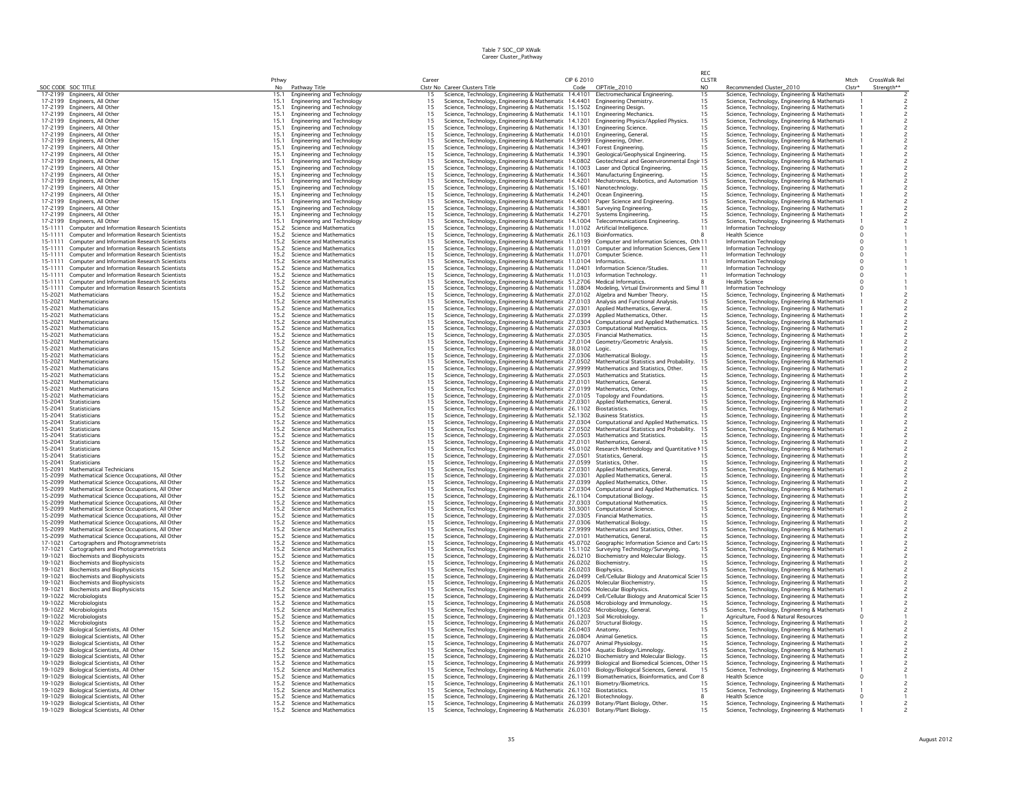|                    |                                                                                              |              |                                                          |                                         |                                                                                                                                                                                                 |            |                                                                      | RFC            |                                                                                                |        |               |
|--------------------|----------------------------------------------------------------------------------------------|--------------|----------------------------------------------------------|-----------------------------------------|-------------------------------------------------------------------------------------------------------------------------------------------------------------------------------------------------|------------|----------------------------------------------------------------------|----------------|------------------------------------------------------------------------------------------------|--------|---------------|
|                    |                                                                                              | Pthwy        |                                                          | Career                                  |                                                                                                                                                                                                 | CIP 6 2010 |                                                                      | <b>CLSTR</b>   |                                                                                                | Mtch   | CrossWalk Rel |
|                    | SOC CODE SOC TITLE                                                                           | No           | Pathway Title                                            |                                         | Clstr No Career Clusters Title                                                                                                                                                                  | Code       | CIPTitle_2010                                                        | N <sub>O</sub> | Recommended Cluster_2010                                                                       | Clstr* | Strength**    |
|                    | 17-2199 Engineers, All Other<br>17-2199 Engineers, All Other                                 | 15.1<br>15.1 | Engineering and Technology<br>Engineering and Technology | 15<br>15                                | Science, Technology, Engineering & Mathematic 14.4101 Electromechanical Engineering.<br>Science, Technology, Engineering & Mathematic 14.4401 Engineering Chemistry.                            |            |                                                                      | 15<br>15       | Science, Technology, Engineering & Mathemati                                                   |        |               |
|                    | 17-2199 Engineers, All Other                                                                 | 15.1         | Engineering and Technology                               | 15                                      | Science, Technology, Engineering & Mathematic 15.1502 Engineering Design.                                                                                                                       |            |                                                                      | 15             | Science, Technology, Engineering & Mathemati-<br>Science, Technology, Engineering & Mathemati- |        |               |
|                    | 17-2199 Engineers, All Other                                                                 | 15.1         | Engineering and Technology                               | 15                                      | Science, Technology, Engineering & Mathematic 14.1101                                                                                                                                           |            | <b>Engineering Mechanics</b>                                         | 15             | Science, Technology, Engineering & Mathemati-                                                  |        |               |
|                    | 17-2199 Engineers, All Other                                                                 | 15.1         | Engineering and Technology                               | 15                                      | Science, Technology, Engineering & Mathematic 14.1201 Engineering Physics/Applied Physics.                                                                                                      |            |                                                                      | 15             | Science, Technology, Engineering & Mathemati                                                   |        |               |
|                    | 17-2199 Engineers, All Other                                                                 | 15.1         | Engineering and Technology                               | 15                                      | Science, Technology, Engineering & Mathematic 14.1301 Engineering Science.                                                                                                                      |            |                                                                      | 15             | Science, Technology, Engineering & Mathemati                                                   |        |               |
|                    | 17-2199 Engineers, All Other                                                                 | 15.1         | <b>Engineering and Technology</b>                        | 15                                      | Science, Technology, Engineering & Mathematic 14.0101 Engineering, General                                                                                                                      |            |                                                                      | 15             | Science, Technology, Engineering & Mathemati-                                                  |        |               |
| 17-2199            | Engineers, All Other                                                                         | 15.1         | Engineering and Technology                               | 15                                      | Science, Technology, Engineering & Mathematic 14.9999                                                                                                                                           |            | Engineering, Other.                                                  | 15             | Science, Technology, Engineering & Mathemati                                                   |        |               |
|                    | 17-2199 Engineers, All Other                                                                 | 15.1         | Engineering and Technology                               | 15                                      | Science, Technology, Engineering & Mathematic 14.3401                                                                                                                                           |            | Forest Engineering.                                                  |                | Science, Technology, Engineering & Mathemati-                                                  |        |               |
|                    | 17-2199 Engineers, All Other                                                                 | 15.1         | Engineering and Technology                               | 15                                      | Science, Technology, Engineering & Mathematic 14.3901                                                                                                                                           |            | Geological/Geophysical Engineering.                                  | 15             | Science, Technology, Engineering & Mathemati-                                                  |        |               |
|                    | 17-2199 Engineers, All Other                                                                 | 15.1         | Engineering and Technology                               | 15                                      | Science, Technology, Engineering & Mathematic 14.0802 Geotechnical and Geoenvironmental Engir 15                                                                                                |            |                                                                      |                | Science, Technology, Engineering & Mathemati-                                                  |        |               |
|                    | 17-2199 Engineers, All Other                                                                 | 15.1         | Engineering and Technology                               | 15                                      | Science, Technology, Engineering & Mathematic 14.1003 Laser and Optical Engineering.                                                                                                            |            |                                                                      |                | Science, Technology, Engineering & Mathemati-                                                  |        |               |
|                    | 17-2199 Engineers, All Other                                                                 | 15.1<br>15.1 | Engineering and Technology                               | 15                                      | Science, Technology, Engineering & Mathematic 14.3601                                                                                                                                           |            | Manufacturing Engineering.<br>Mechatronics, Robotics, and Automation | 15             | Science, Technology, Engineering & Mathemati-                                                  |        |               |
|                    | 17-2199 Engineers, All Other<br>17-2199 Engineers, All Other                                 | 15.1         | Engineering and Technology<br>Engineering and Technology | 15<br>15                                | Science, Technology, Engineering & Mathematic 14.4201<br>Science, Technology, Engineering & Mathematic 15.1601                                                                                  |            | Nanotechnology.                                                      | 15             | Science, Technology, Engineering & Mathemati-<br>Science, Technology, Engineering & Mathemati- |        |               |
|                    | 17-2199 Engineers, All Other                                                                 | 15.1         | Engineering and Technology                               | 15                                      | Science, Technology, Engineering & Mathematic 14.2401                                                                                                                                           |            | Ocean Engineering                                                    | 15             | Science, Technology, Engineering & Mathemati-                                                  |        |               |
| 17-2199            | Engineers, All Other                                                                         | 15.1         | Engineering and Technology                               | 15                                      | Science, Technology, Engineering & Mathematic 14.4001                                                                                                                                           |            | Paper Science and Engineering.                                       | 15             | Science, Technology, Engineering & Mathemati-                                                  |        |               |
|                    | 17-2199 Engineers, All Other                                                                 | 15.1         | Engineering and Technology                               | 15                                      | Science, Technology, Engineering & Mathematic 14.3801                                                                                                                                           |            | Surveying Engineering.                                               | 15             | Science, Technology, Engineering & Mathemati                                                   |        |               |
|                    | 17-2199 Engineers, All Other                                                                 | 15.7         | Engineering and Technology                               | 15                                      | Science, Technology, Engineering & Mathematic 14.2701                                                                                                                                           |            | Systems Engineering.                                                 | 15             | Science, Technology, Engineering & Mathemati-                                                  |        |               |
|                    | 17-2199 Engineers, All Other                                                                 | 15.1         | Engineering and Technology                               | 15                                      | Science, Technology, Engineering & Mathematic 14.1004                                                                                                                                           |            | <b>Telecommunications Engineering</b>                                | 15             | Science, Technology, Engineering & Mathemati                                                   |        |               |
| 15-1111            | Computer and Information Research Scientists                                                 | 15.2         | Science and Mathematics                                  | 15                                      | Science, Technology, Engineering & Mathematic 11.0102 Artificial Intelligence.                                                                                                                  |            |                                                                      | 11             | Information Technology                                                                         |        |               |
| 15-1111            | Computer and Information Research Scientists                                                 | 15.2         | Science and Mathematics                                  | 15                                      | Science, Technology, Engineering & Mathematic 26.1103                                                                                                                                           |            | Bioinformatics.                                                      |                | <b>Health Science</b>                                                                          |        |               |
| 15-1111            | Computer and Information Research Scientists                                                 | 15.2         | Science and Mathematics                                  | 15                                      | Science, Technology, Engineering & Mathematic 11.0199 Computer and Information Sciences, Oth 11                                                                                                 |            |                                                                      |                | Information Technology                                                                         |        |               |
| 15-1111            | Computer and Information Research Scientists                                                 | 15.2         | Science and Mathematics                                  | 15                                      | Science, Technology, Engineering & Mathematic 11.0101 Computer and Information Sciences, Gene 11                                                                                                |            |                                                                      |                | Information Technology                                                                         |        |               |
| 15-1111<br>15-1111 | Computer and Information Research Scientists                                                 | 15.2         | Science and Mathematics                                  | $15\,$                                  | Science, Technology, Engineering & Mathematic 11.0701 Computer Science.                                                                                                                         |            |                                                                      |                | Information Technology                                                                         |        |               |
| 15-1111            | Computer and Information Research Scientists<br>Computer and Information Research Scientists | 15.2<br>15.2 | Science and Mathematics<br>Science and Mathematics       | 15<br>15                                | Science, Technology, Engineering & Mathematic 11.0104<br>Science, Technology, Engineering & Mathematic 11.0401 Information Science/Studies.                                                     |            | Informatics                                                          |                | Information Technology<br>Information Technology                                               |        |               |
| 15-1111            | Computer and Information Research Scientists                                                 | 15.2         | Science and Mathematics                                  | 15                                      | Science, Technology, Engineering & Mathematic 11.0103 Information Technology.                                                                                                                   |            |                                                                      | 11             | Information Technology                                                                         |        |               |
| 15-1111            | Computer and Information Research Scientists                                                 | 15.2         | Science and Mathematics                                  | 15                                      | Science, Technology, Engineering & Mathematic 51.2706 Medical Informatics.                                                                                                                      |            |                                                                      |                | <b>Health Science</b>                                                                          |        |               |
| 15-1111            | Computer and Information Research Scientists                                                 | 15.2         | Science and Mathematics                                  | 15                                      | Science, Technology, Engineering & Mathematic 11.0804 Modeling, Virtual Environments and Simul 11                                                                                               |            |                                                                      |                | Information Technology                                                                         |        |               |
| 15-2021            | Mathematicians                                                                               | 15.2         | Science and Mathematics                                  | 15                                      | Science, Technology, Engineering & Mathematic 27.0102                                                                                                                                           |            | Algebra and Number Theory.                                           |                | Science, Technology, Engineering & Mathemati-                                                  |        |               |
| 15-2021            | Mathematicians                                                                               | 15.2         | Science and Mathematics                                  | 15                                      | Science, Technology, Engineering & Mathematic 27.0103 Analysis and Functional Analysis.                                                                                                         |            |                                                                      | 15             | Science, Technology, Engineering & Mathemati-                                                  |        |               |
| 15-2021            | Mathematicians                                                                               | 15.2         | Science and Mathematics                                  | 15                                      | Science, Technology, Engineering & Mathematic 27.0301 Applied Mathematics, General.                                                                                                             |            |                                                                      | 15             | Science, Technology, Engineering & Mathemati-                                                  |        |               |
| 15-2021            | Mathematicians                                                                               | 15.2         | Science and Mathematics                                  | 15                                      | Science, Technology, Engineering & Mathematic 27.0399 Applied Mathematics, Other.                                                                                                               |            |                                                                      | 15             | Science, Technology, Engineering & Mathemati-                                                  |        |               |
| 15-2021            | Mathematicians                                                                               | 15.2         | Science and Mathematics                                  | 15                                      | Science, Technology, Engineering & Mathematic 27.0304 Computational and Applied Mathematics.                                                                                                    |            |                                                                      | 15             | Science, Technology, Engineering & Mathemati                                                   |        |               |
| 15-2021            | Mathematicians                                                                               | 15.2         | Science and Mathematics                                  | 15                                      | Science, Technology, Engineering & Mathematic 27.0303 Computational Mathematics.                                                                                                                |            |                                                                      |                | Science, Technology, Engineering & Mathemati-                                                  |        |               |
| 15-2021            | Mathematicians                                                                               | 15.2         | Science and Mathematics                                  | 15                                      | Science, Technology, Engineering & Mathematic 27.0305 Financial Mathematics.                                                                                                                    |            |                                                                      | 15             | Science, Technology, Engineering & Mathemati-                                                  |        |               |
| 15-2021<br>15-2021 | Mathematicians<br>Mathematicians                                                             | 15.2<br>15.2 | Science and Mathematics<br>Science and Mathematics       | 15<br>15                                | Science, Technology, Engineering & Mathematic 27.0104 Geometry/Geometric Analysis.                                                                                                              |            |                                                                      | 15<br>15       | Science, Technology, Engineering & Mathemati-                                                  |        |               |
| 15-2021            | Mathematicians                                                                               | 15.2         | Science and Mathematics                                  | 15                                      | Science, Technology, Engineering & Mathematic 38.0102 Logic.<br>Science, Technology, Engineering & Mathematic 27.0306 Mathematical Biology.                                                     |            |                                                                      | 15             | Science, Technology, Engineering & Mathemati-                                                  |        |               |
| 15-2021            | Mathematicians                                                                               | 15.2         | Science and Mathematics                                  | 15                                      | Science, Technology, Engineering & Mathematic 27.0502 Mathematical Statistics and Probability.                                                                                                  |            |                                                                      | 15             | Science, Technology, Engineering & Mathemati-<br>Science, Technology, Engineering & Mathemati- |        |               |
| 15-2021            | Mathematicians                                                                               | 15.2         | Science and Mathematics                                  | 15                                      | Science, Technology, Engineering & Mathematic 27.9999 Mathematics and Statistics, Other.                                                                                                        |            |                                                                      | 15             | Science, Technology, Engineering & Mathemati-                                                  |        |               |
| 15-2021            | Mathematicians                                                                               | 15.2         | Science and Mathematics                                  | 15                                      | Science, Technology, Engineering & Mathematic 27.0503 Mathematics and Statistics.                                                                                                               |            |                                                                      | 15             | Science, Technology, Engineering & Mathemati-                                                  |        |               |
| 15-2021            | Mathematicians                                                                               | 15.2         | Science and Mathematics                                  | 15                                      | Science, Technology, Engineering & Mathematic 27.0101 Mathematics, General.                                                                                                                     |            |                                                                      | 15             | Science, Technology, Engineering & Mathemati-                                                  |        |               |
| 15-2021            | Mathematicians                                                                               | 15.2         | Science and Mathematics                                  | 15                                      | Science, Technology, Engineering & Mathematic 27.0199 Mathematics, Other.                                                                                                                       |            |                                                                      | 15             | Science, Technology, Engineering & Mathemati                                                   |        |               |
| 15-2021            | Mathematicians                                                                               | 15.2         | Science and Mathematics                                  | 15                                      | Science, Technology, Engineering & Mathematic 27.0105 Topology and Foundations.                                                                                                                 |            |                                                                      | 15             | Science, Technology, Engineering & Mathemati-                                                  |        |               |
| 15-2041            | Statisticians                                                                                | 15.2         | Science and Mathematics                                  | 15                                      | Science, Technology, Engineering & Mathematic 27.0301 Applied Mathematics, General.                                                                                                             |            |                                                                      | 15             | Science, Technology, Engineering & Mathemati                                                   |        |               |
| 15-2041            | Statisticians                                                                                | 15.2         | Science and Mathematics                                  | 15                                      | Science, Technology, Engineering & Mathematic 26.1102 Biostatistics.                                                                                                                            |            |                                                                      | 15             | Science, Technology, Engineering & Mathemati-                                                  |        |               |
| 15-2041            | Statisticians                                                                                | 15.2         | Science and Mathematics                                  | 15                                      | Science, Technology, Engineering & Mathematic 52.1302 Business Statistics.                                                                                                                      |            |                                                                      |                | Science, Technology, Engineering & Mathemati-                                                  |        |               |
| 15-2041            | Statisticians                                                                                | 15.2         | Science and Mathematics                                  | 15                                      | Science, Technology, Engineering & Mathematic 27.0304 Computational and Applied Mathematics. 15                                                                                                 |            |                                                                      |                | Science, Technology, Engineering & Mathemati-                                                  |        |               |
| 15-2041            | Statisticians                                                                                | 15.2         | Science and Mathematics                                  | 15                                      | Science, Technology, Engineering & Mathematic 27.0502 Mathematical Statistics and Probability.                                                                                                  |            |                                                                      | 15             | Science, Technology, Engineering & Mathemati-                                                  |        |               |
| 15-2041            | Statisticians                                                                                | 15.2         | Science and Mathematics                                  | 15                                      | Science, Technology, Engineering & Mathematic 27.0503 Mathematics and Statistics.                                                                                                               |            |                                                                      |                | Science, Technology, Engineering & Mathemati-                                                  |        |               |
| 15-2041<br>15-2041 | Statisticians<br>Statisticians                                                               | 15.2<br>15.2 | Science and Mathematics<br>Science and Mathematics       | 15<br>15                                | Science, Technology, Engineering & Mathematic 27.0101<br>Science, Technology, Engineering & Mathematic 45.0102 Research Methodology and Quantitative 115                                        |            | Mathematics, General.                                                |                | Science, Technology, Engineering & Mathemati-<br>Science, Technology, Engineering & Mathemati- |        |               |
| 15-2041            | Statisticians                                                                                | 15.2         | Science and Mathematics                                  | 15                                      | Science, Technology, Engineering & Mathematic 27.0501 Statistics, General.                                                                                                                      |            |                                                                      |                | Science, Technology, Engineering & Mathemati                                                   |        |               |
| 15-2041            | Statisticians                                                                                | 15.2         | Science and Mathematics                                  | 15                                      | Science, Technology, Engineering & Mathematic 27.0599 Statistics, Other.                                                                                                                        |            |                                                                      |                | Science, Technology, Engineering & Mathemati-                                                  |        |               |
| 15-2091            | <b>Mathematical Technicians</b>                                                              | 15.2         | Science and Mathematics                                  | 15                                      | Science, Technology, Engineering & Mathematic 27.0301                                                                                                                                           |            | Applied Mathematics, General                                         | 15             | Science, Technology, Engineering & Mathemati                                                   |        |               |
| 15-2099            | Mathematical Science Occupations, All Other                                                  | 15.2         | Science and Mathematics                                  | 15                                      | Science, Technology, Engineering & Mathematic 27.0301                                                                                                                                           |            | Applied Mathematics, General,                                        | 15             | Science, Technology, Engineering & Mathemati-                                                  |        |               |
| 15-2099            | Mathematical Science Occupations, All Other                                                  | 15.2         | Science and Mathematics                                  | 15                                      | Science, Technology, Engineering & Mathematic 27.0399 Applied Mathematics, Other.                                                                                                               |            |                                                                      |                | Science, Technology, Engineering & Mathemati-                                                  |        |               |
| 15-2099            | Mathematical Science Occupations, All Other                                                  | 15.2         | Science and Mathematics                                  | 15                                      | Science, Technology, Engineering & Mathematic 27.0304                                                                                                                                           |            | Computational and Applied Mathematics.                               | 15             | Science, Technology, Engineering & Mathemati-                                                  |        |               |
| 15-2099            | Mathematical Science Occupations, All Other                                                  | 15.2         | Science and Mathematics                                  | 15                                      | Science, Technology, Engineering & Mathematic 26.1104 Computational Biology                                                                                                                     |            |                                                                      | 15             | Science, Technology, Engineering & Mathemati-                                                  |        |               |
| 15-2099            | Mathematical Science Occupations, All Other                                                  | 15.2         | Science and Mathematics                                  | 15                                      | Science, Technology, Engineering & Mathematic 27.0303                                                                                                                                           |            | <b>Computational Mathematics</b>                                     | 15             | Science, Technology, Engineering & Mathemati                                                   |        |               |
| 15-2099<br>15-2099 | Mathematical Science Occupations, All Other<br>Mathematical Science Occupations, All Other   | 15.2<br>15.2 | Science and Mathematics<br>Science and Mathematics       | 15<br>15                                | Science, Technology, Engineering & Mathematic 30.3001<br>Science, Technology, Engineering & Mathematic 27.0305                                                                                  |            | <b>Computational Science.</b><br><b>Financial Mathematics</b>        | 15<br>15       | Science, Technology, Engineering & Mathemati-                                                  |        |               |
| 15-2099            | Mathematical Science Occupations, All Other                                                  | 15.2         | Science and Mathematics                                  | 15                                      | Science, Technology, Engineering & Mathematic 27.0306 Mathematical Biology.                                                                                                                     |            |                                                                      | 15             | Science, Technology, Engineering & Mathemati-<br>Science, Technology, Engineering & Mathemati- |        |               |
| 15-2099            | Mathematical Science Occupations, All Other                                                  | 15.2         | Science and Mathematics                                  | 15                                      | Science, Technology, Engineering & Mathematic 27.9999 Mathematics and Statistics, Other.                                                                                                        |            |                                                                      |                | Science, Technology, Engineering & Mathemati-                                                  |        |               |
| 15-2099            | Mathematical Science Occupations, All Other                                                  | 15.2         | Science and Mathematics                                  | 15                                      | Science, Technology, Engineering & Mathematic 27.0101 Mathematics, General.                                                                                                                     |            |                                                                      | 15             | Science, Technology, Engineering & Mathemati                                                   |        |               |
| 17-1021            | Cartographers and Photogrammetrists                                                          | 15.2         | Science and Mathematics                                  | 15                                      | Science, Technology, Engineering & Mathematic 45.0702 Geographic Information Science and Carte 15                                                                                               |            |                                                                      |                | Science, Technology, Engineering & Mathemati-                                                  |        |               |
| 17-1021            | Cartographers and Photogrammetrists                                                          | 15.2         | Science and Mathematics                                  | 15                                      | Science, Technology, Engineering & Mathematic 15.1102 Surveying Technology/Surveying.                                                                                                           |            |                                                                      | 15             | Science, Technology, Engineering & Mathemati                                                   |        |               |
| 19-1021            | <b>Biochemists and Biophysicists</b>                                                         | 15.2         | Science and Mathematics                                  | $\begin{array}{c} 15 \\ 15 \end{array}$ | Science, Technology, Engineering & Mathematic 26.0210 Biochemistry and Molecular Biology.                                                                                                       |            |                                                                      | 15             | Science, Technology, Engineering & Mathemati-                                                  |        |               |
| 19-1021            | <b>Biochemists and Biophysicists</b>                                                         | 15.2         | Science and Mathematics                                  |                                         | Science, Technology, Engineering & Mathematic 26.0202                                                                                                                                           |            | Biochemistry.                                                        |                | Science, Technology, Engineering & Mathemati-                                                  |        |               |
| 19-1021            | <b>Biochemists and Biophysicists</b>                                                         | 15.2         | Science and Mathematics                                  | 15                                      | Science, Technology, Engineering & Mathematic 26.0203 Biophysics.                                                                                                                               |            |                                                                      | 15             | Science, Technology, Engineering & Mathemati                                                   |        |               |
| 19-1021<br>19-1021 | <b>Biochemists and Biophysicists</b>                                                         | 15.2<br>15.2 | Science and Mathematics<br>Science and Mathematics       | 15                                      | Science, Technology, Engineering & Mathematic 26.0499 Cell/Cellular Biology and Anatomical Scier 15                                                                                             |            |                                                                      |                | Science, Technology, Engineering & Mathemati-                                                  |        |               |
| 19-1021            | <b>Biochemists and Biophysicists</b><br><b>Biochemists and Biophysicists</b>                 | 15.2         | Science and Mathematics                                  | $15\,$<br>15                            | Science, Technology, Engineering & Mathematic 26.0205 Molecular Biochemistry.<br>Science, Technology, Engineering & Mathematic 26.0206 Molecular Biophysics.                                    |            |                                                                      |                | Science, Technology, Engineering & Mathemati-<br>Science, Technology, Engineering & Mathemati- |        |               |
| 19-1022            | Microbiologists                                                                              | 15.2         | Science and Mathematics                                  | 15                                      | Science, Technology, Engineering & Mathematic 26.0499 Cell/Cellular Biology and Anatomical Scier 15                                                                                             |            |                                                                      |                | Science, Technology, Engineering & Mathemati                                                   |        |               |
|                    | 19-1022 Microbiologists                                                                      | 15.2         | Science and Mathematics                                  | 15                                      | Science, Technology, Engineering & Mathematic 26.0508 Microbiology and Immunology.                                                                                                              |            |                                                                      |                | Science, Technology, Engineering & Mathemati                                                   |        |               |
|                    | 19-1022 Microbiologists                                                                      | 15.2         | Science and Mathematics                                  | 15                                      | Science, Technology, Engineering & Mathematic 26.0502 Microbiology, General.                                                                                                                    |            |                                                                      | 15             | Science, Technology, Engineering & Mathemati                                                   |        |               |
|                    | 19-1022 Microbiologists                                                                      | 15.2         | Science and Mathematics                                  | 15                                      | Science, Technology, Engineering & Mathematic 01.1203                                                                                                                                           |            | Soil Microbiology                                                    |                | Agriculture, Food & Natural Resources                                                          |        |               |
| 19-1022            | Microbiologists                                                                              | 15.2         | Science and Mathematics                                  | 15                                      | Science, Technology, Engineering & Mathematic 26.0207                                                                                                                                           |            | <b>Structural Biology</b>                                            | 15             | Science, Technology, Engineering & Mathemati-                                                  |        |               |
|                    | 19-1029 Biological Scientists, All Other                                                     | 15.2         | Science and Mathematics                                  | 15                                      | Science, Technology, Engineering & Mathematic 26.0403 Anatomy.                                                                                                                                  |            |                                                                      | 15             | Science, Technology, Engineering & Mathemati-                                                  |        |               |
| 19-1029            | Biological Scientists, All Other                                                             | 15.2         | Science and Mathematics                                  | 15                                      | Science, Technology, Engineering & Mathematic 26.0804                                                                                                                                           |            | <b>Animal Genetics</b>                                               | 15             | Science, Technology, Engineering & Mathemati-                                                  |        |               |
|                    | 19-1029 Biological Scientists, All Other                                                     | 15.2         | Science and Mathematics                                  | 15                                      | Science, Technology, Engineering & Mathematic 26.0707 Animal Physiology.                                                                                                                        |            |                                                                      | 15             | Science, Technology, Engineering & Mathemati-                                                  |        |               |
| 19-1029            | Biological Scientists, All Other                                                             | 15.2         | Science and Mathematics                                  | 15                                      | Science, Technology, Engineering & Mathematic 26.1304 Aquatic Biology/Limnology.                                                                                                                |            |                                                                      | 15             | Science, Technology, Engineering & Mathemati                                                   |        |               |
|                    | 19-1029 Biological Scientists, All Other<br>19-1029 Biological Scientists, All Other         | 15.2<br>15.2 | Science and Mathematics<br>Science and Mathematics       | 15<br>15                                | Science, Technology, Engineering & Mathematic 26.0210 Biochemistry and Molecular Biology.<br>Science, Technology, Engineering & Mathematic 26.9999 Biological and Biomedical Sciences, Other 15 |            |                                                                      |                | Science, Technology, Engineering & Mathemati-                                                  |        |               |
|                    | 19-1029 Biological Scientists, All Other                                                     | 15.2         | Science and Mathematics                                  | 15                                      | Science, Technology, Engineering & Mathematic 26.0101 Biology/Biological Sciences, General.                                                                                                     |            |                                                                      | 15             | Science, Technology, Engineering & Mathemati                                                   |        |               |
|                    | 19-1029 Biological Scientists, All Other                                                     | 15.2         | Science and Mathematics                                  | 15                                      | Science, Technology, Engineering & Mathematic 26.1199 Biomathematics, Bioinformatics, and Con 8                                                                                                 |            |                                                                      |                | Science, Technology, Engineering & Mathemati-<br><b>Health Science</b>                         |        |               |
|                    | 19-1029 Biological Scientists, All Other                                                     | 15.2         | Science and Mathematics                                  | 15                                      | Science, Technology, Engineering & Mathematic 26.1101 Biometry/Biometrics.                                                                                                                      |            |                                                                      |                | Science, Technology, Engineering & Mathemati                                                   |        |               |
|                    | 19-1029 Biological Scientists, All Other                                                     | 15.2         | Science and Mathematics                                  | 15                                      | Science, Technology, Engineering & Mathematic 26.1102 Biostatistics.                                                                                                                            |            |                                                                      | 15             | Science, Technology, Engineering & Mathemati                                                   |        |               |
|                    | 19-1029 Biological Scientists, All Other                                                     | 15.2         | Science and Mathematics                                  | 15                                      | Science, Technology, Engineering & Mathematic 26.1201 Biotechnology                                                                                                                             |            |                                                                      |                | <b>Health Science</b>                                                                          |        |               |
|                    | 19-1029 Biological Scientists, All Other                                                     | 15.2         | Science and Mathematics                                  | 15                                      | Science, Technology, Engineering & Mathematic 26.0399 Botany/Plant Biology, Other.                                                                                                              |            |                                                                      | 15             | Science, Technology, Engineering & Mathemati-                                                  |        |               |
|                    | 19-1029 Biological Scientists, All Other                                                     | 15.2         | Science and Mathematics                                  | 15                                      | Science, Technology, Engineering & Mathematic 26.0301 Botany/Plant Biology.                                                                                                                     |            |                                                                      |                | Science, Technology, Engineering & Mathemati-                                                  |        |               |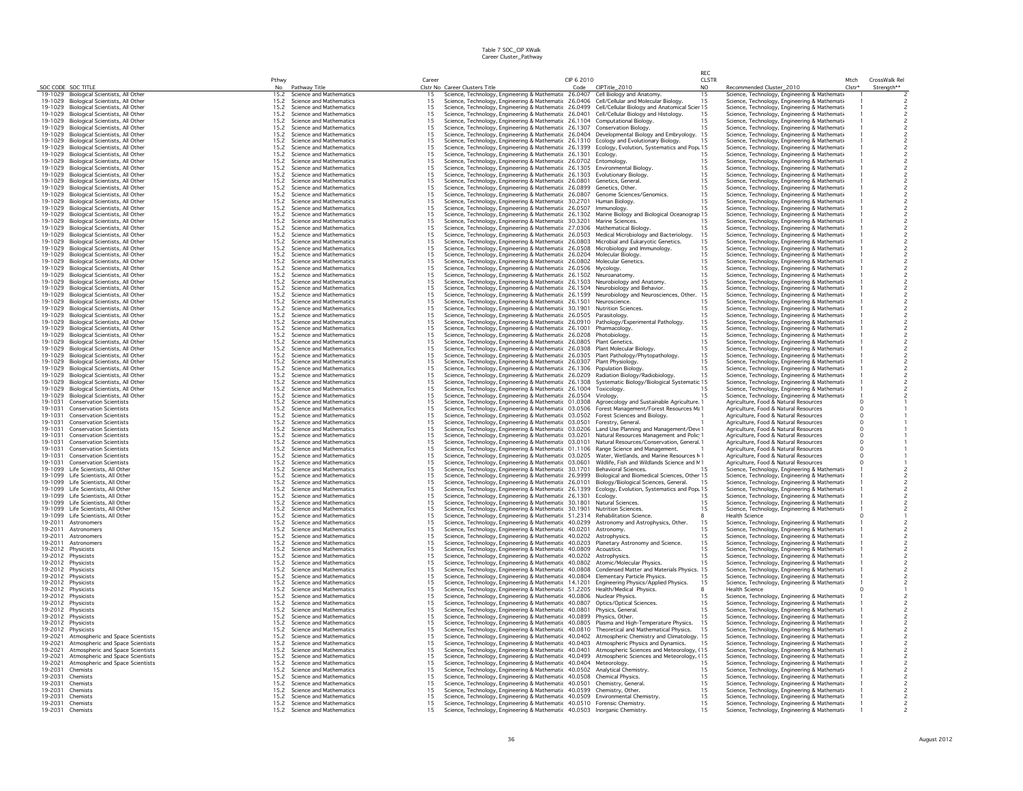|                    |                                                                                      |              |                                                    |                                         |                                                                                                                                                                                                       |            |                                  | RFC          |                                                                                                |          |                         |
|--------------------|--------------------------------------------------------------------------------------|--------------|----------------------------------------------------|-----------------------------------------|-------------------------------------------------------------------------------------------------------------------------------------------------------------------------------------------------------|------------|----------------------------------|--------------|------------------------------------------------------------------------------------------------|----------|-------------------------|
|                    |                                                                                      | Pthwy        |                                                    | Career                                  |                                                                                                                                                                                                       | CIP 6 2010 |                                  | <b>CLSTR</b> |                                                                                                | Mtch     | CrossWalk Rel           |
|                    | SOC CODE SOC TITLE<br>19-1029 Biological Scientists, All Other                       | No<br>15.2   | Pathway Title<br>Science and Mathematics           | 15                                      | Clstr No Career Clusters Title<br>Science, Technology, Engineering & Mathematic 26.0407 Cell Biology and Anatomy.                                                                                     |            | Code CIPTitle_2010               | NO.<br>15    | Recommended Cluster_2010<br>Science, Technology, Engineering & Mathemati                       | $Clstr*$ | Strength**              |
|                    | 19-1029 Biological Scientists, All Other                                             | 15.2         | Science and Mathematics                            | 15                                      | Science, Technology, Engineering & Mathematic 26.0406 Cell/Cellular and Molecular Biology.                                                                                                            |            |                                  | 15           | Science, Technology, Engineering & Mathemati                                                   |          |                         |
|                    | 19-1029 Biological Scientists, All Other                                             | 15.2         | Science and Mathematics                            | 15                                      | Science, Technology, Engineering & Mathematic 26.0499 Cell/Cellular Biology and Anatomical Scier 15                                                                                                   |            |                                  |              | Science, Technology, Engineering & Mathemati                                                   |          |                         |
|                    | 19-1029 Biological Scientists, All Other                                             | 15.2         | Science and Mathematics                            | 15                                      | Science, Technology, Engineering & Mathematic 26.0401 Cell/Cellular Biology and Histology.                                                                                                            |            |                                  | 15           | Science, Technology, Engineering & Mathemati-                                                  |          |                         |
|                    | 19-1029 Biological Scientists, All Other                                             | 15.2         | Science and Mathematics                            | 15                                      | Science, Technology, Engineering & Mathematic 26.1104 Computational Biology.                                                                                                                          |            |                                  | 15           | Science, Technology, Engineering & Mathemati                                                   |          |                         |
|                    | 19-1029 Biological Scientists, All Other                                             | 15.2         | Science and Mathematics                            | 15                                      | Science, Technology, Engineering & Mathematic 26.1307 Conservation Biology.                                                                                                                           |            |                                  | 15           | Science, Technology, Engineering & Mathemati                                                   |          |                         |
|                    | 19-1029 Biological Scientists, All Other                                             | 15.2         | Science and Mathematics                            | 15                                      | Science, Technology, Engineering & Mathematic 26.0404 Developmental Biology and Embryology.                                                                                                           |            |                                  | 15           | Science, Technology, Engineering & Mathemati-                                                  |          |                         |
|                    | 19-1029 Biological Scientists, All Other                                             | 15.2         | Science and Mathematics                            | 15                                      | Science, Technology, Engineering & Mathematic 26.1310 Ecology and Evolutionary Biology.                                                                                                               |            |                                  |              | Science, Technology, Engineering & Mathemati                                                   |          |                         |
|                    | 19-1029 Biological Scientists, All Other                                             | 15.2         | Science and Mathematics                            | 15                                      | Science, Technology, Engineering & Mathematic 26.1399 Ecology, Evolution, Systematics and Pop. 15                                                                                                     |            |                                  |              | Science, Technology, Engineering & Mathemati-                                                  |          |                         |
|                    | 19-1029 Biological Scientists, All Other                                             | 15.2         | Science and Mathematics                            | 15                                      | Science, Technology, Engineering & Mathematic 26.1301 Ecology.                                                                                                                                        |            |                                  | 15           | Science, Technology, Engineering & Mathemati                                                   |          |                         |
|                    | 19-1029 Biological Scientists, All Other<br>19-1029 Biological Scientists, All Other | 15.2<br>15.2 | Science and Mathematics<br>Science and Mathematics | 15<br>15                                | Science, Technology, Engineering & Mathematic 26.0702 Entomology                                                                                                                                      |            |                                  | 15<br>15     | Science, Technology, Engineering & Mathemati-                                                  |          |                         |
|                    |                                                                                      | 15.2         | Science and Mathematics                            | 15                                      | Science, Technology, Engineering & Mathematic 26.1305 Environmental Biology.                                                                                                                          |            |                                  | 15           | Science, Technology, Engineering & Mathemati                                                   |          |                         |
|                    | 19-1029 Biological Scientists, All Other<br>19-1029 Biological Scientists, All Other | 15.2         | Science and Mathematics                            | 15                                      | Science, Technology, Engineering & Mathematic 26.1303 Evolutionary Biology.<br>Science, Technology, Engineering & Mathematic 26.0801                                                                  |            | Genetics, General                | 15           | Science, Technology, Engineering & Mathemati-<br>Science, Technology, Engineering & Mathemati- |          |                         |
|                    | 19-1029 Biological Scientists, All Other                                             | 15.2         | Science and Mathematics                            | 15                                      | Science, Technology, Engineering & Mathematic 26.0899 Genetics, Other.                                                                                                                                |            |                                  | 15           | Science, Technology, Engineering & Mathemati                                                   |          | $\overline{\mathbf{c}}$ |
|                    | 19-1029 Biological Scientists, All Other                                             | 15.2         | Science and Mathematics                            | 15                                      | Science, Technology, Engineering & Mathematic 26.0807 Genome Sciences/Genomics.                                                                                                                       |            |                                  | 15           | Science, Technology, Engineering & Mathemati-                                                  |          | $\overline{c}$          |
| 19-1029            | Biological Scientists, All Other                                                     | 15.2         | Science and Mathematics                            | 15                                      | Science, Technology, Engineering & Mathematic 30.2701 Human Biology.                                                                                                                                  |            |                                  | 15           | Science, Technology, Engineering & Mathemati-                                                  |          |                         |
|                    | 19-1029 Biological Scientists, All Other                                             | 15.2         | Science and Mathematics                            | 15                                      | Science, Technology, Engineering & Mathematic 26.0507                                                                                                                                                 |            | Immunology.                      | 15           | Science, Technology, Engineering & Mathemati                                                   |          |                         |
|                    | 19-1029 Biological Scientists, All Other                                             | 15.2         | Science and Mathematics                            | 15                                      | Science, Technology, Engineering & Mathematic 26.1302 Marine Biology and Biological Oceanograp 15                                                                                                     |            |                                  |              | Science, Technology, Engineering & Mathemati                                                   |          |                         |
|                    | 19-1029 Biological Scientists, All Other                                             | 15.2         | Science and Mathematics                            | 15                                      | Science, Technology, Engineering & Mathematic 30.3201 Marine Sciences.                                                                                                                                |            |                                  | 15           | Science, Technology, Engineering & Mathemati-                                                  |          |                         |
|                    | 19-1029 Biological Scientists, All Other                                             | 15.2         | Science and Mathematics                            | 15                                      | Science, Technology, Engineering & Mathematic 27.0306 Mathematical Biology.                                                                                                                           |            |                                  | 15           | Science, Technology, Engineering & Mathemati                                                   |          |                         |
|                    | 19-1029 Biological Scientists, All Other                                             | 15.2         | Science and Mathematics                            | 15                                      | Science, Technology, Engineering & Mathematic 26.0503 Medical Microbiology and Bacteriology.                                                                                                          |            |                                  | 15           | Science, Technology, Engineering & Mathemati                                                   |          |                         |
|                    | 19-1029 Biological Scientists, All Other                                             | 15.2         | Science and Mathematics                            | 15                                      | Science, Technology, Engineering & Mathematic 26.0803 Microbial and Eukaryotic Genetics.                                                                                                              |            |                                  | 15           | Science, Technology, Engineering & Mathemati-                                                  |          |                         |
|                    | 19-1029 Biological Scientists, All Other                                             | 15.2         | Science and Mathematics                            | 15                                      | Science, Technology, Engineering & Mathematic 26.0508 Microbiology and Immunology.                                                                                                                    |            |                                  | 15           | Science, Technology, Engineering & Mathemati-                                                  |          | $\overline{\mathbf{c}}$ |
|                    | 19-1029 Biological Scientists, All Other                                             | 15.2<br>15.2 | Science and Mathematics                            | $15\,$                                  | Science, Technology, Engineering & Mathematic 26.0204 Molecular Biology.                                                                                                                              |            |                                  | 15<br>15     | Science, Technology, Engineering & Mathemati                                                   |          |                         |
| 19-1029            | Biological Scientists, All Other<br>19-1029 Biological Scientists, All Other         | 15.2         | Science and Mathematics<br>Science and Mathematics | 15<br>15                                | Science, Technology, Engineering & Mathematic 26.0802 Molecular Genetics<br>Science, Technology, Engineering & Mathematic 26.0506 Mycology.                                                           |            |                                  | 15           | Science, Technology, Engineering & Mathemati<br>Science, Technology, Engineering & Mathemati-  |          |                         |
|                    | 19-1029 Biological Scientists, All Other                                             | 15.2         | Science and Mathematics                            | 15                                      | Science, Technology, Engineering & Mathematic 26.1502 Neuroanatomy                                                                                                                                    |            |                                  | 15           | Science, Technology, Engineering & Mathemati                                                   |          |                         |
|                    | 19-1029 Biological Scientists, All Other                                             | 15.2         | Science and Mathematics                            | 15                                      | Science, Technology, Engineering & Mathematic 26.1503 Neurobiology and Anatomy.                                                                                                                       |            |                                  | 15           | Science, Technology, Engineering & Mathemati-                                                  |          | $\overline{c}$          |
|                    | 19-1029 Biological Scientists, All Other                                             | 15.2         | Science and Mathematics                            | 1.5                                     | Science, Technology, Engineering & Mathematic 26.1504 Neurobiology and Behavior.                                                                                                                      |            |                                  | 15           | Science, Technology, Engineering & Mathemati                                                   |          | $\overline{c}$          |
|                    | 19-1029 Biological Scientists, All Other                                             | 15.2         | Science and Mathematics                            | 15                                      |                                                                                                                                                                                                       |            |                                  | 15           | Science, Technology, Engineering & Mathemati-                                                  |          |                         |
|                    | 19-1029 Biological Scientists, All Other                                             | 15.2         | Science and Mathematics                            | 15                                      | Science, Technology, Engineering & Mathematic 26.1599 Neurobiology and Neurosciences, Other.<br>Science, Technology, Engineering & Mathematic 26.1501 Neuroscience.                                   |            |                                  | 15           | Science, Technology, Engineering & Mathemati-                                                  |          |                         |
|                    | 19-1029 Biological Scientists, All Other                                             | 15.2         | Science and Mathematics                            | 15                                      | Science, Technology, Engineering & Mathematic 30.1901 Nutrition Sciences                                                                                                                              |            |                                  | 15           | Science, Technology, Engineering & Mathemati-                                                  |          | 2                       |
|                    | 19-1029 Biological Scientists, All Other                                             | 15.2         | Science and Mathematics                            | 15                                      | Science, Technology, Engineering & Mathematic 26.0505 Parasitology.                                                                                                                                   |            |                                  | 15           | Science, Technology, Engineering & Mathemati-                                                  |          | $\overline{c}$          |
| 19-1029            | Biological Scientists, All Other                                                     | 15.2         | Science and Mathematics                            | 15                                      | Science, Technology, Engineering & Mathematic 26.0910 Pathology/Experimental Pathology.                                                                                                               |            |                                  | 15           | Science, Technology, Engineering & Mathemati                                                   |          |                         |
|                    | 19-1029 Biological Scientists, All Other                                             | 15.2         | Science and Mathematics                            | 15                                      | Science, Technology, Engineering & Mathematic 26.1001 Pharmacology.                                                                                                                                   |            |                                  | 15           | Science, Technology, Engineering & Mathemati-                                                  |          |                         |
| 19-1029            | Biological Scientists, All Other                                                     | 15.2         | Science and Mathematics                            | 15                                      | Science, Technology, Engineering & Mathematic 26.0208 Photobiology.                                                                                                                                   |            |                                  | 15           | Science, Technology, Engineering & Mathemati-                                                  |          |                         |
|                    | 19-1029 Biological Scientists, All Other                                             | 15.2         | Science and Mathematics                            | 15                                      | Science, Technology, Engineering & Mathematic 26.0805 Plant Genetics.                                                                                                                                 |            |                                  | 15           | Science, Technology, Engineering & Mathemati-                                                  |          |                         |
|                    | 19-1029 Biological Scientists, All Other                                             | 15.2         | Science and Mathematics                            | 15<br>15                                | Science, Technology, Engineering & Mathematic 26.0308 Plant Molecular Biology.                                                                                                                        |            |                                  | 15           | Science, Technology, Engineering & Mathemati                                                   |          |                         |
|                    | 19-1029 Biological Scientists, All Other                                             | 15.2         | Science and Mathematics                            |                                         | Science, Technology, Engineering & Mathematic 26.0305 Plant Pathology/Phytopathology.                                                                                                                 |            |                                  | 1.5          | Science, Technology, Engineering & Mathemati                                                   |          |                         |
|                    | 19-1029 Biological Scientists, All Other                                             | 15.2<br>15.2 | Science and Mathematics<br>Science and Mathematics | 15                                      | Science, Technology, Engineering & Mathematic 26.0307 Plant Physiology.                                                                                                                               |            |                                  | 15<br>15     | Science, Technology, Engineering & Mathemati-                                                  |          |                         |
|                    | 19-1029 Biological Scientists, All Other<br>19-1029 Biological Scientists, All Other | 15.2         | Science and Mathematics                            | 15<br>15                                | Science, Technology, Engineering & Mathematic 26.1306 Population Biology<br>Science, Technology, Engineering & Mathematic 26.0209 Radiation Biology/Radiobiology.                                     |            |                                  | 15           | Science, Technology, Engineering & Mathemati-<br>Science, Technology, Engineering & Mathemati- |          |                         |
|                    | 19-1029 Biological Scientists, All Other                                             | 15.2         | Science and Mathematics                            | 15                                      | Science, Technology, Engineering & Mathematic 26.1308 Systematic Biology/Biological Systematic 15                                                                                                     |            |                                  |              | Science, Technology, Engineering & Mathemati                                                   |          |                         |
|                    | 19-1029 Biological Scientists, All Other                                             | 15.2         | Science and Mathematics                            | 15                                      | Science, Technology, Engineering & Mathematic 26.1004 Toxicology.                                                                                                                                     |            |                                  | 15           | Science, Technology, Engineering & Mathemati                                                   |          |                         |
|                    | 19-1029 Biological Scientists, All Other                                             | 15.2         | Science and Mathematics                            | 15                                      | Science, Technology, Engineering & Mathematic 26.0504 Virology.                                                                                                                                       |            |                                  | 15           | Science, Technology, Engineering & Mathemati-                                                  |          |                         |
| 19-1031            | <b>Conservation Scientists</b>                                                       | 15.2         | Science and Mathematics                            | 15                                      | Science, Technology, Engineering & Mathematic 01.0308 Agroecology and Sustainable Agriculture. 1                                                                                                      |            |                                  |              | Agriculture, Food & Natural Resources                                                          |          |                         |
| 19-1031            | <b>Conservation Scientists</b>                                                       | 15.2         | Science and Mathematics                            | 15                                      | Science, Technology, Engineering & Mathematic 03.0506 Forest Management/Forest Resources Ma 1                                                                                                         |            |                                  |              | Agriculture, Food & Natural Resources                                                          |          |                         |
| 19-1031            | <b>Conservation Scientists</b>                                                       | 15.2         | Science and Mathematics                            | 15                                      | Science, Technology, Engineering & Mathematic 03.0502 Forest Sciences and Biology.                                                                                                                    |            |                                  |              | Agriculture, Food & Natural Resources                                                          |          |                         |
| 19-1031            | <b>Conservation Scientists</b>                                                       | 15.2         | Science and Mathematics                            | 15                                      | Science, Technology, Engineering & Mathematic 03.0501 Forestry, General.                                                                                                                              |            |                                  |              | Agriculture, Food & Natural Resources                                                          |          |                         |
| 19-1031            | <b>Conservation Scientists</b>                                                       | 15.2         | Science and Mathematics                            | 15                                      | Science, Technology, Engineering & Mathematic 03.0206 Land Use Planning and Management/Deve 1                                                                                                         |            |                                  |              | Agriculture, Food & Natural Resources                                                          |          |                         |
| 19-1031            | <b>Conservation Scientists</b>                                                       | 15.2         | Science and Mathematics                            | 15                                      | Science, Technology, Engineering & Mathematic 03.0201 Natural Resources Management and Polic 1                                                                                                        |            |                                  |              | Agriculture, Food & Natural Resources                                                          |          |                         |
| 19-1031            | <b>Conservation Scientists</b>                                                       | 15.2         | Science and Mathematics                            | 15                                      | Science, Technology, Engineering & Mathematic 03.0101 Natural Resources/Conservation, General 1                                                                                                       |            |                                  |              | Agriculture, Food & Natural Resources                                                          |          |                         |
| 19-1031            | <b>Conservation Scientists</b>                                                       | 15.2         | Science and Mathematics                            | 15                                      | Science, Technology, Engineering & Mathematic 01.1106 Range Science and Management                                                                                                                    |            |                                  |              | Agriculture, Food & Natural Resources                                                          |          |                         |
| 19-1031<br>19-1031 | <b>Conservation Scientists</b>                                                       | 15.2<br>15.2 | Science and Mathematics<br>Science and Mathematics | 15                                      | Science, Technology, Engineering & Mathematic 03.0205 Water, Wetlands, and Marine Resources M 1<br>Science, Technology, Engineering & Mathematic 03.0601 Wildlife, Fish and Wildlands Science and N 1 |            |                                  |              | Agriculture, Food & Natural Resources                                                          |          |                         |
|                    | <b>Conservation Scientists</b><br>19-1099 Life Scientists, All Other                 | 15.2         | Science and Mathematics                            | 15<br>15                                | Science, Technology, Engineering & Mathematic 30.1701 Behavioral Sciences.                                                                                                                            |            |                                  |              | Agriculture, Food & Natural Resources<br>Science, Technology, Engineering & Mathemati          |          |                         |
|                    | 19-1099 Life Scientists, All Other                                                   | 15.2         | Science and Mathematics                            | 15                                      | Science, Technology, Engineering & Mathematic 26.9999 Biological and Biomedical Sciences, Other 15                                                                                                    |            |                                  |              | Science, Technology, Engineering & Mathemati                                                   |          |                         |
|                    | 19-1099 Life Scientists, All Other                                                   | 15.2         | Science and Mathematics                            | 15                                      |                                                                                                                                                                                                       |            |                                  |              | Science, Technology, Engineering & Mathemati                                                   |          |                         |
|                    | 19-1099 Life Scientists, All Other                                                   | 15.2         | Science and Mathematics                            | 15                                      | Science, Technology, Engineering & Mathematic 26.0101 Biology/Biological Sciences, General. 15<br>Science, Technology, Engineering & Mathematic 26.1399 Ecology, Evolution, Systematics and Pop: 15   |            |                                  |              | Science, Technology, Engineering & Mathemati-                                                  |          |                         |
|                    | 19-1099 Life Scientists, All Other                                                   | 15.2         | Science and Mathematics                            | 15                                      | Science, Technology, Engineering & Mathematic 26.1301 Ecology.                                                                                                                                        |            |                                  | 15           | Science, Technology, Engineering & Mathemati-                                                  |          |                         |
|                    | 19-1099 Life Scientists, All Other                                                   | 15.2         | Science and Mathematics                            | 15                                      | Science, Technology, Engineering & Mathematic 30.1801                                                                                                                                                 |            | Natural Sciences                 | 15           | Science, Technology, Engineering & Mathemati                                                   |          | $\overline{c}$          |
|                    | 19-1099 Life Scientists, All Other                                                   | 15.2         | Science and Mathematics                            | 15                                      | Science, Technology, Engineering & Mathematic 30.1901 Nutrition Sciences.                                                                                                                             |            |                                  | 15           | Science, Technology, Engineering & Mathemati                                                   |          |                         |
| 19-1099            | Life Scientists, All Other                                                           | 15.2         | Science and Mathematics                            | 15                                      | Science, Technology, Engineering & Mathematic 51.2314 Rehabilitation Science.                                                                                                                         |            |                                  |              | <b>Health Science</b>                                                                          |          |                         |
| 19-2011            | Astronomers                                                                          | 15.2         | Science and Mathematics                            | 15                                      | Science, Technology, Engineering & Mathematic 40.0299 Astronomy and Astrophysics, Other.                                                                                                              |            |                                  | 15           | Science, Technology, Engineering & Mathemati-                                                  |          |                         |
| 19-2011            | Astronomers<br>Astronomers                                                           | 15.2         | Science and Mathematics                            | 15                                      | Science, Technology, Engineering & Mathematic 40.0201 Astronomy.                                                                                                                                      |            |                                  | 15           | Science, Technology, Engineering & Mathemati-                                                  |          |                         |
| 19-2011<br>19-2011 | Astronomers                                                                          | 15.2<br>15.2 | Science and Mathematics<br>Science and Mathematics | 15<br>15                                | Science, Technology, Engineering & Mathematic 40.0202 Astrophysics.<br>Science, Technology, Engineering & Mathematic 40.0203                                                                          |            | Planetary Astronomy and Science. | 15           | Science, Technology, Engineering & Mathemati                                                   |          |                         |
|                    | 19-2012 Physicists                                                                   | 15.2         | Science and Mathematics                            | 15                                      | Science, Technology, Engineering & Mathematic 40.0809 Acoustics.                                                                                                                                      |            |                                  | 1.5          | Science, Technology, Engineering & Mathemati<br>Science, Technology, Engineering & Mathemati   |          |                         |
| 19-2012            | Physicists                                                                           | 15.2         | Science and Mathematics                            |                                         |                                                                                                                                                                                                       |            |                                  | 15           | Science, Technology, Engineering & Mathemati-                                                  |          |                         |
| 19-2012            | Physicists                                                                           | 15.2         | Science and Mathematics                            | $\begin{array}{c} 15 \\ 15 \end{array}$ | Science, Technology, Engineering & Mathematic 40.0202 Astrophysics.<br>Science, Technology, Engineering & Mathematic 40.0802 Atomic/Mole                                                              |            | Atomic/Molecular Physics.        | 15           | Science, Technology, Engineering & Mathemati-                                                  |          |                         |
|                    | 19-2012 Physicists                                                                   | 15.2         | Science and Mathematics                            | 15                                      | Science, Technology, Engineering & Mathematic 40.0808 Condensed Matter and Materials Physics.                                                                                                         |            |                                  | 15           | Science, Technology, Engineering & Mathemati                                                   |          |                         |
| 19-2012            | Physicists                                                                           | 15.2         | Science and Mathematics                            | 15                                      | Science, Technology, Engineering & Mathematic 40.0804 Elementary Particle Physics.                                                                                                                    |            |                                  | 15           | Science, Technology, Engineering & Mathemati                                                   |          |                         |
|                    | 19-2012 Physicists                                                                   | 15.2         | Science and Mathematics                            | $15\,$                                  | Science, Technology, Engineering & Mathematic 14.1201 Engineering Physics/Applied Physics.                                                                                                            |            |                                  | 15           | Science, Technology, Engineering & Mathemati                                                   |          |                         |
|                    | 19-2012 Physicists                                                                   | 15.2         | Science and Mathematics                            | 15                                      | Science, Technology, Engineering & Mathematic 51.2205 Health/Medical Physics.                                                                                                                         |            |                                  |              | <b>Health Science</b>                                                                          |          |                         |
|                    | 19-2012 Physicists                                                                   | 15.2         | Science and Mathematics                            | 15                                      | Science, Technology, Engineering & Mathematic 40.0806 Nuclear Physics.                                                                                                                                |            |                                  | 15           | Science, Technology, Engineering & Mathemati-                                                  |          |                         |
|                    | 19-2012 Physicists                                                                   | 15.2         | Science and Mathematics                            | 15                                      | Science, Technology, Engineering & Mathematic 40.0807 Optics/Optical Sciences.                                                                                                                        |            |                                  | 15           | Science, Technology, Engineering & Mathemati                                                   |          |                         |
|                    | 19-2012 Physicists                                                                   | 15.2         | Science and Mathematics<br>Science and Mathematics | 15                                      | Science, Technology, Engineering & Mathematic 40.0801 Physics, General.                                                                                                                               |            |                                  | 15           | Science, Technology, Engineering & Mathemati                                                   |          | $\overline{c}$          |
|                    | 19-2012 Physicists                                                                   | 15.2         |                                                    | 1.5<br>15                               | Science, Technology, Engineering & Mathematic 40.0899 Physics, Other.                                                                                                                                 |            |                                  | 15<br>15     | Science, Technology, Engineering & Mathemati                                                   |          |                         |
|                    | 19-2012 Physicists<br>19-2012 Physicists                                             | 15.2<br>15.2 | Science and Mathematics<br>Science and Mathematics | 15                                      | Science, Technology, Engineering & Mathematic 40.0805 Plasma and High-Temperature Physics.<br>Science, Technology, Engineering & Mathematic 40.0810 Theoretical and Mathematical Physics.             |            |                                  | 15           | Science, Technology, Engineering & Mathemati-                                                  |          |                         |
| 19-2021            | Atmospheric and Space Scientists                                                     | 15.2         | Science and Mathematics                            | 15                                      | Science, Technology, Engineering & Mathematic 40.0402 Atmospheric Chemistry and Climatology. 15                                                                                                       |            |                                  |              | Science, Technology, Engineering & Mathemati-<br>Science, Technology, Engineering & Mathemati- |          |                         |
| 19-2021            | Atmospheric and Space Scientists                                                     | 15.2         | Science and Mathematics                            | 15                                      | Science, Technology, Engineering & Mathematic 40.0403 Atmospheric Physics and Dynamics.                                                                                                               |            |                                  |              | Science, Technology, Engineering & Mathemati-                                                  |          |                         |
| 19-2021            | Atmospheric and Space Scientists                                                     | 15.2         | Science and Mathematics                            | 15                                      | Science, Technology, Engineering & Mathematic 40.0401 Atmospheric Sciences and Meteorology, (15                                                                                                       |            |                                  |              | Science, Technology, Engineering & Mathemati                                                   |          |                         |
| 19-2021            | Atmospheric and Space Scientists                                                     | 15.2         | Science and Mathematics                            | 15                                      | Science, Technology, Engineering & Mathematic 40.0499 Atmospheric Sciences and Meteorology, (15                                                                                                       |            |                                  |              | Science, Technology, Engineering & Mathemati-                                                  |          |                         |
| 19-2021            | Atmospheric and Space Scientists                                                     | 15.2         | Science and Mathematics                            | 15                                      | Science, Technology, Engineering & Mathematic 40.0404 Meteorology.                                                                                                                                    |            |                                  | 15           | Science, Technology, Engineering & Mathemati                                                   |          |                         |
| 19-2031            | Chemists                                                                             | 15.2         | Science and Mathematics                            | 15                                      | Science, Technology, Engineering & Mathematic 40.0502 Analytical Chemistry                                                                                                                            |            |                                  | 15           | Science, Technology, Engineering & Mathemati-                                                  |          |                         |
| 19-2031            | Chemists                                                                             | 15.2         | Science and Mathematics                            | 15                                      | Science, Technology, Engineering & Mathematic 40.0508                                                                                                                                                 |            | <b>Chemical Physics.</b>         | 15           | Science, Technology, Engineering & Mathemati-                                                  |          |                         |
| 19-2031            | Chemists                                                                             | 15.2         | Science and Mathematics                            | 15                                      | Science, Technology, Engineering & Mathematic 40.0501 Chemistry, General.                                                                                                                             |            |                                  | 15           | Science, Technology, Engineering & Mathemati                                                   |          |                         |
|                    | 19-2031 Chemists                                                                     | 15.2         | Science and Mathematics                            | 15                                      | Science, Technology, Engineering & Mathematic 40.0599 Chemistry, Other.                                                                                                                               |            |                                  | 15           | Science, Technology, Engineering & Mathemati-                                                  |          |                         |
| 19-2031            | Chemists                                                                             | 15.2         | Science and Mathematics                            | 15                                      | Science, Technology, Engineering & Mathematic 40.0509 Environmental Chemistry.                                                                                                                        |            |                                  | 15           | Science, Technology, Engineering & Mathemati-                                                  |          |                         |
| 19-2031            | 19-2031 Chemists<br>Chemists                                                         | 15.2<br>15.2 | Science and Mathematics<br>Science and Mathematics | 15<br>15                                | Science, Technology, Engineering & Mathematic 40.0510 Forensic Chemistry.<br>Science, Technology, Engineering & Mathematic 40.0503 Inorganic Chemistry                                                |            |                                  | 15<br>1.5    | Science, Technology, Engineering & Mathemati-<br>Science, Technology, Engineering & Mathemati- |          |                         |
|                    |                                                                                      |              |                                                    |                                         |                                                                                                                                                                                                       |            |                                  |              |                                                                                                |          |                         |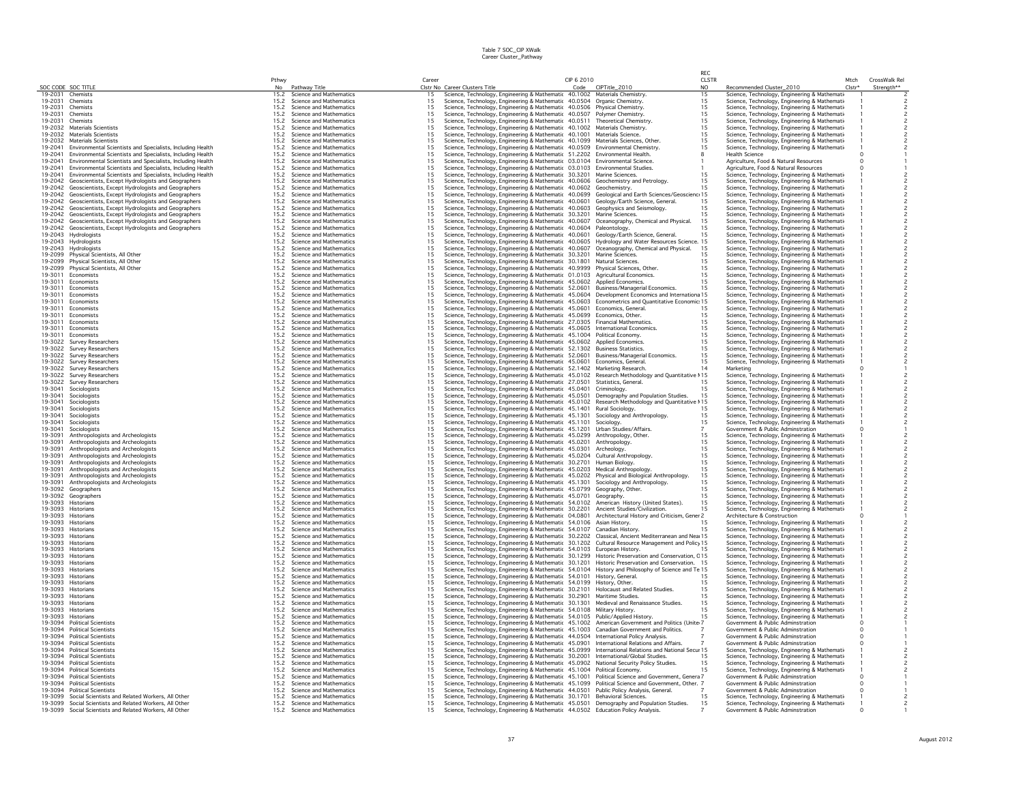|                    |                                                                                                                          |                        |                                                    |                                         |                                                                                                                                                 |            |                                                        | RFC          |                                                                                               |                    |                |
|--------------------|--------------------------------------------------------------------------------------------------------------------------|------------------------|----------------------------------------------------|-----------------------------------------|-------------------------------------------------------------------------------------------------------------------------------------------------|------------|--------------------------------------------------------|--------------|-----------------------------------------------------------------------------------------------|--------------------|----------------|
|                    |                                                                                                                          | Pthwy                  |                                                    | Career                                  |                                                                                                                                                 | CIP 6 2010 |                                                        | <b>CLSTR</b> |                                                                                               | Mtch               | CrossWalk Rel  |
| 19-2031            | SOC CODE SOC TITLE<br>Chemists                                                                                           | N <sub>0</sub><br>15.2 | Pathway Title<br>Science and Mathematics           | 15                                      | Clstr No Career Clusters Title<br>Science, Technology, Engineering & Mathematic 40.1002 Materials Chemistry.                                    | Code       | CIPTitle_2010                                          | NO.<br>15    | Recommended Cluster_2010<br>Science, Technology, Engineering & Mathemati                      | Clstr <sup>+</sup> | Strength**     |
| 19-2031            | Chemists                                                                                                                 | 15.2                   | Science and Mathematics                            | 15                                      | Science, Technology, Engineering & Mathematic 40.0504                                                                                           |            | Organic Chemistry.                                     | 15           | Science, Technology, Engineering & Mathemati                                                  |                    |                |
| 19-2031            | Chemists                                                                                                                 | 15.2                   | Science and Mathematics                            | 15                                      | Science, Technology, Engineering & Mathematic 40.0506                                                                                           |            | Physical Chemistry.                                    | 15           | Science, Technology, Engineering & Mathemati                                                  |                    |                |
| 19-2031            | Chemists                                                                                                                 | 15.2                   | Science and Mathematics                            | 15                                      | Science, Technology, Engineering & Mathematic 40.0507                                                                                           |            | Polymer Chemistry.                                     | 15           | Science, Technology, Engineering & Mathemati-                                                 |                    |                |
| 19-2031            | Chemists                                                                                                                 | 15.2                   | Science and Mathematics                            | 15                                      | Science, Technology, Engineering & Mathematic 40.0511                                                                                           |            | Theoretical Chemistry.                                 | 15           | Science, Technology, Engineering & Mathemati                                                  |                    |                |
| 19-2032            | Materials Scientists                                                                                                     | 15.2                   | Science and Mathematics                            | 15                                      | Science, Technology, Engineering & Mathematic 40.1002                                                                                           |            | Materials Chemistry.                                   | 15           | Science, Technology, Engineering & Mathemati                                                  |                    |                |
| 19-2032            | <b>Materials Scientists</b>                                                                                              | 15.2                   | Science and Mathematics                            | 15                                      | Science, Technology, Engineering & Mathematic 40.1001                                                                                           |            | Materials Science.                                     | 15           | Science, Technology, Engineering & Mathemati-                                                 |                    |                |
| 19-2032            | Materials Scientists                                                                                                     | 15.2                   | Science and Mathematics                            | 15                                      | Science, Technology, Engineering & Mathematic 40.1099                                                                                           |            | Materials Sciences, Other.                             | 15           | Science, Technology, Engineering & Mathemati-                                                 |                    |                |
| 19-2041            | Environmental Scientists and Specialists, Including Health                                                               | 15.2                   | Science and Mathematics                            | 15                                      | Science, Technology, Engineering & Mathematic 40.0509                                                                                           |            | Environmental Chemistry.                               | 15           | Science, Technology, Engineering & Mathemati                                                  |                    |                |
| 19-2041            | Environmental Scientists and Specialists, Including Health                                                               | 15.2                   | Science and Mathematics                            | 15<br>15                                | Science, Technology, Engineering & Mathematic 51.2202 Environmental Health.                                                                     |            |                                                        | 8            | <b>Health Science</b>                                                                         |                    |                |
| 19-2041            | Environmental Scientists and Specialists, Including Health                                                               | 15.2                   | Science and Mathematics                            | 15                                      | Science, Technology, Engineering & Mathematic 03.0104 Environmental Science.                                                                    |            |                                                        |              | Agriculture, Food & Natural Resources                                                         |                    |                |
| 19-2041<br>19-2041 | Environmental Scientists and Specialists, Including Health<br>Environmental Scientists and Specialists, Including Health | 15.2<br>15.2           | Science and Mathematics<br>Science and Mathematics | 15                                      | Science, Technology, Engineering & Mathematic 03.0103 Environmental Studies.<br>Science, Technology, Engineering & Mathematic 30.3201           |            | Marine Sciences.                                       | 15           | Agriculture, Food & Natural Resources<br>Science, Technology, Engineering & Mathemati-        |                    |                |
| 19-2042            | Geoscientists, Except Hydrologists and Geographers                                                                       | 15.2                   | Science and Mathematics                            | 15                                      | Science, Technology, Engineering & Mathematic 40.0606                                                                                           |            | Geochemistry and Petrology.                            | 15           | Science, Technology, Engineering & Mathemati-                                                 |                    |                |
| 19-2042            | Geoscientists, Except Hydrologists and Geographers                                                                       | 15.2                   | Science and Mathematics                            | 15                                      | Science, Technology, Engineering & Mathematic 40.0602                                                                                           |            | Geochemistry                                           | 15           | Science, Technology, Engineering & Mathemati                                                  |                    |                |
| 19-2042            | Geoscientists, Except Hydrologists and Geographers                                                                       | 15.2                   | Science and Mathematics                            | 15                                      | Science, Technology, Engineering & Mathematic 40.0699                                                                                           |            | Geological and Earth Sciences/Geoscienc: 15            |              | Science, Technology, Engineering & Mathemati-                                                 |                    |                |
| 19-2042            | Geoscientists, Except Hydrologists and Geographers                                                                       | 15.2                   | Science and Mathematics                            | 15                                      | Science, Technology, Engineering & Mathematic 40.0601                                                                                           |            | Geology/Earth Science, General.                        | 15           | Science, Technology, Engineering & Mathemati-                                                 |                    |                |
| 19-2042            | Geoscientists, Except Hydrologists and Geographers                                                                       | 15.2                   | Science and Mathematics                            | 15                                      | Science, Technology, Engineering & Mathematic 40.0603                                                                                           |            | Geophysics and Seismology                              | 15           | Science, Technology, Engineering & Mathemati                                                  |                    |                |
| 19-2042            | Geoscientists, Except Hydrologists and Geographers                                                                       | 15.2                   | Science and Mathematics                            | 15                                      | Science, Technology, Engineering & Mathematic 30.3201                                                                                           |            | Marine Sciences                                        | 15           | Science, Technology, Engineering & Mathemati-                                                 |                    |                |
| 19-2042            | Geoscientists, Except Hydrologists and Geographers                                                                       | 15.2                   | Science and Mathematics                            | 15                                      | Science, Technology, Engineering & Mathematic 40.0607                                                                                           |            | Oceanography, Chemical and Physical.                   | 15           | Science, Technology, Engineering & Mathemati-                                                 |                    |                |
| 19-2042            | Geoscientists, Except Hydrologists and Geographers                                                                       | 15.2                   | Science and Mathematics                            | 15                                      | Science, Technology, Engineering & Mathematic 40.0604                                                                                           |            | Paleontology                                           | 15           | Science, Technology, Engineering & Mathemati                                                  |                    |                |
| 19-2043            | Hydrologists                                                                                                             | 15.2                   | Science and Mathematics                            | 15                                      | Science, Technology, Engineering & Mathematic 40.0601                                                                                           |            | Geology/Earth Science, General.                        | 15           | Science, Technology, Engineering & Mathemati-                                                 |                    |                |
| 19-2043            | Hydrologists                                                                                                             | 15.2                   | Science and Mathematics                            | 15                                      | Science, Technology, Engineering & Mathematic 40.0605                                                                                           |            | Hydrology and Water Resources Science.                 | 15           | Science, Technology, Engineering & Mathemati-                                                 |                    |                |
| 19-2043            | Hydrologists                                                                                                             | 15.2                   | Science and Mathematics                            | 15                                      | Science, Technology, Engineering & Mathematic 40.0607                                                                                           |            | Oceanography, Chemical and Physical.                   | 15           | Science, Technology, Engineering & Mathemati                                                  |                    |                |
| 19-2099            | Physical Scientists, All Other                                                                                           | 15.2                   | Science and Mathematics                            | 15                                      | Science, Technology, Engineering & Mathematic 30.3201                                                                                           |            | Marine Sciences.                                       |              | Science, Technology, Engineering & Mathemati-                                                 |                    |                |
| 19-2099<br>19-2099 | Physical Scientists, All Other<br>Physical Scientists, All Other                                                         | 15.2<br>15.2           | Science and Mathematics<br>Science and Mathematics | 15<br>15                                | Science, Technology, Engineering & Mathematic 30.1801<br>Science, Technology, Engineering & Mathematic 40.9999                                  |            | Natural Sciences<br>Physical Sciences, Other.          | 15<br>15     | Science, Technology, Engineering & Mathemati-<br>Science, Technology, Engineering & Mathemati |                    |                |
| 19-3011            | Economists                                                                                                               | 15.2                   | Science and Mathematics                            | 15                                      | Science, Technology, Engineering & Mathematic 01.0103                                                                                           |            | Agricultural Economics.                                | 15           | Science, Technology, Engineering & Mathemati                                                  |                    |                |
| 19-3011            | Economists                                                                                                               | 15.2                   | Science and Mathematics                            | 15                                      | Science, Technology, Engineering & Mathematic 45.0602                                                                                           |            | Annlied Economics                                      | 15           | Science, Technology, Engineering & Mathemati                                                  |                    |                |
| 19-3011            | Fconomists                                                                                                               | 15.2                   | Science and Mathematics                            | 15                                      | Science, Technology, Engineering & Mathematic 52.0601                                                                                           |            | Business/Managerial Economics.                         | 15           | Science, Technology, Engineering & Mathemati-                                                 |                    |                |
| 19-3011            | Economists                                                                                                               | 15.2                   | Science and Mathematics                            | 15                                      | Science, Technology, Engineering & Mathematic 45.0604                                                                                           |            | Development Economics and Internationa 15              |              | Science, Technology, Engineering & Mathemati-                                                 |                    |                |
| 19-3011            | Fconomists                                                                                                               | 15.2                   | Science and Mathematics                            | 15                                      | Science, Technology, Engineering & Mathematic 45.0603                                                                                           |            | Econometrics and Quantitative Economic: 15             |              | Science, Technology, Engineering & Mathemati-                                                 |                    |                |
| 19-3011            | Economists                                                                                                               | 15.2                   | Science and Mathematics                            | 15                                      | Science, Technology, Engineering & Mathematic 45.0601                                                                                           |            | Economics, General                                     | 15           | Science, Technology, Engineering & Mathemati                                                  |                    |                |
| 19-3011            | Economists                                                                                                               | 15.2                   | Science and Mathematics                            | 15                                      | Science, Technology, Engineering & Mathematic 45.0699                                                                                           |            | Economics, Other.                                      | 15           | Science, Technology, Engineering & Mathemati-                                                 |                    |                |
| 19-3011            | Economists                                                                                                               | 15.2                   | Science and Mathematics                            | 15                                      | Science, Technology, Engineering & Mathematic 27.0305                                                                                           |            | <b>Financial Mathematics</b>                           | 15           | Science, Technology, Engineering & Mathemati-                                                 |                    |                |
| 19-3011            | Economists                                                                                                               | 15.2                   | Science and Mathematics                            | 15                                      | Science, Technology, Engineering & Mathematic 45.0605                                                                                           |            | International Economics.                               | 15           | Science, Technology, Engineering & Mathemati                                                  |                    |                |
| 19-3011            | Economists                                                                                                               | 15.2                   | Science and Mathematics                            | 15                                      | Science, Technology, Engineering & Mathematic 45.1004                                                                                           |            | Political Economy.                                     | 15           | Science, Technology, Engineering & Mathemati                                                  |                    |                |
| 19-3022            | Survey Researchers                                                                                                       | 15.2                   | Science and Mathematics                            | 15                                      | Science, Technology, Engineering & Mathematic 45.0602                                                                                           |            | Applied Economics.                                     | 15           | Science, Technology, Engineering & Mathemati-                                                 |                    |                |
| 19-3022            | Survey Researchers                                                                                                       | 15.2                   | Science and Mathematics                            | 15                                      | Science, Technology, Engineering & Mathematic 52.1302                                                                                           |            | <b>Business Statistics</b>                             | 15<br>15     | Science, Technology, Engineering & Mathemati-                                                 |                    |                |
| 19-3022<br>19-3022 | Survey Researchers<br>Survey Researchers                                                                                 | 15.2<br>15.2           | Science and Mathematics<br>Science and Mathematics | 15<br>15                                | Science, Technology, Engineering & Mathematic 52.0601                                                                                           |            | Business/Managerial Economics.<br>Economics, General   | 15           | Science, Technology, Engineering & Mathemati-                                                 |                    |                |
| 19-3022            | Survey Researchers                                                                                                       | 15.2                   | Science and Mathematics                            | 15                                      | Science, Technology, Engineering & Mathematic 45.0601<br>Science, Technology, Engineering & Mathematic 52.1402                                  |            | Marketing Research.                                    |              | Science, Technology, Engineering & Mathemati<br>Marketing                                     |                    |                |
| 19-3022            | Survey Researchers                                                                                                       | 15.2                   | Science and Mathematics                            | 15                                      | Science, Technology, Engineering & Mathematic 45.0102                                                                                           |            | Research Methodology and Quantitative 115              |              | Science, Technology, Engineering & Mathemati-                                                 |                    |                |
| 19-3022            | Survey Researchers                                                                                                       | 15.2                   | Science and Mathematics                            | 15                                      | Science, Technology, Engineering & Mathematic 27.0501                                                                                           |            | Statistics, General,                                   |              | Science, Technology, Engineering & Mathemati-                                                 |                    |                |
| 19-3041            | Sociologists                                                                                                             | 15.2                   | Science and Mathematics                            | 15                                      | Science, Technology, Engineering & Mathematic 45.0401                                                                                           |            | Criminology.                                           | 15           | Science, Technology, Engineering & Mathemati                                                  |                    |                |
| 19-3041            | Sociologists                                                                                                             | 15.2                   | Science and Mathematics                            | 15                                      | Science, Technology, Engineering & Mathematic 45.0501                                                                                           |            | Demography and Population Studies.                     | 15           | Science, Technology, Engineering & Mathemati                                                  |                    |                |
| 19-3041            | Sociologists                                                                                                             | 15.2                   | Science and Mathematics                            | 15                                      | Science, Technology, Engineering & Mathematic 45.0102                                                                                           |            | Research Methodology and Quantitative 115              |              | Science, Technology, Engineering & Mathemati-                                                 |                    |                |
| 19-3041            | Sociologists                                                                                                             | 15.2                   | Science and Mathematics                            | $\begin{array}{c} 15 \\ 15 \end{array}$ | Science, Technology, Engineering & Mathematic 45.1401                                                                                           |            | <b>Rural Sociology</b>                                 |              | Science, Technology, Engineering & Mathemati-                                                 |                    |                |
| 19-3041            | Sociologists                                                                                                             | 15.2                   | Science and Mathematics                            |                                         | Science, Technology, Engineering & Mathematic 45.1301                                                                                           |            | Sociology and Anthropology.                            | 15           | Science, Technology, Engineering & Mathemati-                                                 |                    |                |
| 19-3041            | Sociologists                                                                                                             | 15.2                   | Science and Mathematics                            | 15                                      | Science, Technology, Engineering & Mathematic 45.1101                                                                                           |            | Sociology.                                             | 15           | Science, Technology, Engineering & Mathemati-                                                 |                    |                |
| 19-3041            | Sociologists                                                                                                             | 15.2                   | Science and Mathematics                            | 15                                      | Science, Technology, Engineering & Mathematic 45.1201                                                                                           |            | Urban Studies/Affairs.                                 |              | Government & Public Adminstration                                                             |                    |                |
| 19-3091            | Anthropologists and Archeologists                                                                                        | 15.2                   | Science and Mathematics                            | 15                                      | Science, Technology, Engineering & Mathematic 45.0299                                                                                           |            | Anthropology, Other.                                   | 15           | Science, Technology, Engineering & Mathemati                                                  |                    |                |
| 19-3091<br>19-3091 | Anthropologists and Archeologists                                                                                        | 15.2<br>15.2           | Science and Mathematics<br>Science and Mathematics | 15<br>15                                | Science, Technology, Engineering & Mathematic 45.0201                                                                                           |            | Anthropology<br>Archeology                             | 15<br>15     | Science, Technology, Engineering & Mathemati-                                                 |                    |                |
| 19-3091            | Anthropologists and Archeologists<br>Anthropologists and Archeologists                                                   | 15.2                   | Science and Mathematics                            | 15                                      | Science, Technology, Engineering & Mathematic 45.0301<br>Science, Technology, Engineering & Mathematic 45.0204                                  |            | Cultural Anthropology                                  | 15           | Science, Technology, Engineering & Mathemati-<br>Science, Technology, Engineering & Mathemati |                    |                |
| 19-3091            | Anthropologists and Archeologists                                                                                        | 15.2                   | Science and Mathematics                            | 15                                      | Science, Technology, Engineering & Mathematic 30.2701                                                                                           |            | Human Biology.                                         | 15           | Science, Technology, Engineering & Mathemati                                                  |                    |                |
| 19-3091            | Anthropologists and Archeologists                                                                                        | 15.2                   | Science and Mathematics                            | 15                                      | Science, Technology, Engineering & Mathematic 45.0203                                                                                           |            | Medical Anthropology                                   | 15           | Science, Technology, Engineering & Mathemati                                                  |                    | $\overline{c}$ |
| 19-3091            | Anthropologists and Archeologists                                                                                        | 15.2                   | Science and Mathematics                            | 15                                      | Science, Technology, Engineering & Mathematic 45.0202                                                                                           |            | Physical and Biological Anthropology                   | 15           | Science, Technology, Engineering & Mathemati-                                                 |                    |                |
| 19-3091            | Anthropologists and Archeologists                                                                                        | 15.2                   | Science and Mathematics                            | 15                                      | Science, Technology, Engineering & Mathematic 45.1301                                                                                           |            | Sociology and Anthropology.                            | 15           | Science, Technology, Engineering & Mathemati-                                                 |                    |                |
| 19-3092            | Geographers                                                                                                              | 15.2                   | Science and Mathematics                            | 15                                      | Science, Technology, Engineering & Mathematic 45.0799                                                                                           |            | Geography, Other.                                      | 15           | Science, Technology, Engineering & Mathemati                                                  |                    |                |
| 19-3092            | Geographers                                                                                                              | 15.2                   | Science and Mathematics                            | 15                                      | Science, Technology, Engineering & Mathematic 45.0701                                                                                           |            | Geography.                                             | 15           | Science, Technology, Engineering & Mathemati                                                  |                    |                |
| 19-3093            | Historians                                                                                                               | 15.2                   | Science and Mathematics                            | 15                                      | Science, Technology, Engineering & Mathematic 54.0102 American History (United States).                                                         |            |                                                        | 15           | Science, Technology, Engineering & Mathemati                                                  |                    |                |
|                    | 19-3093 Historians                                                                                                       | 15.2                   | Science and Mathematics                            | 15                                      | Science, Technology, Engineering & Mathematic 30.2201 Ancient Studies/Civilization.                                                             |            |                                                        | 15           | Science, Technology, Engineering & Mathemati                                                  |                    |                |
| 19-3093<br>19-3093 | Historians                                                                                                               | 15.2                   | Science and Mathematics                            | 15                                      | Science, Technology, Engineering & Mathematic 04.0801                                                                                           |            | Architectural History and Criticism, Gener 2           |              | Architecture & Construction                                                                   |                    |                |
|                    | Historians<br>19-3093 Historians                                                                                         | 15.2<br>15.2           | Science and Mathematics<br>Science and Mathematics | 15<br>15                                | Science, Technology, Engineering & Mathematic 54.0106 Asian History.<br>Science, Technology, Engineering & Mathematic 54.0107 Canadian History. |            | Canadian History.                                      | 15           | Science, Technology, Engineering & Mathemati<br>Science, Technology, Engineering & Mathemati  |                    |                |
| 19-3093            | Historians                                                                                                               | 15.2                   | Science and Mathematics                            | 15                                      | Science, Technology, Engineering & Mathematic 30.2202                                                                                           |            | Classical, Ancient Mediterranean and Nea 15            |              | Science, Technology, Engineering & Mathemati                                                  |                    |                |
|                    | 19-3093 Historians                                                                                                       | 15.2                   | Science and Mathematics                            | 15                                      | Science, Technology, Engineering & Mathematic 30.1202 Cultural Resource Management and Policy 15                                                |            |                                                        |              | Science, Technology, Engineering & Mathemati-                                                 |                    |                |
| 19-3093            | Historians                                                                                                               | 15.2                   | Science and Mathematics                            | 15                                      | Science, Technology, Engineering & Mathematic 54.0103 European History.                                                                         |            |                                                        |              | Science, Technology, Engineering & Mathemati                                                  |                    |                |
| 19-3093            | Historians                                                                                                               | 15.2                   | Science and Mathematics                            | 15                                      | Science, Technology, Engineering & Mathematic 30.1299                                                                                           |            | Historic Preservation and Conservation, C15            |              | Science, Technology, Engineering & Mathemati                                                  |                    |                |
| 19-3093            | Historians                                                                                                               | 15.2                   | Science and Mathematics                            | 15                                      | Science, Technology, Engineering & Mathematic 30.1201                                                                                           |            | Historic Preservation and Conservation. 15             |              | Science, Technology, Engineering & Mathemati-                                                 |                    |                |
| 19-3093            | Historians                                                                                                               | 15.2                   | Science and Mathematics                            | 15                                      | Science, Technology, Engineering & Mathematic 54.0104 History and Philosophy of Science and Te 15                                               |            |                                                        |              | Science, Technology, Engineering & Mathemati-                                                 |                    |                |
| 19-3093            | Historians                                                                                                               | 15.2                   | Science and Mathematics                            | 15                                      | Science, Technology, Engineering & Mathematic 54.0101 History, General.                                                                         |            |                                                        | 15           | Science, Technology, Engineering & Mathemati-                                                 |                    |                |
|                    | 19-3093 Historians                                                                                                       | 15.2                   | Science and Mathematics                            | 15                                      | Science, Technology, Engineering & Mathematic 54.0199 History, Other.                                                                           |            |                                                        | 15           | Science, Technology, Engineering & Mathemati                                                  |                    |                |
|                    | 19-3093 Historians                                                                                                       | 15.2                   | Science and Mathematics                            | 15                                      | Science, Technology, Engineering & Mathematic 30.2101                                                                                           |            | Holocaust and Related Studies.                         | 15           | Science, Technology, Engineering & Mathemati                                                  |                    |                |
| 19-3093            | Historians<br>19-3093 Historians                                                                                         | 15.2<br>15.2           | Science and Mathematics<br>Science and Mathematics | 15<br>15                                | Science, Technology, Engineering & Mathematic 30.2901                                                                                           |            | Maritime Studies.<br>Medieval and Renaissance Studies. | 15<br>15     | Science, Technology, Engineering & Mathemati-                                                 |                    |                |
| 19-3093            | Historians                                                                                                               | 15.2                   | Science and Mathematics                            | 15                                      | Science, Technology, Engineering & Mathematic 30.1301<br>Science, Technology, Engineering & Mathematic 54.0108 Military History.                |            |                                                        | 15           | Science, Technology, Engineering & Mathemati-<br>Science, Technology, Engineering & Mathemati |                    |                |
|                    | 19-3093 Historians                                                                                                       | 15.2                   | Science and Mathematics                            | 15                                      | Science, Technology, Engineering & Mathematic 54.0105 Public/Applied History                                                                    |            |                                                        | 15           | Science, Technology, Engineering & Mathemati                                                  |                    |                |
| 19-3094            | <b>Political Scientists</b>                                                                                              | 15.2                   | Science and Mathematics                            | 15                                      | Science, Technology, Engineering & Mathematic 45.1002 American Government and Politics (Unite 7                                                 |            |                                                        |              | Government & Public Adminstration                                                             |                    |                |
|                    | 19-3094 Political Scientists                                                                                             | 15.2                   | Science and Mathematics                            | 15                                      | Science, Technology, Engineering & Mathematic 45.1003 Canadian Government and Politics.                                                         |            |                                                        |              | Government & Public Adminstration                                                             |                    |                |
| 19-3094            | <b>Political Scientists</b>                                                                                              | 15.2                   | Science and Mathematics                            | 15                                      | Science, Technology, Engineering & Mathematic 44.0504 International Policy Analysis.                                                            |            |                                                        |              | Government & Public Adminstration                                                             |                    |                |
| 19-3094            | <b>Political Scientists</b>                                                                                              | 15.2                   | Science and Mathematics                            | 15                                      | Science, Technology, Engineering & Mathematic 45.0901                                                                                           |            | International Relations and Affairs.                   |              | Government & Public Adminstration                                                             |                    |                |
| 19-3094            | <b>Political Scientists</b>                                                                                              | 15.2                   | Science and Mathematics                            | 15                                      | Science, Technology, Engineering & Mathematic 45.0999 International Relations and National Security                                             |            |                                                        |              | Science, Technology, Engineering & Mathemati                                                  |                    |                |
| 19-3094            | <b>Political Scientists</b>                                                                                              | 15.2                   | Science and Mathematics                            | 15                                      | Science, Technology, Engineering & Mathematic 30.2001 International/Global Studies.                                                             |            |                                                        | 15           | Science, Technology, Engineering & Mathemati-                                                 |                    |                |
| 19-3094            | <b>Political Scientists</b>                                                                                              | 15.2                   | Science and Mathematics                            | 15                                      | Science, Technology, Engineering & Mathematic 45.0902 National Security Policy Studies.                                                         |            |                                                        | 15           | Science, Technology, Engineering & Mathemati-                                                 |                    |                |
| 19-3094            | <b>Political Scientists</b>                                                                                              | 15.2                   | Science and Mathematics                            | 15                                      | Science, Technology, Engineering & Mathematic 45.1004                                                                                           |            | Political Economy.                                     | 15           | Science, Technology, Engineering & Mathemati-                                                 |                    |                |
| 19-3094            | <b>Political Scientists</b>                                                                                              | 15.2                   | Science and Mathematics                            | 15<br>15                                | Science, Technology, Engineering & Mathematic 45.1001                                                                                           |            | Political Science and Government, Genera 7             |              | Government & Public Adminstration                                                             |                    |                |
| 19-3094<br>19-3094 | <b>Political Scientists</b><br><b>Political Scientists</b>                                                               | 15.2<br>15.2           | Science and Mathematics<br>Science and Mathematics | 15                                      | Science, Technology, Engineering & Mathematic 45.1099<br>Science, Technology, Engineering & Mathematic 44.0501 Public Policy Analysis, General. |            | Political Science and Government, Other. 7             |              | Government & Public Adminstration<br>Government & Public Adminstration                        |                    |                |
|                    | 19-3099 Social Scientists and Related Workers, All Other                                                                 | 15.2                   | Science and Mathematics                            | 15                                      | Science, Technology, Engineering & Mathematic 30.1701 Behavioral Sciences.                                                                      |            |                                                        | 15           | Science, Technology, Engineering & Mathemati-                                                 |                    |                |
|                    | 19-3099 Social Scientists and Related Workers, All Other                                                                 | 15.2                   | Science and Mathematics                            | 15                                      | Science, Technology, Engineering & Mathematic 45.0501 Demography and Population Studies.                                                        |            |                                                        | 15           | Science, Technology, Engineering & Mathemati-                                                 |                    |                |
|                    | 19-3099 Social Scientists and Related Workers, All Other                                                                 | 15.2                   | Science and Mathematics                            | 15                                      | Science, Technology, Engineering & Mathematic 44.0502 Education Policy Analysis.                                                                |            |                                                        |              | Government & Public Adminstration                                                             |                    |                |